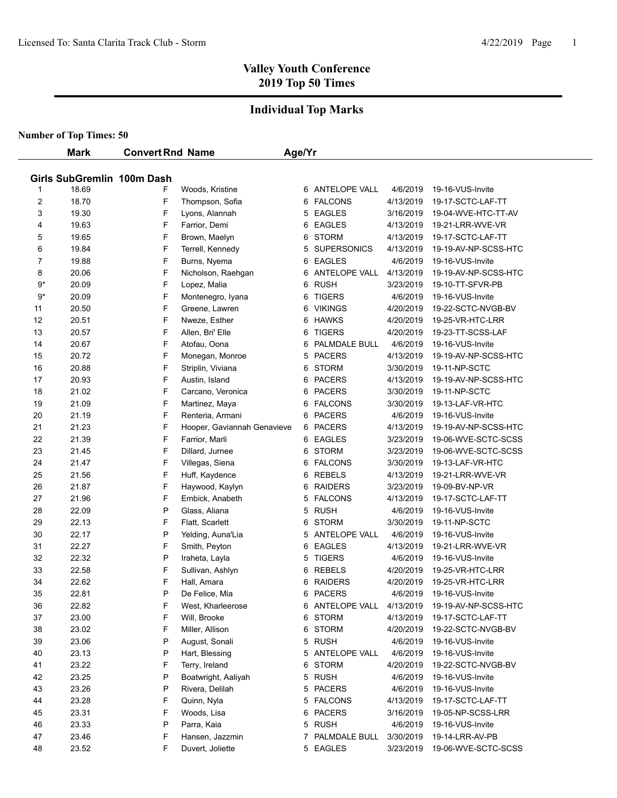#### **Individual Top Marks**

| Girls SubGremlin 100m Dash<br>18.69<br>Woods, Kristine<br>ANTELOPE VALL<br>4/6/2019<br>19-16-VUS-Invite<br>F<br>6<br>1<br>$\overline{\mathbf{c}}$<br>18.70<br>F<br><b>FALCONS</b><br>Thompson, Sofia<br>4/13/2019<br>19-17-SCTC-LAF-TT<br>6<br>3<br>19.30<br>F<br><b>EAGLES</b><br>Lyons, Alannah<br>3/16/2019<br>5<br>19-04-WVE-HTC-TT-AV<br>19.63<br>F<br><b>EAGLES</b><br>4<br>Farrior, Demi<br>4/13/2019<br>19-21-LRR-WVE-VR<br>6<br>5<br>19.65<br>F<br><b>STORM</b><br>4/13/2019<br>19-17-SCTC-LAF-TT<br>Brown, Maelyn<br>6<br>19.84<br>F<br><b>SUPERSONICS</b><br>6<br>Terrell, Kennedy<br>4/13/2019<br>19-19-AV-NP-SCSS-HTC<br>5<br>19.88<br>F<br><b>EAGLES</b><br>7<br>Burns, Nyema<br>6<br>4/6/2019<br>19-16-VUS-Invite<br>20.06<br>F<br><b>ANTELOPE VALL</b><br>8<br>Nicholson, Raehgan<br>4/13/2019<br>19-19-AV-NP-SCSS-HTC<br>6<br>9*<br>20.09<br>F<br><b>RUSH</b><br>Lopez, Malia<br>6<br>19-10-TT-SFVR-PB<br>3/23/2019<br>9*<br>20.09<br>F<br><b>TIGERS</b><br>Montenegro, Iyana<br>4/6/2019<br>19-16-VUS-Invite<br>6<br>20.50<br>F<br><b>VIKINGS</b><br>11<br>Greene, Lawren<br>4/20/2019<br>19-22-SCTC-NVGB-BV<br>6<br>20.51<br>F<br><b>HAWKS</b><br>12<br>Nweze, Esther<br>4/20/2019<br>19-25-VR-HTC-LRR<br>6<br>20.57<br>F<br>13<br>Allen, Bri' Elle<br><b>TIGERS</b><br>4/20/2019<br>19-23-TT-SCSS-LAF<br>6<br>20.67<br>F<br>14<br>Atofau, Oona<br>PALMDALE BULL<br>4/6/2019<br>19-16-VUS-Invite<br>6<br>20.72<br>F<br><b>PACERS</b><br>15<br>Monegan, Monroe<br>5<br>4/13/2019<br>19-19-AV-NP-SCSS-HTC<br>20.88<br>F<br><b>STORM</b><br>Striplin, Viviana<br>3/30/2019<br>19-11-NP-SCTC<br>16<br>6<br>20.93<br>F<br><b>PACERS</b><br>17<br>Austin, Island<br>4/13/2019<br>19-19-AV-NP-SCSS-HTC<br>6<br>21.02<br>F<br>6 PACERS<br>18<br>Carcano, Veronica<br>3/30/2019<br>19-11-NP-SCTC<br>21.09<br>F<br>19<br>Martinez, Maya<br>6 FALCONS<br>3/30/2019<br>19-13-LAF-VR-HTC<br>21.19<br>F<br><b>PACERS</b><br>20<br>Renteria, Armani<br>4/6/2019<br>19-16-VUS-Invite<br>6<br>21.23<br>F<br>21<br>Hooper, Gaviannah Genavieve<br>6 PACERS<br>4/13/2019<br>19-19-AV-NP-SCSS-HTC<br>21.39<br>F<br>22<br>6 EAGLES<br>19-06-WVE-SCTC-SCSS<br>Farrior, Marli<br>3/23/2019<br>F<br>23<br>21.45<br>Dillard, Jurnee<br>STORM<br>3/23/2019<br>19-06-WVE-SCTC-SCSS<br>6<br>F<br>24<br>21.47<br>Villegas, Siena<br><b>FALCONS</b><br>6<br>3/30/2019<br>19-13-LAF-VR-HTC<br>F<br><b>REBELS</b><br>25<br>21.56<br>Huff, Kaydence<br>19-21-LRR-WVE-VR<br>6<br>4/13/2019<br>21.87<br>F<br>26<br><b>RAIDERS</b><br>Haywood, Kaylyn<br>6<br>3/23/2019<br>19-09-BV-NP-VR<br>21.96<br>F<br>27<br>Embick, Anabeth<br><b>FALCONS</b><br>4/13/2019<br>19-17-SCTC-LAF-TT<br>5<br>P<br><b>RUSH</b><br>28<br>22.09<br>Glass, Aliana<br>4/6/2019<br>19-16-VUS-Invite<br>5<br>22.13<br>F<br>29<br>Flatt, Scarlett<br><b>STORM</b><br>3/30/2019<br>19-11-NP-SCTC<br>6<br>P<br>30<br>22.17<br>ANTELOPE VALL<br>Yelding, Auna'Lia<br>5<br>4/6/2019<br>19-16-VUS-Invite<br>F<br>31<br>22.27<br>Smith, Peyton<br><b>EAGLES</b><br>19-21-LRR-WVE-VR<br>6<br>4/13/2019<br>P<br><b>TIGERS</b><br>32<br>22.32<br>4/6/2019<br>Iraheta, Layla<br>5<br>19-16-VUS-Invite<br>F<br>33<br>22.58<br><b>REBELS</b><br>Sullivan, Ashlyn<br>6<br>4/20/2019<br>19-25-VR-HTC-LRR<br>34<br>F<br>22.62<br><b>RAIDERS</b><br>19-25-VR-HTC-LRR<br>Hall, Amara<br>6<br>4/20/2019<br>35<br>P<br>22.81<br>6<br><b>PACERS</b><br>4/6/2019<br>19-16-VUS-Invite<br>De Felice, Mia<br>22.82<br>6 ANTELOPE VALL<br>36<br>F<br>West, Kharleerose<br>4/13/2019<br>19-19-AV-NP-SCSS-HTC<br>F<br>6 STORM<br>37<br>23.00<br>Will, Brooke<br>4/13/2019<br>19-17-SCTC-LAF-TT<br>F<br><b>STORM</b><br>38<br>23.02<br>Miller, Allison<br>4/20/2019<br>19-22-SCTC-NVGB-BV<br>6<br>39<br>23.06<br>P<br>5<br><b>RUSH</b><br>4/6/2019<br>August, Sonali<br>19-16-VUS-Invite<br>40<br>23.13<br>P<br>Hart, Blessing<br>5 ANTELOPE VALL<br>4/6/2019<br>19-16-VUS-Invite<br>F<br>41<br>23.22<br>Terry, Ireland<br>6<br><b>STORM</b><br>4/20/2019<br>19-22-SCTC-NVGB-BV<br>P<br><b>RUSH</b><br>42<br>23.25<br>Boatwright, Aaliyah<br>4/6/2019<br>19-16-VUS-Invite<br>5<br>P<br>5 PACERS<br>43<br>23.26<br>Rivera, Delilah<br>4/6/2019<br>19-16-VUS-Invite | F<br>23.28<br>Quinn, Nyla<br>5 FALCONS<br>4/13/2019<br>19-17-SCTC-LAF-TT<br>F<br>23.31<br>Woods, Lisa<br>6 PACERS<br>3/16/2019<br>19-05-NP-SCSS-LRR<br>23.33<br>P<br>Parra, Kaia<br>5 RUSH<br>4/6/2019<br>19-16-VUS-Invite |    | <b>Mark</b> | <b>Convert Rnd Name</b> | Age/Yr |  |  |
|----------------------------------------------------------------------------------------------------------------------------------------------------------------------------------------------------------------------------------------------------------------------------------------------------------------------------------------------------------------------------------------------------------------------------------------------------------------------------------------------------------------------------------------------------------------------------------------------------------------------------------------------------------------------------------------------------------------------------------------------------------------------------------------------------------------------------------------------------------------------------------------------------------------------------------------------------------------------------------------------------------------------------------------------------------------------------------------------------------------------------------------------------------------------------------------------------------------------------------------------------------------------------------------------------------------------------------------------------------------------------------------------------------------------------------------------------------------------------------------------------------------------------------------------------------------------------------------------------------------------------------------------------------------------------------------------------------------------------------------------------------------------------------------------------------------------------------------------------------------------------------------------------------------------------------------------------------------------------------------------------------------------------------------------------------------------------------------------------------------------------------------------------------------------------------------------------------------------------------------------------------------------------------------------------------------------------------------------------------------------------------------------------------------------------------------------------------------------------------------------------------------------------------------------------------------------------------------------------------------------------------------------------------------------------------------------------------------------------------------------------------------------------------------------------------------------------------------------------------------------------------------------------------------------------------------------------------------------------------------------------------------------------------------------------------------------------------------------------------------------------------------------------------------------------------------------------------------------------------------------------------------------------------------------------------------------------------------------------------------------------------------------------------------------------------------------------------------------------------------------------------------------------------------------------------------------------------------------------------------------------------------------------------------------------------------------------------------------------------------------------------------------------------------------------------------------------------------------------------------------------------------------------------------------------------------------------------------------------------------------------------------------------------------------------------------------------------------------------------------------------------------------------------------------------------------------|----------------------------------------------------------------------------------------------------------------------------------------------------------------------------------------------------------------------------|----|-------------|-------------------------|--------|--|--|
|                                                                                                                                                                                                                                                                                                                                                                                                                                                                                                                                                                                                                                                                                                                                                                                                                                                                                                                                                                                                                                                                                                                                                                                                                                                                                                                                                                                                                                                                                                                                                                                                                                                                                                                                                                                                                                                                                                                                                                                                                                                                                                                                                                                                                                                                                                                                                                                                                                                                                                                                                                                                                                                                                                                                                                                                                                                                                                                                                                                                                                                                                                                                                                                                                                                                                                                                                                                                                                                                                                                                                                                                                                                                                                                                                                                                                                                                                                                                                                                                                                                                                                                                                                                              |                                                                                                                                                                                                                            |    |             |                         |        |  |  |
|                                                                                                                                                                                                                                                                                                                                                                                                                                                                                                                                                                                                                                                                                                                                                                                                                                                                                                                                                                                                                                                                                                                                                                                                                                                                                                                                                                                                                                                                                                                                                                                                                                                                                                                                                                                                                                                                                                                                                                                                                                                                                                                                                                                                                                                                                                                                                                                                                                                                                                                                                                                                                                                                                                                                                                                                                                                                                                                                                                                                                                                                                                                                                                                                                                                                                                                                                                                                                                                                                                                                                                                                                                                                                                                                                                                                                                                                                                                                                                                                                                                                                                                                                                                              |                                                                                                                                                                                                                            |    |             |                         |        |  |  |
|                                                                                                                                                                                                                                                                                                                                                                                                                                                                                                                                                                                                                                                                                                                                                                                                                                                                                                                                                                                                                                                                                                                                                                                                                                                                                                                                                                                                                                                                                                                                                                                                                                                                                                                                                                                                                                                                                                                                                                                                                                                                                                                                                                                                                                                                                                                                                                                                                                                                                                                                                                                                                                                                                                                                                                                                                                                                                                                                                                                                                                                                                                                                                                                                                                                                                                                                                                                                                                                                                                                                                                                                                                                                                                                                                                                                                                                                                                                                                                                                                                                                                                                                                                                              |                                                                                                                                                                                                                            |    |             |                         |        |  |  |
|                                                                                                                                                                                                                                                                                                                                                                                                                                                                                                                                                                                                                                                                                                                                                                                                                                                                                                                                                                                                                                                                                                                                                                                                                                                                                                                                                                                                                                                                                                                                                                                                                                                                                                                                                                                                                                                                                                                                                                                                                                                                                                                                                                                                                                                                                                                                                                                                                                                                                                                                                                                                                                                                                                                                                                                                                                                                                                                                                                                                                                                                                                                                                                                                                                                                                                                                                                                                                                                                                                                                                                                                                                                                                                                                                                                                                                                                                                                                                                                                                                                                                                                                                                                              |                                                                                                                                                                                                                            |    |             |                         |        |  |  |
|                                                                                                                                                                                                                                                                                                                                                                                                                                                                                                                                                                                                                                                                                                                                                                                                                                                                                                                                                                                                                                                                                                                                                                                                                                                                                                                                                                                                                                                                                                                                                                                                                                                                                                                                                                                                                                                                                                                                                                                                                                                                                                                                                                                                                                                                                                                                                                                                                                                                                                                                                                                                                                                                                                                                                                                                                                                                                                                                                                                                                                                                                                                                                                                                                                                                                                                                                                                                                                                                                                                                                                                                                                                                                                                                                                                                                                                                                                                                                                                                                                                                                                                                                                                              |                                                                                                                                                                                                                            |    |             |                         |        |  |  |
|                                                                                                                                                                                                                                                                                                                                                                                                                                                                                                                                                                                                                                                                                                                                                                                                                                                                                                                                                                                                                                                                                                                                                                                                                                                                                                                                                                                                                                                                                                                                                                                                                                                                                                                                                                                                                                                                                                                                                                                                                                                                                                                                                                                                                                                                                                                                                                                                                                                                                                                                                                                                                                                                                                                                                                                                                                                                                                                                                                                                                                                                                                                                                                                                                                                                                                                                                                                                                                                                                                                                                                                                                                                                                                                                                                                                                                                                                                                                                                                                                                                                                                                                                                                              |                                                                                                                                                                                                                            |    |             |                         |        |  |  |
|                                                                                                                                                                                                                                                                                                                                                                                                                                                                                                                                                                                                                                                                                                                                                                                                                                                                                                                                                                                                                                                                                                                                                                                                                                                                                                                                                                                                                                                                                                                                                                                                                                                                                                                                                                                                                                                                                                                                                                                                                                                                                                                                                                                                                                                                                                                                                                                                                                                                                                                                                                                                                                                                                                                                                                                                                                                                                                                                                                                                                                                                                                                                                                                                                                                                                                                                                                                                                                                                                                                                                                                                                                                                                                                                                                                                                                                                                                                                                                                                                                                                                                                                                                                              |                                                                                                                                                                                                                            |    |             |                         |        |  |  |
|                                                                                                                                                                                                                                                                                                                                                                                                                                                                                                                                                                                                                                                                                                                                                                                                                                                                                                                                                                                                                                                                                                                                                                                                                                                                                                                                                                                                                                                                                                                                                                                                                                                                                                                                                                                                                                                                                                                                                                                                                                                                                                                                                                                                                                                                                                                                                                                                                                                                                                                                                                                                                                                                                                                                                                                                                                                                                                                                                                                                                                                                                                                                                                                                                                                                                                                                                                                                                                                                                                                                                                                                                                                                                                                                                                                                                                                                                                                                                                                                                                                                                                                                                                                              |                                                                                                                                                                                                                            |    |             |                         |        |  |  |
|                                                                                                                                                                                                                                                                                                                                                                                                                                                                                                                                                                                                                                                                                                                                                                                                                                                                                                                                                                                                                                                                                                                                                                                                                                                                                                                                                                                                                                                                                                                                                                                                                                                                                                                                                                                                                                                                                                                                                                                                                                                                                                                                                                                                                                                                                                                                                                                                                                                                                                                                                                                                                                                                                                                                                                                                                                                                                                                                                                                                                                                                                                                                                                                                                                                                                                                                                                                                                                                                                                                                                                                                                                                                                                                                                                                                                                                                                                                                                                                                                                                                                                                                                                                              |                                                                                                                                                                                                                            |    |             |                         |        |  |  |
|                                                                                                                                                                                                                                                                                                                                                                                                                                                                                                                                                                                                                                                                                                                                                                                                                                                                                                                                                                                                                                                                                                                                                                                                                                                                                                                                                                                                                                                                                                                                                                                                                                                                                                                                                                                                                                                                                                                                                                                                                                                                                                                                                                                                                                                                                                                                                                                                                                                                                                                                                                                                                                                                                                                                                                                                                                                                                                                                                                                                                                                                                                                                                                                                                                                                                                                                                                                                                                                                                                                                                                                                                                                                                                                                                                                                                                                                                                                                                                                                                                                                                                                                                                                              |                                                                                                                                                                                                                            |    |             |                         |        |  |  |
|                                                                                                                                                                                                                                                                                                                                                                                                                                                                                                                                                                                                                                                                                                                                                                                                                                                                                                                                                                                                                                                                                                                                                                                                                                                                                                                                                                                                                                                                                                                                                                                                                                                                                                                                                                                                                                                                                                                                                                                                                                                                                                                                                                                                                                                                                                                                                                                                                                                                                                                                                                                                                                                                                                                                                                                                                                                                                                                                                                                                                                                                                                                                                                                                                                                                                                                                                                                                                                                                                                                                                                                                                                                                                                                                                                                                                                                                                                                                                                                                                                                                                                                                                                                              |                                                                                                                                                                                                                            |    |             |                         |        |  |  |
|                                                                                                                                                                                                                                                                                                                                                                                                                                                                                                                                                                                                                                                                                                                                                                                                                                                                                                                                                                                                                                                                                                                                                                                                                                                                                                                                                                                                                                                                                                                                                                                                                                                                                                                                                                                                                                                                                                                                                                                                                                                                                                                                                                                                                                                                                                                                                                                                                                                                                                                                                                                                                                                                                                                                                                                                                                                                                                                                                                                                                                                                                                                                                                                                                                                                                                                                                                                                                                                                                                                                                                                                                                                                                                                                                                                                                                                                                                                                                                                                                                                                                                                                                                                              |                                                                                                                                                                                                                            |    |             |                         |        |  |  |
|                                                                                                                                                                                                                                                                                                                                                                                                                                                                                                                                                                                                                                                                                                                                                                                                                                                                                                                                                                                                                                                                                                                                                                                                                                                                                                                                                                                                                                                                                                                                                                                                                                                                                                                                                                                                                                                                                                                                                                                                                                                                                                                                                                                                                                                                                                                                                                                                                                                                                                                                                                                                                                                                                                                                                                                                                                                                                                                                                                                                                                                                                                                                                                                                                                                                                                                                                                                                                                                                                                                                                                                                                                                                                                                                                                                                                                                                                                                                                                                                                                                                                                                                                                                              |                                                                                                                                                                                                                            |    |             |                         |        |  |  |
|                                                                                                                                                                                                                                                                                                                                                                                                                                                                                                                                                                                                                                                                                                                                                                                                                                                                                                                                                                                                                                                                                                                                                                                                                                                                                                                                                                                                                                                                                                                                                                                                                                                                                                                                                                                                                                                                                                                                                                                                                                                                                                                                                                                                                                                                                                                                                                                                                                                                                                                                                                                                                                                                                                                                                                                                                                                                                                                                                                                                                                                                                                                                                                                                                                                                                                                                                                                                                                                                                                                                                                                                                                                                                                                                                                                                                                                                                                                                                                                                                                                                                                                                                                                              |                                                                                                                                                                                                                            |    |             |                         |        |  |  |
|                                                                                                                                                                                                                                                                                                                                                                                                                                                                                                                                                                                                                                                                                                                                                                                                                                                                                                                                                                                                                                                                                                                                                                                                                                                                                                                                                                                                                                                                                                                                                                                                                                                                                                                                                                                                                                                                                                                                                                                                                                                                                                                                                                                                                                                                                                                                                                                                                                                                                                                                                                                                                                                                                                                                                                                                                                                                                                                                                                                                                                                                                                                                                                                                                                                                                                                                                                                                                                                                                                                                                                                                                                                                                                                                                                                                                                                                                                                                                                                                                                                                                                                                                                                              |                                                                                                                                                                                                                            |    |             |                         |        |  |  |
|                                                                                                                                                                                                                                                                                                                                                                                                                                                                                                                                                                                                                                                                                                                                                                                                                                                                                                                                                                                                                                                                                                                                                                                                                                                                                                                                                                                                                                                                                                                                                                                                                                                                                                                                                                                                                                                                                                                                                                                                                                                                                                                                                                                                                                                                                                                                                                                                                                                                                                                                                                                                                                                                                                                                                                                                                                                                                                                                                                                                                                                                                                                                                                                                                                                                                                                                                                                                                                                                                                                                                                                                                                                                                                                                                                                                                                                                                                                                                                                                                                                                                                                                                                                              |                                                                                                                                                                                                                            |    |             |                         |        |  |  |
|                                                                                                                                                                                                                                                                                                                                                                                                                                                                                                                                                                                                                                                                                                                                                                                                                                                                                                                                                                                                                                                                                                                                                                                                                                                                                                                                                                                                                                                                                                                                                                                                                                                                                                                                                                                                                                                                                                                                                                                                                                                                                                                                                                                                                                                                                                                                                                                                                                                                                                                                                                                                                                                                                                                                                                                                                                                                                                                                                                                                                                                                                                                                                                                                                                                                                                                                                                                                                                                                                                                                                                                                                                                                                                                                                                                                                                                                                                                                                                                                                                                                                                                                                                                              |                                                                                                                                                                                                                            |    |             |                         |        |  |  |
|                                                                                                                                                                                                                                                                                                                                                                                                                                                                                                                                                                                                                                                                                                                                                                                                                                                                                                                                                                                                                                                                                                                                                                                                                                                                                                                                                                                                                                                                                                                                                                                                                                                                                                                                                                                                                                                                                                                                                                                                                                                                                                                                                                                                                                                                                                                                                                                                                                                                                                                                                                                                                                                                                                                                                                                                                                                                                                                                                                                                                                                                                                                                                                                                                                                                                                                                                                                                                                                                                                                                                                                                                                                                                                                                                                                                                                                                                                                                                                                                                                                                                                                                                                                              |                                                                                                                                                                                                                            |    |             |                         |        |  |  |
|                                                                                                                                                                                                                                                                                                                                                                                                                                                                                                                                                                                                                                                                                                                                                                                                                                                                                                                                                                                                                                                                                                                                                                                                                                                                                                                                                                                                                                                                                                                                                                                                                                                                                                                                                                                                                                                                                                                                                                                                                                                                                                                                                                                                                                                                                                                                                                                                                                                                                                                                                                                                                                                                                                                                                                                                                                                                                                                                                                                                                                                                                                                                                                                                                                                                                                                                                                                                                                                                                                                                                                                                                                                                                                                                                                                                                                                                                                                                                                                                                                                                                                                                                                                              |                                                                                                                                                                                                                            |    |             |                         |        |  |  |
|                                                                                                                                                                                                                                                                                                                                                                                                                                                                                                                                                                                                                                                                                                                                                                                                                                                                                                                                                                                                                                                                                                                                                                                                                                                                                                                                                                                                                                                                                                                                                                                                                                                                                                                                                                                                                                                                                                                                                                                                                                                                                                                                                                                                                                                                                                                                                                                                                                                                                                                                                                                                                                                                                                                                                                                                                                                                                                                                                                                                                                                                                                                                                                                                                                                                                                                                                                                                                                                                                                                                                                                                                                                                                                                                                                                                                                                                                                                                                                                                                                                                                                                                                                                              |                                                                                                                                                                                                                            |    |             |                         |        |  |  |
|                                                                                                                                                                                                                                                                                                                                                                                                                                                                                                                                                                                                                                                                                                                                                                                                                                                                                                                                                                                                                                                                                                                                                                                                                                                                                                                                                                                                                                                                                                                                                                                                                                                                                                                                                                                                                                                                                                                                                                                                                                                                                                                                                                                                                                                                                                                                                                                                                                                                                                                                                                                                                                                                                                                                                                                                                                                                                                                                                                                                                                                                                                                                                                                                                                                                                                                                                                                                                                                                                                                                                                                                                                                                                                                                                                                                                                                                                                                                                                                                                                                                                                                                                                                              |                                                                                                                                                                                                                            |    |             |                         |        |  |  |
|                                                                                                                                                                                                                                                                                                                                                                                                                                                                                                                                                                                                                                                                                                                                                                                                                                                                                                                                                                                                                                                                                                                                                                                                                                                                                                                                                                                                                                                                                                                                                                                                                                                                                                                                                                                                                                                                                                                                                                                                                                                                                                                                                                                                                                                                                                                                                                                                                                                                                                                                                                                                                                                                                                                                                                                                                                                                                                                                                                                                                                                                                                                                                                                                                                                                                                                                                                                                                                                                                                                                                                                                                                                                                                                                                                                                                                                                                                                                                                                                                                                                                                                                                                                              |                                                                                                                                                                                                                            |    |             |                         |        |  |  |
|                                                                                                                                                                                                                                                                                                                                                                                                                                                                                                                                                                                                                                                                                                                                                                                                                                                                                                                                                                                                                                                                                                                                                                                                                                                                                                                                                                                                                                                                                                                                                                                                                                                                                                                                                                                                                                                                                                                                                                                                                                                                                                                                                                                                                                                                                                                                                                                                                                                                                                                                                                                                                                                                                                                                                                                                                                                                                                                                                                                                                                                                                                                                                                                                                                                                                                                                                                                                                                                                                                                                                                                                                                                                                                                                                                                                                                                                                                                                                                                                                                                                                                                                                                                              |                                                                                                                                                                                                                            |    |             |                         |        |  |  |
|                                                                                                                                                                                                                                                                                                                                                                                                                                                                                                                                                                                                                                                                                                                                                                                                                                                                                                                                                                                                                                                                                                                                                                                                                                                                                                                                                                                                                                                                                                                                                                                                                                                                                                                                                                                                                                                                                                                                                                                                                                                                                                                                                                                                                                                                                                                                                                                                                                                                                                                                                                                                                                                                                                                                                                                                                                                                                                                                                                                                                                                                                                                                                                                                                                                                                                                                                                                                                                                                                                                                                                                                                                                                                                                                                                                                                                                                                                                                                                                                                                                                                                                                                                                              |                                                                                                                                                                                                                            |    |             |                         |        |  |  |
|                                                                                                                                                                                                                                                                                                                                                                                                                                                                                                                                                                                                                                                                                                                                                                                                                                                                                                                                                                                                                                                                                                                                                                                                                                                                                                                                                                                                                                                                                                                                                                                                                                                                                                                                                                                                                                                                                                                                                                                                                                                                                                                                                                                                                                                                                                                                                                                                                                                                                                                                                                                                                                                                                                                                                                                                                                                                                                                                                                                                                                                                                                                                                                                                                                                                                                                                                                                                                                                                                                                                                                                                                                                                                                                                                                                                                                                                                                                                                                                                                                                                                                                                                                                              |                                                                                                                                                                                                                            |    |             |                         |        |  |  |
|                                                                                                                                                                                                                                                                                                                                                                                                                                                                                                                                                                                                                                                                                                                                                                                                                                                                                                                                                                                                                                                                                                                                                                                                                                                                                                                                                                                                                                                                                                                                                                                                                                                                                                                                                                                                                                                                                                                                                                                                                                                                                                                                                                                                                                                                                                                                                                                                                                                                                                                                                                                                                                                                                                                                                                                                                                                                                                                                                                                                                                                                                                                                                                                                                                                                                                                                                                                                                                                                                                                                                                                                                                                                                                                                                                                                                                                                                                                                                                                                                                                                                                                                                                                              |                                                                                                                                                                                                                            |    |             |                         |        |  |  |
|                                                                                                                                                                                                                                                                                                                                                                                                                                                                                                                                                                                                                                                                                                                                                                                                                                                                                                                                                                                                                                                                                                                                                                                                                                                                                                                                                                                                                                                                                                                                                                                                                                                                                                                                                                                                                                                                                                                                                                                                                                                                                                                                                                                                                                                                                                                                                                                                                                                                                                                                                                                                                                                                                                                                                                                                                                                                                                                                                                                                                                                                                                                                                                                                                                                                                                                                                                                                                                                                                                                                                                                                                                                                                                                                                                                                                                                                                                                                                                                                                                                                                                                                                                                              |                                                                                                                                                                                                                            |    |             |                         |        |  |  |
|                                                                                                                                                                                                                                                                                                                                                                                                                                                                                                                                                                                                                                                                                                                                                                                                                                                                                                                                                                                                                                                                                                                                                                                                                                                                                                                                                                                                                                                                                                                                                                                                                                                                                                                                                                                                                                                                                                                                                                                                                                                                                                                                                                                                                                                                                                                                                                                                                                                                                                                                                                                                                                                                                                                                                                                                                                                                                                                                                                                                                                                                                                                                                                                                                                                                                                                                                                                                                                                                                                                                                                                                                                                                                                                                                                                                                                                                                                                                                                                                                                                                                                                                                                                              |                                                                                                                                                                                                                            |    |             |                         |        |  |  |
|                                                                                                                                                                                                                                                                                                                                                                                                                                                                                                                                                                                                                                                                                                                                                                                                                                                                                                                                                                                                                                                                                                                                                                                                                                                                                                                                                                                                                                                                                                                                                                                                                                                                                                                                                                                                                                                                                                                                                                                                                                                                                                                                                                                                                                                                                                                                                                                                                                                                                                                                                                                                                                                                                                                                                                                                                                                                                                                                                                                                                                                                                                                                                                                                                                                                                                                                                                                                                                                                                                                                                                                                                                                                                                                                                                                                                                                                                                                                                                                                                                                                                                                                                                                              |                                                                                                                                                                                                                            |    |             |                         |        |  |  |
|                                                                                                                                                                                                                                                                                                                                                                                                                                                                                                                                                                                                                                                                                                                                                                                                                                                                                                                                                                                                                                                                                                                                                                                                                                                                                                                                                                                                                                                                                                                                                                                                                                                                                                                                                                                                                                                                                                                                                                                                                                                                                                                                                                                                                                                                                                                                                                                                                                                                                                                                                                                                                                                                                                                                                                                                                                                                                                                                                                                                                                                                                                                                                                                                                                                                                                                                                                                                                                                                                                                                                                                                                                                                                                                                                                                                                                                                                                                                                                                                                                                                                                                                                                                              |                                                                                                                                                                                                                            |    |             |                         |        |  |  |
|                                                                                                                                                                                                                                                                                                                                                                                                                                                                                                                                                                                                                                                                                                                                                                                                                                                                                                                                                                                                                                                                                                                                                                                                                                                                                                                                                                                                                                                                                                                                                                                                                                                                                                                                                                                                                                                                                                                                                                                                                                                                                                                                                                                                                                                                                                                                                                                                                                                                                                                                                                                                                                                                                                                                                                                                                                                                                                                                                                                                                                                                                                                                                                                                                                                                                                                                                                                                                                                                                                                                                                                                                                                                                                                                                                                                                                                                                                                                                                                                                                                                                                                                                                                              |                                                                                                                                                                                                                            |    |             |                         |        |  |  |
|                                                                                                                                                                                                                                                                                                                                                                                                                                                                                                                                                                                                                                                                                                                                                                                                                                                                                                                                                                                                                                                                                                                                                                                                                                                                                                                                                                                                                                                                                                                                                                                                                                                                                                                                                                                                                                                                                                                                                                                                                                                                                                                                                                                                                                                                                                                                                                                                                                                                                                                                                                                                                                                                                                                                                                                                                                                                                                                                                                                                                                                                                                                                                                                                                                                                                                                                                                                                                                                                                                                                                                                                                                                                                                                                                                                                                                                                                                                                                                                                                                                                                                                                                                                              |                                                                                                                                                                                                                            |    |             |                         |        |  |  |
|                                                                                                                                                                                                                                                                                                                                                                                                                                                                                                                                                                                                                                                                                                                                                                                                                                                                                                                                                                                                                                                                                                                                                                                                                                                                                                                                                                                                                                                                                                                                                                                                                                                                                                                                                                                                                                                                                                                                                                                                                                                                                                                                                                                                                                                                                                                                                                                                                                                                                                                                                                                                                                                                                                                                                                                                                                                                                                                                                                                                                                                                                                                                                                                                                                                                                                                                                                                                                                                                                                                                                                                                                                                                                                                                                                                                                                                                                                                                                                                                                                                                                                                                                                                              |                                                                                                                                                                                                                            |    |             |                         |        |  |  |
|                                                                                                                                                                                                                                                                                                                                                                                                                                                                                                                                                                                                                                                                                                                                                                                                                                                                                                                                                                                                                                                                                                                                                                                                                                                                                                                                                                                                                                                                                                                                                                                                                                                                                                                                                                                                                                                                                                                                                                                                                                                                                                                                                                                                                                                                                                                                                                                                                                                                                                                                                                                                                                                                                                                                                                                                                                                                                                                                                                                                                                                                                                                                                                                                                                                                                                                                                                                                                                                                                                                                                                                                                                                                                                                                                                                                                                                                                                                                                                                                                                                                                                                                                                                              |                                                                                                                                                                                                                            |    |             |                         |        |  |  |
|                                                                                                                                                                                                                                                                                                                                                                                                                                                                                                                                                                                                                                                                                                                                                                                                                                                                                                                                                                                                                                                                                                                                                                                                                                                                                                                                                                                                                                                                                                                                                                                                                                                                                                                                                                                                                                                                                                                                                                                                                                                                                                                                                                                                                                                                                                                                                                                                                                                                                                                                                                                                                                                                                                                                                                                                                                                                                                                                                                                                                                                                                                                                                                                                                                                                                                                                                                                                                                                                                                                                                                                                                                                                                                                                                                                                                                                                                                                                                                                                                                                                                                                                                                                              |                                                                                                                                                                                                                            |    |             |                         |        |  |  |
|                                                                                                                                                                                                                                                                                                                                                                                                                                                                                                                                                                                                                                                                                                                                                                                                                                                                                                                                                                                                                                                                                                                                                                                                                                                                                                                                                                                                                                                                                                                                                                                                                                                                                                                                                                                                                                                                                                                                                                                                                                                                                                                                                                                                                                                                                                                                                                                                                                                                                                                                                                                                                                                                                                                                                                                                                                                                                                                                                                                                                                                                                                                                                                                                                                                                                                                                                                                                                                                                                                                                                                                                                                                                                                                                                                                                                                                                                                                                                                                                                                                                                                                                                                                              |                                                                                                                                                                                                                            |    |             |                         |        |  |  |
|                                                                                                                                                                                                                                                                                                                                                                                                                                                                                                                                                                                                                                                                                                                                                                                                                                                                                                                                                                                                                                                                                                                                                                                                                                                                                                                                                                                                                                                                                                                                                                                                                                                                                                                                                                                                                                                                                                                                                                                                                                                                                                                                                                                                                                                                                                                                                                                                                                                                                                                                                                                                                                                                                                                                                                                                                                                                                                                                                                                                                                                                                                                                                                                                                                                                                                                                                                                                                                                                                                                                                                                                                                                                                                                                                                                                                                                                                                                                                                                                                                                                                                                                                                                              |                                                                                                                                                                                                                            |    |             |                         |        |  |  |
|                                                                                                                                                                                                                                                                                                                                                                                                                                                                                                                                                                                                                                                                                                                                                                                                                                                                                                                                                                                                                                                                                                                                                                                                                                                                                                                                                                                                                                                                                                                                                                                                                                                                                                                                                                                                                                                                                                                                                                                                                                                                                                                                                                                                                                                                                                                                                                                                                                                                                                                                                                                                                                                                                                                                                                                                                                                                                                                                                                                                                                                                                                                                                                                                                                                                                                                                                                                                                                                                                                                                                                                                                                                                                                                                                                                                                                                                                                                                                                                                                                                                                                                                                                                              |                                                                                                                                                                                                                            |    |             |                         |        |  |  |
|                                                                                                                                                                                                                                                                                                                                                                                                                                                                                                                                                                                                                                                                                                                                                                                                                                                                                                                                                                                                                                                                                                                                                                                                                                                                                                                                                                                                                                                                                                                                                                                                                                                                                                                                                                                                                                                                                                                                                                                                                                                                                                                                                                                                                                                                                                                                                                                                                                                                                                                                                                                                                                                                                                                                                                                                                                                                                                                                                                                                                                                                                                                                                                                                                                                                                                                                                                                                                                                                                                                                                                                                                                                                                                                                                                                                                                                                                                                                                                                                                                                                                                                                                                                              |                                                                                                                                                                                                                            |    |             |                         |        |  |  |
|                                                                                                                                                                                                                                                                                                                                                                                                                                                                                                                                                                                                                                                                                                                                                                                                                                                                                                                                                                                                                                                                                                                                                                                                                                                                                                                                                                                                                                                                                                                                                                                                                                                                                                                                                                                                                                                                                                                                                                                                                                                                                                                                                                                                                                                                                                                                                                                                                                                                                                                                                                                                                                                                                                                                                                                                                                                                                                                                                                                                                                                                                                                                                                                                                                                                                                                                                                                                                                                                                                                                                                                                                                                                                                                                                                                                                                                                                                                                                                                                                                                                                                                                                                                              |                                                                                                                                                                                                                            |    |             |                         |        |  |  |
|                                                                                                                                                                                                                                                                                                                                                                                                                                                                                                                                                                                                                                                                                                                                                                                                                                                                                                                                                                                                                                                                                                                                                                                                                                                                                                                                                                                                                                                                                                                                                                                                                                                                                                                                                                                                                                                                                                                                                                                                                                                                                                                                                                                                                                                                                                                                                                                                                                                                                                                                                                                                                                                                                                                                                                                                                                                                                                                                                                                                                                                                                                                                                                                                                                                                                                                                                                                                                                                                                                                                                                                                                                                                                                                                                                                                                                                                                                                                                                                                                                                                                                                                                                                              |                                                                                                                                                                                                                            |    |             |                         |        |  |  |
|                                                                                                                                                                                                                                                                                                                                                                                                                                                                                                                                                                                                                                                                                                                                                                                                                                                                                                                                                                                                                                                                                                                                                                                                                                                                                                                                                                                                                                                                                                                                                                                                                                                                                                                                                                                                                                                                                                                                                                                                                                                                                                                                                                                                                                                                                                                                                                                                                                                                                                                                                                                                                                                                                                                                                                                                                                                                                                                                                                                                                                                                                                                                                                                                                                                                                                                                                                                                                                                                                                                                                                                                                                                                                                                                                                                                                                                                                                                                                                                                                                                                                                                                                                                              |                                                                                                                                                                                                                            |    |             |                         |        |  |  |
|                                                                                                                                                                                                                                                                                                                                                                                                                                                                                                                                                                                                                                                                                                                                                                                                                                                                                                                                                                                                                                                                                                                                                                                                                                                                                                                                                                                                                                                                                                                                                                                                                                                                                                                                                                                                                                                                                                                                                                                                                                                                                                                                                                                                                                                                                                                                                                                                                                                                                                                                                                                                                                                                                                                                                                                                                                                                                                                                                                                                                                                                                                                                                                                                                                                                                                                                                                                                                                                                                                                                                                                                                                                                                                                                                                                                                                                                                                                                                                                                                                                                                                                                                                                              |                                                                                                                                                                                                                            |    |             |                         |        |  |  |
|                                                                                                                                                                                                                                                                                                                                                                                                                                                                                                                                                                                                                                                                                                                                                                                                                                                                                                                                                                                                                                                                                                                                                                                                                                                                                                                                                                                                                                                                                                                                                                                                                                                                                                                                                                                                                                                                                                                                                                                                                                                                                                                                                                                                                                                                                                                                                                                                                                                                                                                                                                                                                                                                                                                                                                                                                                                                                                                                                                                                                                                                                                                                                                                                                                                                                                                                                                                                                                                                                                                                                                                                                                                                                                                                                                                                                                                                                                                                                                                                                                                                                                                                                                                              |                                                                                                                                                                                                                            |    |             |                         |        |  |  |
| 44                                                                                                                                                                                                                                                                                                                                                                                                                                                                                                                                                                                                                                                                                                                                                                                                                                                                                                                                                                                                                                                                                                                                                                                                                                                                                                                                                                                                                                                                                                                                                                                                                                                                                                                                                                                                                                                                                                                                                                                                                                                                                                                                                                                                                                                                                                                                                                                                                                                                                                                                                                                                                                                                                                                                                                                                                                                                                                                                                                                                                                                                                                                                                                                                                                                                                                                                                                                                                                                                                                                                                                                                                                                                                                                                                                                                                                                                                                                                                                                                                                                                                                                                                                                           |                                                                                                                                                                                                                            |    |             |                         |        |  |  |
| 45                                                                                                                                                                                                                                                                                                                                                                                                                                                                                                                                                                                                                                                                                                                                                                                                                                                                                                                                                                                                                                                                                                                                                                                                                                                                                                                                                                                                                                                                                                                                                                                                                                                                                                                                                                                                                                                                                                                                                                                                                                                                                                                                                                                                                                                                                                                                                                                                                                                                                                                                                                                                                                                                                                                                                                                                                                                                                                                                                                                                                                                                                                                                                                                                                                                                                                                                                                                                                                                                                                                                                                                                                                                                                                                                                                                                                                                                                                                                                                                                                                                                                                                                                                                           |                                                                                                                                                                                                                            |    |             |                         |        |  |  |
| 46                                                                                                                                                                                                                                                                                                                                                                                                                                                                                                                                                                                                                                                                                                                                                                                                                                                                                                                                                                                                                                                                                                                                                                                                                                                                                                                                                                                                                                                                                                                                                                                                                                                                                                                                                                                                                                                                                                                                                                                                                                                                                                                                                                                                                                                                                                                                                                                                                                                                                                                                                                                                                                                                                                                                                                                                                                                                                                                                                                                                                                                                                                                                                                                                                                                                                                                                                                                                                                                                                                                                                                                                                                                                                                                                                                                                                                                                                                                                                                                                                                                                                                                                                                                           |                                                                                                                                                                                                                            |    |             |                         |        |  |  |
| 47<br>23.46<br>F<br>Hansen, Jazzmin<br>7 PALMDALE BULL<br>3/30/2019<br>19-14-LRR-AV-PB                                                                                                                                                                                                                                                                                                                                                                                                                                                                                                                                                                                                                                                                                                                                                                                                                                                                                                                                                                                                                                                                                                                                                                                                                                                                                                                                                                                                                                                                                                                                                                                                                                                                                                                                                                                                                                                                                                                                                                                                                                                                                                                                                                                                                                                                                                                                                                                                                                                                                                                                                                                                                                                                                                                                                                                                                                                                                                                                                                                                                                                                                                                                                                                                                                                                                                                                                                                                                                                                                                                                                                                                                                                                                                                                                                                                                                                                                                                                                                                                                                                                                                       |                                                                                                                                                                                                                            |    |             |                         |        |  |  |
|                                                                                                                                                                                                                                                                                                                                                                                                                                                                                                                                                                                                                                                                                                                                                                                                                                                                                                                                                                                                                                                                                                                                                                                                                                                                                                                                                                                                                                                                                                                                                                                                                                                                                                                                                                                                                                                                                                                                                                                                                                                                                                                                                                                                                                                                                                                                                                                                                                                                                                                                                                                                                                                                                                                                                                                                                                                                                                                                                                                                                                                                                                                                                                                                                                                                                                                                                                                                                                                                                                                                                                                                                                                                                                                                                                                                                                                                                                                                                                                                                                                                                                                                                                                              | F<br>23.52<br>Duvert, Joliette<br>5 EAGLES<br>3/23/2019<br>19-06-WVE-SCTC-SCSS                                                                                                                                             | 48 |             |                         |        |  |  |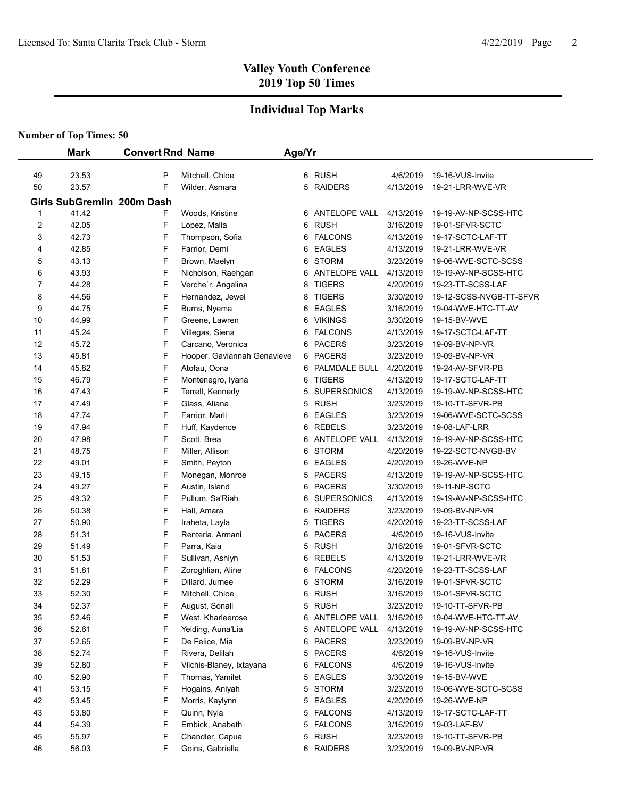## **Individual Top Marks**

|                         | <b>Mark</b>                         | <b>Convert Rnd Name</b> |                             | Age/Yr |                      |           |                         |
|-------------------------|-------------------------------------|-------------------------|-----------------------------|--------|----------------------|-----------|-------------------------|
| 49                      | 23.53                               | P                       | Mitchell, Chloe             |        | 6 RUSH               | 4/6/2019  | 19-16-VUS-Invite        |
| 50                      | 23.57                               | F                       | Wilder, Asmara              |        | 5 RAIDERS            | 4/13/2019 | 19-21-LRR-WVE-VR        |
|                         |                                     |                         |                             |        |                      |           |                         |
| 1                       | Girls SubGremlin 200m Dash<br>41.42 | F                       | Woods, Kristine             |        | 6 ANTELOPE VALL      | 4/13/2019 | 19-19-AV-NP-SCSS-HTC    |
| $\overline{\mathbf{c}}$ | 42.05                               | F                       | Lopez, Malia                |        | 6 RUSH               | 3/16/2019 | 19-01-SFVR-SCTC         |
| 3                       | 42.73                               | F                       | Thompson, Sofia             |        | 6 FALCONS            | 4/13/2019 | 19-17-SCTC-LAF-TT       |
| 4                       | 42.85                               | F                       | Farrior, Demi               | 6      | <b>EAGLES</b>        | 4/13/2019 | 19-21-LRR-WVE-VR        |
| 5                       | 43.13                               | F                       | Brown, Maelyn               | 6      | <b>STORM</b>         | 3/23/2019 | 19-06-WVE-SCTC-SCSS     |
| 6                       | 43.93                               | F                       | Nicholson, Raehgan          | 6      | ANTELOPE VALL        | 4/13/2019 | 19-19-AV-NP-SCSS-HTC    |
| 7                       | 44.28                               | F                       | Verche'r, Angelina          | 8      | <b>TIGERS</b>        | 4/20/2019 | 19-23-TT-SCSS-LAF       |
| 8                       | 44.56                               | F                       | Hernandez, Jewel            | 8      | <b>TIGERS</b>        | 3/30/2019 | 19-12-SCSS-NVGB-TT-SFVR |
| 9                       | 44.75                               | F                       | Burns, Nyema                | 6      | <b>EAGLES</b>        | 3/16/2019 | 19-04-WVE-HTC-TT-AV     |
| 10                      | 44.99                               | F                       | Greene, Lawren              | 6      | <b>VIKINGS</b>       | 3/30/2019 | 19-15-BV-WVE            |
| 11                      | 45.24                               | F                       | Villegas, Siena             |        | 6 FALCONS            | 4/13/2019 | 19-17-SCTC-LAF-TT       |
| 12                      | 45.72                               | F                       | Carcano, Veronica           |        | 6 PACERS             | 3/23/2019 | 19-09-BV-NP-VR          |
| 13                      | 45.81                               | F                       | Hooper, Gaviannah Genavieve |        | 6 PACERS             | 3/23/2019 | 19-09-BV-NP-VR          |
| 14                      | 45.82                               | F                       | Atofau, Oona                |        | 6 PALMDALE BULL      | 4/20/2019 | 19-24-AV-SFVR-PB        |
| 15                      | 46.79                               | F                       | Montenegro, Iyana           |        | 6 TIGERS             | 4/13/2019 | 19-17-SCTC-LAF-TT       |
| 16                      | 47.43                               | F                       | Terrell, Kennedy            |        | 5 SUPERSONICS        | 4/13/2019 | 19-19-AV-NP-SCSS-HTC    |
| 17                      | 47.49                               | F                       | Glass, Aliana               |        | 5 RUSH               | 3/23/2019 | 19-10-TT-SFVR-PB        |
| 18                      | 47.74                               | F                       | Farrior, Marli              |        | <b>EAGLES</b><br>6.  | 3/23/2019 | 19-06-WVE-SCTC-SCSS     |
| 19                      | 47.94                               | F                       | Huff, Kaydence              | 6.     | <b>REBELS</b>        | 3/23/2019 | 19-08-LAF-LRR           |
| 20                      | 47.98                               | F                       | Scott, Brea                 | 6      | <b>ANTELOPE VALL</b> | 4/13/2019 | 19-19-AV-NP-SCSS-HTC    |
| 21                      | 48.75                               | F                       | Miller, Allison             | 6      | <b>STORM</b>         | 4/20/2019 | 19-22-SCTC-NVGB-BV      |
| 22                      | 49.01                               | F                       | Smith, Peyton               | 6      | <b>EAGLES</b>        | 4/20/2019 | 19-26-WVE-NP            |
| 23                      | 49.15                               | F                       | Monegan, Monroe             | 5.     | <b>PACERS</b>        | 4/13/2019 | 19-19-AV-NP-SCSS-HTC    |
| 24                      | 49.27                               | F                       | Austin, Island              | 6      | <b>PACERS</b>        | 3/30/2019 | 19-11-NP-SCTC           |
| 25                      | 49.32                               | F                       | Pullum, Sa'Riah             | 6      | <b>SUPERSONICS</b>   | 4/13/2019 | 19-19-AV-NP-SCSS-HTC    |
| 26                      | 50.38                               | F                       | Hall, Amara                 | 6      | <b>RAIDERS</b>       | 3/23/2019 | 19-09-BV-NP-VR          |
| 27                      | 50.90                               | F                       | Iraheta, Layla              | 5      | <b>TIGERS</b>        | 4/20/2019 | 19-23-TT-SCSS-LAF       |
| 28                      | 51.31                               | F                       | Renteria, Armani            | 6      | <b>PACERS</b>        | 4/6/2019  | 19-16-VUS-Invite        |
| 29                      | 51.49                               | F                       | Parra, Kaia                 |        | 5 RUSH               | 3/16/2019 | 19-01-SFVR-SCTC         |
| 30                      | 51.53                               | F                       | Sullivan, Ashlyn            | 6      | <b>REBELS</b>        | 4/13/2019 | 19-21-LRR-WVE-VR        |
| 31                      | 51.81                               | F                       | Zoroghlian, Aline           |        | 6 FALCONS            | 4/20/2019 | 19-23-TT-SCSS-LAF       |
| 32                      | 52.29                               | F                       | Dillard, Jurnee             |        | 6 STORM              | 3/16/2019 | 19-01-SFVR-SCTC         |
| 33                      | 52.30                               | F                       | Mitchell, Chloe             |        | 6 RUSH               | 3/16/2019 | 19-01-SFVR-SCTC         |
| 34                      | 52.37                               | F                       | August, Sonali              | 5      | <b>RUSH</b>          | 3/23/2019 | 19-10-TT-SFVR-PB        |
| 35                      | 52.46                               | F                       | West, Kharleerose           |        | 6 ANTELOPE VALL      | 3/16/2019 | 19-04-WVE-HTC-TT-AV     |
| 36                      | 52.61                               | F                       | Yelding, Auna'Lia           |        | 5 ANTELOPE VALL      | 4/13/2019 | 19-19-AV-NP-SCSS-HTC    |
| 37                      | 52.65                               | F                       | De Felice, Mia              | 6      | <b>PACERS</b>        | 3/23/2019 | 19-09-BV-NP-VR          |
| 38                      | 52.74                               | F                       | Rivera, Delilah             |        | <b>PACERS</b><br>5.  | 4/6/2019  | 19-16-VUS-Invite        |
| 39                      | 52.80                               | F                       | Vilchis-Blaney, Ixtayana    |        | 6 FALCONS            | 4/6/2019  | 19-16-VUS-Invite        |
| 40                      | 52.90                               | F                       | Thomas, Yamilet             |        | 5 EAGLES             | 3/30/2019 | 19-15-BV-WVE            |
| 41                      | 53.15                               | F                       | Hogains, Aniyah             |        | 5 STORM              | 3/23/2019 | 19-06-WVE-SCTC-SCSS     |
| 42                      | 53.45                               | F                       | Morris, Kaylynn             | 5      | <b>EAGLES</b>        | 4/20/2019 | 19-26-WVE-NP            |
| 43                      | 53.80                               | F                       | Quinn, Nyla                 |        | 5 FALCONS            | 4/13/2019 | 19-17-SCTC-LAF-TT       |
| 44                      | 54.39                               | F                       | Embick, Anabeth             |        | 5 FALCONS            | 3/16/2019 | 19-03-LAF-BV            |
| 45                      | 55.97                               | F                       | Chandler, Capua             |        | 5 RUSH               | 3/23/2019 | 19-10-TT-SFVR-PB        |
| 46                      | 56.03                               | F                       | Goins, Gabriella            |        | 6 RAIDERS            | 3/23/2019 | 19-09-BV-NP-VR          |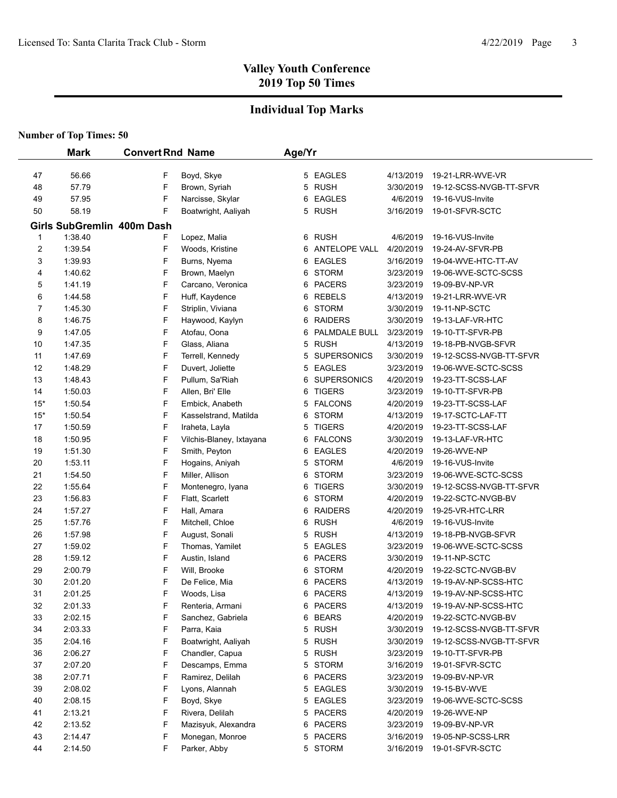## **Individual Top Marks**

|       | <b>Mark</b>                | <b>Convert Rnd Name</b> |                          | Age/Yr |                      |           |                         |
|-------|----------------------------|-------------------------|--------------------------|--------|----------------------|-----------|-------------------------|
|       |                            |                         |                          |        |                      |           |                         |
| 47    | 56.66                      | F                       | Boyd, Skye               |        | 5 EAGLES             | 4/13/2019 | 19-21-LRR-WVE-VR        |
| 48    | 57.79                      | F                       | Brown, Syriah            |        | 5 RUSH               | 3/30/2019 | 19-12-SCSS-NVGB-TT-SFVR |
| 49    | 57.95                      | F                       | Narcisse, Skylar         |        | 6 EAGLES             | 4/6/2019  | 19-16-VUS-Invite        |
| 50    | 58.19                      | F                       | Boatwright, Aaliyah      |        | 5 RUSH               | 3/16/2019 | 19-01-SFVR-SCTC         |
|       | Girls SubGremlin 400m Dash |                         |                          |        |                      |           |                         |
| 1     | 1:38.40                    | F                       | Lopez, Malia             | 6      | <b>RUSH</b>          | 4/6/2019  | 19-16-VUS-Invite        |
| 2     | 1:39.54                    | F                       | Woods, Kristine          | 6      | <b>ANTELOPE VALL</b> | 4/20/2019 | 19-24-AV-SFVR-PB        |
| 3     | 1:39.93                    | F                       | Burns, Nyema             | 6      | <b>EAGLES</b>        | 3/16/2019 | 19-04-WVE-HTC-TT-AV     |
| 4     | 1:40.62                    | F                       | Brown, Maelyn            | 6      | <b>STORM</b>         | 3/23/2019 | 19-06-WVE-SCTC-SCSS     |
| 5     | 1:41.19                    | F                       | Carcano, Veronica        | 6      | <b>PACERS</b>        | 3/23/2019 | 19-09-BV-NP-VR          |
| 6     | 1:44.58                    | F                       | Huff, Kaydence           | 6      | <b>REBELS</b>        | 4/13/2019 | 19-21-LRR-WVE-VR        |
| 7     | 1:45.30                    | F                       | Striplin, Viviana        | 6      | <b>STORM</b>         | 3/30/2019 | 19-11-NP-SCTC           |
| 8     | 1:46.75                    | F                       | Haywood, Kaylyn          | 6      | <b>RAIDERS</b>       | 3/30/2019 | 19-13-LAF-VR-HTC        |
| 9     | 1:47.05                    | F                       | Atofau, Oona             | 6      | PALMDALE BULL        | 3/23/2019 | 19-10-TT-SFVR-PB        |
| 10    | 1:47.35                    | F                       | Glass, Aliana            |        | 5 RUSH               | 4/13/2019 | 19-18-PB-NVGB-SFVR      |
| 11    | 1:47.69                    | F                       | Terrell, Kennedy         | 5      | <b>SUPERSONICS</b>   | 3/30/2019 | 19-12-SCSS-NVGB-TT-SFVR |
| 12    | 1:48.29                    | F                       | Duvert, Joliette         | 5      | EAGLES               | 3/23/2019 | 19-06-WVE-SCTC-SCSS     |
| 13    | 1:48.43                    | F                       | Pullum, Sa'Riah          | 6      | <b>SUPERSONICS</b>   | 4/20/2019 | 19-23-TT-SCSS-LAF       |
| 14    | 1:50.03                    | F                       | Allen, Bri' Elle         | 6      | <b>TIGERS</b>        | 3/23/2019 | 19-10-TT-SFVR-PB        |
| $15*$ | 1:50.54                    | F                       | Embick, Anabeth          | 5      | <b>FALCONS</b>       | 4/20/2019 | 19-23-TT-SCSS-LAF       |
| $15*$ | 1:50.54                    | F                       | Kasselstrand, Matilda    | 6      | <b>STORM</b>         | 4/13/2019 | 19-17-SCTC-LAF-TT       |
| 17    | 1:50.59                    | F                       | Iraheta, Layla           | 5      | <b>TIGERS</b>        | 4/20/2019 | 19-23-TT-SCSS-LAF       |
| 18    | 1:50.95                    | F                       | Vilchis-Blaney, Ixtayana | 6      | <b>FALCONS</b>       | 3/30/2019 | 19-13-LAF-VR-HTC        |
| 19    | 1:51.30                    | F                       | Smith, Peyton            | 6      | <b>EAGLES</b>        | 4/20/2019 | 19-26-WVE-NP            |
| 20    | 1:53.11                    | F                       | Hogains, Aniyah          | 5      | <b>STORM</b>         | 4/6/2019  | 19-16-VUS-Invite        |
| 21    | 1:54.50                    | F                       | Miller, Allison          | 6      | <b>STORM</b>         | 3/23/2019 | 19-06-WVE-SCTC-SCSS     |
| 22    | 1:55.64                    | F                       | Montenegro, Iyana        | 6      | <b>TIGERS</b>        | 3/30/2019 | 19-12-SCSS-NVGB-TT-SFVR |
| 23    | 1:56.83                    | F                       | Flatt, Scarlett          | 6      | <b>STORM</b>         | 4/20/2019 | 19-22-SCTC-NVGB-BV      |
| 24    | 1:57.27                    | F                       | Hall, Amara              | 6      | <b>RAIDERS</b>       | 4/20/2019 | 19-25-VR-HTC-LRR        |
| 25    | 1:57.76                    | F                       | Mitchell, Chloe          | 6      | <b>RUSH</b>          | 4/6/2019  | 19-16-VUS-Invite        |
| 26    | 1:57.98                    | F                       | August, Sonali           | 5      | <b>RUSH</b>          | 4/13/2019 | 19-18-PB-NVGB-SFVR      |
| 27    | 1:59.02                    | F                       | Thomas, Yamilet          | 5      | <b>EAGLES</b>        | 3/23/2019 | 19-06-WVE-SCTC-SCSS     |
| 28    | 1:59.12                    | F                       | Austin, Island           | 6      | <b>PACERS</b>        | 3/30/2019 | 19-11-NP-SCTC           |
| 29    | 2:00.79                    | F                       | Will, Brooke             | 6      | <b>STORM</b>         | 4/20/2019 | 19-22-SCTC-NVGB-BV      |
| 30    | 2:01.20                    | F                       | De Felice, Mia           | 6      | <b>PACERS</b>        | 4/13/2019 | 19-19-AV-NP-SCSS-HTC    |
| 31    | 2:01.25                    | F                       | Woods, Lisa              | 6      | <b>PACERS</b>        | 4/13/2019 | 19-19-AV-NP-SCSS-HTC    |
| 32    | 2:01.33                    | F                       | Renteria, Armani         |        | 6 PACERS             | 4/13/2019 | 19-19-AV-NP-SCSS-HTC    |
| 33    | 2:02.15                    | F                       | Sanchez, Gabriela        | 6      | <b>BEARS</b>         | 4/20/2019 | 19-22-SCTC-NVGB-BV      |
| 34    | 2:03.33                    | F                       | Parra, Kaia              |        | 5 RUSH               | 3/30/2019 | 19-12-SCSS-NVGB-TT-SFVR |
| 35    | 2:04.16                    | F                       | Boatwright, Aaliyah      |        | 5 RUSH               | 3/30/2019 | 19-12-SCSS-NVGB-TT-SFVR |
| 36    | 2:06.27                    | F                       | Chandler, Capua          |        | 5 RUSH               | 3/23/2019 | 19-10-TT-SFVR-PB        |
| 37    | 2:07.20                    | F                       | Descamps, Emma           |        | 5 STORM              | 3/16/2019 | 19-01-SFVR-SCTC         |
| 38    | 2:07.71                    | F                       | Ramirez, Delilah         |        | 6 PACERS             | 3/23/2019 | 19-09-BV-NP-VR          |
| 39    | 2:08.02                    | F                       | Lyons, Alannah           |        | 5 EAGLES             | 3/30/2019 | 19-15-BV-WVE            |
| 40    | 2:08.15                    | F                       | Boyd, Skye               |        | 5 EAGLES             | 3/23/2019 | 19-06-WVE-SCTC-SCSS     |
| 41    | 2:13.21                    | F                       | Rivera, Delilah          |        | 5 PACERS             | 4/20/2019 | 19-26-WVE-NP            |
| 42    | 2:13.52                    | F                       | Mazisyuk, Alexandra      |        | 6 PACERS             | 3/23/2019 | 19-09-BV-NP-VR          |
| 43    | 2:14.47                    | F                       | Monegan, Monroe          |        | 5 PACERS             | 3/16/2019 | 19-05-NP-SCSS-LRR       |
| 44    | 2:14.50                    | F                       | Parker, Abby             |        | 5 STORM              | 3/16/2019 | 19-01-SFVR-SCTC         |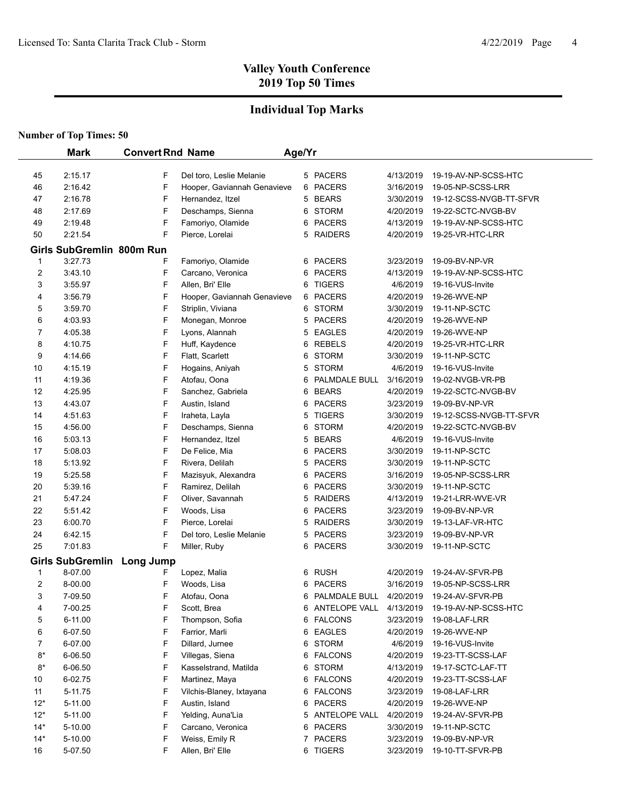## **Individual Top Marks**

|                     | <b>Mark</b>                | <b>Convert Rnd Name</b> |                                         | Age/Yr |                                |                        |                                       |
|---------------------|----------------------------|-------------------------|-----------------------------------------|--------|--------------------------------|------------------------|---------------------------------------|
|                     |                            |                         |                                         |        |                                |                        |                                       |
| 45                  | 2:15.17                    | F                       | Del toro, Leslie Melanie                |        | 5 PACERS                       | 4/13/2019              | 19-19-AV-NP-SCSS-HTC                  |
| 46                  | 2:16.42                    | F                       | Hooper, Gaviannah Genavieve             |        | 6 PACERS                       | 3/16/2019              | 19-05-NP-SCSS-LRR                     |
| 47                  | 2:16.78                    | F                       | Hernandez, Itzel                        |        | 5 BEARS                        | 3/30/2019              | 19-12-SCSS-NVGB-TT-SFVR               |
| 48                  | 2:17.69                    | F                       | Deschamps, Sienna                       |        | 6 STORM                        | 4/20/2019              | 19-22-SCTC-NVGB-BV                    |
| 49                  | 2:19.48                    | F                       | Famoriyo, Olamide                       |        | 6 PACERS                       | 4/13/2019              | 19-19-AV-NP-SCSS-HTC                  |
| 50                  | 2:21.54                    | F                       | Pierce, Lorelai                         |        | 5 RAIDERS                      | 4/20/2019              | 19-25-VR-HTC-LRR                      |
|                     | Girls SubGremlin 800m Run  |                         |                                         |        |                                |                        |                                       |
| 1                   | 3:27.73                    | F                       | Famoriyo, Olamide                       |        | 6 PACERS                       | 3/23/2019              | 19-09-BV-NP-VR                        |
| 2                   | 3:43.10                    | F                       | Carcano, Veronica                       |        | 6 PACERS                       | 4/13/2019              | 19-19-AV-NP-SCSS-HTC                  |
| 3                   | 3:55.97                    | F                       | Allen, Bri' Elle                        | 6      | <b>TIGERS</b>                  | 4/6/2019               | 19-16-VUS-Invite                      |
| 4                   | 3:56.79                    | F                       | Hooper, Gaviannah Genavieve             |        | 6 PACERS                       | 4/20/2019              | 19-26-WVE-NP                          |
| 5                   | 3:59.70                    | F                       | Striplin, Viviana                       |        | 6 STORM                        | 3/30/2019              | 19-11-NP-SCTC                         |
| 6                   | 4:03.93                    | F                       | Monegan, Monroe                         |        | 5 PACERS                       | 4/20/2019              | 19-26-WVE-NP                          |
| 7                   | 4:05.38                    | F                       | Lyons, Alannah                          |        | 5 EAGLES                       | 4/20/2019              | 19-26-WVE-NP                          |
| 8                   | 4:10.75                    | F                       | Huff, Kaydence                          |        | 6 REBELS                       | 4/20/2019              | 19-25-VR-HTC-LRR                      |
| 9                   | 4:14.66                    | F                       | Flatt, Scarlett                         | 6      | STORM                          | 3/30/2019              | 19-11-NP-SCTC                         |
| 10                  | 4:15.19                    | F                       | Hogains, Aniyah                         | 5      | STORM                          | 4/6/2019               | 19-16-VUS-Invite                      |
| 11                  | 4:19.36                    | F                       | Atofau, Oona                            | 6      | PALMDALE BULL                  | 3/16/2019              | 19-02-NVGB-VR-PB                      |
| 12                  | 4:25.95                    | F                       | Sanchez, Gabriela                       |        | 6 BEARS                        | 4/20/2019              | 19-22-SCTC-NVGB-BV                    |
| 13                  | 4:43.07                    | F                       | Austin, Island                          |        | 6 PACERS                       | 3/23/2019              | 19-09-BV-NP-VR                        |
| 14                  | 4:51.63                    | F                       | Iraheta, Layla                          | 5      | <b>TIGERS</b>                  | 3/30/2019              | 19-12-SCSS-NVGB-TT-SFVR               |
| 15                  | 4:56.00                    | F<br>F                  | Deschamps, Sienna                       | 6      | <b>STORM</b>                   | 4/20/2019              | 19-22-SCTC-NVGB-BV                    |
| 16                  | 5:03.13                    | F                       | Hernandez, Itzel                        | 5      | <b>BEARS</b>                   | 4/6/2019               | 19-16-VUS-Invite                      |
| 17<br>18            | 5:08.03<br>5:13.92         | F                       | De Felice, Mia<br>Rivera, Delilah       | 6<br>5 | <b>PACERS</b><br><b>PACERS</b> | 3/30/2019              | 19-11-NP-SCTC                         |
| 19                  | 5:25.58                    | F                       |                                         | 6      | <b>PACERS</b>                  | 3/30/2019<br>3/16/2019 | 19-11-NP-SCTC<br>19-05-NP-SCSS-LRR    |
| 20                  | 5:39.16                    | F                       | Mazisyuk, Alexandra<br>Ramirez, Delilah |        | 6 PACERS                       | 3/30/2019              | 19-11-NP-SCTC                         |
| 21                  | 5:47.24                    | F                       | Oliver, Savannah                        |        | 5 RAIDERS                      | 4/13/2019              | 19-21-LRR-WVE-VR                      |
| 22                  | 5:51.42                    | F                       | Woods, Lisa                             | 6      | <b>PACERS</b>                  | 3/23/2019              | 19-09-BV-NP-VR                        |
| 23                  | 6:00.70                    | F                       | Pierce, Lorelai                         | 5      | <b>RAIDERS</b>                 | 3/30/2019              | 19-13-LAF-VR-HTC                      |
| 24                  | 6:42.15                    | F                       | Del toro, Leslie Melanie                |        | 5 PACERS                       | 3/23/2019              | 19-09-BV-NP-VR                        |
| 25                  | 7:01.83                    | F                       | Miller, Ruby                            |        | 6 PACERS                       | 3/30/2019              | 19-11-NP-SCTC                         |
|                     |                            |                         |                                         |        |                                |                        |                                       |
|                     | Girls SubGremlin Long Jump |                         |                                         |        |                                |                        |                                       |
| 1<br>$\overline{2}$ | 8-07.00<br>8-00.00         | F<br>F                  | Lopez, Malia<br>Woods, Lisa             | 6<br>6 | RUSH<br><b>PACERS</b>          | 4/20/2019<br>3/16/2019 | 19-24-AV-SFVR-PB<br>19-05-NP-SCSS-LRR |
| 3                   | 7-09.50                    | F                       | Atofau, Oona                            | 6      | PALMDALE BULL                  | 4/20/2019              | 19-24-AV-SFVR-PB                      |
| 4                   | 7-00.25                    | F                       | Scott, Brea                             |        | 6 ANTELOPE VALL                | 4/13/2019              | 19-19-AV-NP-SCSS-HTC                  |
| 5                   | 6-11.00                    | F                       | Thompson, Sofia                         |        | 6 FALCONS                      | 3/23/2019              | 19-08-LAF-LRR                         |
| 6                   | 6-07.50                    | F                       | Farrior, Marli                          |        | 6 EAGLES                       | 4/20/2019              | 19-26-WVE-NP                          |
| 7                   | 6-07.00                    | F                       | Dillard, Jurnee                         |        | 6 STORM                        | 4/6/2019               | 19-16-VUS-Invite                      |
| $8*$                | 6-06.50                    | F                       | Villegas, Siena                         |        | 6 FALCONS                      | 4/20/2019              | 19-23-TT-SCSS-LAF                     |
| $8*$                | 6-06.50                    | F                       | Kasselstrand, Matilda                   | 6      | STORM                          | 4/13/2019              | 19-17-SCTC-LAF-TT                     |
| 10                  | 6-02.75                    | F                       | Martinez, Maya                          |        | 6 FALCONS                      | 4/20/2019              | 19-23-TT-SCSS-LAF                     |
| 11                  | 5-11.75                    | F                       | Vilchis-Blaney, Ixtayana                |        | 6 FALCONS                      | 3/23/2019              | 19-08-LAF-LRR                         |
| $12*$               | 5-11.00                    | F                       | Austin, Island                          |        | 6 PACERS                       | 4/20/2019              | 19-26-WVE-NP                          |
| $12*$               | 5-11.00                    | F                       | Yelding, Auna'Lia                       |        | 5 ANTELOPE VALL                | 4/20/2019              | 19-24-AV-SFVR-PB                      |
| $14*$               | 5-10.00                    | F                       | Carcano, Veronica                       |        | 6 PACERS                       | 3/30/2019              | 19-11-NP-SCTC                         |
| $14*$               | 5-10.00                    | F                       | Weiss, Emily R                          |        | 7 PACERS                       | 3/23/2019              | 19-09-BV-NP-VR                        |
| 16                  | 5-07.50                    | F                       | Allen, Bri' Elle                        |        | 6 TIGERS                       | 3/23/2019              | 19-10-TT-SFVR-PB                      |
|                     |                            |                         |                                         |        |                                |                        |                                       |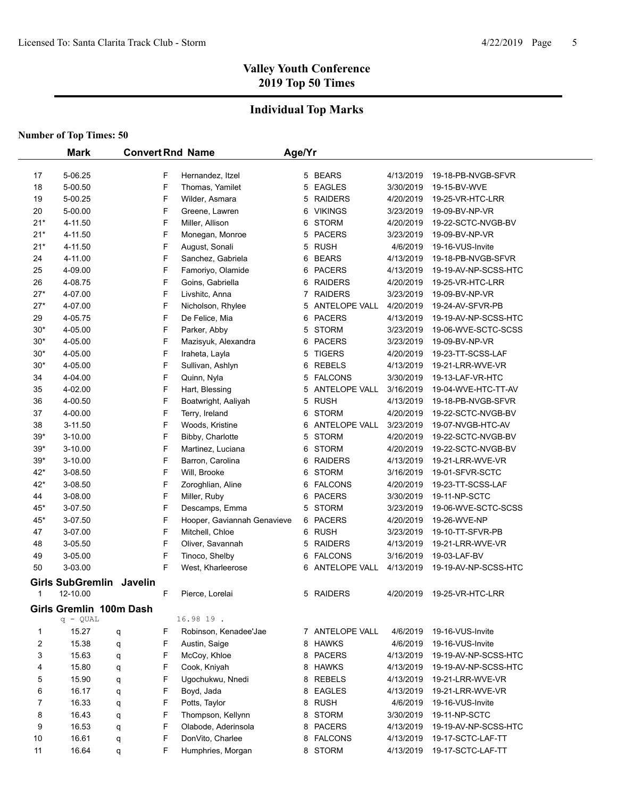## **Individual Top Marks**

|                | <b>Mark</b>              |   |   | <b>Convert Rnd Name</b>     | Age/Yr |                      |           |                      |
|----------------|--------------------------|---|---|-----------------------------|--------|----------------------|-----------|----------------------|
|                |                          |   |   |                             |        |                      |           |                      |
| 17             | 5-06.25                  |   | F | Hernandez, Itzel            |        | 5 BEARS              | 4/13/2019 | 19-18-PB-NVGB-SFVR   |
| 18             | 5-00.50                  |   | F | Thomas, Yamilet             | 5      | <b>EAGLES</b>        | 3/30/2019 | 19-15-BV-WVE         |
| 19             | 5-00.25                  |   | F | Wilder, Asmara              | 5      | <b>RAIDERS</b>       | 4/20/2019 | 19-25-VR-HTC-LRR     |
| 20             | 5-00.00                  |   | F | Greene, Lawren              | 6      | <b>VIKINGS</b>       | 3/23/2019 | 19-09-BV-NP-VR       |
| $21*$          | 4-11.50                  |   | F | Miller, Allison             | 6      | <b>STORM</b>         | 4/20/2019 | 19-22-SCTC-NVGB-BV   |
| $21*$          | 4-11.50                  |   | F | Monegan, Monroe             | 5      | <b>PACERS</b>        | 3/23/2019 | 19-09-BV-NP-VR       |
| $21*$          | 4-11.50                  |   | F | August, Sonali              | 5      | <b>RUSH</b>          | 4/6/2019  | 19-16-VUS-Invite     |
| 24             | 4-11.00                  |   | F | Sanchez, Gabriela           | 6      | <b>BEARS</b>         | 4/13/2019 | 19-18-PB-NVGB-SFVR   |
| 25             | 4-09.00                  |   | F | Famoriyo, Olamide           | 6      | <b>PACERS</b>        | 4/13/2019 | 19-19-AV-NP-SCSS-HTC |
| 26             | 4-08.75                  |   | F | Goins, Gabriella            | 6      | <b>RAIDERS</b>       | 4/20/2019 | 19-25-VR-HTC-LRR     |
| $27*$          | 4-07.00                  |   | F | Livshitc, Anna              | 7      | <b>RAIDERS</b>       | 3/23/2019 | 19-09-BV-NP-VR       |
| $27*$          | 4-07.00                  |   | F | Nicholson, Rhylee           | 5.     | ANTELOPE VALL        | 4/20/2019 | 19-24-AV-SFVR-PB     |
| 29             | 4-05.75                  |   | F | De Felice, Mia              | 6      | <b>PACERS</b>        | 4/13/2019 | 19-19-AV-NP-SCSS-HTC |
| $30*$          | 4-05.00                  |   | F | Parker, Abby                | 5      | <b>STORM</b>         | 3/23/2019 | 19-06-WVE-SCTC-SCSS  |
| $30*$          | 4-05.00                  |   | F | Mazisyuk, Alexandra         | 6      | <b>PACERS</b>        | 3/23/2019 | 19-09-BV-NP-VR       |
| $30*$          | 4-05.00                  |   | F | Iraheta, Layla              | 5      | <b>TIGERS</b>        | 4/20/2019 | 19-23-TT-SCSS-LAF    |
| $30*$          | 4-05.00                  |   | F | Sullivan, Ashlyn            | 6      | <b>REBELS</b>        | 4/13/2019 | 19-21-LRR-WVE-VR     |
| 34             | 4-04.00                  |   | F | Quinn, Nyla                 | 5      | <b>FALCONS</b>       | 3/30/2019 | 19-13-LAF-VR-HTC     |
| 35             | 4-02.00                  |   | F | Hart, Blessing              | 5      | <b>ANTELOPE VALL</b> | 3/16/2019 | 19-04-WVE-HTC-TT-AV  |
| 36             | 4-00.50                  |   | F | Boatwright, Aaliyah         | 5      | <b>RUSH</b>          | 4/13/2019 | 19-18-PB-NVGB-SFVR   |
| 37             | 4-00.00                  |   | F | Terry, Ireland              | 6      | <b>STORM</b>         | 4/20/2019 | 19-22-SCTC-NVGB-BV   |
| 38             | 3-11.50                  |   | F | Woods, Kristine             | 6      | <b>ANTELOPE VALL</b> | 3/23/2019 | 19-07-NVGB-HTC-AV    |
| $39*$          | 3-10.00                  |   | F | Bibby, Charlotte            | 5      | <b>STORM</b>         | 4/20/2019 | 19-22-SCTC-NVGB-BV   |
| $39*$          | 3-10.00                  |   | F | Martinez, Luciana           | 6      | <b>STORM</b>         | 4/20/2019 | 19-22-SCTC-NVGB-BV   |
| $39*$          | 3-10.00                  |   | F | Barron, Carolina            | 6      | <b>RAIDERS</b>       | 4/13/2019 | 19-21-LRR-WVE-VR     |
| $42*$          | 3-08.50                  |   | F | Will, Brooke                | 6      | <b>STORM</b>         | 3/16/2019 | 19-01-SFVR-SCTC      |
| 42*            | 3-08.50                  |   | F | Zoroghlian, Aline           | 6      | <b>FALCONS</b>       | 4/20/2019 | 19-23-TT-SCSS-LAF    |
| 44             | 3-08.00                  |   | F | Miller, Ruby                | 6      | <b>PACERS</b>        | 3/30/2019 | 19-11-NP-SCTC        |
| $45*$          | 3-07.50                  |   | F | Descamps, Emma              | 5      | <b>STORM</b>         | 3/23/2019 | 19-06-WVE-SCTC-SCSS  |
| 45*            | 3-07.50                  |   | F | Hooper, Gaviannah Genavieve |        | 6 PACERS             | 4/20/2019 | 19-26-WVE-NP         |
| 47             | 3-07.00                  |   | F | Mitchell, Chloe             | 6      | RUSH                 | 3/23/2019 | 19-10-TT-SFVR-PB     |
| 48             | 3-05.50                  |   | F | Oliver, Savannah            | 5      | <b>RAIDERS</b>       | 4/13/2019 | 19-21-LRR-WVE-VR     |
| 49             | 3-05.00                  |   | F | Tinoco, Shelby              | 6      | <b>FALCONS</b>       | 3/16/2019 | 19-03-LAF-BV         |
| 50             | 3-03.00                  |   | F | West, Kharleerose           |        | 6 ANTELOPE VALL      | 4/13/2019 | 19-19-AV-NP-SCSS-HTC |
|                | Girls SubGremlin Javelin |   |   |                             |        |                      |           |                      |
| 1              | 12-10.00                 |   | F | Pierce, Lorelai             |        | 5 RAIDERS            | 4/20/2019 | 19-25-VR-HTC-LRR     |
|                | Girls Gremlin 100m Dash  |   |   |                             |        |                      |           |                      |
|                | $q - QUAL$               |   |   | 16.98 19.                   |        |                      |           |                      |
| 1              | 15.27                    | q | F | Robinson, Kenadee'Jae       |        | 7 ANTELOPE VALL      | 4/6/2019  | 19-16-VUS-Invite     |
| $\overline{c}$ | 15.38                    | q | F | Austin, Saige               |        | 8 HAWKS              | 4/6/2019  | 19-16-VUS-Invite     |
| 3              | 15.63                    | q | F | McCoy, Khloe                |        | 8 PACERS             | 4/13/2019 | 19-19-AV-NP-SCSS-HTC |
| 4              | 15.80                    | q | F | Cook, Kniyah                |        | 8 HAWKS              | 4/13/2019 | 19-19-AV-NP-SCSS-HTC |
| 5              | 15.90                    | q | F | Ugochukwu, Nnedi            | 8      | <b>REBELS</b>        | 4/13/2019 | 19-21-LRR-WVE-VR     |
| 6              | 16.17                    | q | F | Boyd, Jada                  | 8      | <b>EAGLES</b>        | 4/13/2019 | 19-21-LRR-WVE-VR     |
| 7              | 16.33                    | q | F | Potts, Taylor               | 8      | <b>RUSH</b>          | 4/6/2019  | 19-16-VUS-Invite     |
| 8              | 16.43                    | q | F | Thompson, Kellynn           | 8      | <b>STORM</b>         | 3/30/2019 | 19-11-NP-SCTC        |
| 9              | 16.53                    | q | F | Olabode, Aderinsola         | 8      | <b>PACERS</b>        | 4/13/2019 | 19-19-AV-NP-SCSS-HTC |
| 10             | 16.61                    | q | F | DonVito, Charlee            |        | 8 FALCONS            | 4/13/2019 | 19-17-SCTC-LAF-TT    |
| 11             | 16.64                    | q | F | Humphries, Morgan           |        | 8 STORM              | 4/13/2019 | 19-17-SCTC-LAF-TT    |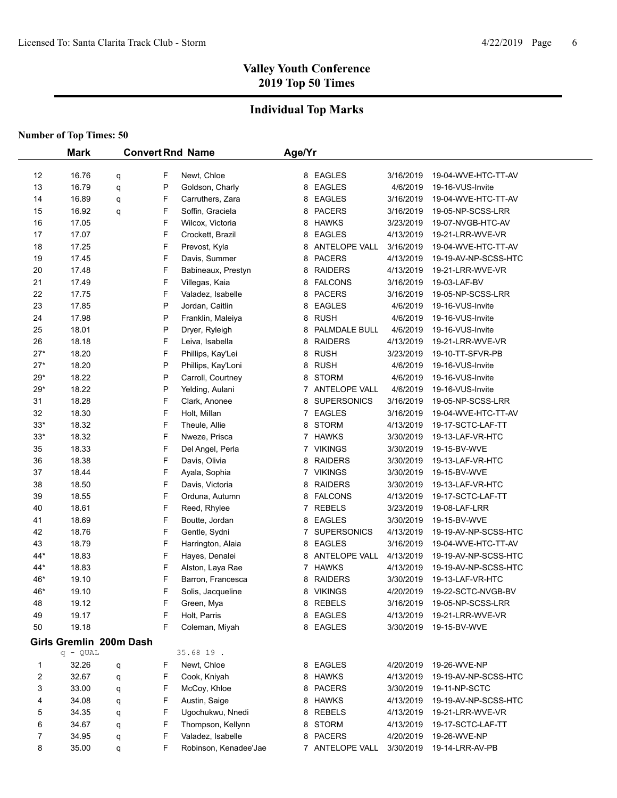## **Individual Top Marks**

| <b>Number of Top Times: 50</b> |  |  |  |  |
|--------------------------------|--|--|--|--|
|--------------------------------|--|--|--|--|

|                | <b>Mark</b>             |   |        | <b>Convert Rnd Name</b>              | Age/Yr |                    |                        |                      |  |
|----------------|-------------------------|---|--------|--------------------------------------|--------|--------------------|------------------------|----------------------|--|
| 12             | 16.76                   |   | F      | Newt, Chloe                          |        | 8 EAGLES           | 3/16/2019              | 19-04-WVE-HTC-TT-AV  |  |
| 13             | 16.79                   | q | P      | Goldson, Charly                      | 8      | <b>EAGLES</b>      | 4/6/2019               | 19-16-VUS-Invite     |  |
| 14             | 16.89                   | q | F      | Carruthers, Zara                     | 8      | <b>EAGLES</b>      | 3/16/2019              | 19-04-WVE-HTC-TT-AV  |  |
| 15             | 16.92                   | q | F      | Soffin, Graciela                     | 8      | <b>PACERS</b>      | 3/16/2019              | 19-05-NP-SCSS-LRR    |  |
|                |                         | q | F      |                                      |        | <b>HAWKS</b>       |                        | 19-07-NVGB-HTC-AV    |  |
| 16<br>17       | 17.05<br>17.07          |   | F      | Wilcox, Victoria<br>Crockett, Brazil | 8      | <b>EAGLES</b>      | 3/23/2019<br>4/13/2019 | 19-21-LRR-WVE-VR     |  |
|                |                         |   | F      |                                      | 8      |                    |                        |                      |  |
| 18             | 17.25                   |   | F      | Prevost, Kyla                        | 8      | ANTELOPE VALL      | 3/16/2019              | 19-04-WVE-HTC-TT-AV  |  |
| 19             | 17.45                   |   |        | Davis, Summer                        | 8      | <b>PACERS</b>      | 4/13/2019              | 19-19-AV-NP-SCSS-HTC |  |
| 20             | 17.48                   |   | F<br>F | Babineaux, Prestyn                   | 8      | <b>RAIDERS</b>     | 4/13/2019              | 19-21-LRR-WVE-VR     |  |
| 21             | 17.49                   |   |        | Villegas, Kaia                       | 8      | <b>FALCONS</b>     | 3/16/2019              | 19-03-LAF-BV         |  |
| 22             | 17.75                   |   | F<br>P | Valadez, Isabelle                    | 8      | <b>PACERS</b>      | 3/16/2019              | 19-05-NP-SCSS-LRR    |  |
| 23             | 17.85                   |   |        | Jordan, Caitlin                      | 8      | <b>EAGLES</b>      | 4/6/2019               | 19-16-VUS-Invite     |  |
| 24             | 17.98                   |   | P      | Franklin, Maleiya                    | 8      | <b>RUSH</b>        | 4/6/2019               | 19-16-VUS-Invite     |  |
| 25             | 18.01                   |   | P      | Dryer, Ryleigh                       | 8      | PALMDALE BULL      | 4/6/2019               | 19-16-VUS-Invite     |  |
| 26             | 18.18                   |   | F      | Leiva, Isabella                      | 8      | <b>RAIDERS</b>     | 4/13/2019              | 19-21-LRR-WVE-VR     |  |
| $27*$          | 18.20                   |   | F      | Phillips, Kay'Lei                    | 8      | <b>RUSH</b>        | 3/23/2019              | 19-10-TT-SFVR-PB     |  |
| $27*$          | 18.20                   |   | P      | Phillips, Kay'Loni                   | 8      | <b>RUSH</b>        | 4/6/2019               | 19-16-VUS-Invite     |  |
| $29*$          | 18.22                   |   | P      | Carroll, Courtney                    | 8      | <b>STORM</b>       | 4/6/2019               | 19-16-VUS-Invite     |  |
| $29*$          | 18.22                   |   | P      | Yelding, Aulani                      |        | 7 ANTELOPE VALL    | 4/6/2019               | 19-16-VUS-Invite     |  |
| 31             | 18.28                   |   | F      | Clark, Anonee                        | 8      | <b>SUPERSONICS</b> | 3/16/2019              | 19-05-NP-SCSS-LRR    |  |
| 32             | 18.30                   |   | F      | Holt, Millan                         | 7      | <b>EAGLES</b>      | 3/16/2019              | 19-04-WVE-HTC-TT-AV  |  |
| $33*$          | 18.32                   |   | F      | Theule, Allie                        | 8      | <b>STORM</b>       | 4/13/2019              | 19-17-SCTC-LAF-TT    |  |
| $33*$          | 18.32                   |   | F      | Nweze, Prisca                        |        | 7 HAWKS            | 3/30/2019              | 19-13-LAF-VR-HTC     |  |
| 35             | 18.33                   |   | F      | Del Angel, Perla                     | 7      | <b>VIKINGS</b>     | 3/30/2019              | 19-15-BV-WVE         |  |
| 36             | 18.38                   |   | F      | Davis, Olivia                        | 8      | <b>RAIDERS</b>     | 3/30/2019              | 19-13-LAF-VR-HTC     |  |
| 37             | 18.44                   |   | F      | Ayala, Sophia                        |        | 7 VIKINGS          | 3/30/2019              | 19-15-BV-WVE         |  |
| 38             | 18.50                   |   | F      | Davis, Victoria                      | 8      | <b>RAIDERS</b>     | 3/30/2019              | 19-13-LAF-VR-HTC     |  |
| 39             | 18.55                   |   | F      | Orduna, Autumn                       |        | 8 FALCONS          | 4/13/2019              | 19-17-SCTC-LAF-TT    |  |
| 40             | 18.61                   |   | F      | Reed, Rhylee                         |        | 7 REBELS           | 3/23/2019              | 19-08-LAF-LRR        |  |
| 41             | 18.69                   |   | F      | Boutte, Jordan                       |        | 8 EAGLES           | 3/30/2019              | 19-15-BV-WVE         |  |
| 42             | 18.76                   |   | F      | Gentle, Sydni                        |        | 7 SUPERSONICS      | 4/13/2019              | 19-19-AV-NP-SCSS-HTC |  |
| 43             | 18.79                   |   | F      | Harrington, Alaia                    | 8      | <b>EAGLES</b>      | 3/16/2019              | 19-04-WVE-HTC-TT-AV  |  |
| 44*            | 18.83                   |   | F      | Hayes, Denalei                       | 8      | ANTELOPE VALL      | 4/13/2019              | 19-19-AV-NP-SCSS-HTC |  |
| 44*            | 18.83                   |   | F      | Alston, Laya Rae                     |        | 7 HAWKS            | 4/13/2019              | 19-19-AV-NP-SCSS-HTC |  |
| 46*            | 19.10                   |   | F      | Barron, Francesca                    | 8      | <b>RAIDERS</b>     | 3/30/2019              | 19-13-LAF-VR-HTC     |  |
| 46*            | 19.10                   |   | F      | Solis, Jacqueline                    |        | 8 VIKINGS          | 4/20/2019              | 19-22-SCTC-NVGB-BV   |  |
| 48             | 19.12                   |   | F      | Green, Mya                           |        | 8 REBELS           | 3/16/2019              | 19-05-NP-SCSS-LRR    |  |
| 49             | 19.17                   |   | F      | Holt, Parris                         |        | 8 EAGLES           | 4/13/2019              | 19-21-LRR-WVE-VR     |  |
| 50             | 19.18                   |   | F      | Coleman, Miyah                       |        | 8 EAGLES           | 3/30/2019              | 19-15-BV-WVE         |  |
|                | Girls Gremlin 200m Dash |   |        | 35.68 19.                            |        |                    |                        |                      |  |
|                | $q - QUAL$              |   |        |                                      |        |                    |                        |                      |  |
| 1              | 32.26                   | q | F      | Newt, Chloe                          |        | 8 EAGLES           | 4/20/2019              | 19-26-WVE-NP         |  |
| 2              | 32.67                   | q | F      | Cook, Kniyah                         |        | 8 HAWKS            | 4/13/2019              | 19-19-AV-NP-SCSS-HTC |  |
| 3              | 33.00                   | q | F      | McCoy, Khloe                         |        | 8 PACERS           | 3/30/2019              | 19-11-NP-SCTC        |  |
| 4              | 34.08                   | q | F      | Austin, Saige                        |        | 8 HAWKS            | 4/13/2019              | 19-19-AV-NP-SCSS-HTC |  |
| 5              | 34.35                   | q | F      | Ugochukwu, Nnedi                     | 8      | <b>REBELS</b>      | 4/13/2019              | 19-21-LRR-WVE-VR     |  |
| 6              | 34.67                   | q | F      | Thompson, Kellynn                    |        | 8 STORM            | 4/13/2019              | 19-17-SCTC-LAF-TT    |  |
| $\overline{7}$ | 34.95                   | q | F      | Valadez, Isabelle                    |        | 8 PACERS           | 4/20/2019              | 19-26-WVE-NP         |  |
| 8              | 35.00                   | q | F      | Robinson, Kenadee'Jae                |        | 7 ANTELOPE VALL    | 3/30/2019              | 19-14-LRR-AV-PB      |  |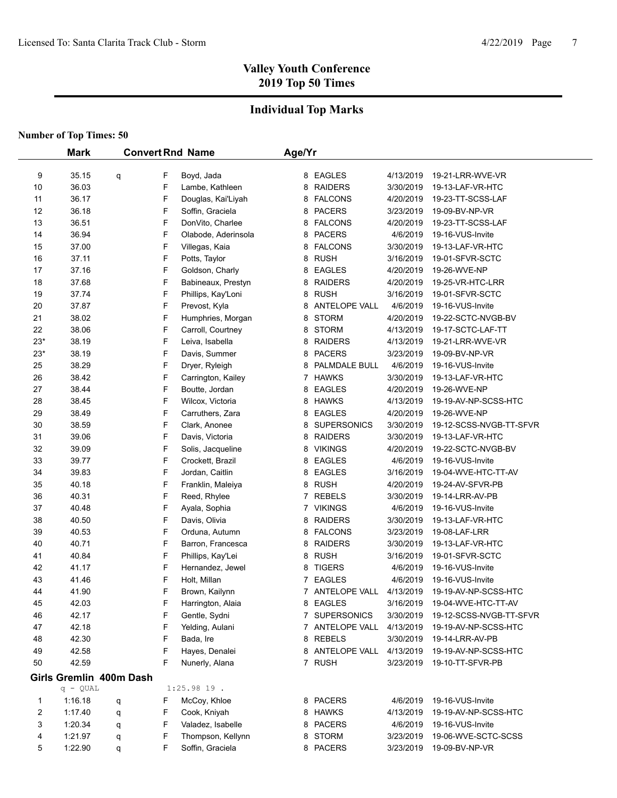## **Individual Top Marks**

|       | <b>Mark</b>             |   |   | <b>Convert Rnd Name</b> | Age/Yr |                      |           |                         |
|-------|-------------------------|---|---|-------------------------|--------|----------------------|-----------|-------------------------|
|       |                         |   |   |                         |        |                      |           |                         |
| 9     | 35.15                   | q | F | Boyd, Jada              |        | 8 EAGLES             | 4/13/2019 | 19-21-LRR-WVE-VR        |
| 10    | 36.03                   |   | F | Lambe, Kathleen         |        | 8 RAIDERS            | 3/30/2019 | 19-13-LAF-VR-HTC        |
| 11    | 36.17                   |   | F | Douglas, Kai'Liyah      |        | 8 FALCONS            | 4/20/2019 | 19-23-TT-SCSS-LAF       |
| 12    | 36.18                   |   | F | Soffin, Graciela        |        | 8 PACERS             | 3/23/2019 | 19-09-BV-NP-VR          |
| 13    | 36.51                   |   | F | DonVito, Charlee        |        | 8 FALCONS            | 4/20/2019 | 19-23-TT-SCSS-LAF       |
| 14    | 36.94                   |   | F | Olabode, Aderinsola     |        | 8 PACERS             | 4/6/2019  | 19-16-VUS-Invite        |
| 15    | 37.00                   |   | F | Villegas, Kaia          |        | 8 FALCONS            | 3/30/2019 | 19-13-LAF-VR-HTC        |
| 16    | 37.11                   |   | F | Potts, Taylor           |        | 8 RUSH               | 3/16/2019 | 19-01-SFVR-SCTC         |
| 17    | 37.16                   |   | F | Goldson, Charly         | 8      | <b>EAGLES</b>        | 4/20/2019 | 19-26-WVE-NP            |
| 18    | 37.68                   |   | F | Babineaux, Prestyn      | 8      | <b>RAIDERS</b>       | 4/20/2019 | 19-25-VR-HTC-LRR        |
| 19    | 37.74                   |   | F | Phillips, Kay'Loni      | 8      | <b>RUSH</b>          | 3/16/2019 | 19-01-SFVR-SCTC         |
| 20    | 37.87                   |   | F | Prevost, Kyla           | 8      | <b>ANTELOPE VALL</b> | 4/6/2019  | 19-16-VUS-Invite        |
| 21    | 38.02                   |   | F | Humphries, Morgan       | 8      | <b>STORM</b>         | 4/20/2019 | 19-22-SCTC-NVGB-BV      |
| 22    | 38.06                   |   | F | Carroll, Courtney       | 8      | <b>STORM</b>         | 4/13/2019 | 19-17-SCTC-LAF-TT       |
| $23*$ | 38.19                   |   | F | Leiva, Isabella         |        | 8 RAIDERS            | 4/13/2019 | 19-21-LRR-WVE-VR        |
| $23*$ | 38.19                   |   | F | Davis, Summer           |        | 8 PACERS             | 3/23/2019 | 19-09-BV-NP-VR          |
| 25    | 38.29                   |   | F | Dryer, Ryleigh          | 8      | PALMDALE BULL        | 4/6/2019  | 19-16-VUS-Invite        |
| 26    | 38.42                   |   | F | Carrington, Kailey      | 7      | <b>HAWKS</b>         | 3/30/2019 | 19-13-LAF-VR-HTC        |
| 27    | 38.44                   |   | F | Boutte, Jordan          | 8      | EAGLES               | 4/20/2019 | 19-26-WVE-NP            |
| 28    | 38.45                   |   | F | Wilcox, Victoria        | 8      | HAWKS                | 4/13/2019 | 19-19-AV-NP-SCSS-HTC    |
| 29    | 38.49                   |   | F | Carruthers, Zara        | 8      | EAGLES               | 4/20/2019 | 19-26-WVE-NP            |
| 30    | 38.59                   |   | F | Clark, Anonee           | 8      | <b>SUPERSONICS</b>   | 3/30/2019 | 19-12-SCSS-NVGB-TT-SFVR |
| 31    | 39.06                   |   | F | Davis, Victoria         |        | 8 RAIDERS            | 3/30/2019 | 19-13-LAF-VR-HTC        |
| 32    | 39.09                   |   | F | Solis, Jacqueline       |        | 8 VIKINGS            | 4/20/2019 | 19-22-SCTC-NVGB-BV      |
| 33    | 39.77                   |   | F | Crockett, Brazil        | 8      | EAGLES               | 4/6/2019  | 19-16-VUS-Invite        |
| 34    | 39.83                   |   | F | Jordan, Caitlin         | 8      | EAGLES               | 3/16/2019 | 19-04-WVE-HTC-TT-AV     |
| 35    | 40.18                   |   | F | Franklin, Maleiya       | 8      | <b>RUSH</b>          | 4/20/2019 | 19-24-AV-SFVR-PB        |
| 36    | 40.31                   |   | F | Reed, Rhylee            |        | 7 REBELS             | 3/30/2019 | 19-14-LRR-AV-PB         |
| 37    | 40.48                   |   | F | Ayala, Sophia           |        | 7 VIKINGS            | 4/6/2019  | 19-16-VUS-Invite        |
| 38    | 40.50                   |   | F | Davis, Olivia           |        | 8 RAIDERS            | 3/30/2019 | 19-13-LAF-VR-HTC        |
| 39    | 40.53                   |   | F | Orduna, Autumn          |        | 8 FALCONS            | 3/23/2019 | 19-08-LAF-LRR           |
| 40    | 40.71                   |   | F | Barron, Francesca       |        | 8 RAIDERS            | 3/30/2019 | 19-13-LAF-VR-HTC        |
| 41    | 40.84                   |   | F | Phillips, Kay'Lei       |        | 8 RUSH               | 3/16/2019 | 19-01-SFVR-SCTC         |
| 42    | 41.17                   |   | F | Hernandez, Jewel        |        | 8 TIGERS             | 4/6/2019  | 19-16-VUS-Invite        |
| 43    | 41.46                   |   | F | Holt, Millan            | 7      | <b>EAGLES</b>        | 4/6/2019  | 19-16-VUS-Invite        |
| 44    | 41.90                   |   | F | Brown, Kailynn          |        | 7 ANTELOPE VALL      | 4/13/2019 | 19-19-AV-NP-SCSS-HTC    |
| 45    | 42.03                   |   | F | Harrington, Alaia       |        | 8 EAGLES             | 3/16/2019 | 19-04-WVE-HTC-TT-AV     |
| 46    | 42.17                   |   | F | Gentle, Sydni           |        | 7 SUPERSONICS        | 3/30/2019 | 19-12-SCSS-NVGB-TT-SFVR |
| 47    | 42.18                   |   | F | Yelding, Aulani         |        | 7 ANTELOPE VALL      | 4/13/2019 | 19-19-AV-NP-SCSS-HTC    |
| 48    | 42.30                   |   | F | Bada, Ire               |        | 8 REBELS             | 3/30/2019 | 19-14-LRR-AV-PB         |
| 49    | 42.58                   |   | F | Hayes, Denalei          |        | 8 ANTELOPE VALL      | 4/13/2019 | 19-19-AV-NP-SCSS-HTC    |
| 50    | 42.59                   |   | F | Nunerly, Alana          |        | 7 RUSH               | 3/23/2019 | 19-10-TT-SFVR-PB        |
|       | Girls Gremlin 400m Dash |   |   |                         |        |                      |           |                         |
|       | $q - QUAL$              |   |   | $1:25.9819$ .           |        |                      |           |                         |
| 1     | 1:16.18                 | q | F | McCoy, Khloe            |        | 8 PACERS             | 4/6/2019  | 19-16-VUS-Invite        |
| 2     | 1:17.40                 | q | F | Cook, Kniyah            |        | 8 HAWKS              | 4/13/2019 | 19-19-AV-NP-SCSS-HTC    |
| 3     | 1:20.34                 | q | F | Valadez, Isabelle       |        | 8 PACERS             | 4/6/2019  | 19-16-VUS-Invite        |
| 4     | 1.21.97                 | q | F | Thompson, Kellynn       |        | 8 STORM              | 3/23/2019 | 19-06-WVE-SCTC-SCSS     |
| 5     | 1:22.90                 | q | F | Soffin, Graciela        |        | 8 PACERS             | 3/23/2019 | 19-09-BV-NP-VR          |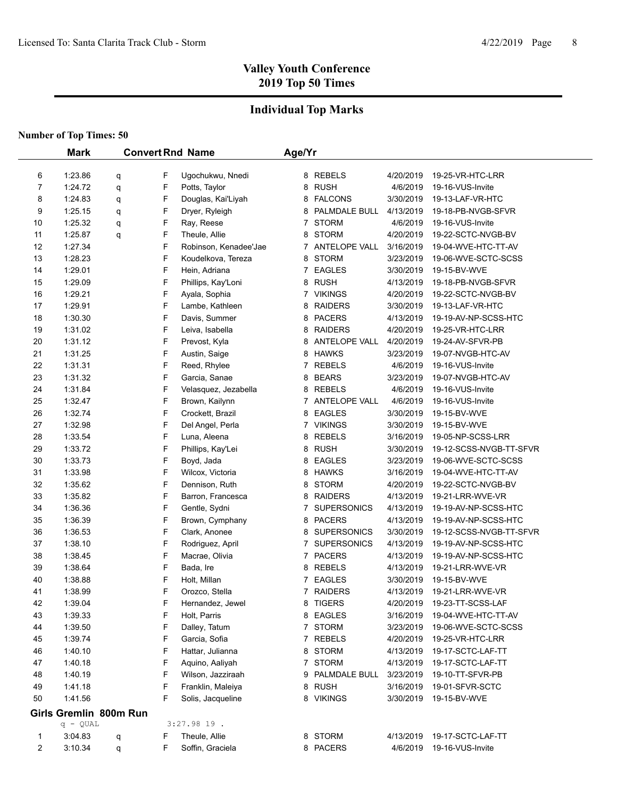## **Individual Top Marks**

|    | <b>Mark</b>               |   |   | <b>Convert Rnd Name</b> | Age/Yr |                      |           |                         |
|----|---------------------------|---|---|-------------------------|--------|----------------------|-----------|-------------------------|
|    |                           |   |   |                         |        |                      |           |                         |
|    | 6<br>1:23.86              | q | F | Ugochukwu, Nnedi        |        | 8 REBELS             | 4/20/2019 | 19-25-VR-HTC-LRR        |
|    | 7<br>1:24.72              | q | F | Potts, Taylor           | 8      | <b>RUSH</b>          | 4/6/2019  | 19-16-VUS-Invite        |
|    | 8<br>1:24.83              | q | F | Douglas, Kai'Liyah      | 8      | <b>FALCONS</b>       | 3/30/2019 | 19-13-LAF-VR-HTC        |
|    | 9<br>1:25.15              | q | F | Dryer, Ryleigh          | 8      | PALMDALE BULL        | 4/13/2019 | 19-18-PB-NVGB-SFVR      |
| 10 | 1:25.32                   | q | F | Ray, Reese              | 7      | <b>STORM</b>         | 4/6/2019  | 19-16-VUS-Invite        |
| 11 | 1:25.87                   | q | F | Theule, Allie           | 8      | <b>STORM</b>         | 4/20/2019 | 19-22-SCTC-NVGB-BV      |
| 12 | 1:27.34                   |   | F | Robinson, Kenadee'Jae   | 7      | <b>ANTELOPE VALL</b> | 3/16/2019 | 19-04-WVE-HTC-TT-AV     |
| 13 | 1:28.23                   |   | F | Koudelkova, Tereza      | 8      | <b>STORM</b>         | 3/23/2019 | 19-06-WVE-SCTC-SCSS     |
| 14 | 1:29.01                   |   | F | Hein, Adriana           | 7      | <b>EAGLES</b>        | 3/30/2019 | 19-15-BV-WVE            |
| 15 | 1:29.09                   |   | F | Phillips, Kay'Loni      | 8      | <b>RUSH</b>          | 4/13/2019 | 19-18-PB-NVGB-SFVR      |
| 16 | 1:29.21                   |   | F | Ayala, Sophia           | 7      | <b>VIKINGS</b>       | 4/20/2019 | 19-22-SCTC-NVGB-BV      |
| 17 | 1:29.91                   |   | F | Lambe, Kathleen         | 8      | <b>RAIDERS</b>       | 3/30/2019 | 19-13-LAF-VR-HTC        |
| 18 | 1:30.30                   |   | F | Davis, Summer           | 8      | <b>PACERS</b>        | 4/13/2019 | 19-19-AV-NP-SCSS-HTC    |
| 19 | 1:31.02                   |   | F | Leiva, Isabella         | 8      | <b>RAIDERS</b>       | 4/20/2019 | 19-25-VR-HTC-LRR        |
| 20 | 1:31.12                   |   | F | Prevost, Kyla           | 8      | <b>ANTELOPE VALL</b> | 4/20/2019 | 19-24-AV-SFVR-PB        |
| 21 | 1:31.25                   |   | F | Austin, Saige           | 8      | <b>HAWKS</b>         | 3/23/2019 | 19-07-NVGB-HTC-AV       |
| 22 | 1:31.31                   |   | F | Reed, Rhylee            | 7      | <b>REBELS</b>        | 4/6/2019  | 19-16-VUS-Invite        |
| 23 | 1:31.32                   |   | F | Garcia, Sanae           | 8      | <b>BEARS</b>         | 3/23/2019 | 19-07-NVGB-HTC-AV       |
| 24 | 1:31.84                   |   | F | Velasquez, Jezabella    | 8      | <b>REBELS</b>        | 4/6/2019  | 19-16-VUS-Invite        |
| 25 | 1:32.47                   |   | F | Brown, Kailynn          | 7      | ANTELOPE VALL        | 4/6/2019  | 19-16-VUS-Invite        |
| 26 | 1:32.74                   |   | F | Crockett, Brazil        | 8      | <b>EAGLES</b>        | 3/30/2019 | 19-15-BV-WVE            |
| 27 | 1:32.98                   |   | F | Del Angel, Perla        | 7      | <b>VIKINGS</b>       | 3/30/2019 | 19-15-BV-WVE            |
| 28 | 1:33.54                   |   | F | Luna, Aleena            | 8      | <b>REBELS</b>        | 3/16/2019 | 19-05-NP-SCSS-LRR       |
| 29 | 1:33.72                   |   | F | Phillips, Kay'Lei       | 8      | <b>RUSH</b>          | 3/30/2019 | 19-12-SCSS-NVGB-TT-SFVR |
| 30 | 1:33.73                   |   | F | Boyd, Jada              | 8      | <b>EAGLES</b>        | 3/23/2019 | 19-06-WVE-SCTC-SCSS     |
| 31 | 1:33.98                   |   | F | Wilcox, Victoria        | 8      | <b>HAWKS</b>         | 3/16/2019 | 19-04-WVE-HTC-TT-AV     |
| 32 | 1:35.62                   |   | F | Dennison, Ruth          | 8      | <b>STORM</b>         | 4/20/2019 | 19-22-SCTC-NVGB-BV      |
| 33 | 1:35.82                   |   | F | Barron, Francesca       | 8      | <b>RAIDERS</b>       | 4/13/2019 | 19-21-LRR-WVE-VR        |
| 34 | 1:36.36                   |   | F | Gentle, Sydni           | 7      | <b>SUPERSONICS</b>   | 4/13/2019 | 19-19-AV-NP-SCSS-HTC    |
| 35 | 1:36.39                   |   | F | Brown, Cymphany         | 8      | <b>PACERS</b>        | 4/13/2019 | 19-19-AV-NP-SCSS-HTC    |
| 36 | 1:36.53                   |   | F | Clark, Anonee           | 8      | <b>SUPERSONICS</b>   | 3/30/2019 | 19-12-SCSS-NVGB-TT-SFVR |
| 37 | 1:38.10                   |   | F | Rodriguez, April        | 7      | <b>SUPERSONICS</b>   | 4/13/2019 | 19-19-AV-NP-SCSS-HTC    |
| 38 | 1:38.45                   |   | F | Macrae, Olivia          |        | 7 PACERS             | 4/13/2019 | 19-19-AV-NP-SCSS-HTC    |
| 39 | 1:38.64                   |   | F | Bada, Ire               |        | 8 REBELS             | 4/13/2019 | 19-21-LRR-WVE-VR        |
| 40 | 1:38.88                   |   | F | Holt, Millan            | 7      | <b>EAGLES</b>        | 3/30/2019 | 19-15-BV-WVE            |
| 41 | 1:38.99                   |   | F | Orozco, Stella          |        | 7 RAIDERS            | 4/13/2019 | 19-21-LRR-WVE-VR        |
| 42 | 1:39.04                   |   | F | Hernandez, Jewel        | 8      | <b>TIGERS</b>        | 4/20/2019 | 19-23-TT-SCSS-LAF       |
| 43 | 1:39.33                   |   | F | Holt, Parris            |        | 8 EAGLES             | 3/16/2019 | 19-04-WVE-HTC-TT-AV     |
| 44 | 1:39.50                   |   | F | Dalley, Tatum           |        | 7 STORM              | 3/23/2019 | 19-06-WVE-SCTC-SCSS     |
| 45 | 1:39.74                   |   | F | Garcia, Sofia           |        | 7 REBELS             | 4/20/2019 | 19-25-VR-HTC-LRR        |
| 46 | 1:40.10                   |   | F | Hattar, Julianna        | 8      | <b>STORM</b>         | 4/13/2019 | 19-17-SCTC-LAF-TT       |
| 47 | 1:40.18                   |   | F | Aquino, Aaliyah         |        | 7 STORM              | 4/13/2019 | 19-17-SCTC-LAF-TT       |
| 48 | 1:40.19                   |   | F | Wilson, Jazziraah       | 9      | PALMDALE BULL        | 3/23/2019 | 19-10-TT-SFVR-PB        |
| 49 | 1.41.18                   |   | F | Franklin, Maleiya       | 8      | <b>RUSH</b>          | 3/16/2019 | 19-01-SFVR-SCTC         |
| 50 | 1:41.56                   |   | F | Solis, Jacqueline       |        | 8 VIKINGS            | 3/30/2019 | 19-15-BV-WVE            |
|    | Girls Gremlin 800m Run    |   |   |                         |        |                      |           |                         |
|    | $q - QUAL$                |   |   | $3:27.9819$ .           |        |                      |           |                         |
|    | 3:04.83<br>1              | q | F | Theule, Allie           |        | 8 STORM              | 4/13/2019 | 19-17-SCTC-LAF-TT       |
|    | $\overline{2}$<br>3:10.34 | q | F | Soffin, Graciela        |        | 8 PACERS             | 4/6/2019  | 19-16-VUS-Invite        |
|    |                           |   |   |                         |        |                      |           |                         |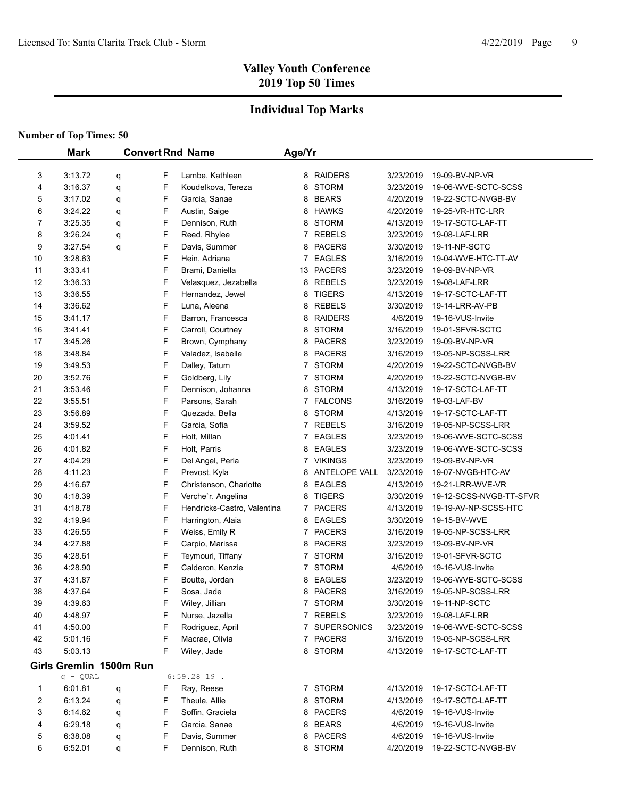## **Individual Top Marks**

|    | <b>Mark</b> |                         |   | <b>Convert Rnd Name</b>     | Age/Yr       |                |           |                         |
|----|-------------|-------------------------|---|-----------------------------|--------------|----------------|-----------|-------------------------|
|    |             |                         |   |                             |              |                |           |                         |
| 3  | 3:13.72     | q                       | F | Lambe, Kathleen             |              | 8 RAIDERS      | 3/23/2019 | 19-09-BV-NP-VR          |
| 4  | 3:16.37     | q                       | F | Koudelkova, Tereza          | 8            | <b>STORM</b>   | 3/23/2019 | 19-06-WVE-SCTC-SCSS     |
| 5  | 3:17.02     | q                       | F | Garcia, Sanae               | 8            | <b>BEARS</b>   | 4/20/2019 | 19-22-SCTC-NVGB-BV      |
| 6  | 3:24.22     | q                       | F | Austin, Saige               |              | 8 HAWKS        | 4/20/2019 | 19-25-VR-HTC-LRR        |
| 7  | 3:25.35     | q                       | F | Dennison, Ruth              | 8            | <b>STORM</b>   | 4/13/2019 | 19-17-SCTC-LAF-TT       |
| 8  | 3:26.24     | q                       | F | Reed, Rhylee                |              | 7 REBELS       | 3/23/2019 | 19-08-LAF-LRR           |
| 9  | 3:27.54     | q                       | F | Davis, Summer               | 8            | <b>PACERS</b>  | 3/30/2019 | 19-11-NP-SCTC           |
| 10 | 3:28.63     |                         | F | Hein, Adriana               | 7            | <b>EAGLES</b>  | 3/16/2019 | 19-04-WVE-HTC-TT-AV     |
| 11 | 3:33.41     |                         | F | Brami, Daniella             |              | 13 PACERS      | 3/23/2019 | 19-09-BV-NP-VR          |
| 12 | 3:36.33     |                         | F | Velasquez, Jezabella        |              | 8 REBELS       | 3/23/2019 | 19-08-LAF-LRR           |
| 13 | 3:36.55     |                         | F | Hernandez, Jewel            | 8            | <b>TIGERS</b>  | 4/13/2019 | 19-17-SCTC-LAF-TT       |
| 14 | 3:36.62     |                         | F | Luna, Aleena                | 8            | <b>REBELS</b>  | 3/30/2019 | 19-14-LRR-AV-PB         |
| 15 | 3:41.17     |                         | F | Barron, Francesca           | 8            | <b>RAIDERS</b> | 4/6/2019  | 19-16-VUS-Invite        |
| 16 | 3:41.41     |                         | F | Carroll, Courtney           | 8            | <b>STORM</b>   | 3/16/2019 | 19-01-SFVR-SCTC         |
| 17 | 3:45.26     |                         | F | Brown, Cymphany             | 8            | <b>PACERS</b>  | 3/23/2019 | 19-09-BV-NP-VR          |
| 18 | 3:48.84     |                         | F | Valadez, Isabelle           | 8            | <b>PACERS</b>  | 3/16/2019 | 19-05-NP-SCSS-LRR       |
| 19 | 3:49.53     |                         | F | Dalley, Tatum               | 7            | <b>STORM</b>   | 4/20/2019 | 19-22-SCTC-NVGB-BV      |
| 20 | 3:52.76     |                         | F | Goldberg, Lily              | 7            | <b>STORM</b>   | 4/20/2019 | 19-22-SCTC-NVGB-BV      |
| 21 | 3:53.46     |                         | F | Dennison, Johanna           | 8            | <b>STORM</b>   | 4/13/2019 | 19-17-SCTC-LAF-TT       |
| 22 | 3:55.51     |                         | F | Parsons, Sarah              | $\mathbf{7}$ | <b>FALCONS</b> | 3/16/2019 | 19-03-LAF-BV            |
| 23 | 3:56.89     |                         | F | Quezada, Bella              | 8            | <b>STORM</b>   | 4/13/2019 | 19-17-SCTC-LAF-TT       |
| 24 | 3:59.52     |                         | F | Garcia, Sofia               | 7            | <b>REBELS</b>  | 3/16/2019 | 19-05-NP-SCSS-LRR       |
| 25 | 4:01.41     |                         | F | Holt, Millan                | 7            | <b>EAGLES</b>  | 3/23/2019 | 19-06-WVE-SCTC-SCSS     |
| 26 | 4:01.82     |                         | F | Holt, Parris                | 8            | EAGLES         | 3/23/2019 | 19-06-WVE-SCTC-SCSS     |
| 27 | 4:04.29     |                         | F | Del Angel, Perla            |              | 7 VIKINGS      | 3/23/2019 | 19-09-BV-NP-VR          |
| 28 | 4:11.23     |                         | F | Prevost, Kyla               | 8            | ANTELOPE VALL  | 3/23/2019 | 19-07-NVGB-HTC-AV       |
| 29 | 4:16.67     |                         | F | Christenson, Charlotte      | 8            | EAGLES         | 4/13/2019 | 19-21-LRR-WVE-VR        |
| 30 | 4:18.39     |                         | F | Verche'r, Angelina          | 8            | <b>TIGERS</b>  | 3/30/2019 | 19-12-SCSS-NVGB-TT-SFVR |
| 31 | 4:18.78     |                         | F | Hendricks-Castro, Valentina | $\mathbf{7}$ | <b>PACERS</b>  | 4/13/2019 | 19-19-AV-NP-SCSS-HTC    |
| 32 | 4:19.94     |                         | F | Harrington, Alaia           | 8            | <b>EAGLES</b>  | 3/30/2019 | 19-15-BV-WVE            |
| 33 | 4:26.55     |                         | F | Weiss, Emily R              | 7            | <b>PACERS</b>  | 3/16/2019 | 19-05-NP-SCSS-LRR       |
| 34 | 4:27.88     |                         | F | Carpio, Marissa             |              | 8 PACERS       | 3/23/2019 | 19-09-BV-NP-VR          |
| 35 | 4:28.61     |                         | F | Teymouri, Tiffany           |              | 7 STORM        | 3/16/2019 | 19-01-SFVR-SCTC         |
| 36 | 4:28.90     |                         | F | Calderon, Kenzie            |              | 7 STORM        | 4/6/2019  | 19-16-VUS-Invite        |
| 37 | 4:31.87     |                         | F | Boutte, Jordan              |              | 8 EAGLES       | 3/23/2019 | 19-06-WVE-SCTC-SCSS     |
| 38 | 4:37.64     |                         | F | Sosa, Jade                  |              | 8 PACERS       | 3/16/2019 | 19-05-NP-SCSS-LRR       |
| 39 | 4:39.63     |                         | F | Wiley, Jillian              |              | 7 STORM        | 3/30/2019 | 19-11-NP-SCTC           |
| 40 | 4:48.97     |                         | F | Nurse, Jazella              |              | 7 REBELS       | 3/23/2019 | 19-08-LAF-LRR           |
| 41 | 4:50.00     |                         | F | Rodriguez, April            |              | 7 SUPERSONICS  | 3/23/2019 | 19-06-WVE-SCTC-SCSS     |
| 42 | 5:01.16     |                         | F | Macrae, Olivia              |              | 7 PACERS       | 3/16/2019 | 19-05-NP-SCSS-LRR       |
| 43 | 5:03.13     |                         | F | Wiley, Jade                 |              | 8 STORM        | 4/13/2019 | 19-17-SCTC-LAF-TT       |
|    |             | Girls Gremlin 1500m Run |   |                             |              |                |           |                         |
|    | $q - QUAL$  |                         |   | $6:59.2819$ .               |              |                |           |                         |
| 1  | 6:01.81     | q                       | F | Ray, Reese                  |              | 7 STORM        | 4/13/2019 | 19-17-SCTC-LAF-TT       |
| 2  | 6:13.24     | q                       | F | Theule, Allie               |              | 8 STORM        | 4/13/2019 | 19-17-SCTC-LAF-TT       |
| 3  | 6:14.62     | q                       | F | Soffin, Graciela            |              | 8 PACERS       | 4/6/2019  | 19-16-VUS-Invite        |
| 4  | 6:29.18     | q                       | F | Garcia, Sanae               |              | 8 BEARS        | 4/6/2019  | 19-16-VUS-Invite        |
| 5  | 6:38.08     | q                       | F | Davis, Summer               |              | 8 PACERS       | 4/6/2019  | 19-16-VUS-Invite        |
| 6  | 6:52.01     | q                       | F | Dennison, Ruth              |              | 8 STORM        | 4/20/2019 | 19-22-SCTC-NVGB-BV      |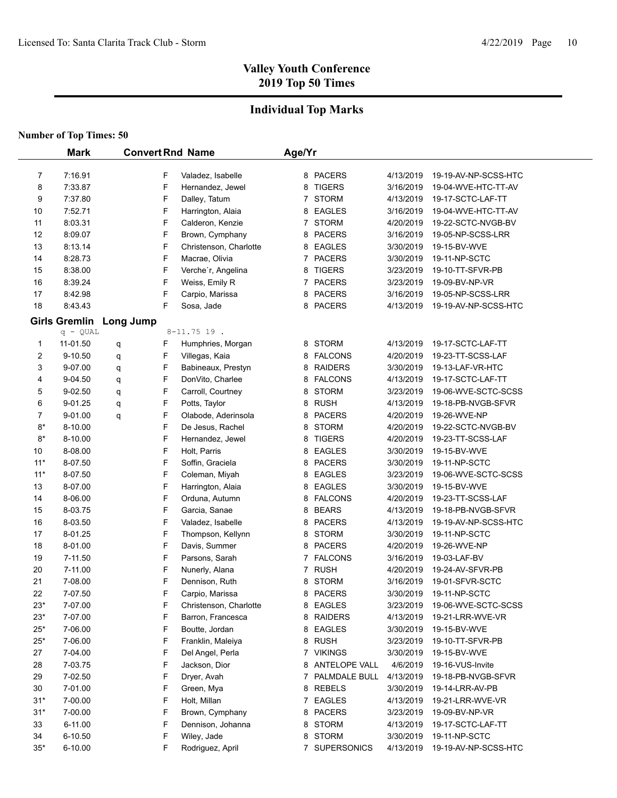## **Individual Top Marks**

|                | <b>Mark</b>          | <b>Convert Rnd Name</b> |                                      | Age/Yr |                                |                        |                                    |
|----------------|----------------------|-------------------------|--------------------------------------|--------|--------------------------------|------------------------|------------------------------------|
|                |                      |                         |                                      |        |                                |                        |                                    |
| 7              | 7:16.91              | F<br>F                  | Valadez, Isabelle                    |        | 8 PACERS                       | 4/13/2019<br>3/16/2019 | 19-19-AV-NP-SCSS-HTC               |
| 8              | 7:33.87<br>7:37.80   |                         | Hernandez, Jewel                     | 8      | <b>TIGERS</b>                  |                        | 19-04-WVE-HTC-TT-AV                |
| 9              |                      | F<br>F                  | Dalley, Tatum                        | 7      | <b>STORM</b>                   | 4/13/2019              | 19-17-SCTC-LAF-TT                  |
| 10             | 7:52.71              | F                       | Harrington, Alaia                    | 8      | <b>EAGLES</b>                  | 3/16/2019              | 19-04-WVE-HTC-TT-AV                |
| 11             | 8:03.31              | F                       | Calderon, Kenzie                     | 7.     | STORM                          | 4/20/2019              | 19-22-SCTC-NVGB-BV                 |
| 12             | 8:09.07              | F                       | Brown, Cymphany                      |        | 8 PACERS                       | 3/16/2019              | 19-05-NP-SCSS-LRR                  |
| 13<br>14       | 8:13.14<br>8:28.73   | F                       | Christenson, Charlotte               |        | 8 EAGLES<br><b>PACERS</b>      | 3/30/2019<br>3/30/2019 | 19-15-BV-WVE<br>19-11-NP-SCTC      |
|                |                      | F                       | Macrae, Olivia<br>Verche'r, Angelina | 7.     |                                |                        |                                    |
| 15<br>16       | 8:38.00<br>8:39.24   | F                       | Weiss, Emily R                       | 8<br>7 | <b>TIGERS</b><br><b>PACERS</b> | 3/23/2019<br>3/23/2019 | 19-10-TT-SFVR-PB<br>19-09-BV-NP-VR |
| 17             | 8:42.98              | F                       | Carpio, Marissa                      | 8      | <b>PACERS</b>                  | 3/16/2019              | 19-05-NP-SCSS-LRR                  |
| 18             | 8:43.43              | F                       | Sosa, Jade                           | 8      | <b>PACERS</b>                  | 4/13/2019              | 19-19-AV-NP-SCSS-HTC               |
|                |                      |                         |                                      |        |                                |                        |                                    |
|                | <b>Girls Gremlin</b> | Long Jump               |                                      |        |                                |                        |                                    |
|                | $q - QUAL$           |                         | $8 - 11.75$ 19.                      |        |                                |                        |                                    |
| 1              | 11-01.50             | F<br>q                  | Humphries, Morgan                    |        | 8 STORM                        | 4/13/2019              | 19-17-SCTC-LAF-TT                  |
| 2              | 9-10.50              | F<br>q                  | Villegas, Kaia                       |        | 8 FALCONS                      | 4/20/2019              | 19-23-TT-SCSS-LAF                  |
| 3              | 9-07.00              | F<br>q                  | Babineaux, Prestyn                   | 8      | <b>RAIDERS</b>                 | 3/30/2019              | 19-13-LAF-VR-HTC                   |
| 4              | 9-04.50              | F<br>q                  | DonVito, Charlee                     | 8      | <b>FALCONS</b>                 | 4/13/2019              | 19-17-SCTC-LAF-TT                  |
| 5              | 9-02.50              | F<br>q                  | Carroll, Courtney                    | 8      | <b>STORM</b>                   | 3/23/2019              | 19-06-WVE-SCTC-SCSS                |
| 6              | 9-01.25              | F<br>q                  | Potts, Taylor                        | 8      | <b>RUSH</b>                    | 4/13/2019              | 19-18-PB-NVGB-SFVR                 |
| $\overline{7}$ | 9-01.00              | F<br>q                  | Olabode, Aderinsola                  | 8      | <b>PACERS</b>                  | 4/20/2019              | 19-26-WVE-NP                       |
| $8*$           | 8-10.00              | F                       | De Jesus, Rachel                     | 8      | <b>STORM</b>                   | 4/20/2019              | 19-22-SCTC-NVGB-BV                 |
| $8*$           | 8-10.00              | F                       | Hernandez, Jewel                     | 8      | <b>TIGERS</b>                  | 4/20/2019              | 19-23-TT-SCSS-LAF                  |
| 10             | 8-08.00              | F                       | Holt, Parris                         | 8      | EAGLES                         | 3/30/2019              | 19-15-BV-WVE                       |
| $11*$          | 8-07.50              | F                       | Soffin, Graciela                     | 8      | <b>PACERS</b>                  | 3/30/2019              | 19-11-NP-SCTC                      |
| $11*$          | 8-07.50              | F                       | Coleman, Miyah                       | 8      | <b>EAGLES</b>                  | 3/23/2019              | 19-06-WVE-SCTC-SCSS                |
| 13             | 8-07.00              | F                       | Harrington, Alaia                    | 8      | EAGLES                         | 3/30/2019              | 19-15-BV-WVE                       |
| 14             | 8-06.00              | F                       | Orduna, Autumn                       | 8      | <b>FALCONS</b>                 | 4/20/2019              | 19-23-TT-SCSS-LAF                  |
| 15             | 8-03.75              | F                       | Garcia, Sanae                        | 8      | <b>BEARS</b>                   | 4/13/2019              | 19-18-PB-NVGB-SFVR                 |
| 16             | 8-03.50              | F                       | Valadez, Isabelle                    | 8      | <b>PACERS</b>                  | 4/13/2019              | 19-19-AV-NP-SCSS-HTC               |
| 17             | 8-01.25              | F                       | Thompson, Kellynn                    | 8      | <b>STORM</b>                   | 3/30/2019              | 19-11-NP-SCTC                      |
| 18             | 8-01.00              | F                       | Davis, Summer                        | 8      | <b>PACERS</b>                  | 4/20/2019              | 19-26-WVE-NP                       |
| 19             | 7-11.50              | F                       | Parsons, Sarah                       |        | 7 FALCONS                      | 3/16/2019              | 19-03-LAF-BV                       |
| 20             | 7-11.00              | F                       | Nunerly, Alana                       | 7      | <b>RUSH</b>                    | 4/20/2019              | 19-24-AV-SFVR-PB                   |
| 21             | 7-08.00              | F                       | Dennison, Ruth                       | 8      | <b>STORM</b>                   | 3/16/2019              | 19-01-SFVR-SCTC                    |
| 22             | 7-07.50              | F                       | Carpio, Marissa                      |        | 8 PACERS                       | 3/30/2019<br>3/23/2019 | 19-11-NP-SCTC                      |
| 23*            | 7-07.00              | F                       | Christenson, Charlotte               |        | 8 EAGLES                       |                        | 19-06-WVE-SCTC-SCSS                |
| $23*$          | 7-07.00              | F                       | Barron, Francesca                    |        | 8 RAIDERS<br>8 EAGLES          | 4/13/2019              | 19-21-LRR-WVE-VR                   |
| $25*$          | 7-06.00              | F                       | Boutte, Jordan                       |        |                                | 3/30/2019              | 19-15-BV-WVE                       |
| $25*$          | 7-06.00              | F                       | Franklin, Maleiya                    |        | 8 RUSH                         | 3/23/2019              | 19-10-TT-SFVR-PB                   |
| 27             | 7-04.00              | F                       | Del Angel, Perla                     |        | 7 VIKINGS                      | 3/30/2019              | 19-15-BV-WVE                       |
| 28             | 7-03.75              | F                       | Jackson, Dior                        |        | 8 ANTELOPE VALL                | 4/6/2019               | 19-16-VUS-Invite                   |
| 29             | 7-02.50              | F                       | Dryer, Avah                          |        | 7 PALMDALE BULL                | 4/13/2019              | 19-18-PB-NVGB-SFVR                 |
| 30             | 7-01.00              | F                       | Green, Mya                           |        | 8 REBELS                       | 3/30/2019              | 19-14-LRR-AV-PB                    |
| $31*$          | 7-00.00              | F                       | Holt, Millan                         |        | 7 EAGLES                       | 4/13/2019              | 19-21-LRR-WVE-VR                   |
| $31*$          | 7-00.00              | F                       | Brown, Cymphany                      |        | 8 PACERS                       | 3/23/2019              | 19-09-BV-NP-VR                     |
| 33             | 6-11.00              | F                       | Dennison, Johanna                    |        | 8 STORM                        | 4/13/2019              | 19-17-SCTC-LAF-TT                  |
| 34             | 6-10.50              | F                       | Wiley, Jade                          | 8      | STORM                          | 3/30/2019              | 19-11-NP-SCTC                      |
| $35*$          | 6-10.00              | F                       | Rodriguez, April                     |        | 7 SUPERSONICS                  | 4/13/2019              | 19-19-AV-NP-SCSS-HTC               |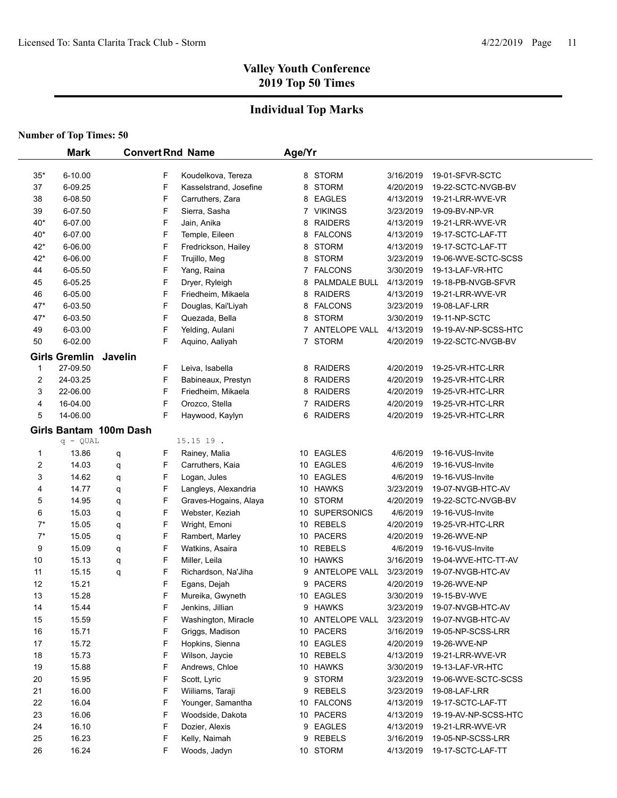## **Individual Top Marks**

|       | <b>Mark</b>            |         |   | <b>Convert Rnd Name</b> | Age/Yr |                      |           |                      |
|-------|------------------------|---------|---|-------------------------|--------|----------------------|-----------|----------------------|
|       |                        |         |   |                         |        |                      |           |                      |
| $35*$ | 6-10.00                |         | F | Koudelkova, Tereza      |        | 8 STORM              | 3/16/2019 | 19-01-SFVR-SCTC      |
| 37    | 6-09.25                |         | F | Kasselstrand, Josefine  |        | 8 STORM              | 4/20/2019 | 19-22-SCTC-NVGB-BV   |
| 38    | 6-08.50                |         | F | Carruthers, Zara        |        | 8 EAGLES             | 4/13/2019 | 19-21-LRR-WVE-VR     |
| 39    | 6-07.50                |         | F | Sierra, Sasha           |        | 7 VIKINGS            | 3/23/2019 | 19-09-BV-NP-VR       |
| 40*   | 6-07.00                |         | F | Jain, Anika             |        | 8 RAIDERS            | 4/13/2019 | 19-21-LRR-WVE-VR     |
| $40*$ | 6-07.00                |         | F | Temple, Eileen          |        | 8 FALCONS            | 4/13/2019 | 19-17-SCTC-LAF-TT    |
| $42*$ | 6-06.00                |         | F | Fredrickson, Hailey     |        | 8 STORM              | 4/13/2019 | 19-17-SCTC-LAF-TT    |
| $42*$ | 6-06.00                |         | F | Trujillo, Meg           |        | 8 STORM              | 3/23/2019 | 19-06-WVE-SCTC-SCSS  |
| 44    | 6-05.50                |         | F | Yang, Raina             |        | 7 FALCONS            | 3/30/2019 | 19-13-LAF-VR-HTC     |
| 45    | 6-05.25                |         | F | Dryer, Ryleigh          | 8      | PALMDALE BULL        | 4/13/2019 | 19-18-PB-NVGB-SFVR   |
| 46    | 6-05.00                |         | F | Friedheim, Mikaela      | 8      | <b>RAIDERS</b>       | 4/13/2019 | 19-21-LRR-WVE-VR     |
| $47*$ | 6-03.50                |         | F | Douglas, Kai'Liyah      |        | 8 FALCONS            | 3/23/2019 | 19-08-LAF-LRR        |
| $47*$ | 6-03.50                |         | F | Quezada, Bella          |        | 8 STORM              | 3/30/2019 | 19-11-NP-SCTC        |
| 49    | 6-03.00                |         | F | Yelding, Aulani         |        | 7 ANTELOPE VALL      | 4/13/2019 | 19-19-AV-NP-SCSS-HTC |
| 50    | 6-02.00                |         | F | Aquino, Aaliyah         |        | 7 STORM              | 4/20/2019 | 19-22-SCTC-NVGB-BV   |
|       | <b>Girls Gremlin</b>   | Javelin |   |                         |        |                      |           |                      |
| 1     | 27-09.50               |         | F | Leiva, Isabella         |        | 8 RAIDERS            | 4/20/2019 | 19-25-VR-HTC-LRR     |
| 2     | 24-03.25               |         | F | Babineaux, Prestyn      |        | 8 RAIDERS            | 4/20/2019 | 19-25-VR-HTC-LRR     |
| 3     | 22-06.00               |         | F | Friedheim, Mikaela      |        | 8 RAIDERS            | 4/20/2019 | 19-25-VR-HTC-LRR     |
| 4     | 16-04.00               |         | F | Orozco, Stella          |        | 7 RAIDERS            | 4/20/2019 | 19-25-VR-HTC-LRR     |
| 5     | 14-06.00               |         | F | Haywood, Kaylyn         | 6      | <b>RAIDERS</b>       | 4/20/2019 | 19-25-VR-HTC-LRR     |
|       | Girls Bantam 100m Dash |         |   |                         |        |                      |           |                      |
|       | q - QUAL               |         |   | 15.15 19.               |        |                      |           |                      |
| 1     | 13.86                  | q       | F | Rainey, Malia           |        | 10 EAGLES            | 4/6/2019  | 19-16-VUS-Invite     |
| 2     | 14.03                  | q       | F | Carruthers, Kaia        |        | 10 EAGLES            | 4/6/2019  | 19-16-VUS-Invite     |
| 3     | 14.62                  | q       | F | Logan, Jules            | 10     | EAGLES               | 4/6/2019  | 19-16-VUS-Invite     |
| 4     | 14.77                  | q       | F | Langleys, Alexandria    | 10     | HAWKS                | 3/23/2019 | 19-07-NVGB-HTC-AV    |
| 5     | 14.95                  | q       | F | Graves-Hogains, Alaya   | 10     | <b>STORM</b>         | 4/20/2019 | 19-22-SCTC-NVGB-BV   |
| 6     | 15.03                  | q       | F | Webster, Keziah         | 10     | <b>SUPERSONICS</b>   | 4/6/2019  | 19-16-VUS-Invite     |
| $7^*$ | 15.05                  | q       | F | Wright, Emoni           | 10     | <b>REBELS</b>        | 4/20/2019 | 19-25-VR-HTC-LRR     |
| $7^*$ | 15.05                  | q       | F | Rambert, Marley         | 10     | <b>PACERS</b>        | 4/20/2019 | 19-26-WVE-NP         |
| 9     | 15.09                  | q       | F | Watkins, Asaira         | 10     | <b>REBELS</b>        | 4/6/2019  | 19-16-VUS-Invite     |
| 10    | 15.13                  | q       | F | Miller, Leila           | 10     | <b>HAWKS</b>         | 3/16/2019 | 19-04-WVE-HTC-TT-AV  |
| 11    | 15.15                  | q       | F | Richardson, Na'Jiha     | 9      | <b>ANTELOPE VALL</b> | 3/23/2019 | 19-07-NVGB-HTC-AV    |
| 12    | 15.21                  |         | F | Egans, Dejah            | 9      | <b>PACERS</b>        | 4/20/2019 | 19-26-WVE-NP         |
| 13    | 15.28                  |         | F | Mureika, Gwyneth        |        | 10 EAGLES            | 3/30/2019 | 19-15-BV-WVE         |
| 14    | 15.44                  |         | F | Jenkins, Jillian        |        | 9 HAWKS              | 3/23/2019 | 19-07-NVGB-HTC-AV    |
| 15    | 15.59                  |         | F | Washington, Miracle     |        | 10 ANTELOPE VALL     | 3/23/2019 | 19-07-NVGB-HTC-AV    |
| 16    | 15.71                  |         | F | Griggs, Madison         |        | 10 PACERS            | 3/16/2019 | 19-05-NP-SCSS-LRR    |
| 17    | 15.72                  |         | F | Hopkins, Sienna         |        | 10 EAGLES            | 4/20/2019 | 19-26-WVE-NP         |
| 18    | 15.73                  |         | F | Wilson, Jaycie          |        | 10 REBELS            | 4/13/2019 | 19-21-LRR-WVE-VR     |
| 19    | 15.88                  |         | F | Andrews, Chloe          |        | 10 HAWKS             | 3/30/2019 | 19-13-LAF-VR-HTC     |
| 20    | 15.95                  |         | F | Scott, Lyric            |        | 9 STORM              | 3/23/2019 | 19-06-WVE-SCTC-SCSS  |
| 21    | 16.00                  |         | F | Wiiliams, Taraji        | 9      | <b>REBELS</b>        | 3/23/2019 | 19-08-LAF-LRR        |
| 22    | 16.04                  |         | F | Younger, Samantha       | 10     | <b>FALCONS</b>       | 4/13/2019 | 19-17-SCTC-LAF-TT    |
| 23    | 16.06                  |         | F | Woodside, Dakota        | 10     | <b>PACERS</b>        | 4/13/2019 | 19-19-AV-NP-SCSS-HTC |
| 24    | 16.10                  |         | F | Dozier, Alexis          | 9      | <b>EAGLES</b>        | 4/13/2019 | 19-21-LRR-WVE-VR     |
| 25    | 16.23                  |         | F | Kelly, Naimah           | 9      | <b>REBELS</b>        | 3/16/2019 | 19-05-NP-SCSS-LRR    |
| 26    | 16.24                  |         | F | Woods, Jadyn            |        | 10 STORM             | 4/13/2019 | 19-17-SCTC-LAF-TT    |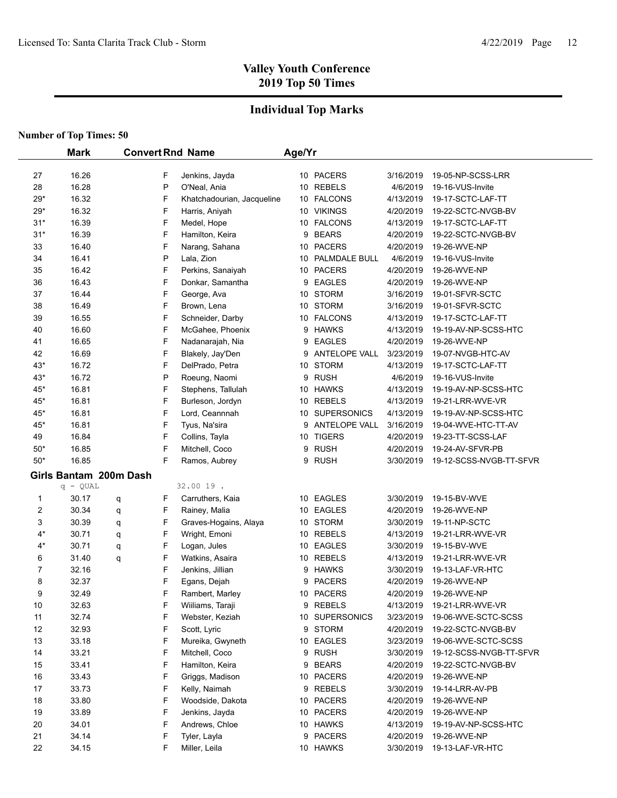## **Individual Top Marks**

|       | <b>Mark</b><br><b>Convert Rnd Name</b> |   |   | Age/Yr                     |   |                  |           |                         |
|-------|----------------------------------------|---|---|----------------------------|---|------------------|-----------|-------------------------|
| 27    | 16.26                                  |   | F | Jenkins, Jayda             |   | 10 PACERS        | 3/16/2019 | 19-05-NP-SCSS-LRR       |
| 28    | 16.28                                  |   | P | O'Neal, Ania               |   | 10 REBELS        | 4/6/2019  | 19-16-VUS-Invite        |
| $29*$ | 16.32                                  |   | F | Khatchadourian, Jacqueline |   | 10 FALCONS       | 4/13/2019 | 19-17-SCTC-LAF-TT       |
| $29*$ | 16.32                                  |   | F | Harris, Aniyah             |   | 10 VIKINGS       | 4/20/2019 | 19-22-SCTC-NVGB-BV      |
| $31*$ | 16.39                                  |   | F | Medel, Hope                |   | 10 FALCONS       | 4/13/2019 | 19-17-SCTC-LAF-TT       |
| $31*$ | 16.39                                  |   | F | Hamilton, Keira            |   | 9 BEARS          | 4/20/2019 | 19-22-SCTC-NVGB-BV      |
| 33    | 16.40                                  |   | F | Narang, Sahana             |   | 10 PACERS        | 4/20/2019 | 19-26-WVE-NP            |
| 34    | 16.41                                  |   | P | Lala, Zion                 |   | 10 PALMDALE BULL | 4/6/2019  | 19-16-VUS-Invite        |
| 35    | 16.42                                  |   | F | Perkins, Sanaiyah          |   | 10 PACERS        | 4/20/2019 | 19-26-WVE-NP            |
| 36    | 16.43                                  |   | F | Donkar, Samantha           |   | 9 EAGLES         | 4/20/2019 | 19-26-WVE-NP            |
| 37    | 16.44                                  |   | F | George, Ava                |   | 10 STORM         | 3/16/2019 | 19-01-SFVR-SCTC         |
| 38    | 16.49                                  |   | F | Brown, Lena                |   | 10 STORM         | 3/16/2019 | 19-01-SFVR-SCTC         |
| 39    | 16.55                                  |   | F | Schneider, Darby           |   | 10 FALCONS       | 4/13/2019 | 19-17-SCTC-LAF-TT       |
| 40    | 16.60                                  |   | F | McGahee, Phoenix           |   | 9 HAWKS          | 4/13/2019 | 19-19-AV-NP-SCSS-HTC    |
| 41    | 16.65                                  |   | F | Nadanarajah, Nia           | 9 | <b>EAGLES</b>    | 4/20/2019 | 19-26-WVE-NP            |
| 42    | 16.69                                  |   | F | Blakely, Jay'Den           | 9 | ANTELOPE VALL    | 3/23/2019 | 19-07-NVGB-HTC-AV       |
| $43*$ | 16.72                                  |   | F | DelPrado, Petra            |   | 10 STORM         | 4/13/2019 | 19-17-SCTC-LAF-TT       |
| $43*$ | 16.72                                  |   | P | Roeung, Naomi              | 9 | <b>RUSH</b>      | 4/6/2019  | 19-16-VUS-Invite        |
| $45*$ | 16.81                                  |   | F | Stephens, Tallulah         |   | 10 HAWKS         | 4/13/2019 | 19-19-AV-NP-SCSS-HTC    |
| 45*   | 16.81                                  |   | F | Burleson, Jordyn           |   | 10 REBELS        | 4/13/2019 | 19-21-LRR-WVE-VR        |
| 45*   | 16.81                                  |   | F | Lord, Ceannnah             |   | 10 SUPERSONICS   | 4/13/2019 | 19-19-AV-NP-SCSS-HTC    |
| 45*   | 16.81                                  |   | F | Tyus, Na'sira              |   | 9 ANTELOPE VALL  | 3/16/2019 | 19-04-WVE-HTC-TT-AV     |
| 49    | 16.84                                  |   | F | Collins, Tayla             |   | 10 TIGERS        | 4/20/2019 | 19-23-TT-SCSS-LAF       |
| $50*$ | 16.85                                  |   | F | Mitchell, Coco             | 9 | <b>RUSH</b>      | 4/20/2019 | 19-24-AV-SFVR-PB        |
| $50*$ | 16.85                                  |   | F | Ramos, Aubrey              | 9 | <b>RUSH</b>      | 3/30/2019 | 19-12-SCSS-NVGB-TT-SFVR |
|       | Girls Bantam 200m Dash                 |   |   |                            |   |                  |           |                         |
|       | $q - QUAL$                             |   |   | 32.00 19.                  |   |                  |           |                         |
| 1     | 30.17                                  | q | F | Carruthers, Kaia           |   | 10 EAGLES        | 3/30/2019 | 19-15-BV-WVE            |
| 2     | 30.34                                  | q | F | Rainey, Malia              |   | 10 EAGLES        | 4/20/2019 | 19-26-WVE-NP            |
| 3     | 30.39                                  | q | F | Graves-Hogains, Alaya      |   | 10 STORM         | 3/30/2019 | 19-11-NP-SCTC           |
| $4*$  | 30.71                                  | q | F | Wright, Emoni              |   | 10 REBELS        | 4/13/2019 | 19-21-LRR-WVE-VR        |
| $4*$  | 30.71                                  | q | F | Logan, Jules               |   | 10 EAGLES        | 3/30/2019 | 19-15-BV-WVE            |
| 6     | 31.40                                  | q | F | Watkins, Asaira            |   | 10 REBELS        | 4/13/2019 | 19-21-LRR-WVE-VR        |
| 7     | 32.16                                  |   | F | Jenkins, Jillian           |   | 9 HAWKS          | 3/30/2019 | 19-13-LAF-VR-HTC        |
| 8     | 32.37                                  |   | F | Egans, Dejah               | 9 | <b>PACERS</b>    | 4/20/2019 | 19-26-WVE-NP            |
| 9     | 32.49                                  |   | F | Rambert, Marley            |   | 10 PACERS        | 4/20/2019 | 19-26-WVE-NP            |
| 10    | 32.63                                  |   | F | Wiiliams, Taraji           |   | 9 REBELS         | 4/13/2019 | 19-21-LRR-WVE-VR        |
| 11    | 32.74                                  |   | F | Webster, Keziah            |   | 10 SUPERSONICS   | 3/23/2019 | 19-06-WVE-SCTC-SCSS     |
| 12    | 32.93                                  |   | F | Scott, Lyric               |   | 9 STORM          | 4/20/2019 | 19-22-SCTC-NVGB-BV      |
| 13    | 33.18                                  |   | F | Mureika, Gwyneth           |   | 10 EAGLES        | 3/23/2019 | 19-06-WVE-SCTC-SCSS     |
| 14    | 33.21                                  |   | F | Mitchell, Coco             | 9 | <b>RUSH</b>      | 3/30/2019 | 19-12-SCSS-NVGB-TT-SFVR |
| 15    | 33.41                                  |   | F | Hamilton, Keira            | 9 | <b>BEARS</b>     | 4/20/2019 | 19-22-SCTC-NVGB-BV      |
| 16    | 33.43                                  |   | F | Griggs, Madison            |   | 10 PACERS        | 4/20/2019 | 19-26-WVE-NP            |
| 17    | 33.73                                  |   | F | Kelly, Naimah              |   | 9 REBELS         | 3/30/2019 | 19-14-LRR-AV-PB         |
| 18    | 33.80                                  |   | F | Woodside, Dakota           |   | 10 PACERS        | 4/20/2019 | 19-26-WVE-NP            |
| 19    | 33.89                                  |   | F | Jenkins, Jayda             |   | 10 PACERS        | 4/20/2019 | 19-26-WVE-NP            |
| 20    | 34.01                                  |   | F | Andrews, Chloe             |   | 10 HAWKS         | 4/13/2019 | 19-19-AV-NP-SCSS-HTC    |
| 21    | 34.14                                  |   | F | Tyler, Layla               |   | 9 PACERS         | 4/20/2019 | 19-26-WVE-NP            |
| 22    | 34.15                                  |   | F | Miller, Leila              |   | 10 HAWKS         | 3/30/2019 | 19-13-LAF-VR-HTC        |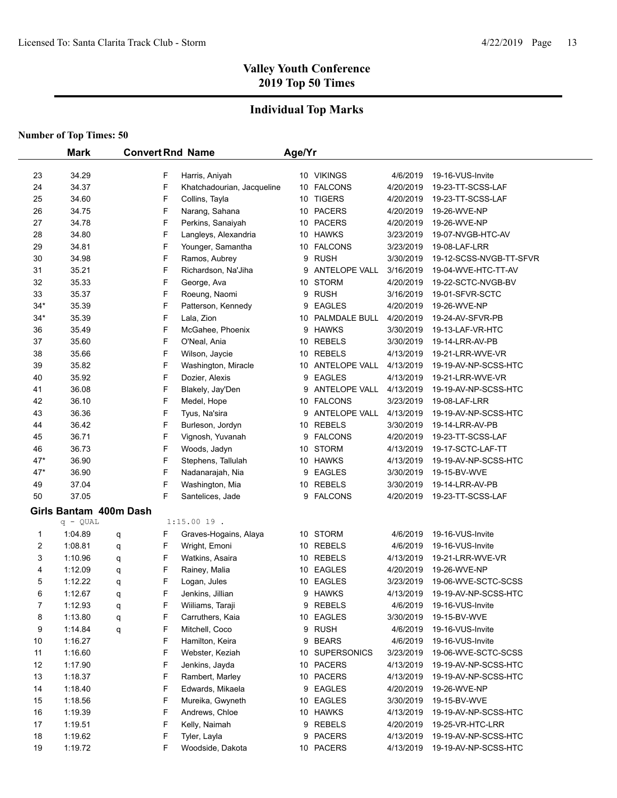## **Individual Top Marks**

|       | <b>Mark</b>            |   |   | <b>Convert Rnd Name</b>    | Age/Yr |                  |           |                         |  |
|-------|------------------------|---|---|----------------------------|--------|------------------|-----------|-------------------------|--|
|       |                        |   |   |                            |        |                  |           |                         |  |
| 23    | 34.29                  |   | F | Harris, Aniyah             |        | 10 VIKINGS       | 4/6/2019  | 19-16-VUS-Invite        |  |
| 24    | 34.37                  |   | F | Khatchadourian, Jacqueline |        | 10 FALCONS       | 4/20/2019 | 19-23-TT-SCSS-LAF       |  |
| 25    | 34.60                  |   | F | Collins, Tayla             |        | 10 TIGERS        | 4/20/2019 | 19-23-TT-SCSS-LAF       |  |
| 26    | 34.75                  |   | F | Narang, Sahana             |        | 10 PACERS        | 4/20/2019 | 19-26-WVE-NP            |  |
| 27    | 34.78                  |   | F | Perkins, Sanaiyah          |        | 10 PACERS        | 4/20/2019 | 19-26-WVE-NP            |  |
| 28    | 34.80                  |   | F | Langleys, Alexandria       |        | 10 HAWKS         | 3/23/2019 | 19-07-NVGB-HTC-AV       |  |
| 29    | 34.81                  |   | F | Younger, Samantha          |        | 10 FALCONS       | 3/23/2019 | 19-08-LAF-LRR           |  |
| 30    | 34.98                  |   | F | Ramos, Aubrey              |        | 9 RUSH           | 3/30/2019 | 19-12-SCSS-NVGB-TT-SFVR |  |
| 31    | 35.21                  |   | F | Richardson, Na'Jiha        |        | 9 ANTELOPE VALL  | 3/16/2019 | 19-04-WVE-HTC-TT-AV     |  |
| 32    | 35.33                  |   | F | George, Ava                |        | 10 STORM         | 4/20/2019 | 19-22-SCTC-NVGB-BV      |  |
| 33    | 35.37                  |   | F | Roeung, Naomi              |        | 9 RUSH           | 3/16/2019 | 19-01-SFVR-SCTC         |  |
| $34*$ | 35.39                  |   | F | Patterson, Kennedy         |        | 9 EAGLES         | 4/20/2019 | 19-26-WVE-NP            |  |
| $34*$ | 35.39                  |   | F | Lala, Zion                 |        | 10 PALMDALE BULL | 4/20/2019 | 19-24-AV-SFVR-PB        |  |
| 36    | 35.49                  |   | F | McGahee, Phoenix           |        | 9 HAWKS          | 3/30/2019 | 19-13-LAF-VR-HTC        |  |
| 37    | 35.60                  |   | F | O'Neal, Ania               |        | 10 REBELS        | 3/30/2019 | 19-14-LRR-AV-PB         |  |
| 38    | 35.66                  |   | F | Wilson, Jaycie             |        | 10 REBELS        | 4/13/2019 | 19-21-LRR-WVE-VR        |  |
| 39    | 35.82                  |   | F | Washington, Miracle        |        | 10 ANTELOPE VALL | 4/13/2019 | 19-19-AV-NP-SCSS-HTC    |  |
| 40    | 35.92                  |   | F | Dozier, Alexis             |        | 9 EAGLES         | 4/13/2019 | 19-21-LRR-WVE-VR        |  |
| 41    | 36.08                  |   | F | Blakely, Jay'Den           |        | 9 ANTELOPE VALL  | 4/13/2019 | 19-19-AV-NP-SCSS-HTC    |  |
| 42    | 36.10                  |   | F | Medel, Hope                |        | 10 FALCONS       | 3/23/2019 | 19-08-LAF-LRR           |  |
| 43    | 36.36                  |   | F | Tyus, Na'sira              |        | 9 ANTELOPE VALL  | 4/13/2019 | 19-19-AV-NP-SCSS-HTC    |  |
| 44    | 36.42                  |   | F | Burleson, Jordyn           |        | 10 REBELS        | 3/30/2019 | 19-14-LRR-AV-PB         |  |
| 45    | 36.71                  |   | F | Vignosh, Yuvanah           |        | 9 FALCONS        | 4/20/2019 | 19-23-TT-SCSS-LAF       |  |
| 46    | 36.73                  |   | F | Woods, Jadyn               |        | 10 STORM         | 4/13/2019 | 19-17-SCTC-LAF-TT       |  |
| $47*$ | 36.90                  |   | F | Stephens, Tallulah         |        | 10 HAWKS         | 4/13/2019 | 19-19-AV-NP-SCSS-HTC    |  |
| $47*$ | 36.90                  |   | F | Nadanarajah, Nia           |        | 9 EAGLES         | 3/30/2019 | 19-15-BV-WVE            |  |
| 49    | 37.04                  |   | F | Washington, Mia            |        | 10 REBELS        | 3/30/2019 | 19-14-LRR-AV-PB         |  |
| 50    | 37.05                  |   | F | Santelices, Jade           |        | 9 FALCONS        | 4/20/2019 | 19-23-TT-SCSS-LAF       |  |
|       | Girls Bantam 400m Dash |   |   |                            |        |                  |           |                         |  |
|       | $q - QUAL$             |   |   | $1:15.0019$ .              |        |                  |           |                         |  |
| 1     | 1:04.89                | q | F | Graves-Hogains, Alaya      |        | 10 STORM         | 4/6/2019  | 19-16-VUS-Invite        |  |
| 2     | 1:08.81                | q | F | Wright, Emoni              |        | 10 REBELS        | 4/6/2019  | 19-16-VUS-Invite        |  |
| 3     | 1:10.96                | q | F | Watkins, Asaira            |        | 10 REBELS        | 4/13/2019 | 19-21-LRR-WVE-VR        |  |
| 4     | 1:12.09                | q | F | Rainey, Malia              |        | 10 EAGLES        | 4/20/2019 | 19-26-WVE-NP            |  |
| 5     | 1:12.22                | q | F | Logan, Jules               | 10     | <b>EAGLES</b>    | 3/23/2019 | 19-06-WVE-SCTC-SCSS     |  |
| 6     | 1:12.67                | q | F | Jenkins, Jillian           |        | 9 HAWKS          | 4/13/2019 | 19-19-AV-NP-SCSS-HTC    |  |
| 7     | 1:12.93                | q | F | Wiiliams, Taraji           |        | 9 REBELS         | 4/6/2019  | 19-16-VUS-Invite        |  |
| 8     | 1:13.80                | q | F | Carruthers, Kaia           |        | 10 EAGLES        | 3/30/2019 | 19-15-BV-WVE            |  |
| 9     | 1:14.84                | q | F | Mitchell, Coco             |        | 9 RUSH           | 4/6/2019  | 19-16-VUS-Invite        |  |
| 10    | 1:16.27                |   | F | Hamilton, Keira            |        | 9 BEARS          | 4/6/2019  | 19-16-VUS-Invite        |  |
| 11    | 1:16.60                |   | F | Webster, Keziah            |        | 10 SUPERSONICS   | 3/23/2019 | 19-06-WVE-SCTC-SCSS     |  |
| 12    | 1:17.90                |   | F | Jenkins, Jayda             |        | 10 PACERS        | 4/13/2019 | 19-19-AV-NP-SCSS-HTC    |  |
| 13    | 1:18.37                |   | F | Rambert, Marley            |        | 10 PACERS        | 4/13/2019 | 19-19-AV-NP-SCSS-HTC    |  |
| 14    | 1:18.40                |   | F | Edwards, Mikaela           |        | 9 EAGLES         | 4/20/2019 | 19-26-WVE-NP            |  |
| 15    | 1:18.56                |   | F | Mureika, Gwyneth           |        | 10 EAGLES        | 3/30/2019 | 19-15-BV-WVE            |  |
| 16    | 1:19.39                |   | F | Andrews, Chloe             |        | 10 HAWKS         | 4/13/2019 | 19-19-AV-NP-SCSS-HTC    |  |
| 17    | 1:19.51                |   | F | Kelly, Naimah              |        | 9 REBELS         | 4/20/2019 | 19-25-VR-HTC-LRR        |  |
| 18    | 1:19.62                |   | F | Tyler, Layla               |        | 9 PACERS         | 4/13/2019 | 19-19-AV-NP-SCSS-HTC    |  |
| 19    | 1:19.72                |   | F | Woodside, Dakota           |        | 10 PACERS        | 4/13/2019 | 19-19-AV-NP-SCSS-HTC    |  |
|       |                        |   |   |                            |        |                  |           |                         |  |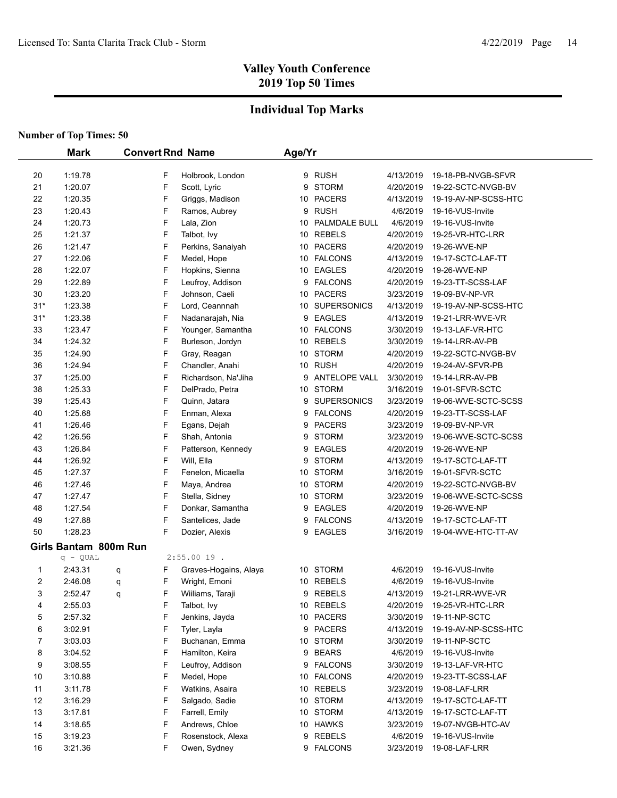## **Individual Top Marks**

|          | <b>Mark</b>           | <b>Convert Rnd Name</b> |                               | Age/Yr |                  |                        |                                           |  |
|----------|-----------------------|-------------------------|-------------------------------|--------|------------------|------------------------|-------------------------------------------|--|
| 20       | 1:19.78               | F                       | Holbrook, London              |        | 9 RUSH           | 4/13/2019              | 19-18-PB-NVGB-SFVR                        |  |
| 21       | 1:20.07               | F                       | Scott, Lyric                  |        | 9 STORM          | 4/20/2019              | 19-22-SCTC-NVGB-BV                        |  |
| 22       | 1:20.35               | F                       | Griggs, Madison               |        | 10 PACERS        | 4/13/2019              | 19-19-AV-NP-SCSS-HTC                      |  |
| 23       | 1:20.43               | F                       | Ramos, Aubrey                 | 9      | <b>RUSH</b>      | 4/6/2019               | 19-16-VUS-Invite                          |  |
| 24       | 1:20.73               | F                       | Lala, Zion                    |        | 10 PALMDALE BULL | 4/6/2019               | 19-16-VUS-Invite                          |  |
| 25       | 1:21.37               | F                       | Talbot, Ivy                   |        | 10 REBELS        | 4/20/2019              | 19-25-VR-HTC-LRR                          |  |
| 26       | 1:21.47               | F                       | Perkins, Sanaiyah             |        | 10 PACERS        | 4/20/2019              | 19-26-WVE-NP                              |  |
| 27       | 1:22.06               | F                       | Medel, Hope                   |        | 10 FALCONS       | 4/13/2019              | 19-17-SCTC-LAF-TT                         |  |
| 28       | 1:22.07               | F                       | Hopkins, Sienna               |        | 10 EAGLES        | 4/20/2019              | 19-26-WVE-NP                              |  |
| 29       | 1:22.89               | F                       | Leufroy, Addison              |        | 9 FALCONS        | 4/20/2019              | 19-23-TT-SCSS-LAF                         |  |
| 30       | 1:23.20               | F                       | Johnson, Caeli                |        | 10 PACERS        | 3/23/2019              | 19-09-BV-NP-VR                            |  |
| $31*$    | 1:23.38               | F                       | Lord, Ceannnah                |        | 10 SUPERSONICS   | 4/13/2019              | 19-19-AV-NP-SCSS-HTC                      |  |
| $31*$    | 1:23.38               | F                       | Nadanarajah, Nia              |        | 9 EAGLES         | 4/13/2019              | 19-21-LRR-WVE-VR                          |  |
| 33       | 1:23.47               | F                       | Younger, Samantha             |        | 10 FALCONS       | 3/30/2019              | 19-13-LAF-VR-HTC                          |  |
| 34       | 1:24.32               | F                       | Burleson, Jordyn              |        | 10 REBELS        | 3/30/2019              | 19-14-LRR-AV-PB                           |  |
| 35       | 1:24.90               | F                       | Gray, Reagan                  |        | 10 STORM         | 4/20/2019              | 19-22-SCTC-NVGB-BV                        |  |
| 36       | 1:24.94               | F                       | Chandler, Anahi               |        | 10 RUSH          | 4/20/2019              | 19-24-AV-SFVR-PB                          |  |
| 37       | 1:25.00               | F                       | Richardson, Na'Jiha           |        | 9 ANTELOPE VALL  | 3/30/2019              | 19-14-LRR-AV-PB                           |  |
| 38       | 1:25.33               | F                       | DelPrado, Petra               |        | 10 STORM         | 3/16/2019              | 19-01-SFVR-SCTC                           |  |
| 39       | 1:25.43               | F                       | Quinn, Jatara                 |        | 9 SUPERSONICS    | 3/23/2019              | 19-06-WVE-SCTC-SCSS                       |  |
| 40       | 1:25.68               | F                       | Enman, Alexa                  |        | 9 FALCONS        | 4/20/2019              | 19-23-TT-SCSS-LAF                         |  |
| 41       | 1:26.46               | F                       |                               |        | 9 PACERS         | 3/23/2019              | 19-09-BV-NP-VR                            |  |
| 42       | 1:26.56               | F                       | Egans, Dejah<br>Shah, Antonia |        | 9 STORM          | 3/23/2019              | 19-06-WVE-SCTC-SCSS                       |  |
| 43       | 1:26.84               | F                       | Patterson, Kennedy            | 9      | <b>EAGLES</b>    | 4/20/2019              | 19-26-WVE-NP                              |  |
| 44       | 1:26.92               | F                       | Will, Ella                    | 9      | <b>STORM</b>     | 4/13/2019              | 19-17-SCTC-LAF-TT                         |  |
|          | 1:27.37               | F                       |                               |        | 10 STORM         |                        |                                           |  |
| 45       | 1:27.46               | F                       | Fenelon, Micaella             |        | 10 STORM         | 3/16/2019              | 19-01-SFVR-SCTC                           |  |
| 46<br>47 | 1:27.47               | F                       | Maya, Andrea                  |        | 10 STORM         | 4/20/2019<br>3/23/2019 | 19-22-SCTC-NVGB-BV<br>19-06-WVE-SCTC-SCSS |  |
|          | 1:27.54               | F                       | Stella, Sidney                |        | 9 EAGLES         |                        |                                           |  |
| 48       |                       | F                       | Donkar, Samantha              |        |                  | 4/20/2019              | 19-26-WVE-NP                              |  |
| 49       | 1:27.88               | F                       | Santelices, Jade              |        | 9 FALCONS        | 4/13/2019              | 19-17-SCTC-LAF-TT                         |  |
| 50       | 1:28.23               |                         | Dozier, Alexis                |        | 9 EAGLES         | 3/16/2019              | 19-04-WVE-HTC-TT-AV                       |  |
|          | Girls Bantam 800m Run |                         |                               |        |                  |                        |                                           |  |
|          | $q - QUAL$            |                         | $2:55.0019$ .                 |        |                  |                        |                                           |  |
| 1        | 2:43.31               | F<br>q                  | Graves-Hogains, Alaya         |        | 10 STORM         | 4/6/2019               | 19-16-VUS-Invite                          |  |
| 2        | 2:46.08               | F<br>q                  | Wright, Emoni                 |        | 10 REBELS        | 4/6/2019               | 19-16-VUS-Invite                          |  |
| 3        | 2:52.47               | F<br>q                  | Wiiliams, Taraji              |        | 9 REBELS         | 4/13/2019              | 19-21-LRR-WVE-VR                          |  |
| 4        | 2:55.03               | F                       | Talbot, Ivy                   |        | 10 REBELS        | 4/20/2019              | 19-25-VR-HTC-LRR                          |  |
| 5        | 2:57.32               | F                       | Jenkins, Jayda                |        | 10 PACERS        | 3/30/2019              | 19-11-NP-SCTC                             |  |
| 6        | 3:02.91               | F                       | Tyler, Layla                  |        | 9 PACERS         | 4/13/2019              | 19-19-AV-NP-SCSS-HTC                      |  |
| 7        | 3:03.03               | F                       | Buchanan, Emma                |        | 10 STORM         | 3/30/2019              | 19-11-NP-SCTC                             |  |
| 8        | 3:04.52               | F                       | Hamilton, Keira               |        | 9 BEARS          | 4/6/2019               | 19-16-VUS-Invite                          |  |
| 9        | 3:08.55               | F                       | Leufroy, Addison              |        | 9 FALCONS        | 3/30/2019              | 19-13-LAF-VR-HTC                          |  |
| 10       | 3:10.88               | F                       | Medel, Hope                   |        | 10 FALCONS       | 4/20/2019              | 19-23-TT-SCSS-LAF                         |  |
| 11       | 3:11.78               | F                       | Watkins, Asaira               |        | 10 REBELS        | 3/23/2019              | 19-08-LAF-LRR                             |  |
| 12       | 3:16.29               | F                       | Salgado, Sadie                |        | 10 STORM         | 4/13/2019              | 19-17-SCTC-LAF-TT                         |  |
| 13       | 3:17.81               | F                       | Farrell, Emily                |        | 10 STORM         | 4/13/2019              | 19-17-SCTC-LAF-TT                         |  |
| 14       | 3:18.65               | F                       | Andrews, Chloe                |        | 10 HAWKS         | 3/23/2019              | 19-07-NVGB-HTC-AV                         |  |
| 15       | 3:19.23               | F                       | Rosenstock, Alexa             |        | 9 REBELS         | 4/6/2019               | 19-16-VUS-Invite                          |  |
| 16       | 3:21.36               | F                       | Owen, Sydney                  |        | 9 FALCONS        | 3/23/2019              | 19-08-LAF-LRR                             |  |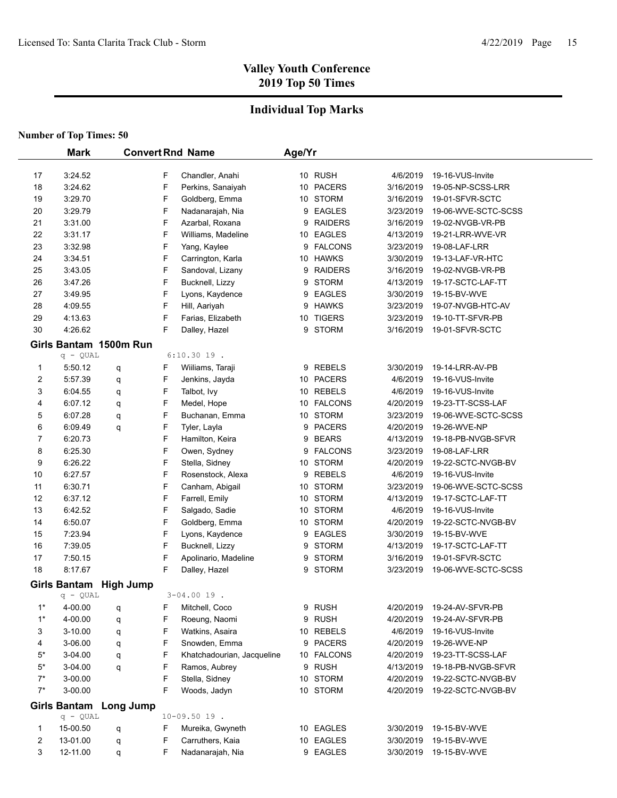## **Individual Top Marks**

|       | <b>Mark</b>         |                        |   | <b>Convert Rnd Name</b>    | Age/Yr |                |           |                     |  |
|-------|---------------------|------------------------|---|----------------------------|--------|----------------|-----------|---------------------|--|
| 17    | 3:24.52             |                        | F | Chandler, Anahi            |        | 10 RUSH        | 4/6/2019  | 19-16-VUS-Invite    |  |
| 18    | 3:24.62             |                        | F | Perkins, Sanaiyah          |        | 10 PACERS      | 3/16/2019 | 19-05-NP-SCSS-LRR   |  |
| 19    | 3:29.70             |                        | F | Goldberg, Emma             |        | 10 STORM       | 3/16/2019 | 19-01-SFVR-SCTC     |  |
| 20    | 3:29.79             |                        | F | Nadanarajah, Nia           |        | 9 EAGLES       | 3/23/2019 | 19-06-WVE-SCTC-SCSS |  |
| 21    | 3:31.00             |                        | F | Azarbal, Roxana            |        | 9 RAIDERS      | 3/16/2019 | 19-02-NVGB-VR-PB    |  |
| 22    | 3.31.17             |                        | F | Williams, Madeline         |        | 10 EAGLES      | 4/13/2019 | 19-21-LRR-WVE-VR    |  |
| 23    | 3:32.98             |                        | F | Yang, Kaylee               |        | 9 FALCONS      | 3/23/2019 | 19-08-LAF-LRR       |  |
| 24    | 3:34.51             |                        | F | Carrington, Karla          |        | 10 HAWKS       | 3/30/2019 | 19-13-LAF-VR-HTC    |  |
| 25    | 3:43.05             |                        | F | Sandoval, Lizany           | 9      | <b>RAIDERS</b> | 3/16/2019 | 19-02-NVGB-VR-PB    |  |
| 26    | 3:47.26             |                        | F | Bucknell, Lizzy            | 9      | <b>STORM</b>   | 4/13/2019 | 19-17-SCTC-LAF-TT   |  |
| 27    | 3:49.95             |                        | F | Lyons, Kaydence            | 9      | <b>EAGLES</b>  | 3/30/2019 | 19-15-BV-WVE        |  |
| 28    | 4:09.55             |                        | F | Hill, Aariyah              | 9      | <b>HAWKS</b>   | 3/23/2019 | 19-07-NVGB-HTC-AV   |  |
| 29    | 4:13.63             |                        | F | Farias, Elizabeth          |        | 10 TIGERS      | 3/23/2019 | 19-10-TT-SFVR-PB    |  |
| 30    | 4:26.62             |                        | F | Dalley, Hazel              | 9      | <b>STORM</b>   | 3/16/2019 | 19-01-SFVR-SCTC     |  |
|       |                     | Girls Bantam 1500m Run |   |                            |        |                |           |                     |  |
|       | $q - QUAL$          |                        |   | $6:10.3019$ .              |        |                |           |                     |  |
| 1     | 5:50.12             | q                      | F | Wiiliams, Taraji           |        | 9 REBELS       | 3/30/2019 | 19-14-LRR-AV-PB     |  |
| 2     | 5:57.39             | q                      | F | Jenkins, Jayda             |        | 10 PACERS      | 4/6/2019  | 19-16-VUS-Invite    |  |
| 3     | 6:04.55             | q                      | F | Talbot, Ivy                |        | 10 REBELS      | 4/6/2019  | 19-16-VUS-Invite    |  |
| 4     | 6:07.12             | q                      | F | Medel, Hope                |        | 10 FALCONS     | 4/20/2019 | 19-23-TT-SCSS-LAF   |  |
| 5     | 6:07.28             | q                      | F | Buchanan, Emma             |        | 10 STORM       | 3/23/2019 | 19-06-WVE-SCTC-SCSS |  |
| 6     | 6:09.49             | q                      | F | Tyler, Layla               |        | 9 PACERS       | 4/20/2019 | 19-26-WVE-NP        |  |
| 7     | 6:20.73             |                        | F | Hamilton, Keira            | 9      | <b>BEARS</b>   | 4/13/2019 | 19-18-PB-NVGB-SFVR  |  |
| 8     | 6:25.30             |                        | F | Owen, Sydney               |        | 9 FALCONS      | 3/23/2019 | 19-08-LAF-LRR       |  |
| 9     | 6:26.22             |                        | F | Stella, Sidney             |        | 10 STORM       | 4/20/2019 | 19-22-SCTC-NVGB-BV  |  |
| 10    | 6:27.57             |                        | F | Rosenstock, Alexa          |        | 9 REBELS       | 4/6/2019  | 19-16-VUS-Invite    |  |
| 11    | 6:30.71             |                        | F | Canham, Abigail            |        | 10 STORM       | 3/23/2019 | 19-06-WVE-SCTC-SCSS |  |
| 12    | 6:37.12             |                        | F | Farrell, Emily             |        | 10 STORM       | 4/13/2019 | 19-17-SCTC-LAF-TT   |  |
| 13    | 6:42.52             |                        | F | Salgado, Sadie             |        | 10 STORM       | 4/6/2019  | 19-16-VUS-Invite    |  |
| 14    | 6:50.07             |                        | F | Goldberg, Emma             |        | 10 STORM       | 4/20/2019 | 19-22-SCTC-NVGB-BV  |  |
| 15    | 7:23.94             |                        | F | Lyons, Kaydence            | 9      | EAGLES         | 3/30/2019 | 19-15-BV-WVE        |  |
| 16    | 7:39.05             |                        | F | Bucknell, Lizzy            | 9      | STORM          | 4/13/2019 | 19-17-SCTC-LAF-TT   |  |
| 17    | 7:50.15             |                        | F | Apolinario, Madeline       | 9      | <b>STORM</b>   | 3/16/2019 | 19-01-SFVR-SCTC     |  |
| 18    | 8:17.67             |                        | F | Dalley, Hazel              | 9      | <b>STORM</b>   | 3/23/2019 | 19-06-WVE-SCTC-SCSS |  |
|       |                     | Girls Bantam High Jump |   |                            |        |                |           |                     |  |
|       | $q - QUAL$          |                        |   | $3 - 04.0019$ .            |        |                |           |                     |  |
| $1^*$ | 4-00.00             | q                      | F | Mitchell, Coco             |        | 9 RUSH         | 4/20/2019 | 19-24-AV-SFVR-PB    |  |
| $1^*$ | 4-00.00             | q                      | F | Roeung, Naomi              | 9      | <b>RUSH</b>    | 4/20/2019 | 19-24-AV-SFVR-PB    |  |
| 3     | 3-10.00             | q                      | F | Watkins, Asaira            |        | 10 REBELS      | 4/6/2019  | 19-16-VUS-Invite    |  |
| 4     | 3-06.00             | q                      | F | Snowden, Emma              |        | 9 PACERS       | 4/20/2019 | 19-26-WVE-NP        |  |
| $5*$  | 3-04.00             | q                      | F | Khatchadourian, Jacqueline |        | 10 FALCONS     | 4/20/2019 | 19-23-TT-SCSS-LAF   |  |
| $5*$  | 3-04.00             | q                      | F | Ramos, Aubrey              |        | 9 RUSH         | 4/13/2019 | 19-18-PB-NVGB-SFVR  |  |
| $7^*$ | 3-00.00             |                        | F | Stella, Sidney             |        | 10 STORM       | 4/20/2019 | 19-22-SCTC-NVGB-BV  |  |
| $7^*$ | 3-00.00             |                        | F | Woods, Jadyn               |        | 10 STORM       | 4/20/2019 | 19-22-SCTC-NVGB-BV  |  |
|       | <b>Girls Bantam</b> | <b>Long Jump</b>       |   |                            |        |                |           |                     |  |
|       | $q - QUAL$          |                        |   | $10 - 09.50 19$ .          |        |                |           |                     |  |
| 1     | 15-00.50            | q                      | F | Mureika, Gwyneth           |        | 10 EAGLES      | 3/30/2019 | 19-15-BV-WVE        |  |
| 2     | 13-01.00            | q                      | F | Carruthers, Kaia           |        | 10 EAGLES      | 3/30/2019 | 19-15-BV-WVE        |  |
| 3     | 12-11.00            | q                      | F | Nadanarajah, Nia           |        | 9 EAGLES       | 3/30/2019 | 19-15-BV-WVE        |  |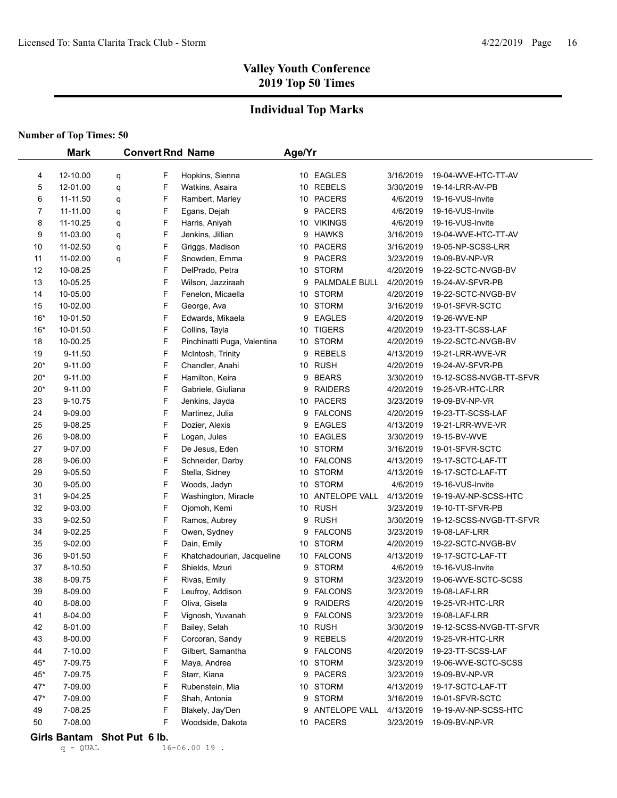## **Individual Top Marks**

#### **Number of Top Times: 50**

|          | <b>Mark</b>        | <b>Convert Rnd Name</b> |        |                                  |    | Age/Yr              |                        |                                             |  |  |
|----------|--------------------|-------------------------|--------|----------------------------------|----|---------------------|------------------------|---------------------------------------------|--|--|
|          |                    |                         |        |                                  |    |                     |                        |                                             |  |  |
| 4        | 12-10.00           | q                       | F      | Hopkins, Sienna                  |    | 10 EAGLES           | 3/16/2019              | 19-04-WVE-HTC-TT-AV                         |  |  |
| 5        | 12-01.00           | q                       | F      | Watkins, Asaira                  |    | 10 REBELS           | 3/30/2019              | 19-14-LRR-AV-PB                             |  |  |
| 6        | 11-11.50           | q                       | F      | Rambert, Marley                  |    | 10 PACERS           | 4/6/2019               | 19-16-VUS-Invite                            |  |  |
| 7        | 11-11.00           | q                       | F      | Egans, Dejah                     | 9  | <b>PACERS</b>       | 4/6/2019               | 19-16-VUS-Invite                            |  |  |
| 8        | 11-10.25           | q                       | F      | Harris, Aniyah                   |    | 10 VIKINGS          | 4/6/2019               | 19-16-VUS-Invite                            |  |  |
| 9        | 11-03.00           | q                       | F      | Jenkins, Jillian                 | 9  | <b>HAWKS</b>        | 3/16/2019              | 19-04-WVE-HTC-TT-AV                         |  |  |
| 10       | 11-02.50           | q                       | F      | Griggs, Madison                  |    | 10 PACERS           | 3/16/2019              | 19-05-NP-SCSS-LRR                           |  |  |
| 11       | 11-02.00           | q                       | F      | Snowden, Emma                    | 9  | <b>PACERS</b>       | 3/23/2019              | 19-09-BV-NP-VR                              |  |  |
| 12       | 10-08.25           |                         | F      | DelPrado, Petra                  |    | 10 STORM            | 4/20/2019              | 19-22-SCTC-NVGB-BV                          |  |  |
| 13       | 10-05.25           |                         | F      | Wilson, Jazziraah                | 9  | PALMDALE BULL       | 4/20/2019              | 19-24-AV-SFVR-PB                            |  |  |
| 14       | 10-05.00           |                         | F      | Fenelon, Micaella                |    | 10 STORM            | 4/20/2019              | 19-22-SCTC-NVGB-BV                          |  |  |
| 15       | 10-02.00           |                         | F      | George, Ava                      |    | 10 STORM            | 3/16/2019              | 19-01-SFVR-SCTC                             |  |  |
| $16*$    | 10-01.50           |                         | F      | Edwards, Mikaela                 | 9  | <b>EAGLES</b>       | 4/20/2019              | 19-26-WVE-NP                                |  |  |
| $16*$    | 10-01.50           |                         | F      | Collins, Tayla                   |    | 10 TIGERS           | 4/20/2019              | 19-23-TT-SCSS-LAF                           |  |  |
| 18       | 10-00.25           |                         | F      | Pinchinatti Puga, Valentina      |    | 10 STORM            | 4/20/2019              | 19-22-SCTC-NVGB-BV                          |  |  |
| 19       | 9-11.50            |                         | F      | McIntosh, Trinity                | 9  | <b>REBELS</b>       | 4/13/2019              | 19-21-LRR-WVE-VR                            |  |  |
| $20*$    | 9-11.00            |                         | F      | Chandler, Anahi                  |    | 10 RUSH             | 4/20/2019              | 19-24-AV-SFVR-PB                            |  |  |
| $20*$    | 9-11.00            |                         | F      | Hamilton, Keira                  | 9  | <b>BEARS</b>        | 3/30/2019              | 19-12-SCSS-NVGB-TT-SFVR                     |  |  |
| $20*$    | $9 - 11.00$        |                         | F      | Gabriele, Giuliana               | 9  | <b>RAIDERS</b>      | 4/20/2019              | 19-25-VR-HTC-LRR                            |  |  |
| 23       | 9-10.75            |                         | F      | Jenkins, Jayda                   | 10 | <b>PACERS</b>       | 3/23/2019              | 19-09-BV-NP-VR                              |  |  |
| 24       | 9-09.00            |                         | F      | Martinez, Julia                  | 9  | <b>FALCONS</b>      | 4/20/2019              | 19-23-TT-SCSS-LAF                           |  |  |
| 25       | 9-08.25            |                         | F      | Dozier, Alexis                   | 9  | <b>EAGLES</b>       | 4/13/2019              | 19-21-LRR-WVE-VR                            |  |  |
| 26       | 9-08.00            |                         | F      | Logan, Jules                     |    | 10 EAGLES           | 3/30/2019              | 19-15-BV-WVE                                |  |  |
| 27       | 9-07.00            |                         | F      | De Jesus, Eden                   |    | 10 STORM            | 3/16/2019              | 19-01-SFVR-SCTC                             |  |  |
| 28       | 9-06.00            |                         | F      | Schneider, Darby                 |    | 10 FALCONS          | 4/13/2019              | 19-17-SCTC-LAF-TT                           |  |  |
| 29       | 9-05.50            |                         | F      | Stella, Sidney                   |    | 10 STORM            | 4/13/2019              | 19-17-SCTC-LAF-TT                           |  |  |
| 30       | 9-05.00            |                         | F      | Woods, Jadyn                     |    | 10 STORM            | 4/6/2019               | 19-16-VUS-Invite                            |  |  |
| 31       | 9-04.25            |                         | F      | Washington, Miracle              |    | 10 ANTELOPE VALL    | 4/13/2019              | 19-19-AV-NP-SCSS-HTC                        |  |  |
| 32       | 9-03.00            |                         | F      | Ojomoh, Kemi                     |    | 10 RUSH             | 3/23/2019              | 19-10-TT-SFVR-PB                            |  |  |
| 33       | 9-02.50            |                         | F      | Ramos, Aubrey                    |    | 9 RUSH              | 3/30/2019              | 19-12-SCSS-NVGB-TT-SFVR                     |  |  |
| 34       | 9-02.25            |                         | F      | Owen, Sydney                     | 9  | <b>FALCONS</b>      | 3/23/2019              | 19-08-LAF-LRR                               |  |  |
| 35       | 9-02.00            |                         | F      | Dain, Emily                      |    | 10 STORM            | 4/20/2019              | 19-22-SCTC-NVGB-BV                          |  |  |
| 36       | $9 - 01.50$        |                         | F      | Khatchadourian, Jacqueline       |    | 10 FALCONS          | 4/13/2019              | 19-17-SCTC-LAF-TT                           |  |  |
| 37       | 8-10.50            |                         | F      | Shields, Mzuri                   | 9  | <b>STORM</b>        | 4/6/2019               | 19-16-VUS-Invite                            |  |  |
| 38       | 8-09.75            |                         | F      | Rivas, Emily                     | 9  | <b>STORM</b>        | 3/23/2019              | 19-06-WVE-SCTC-SCSS                         |  |  |
| 39       | 8-09.00            |                         | F      | Leufroy, Addison                 |    | 9 FALCONS           | 3/23/2019              | 19-08-LAF-LRR                               |  |  |
| 40       | 8-08.00            |                         | F<br>F | Oliva, Gisela                    |    | 9 RAIDERS           | 4/20/2019              | 19-25-VR-HTC-LRR                            |  |  |
| 41       | 8-04.00            |                         | F      | Vignosh, Yuvanah                 |    | 9 FALCONS           | 3/23/2019<br>3/30/2019 | 19-08-LAF-LRR                               |  |  |
| 42       | 8-01.00<br>8-00.00 |                         | F      | Bailey, Selah<br>Corcoran, Sandy |    | 10 RUSH<br>9 REBELS | 4/20/2019              | 19-12-SCSS-NVGB-TT-SFVR<br>19-25-VR-HTC-LRR |  |  |
| 43<br>44 | 7-10.00            |                         | F      | Gilbert, Samantha                |    | 9 FALCONS           | 4/20/2019              | 19-23-TT-SCSS-LAF                           |  |  |
| $45*$    | 7-09.75            |                         | F      | Maya, Andrea                     |    | 10 STORM            |                        | 19-06-WVE-SCTC-SCSS                         |  |  |
| 45*      | 7-09.75            |                         | F      | Starr, Kiana                     |    | 9 PACERS            | 3/23/2019<br>3/23/2019 | 19-09-BV-NP-VR                              |  |  |
| 47*      | 7-09.00            |                         | F      | Rubenstein, Mia                  |    | 10 STORM            | 4/13/2019              | 19-17-SCTC-LAF-TT                           |  |  |
| 47*      | 7-09.00            |                         | F      | Shah, Antonia                    |    | 9 STORM             | 3/16/2019              | 19-01-SFVR-SCTC                             |  |  |
| 49       | 7-08.25            |                         | F      | Blakely, Jay'Den                 |    | 9 ANTELOPE VALL     | 4/13/2019              | 19-19-AV-NP-SCSS-HTC                        |  |  |
| 50       | 7-08.00            |                         | F      | Woodside, Dakota                 |    | 10 PACERS           | 3/23/2019              | 19-09-BV-NP-VR                              |  |  |
|          |                    |                         |        |                                  |    |                     |                        |                                             |  |  |

# Girls Bantam Shot Put 6 lb.<br>q - QUAL 16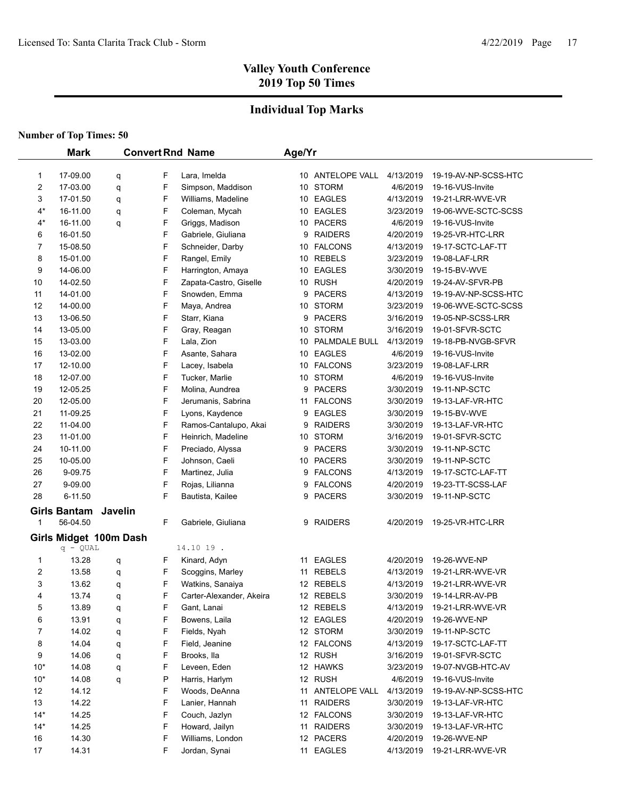## **Individual Top Marks**

|                | <b>Mark</b>            |         |   | <b>Convert Rnd Name</b>  | Age/Yr |                  |           |                      |
|----------------|------------------------|---------|---|--------------------------|--------|------------------|-----------|----------------------|
|                |                        |         |   |                          |        |                  |           |                      |
| 1              | 17-09.00               | q       | F | Lara, Imelda             |        | 10 ANTELOPE VALL | 4/13/2019 | 19-19-AV-NP-SCSS-HTC |
| $\overline{c}$ | 17-03.00               | q       | F | Simpson, Maddison        |        | 10 STORM         | 4/6/2019  | 19-16-VUS-Invite     |
| 3              | 17-01.50               | q       | F | Williams, Madeline       |        | 10 EAGLES        | 4/13/2019 | 19-21-LRR-WVE-VR     |
| $4^*$          | 16-11.00               | q       | F | Coleman, Mycah           |        | 10 EAGLES        | 3/23/2019 | 19-06-WVE-SCTC-SCSS  |
| $4^*$          | 16-11.00               | q       | F | Griggs, Madison          |        | 10 PACERS        | 4/6/2019  | 19-16-VUS-Invite     |
| 6              | 16-01.50               |         | F | Gabriele, Giuliana       |        | 9 RAIDERS        | 4/20/2019 | 19-25-VR-HTC-LRR     |
| 7              | 15-08.50               |         | F | Schneider, Darby         |        | 10 FALCONS       | 4/13/2019 | 19-17-SCTC-LAF-TT    |
| 8              | 15-01.00               |         | F | Rangel, Emily            |        | 10 REBELS        | 3/23/2019 | 19-08-LAF-LRR        |
| 9              | 14-06.00               |         | F | Harrington, Amaya        |        | 10 EAGLES        | 3/30/2019 | 19-15-BV-WVE         |
| 10             | 14-02.50               |         | F | Zapata-Castro, Giselle   |        | 10 RUSH          | 4/20/2019 | 19-24-AV-SFVR-PB     |
| 11             | 14-01.00               |         | F | Snowden, Emma            |        | 9 PACERS         | 4/13/2019 | 19-19-AV-NP-SCSS-HTC |
| 12             | 14-00.00               |         | F | Maya, Andrea             |        | 10 STORM         | 3/23/2019 | 19-06-WVE-SCTC-SCSS  |
| 13             | 13-06.50               |         | F | Starr, Kiana             | 9      | <b>PACERS</b>    | 3/16/2019 | 19-05-NP-SCSS-LRR    |
| 14             | 13-05.00               |         | F | Gray, Reagan             |        | 10 STORM         | 3/16/2019 | 19-01-SFVR-SCTC      |
| 15             | 13-03.00               |         | F | Lala, Zion               |        | 10 PALMDALE BULL | 4/13/2019 | 19-18-PB-NVGB-SFVR   |
| 16             | 13-02.00               |         | F | Asante, Sahara           |        | 10 EAGLES        | 4/6/2019  | 19-16-VUS-Invite     |
| 17             | 12-10.00               |         | F | Lacey, Isabela           |        | 10 FALCONS       | 3/23/2019 | 19-08-LAF-LRR        |
| 18             | 12-07.00               |         | F | Tucker, Marlie           |        | 10 STORM         | 4/6/2019  | 19-16-VUS-Invite     |
| 19             | 12-05.25               |         | F | Molina, Aundrea          | 9      | <b>PACERS</b>    | 3/30/2019 | 19-11-NP-SCTC        |
| 20             | 12-05.00               |         | F | Jerumanis, Sabrina       |        | 11 FALCONS       | 3/30/2019 | 19-13-LAF-VR-HTC     |
| 21             | 11-09.25               |         | F | Lyons, Kaydence          | 9      | EAGLES           | 3/30/2019 | 19-15-BV-WVE         |
| 22             | 11-04.00               |         | F | Ramos-Cantalupo, Akai    | 9      | <b>RAIDERS</b>   | 3/30/2019 | 19-13-LAF-VR-HTC     |
| 23             | 11-01.00               |         | F | Heinrich, Madeline       |        | 10 STORM         | 3/16/2019 | 19-01-SFVR-SCTC      |
| 24             | 10-11.00               |         | F | Preciado, Alyssa         | 9      | <b>PACERS</b>    | 3/30/2019 | 19-11-NP-SCTC        |
| 25             | 10-05.00               |         | F | Johnson, Caeli           |        | 10 PACERS        | 3/30/2019 | 19-11-NP-SCTC        |
| 26             | 9-09.75                |         | F | Martinez, Julia          | 9      | <b>FALCONS</b>   | 4/13/2019 | 19-17-SCTC-LAF-TT    |
| 27             | 9-09.00                |         | F | Rojas, Lilianna          | 9      | <b>FALCONS</b>   | 4/20/2019 | 19-23-TT-SCSS-LAF    |
| 28             | 6-11.50                |         | F | Bautista, Kailee         |        | 9 PACERS         | 3/30/2019 | 19-11-NP-SCTC        |
|                | Girls Bantam           | Javelin |   |                          |        |                  |           |                      |
| 1              | 56-04.50               |         | F | Gabriele, Giuliana       |        | 9 RAIDERS        | 4/20/2019 | 19-25-VR-HTC-LRR     |
|                | Girls Midget 100m Dash |         |   |                          |        |                  |           |                      |
|                | $q - QUAL$             |         |   | 14.10 19.                |        |                  |           |                      |
| 1              | 13.28                  | q       | F | Kinard, Adyn             |        | 11 EAGLES        | 4/20/2019 | 19-26-WVE-NP         |
| 2              | 13.58                  | q       | F | Scoggins, Marley         |        | 11 REBELS        | 4/13/2019 | 19-21-LRR-WVE-VR     |
| 3              | 13.62                  | q       | F | Watkins, Sanaiya         |        | 12 REBELS        | 4/13/2019 | 19-21-LRR-WVE-VR     |
| $\overline{4}$ | 13.74                  | q       | F | Carter-Alexander, Akeira |        | 12 REBELS        | 3/30/2019 | 19-14-LRR-AV-PB      |
| 5              | 13.89                  | q       | F | Gant, Lanai              |        | 12 REBELS        | 4/13/2019 | 19-21-LRR-WVE-VR     |
| 6              | 13.91                  | q       | F | Bowens, Laila            |        | 12 EAGLES        | 4/20/2019 | 19-26-WVE-NP         |
| 7              | 14.02                  | q       | F | Fields, Nyah             |        | 12 STORM         | 3/30/2019 | 19-11-NP-SCTC        |
| 8              | 14.04                  | q       | F | Field, Jeanine           |        | 12 FALCONS       | 4/13/2019 | 19-17-SCTC-LAF-TT    |
| 9              | 14.06                  | q       | F | Brooks, Ila              |        | 12 RUSH          | 3/16/2019 | 19-01-SFVR-SCTC      |
| $10*$          | 14.08                  | q       | F | Leveen, Eden             |        | 12 HAWKS         | 3/23/2019 | 19-07-NVGB-HTC-AV    |
| $10*$          | 14.08                  | q       | P | Harris, Harlym           |        | 12 RUSH          | 4/6/2019  | 19-16-VUS-Invite     |
| 12             | 14.12                  |         | F | Woods, DeAnna            |        | 11 ANTELOPE VALL | 4/13/2019 | 19-19-AV-NP-SCSS-HTC |
| 13             | 14.22                  |         | F | Lanier, Hannah           | 11     | <b>RAIDERS</b>   | 3/30/2019 | 19-13-LAF-VR-HTC     |
| $14*$          | 14.25                  |         | F | Couch, Jazlyn            |        | 12 FALCONS       | 3/30/2019 | 19-13-LAF-VR-HTC     |
| $14*$          | 14.25                  |         | F | Howard, Jailyn           | 11     | <b>RAIDERS</b>   | 3/30/2019 | 19-13-LAF-VR-HTC     |
| 16             | 14.30                  |         | F | Williams, London         |        | 12 PACERS        | 4/20/2019 | 19-26-WVE-NP         |
| 17             | 14.31                  |         | F | Jordan, Synai            |        | 11 EAGLES        | 4/13/2019 | 19-21-LRR-WVE-VR     |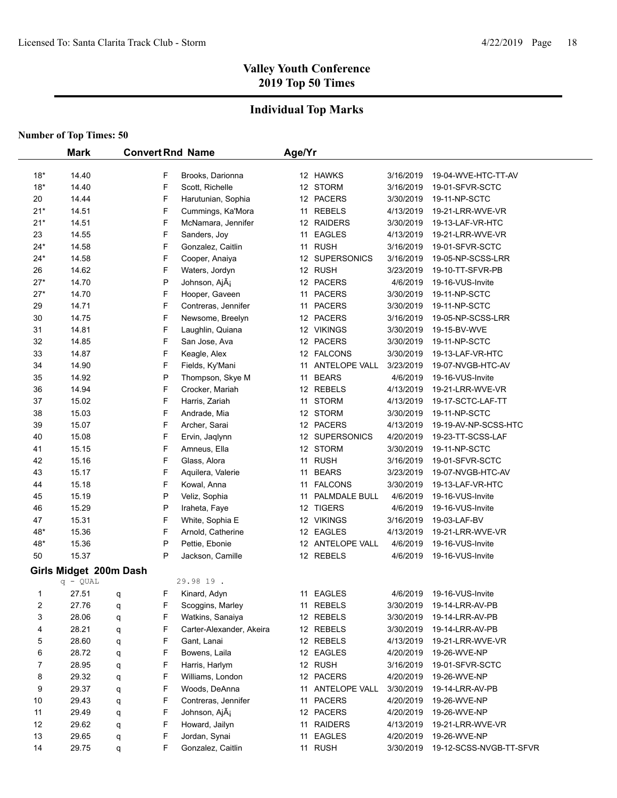## **Individual Top Marks**

|       | <b>Mark</b>            | <b>Convert Rnd Name</b> |   |                           | Age/Yr |                  |           |                         |
|-------|------------------------|-------------------------|---|---------------------------|--------|------------------|-----------|-------------------------|
|       |                        |                         |   |                           |        |                  |           |                         |
| $18*$ | 14.40                  |                         | F | Brooks, Darionna          |        | 12 HAWKS         | 3/16/2019 | 19-04-WVE-HTC-TT-AV     |
| $18*$ | 14.40                  |                         | F | Scott, Richelle           |        | 12 STORM         | 3/16/2019 | 19-01-SFVR-SCTC         |
| 20    | 14.44                  |                         | F | Harutunian, Sophia        |        | 12 PACERS        | 3/30/2019 | 19-11-NP-SCTC           |
| $21*$ | 14.51                  |                         | F | Cummings, Ka'Mora         |        | 11 REBELS        | 4/13/2019 | 19-21-LRR-WVE-VR        |
| $21*$ | 14.51                  |                         | F | McNamara, Jennifer        |        | 12 RAIDERS       | 3/30/2019 | 19-13-LAF-VR-HTC        |
| 23    | 14.55                  |                         | F | Sanders, Joy              |        | 11 EAGLES        | 4/13/2019 | 19-21-LRR-WVE-VR        |
| 24*   | 14.58                  |                         | F | Gonzalez, Caitlin         |        | 11 RUSH          | 3/16/2019 | 19-01-SFVR-SCTC         |
| $24*$ | 14.58                  |                         | F | Cooper, Anaiya            |        | 12 SUPERSONICS   | 3/16/2019 | 19-05-NP-SCSS-LRR       |
| 26    | 14.62                  |                         | F | Waters, Jordyn            |        | 12 RUSH          | 3/23/2019 | 19-10-TT-SFVR-PB        |
| $27*$ | 14.70                  |                         | P | Johnson, Ajá              |        | 12 PACERS        | 4/6/2019  | 19-16-VUS-Invite        |
| $27*$ | 14.70                  |                         | F | Hooper, Gaveen            |        | 11 PACERS        | 3/30/2019 | 19-11-NP-SCTC           |
| 29    | 14.71                  |                         | F | Contreras, Jennifer       |        | 11 PACERS        | 3/30/2019 | 19-11-NP-SCTC           |
| 30    | 14.75                  |                         | F | Newsome, Breelyn          |        | 12 PACERS        | 3/16/2019 | 19-05-NP-SCSS-LRR       |
| 31    | 14.81                  |                         | F | Laughlin, Quiana          |        | 12 VIKINGS       | 3/30/2019 | 19-15-BV-WVE            |
| 32    | 14.85                  |                         | F | San Jose, Ava             |        | 12 PACERS        | 3/30/2019 | 19-11-NP-SCTC           |
| 33    | 14.87                  |                         | F | Keagle, Alex              |        | 12 FALCONS       | 3/30/2019 | 19-13-LAF-VR-HTC        |
| 34    | 14.90                  |                         | F | Fields, Ky'Mani           |        | 11 ANTELOPE VALL | 3/23/2019 | 19-07-NVGB-HTC-AV       |
| 35    | 14.92                  |                         | P | Thompson, Skye M          |        | 11 BEARS         | 4/6/2019  | 19-16-VUS-Invite        |
| 36    | 14.94                  |                         | F | Crocker, Mariah           |        | 12 REBELS        | 4/13/2019 | 19-21-LRR-WVE-VR        |
| 37    | 15.02                  |                         | F | Harris, Zariah            |        | 11 STORM         | 4/13/2019 | 19-17-SCTC-LAF-TT       |
| 38    | 15.03                  |                         | F | Andrade, Mia              |        | 12 STORM         | 3/30/2019 | 19-11-NP-SCTC           |
| 39    | 15.07                  |                         | F | Archer, Sarai             |        | 12 PACERS        | 4/13/2019 | 19-19-AV-NP-SCSS-HTC    |
| 40    | 15.08                  |                         | F | Ervin, Jaqlynn            |        | 12 SUPERSONICS   | 4/20/2019 | 19-23-TT-SCSS-LAF       |
| 41    | 15.15                  |                         | F | Amneus, Ella              |        | 12 STORM         | 3/30/2019 | 19-11-NP-SCTC           |
| 42    | 15.16                  |                         | F | Glass, Alora              |        | 11 RUSH          | 3/16/2019 | 19-01-SFVR-SCTC         |
| 43    | 15.17                  |                         | F | Aquilera, Valerie         | 11     | <b>BEARS</b>     | 3/23/2019 | 19-07-NVGB-HTC-AV       |
| 44    | 15.18                  |                         | F | Kowal, Anna               |        | 11 FALCONS       | 3/30/2019 | 19-13-LAF-VR-HTC        |
| 45    | 15.19                  |                         | P | Veliz, Sophia             |        | 11 PALMDALE BULL | 4/6/2019  | 19-16-VUS-Invite        |
| 46    | 15.29                  |                         | P | Iraheta, Faye             |        | 12 TIGERS        | 4/6/2019  | 19-16-VUS-Invite        |
| 47    | 15.31                  |                         | F | White, Sophia E           |        | 12 VIKINGS       | 3/16/2019 | 19-03-LAF-BV            |
| 48*   | 15.36                  |                         | F | Arnold, Catherine         |        | 12 EAGLES        | 4/13/2019 | 19-21-LRR-WVE-VR        |
| 48*   | 15.36                  |                         | P | Pettie, Ebonie            |        | 12 ANTELOPE VALL | 4/6/2019  | 19-16-VUS-Invite        |
| 50    | 15.37                  |                         | P | Jackson, Camille          |        | 12 REBELS        | 4/6/2019  | 19-16-VUS-Invite        |
|       | Girls Midget 200m Dash |                         |   |                           |        |                  |           |                         |
|       | $q - QUAL$             |                         |   | 29.98 19.                 |        |                  |           |                         |
| 1     | 27.51                  | q                       | F | Kinard, Adyn              |        | 11 EAGLES        | 4/6/2019  | 19-16-VUS-Invite        |
| 2     | 27.76                  | q                       | F | Scoggins, Marley          |        | 11 REBELS        | 3/30/2019 | 19-14-LRR-AV-PB         |
| 3     | 28.06                  | q                       | F | Watkins, Sanaiya          |        | 12 REBELS        | 3/30/2019 | 19-14-LRR-AV-PB         |
| 4     | 28.21                  | q                       | F | Carter-Alexander, Akeira  |        | 12 REBELS        | 3/30/2019 | 19-14-LRR-AV-PB         |
| 5     | 28.60                  | q                       | F | Gant, Lanai               |        | 12 REBELS        | 4/13/2019 | 19-21-LRR-WVE-VR        |
| 6     | 28.72                  | q                       | F | Bowens, Laila             |        | 12 EAGLES        | 4/20/2019 | 19-26-WVE-NP            |
| 7     | 28.95                  | q                       | F | Harris, Harlym            |        | 12 RUSH          | 3/16/2019 | 19-01-SFVR-SCTC         |
| 8     | 29.32                  | q                       | F | Williams, London          |        | 12 PACERS        | 4/20/2019 | 19-26-WVE-NP            |
| 9     | 29.37                  | q                       | F | Woods, DeAnna             |        | 11 ANTELOPE VALL | 3/30/2019 | 19-14-LRR-AV-PB         |
| 10    | 29.43                  | q                       | F | Contreras, Jennifer       |        | 11 PACERS        | 4/20/2019 | 19-26-WVE-NP            |
| 11    | 29.49                  | q                       | F | Johnson, AjÃ <sub>i</sub> |        | 12 PACERS        | 4/20/2019 | 19-26-WVE-NP            |
| 12    | 29.62                  | q                       | F | Howard, Jailyn            |        | 11 RAIDERS       | 4/13/2019 | 19-21-LRR-WVE-VR        |
| 13    | 29.65                  | q                       | F | Jordan, Synai             |        | 11 EAGLES        | 4/20/2019 | 19-26-WVE-NP            |
| 14    | 29.75                  | q                       | F | Gonzalez, Caitlin         |        | 11 RUSH          | 3/30/2019 | 19-12-SCSS-NVGB-TT-SFVR |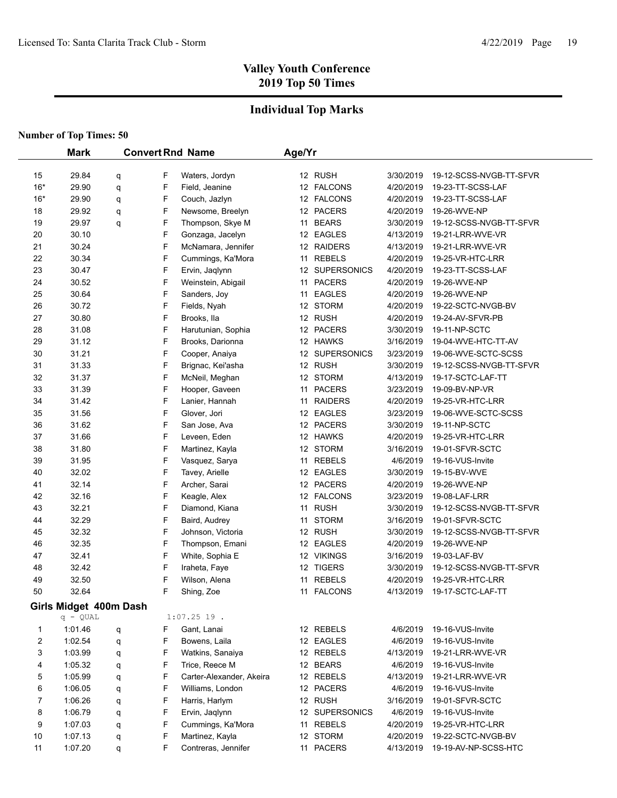## **Individual Top Marks**

|                | <b>Mark</b>            |        |        | <b>Convert Rnd Name</b>                    | Age/Yr |                           |                       |                                      |
|----------------|------------------------|--------|--------|--------------------------------------------|--------|---------------------------|-----------------------|--------------------------------------|
| 15             | 29.84                  |        | F      | Waters, Jordyn                             |        | 12 RUSH                   | 3/30/2019             | 19-12-SCSS-NVGB-TT-SFVR              |
| $16*$          | 29.90                  | q<br>q | F      | Field, Jeanine                             |        | 12 FALCONS                | 4/20/2019             | 19-23-TT-SCSS-LAF                    |
| $16*$          | 29.90                  |        | F      | Couch, Jazlyn                              |        | 12 FALCONS                | 4/20/2019             | 19-23-TT-SCSS-LAF                    |
| 18             | 29.92                  | q<br>q | F      | Newsome, Breelyn                           |        | 12 PACERS                 | 4/20/2019             | 19-26-WVE-NP                         |
| 19             | 29.97                  |        | F      | Thompson, Skye M                           |        | 11 BEARS                  | 3/30/2019             | 19-12-SCSS-NVGB-TT-SFVR              |
| 20             | 30.10                  | q      | F      | Gonzaga, Jacelyn                           |        | 12 EAGLES                 | 4/13/2019             | 19-21-LRR-WVE-VR                     |
| 21             | 30.24                  |        | F      | McNamara, Jennifer                         |        | 12 RAIDERS                | 4/13/2019             | 19-21-LRR-WVE-VR                     |
| 22             | 30.34                  |        | F      | Cummings, Ka'Mora                          |        | 11 REBELS                 | 4/20/2019             | 19-25-VR-HTC-LRR                     |
| 23             | 30.47                  |        | F      |                                            |        | 12 SUPERSONICS            | 4/20/2019             | 19-23-TT-SCSS-LAF                    |
| 24             | 30.52                  |        | F      | Ervin, Jaqlynn<br>Weinstein, Abigail       |        | 11 PACERS                 | 4/20/2019             | 19-26-WVE-NP                         |
| 25             | 30.64                  |        | F      | Sanders, Joy                               |        | 11 EAGLES                 | 4/20/2019             | 19-26-WVE-NP                         |
| 26             | 30.72                  |        | F      | Fields, Nyah                               |        | 12 STORM                  | 4/20/2019             | 19-22-SCTC-NVGB-BV                   |
| 27             | 30.80                  |        | F      | Brooks, Ila                                |        | 12 RUSH                   | 4/20/2019             | 19-24-AV-SFVR-PB                     |
| 28             | 31.08                  |        | F      | Harutunian, Sophia                         |        | 12 PACERS                 | 3/30/2019             | 19-11-NP-SCTC                        |
| 29             | 31.12                  |        | F      | Brooks, Darionna                           |        | 12 HAWKS                  | 3/16/2019             | 19-04-WVE-HTC-TT-AV                  |
| 30             | 31.21                  |        | F      | Cooper, Anaiya                             |        | 12 SUPERSONICS            | 3/23/2019             | 19-06-WVE-SCTC-SCSS                  |
| 31             | 31.33                  |        | F      | Brignac, Kei'asha                          |        | 12 RUSH                   | 3/30/2019             | 19-12-SCSS-NVGB-TT-SFVR              |
| 32             | 31.37                  |        | F      | McNeil, Meghan                             |        | 12 STORM                  | 4/13/2019             | 19-17-SCTC-LAF-TT                    |
| 33             | 31.39                  |        | F      | Hooper, Gaveen                             |        | 11 PACERS                 | 3/23/2019             | 19-09-BV-NP-VR                       |
| 34             | 31.42                  |        | F      | Lanier, Hannah                             |        | 11 RAIDERS                | 4/20/2019             | 19-25-VR-HTC-LRR                     |
| 35             | 31.56                  |        | F      | Glover, Jori                               |        | 12 EAGLES                 | 3/23/2019             | 19-06-WVE-SCTC-SCSS                  |
| 36             | 31.62                  |        | F      | San Jose, Ava                              |        | 12 PACERS                 | 3/30/2019             | 19-11-NP-SCTC                        |
| 37             | 31.66                  |        | F      | Leveen, Eden                               |        | 12 HAWKS                  | 4/20/2019             | 19-25-VR-HTC-LRR                     |
| 38             | 31.80                  |        | F      | Martinez, Kayla                            |        | 12 STORM                  | 3/16/2019             | 19-01-SFVR-SCTC                      |
| 39             | 31.95                  |        | F      | Vasquez, Sarya                             |        | 11 REBELS                 | 4/6/2019              | 19-16-VUS-Invite                     |
| 40             | 32.02                  |        | F      | Tavey, Arielle                             |        | 12 EAGLES                 | 3/30/2019             | 19-15-BV-WVE                         |
| 41             | 32.14                  |        | F      | Archer, Sarai                              |        | 12 PACERS                 | 4/20/2019             | 19-26-WVE-NP                         |
| 42             | 32.16                  |        | F      | Keagle, Alex                               |        | 12 FALCONS                | 3/23/2019             | 19-08-LAF-LRR                        |
| 43             | 32.21                  |        | F      | Diamond, Kiana                             |        | 11 RUSH                   | 3/30/2019             | 19-12-SCSS-NVGB-TT-SFVR              |
| 44             | 32.29                  |        | F      | Baird, Audrey                              |        | 11 STORM                  | 3/16/2019             | 19-01-SFVR-SCTC                      |
| 45             | 32.32                  |        | F      | Johnson, Victoria                          |        | 12 RUSH                   | 3/30/2019             | 19-12-SCSS-NVGB-TT-SFVR              |
| 46             | 32.35                  |        | F      | Thompson, Emani                            |        | 12 EAGLES                 | 4/20/2019             | 19-26-WVE-NP                         |
| 47             | 32.41                  |        | F      | White, Sophia E                            |        | 12 VIKINGS                | 3/16/2019             | 19-03-LAF-BV                         |
| 48             | 32.42                  |        | F      | Iraheta, Faye                              |        | 12 TIGERS                 | 3/30/2019             | 19-12-SCSS-NVGB-TT-SFVR              |
| 49             | 32.50                  |        | F      | Wilson, Alena                              |        | 11 REBELS                 | 4/20/2019             | 19-25-VR-HTC-LRR                     |
| 50             | 32.64                  |        | F      | Shing, Zoe                                 |        | 11 FALCONS                | 4/13/2019             | 19-17-SCTC-LAF-TT                    |
|                |                        |        |        |                                            |        |                           |                       |                                      |
|                | Girls Midget 400m Dash |        |        | $1:07.2519$ .                              |        |                           |                       |                                      |
| 1              | $q - QUAL$<br>1:01.46  |        | F      | Gant, Lanai                                |        |                           | 4/6/2019              | 19-16-VUS-Invite                     |
| $\overline{c}$ | 1:02.54                | q      | F      | Bowens, Laila                              |        | 12 REBELS<br>12 EAGLES    | 4/6/2019              | 19-16-VUS-Invite                     |
| 3              | 1:03.99                | q      | F      | Watkins, Sanaiya                           |        |                           | 4/13/2019             | 19-21-LRR-WVE-VR                     |
|                |                        | q      | F      |                                            |        | 12 REBELS                 |                       |                                      |
| 4              | 1:05.32                | q      |        | Trice, Reece M<br>Carter-Alexander, Akeira |        | 12 BEARS                  | 4/6/2019              | 19-16-VUS-Invite<br>19-21-LRR-WVE-VR |
| 5<br>6         | 1:05.99<br>1:06.05     | q      | F<br>F | Williams, London                           |        | 12 REBELS<br>12 PACERS    | 4/13/2019<br>4/6/2019 | 19-16-VUS-Invite                     |
|                |                        | q      |        |                                            |        |                           |                       |                                      |
| 7              | 1:06.26                | q      | F      | Harris, Harlym                             |        | 12 RUSH<br>12 SUPERSONICS | 3/16/2019             | 19-01-SFVR-SCTC                      |
| 8              | 1:06.79                | q      | F      | Ervin, Jaqlynn                             |        |                           | 4/6/2019<br>4/20/2019 | 19-16-VUS-Invite                     |
| 9              | 1:07.03                | q      | F      | Cummings, Ka'Mora                          |        | 11 REBELS                 |                       | 19-25-VR-HTC-LRR                     |
| 10             | 1:07.13                | q      | F      | Martinez, Kayla                            |        | 12 STORM                  | 4/20/2019             | 19-22-SCTC-NVGB-BV                   |
| 11             | 1:07.20                | q      | F      | Contreras, Jennifer                        |        | 11 PACERS                 | 4/13/2019             | 19-19-AV-NP-SCSS-HTC                 |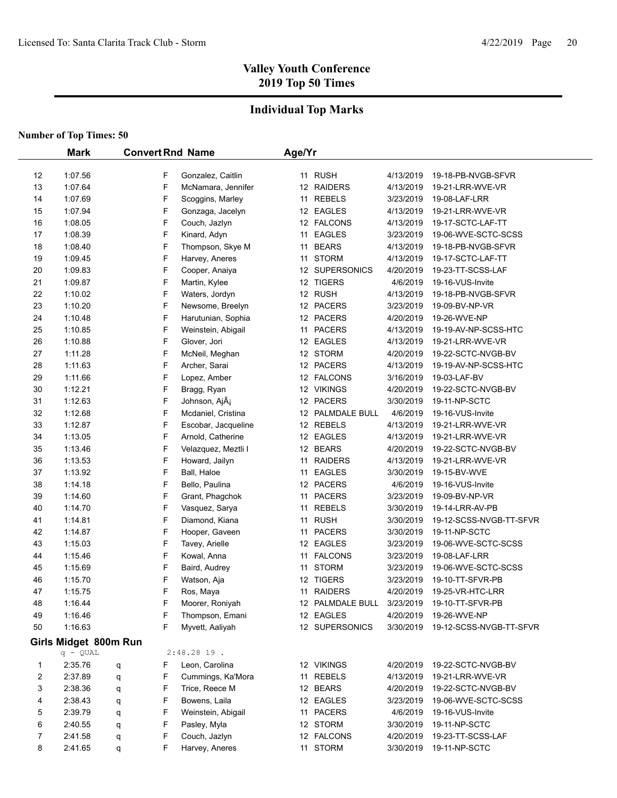## **Individual Top Marks**

|    | <b>Mark</b>           | <b>Convert Rnd Name</b> |                           | Age/Yr |                  |           |                         |
|----|-----------------------|-------------------------|---------------------------|--------|------------------|-----------|-------------------------|
| 12 | 1:07.56               | F                       | Gonzalez, Caitlin         |        | 11 RUSH          | 4/13/2019 | 19-18-PB-NVGB-SFVR      |
| 13 | 1:07.64               | F                       | McNamara, Jennifer        |        | 12 RAIDERS       | 4/13/2019 | 19-21-LRR-WVE-VR        |
| 14 | 1:07.69               | F                       | Scoggins, Marley          |        | 11 REBELS        | 3/23/2019 | 19-08-LAF-LRR           |
| 15 | 1:07.94               | F                       | Gonzaga, Jacelyn          |        | 12 EAGLES        | 4/13/2019 | 19-21-LRR-WVE-VR        |
| 16 | 1:08.05               | F                       | Couch, Jazlyn             |        | 12 FALCONS       | 4/13/2019 | 19-17-SCTC-LAF-TT       |
| 17 | 1:08.39               | F                       | Kinard, Adyn              |        | 11 EAGLES        | 3/23/2019 | 19-06-WVE-SCTC-SCSS     |
| 18 | 1:08.40               | F                       | Thompson, Skye M          |        | 11 BEARS         | 4/13/2019 | 19-18-PB-NVGB-SFVR      |
| 19 | 1:09.45               | F                       | Harvey, Aneres            |        | 11 STORM         | 4/13/2019 | 19-17-SCTC-LAF-TT       |
| 20 | 1:09.83               | F                       | Cooper, Anaiya            |        | 12 SUPERSONICS   | 4/20/2019 | 19-23-TT-SCSS-LAF       |
| 21 | 1:09.87               | F                       | Martin, Kylee             |        | 12 TIGERS        | 4/6/2019  | 19-16-VUS-Invite        |
| 22 | 1:10.02               | F                       | Waters, Jordyn            |        | 12 RUSH          | 4/13/2019 | 19-18-PB-NVGB-SFVR      |
| 23 | 1:10.20               | F                       | Newsome, Breelyn          |        | 12 PACERS        | 3/23/2019 | 19-09-BV-NP-VR          |
| 24 | 1:10.48               | F                       | Harutunian, Sophia        |        | 12 PACERS        | 4/20/2019 | 19-26-WVE-NP            |
| 25 | 1:10.85               | F                       |                           |        | 11 PACERS        |           |                         |
|    |                       | F                       | Weinstein, Abigail        |        |                  | 4/13/2019 | 19-19-AV-NP-SCSS-HTC    |
| 26 | 1:10.88               |                         | Glover, Jori              |        | 12 EAGLES        | 4/13/2019 | 19-21-LRR-WVE-VR        |
| 27 | 1:11.28               | F                       | McNeil, Meghan            |        | 12 STORM         | 4/20/2019 | 19-22-SCTC-NVGB-BV      |
| 28 | 1:11.63               | F                       | Archer, Sarai             |        | 12 PACERS        | 4/13/2019 | 19-19-AV-NP-SCSS-HTC    |
| 29 | 1:11.66               | F                       | Lopez, Amber              |        | 12 FALCONS       | 3/16/2019 | 19-03-LAF-BV            |
| 30 | 1:12.21               | F                       | Bragg, Ryan               |        | 12 VIKINGS       | 4/20/2019 | 19-22-SCTC-NVGB-BV      |
| 31 | 1:12.63               | F                       | Johnson, AjÃ <sub>i</sub> |        | 12 PACERS        | 3/30/2019 | 19-11-NP-SCTC           |
| 32 | 1:12.68               | F                       | Mcdaniel, Cristina        |        | 12 PALMDALE BULL | 4/6/2019  | 19-16-VUS-Invite        |
| 33 | 1:12.87               | F                       | Escobar, Jacqueline       |        | 12 REBELS        | 4/13/2019 | 19-21-LRR-WVE-VR        |
| 34 | 1:13.05               | F                       | Arnold, Catherine         |        | 12 EAGLES        | 4/13/2019 | 19-21-LRR-WVE-VR        |
| 35 | 1:13.46               | F                       | Velazquez, Meztli I       |        | 12 BEARS         | 4/20/2019 | 19-22-SCTC-NVGB-BV      |
| 36 | 1:13.53               | F                       | Howard, Jailyn            | 11     | <b>RAIDERS</b>   | 4/13/2019 | 19-21-LRR-WVE-VR        |
| 37 | 1:13.92               | F                       | Ball, Haloe               | 11     | <b>EAGLES</b>    | 3/30/2019 | 19-15-BV-WVE            |
| 38 | 1:14.18               | F                       | Bello, Paulina            |        | 12 PACERS        | 4/6/2019  | 19-16-VUS-Invite        |
| 39 | 1:14.60               | F                       | Grant, Phagchok           |        | 11 PACERS        | 3/23/2019 | 19-09-BV-NP-VR          |
| 40 | 1:14.70               | F                       | Vasquez, Sarya            | 11     | <b>REBELS</b>    | 3/30/2019 | 19-14-LRR-AV-PB         |
| 41 | 1:14.81               | F                       | Diamond, Kiana            |        | 11 RUSH          | 3/30/2019 | 19-12-SCSS-NVGB-TT-SFVR |
| 42 | 1:14.87               | F                       | Hooper, Gaveen            |        | 11 PACERS        | 3/30/2019 | 19-11-NP-SCTC           |
| 43 | 1:15.03               | F                       | Tavey, Arielle            |        | 12 EAGLES        | 3/23/2019 | 19-06-WVE-SCTC-SCSS     |
| 44 | 1:15.46               | F                       | Kowal, Anna               |        | 11 FALCONS       | 3/23/2019 | 19-08-LAF-LRR           |
| 45 | 1:15.69               | F                       | Baird, Audrey             |        | 11 STORM         | 3/23/2019 | 19-06-WVE-SCTC-SCSS     |
| 46 | 1:15.70               | F                       | Watson, Aja               |        | 12 TIGERS        | 3/23/2019 | 19-10-TT-SFVR-PB        |
| 47 | 1:15.75               | F                       | Ros, Maya                 |        | 11 RAIDERS       | 4/20/2019 | 19-25-VR-HTC-LRR        |
| 48 | 1.16.44               | F                       | Moorer, Roniyah           |        | 12 PALMDALE BULL | 3/23/2019 | 19-10-TT-SFVR-PB        |
| 49 | 1:16.46               | F                       | Thompson, Emani           |        | 12 EAGLES        | 4/20/2019 | 19-26-WVE-NP            |
| 50 | 1:16.63               | F                       | Myvett, Aaliyah           |        | 12 SUPERSONICS   | 3/30/2019 | 19-12-SCSS-NVGB-TT-SFVR |
|    | Girls Midget 800m Run |                         |                           |        |                  |           |                         |
|    | $q - QUAL$            |                         | $2:48.2819$ .             |        |                  |           |                         |
| 1  | 2:35.76               | F<br>q                  | Leon, Carolina            |        | 12 VIKINGS       | 4/20/2019 | 19-22-SCTC-NVGB-BV      |
| 2  | 2:37.89               | F<br>q                  | Cummings, Ka'Mora         |        | 11 REBELS        | 4/13/2019 | 19-21-LRR-WVE-VR        |
| 3  | 2:38.36               | F<br>q                  | Trice, Reece M            |        | 12 BEARS         | 4/20/2019 | 19-22-SCTC-NVGB-BV      |
| 4  | 2:38.43               | F<br>q                  | Bowens, Laila             |        | 12 EAGLES        | 3/23/2019 | 19-06-WVE-SCTC-SCSS     |
| 5  | 2:39.79               | F<br>q                  | Weinstein, Abigail        |        | 11 PACERS        | 4/6/2019  | 19-16-VUS-Invite        |
| 6  | 2:40.55               | F<br>q                  | Pasley, Myla              |        | 12 STORM         | 3/30/2019 | 19-11-NP-SCTC           |
| 7  | 2:41.58               | F<br>q                  | Couch, Jazlyn             |        | 12 FALCONS       | 4/20/2019 | 19-23-TT-SCSS-LAF       |
| 8  | 2:41.65               | F<br>q                  | Harvey, Aneres            |        | 11 STORM         | 3/30/2019 | 19-11-NP-SCTC           |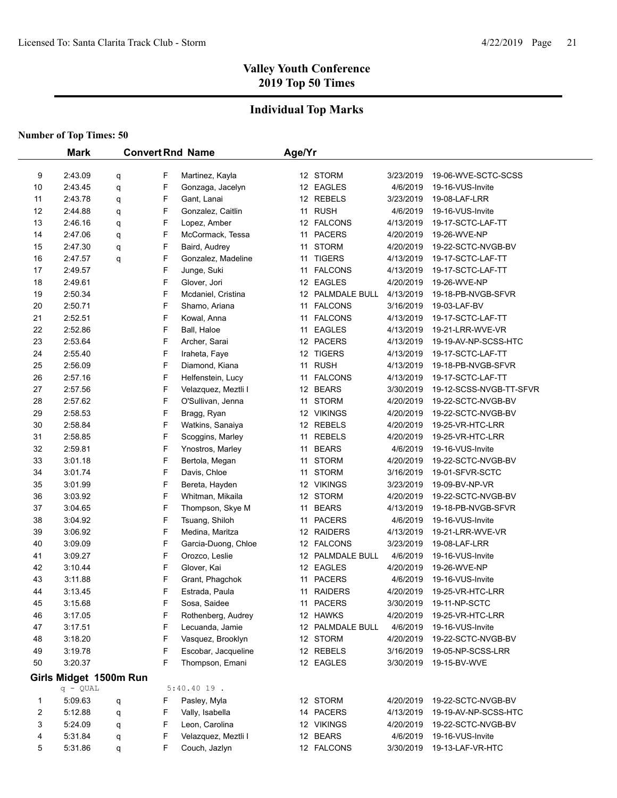## **Individual Top Marks**

|         | <b>Mark</b>            |   |        | <b>Convert Rnd Name</b>         | Age/Yr |                  |                        |                         |
|---------|------------------------|---|--------|---------------------------------|--------|------------------|------------------------|-------------------------|
|         | 2:43.09                |   |        |                                 |        | 12 STORM         | 3/23/2019              | 19-06-WVE-SCTC-SCSS     |
| 9<br>10 | 2:43.45                | q | F<br>F | Martinez, Kayla                 |        | 12 EAGLES        | 4/6/2019               | 19-16-VUS-Invite        |
| 11      | 2:43.78                | q | F      | Gonzaga, Jacelyn<br>Gant, Lanai |        | 12 REBELS        | 3/23/2019              | 19-08-LAF-LRR           |
| 12      | 2:44.88                | q | F      | Gonzalez, Caitlin               |        | 11 RUSH          | 4/6/2019               | 19-16-VUS-Invite        |
| 13      | 2:46.16                | q | F      | Lopez, Amber                    |        | 12 FALCONS       | 4/13/2019              | 19-17-SCTC-LAF-TT       |
| 14      | 2:47.06                | q | F      | McCormack, Tessa                |        | 11 PACERS        | 4/20/2019              |                         |
|         |                        | q |        |                                 |        | 11 STORM         |                        | 19-26-WVE-NP            |
| 15      | 2:47.30                | q | F      | Baird, Audrey                   |        |                  | 4/20/2019<br>4/13/2019 | 19-22-SCTC-NVGB-BV      |
| 16      | 2:47.57                | q | F<br>F | Gonzalez, Madeline              |        | 11 TIGERS        |                        | 19-17-SCTC-LAF-TT       |
| 17      | 2:49.57                |   | F      | Junge, Suki                     | 11     | <b>FALCONS</b>   | 4/13/2019              | 19-17-SCTC-LAF-TT       |
| 18      | 2:49.61                |   |        | Glover, Jori                    |        | 12 EAGLES        | 4/20/2019              | 19-26-WVE-NP            |
| 19      | 2:50.34                |   | F<br>F | Mcdaniel, Cristina              |        | 12 PALMDALE BULL | 4/13/2019              | 19-18-PB-NVGB-SFVR      |
| 20      | 2:50.71                |   |        | Shamo, Ariana                   | 11     | <b>FALCONS</b>   | 3/16/2019              | 19-03-LAF-BV            |
| 21      | 2:52.51                |   | F      | Kowal, Anna                     |        | 11 FALCONS       | 4/13/2019              | 19-17-SCTC-LAF-TT       |
| 22      | 2:52.86                |   | F      | Ball, Haloe                     | 11     | <b>EAGLES</b>    | 4/13/2019              | 19-21-LRR-WVE-VR        |
| 23      | 2:53.64                |   | F      | Archer, Sarai                   |        | 12 PACERS        | 4/13/2019              | 19-19-AV-NP-SCSS-HTC    |
| 24      | 2:55.40                |   | F      | Iraheta, Faye                   |        | 12 TIGERS        | 4/13/2019              | 19-17-SCTC-LAF-TT       |
| 25      | 2:56.09                |   | F      | Diamond, Kiana                  |        | 11 RUSH          | 4/13/2019              | 19-18-PB-NVGB-SFVR      |
| 26      | 2:57.16                |   | F      | Helfenstein, Lucy               |        | 11 FALCONS       | 4/13/2019              | 19-17-SCTC-LAF-TT       |
| 27      | 2:57.56                |   | F      | Velazquez, Meztli I             |        | 12 BEARS         | 3/30/2019              | 19-12-SCSS-NVGB-TT-SFVR |
| 28      | 2:57.62                |   | F      | O'Sullivan, Jenna               |        | 11 STORM         | 4/20/2019              | 19-22-SCTC-NVGB-BV      |
| 29      | 2:58.53                |   | F      | Bragg, Ryan                     |        | 12 VIKINGS       | 4/20/2019              | 19-22-SCTC-NVGB-BV      |
| 30      | 2:58.84                |   | F      | Watkins, Sanaiya                |        | 12 REBELS        | 4/20/2019              | 19-25-VR-HTC-LRR        |
| 31      | 2:58.85                |   | F      | Scoggins, Marley                | 11     | <b>REBELS</b>    | 4/20/2019              | 19-25-VR-HTC-LRR        |
| 32      | 2:59.81                |   | F      | Ynostros, Marley                | 11     | <b>BEARS</b>     | 4/6/2019               | 19-16-VUS-Invite        |
| 33      | 3:01.18                |   | F      | Bertola, Megan                  | 11     | <b>STORM</b>     | 4/20/2019              | 19-22-SCTC-NVGB-BV      |
| 34      | 3:01.74                |   | F      | Davis, Chloe                    | 11     | <b>STORM</b>     | 3/16/2019              | 19-01-SFVR-SCTC         |
| 35      | 3:01.99                |   | F      | Bereta, Hayden                  |        | 12 VIKINGS       | 3/23/2019              | 19-09-BV-NP-VR          |
| 36      | 3:03.92                |   | F      | Whitman, Mikaila                |        | 12 STORM         | 4/20/2019              | 19-22-SCTC-NVGB-BV      |
| 37      | 3:04.65                |   | F      | Thompson, Skye M                |        | 11 BEARS         | 4/13/2019              | 19-18-PB-NVGB-SFVR      |
| 38      | 3:04.92                |   | F      | Tsuang, Shiloh                  |        | 11 PACERS        | 4/6/2019               | 19-16-VUS-Invite        |
| 39      | 3:06.92                |   | F      | Medina, Maritza                 |        | 12 RAIDERS       | 4/13/2019              | 19-21-LRR-WVE-VR        |
| 40      | 3:09.09                |   | F      | Garcia-Duong, Chloe             |        | 12 FALCONS       | 3/23/2019              | 19-08-LAF-LRR           |
| 41      | 3:09.27                |   | F      | Orozco, Leslie                  |        | 12 PALMDALE BULL | 4/6/2019               | 19-16-VUS-Invite        |
| 42      | 3:10.44                |   | F      | Glover, Kai                     |        | 12 EAGLES        | 4/20/2019              | 19-26-WVE-NP            |
| 43      | 3:11.88                |   | F      | Grant, Phagchok                 |        | 11 PACERS        | 4/6/2019               | 19-16-VUS-Invite        |
| 44      | 3:13.45                |   | F      | Estrada, Paula                  |        | 11 RAIDERS       | 4/20/2019              | 19-25-VR-HTC-LRR        |
| 45      | 3:15.68                |   | F      | Sosa, Saidee                    |        | 11 PACERS        | 3/30/2019              | 19-11-NP-SCTC           |
| 46      | 3:17.05                |   | F      | Rothenberg, Audrey              |        | 12 HAWKS         | 4/20/2019              | 19-25-VR-HTC-LRR        |
| 47      | 3:17.51                |   | F      | Lecuanda, Jamie                 |        | 12 PALMDALE BULL | 4/6/2019               | 19-16-VUS-Invite        |
| 48      | 3:18.20                |   | F      | Vasquez, Brooklyn               |        | 12 STORM         | 4/20/2019              | 19-22-SCTC-NVGB-BV      |
| 49      | 3:19.78                |   | F      | Escobar, Jacqueline             |        | 12 REBELS        | 3/16/2019              | 19-05-NP-SCSS-LRR       |
| 50      | 3:20.37                |   | F      | Thompson, Emani                 |        | 12 EAGLES        | 3/30/2019              | 19-15-BV-WVE            |
|         | Girls Midget 1500m Run |   |        |                                 |        |                  |                        |                         |
|         | $q - QUAL$             |   |        | $5:40.4019$ .                   |        |                  |                        |                         |
| 1       | 5:09.63                | q | F      | Pasley, Myla                    |        | 12 STORM         | 4/20/2019              | 19-22-SCTC-NVGB-BV      |
| 2       | 5:12.88                | q | F      | Vally, Isabella                 |        | 14 PACERS        | 4/13/2019              | 19-19-AV-NP-SCSS-HTC    |
| 3       | 5.24.09                | q | F      | Leon, Carolina                  |        | 12 VIKINGS       | 4/20/2019              | 19-22-SCTC-NVGB-BV      |
| 4       | 5.31.84                | q | F      | Velazquez, Meztli I             |        | 12 BEARS         | 4/6/2019               | 19-16-VUS-Invite        |
| 5       | 5:31.86                | q | F      | Couch, Jazlyn                   |        | 12 FALCONS       | 3/30/2019              | 19-13-LAF-VR-HTC        |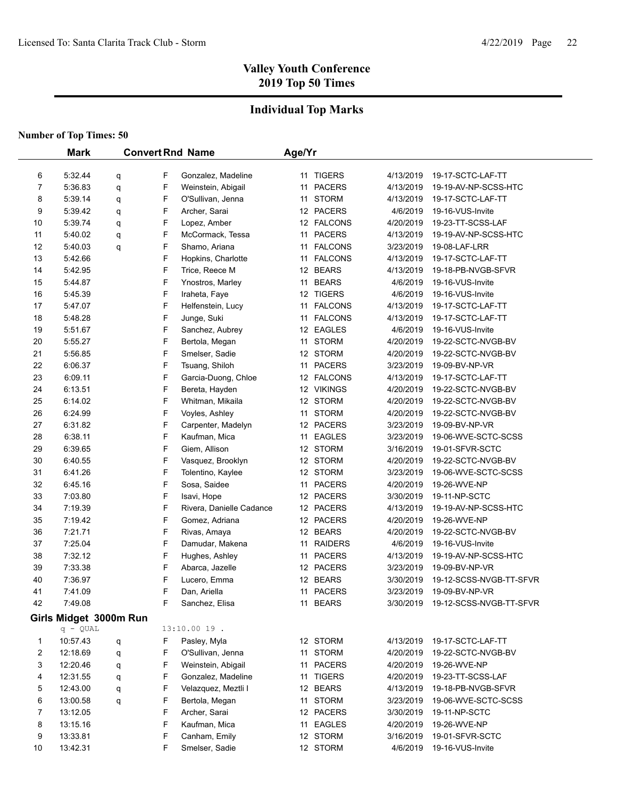## **Individual Top Marks**

|    | <b>Mark</b>            | <b>Convert Rnd Name</b> |   | Age/Yr                   |    |                |           |                                    |
|----|------------------------|-------------------------|---|--------------------------|----|----------------|-----------|------------------------------------|
|    |                        |                         |   |                          |    |                |           |                                    |
| 6  | 5:32.44                | q                       | F | Gonzalez, Madeline       |    | 11 TIGERS      | 4/13/2019 | 19-17-SCTC-LAF-TT                  |
| 7  | 5:36.83                | q                       | F | Weinstein, Abigail       | 11 | <b>PACERS</b>  | 4/13/2019 | 19-19-AV-NP-SCSS-HTC               |
| 8  | 5:39.14                | q                       | F | O'Sullivan, Jenna        | 11 | <b>STORM</b>   | 4/13/2019 | 19-17-SCTC-LAF-TT                  |
| 9  | 5:39.42                | q                       | F | Archer, Sarai            |    | 12 PACERS      | 4/6/2019  | 19-16-VUS-Invite                   |
| 10 | 5:39.74                | q                       | F | Lopez, Amber             |    | 12 FALCONS     | 4/20/2019 | 19-23-TT-SCSS-LAF                  |
| 11 | 5.40.02                | q                       | F | McCormack, Tessa         |    | 11 PACERS      | 4/13/2019 | 19-19-AV-NP-SCSS-HTC               |
| 12 | 5:40.03                | q                       | F | Shamo, Ariana            |    | 11 FALCONS     | 3/23/2019 | 19-08-LAF-LRR                      |
| 13 | 5:42.66                |                         | F | Hopkins, Charlotte       |    | 11 FALCONS     | 4/13/2019 | 19-17-SCTC-LAF-TT                  |
| 14 | 5:42.95                |                         | F | Trice, Reece M           |    | 12 BEARS       | 4/13/2019 | 19-18-PB-NVGB-SFVR                 |
| 15 | 5:44.87                |                         | F | Ynostros, Marley         |    | 11 BEARS       | 4/6/2019  | 19-16-VUS-Invite                   |
| 16 | 5:45.39                |                         | F | Iraheta, Faye            |    | 12 TIGERS      | 4/6/2019  | 19-16-VUS-Invite                   |
| 17 | 5:47.07                |                         | F | Helfenstein, Lucy        |    | 11 FALCONS     | 4/13/2019 | 19-17-SCTC-LAF-TT                  |
| 18 | 5:48.28                |                         | F | Junge, Suki              | 11 | <b>FALCONS</b> | 4/13/2019 | 19-17-SCTC-LAF-TT                  |
| 19 | 5:51.67                |                         | F | Sanchez, Aubrey          |    | 12 EAGLES      | 4/6/2019  | 19-16-VUS-Invite                   |
| 20 | 5:55.27                |                         | F | Bertola, Megan           |    | 11 STORM       | 4/20/2019 | 19-22-SCTC-NVGB-BV                 |
| 21 | 5:56.85                |                         | F | Smelser, Sadie           |    | 12 STORM       | 4/20/2019 | 19-22-SCTC-NVGB-BV                 |
| 22 | 6:06.37                |                         | F | Tsuang, Shiloh           |    | 11 PACERS      | 3/23/2019 | 19-09-BV-NP-VR                     |
| 23 | 6:09.11                |                         | F | Garcia-Duong, Chloe      |    | 12 FALCONS     | 4/13/2019 | 19-17-SCTC-LAF-TT                  |
| 24 | 6:13.51                |                         | F | Bereta, Hayden           |    | 12 VIKINGS     | 4/20/2019 | 19-22-SCTC-NVGB-BV                 |
| 25 | 6:14.02                |                         | F | Whitman, Mikaila         |    | 12 STORM       | 4/20/2019 | 19-22-SCTC-NVGB-BV                 |
| 26 | 6:24.99                |                         | F | Voyles, Ashley           |    | 11 STORM       | 4/20/2019 | 19-22-SCTC-NVGB-BV                 |
| 27 | 6:31.82                |                         | F | Carpenter, Madelyn       |    | 12 PACERS      | 3/23/2019 | 19-09-BV-NP-VR                     |
| 28 | 6:38.11                |                         | F | Kaufman, Mica            |    | 11 EAGLES      | 3/23/2019 | 19-06-WVE-SCTC-SCSS                |
| 29 | 6:39.65                |                         | F | Giem, Allison            |    | 12 STORM       | 3/16/2019 | 19-01-SFVR-SCTC                    |
| 30 | 6:40.55                |                         | F | Vasquez, Brooklyn        |    | 12 STORM       | 4/20/2019 | 19-22-SCTC-NVGB-BV                 |
| 31 | 6:41.26                |                         | F | Tolentino, Kaylee        |    | 12 STORM       | 3/23/2019 | 19-06-WVE-SCTC-SCSS                |
| 32 | 6:45.16                |                         | F | Sosa, Saidee             |    | 11 PACERS      | 4/20/2019 | 19-26-WVE-NP                       |
| 33 | 7:03.80                |                         | F | Isavi, Hope              |    | 12 PACERS      | 3/30/2019 | 19-11-NP-SCTC                      |
| 34 | 7:19.39                |                         | F | Rivera, Danielle Cadance |    | 12 PACERS      | 4/13/2019 | 19-19-AV-NP-SCSS-HTC               |
| 35 | 7:19.42                |                         | F | Gomez, Adriana           |    | 12 PACERS      | 4/20/2019 | 19-26-WVE-NP                       |
| 36 | 7:21.71                |                         | F | Rivas, Amaya             |    | 12 BEARS       | 4/20/2019 | 19-22-SCTC-NVGB-BV                 |
| 37 | 7:25.04                |                         | F | Damudar, Makena          |    | 11 RAIDERS     | 4/6/2019  | 19-16-VUS-Invite                   |
| 38 | 7:32.12                |                         | F | Hughes, Ashley           |    | 11 PACERS      | 4/13/2019 | 19-19-AV-NP-SCSS-HTC               |
| 39 | 7:33.38                |                         | F | Abarca, Jazelle          |    | 12 PACERS      | 3/23/2019 | 19-09-BV-NP-VR                     |
| 40 | 7:36.97                |                         | F | Lucero, Emma             |    | 12 BEARS       | 3/30/2019 | 19-12-SCSS-NVGB-TT-SFVR            |
| 41 | 7:41.09                |                         | F | Dan, Ariella             |    | 11 PACERS      | 3/23/2019 | 19-09-BV-NP-VR                     |
| 42 | 7:49.08                |                         | F | Sanchez, Elisa           |    | 11 BEARS       |           | 3/30/2019  19-12-SCSS-NVGB-TT-SFVR |
|    | Girls Midget 3000m Run |                         |   |                          |    |                |           |                                    |
|    | $q - QUAL$             |                         |   | $13:10.0019$ .           |    |                |           |                                    |
| 1  | 10:57.43               | q                       | F | Pasley, Myla             |    | 12 STORM       | 4/13/2019 | 19-17-SCTC-LAF-TT                  |
| 2  | 12:18.69               | q                       | F | O'Sullivan, Jenna        |    | 11 STORM       | 4/20/2019 | 19-22-SCTC-NVGB-BV                 |
| 3  | 12:20.46               | q                       | F | Weinstein, Abigail       | 11 | <b>PACERS</b>  | 4/20/2019 | 19-26-WVE-NP                       |
| 4  | 12:31.55               | q                       | F | Gonzalez, Madeline       |    | 11 TIGERS      | 4/20/2019 | 19-23-TT-SCSS-LAF                  |
| 5  | 12:43.00               | q                       | F | Velazquez, Meztli I      |    | 12 BEARS       | 4/13/2019 | 19-18-PB-NVGB-SFVR                 |
| 6  | 13:00.58               | q                       | F | Bertola, Megan           |    | 11 STORM       | 3/23/2019 | 19-06-WVE-SCTC-SCSS                |
| 7  | 13:12.05               |                         | F | Archer, Sarai            |    | 12 PACERS      | 3/30/2019 | 19-11-NP-SCTC                      |
| 8  | 13:15.16               |                         | F | Kaufman, Mica            |    | 11 EAGLES      | 4/20/2019 | 19-26-WVE-NP                       |
| 9  | 13:33.81               |                         | F | Canham, Emily            |    | 12 STORM       | 3/16/2019 | 19-01-SFVR-SCTC                    |
| 10 | 13:42.31               |                         | F | Smelser, Sadie           |    | 12 STORM       | 4/6/2019  | 19-16-VUS-Invite                   |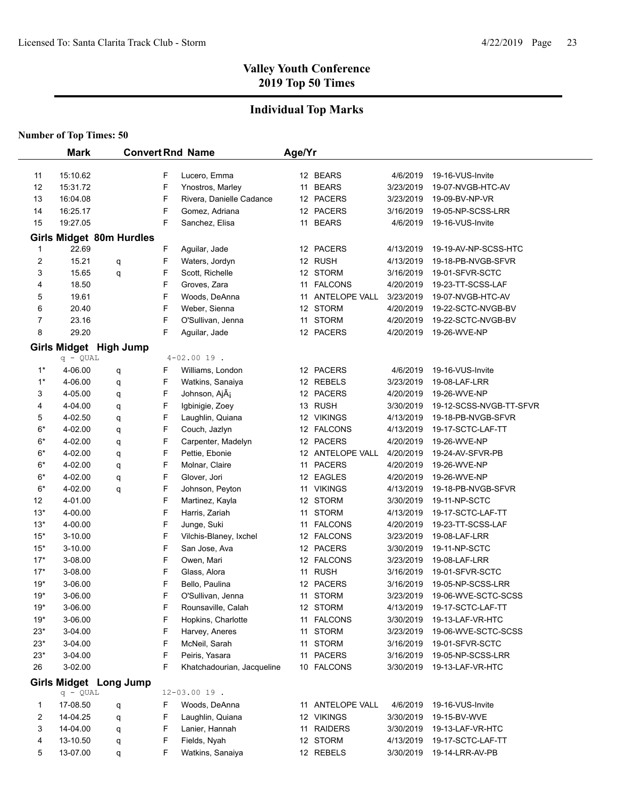## **Individual Top Marks**

|                | <b>Mark</b>        |                                 |        | <b>Convert Rnd Name</b>        | Age/Yr |                         |                        |                                      |
|----------------|--------------------|---------------------------------|--------|--------------------------------|--------|-------------------------|------------------------|--------------------------------------|
|                |                    |                                 |        |                                |        |                         |                        |                                      |
| 11             | 15:10.62           |                                 | F      | Lucero, Emma                   |        | 12 BEARS                | 4/6/2019               | 19-16-VUS-Invite                     |
| 12             | 15:31.72           |                                 | F      | Ynostros, Marley               |        | 11 BEARS                | 3/23/2019              | 19-07-NVGB-HTC-AV                    |
| 13             | 16:04.08           |                                 | F      | Rivera, Danielle Cadance       |        | 12 PACERS               | 3/23/2019              | 19-09-BV-NP-VR                       |
| 14             | 16:25.17           |                                 | F      | Gomez, Adriana                 |        | 12 PACERS               | 3/16/2019              | 19-05-NP-SCSS-LRR                    |
| 15             | 19:27.05           |                                 | F      | Sanchez, Elisa                 |        | 11 BEARS                | 4/6/2019               | 19-16-VUS-Invite                     |
|                |                    | <b>Girls Midget 80m Hurdles</b> |        |                                |        |                         |                        |                                      |
| $\mathbf{1}$   | 22.69              |                                 | F      | Aguilar, Jade                  |        | 12 PACERS               | 4/13/2019              | 19-19-AV-NP-SCSS-HTC                 |
| 2              | 15.21              | q                               | F      | Waters, Jordyn                 |        | 12 RUSH                 | 4/13/2019              | 19-18-PB-NVGB-SFVR                   |
| 3              | 15.65              | q                               | F      | Scott, Richelle                |        | 12 STORM                | 3/16/2019              | 19-01-SFVR-SCTC                      |
| 4              | 18.50              |                                 | F      | Groves, Zara                   |        | 11 FALCONS              | 4/20/2019              | 19-23-TT-SCSS-LAF                    |
| 5              | 19.61              |                                 | F      | Woods, DeAnna                  |        | 11 ANTELOPE VALL        | 3/23/2019              | 19-07-NVGB-HTC-AV                    |
| 6              | 20.40              |                                 | F      | Weber, Sienna                  |        | 12 STORM                | 4/20/2019              | 19-22-SCTC-NVGB-BV                   |
| 7              | 23.16              |                                 | F      | O'Sullivan, Jenna              |        | 11 STORM                | 4/20/2019              | 19-22-SCTC-NVGB-BV                   |
| 8              | 29.20              |                                 | F      | Aguilar, Jade                  |        | 12 PACERS               | 4/20/2019              | 19-26-WVE-NP                         |
|                |                    | Girls Midget High Jump          |        |                                |        |                         |                        |                                      |
|                | $q - QUAL$         |                                 |        | $4 - 02.0019$ .                |        |                         |                        |                                      |
| $1^*$          | 4-06.00            | q                               | F      | Williams, London               |        | 12 PACERS               | 4/6/2019               | 19-16-VUS-Invite                     |
| $1^*$          | 4-06.00            | q                               | F      | Watkins, Sanaiya               |        | 12 REBELS               | 3/23/2019              | 19-08-LAF-LRR                        |
| 3              | 4-05.00            | q                               | F      | Johnson, AjÃ <sub>i</sub>      |        | 12 PACERS               | 4/20/2019              | 19-26-WVE-NP                         |
| 4              | 4-04.00            | q                               | F      | Igbinigie, Zoey                |        | 13 RUSH                 | 3/30/2019              | 19-12-SCSS-NVGB-TT-SFVR              |
| 5              | 4-02.50            | q                               | F      | Laughlin, Quiana               |        | 12 VIKINGS              | 4/13/2019              | 19-18-PB-NVGB-SFVR                   |
| $6*$           | 4-02.00            | q                               | F      | Couch, Jazlyn                  |        | 12 FALCONS              | 4/13/2019              | 19-17-SCTC-LAF-TT                    |
| $6*$           | 4-02.00            | q                               | F      | Carpenter, Madelyn             |        | 12 PACERS               | 4/20/2019              | 19-26-WVE-NP                         |
| $6*$           | 4-02.00            | q                               | F      | Pettie, Ebonie                 |        | 12 ANTELOPE VALL        | 4/20/2019              | 19-24-AV-SFVR-PB                     |
| $6*$           | 4-02.00            | q                               | F      | Molnar, Claire                 |        | 11 PACERS               | 4/20/2019              | 19-26-WVE-NP                         |
| $6*$           | 4-02.00            | q                               | F      | Glover, Jori                   |        | 12 EAGLES               | 4/20/2019              | 19-26-WVE-NP                         |
| $6*$           | 4-02.00            | q                               | F      | Johnson, Peyton                |        | 11 VIKINGS              | 4/13/2019              | 19-18-PB-NVGB-SFVR                   |
| 12             | 4-01.00            |                                 | F      | Martinez, Kayla                |        | 12 STORM                | 3/30/2019              | 19-11-NP-SCTC                        |
| $13*$          | 4-00.00            |                                 | F      | Harris, Zariah                 |        | 11 STORM                | 4/13/2019              | 19-17-SCTC-LAF-TT                    |
| $13*$          | 4-00.00            |                                 | F      | Junge, Suki                    |        | 11 FALCONS              | 4/20/2019              | 19-23-TT-SCSS-LAF                    |
| $15*$          | 3-10.00            |                                 | F      | Vilchis-Blaney, Ixchel         |        | 12 FALCONS              | 3/23/2019              | 19-08-LAF-LRR<br>19-11-NP-SCTC       |
| $15*$          | 3-10.00            |                                 | F      | San Jose, Ava                  |        | 12 PACERS<br>12 FALCONS | 3/30/2019              | 19-08-LAF-LRR                        |
| $17*$<br>$17*$ | 3-08.00<br>3-08.00 |                                 | F<br>F | Owen, Mari                     |        | 11 RUSH                 | 3/23/2019              |                                      |
| $19*$          | 3-06.00            |                                 | F      | Glass, Alora<br>Bello, Paulina |        | 12 PACERS               | 3/16/2019<br>3/16/2019 | 19-01-SFVR-SCTC<br>19-05-NP-SCSS-LRR |
| $19*$          | 3-06.00            |                                 | F      | O'Sullivan, Jenna              |        | 11 STORM                | 3/23/2019              | 19-06-WVE-SCTC-SCSS                  |
| $19*$          | 3-06.00            |                                 | F      | Rounsaville, Calah             |        | 12 STORM                | 4/13/2019              | 19-17-SCTC-LAF-TT                    |
| $19*$          | 3-06.00            |                                 | F      | Hopkins, Charlotte             |        | 11 FALCONS              | 3/30/2019              | 19-13-LAF-VR-HTC                     |
| $23*$          | 3-04.00            |                                 | F      | Harvey, Aneres                 |        | 11 STORM                | 3/23/2019              | 19-06-WVE-SCTC-SCSS                  |
| $23*$          | 3-04.00            |                                 | F      | McNeil, Sarah                  |        | 11 STORM                | 3/16/2019              | 19-01-SFVR-SCTC                      |
| $23*$          | 3-04.00            |                                 | F      | Peiris, Yasara                 |        | 11 PACERS               | 3/16/2019              | 19-05-NP-SCSS-LRR                    |
| 26             | 3-02.00            |                                 | F      | Khatchadourian, Jacqueline     |        | 10 FALCONS              | 3/30/2019              | 19-13-LAF-VR-HTC                     |
|                |                    |                                 |        |                                |        |                         |                        |                                      |
|                | $q - QUAL$         | <b>Girls Midget Long Jump</b>   |        | $12 - 03.0019$ .               |        |                         |                        |                                      |
| 1              | 17-08.50           |                                 | F      | Woods, DeAnna                  |        | 11 ANTELOPE VALL        | 4/6/2019               | 19-16-VUS-Invite                     |
| 2              | 14-04.25           | q<br>q                          | F      | Laughlin, Quiana               |        | 12 VIKINGS              | 3/30/2019              | 19-15-BV-WVE                         |
| 3              | 14-04.00           | q                               | F      | Lanier, Hannah                 |        | 11 RAIDERS              | 3/30/2019              | 19-13-LAF-VR-HTC                     |
| 4              | 13-10.50           | q                               | F      | Fields, Nyah                   |        | 12 STORM                | 4/13/2019              | 19-17-SCTC-LAF-TT                    |
| 5              | 13-07.00           | q                               | F      | Watkins, Sanaiya               |        | 12 REBELS               | 3/30/2019              | 19-14-LRR-AV-PB                      |
|                |                    |                                 |        |                                |        |                         |                        |                                      |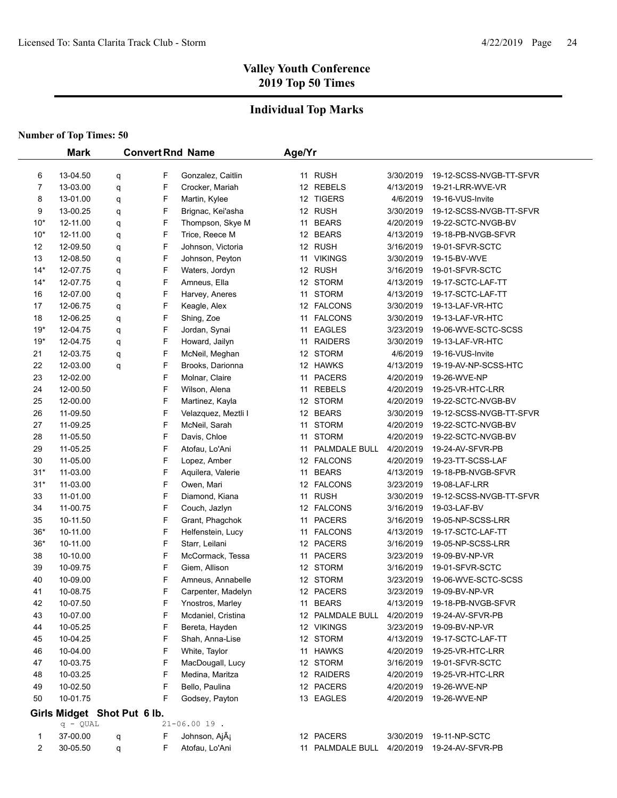## **Individual Top Marks**

|       | <b>Mark</b>                 |   |   | <b>Convert Rnd Name</b>   | Age/Yr |                  |           |                         |
|-------|-----------------------------|---|---|---------------------------|--------|------------------|-----------|-------------------------|
|       |                             |   |   |                           |        |                  |           |                         |
| 6     | 13-04.50                    | q | F | Gonzalez, Caitlin         |        | 11 RUSH          | 3/30/2019 | 19-12-SCSS-NVGB-TT-SFVR |
| 7     | 13-03.00                    | q | F | Crocker, Mariah           |        | 12 REBELS        | 4/13/2019 | 19-21-LRR-WVE-VR        |
| 8     | 13-01.00                    | q | F | Martin, Kylee             |        | 12 TIGERS        | 4/6/2019  | 19-16-VUS-Invite        |
| 9     | 13-00.25                    | q | F | Brignac, Kei'asha         |        | 12 RUSH          | 3/30/2019 | 19-12-SCSS-NVGB-TT-SFVR |
| $10*$ | 12-11.00                    | q | F | Thompson, Skye M          |        | 11 BEARS         | 4/20/2019 | 19-22-SCTC-NVGB-BV      |
| $10*$ | 12-11.00                    | q | F | Trice, Reece M            |        | 12 BEARS         | 4/13/2019 | 19-18-PB-NVGB-SFVR      |
| 12    | 12-09.50                    | q | F | Johnson, Victoria         |        | 12 RUSH          | 3/16/2019 | 19-01-SFVR-SCTC         |
| 13    | 12-08.50                    | q | F | Johnson, Peyton           |        | 11 VIKINGS       | 3/30/2019 | 19-15-BV-WVE            |
| $14*$ | 12-07.75                    | q | F | Waters, Jordyn            |        | 12 RUSH          | 3/16/2019 | 19-01-SFVR-SCTC         |
| $14*$ | 12-07.75                    | q | F | Amneus, Ella              |        | 12 STORM         | 4/13/2019 | 19-17-SCTC-LAF-TT       |
| 16    | 12-07.00                    | q | F | Harvey, Aneres            | 11     | <b>STORM</b>     | 4/13/2019 | 19-17-SCTC-LAF-TT       |
| 17    | 12-06.75                    | q | F | Keagle, Alex              |        | 12 FALCONS       | 3/30/2019 | 19-13-LAF-VR-HTC        |
| 18    | 12-06.25                    | q | F | Shing, Zoe                |        | 11 FALCONS       | 3/30/2019 | 19-13-LAF-VR-HTC        |
| $19*$ | 12-04.75                    | q | F | Jordan, Synai             | 11     | EAGLES           | 3/23/2019 | 19-06-WVE-SCTC-SCSS     |
| $19*$ | 12-04.75                    | q | F | Howard, Jailyn            | 11     | <b>RAIDERS</b>   | 3/30/2019 | 19-13-LAF-VR-HTC        |
| 21    | 12-03.75                    | q | F | McNeil, Meghan            |        | 12 STORM         | 4/6/2019  | 19-16-VUS-Invite        |
| 22    | 12-03.00                    | q | F | Brooks, Darionna          |        | 12 HAWKS         | 4/13/2019 | 19-19-AV-NP-SCSS-HTC    |
| 23    | 12-02.00                    |   | F | Molnar, Claire            |        | 11 PACERS        | 4/20/2019 | 19-26-WVE-NP            |
| 24    | 12-00.50                    |   | F | Wilson, Alena             |        | 11 REBELS        | 4/20/2019 | 19-25-VR-HTC-LRR        |
| 25    | 12-00.00                    |   | F | Martinez, Kayla           |        | 12 STORM         | 4/20/2019 | 19-22-SCTC-NVGB-BV      |
| 26    | 11-09.50                    |   | F | Velazquez, Meztli I       |        | 12 BEARS         | 3/30/2019 | 19-12-SCSS-NVGB-TT-SFVR |
| 27    | 11-09.25                    |   | F | McNeil, Sarah             |        | 11 STORM         | 4/20/2019 | 19-22-SCTC-NVGB-BV      |
| 28    | 11-05.50                    |   | F | Davis, Chloe              |        | 11 STORM         | 4/20/2019 | 19-22-SCTC-NVGB-BV      |
| 29    | 11-05.25                    |   | F | Atofau, Lo'Ani            | 11     | PALMDALE BULL    | 4/20/2019 | 19-24-AV-SFVR-PB        |
| 30    | 11-05.00                    |   | F | Lopez, Amber              |        | 12 FALCONS       | 4/20/2019 | 19-23-TT-SCSS-LAF       |
| $31*$ | 11-03.00                    |   | F | Aquilera, Valerie         | 11     | <b>BEARS</b>     | 4/13/2019 | 19-18-PB-NVGB-SFVR      |
| $31*$ | 11-03.00                    |   | F | Owen, Mari                |        | 12 FALCONS       | 3/23/2019 | 19-08-LAF-LRR           |
| 33    | 11-01.00                    |   | F | Diamond, Kiana            |        | 11 RUSH          | 3/30/2019 | 19-12-SCSS-NVGB-TT-SFVR |
| 34    | 11-00.75                    |   | F | Couch, Jazlyn             |        | 12 FALCONS       | 3/16/2019 | 19-03-LAF-BV            |
| 35    | 10-11.50                    |   | F | Grant, Phagchok           | 11     | <b>PACERS</b>    | 3/16/2019 | 19-05-NP-SCSS-LRR       |
| $36*$ | 10-11.00                    |   | F | Helfenstein, Lucy         |        | 11 FALCONS       | 4/13/2019 | 19-17-SCTC-LAF-TT       |
| $36*$ | 10-11.00                    |   | F | Starr, Leilani            |        | 12 PACERS        | 3/16/2019 | 19-05-NP-SCSS-LRR       |
| 38    | 10-10.00                    |   | F | McCormack, Tessa          |        | 11 PACERS        | 3/23/2019 | 19-09-BV-NP-VR          |
| 39    | 10-09.75                    |   | F | Giem, Allison             |        | 12 STORM         | 3/16/2019 | 19-01-SFVR-SCTC         |
| 40    | 10-09.00                    |   | F | Amneus, Annabelle         |        | 12 STORM         | 3/23/2019 | 19-06-WVE-SCTC-SCSS     |
| 41    | 10-08.75                    |   | F | Carpenter, Madelyn        |        | 12 PACERS        | 3/23/2019 | 19-09-BV-NP-VR          |
| 42    | 10-07.50                    |   | F | Ynostros, Marley          |        | 11 BEARS         | 4/13/2019 | 19-18-PB-NVGB-SFVR      |
| 43    | 10-07.00                    |   | F | Mcdaniel, Cristina        |        | 12 PALMDALE BULL | 4/20/2019 | 19-24-AV-SFVR-PB        |
| 44    | 10-05.25                    |   | F | Bereta, Hayden            |        | 12 VIKINGS       | 3/23/2019 | 19-09-BV-NP-VR          |
| 45    | 10-04.25                    |   | F | Shah, Anna-Lise           |        | 12 STORM         | 4/13/2019 | 19-17-SCTC-LAF-TT       |
| 46    | 10-04.00                    |   | F | White, Taylor             |        | 11 HAWKS         | 4/20/2019 | 19-25-VR-HTC-LRR        |
| 47    | 10-03.75                    |   | F | MacDougall, Lucy          |        | 12 STORM         | 3/16/2019 | 19-01-SFVR-SCTC         |
| 48    | 10-03.25                    |   | F | Medina, Maritza           |        | 12 RAIDERS       | 4/20/2019 | 19-25-VR-HTC-LRR        |
| 49    | 10-02.50                    |   | F | Bello, Paulina            |        | 12 PACERS        | 4/20/2019 | 19-26-WVE-NP            |
| 50    | 10-01.75                    |   | F | Godsey, Payton            |        | 13 EAGLES        | 4/20/2019 | 19-26-WVE-NP            |
|       | Girls Midget Shot Put 6 lb. |   |   |                           |        |                  |           |                         |
|       | $q - QUAL$                  |   |   | $21 - 06.0019$ .          |        |                  |           |                         |
| 1     | 37-00.00                    | q | F | Johnson, AjÃ <sub>i</sub> |        | 12 PACERS        | 3/30/2019 | 19-11-NP-SCTC           |
| 2     | 30-05.50                    | q | F | Atofau, Lo'Ani            |        | 11 PALMDALE BULL | 4/20/2019 | 19-24-AV-SFVR-PB        |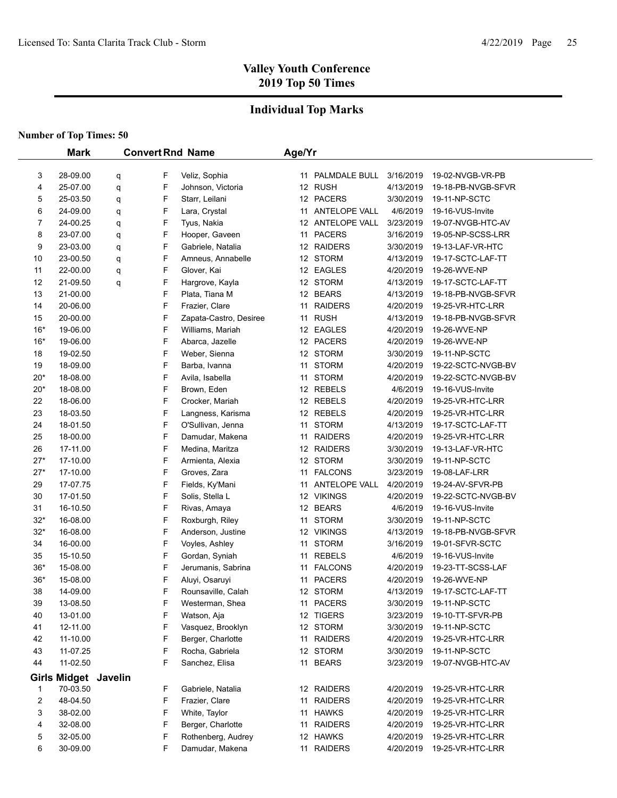## **Individual Top Marks**

|       | <b>Mark</b>          |   |   | <b>Convert Rnd Name</b> | Age/Yr |                  |           |                    |
|-------|----------------------|---|---|-------------------------|--------|------------------|-----------|--------------------|
|       |                      |   |   |                         |        |                  |           |                    |
| 3     | 28-09.00             | q | F | Veliz, Sophia           |        | 11 PALMDALE BULL | 3/16/2019 | 19-02-NVGB-VR-PB   |
| 4     | 25-07.00             | q | F | Johnson, Victoria       |        | 12 RUSH          | 4/13/2019 | 19-18-PB-NVGB-SFVR |
| 5     | 25-03.50             | q | F | Starr, Leilani          |        | 12 PACERS        | 3/30/2019 | 19-11-NP-SCTC      |
| 6     | 24-09.00             | q | F | Lara, Crystal           |        | 11 ANTELOPE VALL | 4/6/2019  | 19-16-VUS-Invite   |
| 7     | 24-00.25             | q | F | Tyus, Nakia             |        | 12 ANTELOPE VALL | 3/23/2019 | 19-07-NVGB-HTC-AV  |
| 8     | 23-07.00             | q | F | Hooper, Gaveen          |        | 11 PACERS        | 3/16/2019 | 19-05-NP-SCSS-LRR  |
| 9     | 23-03.00             | q | F | Gabriele, Natalia       |        | 12 RAIDERS       | 3/30/2019 | 19-13-LAF-VR-HTC   |
| 10    | 23-00.50             | q | F | Amneus, Annabelle       |        | 12 STORM         | 4/13/2019 | 19-17-SCTC-LAF-TT  |
| 11    | 22-00.00             | q | F | Glover, Kai             |        | 12 EAGLES        | 4/20/2019 | 19-26-WVE-NP       |
| 12    | 21-09.50             | q | F | Hargrove, Kayla         |        | 12 STORM         | 4/13/2019 | 19-17-SCTC-LAF-TT  |
| 13    | 21-00.00             |   | F | Plata, Tiana M          |        | 12 BEARS         | 4/13/2019 | 19-18-PB-NVGB-SFVR |
| 14    | 20-06.00             |   | F | Frazier, Clare          |        | 11 RAIDERS       | 4/20/2019 | 19-25-VR-HTC-LRR   |
| 15    | 20-00.00             |   | F | Zapata-Castro, Desiree  |        | 11 RUSH          | 4/13/2019 | 19-18-PB-NVGB-SFVR |
| $16*$ | 19-06.00             |   | F | Williams, Mariah        |        | 12 EAGLES        | 4/20/2019 | 19-26-WVE-NP       |
| $16*$ | 19-06.00             |   | F | Abarca, Jazelle         |        | 12 PACERS        | 4/20/2019 | 19-26-WVE-NP       |
| 18    | 19-02.50             |   | F | Weber, Sienna           |        | 12 STORM         | 3/30/2019 | 19-11-NP-SCTC      |
| 19    | 18-09.00             |   | F | Barba, Ivanna           |        | 11 STORM         | 4/20/2019 | 19-22-SCTC-NVGB-BV |
| $20*$ | 18-08.00             |   | F | Avila, Isabella         |        | 11 STORM         | 4/20/2019 | 19-22-SCTC-NVGB-BV |
| $20*$ | 18-08.00             |   | F | Brown, Eden             |        | 12 REBELS        | 4/6/2019  | 19-16-VUS-Invite   |
| 22    | 18-06.00             |   | F | Crocker, Mariah         |        | 12 REBELS        | 4/20/2019 | 19-25-VR-HTC-LRR   |
| 23    | 18-03.50             |   | F | Langness, Karisma       |        | 12 REBELS        | 4/20/2019 | 19-25-VR-HTC-LRR   |
| 24    | 18-01.50             |   | F | O'Sullivan, Jenna       |        | 11 STORM         | 4/13/2019 | 19-17-SCTC-LAF-TT  |
| 25    | 18-00.00             |   | F | Damudar, Makena         |        | 11 RAIDERS       | 4/20/2019 | 19-25-VR-HTC-LRR   |
| 26    | 17-11.00             |   | F | Medina, Maritza         |        | 12 RAIDERS       | 3/30/2019 | 19-13-LAF-VR-HTC   |
| $27*$ | 17-10.00             |   | F | Armienta, Alexia        |        | 12 STORM         | 3/30/2019 | 19-11-NP-SCTC      |
| $27*$ | 17-10.00             |   | F | Groves, Zara            |        | 11 FALCONS       | 3/23/2019 | 19-08-LAF-LRR      |
| 29    | 17-07.75             |   | F | Fields, Ky'Mani         |        | 11 ANTELOPE VALL | 4/20/2019 | 19-24-AV-SFVR-PB   |
| 30    | 17-01.50             |   | F | Solis, Stella L         |        | 12 VIKINGS       | 4/20/2019 | 19-22-SCTC-NVGB-BV |
| 31    | 16-10.50             |   | F | Rivas, Amaya            |        | 12 BEARS         | 4/6/2019  | 19-16-VUS-Invite   |
| $32*$ | 16-08.00             |   | F | Roxburgh, Riley         |        | 11 STORM         | 3/30/2019 | 19-11-NP-SCTC      |
| $32*$ | 16-08.00             |   | F | Anderson, Justine       |        | 12 VIKINGS       | 4/13/2019 | 19-18-PB-NVGB-SFVR |
| 34    | 16-00.00             |   | F | Voyles, Ashley          |        | 11 STORM         | 3/16/2019 | 19-01-SFVR-SCTC    |
| 35    | 15-10.50             |   | F | Gordan, Syniah          |        | 11 REBELS        | 4/6/2019  | 19-16-VUS-Invite   |
| $36*$ | 15-08.00             |   | F | Jerumanis, Sabrina      |        | 11 FALCONS       | 4/20/2019 | 19-23-TT-SCSS-LAF  |
| $36*$ | 15-08.00             |   | F | Aluyi, Osaruyi          |        | 11 PACERS        | 4/20/2019 | 19-26-WVE-NP       |
| 38    | 14-09.00             |   | F | Rounsaville, Calah      |        | 12 STORM         | 4/13/2019 | 19-17-SCTC-LAF-TT  |
| 39    | 13-08.50             |   | F | Westerman, Shea         |        | 11 PACERS        | 3/30/2019 | 19-11-NP-SCTC      |
| 40    | 13-01.00             |   | F | Watson, Aja             |        | 12 TIGERS        | 3/23/2019 | 19-10-TT-SFVR-PB   |
| 41    | 12-11.00             |   | F | Vasquez, Brooklyn       |        | 12 STORM         | 3/30/2019 | 19-11-NP-SCTC      |
| 42    | 11-10.00             |   | F | Berger, Charlotte       |        | 11 RAIDERS       | 4/20/2019 | 19-25-VR-HTC-LRR   |
| 43    | 11-07.25             |   | F | Rocha, Gabriela         |        | 12 STORM         | 3/30/2019 | 19-11-NP-SCTC      |
| 44    | 11-02.50             |   | F | Sanchez, Elisa          |        | 11 BEARS         | 3/23/2019 | 19-07-NVGB-HTC-AV  |
|       | Girls Midget Javelin |   |   |                         |        |                  |           |                    |
| 1     | 70-03.50             |   | F | Gabriele, Natalia       |        | 12 RAIDERS       | 4/20/2019 | 19-25-VR-HTC-LRR   |
| 2     | 48-04.50             |   | F | Frazier, Clare          |        | 11 RAIDERS       | 4/20/2019 | 19-25-VR-HTC-LRR   |
| 3     | 38-02.00             |   | F | White, Taylor           |        | 11 HAWKS         | 4/20/2019 | 19-25-VR-HTC-LRR   |
| 4     | 32-08.00             |   | F | Berger, Charlotte       |        | 11 RAIDERS       | 4/20/2019 | 19-25-VR-HTC-LRR   |
| 5     | 32-05.00             |   | F | Rothenberg, Audrey      |        | 12 HAWKS         | 4/20/2019 | 19-25-VR-HTC-LRR   |
| 6     | 30-09.00             |   | F | Damudar, Makena         |        | 11 RAIDERS       | 4/20/2019 | 19-25-VR-HTC-LRR   |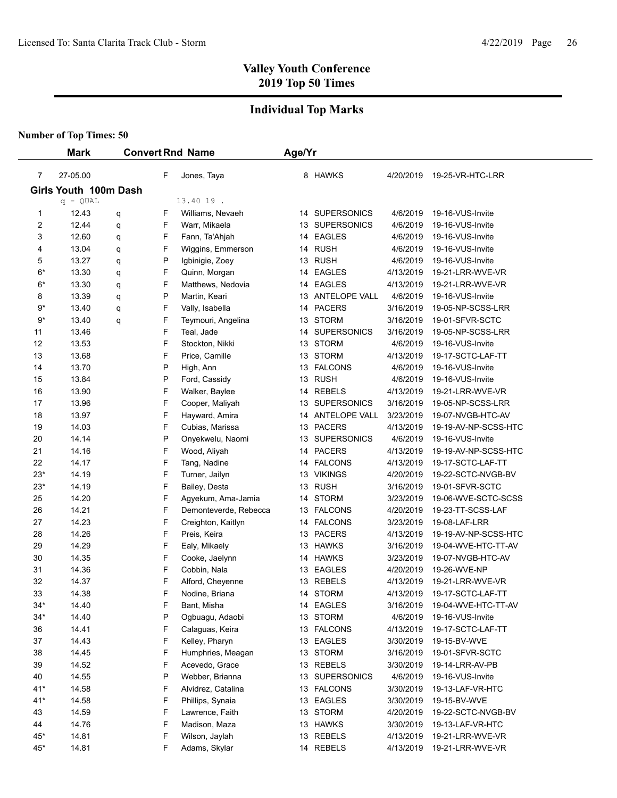## **Individual Top Marks**

|                         | <b>Mark</b>           |   |   | <b>Convert Rnd Name</b> | Age/Yr |                  |           |                      |  |  |
|-------------------------|-----------------------|---|---|-------------------------|--------|------------------|-----------|----------------------|--|--|
| 7                       | 27-05.00              |   | F | Jones, Taya             |        | 8 HAWKS          | 4/20/2019 | 19-25-VR-HTC-LRR     |  |  |
|                         | Girls Youth 100m Dash |   |   |                         |        |                  |           |                      |  |  |
|                         | $q - QUAL$            |   |   | 13.40 19.               |        |                  |           |                      |  |  |
| 1                       | 12.43                 | q | F | Williams, Nevaeh        |        | 14 SUPERSONICS   | 4/6/2019  | 19-16-VUS-Invite     |  |  |
| $\overline{\mathbf{c}}$ | 12.44                 | q | F | Warr, Mikaela           |        | 13 SUPERSONICS   | 4/6/2019  | 19-16-VUS-Invite     |  |  |
| 3                       | 12.60                 | q | F | Fann, Ta'Ahjah          |        | 14 EAGLES        | 4/6/2019  | 19-16-VUS-Invite     |  |  |
| 4                       | 13.04                 | q | F | Wiggins, Emmerson       |        | 14 RUSH          | 4/6/2019  | 19-16-VUS-Invite     |  |  |
| 5                       | 13.27                 | q | P | Igbinigie, Zoey         |        | 13 RUSH          | 4/6/2019  | 19-16-VUS-Invite     |  |  |
| $6*$                    | 13.30                 | q | F | Quinn, Morgan           |        | 14 EAGLES        | 4/13/2019 | 19-21-LRR-WVE-VR     |  |  |
| 6*                      | 13.30                 | q | F | Matthews, Nedovia       |        | 14 EAGLES        | 4/13/2019 | 19-21-LRR-WVE-VR     |  |  |
| 8                       | 13.39                 | q | P | Martin, Keari           |        | 13 ANTELOPE VALL | 4/6/2019  | 19-16-VUS-Invite     |  |  |
| 9*                      | 13.40                 | q | F | Vally, Isabella         | 14     | <b>PACERS</b>    | 3/16/2019 | 19-05-NP-SCSS-LRR    |  |  |
| 9*                      | 13.40                 | q | F | Teymouri, Angelina      |        | 13 STORM         | 3/16/2019 | 19-01-SFVR-SCTC      |  |  |
| 11                      | 13.46                 |   | F | Teal, Jade              |        | 14 SUPERSONICS   | 3/16/2019 | 19-05-NP-SCSS-LRR    |  |  |
| 12                      | 13.53                 |   | F | Stockton, Nikki         |        | 13 STORM         | 4/6/2019  | 19-16-VUS-Invite     |  |  |
| 13                      | 13.68                 |   | F | Price, Camille          |        | 13 STORM         | 4/13/2019 | 19-17-SCTC-LAF-TT    |  |  |
| 14                      | 13.70                 |   | P | High, Ann               |        | 13 FALCONS       | 4/6/2019  | 19-16-VUS-Invite     |  |  |
| 15                      | 13.84                 |   | P | Ford, Cassidy           |        | 13 RUSH          | 4/6/2019  | 19-16-VUS-Invite     |  |  |
| 16                      | 13.90                 |   | F | Walker, Baylee          |        | 14 REBELS        | 4/13/2019 | 19-21-LRR-WVE-VR     |  |  |
| 17                      | 13.96                 |   | F | Cooper, Maliyah         |        | 13 SUPERSONICS   | 3/16/2019 | 19-05-NP-SCSS-LRR    |  |  |
| 18                      | 13.97                 |   | F | Hayward, Amira          |        | 14 ANTELOPE VALL | 3/23/2019 | 19-07-NVGB-HTC-AV    |  |  |
| 19                      | 14.03                 |   | F | Cubias, Marissa         |        | 13 PACERS        | 4/13/2019 | 19-19-AV-NP-SCSS-HTC |  |  |
| 20                      | 14.14                 |   | P | Onyekwelu, Naomi        |        | 13 SUPERSONICS   | 4/6/2019  | 19-16-VUS-Invite     |  |  |
| 21                      | 14.16                 |   | F | Wood, Aliyah            |        | 14 PACERS        | 4/13/2019 | 19-19-AV-NP-SCSS-HTC |  |  |
| 22                      | 14.17                 |   | F | Tang, Nadine            |        | 14 FALCONS       | 4/13/2019 | 19-17-SCTC-LAF-TT    |  |  |
| $23*$                   | 14.19                 |   | F | Turner, Jailyn          |        | 13 VIKINGS       | 4/20/2019 | 19-22-SCTC-NVGB-BV   |  |  |
| $23*$                   | 14.19                 |   | F | Bailey, Desta           |        | 13 RUSH          | 3/16/2019 | 19-01-SFVR-SCTC      |  |  |
| 25                      | 14.20                 |   | F | Agyekum, Ama-Jamia      |        | 14 STORM         | 3/23/2019 | 19-06-WVE-SCTC-SCSS  |  |  |
| 26                      | 14.21                 |   | F | Demonteverde, Rebecca   |        | 13 FALCONS       | 4/20/2019 | 19-23-TT-SCSS-LAF    |  |  |
| 27                      | 14.23                 |   | F | Creighton, Kaitlyn      |        | 14 FALCONS       | 3/23/2019 | 19-08-LAF-LRR        |  |  |
| 28                      | 14.26                 |   | F | Preis, Keira            |        | 13 PACERS        | 4/13/2019 | 19-19-AV-NP-SCSS-HTC |  |  |
| 29                      | 14.29                 |   | F | Ealy, Mikaely           |        | 13 HAWKS         | 3/16/2019 | 19-04-WVE-HTC-TT-AV  |  |  |
| 30                      | 14.35                 |   | F | Cooke, Jaelynn          |        | 14 HAWKS         | 3/23/2019 | 19-07-NVGB-HTC-AV    |  |  |
| 31                      | 14.36                 |   | F | Cobbin, Nala            |        | 13 EAGLES        | 4/20/2019 | 19-26-WVE-NP         |  |  |
| 32                      | 14.37                 |   | F | Alford, Cheyenne        |        | 13 REBELS        | 4/13/2019 | 19-21-LRR-WVE-VR     |  |  |
| 33                      | 14.38                 |   | F | Nodine, Briana          |        | 14 STORM         | 4/13/2019 | 19-17-SCTC-LAF-TT    |  |  |
| $34*$                   | 14.40                 |   | F | Bant, Misha             |        | 14 EAGLES        | 3/16/2019 | 19-04-WVE-HTC-TT-AV  |  |  |
| $34*$                   | 14.40                 |   | P | Oqbuaqu, Adaobi         |        | 13 STORM         | 4/6/2019  | 19-16-VUS-Invite     |  |  |
| 36                      | 14.41                 |   | F | Calaguas, Keira         |        | 13 FALCONS       | 4/13/2019 | 19-17-SCTC-LAF-TT    |  |  |
| 37                      | 14.43                 |   | F | Kelley, Pharyn          |        | 13 EAGLES        | 3/30/2019 | 19-15-BV-WVE         |  |  |
| 38                      | 14.45                 |   | F | Humphries, Meagan       |        | 13 STORM         | 3/16/2019 | 19-01-SFVR-SCTC      |  |  |
| 39                      | 14.52                 |   | F | Acevedo, Grace          |        | 13 REBELS        | 3/30/2019 | 19-14-LRR-AV-PB      |  |  |
| 40                      | 14.55                 |   | P | Webber, Brianna         |        | 13 SUPERSONICS   | 4/6/2019  | 19-16-VUS-Invite     |  |  |
| $41*$                   | 14.58                 |   | F | Alvidrez, Catalina      |        | 13 FALCONS       | 3/30/2019 | 19-13-LAF-VR-HTC     |  |  |
| $41*$                   | 14.58                 |   | F | Phillips, Synaia        |        | 13 EAGLES        | 3/30/2019 | 19-15-BV-WVE         |  |  |
| 43                      | 14.59                 |   | F | Lawrence, Faith         |        | 13 STORM         | 4/20/2019 | 19-22-SCTC-NVGB-BV   |  |  |
| 44                      | 14.76                 |   | F | Madison, Maza           |        | 13 HAWKS         | 3/30/2019 | 19-13-LAF-VR-HTC     |  |  |
| $45*$                   | 14.81                 |   | F | Wilson, Jaylah          |        | 13 REBELS        | 4/13/2019 | 19-21-LRR-WVE-VR     |  |  |
| 45*                     | 14.81                 |   | F | Adams, Skylar           |        | 14 REBELS        | 4/13/2019 | 19-21-LRR-WVE-VR     |  |  |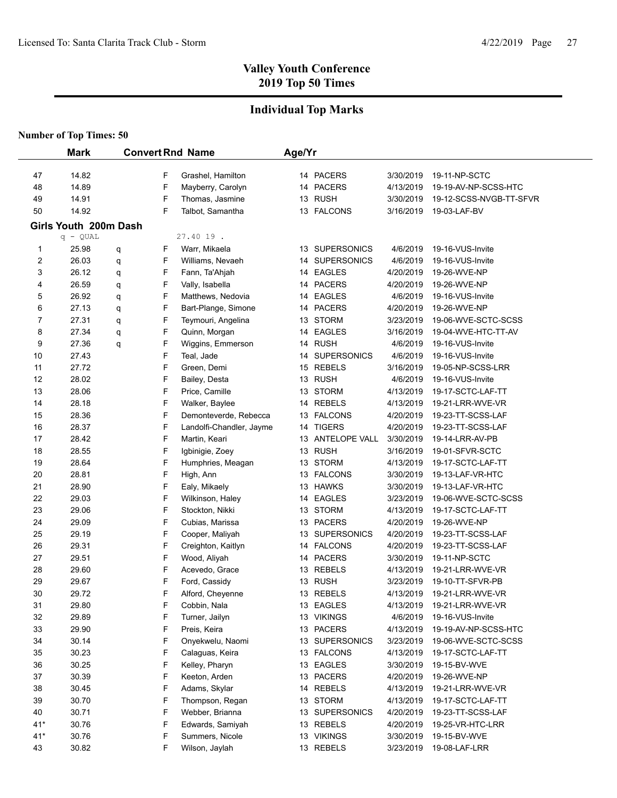## **Individual Top Marks**

|          | <b>Mark</b>           |   |        | <b>Convert Rnd Name</b>         | Age/Yr |                           |                       |                                       |
|----------|-----------------------|---|--------|---------------------------------|--------|---------------------------|-----------------------|---------------------------------------|
|          |                       |   |        |                                 |        |                           |                       |                                       |
| 47       | 14.82                 |   | F      | Grashel, Hamilton               |        | 14 PACERS                 | 3/30/2019             | 19-11-NP-SCTC                         |
| 48       | 14.89                 |   | F      | Mayberry, Carolyn               |        | 14 PACERS                 | 4/13/2019             | 19-19-AV-NP-SCSS-HTC                  |
| 49       | 14.91                 |   | F      | Thomas, Jasmine                 |        | 13 RUSH                   | 3/30/2019             | 19-12-SCSS-NVGB-TT-SFVR               |
| 50       | 14.92                 |   | F      | Talbot, Samantha                |        | 13 FALCONS                | 3/16/2019             | 19-03-LAF-BV                          |
|          | Girls Youth 200m Dash |   |        |                                 |        |                           |                       |                                       |
|          | $q - QUAL$            |   |        | 27.40 19.                       |        |                           |                       |                                       |
| 1        | 25.98                 | q | F      | Warr, Mikaela                   |        | 13 SUPERSONICS            | 4/6/2019              | 19-16-VUS-Invite                      |
| 2        | 26.03                 | q | F      | Williams, Nevaeh                |        | 14 SUPERSONICS            | 4/6/2019              | 19-16-VUS-Invite                      |
| 3        | 26.12                 | q | F      | Fann, Ta'Ahjah                  |        | 14 EAGLES                 | 4/20/2019             | 19-26-WVE-NP                          |
| 4        | 26.59                 | q | F      | Vally, Isabella                 |        | 14 PACERS                 | 4/20/2019             | 19-26-WVE-NP                          |
| 5        | 26.92                 | q | F      | Matthews, Nedovia               | 14     | <b>EAGLES</b>             | 4/6/2019              | 19-16-VUS-Invite                      |
| 6        | 27.13                 | q | F      | Bart-Plange, Simone             | 14     | <b>PACERS</b>             | 4/20/2019             | 19-26-WVE-NP                          |
| 7        | 27.31                 | q | F      | Teymouri, Angelina              | 13     | <b>STORM</b>              | 3/23/2019             | 19-06-WVE-SCTC-SCSS                   |
| 8        | 27.34                 | q | F      | Quinn, Morgan                   |        | 14 EAGLES                 | 3/16/2019             | 19-04-WVE-HTC-TT-AV                   |
| 9        | 27.36<br>27.43        | q | F      | Wiggins, Emmerson               |        | 14 RUSH<br>14 SUPERSONICS | 4/6/2019              | 19-16-VUS-Invite                      |
| 10       | 27.72                 |   | F<br>F | Teal, Jade<br>Green, Demi       |        | 15 REBELS                 | 4/6/2019              | 19-16-VUS-Invite<br>19-05-NP-SCSS-LRR |
| 11<br>12 | 28.02                 |   | F      |                                 |        | 13 RUSH                   | 3/16/2019<br>4/6/2019 | 19-16-VUS-Invite                      |
| 13       | 28.06                 |   | F      | Bailey, Desta<br>Price, Camille |        | 13 STORM                  | 4/13/2019             | 19-17-SCTC-LAF-TT                     |
| 14       | 28.18                 |   | F      | Walker, Baylee                  |        | 14 REBELS                 | 4/13/2019             | 19-21-LRR-WVE-VR                      |
| 15       | 28.36                 |   | F      | Demonteverde, Rebecca           |        | 13 FALCONS                | 4/20/2019             | 19-23-TT-SCSS-LAF                     |
| 16       | 28.37                 |   | F      | Landolfi-Chandler, Jayme        |        | 14 TIGERS                 | 4/20/2019             | 19-23-TT-SCSS-LAF                     |
| 17       | 28.42                 |   | F      | Martin, Keari                   |        | 13 ANTELOPE VALL          | 3/30/2019             | 19-14-LRR-AV-PB                       |
| 18       | 28.55                 |   | F      | Igbinigie, Zoey                 |        | 13 RUSH                   | 3/16/2019             | 19-01-SFVR-SCTC                       |
| 19       | 28.64                 |   | F      | Humphries, Meagan               |        | 13 STORM                  | 4/13/2019             | 19-17-SCTC-LAF-TT                     |
| 20       | 28.81                 |   | F      | High, Ann                       |        | 13 FALCONS                | 3/30/2019             | 19-13-LAF-VR-HTC                      |
| 21       | 28.90                 |   | F      | Ealy, Mikaely                   |        | 13 HAWKS                  | 3/30/2019             | 19-13-LAF-VR-HTC                      |
| 22       | 29.03                 |   | F      | Wilkinson, Haley                |        | 14 EAGLES                 | 3/23/2019             | 19-06-WVE-SCTC-SCSS                   |
| 23       | 29.06                 |   | F      | Stockton, Nikki                 |        | 13 STORM                  | 4/13/2019             | 19-17-SCTC-LAF-TT                     |
| 24       | 29.09                 |   | F      | Cubias, Marissa                 |        | 13 PACERS                 | 4/20/2019             | 19-26-WVE-NP                          |
| 25       | 29.19                 |   | F      | Cooper, Maliyah                 |        | 13 SUPERSONICS            | 4/20/2019             | 19-23-TT-SCSS-LAF                     |
| 26       | 29.31                 |   | F      | Creighton, Kaitlyn              |        | 14 FALCONS                | 4/20/2019             | 19-23-TT-SCSS-LAF                     |
| 27       | 29.51                 |   | F      | Wood, Aliyah                    |        | 14 PACERS                 | 3/30/2019             | 19-11-NP-SCTC                         |
| 28       | 29.60                 |   | F      | Acevedo, Grace                  |        | 13 REBELS                 | 4/13/2019             | 19-21-LRR-WVE-VR                      |
| 29       | 29.67                 |   | F      | Ford, Cassidy                   |        | 13 RUSH                   | 3/23/2019             | 19-10-TT-SFVR-PB                      |
| 30       | 29.72                 |   | F      | Alford, Cheyenne                |        | 13 REBELS                 | 4/13/2019             | 19-21-LRR-WVE-VR                      |
| 31       | 29.80                 |   | F      | Cobbin, Nala                    |        | 13 EAGLES                 | 4/13/2019             | 19-21-LRR-WVE-VR                      |
| 32       | 29.89                 |   | F      | Turner, Jailyn                  |        | 13 VIKINGS                | 4/6/2019              | 19-16-VUS-Invite                      |
| 33       | 29.90                 |   | F      | Preis, Keira                    |        | 13 PACERS                 | 4/13/2019             | 19-19-AV-NP-SCSS-HTC                  |
| 34       | 30.14                 |   | F      | Onyekwelu, Naomi                |        | 13 SUPERSONICS            | 3/23/2019             | 19-06-WVE-SCTC-SCSS                   |
| 35       | 30.23                 |   | F      | Calaguas, Keira                 |        | 13 FALCONS                | 4/13/2019             | 19-17-SCTC-LAF-TT                     |
| 36       | 30.25                 |   | F      | Kelley, Pharyn                  |        | 13 EAGLES                 | 3/30/2019             | 19-15-BV-WVE                          |
| 37       | 30.39                 |   | F      | Keeton, Arden                   |        | 13 PACERS                 | 4/20/2019             | 19-26-WVE-NP                          |
| 38       | 30.45                 |   | F      | Adams, Skylar                   |        | 14 REBELS                 | 4/13/2019             | 19-21-LRR-WVE-VR                      |
| 39       | 30.70                 |   | F      | Thompson, Regan                 |        | 13 STORM                  | 4/13/2019             | 19-17-SCTC-LAF-TT                     |
| 40       | 30.71                 |   | F      | Webber, Brianna                 |        | 13 SUPERSONICS            | 4/20/2019             | 19-23-TT-SCSS-LAF                     |
| $41*$    | 30.76                 |   | F      | Edwards, Samiyah                |        | 13 REBELS                 | 4/20/2019             | 19-25-VR-HTC-LRR                      |
| $41*$    | 30.76                 |   | F      | Summers, Nicole                 |        | 13 VIKINGS                | 3/30/2019             | 19-15-BV-WVE                          |
| 43       | 30.82                 |   | F      | Wilson, Jaylah                  |        | 13 REBELS                 | 3/23/2019             | 19-08-LAF-LRR                         |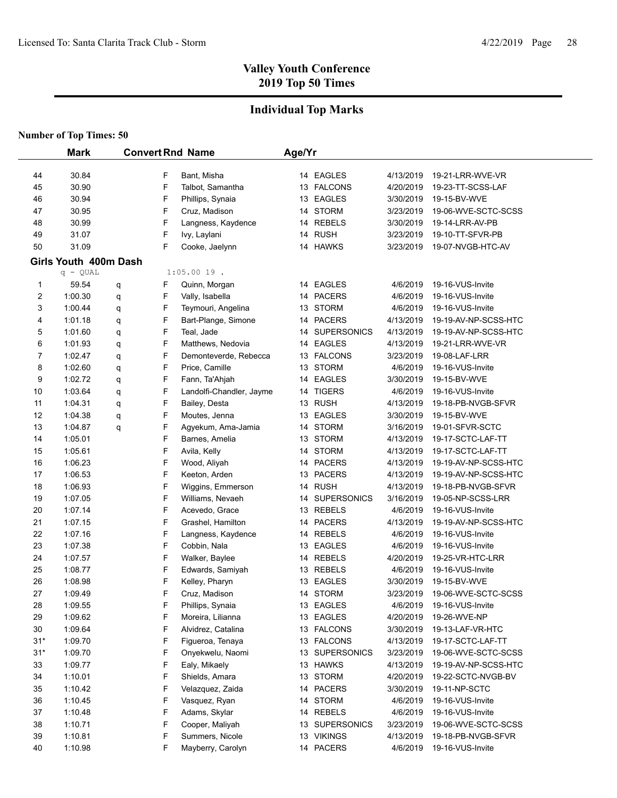## **Individual Top Marks**

|       | <b>Mark</b>           |   |   | <b>Convert Rnd Name</b>  | Age/Yr |                |           |                      |
|-------|-----------------------|---|---|--------------------------|--------|----------------|-----------|----------------------|
|       |                       |   |   |                          |        |                |           |                      |
| 44    | 30.84                 |   | F | Bant, Misha              |        | 14 EAGLES      | 4/13/2019 | 19-21-LRR-WVE-VR     |
| 45    | 30.90                 |   | F | Talbot, Samantha         |        | 13 FALCONS     | 4/20/2019 | 19-23-TT-SCSS-LAF    |
| 46    | 30.94                 |   | F | Phillips, Synaia         |        | 13 EAGLES      | 3/30/2019 | 19-15-BV-WVE         |
| 47    | 30.95                 |   | F | Cruz, Madison            |        | 14 STORM       | 3/23/2019 | 19-06-WVE-SCTC-SCSS  |
| 48    | 30.99                 |   | F | Langness, Kaydence       |        | 14 REBELS      | 3/30/2019 | 19-14-LRR-AV-PB      |
| 49    | 31.07                 |   | F | Ivy, Laylani             |        | 14 RUSH        | 3/23/2019 | 19-10-TT-SFVR-PB     |
| 50    | 31.09                 |   | F | Cooke, Jaelynn           |        | 14 HAWKS       | 3/23/2019 | 19-07-NVGB-HTC-AV    |
|       | Girls Youth 400m Dash |   |   |                          |        |                |           |                      |
|       | $q - QUAL$            |   |   | $1:05.0019$ .            |        |                |           |                      |
| 1     | 59.54                 | q | F | Quinn, Morgan            |        | 14 EAGLES      | 4/6/2019  | 19-16-VUS-Invite     |
| 2     | 1:00.30               | q | F | Vally, Isabella          |        | 14 PACERS      | 4/6/2019  | 19-16-VUS-Invite     |
| 3     | 1:00.44               | q | F | Teymouri, Angelina       |        | 13 STORM       | 4/6/2019  | 19-16-VUS-Invite     |
| 4     | 1:01.18               | q | F | Bart-Plange, Simone      |        | 14 PACERS      | 4/13/2019 | 19-19-AV-NP-SCSS-HTC |
| 5     | 1:01.60               | q | F | Teal, Jade               |        | 14 SUPERSONICS | 4/13/2019 | 19-19-AV-NP-SCSS-HTC |
| 6     | 1:01.93               | q | F | Matthews, Nedovia        |        | 14 EAGLES      | 4/13/2019 | 19-21-LRR-WVE-VR     |
| 7     | 1:02.47               | q | F | Demonteverde, Rebecca    |        | 13 FALCONS     | 3/23/2019 | 19-08-LAF-LRR        |
| 8     | 1:02.60               | q | F | Price, Camille           |        | 13 STORM       | 4/6/2019  | 19-16-VUS-Invite     |
| 9     | 1:02.72               | q | F | Fann, Ta'Ahjah           |        | 14 EAGLES      | 3/30/2019 | 19-15-BV-WVE         |
| 10    | 1:03.64               | q | F | Landolfi-Chandler, Jayme |        | 14 TIGERS      | 4/6/2019  | 19-16-VUS-Invite     |
| 11    | 1:04.31               | q | F | Bailey, Desta            |        | 13 RUSH        | 4/13/2019 | 19-18-PB-NVGB-SFVR   |
| 12    | 1:04.38               | q | F | Moutes, Jenna            |        | 13 EAGLES      | 3/30/2019 | 19-15-BV-WVE         |
| 13    | 1:04.87               | q | F | Agyekum, Ama-Jamia       |        | 14 STORM       | 3/16/2019 | 19-01-SFVR-SCTC      |
| 14    | 1:05.01               |   | F | Barnes, Amelia           |        | 13 STORM       | 4/13/2019 | 19-17-SCTC-LAF-TT    |
| 15    | 1:05.61               |   | F | Avila, Kelly             |        | 14 STORM       | 4/13/2019 | 19-17-SCTC-LAF-TT    |
| 16    | 1:06.23               |   | F | Wood, Aliyah             |        | 14 PACERS      | 4/13/2019 | 19-19-AV-NP-SCSS-HTC |
| 17    | 1:06.53               |   | F | Keeton, Arden            |        | 13 PACERS      | 4/13/2019 | 19-19-AV-NP-SCSS-HTC |
| 18    | 1:06.93               |   | F | Wiggins, Emmerson        |        | 14 RUSH        | 4/13/2019 | 19-18-PB-NVGB-SFVR   |
| 19    | 1:07.05               |   | F | Williams, Nevaeh         |        | 14 SUPERSONICS | 3/16/2019 | 19-05-NP-SCSS-LRR    |
| 20    | 1:07.14               |   | F | Acevedo, Grace           |        | 13 REBELS      | 4/6/2019  | 19-16-VUS-Invite     |
| 21    | 1:07.15               |   | F | Grashel, Hamilton        |        | 14 PACERS      | 4/13/2019 | 19-19-AV-NP-SCSS-HTC |
| 22    | 1:07.16               |   | F | Langness, Kaydence       |        | 14 REBELS      | 4/6/2019  | 19-16-VUS-Invite     |
| 23    | 1:07.38               |   | F | Cobbin, Nala             |        | 13 EAGLES      | 4/6/2019  | 19-16-VUS-Invite     |
| 24    | 1:07.57               |   | F | Walker, Baylee           |        | 14 REBELS      | 4/20/2019 | 19-25-VR-HTC-LRR     |
| 25    | 1:08.77               |   | F | Edwards, Samiyah         |        | 13 REBELS      | 4/6/2019  | 19-16-VUS-Invite     |
| 26    | 1:08.98               |   | F | Kelley, Pharyn           |        | 13 EAGLES      | 3/30/2019 | 19-15-BV-WVE         |
| 27    | 1:09.49               |   | F | Cruz, Madison            |        | 14 STORM       | 3/23/2019 | 19-06-WVE-SCTC-SCSS  |
| 28    | 1:09.55               |   | F | Phillips, Synaia         |        | 13 EAGLES      | 4/6/2019  | 19-16-VUS-Invite     |
| 29    | 1:09.62               |   | F | Moreira, Lilianna        |        | 13 EAGLES      | 4/20/2019 | 19-26-WVE-NP         |
| 30    | 1:09.64               |   | F | Alvidrez, Catalina       |        | 13 FALCONS     | 3/30/2019 | 19-13-LAF-VR-HTC     |
| $31*$ | 1:09.70               |   | F | Figueroa, Tenaya         |        | 13 FALCONS     | 4/13/2019 | 19-17-SCTC-LAF-TT    |
| $31*$ | 1:09.70               |   | F | Onyekwelu, Naomi         |        | 13 SUPERSONICS | 3/23/2019 | 19-06-WVE-SCTC-SCSS  |
| 33    | 1:09.77               |   | F | Ealy, Mikaely            |        | 13 HAWKS       | 4/13/2019 | 19-19-AV-NP-SCSS-HTC |
| 34    | 1:10.01               |   | F | Shields, Amara           |        | 13 STORM       | 4/20/2019 | 19-22-SCTC-NVGB-BV   |
| 35    | 1:10.42               |   | F | Velazquez, Zaida         |        | 14 PACERS      | 3/30/2019 | 19-11-NP-SCTC        |
| 36    | 1:10.45               |   | F | Vasquez, Ryan            |        | 14 STORM       | 4/6/2019  | 19-16-VUS-Invite     |
| 37    | 1:10.48               |   | F | Adams, Skylar            |        | 14 REBELS      | 4/6/2019  | 19-16-VUS-Invite     |
| 38    | 1:10.71               |   | F | Cooper, Maliyah          |        | 13 SUPERSONICS | 3/23/2019 | 19-06-WVE-SCTC-SCSS  |
| 39    | 1:10.81               |   | F | Summers, Nicole          |        | 13 VIKINGS     | 4/13/2019 | 19-18-PB-NVGB-SFVR   |
| 40    | 1:10.98               |   | F | Mayberry, Carolyn        |        | 14 PACERS      | 4/6/2019  | 19-16-VUS-Invite     |
|       |                       |   |   |                          |        |                |           |                      |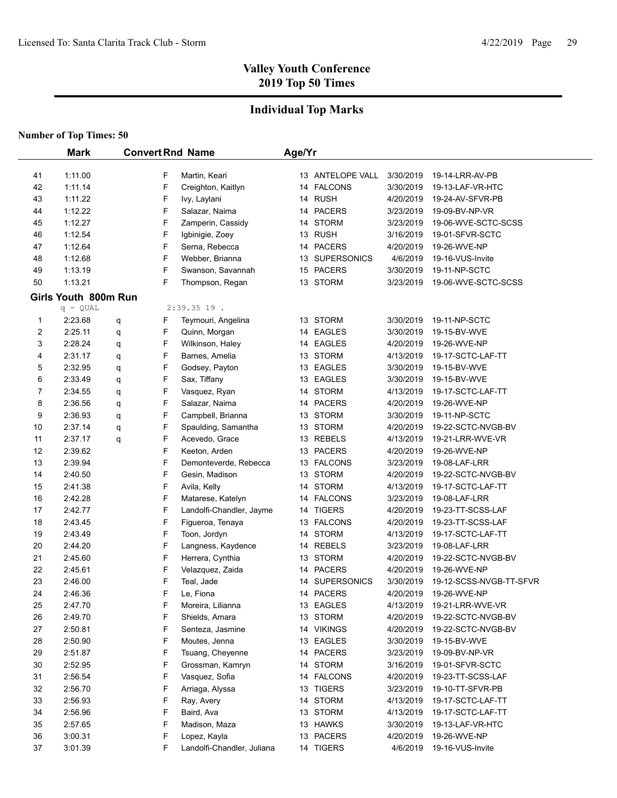## **Individual Top Marks**

|          | <b>Mark</b>          |   |             | <b>Convert Rnd Name</b>    | Age/Yr |                                |                        |                                       |
|----------|----------------------|---|-------------|----------------------------|--------|--------------------------------|------------------------|---------------------------------------|
|          |                      |   |             |                            |        |                                |                        |                                       |
| 41<br>42 | 1:11.00<br>1:11.14   |   | F           | Martin, Keari              |        | 13 ANTELOPE VALL<br>14 FALCONS | 3/30/2019<br>3/30/2019 | 19-14-LRR-AV-PB                       |
|          | 1:11.22              |   | F           | Creighton, Kaitlyn         |        | 14 RUSH                        |                        | 19-13-LAF-VR-HTC                      |
| 43       |                      |   | F<br>F      | Ivy, Laylani               |        | 14 PACERS                      | 4/20/2019              | 19-24-AV-SFVR-PB                      |
| 44       | 1:12.22              |   | F           | Salazar, Naima             |        | 14 STORM                       | 3/23/2019              | 19-09-BV-NP-VR<br>19-06-WVE-SCTC-SCSS |
| 45       | 1:12.27<br>1:12.54   |   | F           | Zamperin, Cassidy          |        | 13 RUSH                        | 3/23/2019              |                                       |
| 46       | 1:12.64              |   | F           | Igbinigie, Zoey            |        | 14 PACERS                      | 3/16/2019              | 19-01-SFVR-SCTC                       |
| 47       |                      |   | F           | Serna, Rebecca             |        |                                | 4/20/2019              | 19-26-WVE-NP                          |
| 48       | 1:12.68              |   |             | Webber, Brianna            |        | 13 SUPERSONICS                 | 4/6/2019               | 19-16-VUS-Invite                      |
| 49       | 1:13.19<br>1:13.21   |   | F<br>F      | Swanson, Savannah          |        | 15 PACERS                      | 3/30/2019              | 19-11-NP-SCTC<br>19-06-WVE-SCTC-SCSS  |
| 50       |                      |   |             | Thompson, Regan            |        | 13 STORM                       | 3/23/2019              |                                       |
|          | Girls Youth 800m Run |   |             |                            |        |                                |                        |                                       |
|          | $q - QUAL$           |   |             | $2:39.3519$ .              |        |                                |                        |                                       |
| 1        | 2:23.68              | q | F           | Teymouri, Angelina         |        | 13 STORM                       | 3/30/2019              | 19-11-NP-SCTC                         |
| 2        | 2:25.11              | q | F           | Quinn, Morgan              |        | 14 EAGLES                      | 3/30/2019              | 19-15-BV-WVE                          |
| 3        | 2:28.24              | q | F           | Wilkinson, Haley           |        | 14 EAGLES                      | 4/20/2019              | 19-26-WVE-NP                          |
| 4        | 2:31.17              | q | F           | Barnes, Amelia             |        | 13 STORM                       | 4/13/2019              | 19-17-SCTC-LAF-TT                     |
| 5        | 2:32.95              | q | F           | Godsey, Payton             |        | 13 EAGLES                      | 3/30/2019              | 19-15-BV-WVE                          |
| 6        | 2:33.49              | q | F           | Sax, Tiffany               |        | 13 EAGLES                      | 3/30/2019              | 19-15-BV-WVE                          |
| 7        | 2:34.55              | q | F           | Vasquez, Ryan              |        | 14 STORM                       | 4/13/2019              | 19-17-SCTC-LAF-TT                     |
| 8        | 2:36.56              | q | F           | Salazar, Naima             |        | 14 PACERS                      | 4/20/2019              | 19-26-WVE-NP                          |
| 9        | 2:36.93              | q | F           | Campbell, Brianna          |        | 13 STORM                       | 3/30/2019              | 19-11-NP-SCTC                         |
| 10       | 2:37.14              | q | $\mathsf F$ | Spaulding, Samantha        |        | 13 STORM                       | 4/20/2019              | 19-22-SCTC-NVGB-BV                    |
| 11       | 2:37.17              | q | F           | Acevedo, Grace             |        | 13 REBELS                      | 4/13/2019              | 19-21-LRR-WVE-VR                      |
| 12       | 2:39.62              |   | F           | Keeton, Arden              |        | 13 PACERS                      | 4/20/2019              | 19-26-WVE-NP                          |
| 13       | 2:39.94              |   | F           | Demonteverde, Rebecca      |        | 13 FALCONS                     | 3/23/2019              | 19-08-LAF-LRR                         |
| 14       | 2:40.50              |   | F           | Gesin, Madison             |        | 13 STORM                       | 4/20/2019              | 19-22-SCTC-NVGB-BV                    |
| 15       | 2:41.38              |   | F           | Avila, Kelly               |        | 14 STORM                       | 4/13/2019              | 19-17-SCTC-LAF-TT                     |
| 16       | 2:42.28              |   | F           | Matarese, Katelyn          |        | 14 FALCONS                     | 3/23/2019              | 19-08-LAF-LRR                         |
| 17       | 2:42.77              |   | F           | Landolfi-Chandler, Jayme   |        | 14 TIGERS                      | 4/20/2019              | 19-23-TT-SCSS-LAF                     |
| 18       | 2:43.45              |   | F           | Figueroa, Tenaya           |        | 13 FALCONS                     | 4/20/2019              | 19-23-TT-SCSS-LAF                     |
| 19       | 2:43.49              |   | F           | Toon, Jordyn               |        | 14 STORM                       | 4/13/2019              | 19-17-SCTC-LAF-TT                     |
| 20       | 2:44.20              |   | F           | Langness, Kaydence         |        | 14 REBELS                      | 3/23/2019              | 19-08-LAF-LRR                         |
| 21       | 2:45.60              |   | F           | Herrera, Cynthia           |        | 13 STORM                       | 4/20/2019              | 19-22-SCTC-NVGB-BV                    |
| 22       | 2:45.61              |   | F           | Velazquez, Zaida           |        | 14 PACERS                      | 4/20/2019              | 19-26-WVE-NP                          |
| 23       | 2:46.00              |   | F           | Teal, Jade                 | 14     | <b>SUPERSONICS</b>             | 3/30/2019              | 19-12-SCSS-NVGB-TT-SFVR               |
| 24       | 2:46.36              |   | F           | Le, Fiona                  |        | 14 PACERS                      | 4/20/2019              | 19-26-WVE-NP                          |
| 25       | 2:47.70              |   | F           | Moreira, Lilianna          |        | 13 EAGLES                      | 4/13/2019              | 19-21-LRR-WVE-VR                      |
| 26       | 2:49.70              |   | F           | Shields, Amara             |        | 13 STORM                       | 4/20/2019              | 19-22-SCTC-NVGB-BV                    |
| 27       | 2:50.81              |   | F           | Senteza, Jasmine           |        | 14 VIKINGS                     | 4/20/2019              | 19-22-SCTC-NVGB-BV                    |
| 28       | 2:50.90              |   | F           | Moutes, Jenna              |        | 13 EAGLES                      | 3/30/2019              | 19-15-BV-WVE                          |
| 29       | 2:51.87              |   | F           | Tsuang, Cheyenne           |        | 14 PACERS                      | 3/23/2019              | 19-09-BV-NP-VR                        |
| 30       | 2:52.95              |   | F           | Grossman, Kamryn           |        | 14 STORM                       | 3/16/2019              | 19-01-SFVR-SCTC                       |
| 31       | 2:56.54              |   | F           | Vasquez, Sofia             |        | 14 FALCONS                     | 4/20/2019              | 19-23-TT-SCSS-LAF                     |
| 32       | 2:56.70              |   | F           | Arriaga, Alyssa            |        | 13 TIGERS                      | 3/23/2019              | 19-10-TT-SFVR-PB                      |
| 33       | 2.56.93              |   | F           | Ray, Avery                 |        | 14 STORM                       | 4/13/2019              | 19-17-SCTC-LAF-TT                     |
| 34       | 2:56.96              |   | F           | Baird, Ava                 |        | 13 STORM                       | 4/13/2019              | 19-17-SCTC-LAF-TT                     |
| 35       | 2:57.65              |   | F           | Madison, Maza              |        | 13 HAWKS                       | 3/30/2019              | 19-13-LAF-VR-HTC                      |
| 36       | 3:00.31              |   | F           | Lopez, Kayla               |        | 13 PACERS                      | 4/20/2019              | 19-26-WVE-NP                          |
| 37       | 3.01.39              |   | F           | Landolfi-Chandler, Juliana |        | 14 TIGERS                      | 4/6/2019               | 19-16-VUS-Invite                      |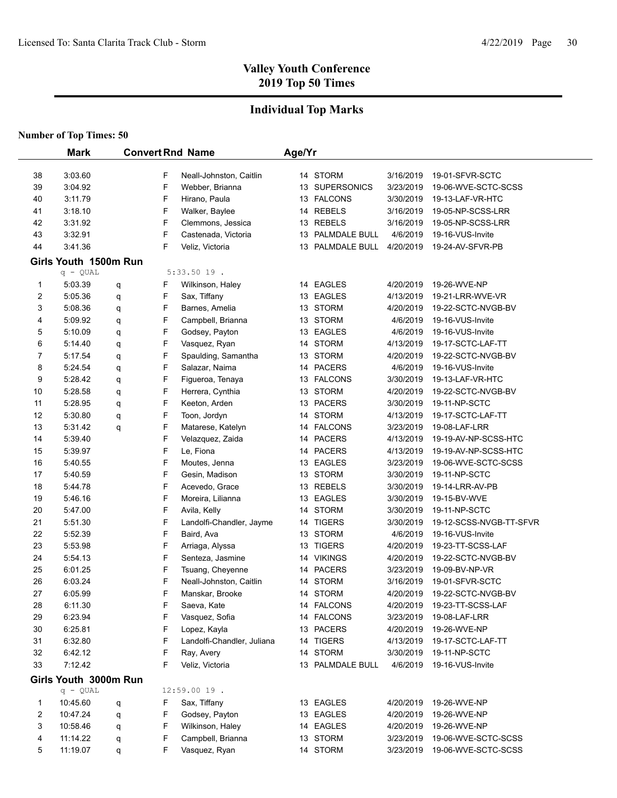## **Individual Top Marks**

|    | <b>Mark</b>           |   |   | <b>Convert Rnd Name</b>    | Age/Yr |                  |           |                         |
|----|-----------------------|---|---|----------------------------|--------|------------------|-----------|-------------------------|
| 38 | 3:03.60               |   | F | Neall-Johnston, Caitlin    |        | 14 STORM         | 3/16/2019 | 19-01-SFVR-SCTC         |
| 39 | 3:04.92               |   | F | Webber, Brianna            |        | 13 SUPERSONICS   | 3/23/2019 | 19-06-WVE-SCTC-SCSS     |
| 40 | 3:11.79               |   | F | Hirano, Paula              |        | 13 FALCONS       | 3/30/2019 | 19-13-LAF-VR-HTC        |
| 41 | 3:18.10               |   | F | Walker, Baylee             |        | 14 REBELS        | 3/16/2019 | 19-05-NP-SCSS-LRR       |
| 42 | 3:31.92               |   | F | Clemmons, Jessica          |        | 13 REBELS        | 3/16/2019 | 19-05-NP-SCSS-LRR       |
| 43 | 3:32.91               |   | F | Castenada, Victoria        |        | 13 PALMDALE BULL | 4/6/2019  | 19-16-VUS-Invite        |
| 44 | 3:41.36               |   | F | Veliz, Victoria            |        | 13 PALMDALE BULL | 4/20/2019 | 19-24-AV-SFVR-PB        |
|    | Girls Youth 1500m Run |   |   |                            |        |                  |           |                         |
|    | $q - QUAL$            |   |   | $5:33.5019$ .              |        |                  |           |                         |
| 1  | 5:03.39               | q | F | Wilkinson, Haley           |        | 14 EAGLES        | 4/20/2019 | 19-26-WVE-NP            |
| 2  | 5:05.36               | q | F | Sax, Tiffany               |        | 13 EAGLES        | 4/13/2019 | 19-21-LRR-WVE-VR        |
| 3  | 5:08.36               | q | F | Barnes, Amelia             |        | 13 STORM         | 4/20/2019 | 19-22-SCTC-NVGB-BV      |
| 4  | 5.09.92               | q | F | Campbell, Brianna          |        | 13 STORM         | 4/6/2019  | 19-16-VUS-Invite        |
| 5  | 5:10.09               | q | F | Godsey, Payton             |        | 13 EAGLES        | 4/6/2019  | 19-16-VUS-Invite        |
| 6  | 5:14.40               | q | F | Vasquez, Ryan              |        | 14 STORM         | 4/13/2019 | 19-17-SCTC-LAF-TT       |
| 7  | 5:17.54               | q | F | Spaulding, Samantha        |        | 13 STORM         | 4/20/2019 | 19-22-SCTC-NVGB-BV      |
| 8  | 5:24.54               | q | F | Salazar, Naima             |        | 14 PACERS        | 4/6/2019  | 19-16-VUS-Invite        |
| 9  | 5:28.42               | q | F | Figueroa, Tenaya           |        | 13 FALCONS       | 3/30/2019 | 19-13-LAF-VR-HTC        |
| 10 | 5:28.58               | q | F | Herrera, Cynthia           |        | 13 STORM         | 4/20/2019 | 19-22-SCTC-NVGB-BV      |
| 11 | 5:28.95               | q | F | Keeton, Arden              |        | 13 PACERS        | 3/30/2019 | 19-11-NP-SCTC           |
| 12 | 5:30.80               | q | F | Toon, Jordyn               |        | 14 STORM         | 4/13/2019 | 19-17-SCTC-LAF-TT       |
| 13 | 5:31.42               | q | F | Matarese, Katelyn          |        | 14 FALCONS       | 3/23/2019 | 19-08-LAF-LRR           |
| 14 | 5:39.40               |   | F | Velazquez, Zaida           |        | 14 PACERS        | 4/13/2019 | 19-19-AV-NP-SCSS-HTC    |
| 15 | 5:39.97               |   | F | Le, Fiona                  |        | 14 PACERS        | 4/13/2019 | 19-19-AV-NP-SCSS-HTC    |
| 16 | 5:40.55               |   | F | Moutes, Jenna              |        | 13 EAGLES        | 3/23/2019 | 19-06-WVE-SCTC-SCSS     |
| 17 | 5:40.59               |   | F | Gesin, Madison             |        | 13 STORM         | 3/30/2019 | 19-11-NP-SCTC           |
| 18 | 5:44.78               |   | F | Acevedo, Grace             |        | 13 REBELS        | 3/30/2019 | 19-14-LRR-AV-PB         |
| 19 | 5:46.16               |   | F | Moreira, Lilianna          |        | 13 EAGLES        | 3/30/2019 | 19-15-BV-WVE            |
| 20 | 5:47.00               |   | F | Avila, Kelly               |        | 14 STORM         | 3/30/2019 | 19-11-NP-SCTC           |
| 21 | 5:51.30               |   | F | Landolfi-Chandler, Jayme   |        | 14 TIGERS        | 3/30/2019 | 19-12-SCSS-NVGB-TT-SFVR |
| 22 | 5:52.39               |   | F | Baird, Ava                 |        | 13 STORM         | 4/6/2019  | 19-16-VUS-Invite        |
| 23 | 5:53.98               |   | F | Arriaga, Alyssa            |        | 13 TIGERS        | 4/20/2019 | 19-23-TT-SCSS-LAF       |
| 24 | 5:54.13               |   | F | Senteza, Jasmine           |        | 14 VIKINGS       | 4/20/2019 | 19-22-SCTC-NVGB-BV      |
| 25 | 6:01.25               |   | F | Tsuang, Cheyenne           |        | 14 PACERS        | 3/23/2019 | 19-09-BV-NP-VR          |
| 26 | 6:03.24               |   | F | Neall-Johnston, Caitlin    |        | 14 STORM         | 3/16/2019 | 19-01-SFVR-SCTC         |
| 27 | 6:05.99               |   | F | Manskar, Brooke            |        | 14 STORM         | 4/20/2019 | 19-22-SCTC-NVGB-BV      |
| 28 | 6:11.30               |   | F | Saeva, Kate                |        | 14 FALCONS       | 4/20/2019 | 19-23-TT-SCSS-LAF       |
| 29 | 6:23.94               |   | F | Vasquez, Sofia             |        | 14 FALCONS       | 3/23/2019 | 19-08-LAF-LRR           |
| 30 | 6:25.81               |   | F | Lopez, Kayla               |        | 13 PACERS        | 4/20/2019 | 19-26-WVE-NP            |
| 31 | 6:32.80               |   | F | Landolfi-Chandler, Juliana |        | 14 TIGERS        | 4/13/2019 | 19-17-SCTC-LAF-TT       |
| 32 | 6:42.12               |   | F | Ray, Avery                 |        | 14 STORM         | 3/30/2019 | 19-11-NP-SCTC           |
| 33 | 7:12.42               |   | F | Veliz, Victoria            |        | 13 PALMDALE BULL | 4/6/2019  | 19-16-VUS-Invite        |
|    | Girls Youth 3000m Run |   |   |                            |        |                  |           |                         |
|    | $q - QUAL$            |   |   | 12:59.00 19.               |        |                  |           |                         |
| 1  | 10:45.60              | q | F | Sax, Tiffany               |        | 13 EAGLES        | 4/20/2019 | 19-26-WVE-NP            |
| 2  | 10:47.24              | q | F | Godsey, Payton             |        | 13 EAGLES        | 4/20/2019 | 19-26-WVE-NP            |
| 3  | 10:58.46              | q | F | Wilkinson, Haley           |        | 14 EAGLES        | 4/20/2019 | 19-26-WVE-NP            |
| 4  | 11:14.22              | q | F | Campbell, Brianna          |        | 13 STORM         | 3/23/2019 | 19-06-WVE-SCTC-SCSS     |
| 5  | 11:19.07              | q | F | Vasquez, Ryan              |        | 14 STORM         | 3/23/2019 | 19-06-WVE-SCTC-SCSS     |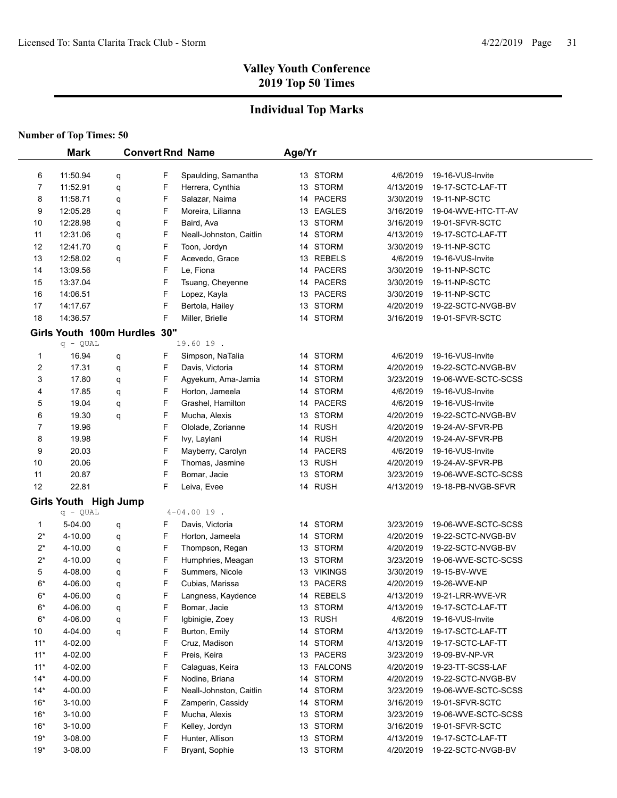## **Individual Top Marks**

|                | <b>Mark</b>                  |        |   | <b>Convert Rnd Name</b> | Age/Yr |            |           |                     |
|----------------|------------------------------|--------|---|-------------------------|--------|------------|-----------|---------------------|
| 6              | 11:50.94                     |        | F | Spaulding, Samantha     |        | 13 STORM   | 4/6/2019  | 19-16-VUS-Invite    |
| 7              | 11:52.91                     | q<br>q | F | Herrera, Cynthia        |        | 13 STORM   | 4/13/2019 | 19-17-SCTC-LAF-TT   |
| 8              | 11:58.71                     | q      | F | Salazar, Naima          |        | 14 PACERS  | 3/30/2019 | 19-11-NP-SCTC       |
| 9              | 12:05.28                     | q      | F | Moreira, Lilianna       |        | 13 EAGLES  | 3/16/2019 | 19-04-WVE-HTC-TT-AV |
| 10             | 12:28.98                     | q      | F | Baird, Ava              |        | 13 STORM   | 3/16/2019 | 19-01-SFVR-SCTC     |
| 11             | 12:31.06                     | q      | F | Neall-Johnston, Caitlin |        | 14 STORM   | 4/13/2019 | 19-17-SCTC-LAF-TT   |
| 12             | 12:41.70                     | q      | F | Toon, Jordyn            |        | 14 STORM   | 3/30/2019 | 19-11-NP-SCTC       |
| 13             | 12:58.02                     | q      | F | Acevedo, Grace          |        | 13 REBELS  | 4/6/2019  | 19-16-VUS-Invite    |
| 14             | 13:09.56                     |        | F | Le, Fiona               |        | 14 PACERS  | 3/30/2019 | 19-11-NP-SCTC       |
| 15             | 13:37.04                     |        | F | Tsuang, Cheyenne        |        | 14 PACERS  | 3/30/2019 | 19-11-NP-SCTC       |
| 16             | 14:06.51                     |        | F | Lopez, Kayla            |        | 13 PACERS  | 3/30/2019 | 19-11-NP-SCTC       |
| 17             | 14:17.67                     |        | F | Bertola, Hailey         |        | 13 STORM   | 4/20/2019 | 19-22-SCTC-NVGB-BV  |
| 18             | 14:36.57                     |        | F | Miller, Brielle         |        | 14 STORM   | 3/16/2019 | 19-01-SFVR-SCTC     |
|                | Girls Youth 100m Hurdles 30" |        |   |                         |        |            |           |                     |
|                | $q - QUAL$                   |        |   | 19.60 19.               |        |            |           |                     |
| 1              | 16.94                        | q      | F | Simpson, NaTalia        |        | 14 STORM   | 4/6/2019  | 19-16-VUS-Invite    |
| $\overline{c}$ | 17.31                        | q      | F | Davis, Victoria         |        | 14 STORM   | 4/20/2019 | 19-22-SCTC-NVGB-BV  |
| 3              | 17.80                        | q      | F | Agyekum, Ama-Jamia      |        | 14 STORM   | 3/23/2019 | 19-06-WVE-SCTC-SCSS |
| 4              | 17.85                        | q      | F | Horton, Jameela         |        | 14 STORM   | 4/6/2019  | 19-16-VUS-Invite    |
| 5              | 19.04                        | q      | F | Grashel, Hamilton       |        | 14 PACERS  | 4/6/2019  | 19-16-VUS-Invite    |
| 6              | 19.30                        | q      | F | Mucha, Alexis           |        | 13 STORM   | 4/20/2019 | 19-22-SCTC-NVGB-BV  |
| 7              | 19.96                        |        | F | Ololade, Zorianne       |        | 14 RUSH    | 4/20/2019 | 19-24-AV-SFVR-PB    |
| 8              | 19.98                        |        | F | Ivy, Laylani            |        | 14 RUSH    | 4/20/2019 | 19-24-AV-SFVR-PB    |
| 9              | 20.03                        |        | F | Mayberry, Carolyn       |        | 14 PACERS  | 4/6/2019  | 19-16-VUS-Invite    |
| 10             | 20.06                        |        | F | Thomas, Jasmine         |        | 13 RUSH    | 4/20/2019 | 19-24-AV-SFVR-PB    |
| 11             | 20.87                        |        | F | Bomar, Jacie            |        | 13 STORM   | 3/23/2019 | 19-06-WVE-SCTC-SCSS |
| 12             | 22.81                        |        | F | Leiva, Evee             |        | 14 RUSH    | 4/13/2019 | 19-18-PB-NVGB-SFVR  |
|                | Girls Youth High Jump        |        |   |                         |        |            |           |                     |
|                | $q - QUAL$                   |        |   | $4 - 04.0019$ .         |        |            |           |                     |
| 1              | 5-04.00                      | q      | F | Davis, Victoria         |        | 14 STORM   | 3/23/2019 | 19-06-WVE-SCTC-SCSS |
| $2^*$          | 4-10.00                      | q      | F | Horton, Jameela         |        | 14 STORM   | 4/20/2019 | 19-22-SCTC-NVGB-BV  |
| $2^*$          | 4-10.00                      | q      | F | Thompson, Regan         |        | 13 STORM   | 4/20/2019 | 19-22-SCTC-NVGB-BV  |
| $2^*$          | 4-10.00                      | q      | F | Humphries, Meagan       |        | 13 STORM   | 3/23/2019 | 19-06-WVE-SCTC-SCSS |
| 5              | 4-08.00                      | q      | F | Summers, Nicole         |        | 13 VIKINGS | 3/30/2019 | 19-15-BV-WVE        |
| $6*$           | 4-06.00                      | q      | F | Cubias, Marissa         |        | 13 PACERS  | 4/20/2019 | 19-26-WVE-NP        |
| $6*$           | 4-06.00                      | q      | F | Langness, Kaydence      |        | 14 REBELS  | 4/13/2019 | 19-21-LRR-WVE-VR    |
| $6*$           | 4-06.00                      | q      | F | Bomar, Jacie            |        | 13 STORM   | 4/13/2019 | 19-17-SCTC-LAF-TT   |
| 6*             | 4-06.00                      | q      | F | Igbinigie, Zoey         |        | 13 RUSH    | 4/6/2019  | 19-16-VUS-Invite    |
| 10             | 4-04.00                      | q      | F | Burton, Emily           |        | 14 STORM   | 4/13/2019 | 19-17-SCTC-LAF-TT   |
| $11*$          | 4-02.00                      |        | F | Cruz, Madison           |        | 14 STORM   | 4/13/2019 | 19-17-SCTC-LAF-TT   |
| $11*$          | 4-02.00                      |        | F | Preis, Keira            |        | 13 PACERS  | 3/23/2019 | 19-09-BV-NP-VR      |
| $11*$          | 4-02.00                      |        | F | Calaguas, Keira         |        | 13 FALCONS | 4/20/2019 | 19-23-TT-SCSS-LAF   |
| $14*$          | 4-00.00                      |        | F | Nodine, Briana          |        | 14 STORM   | 4/20/2019 | 19-22-SCTC-NVGB-BV  |
| $14*$          | 4-00.00                      |        | F | Neall-Johnston, Caitlin |        | 14 STORM   | 3/23/2019 | 19-06-WVE-SCTC-SCSS |
| $16*$          | 3-10.00                      |        | F | Zamperin, Cassidy       |        | 14 STORM   | 3/16/2019 | 19-01-SFVR-SCTC     |
| $16*$          | 3-10.00                      |        | F | Mucha, Alexis           |        | 13 STORM   | 3/23/2019 | 19-06-WVE-SCTC-SCSS |
| $16*$          | 3-10.00                      |        | F | Kelley, Jordyn          |        | 13 STORM   | 3/16/2019 | 19-01-SFVR-SCTC     |
| $19*$          | 3-08.00                      |        | F | Hunter, Allison         |        | 13 STORM   | 4/13/2019 | 19-17-SCTC-LAF-TT   |
| $19*$          | 3-08.00                      |        | F | Bryant, Sophie          |        | 13 STORM   | 4/20/2019 | 19-22-SCTC-NVGB-BV  |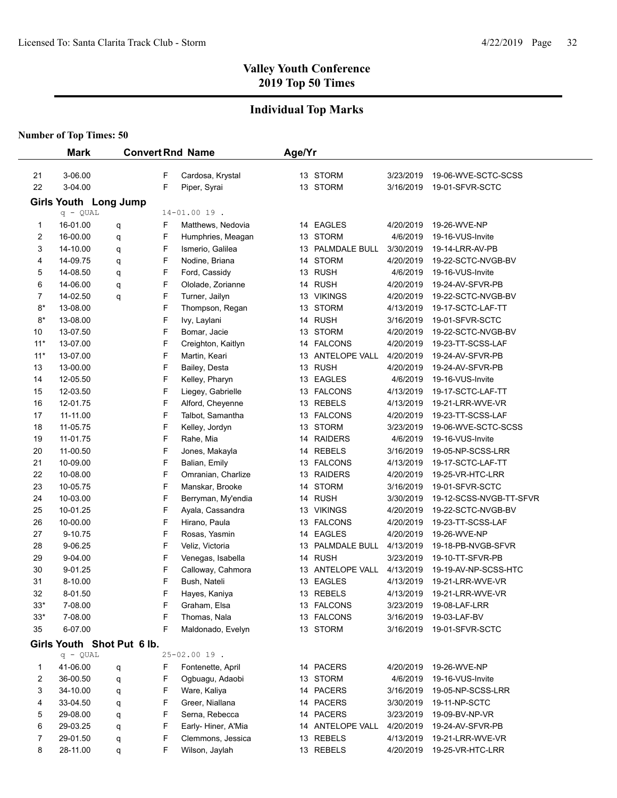## **Individual Top Marks**

|       | <b>Mark</b> |                            |   | <b>Convert Rnd Name</b> | Age/Yr |                  |           |                         |
|-------|-------------|----------------------------|---|-------------------------|--------|------------------|-----------|-------------------------|
| 21    | 3-06.00     |                            | F | Cardosa, Krystal        |        | 13 STORM         | 3/23/2019 | 19-06-WVE-SCTC-SCSS     |
| 22    | 3-04.00     |                            | F | Piper, Syrai            |        | 13 STORM         | 3/16/2019 | 19-01-SFVR-SCTC         |
|       |             | Girls Youth Long Jump      |   |                         |        |                  |           |                         |
|       | $q - QUAL$  |                            |   | $14 - 01.0019$ .        |        |                  |           |                         |
| 1     | 16-01.00    | q                          | F | Matthews, Nedovia       |        | 14 EAGLES        | 4/20/2019 | 19-26-WVE-NP            |
| 2     | 16-00.00    | q                          | F | Humphries, Meagan       |        | 13 STORM         | 4/6/2019  | 19-16-VUS-Invite        |
| 3     | 14-10.00    | q                          | F | Ismerio, Galilea        | 13     | PALMDALE BULL    | 3/30/2019 | 19-14-LRR-AV-PB         |
| 4     | 14-09.75    | q                          | F | Nodine, Briana          |        | 14 STORM         | 4/20/2019 | 19-22-SCTC-NVGB-BV      |
| 5     | 14-08.50    | q                          | F | Ford, Cassidy           | 13     | <b>RUSH</b>      | 4/6/2019  | 19-16-VUS-Invite        |
| 6     | 14-06.00    | q                          | F | Ololade, Zorianne       |        | 14 RUSH          | 4/20/2019 | 19-24-AV-SFVR-PB        |
| 7     | 14-02.50    | q                          | F | Turner, Jailyn          |        | 13 VIKINGS       | 4/20/2019 | 19-22-SCTC-NVGB-BV      |
| $8*$  | 13-08.00    |                            | F | Thompson, Regan         | 13     | <b>STORM</b>     | 4/13/2019 | 19-17-SCTC-LAF-TT       |
| $8*$  | 13-08.00    |                            | F | Ivy, Laylani            |        | 14 RUSH          | 3/16/2019 | 19-01-SFVR-SCTC         |
| 10    | 13-07.50    |                            | F | Bomar, Jacie            |        | 13 STORM         | 4/20/2019 | 19-22-SCTC-NVGB-BV      |
| $11*$ | 13-07.00    |                            | F | Creighton, Kaitlyn      |        | 14 FALCONS       | 4/20/2019 | 19-23-TT-SCSS-LAF       |
| $11*$ | 13-07.00    |                            | F | Martin, Keari           |        | 13 ANTELOPE VALL | 4/20/2019 | 19-24-AV-SFVR-PB        |
| 13    | 13-00.00    |                            | F | Bailey, Desta           |        | 13 RUSH          | 4/20/2019 | 19-24-AV-SFVR-PB        |
| 14    | 12-05.50    |                            | F | Kelley, Pharyn          |        | 13 EAGLES        | 4/6/2019  | 19-16-VUS-Invite        |
| 15    | 12-03.50    |                            | F | Liegey, Gabrielle       |        | 13 FALCONS       | 4/13/2019 | 19-17-SCTC-LAF-TT       |
| 16    | 12-01.75    |                            | F | Alford, Cheyenne        |        | 13 REBELS        | 4/13/2019 | 19-21-LRR-WVE-VR        |
| 17    | 11-11.00    |                            | F | Talbot, Samantha        |        | 13 FALCONS       | 4/20/2019 | 19-23-TT-SCSS-LAF       |
| 18    | 11-05.75    |                            | F | Kelley, Jordyn          |        | 13 STORM         | 3/23/2019 | 19-06-WVE-SCTC-SCSS     |
| 19    | 11-01.75    |                            | F | Rahe, Mia               |        | 14 RAIDERS       | 4/6/2019  | 19-16-VUS-Invite        |
| 20    | 11-00.50    |                            | F | Jones, Makayla          |        | 14 REBELS        | 3/16/2019 | 19-05-NP-SCSS-LRR       |
| 21    | 10-09.00    |                            | F | Balian, Emily           |        | 13 FALCONS       | 4/13/2019 | 19-17-SCTC-LAF-TT       |
| 22    | 10-08.00    |                            | F | Omranian, Charlize      | 13     | <b>RAIDERS</b>   | 4/20/2019 | 19-25-VR-HTC-LRR        |
| 23    | 10-05.75    |                            | F | Manskar, Brooke         |        | 14 STORM         | 3/16/2019 | 19-01-SFVR-SCTC         |
| 24    | 10-03.00    |                            | F | Berryman, My'endia      |        | 14 RUSH          | 3/30/2019 | 19-12-SCSS-NVGB-TT-SFVR |
| 25    | 10-01.25    |                            | F | Ayala, Cassandra        |        | 13 VIKINGS       | 4/20/2019 | 19-22-SCTC-NVGB-BV      |
| 26    | 10-00.00    |                            | F | Hirano, Paula           |        | 13 FALCONS       | 4/20/2019 | 19-23-TT-SCSS-LAF       |
| 27    | 9-10.75     |                            | F | Rosas, Yasmin           |        | 14 EAGLES        | 4/20/2019 | 19-26-WVE-NP            |
| 28    | 9-06.25     |                            | F | Veliz, Victoria         |        | 13 PALMDALE BULL | 4/13/2019 | 19-18-PB-NVGB-SFVR      |
| 29    | 9-04.00     |                            | F | Venegas, Isabella       |        | 14 RUSH          | 3/23/2019 | 19-10-TT-SFVR-PB        |
| 30    | 9-01.25     |                            | F | Calloway, Cahmora       |        | 13 ANTELOPE VALL | 4/13/2019 | 19-19-AV-NP-SCSS-HTC    |
| 31    | 8-10.00     |                            | F | Bush, Nateli            |        | 13 EAGLES        | 4/13/2019 | 19-21-LRR-WVE-VR        |
| 32    | 8-01.50     |                            | F | Hayes, Kaniya           |        | 13 REBELS        | 4/13/2019 | 19-21-LRR-WVE-VR        |
| $33*$ | 7-08.00     |                            | F | Graham, Elsa            |        | 13 FALCONS       | 3/23/2019 | 19-08-LAF-LRR           |
| $33*$ | 7-08.00     |                            | F | Thomas, Nala            |        | 13 FALCONS       | 3/16/2019 | 19-03-LAF-BV            |
| 35    | 6-07.00     |                            | F | Maldonado, Evelyn       |        | 13 STORM         | 3/16/2019 | 19-01-SFVR-SCTC         |
|       |             | Girls Youth Shot Put 6 lb. |   |                         |        |                  |           |                         |
|       | $q - QUAL$  |                            |   | $25 - 02.0019$ .        |        |                  |           |                         |
| 1     | 41-06.00    | q                          | F | Fontenette, April       |        | 14 PACERS        | 4/20/2019 | 19-26-WVE-NP            |
| 2     | 36-00.50    | q                          | F | Ogbuagu, Adaobi         |        | 13 STORM         | 4/6/2019  | 19-16-VUS-Invite        |
| 3     | 34-10.00    | q                          | F | Ware, Kaliya            |        | 14 PACERS        | 3/16/2019 | 19-05-NP-SCSS-LRR       |
| 4     | 33-04.50    | q                          | F | Greer, Niallana         |        | 14 PACERS        | 3/30/2019 | 19-11-NP-SCTC           |
| 5     | 29-08.00    | q                          | F | Serna, Rebecca          |        | 14 PACERS        | 3/23/2019 | 19-09-BV-NP-VR          |
| 6     | 29-03.25    | q                          | F | Early-Hiner, A'Mia      |        | 14 ANTELOPE VALL | 4/20/2019 | 19-24-AV-SFVR-PB        |
| 7     | 29-01.50    | q                          | F | Clemmons, Jessica       |        | 13 REBELS        | 4/13/2019 | 19-21-LRR-WVE-VR        |
| 8     | 28-11.00    | q                          | F | Wilson, Jaylah          |        | 13 REBELS        | 4/20/2019 | 19-25-VR-HTC-LRR        |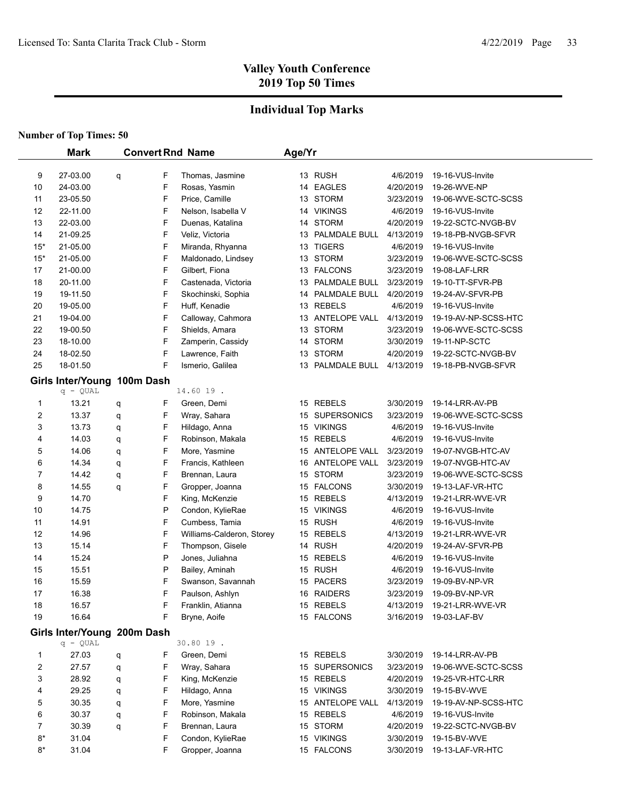## **Individual Top Marks**

|                         | <b>Mark</b>                               |             | <b>Convert Rnd Name</b>           | Age/Yr |                            |                       |                                        |
|-------------------------|-------------------------------------------|-------------|-----------------------------------|--------|----------------------------|-----------------------|----------------------------------------|
|                         |                                           |             |                                   |        |                            |                       |                                        |
| 9<br>10                 | 27-03.00<br>24-03.00                      | F<br>q<br>F | Thomas, Jasmine<br>Rosas, Yasmin  |        | 13 RUSH<br>14 EAGLES       | 4/6/2019<br>4/20/2019 | 19-16-VUS-Invite<br>19-26-WVE-NP       |
| 11                      | 23-05.50                                  | F           | Price, Camille                    |        | 13 STORM                   | 3/23/2019             | 19-06-WVE-SCTC-SCSS                    |
| 12                      | 22-11.00                                  | F           | Nelson, Isabella V                |        | 14 VIKINGS                 | 4/6/2019              | 19-16-VUS-Invite                       |
| 13                      | 22-03.00                                  | F           | Duenas, Katalina                  |        | 14 STORM                   | 4/20/2019             | 19-22-SCTC-NVGB-BV                     |
| 14                      | 21-09.25                                  | F           | Veliz, Victoria                   | 13     | PALMDALE BULL              | 4/13/2019             | 19-18-PB-NVGB-SFVR                     |
| $15*$                   | 21-05.00                                  | F           | Miranda, Rhyanna                  |        | 13 TIGERS                  | 4/6/2019              | 19-16-VUS-Invite                       |
| $15*$                   | 21-05.00                                  | F           | Maldonado, Lindsey                | 13     | <b>STORM</b>               | 3/23/2019             | 19-06-WVE-SCTC-SCSS                    |
| 17                      | 21-00.00                                  | F           | Gilbert, Fiona                    |        | 13 FALCONS                 | 3/23/2019             | 19-08-LAF-LRR                          |
| 18                      | 20-11.00                                  | F           | Castenada, Victoria               | 13     | PALMDALE BULL              | 3/23/2019             | 19-10-TT-SFVR-PB                       |
| 19                      | 19-11.50                                  | F           | Skochinski, Sophia                | 14     | PALMDALE BULL              | 4/20/2019             | 19-24-AV-SFVR-PB                       |
| 20                      | 19-05.00                                  | F           | Huff, Kenadie                     | 13     | <b>REBELS</b>              | 4/6/2019              | 19-16-VUS-Invite                       |
| 21                      | 19-04.00                                  |             | F<br>Calloway, Cahmora            |        | 13 ANTELOPE VALL           | 4/13/2019             | 19-19-AV-NP-SCSS-HTC                   |
| 22                      | 19-00.50                                  | F           | Shields, Amara                    | 13     | <b>STORM</b>               | 3/23/2019             | 19-06-WVE-SCTC-SCSS                    |
| 23                      | 18-10.00                                  | F           | Zamperin, Cassidy                 | 14     | <b>STORM</b>               | 3/30/2019             | 19-11-NP-SCTC                          |
| 24                      | 18-02.50                                  | F           | Lawrence, Faith                   |        | 13 STORM                   | 4/20/2019             | 19-22-SCTC-NVGB-BV                     |
| 25                      | 18-01.50                                  | F           | Ismerio, Galilea                  |        | 13 PALMDALE BULL           | 4/13/2019             | 19-18-PB-NVGB-SFVR                     |
|                         |                                           |             |                                   |        |                            |                       |                                        |
|                         | Girls Inter/Young 100m Dash<br>$q - QUAL$ |             |                                   |        |                            |                       |                                        |
|                         |                                           |             | 14.60 19.                         |        | 15 REBELS                  |                       |                                        |
| 1                       | 13.21                                     | F<br>q      | Green, Demi                       |        | <b>SUPERSONICS</b>         | 3/30/2019             | 19-14-LRR-AV-PB                        |
| $\overline{\mathbf{c}}$ | 13.37                                     | F<br>q      | Wray, Sahara                      | 15     |                            | 3/23/2019             | 19-06-WVE-SCTC-SCSS                    |
| 3                       | 13.73                                     | F<br>q      | Hildago, Anna                     | 15     | <b>VIKINGS</b>             | 4/6/2019              | 19-16-VUS-Invite                       |
| 4<br>5                  | 14.03<br>14.06                            | F<br>q<br>F | Robinson, Makala<br>More, Yasmine | 15     | 15 REBELS<br>ANTELOPE VALL | 4/6/2019<br>3/23/2019 | 19-16-VUS-Invite                       |
| 6                       | 14.34                                     | q<br>F      | Francis, Kathleen                 | 16     | ANTELOPE VALL              | 3/23/2019             | 19-07-NVGB-HTC-AV<br>19-07-NVGB-HTC-AV |
| 7                       | 14.42                                     | q<br>F      | Brennan, Laura                    |        | 15 STORM                   | 3/23/2019             | 19-06-WVE-SCTC-SCSS                    |
| 8                       | 14.55                                     | q<br>F      | Gropper, Joanna                   |        | 15 FALCONS                 | 3/30/2019             | 19-13-LAF-VR-HTC                       |
| 9                       | 14.70                                     | q<br>F      | King, McKenzie                    |        | 15 REBELS                  | 4/13/2019             | 19-21-LRR-WVE-VR                       |
| 10                      | 14.75                                     |             | P<br>Condon, KylieRae             |        | 15 VIKINGS                 | 4/6/2019              | 19-16-VUS-Invite                       |
| 11                      | 14.91                                     | F           | Cumbess, Tamia                    |        | 15 RUSH                    | 4/6/2019              | 19-16-VUS-Invite                       |
| 12                      | 14.96                                     | F           | Williams-Calderon, Storey         |        | 15 REBELS                  | 4/13/2019             | 19-21-LRR-WVE-VR                       |
| 13                      | 15.14                                     | F           | Thompson, Gisele                  |        | 14 RUSH                    | 4/20/2019             | 19-24-AV-SFVR-PB                       |
| 14                      | 15.24                                     |             | P<br>Jones, Juliahna              |        | 15 REBELS                  | 4/6/2019              | 19-16-VUS-Invite                       |
| 15                      | 15.51                                     |             | P<br>Bailey, Aminah               |        | 15 RUSH                    | 4/6/2019              | 19-16-VUS-Invite                       |
| 16                      | 15.59                                     |             | F<br>Swanson, Savannah            | 15     | <b>PACERS</b>              | 3/23/2019             | 19-09-BV-NP-VR                         |
| 17                      | 16.38                                     |             | F<br>Paulson, Ashlyn              | 16     | <b>RAIDERS</b>             | 3/23/2019             | 19-09-BV-NP-VR                         |
| 18                      | 16.57                                     | F           | Franklin, Atianna                 |        | 15 REBELS                  | 4/13/2019             | 19-21-LRR-WVE-VR                       |
| 19                      | 16.64                                     |             | F<br>Bryne, Aoife                 |        | 15 FALCONS                 | 3/16/2019             | 19-03-LAF-BV                           |
|                         | Girls Inter/Young 200m Dash               |             |                                   |        |                            |                       |                                        |
|                         | $q - QUAL$                                |             | 30.80 19.                         |        |                            |                       |                                        |
| 1                       | 27.03                                     | q           | F<br>Green, Demi                  |        | 15 REBELS                  | 3/30/2019             | 19-14-LRR-AV-PB                        |
| 2                       | 27.57                                     | F<br>q      | Wray, Sahara                      |        | 15 SUPERSONICS             | 3/23/2019             | 19-06-WVE-SCTC-SCSS                    |
| 3                       | 28.92                                     | F<br>q      | King, McKenzie                    |        | 15 REBELS                  | 4/20/2019             | 19-25-VR-HTC-LRR                       |
| 4                       | 29.25                                     | F<br>q      | Hildago, Anna                     |        | 15 VIKINGS                 | 3/30/2019             | 19-15-BV-WVE                           |
| 5                       | 30.35                                     | F<br>q      | More, Yasmine                     |        | 15 ANTELOPE VALL           | 4/13/2019             | 19-19-AV-NP-SCSS-HTC                   |
| 6                       | 30.37                                     | F<br>q      | Robinson, Makala                  |        | 15 REBELS                  | 4/6/2019              | 19-16-VUS-Invite                       |
| 7                       | 30.39                                     | F<br>q      | Brennan, Laura                    |        | 15 STORM                   | 4/20/2019             | 19-22-SCTC-NVGB-BV                     |
| $8*$                    | 31.04                                     | F           | Condon, KylieRae                  |        | 15 VIKINGS                 | 3/30/2019             | 19-15-BV-WVE                           |
| $8*$                    | 31.04                                     |             | F<br>Gropper, Joanna              |        | 15 FALCONS                 | 3/30/2019             | 19-13-LAF-VR-HTC                       |
|                         |                                           |             |                                   |        |                            |                       |                                        |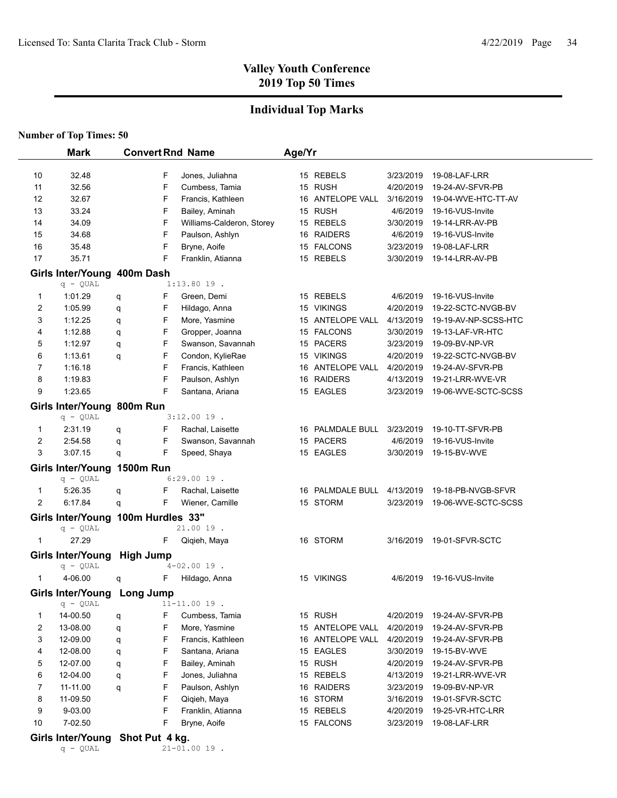q - QUAL 21-01.00 19 .

## **Valley Youth Conference 2019 Top 50 Times**

## **Individual Top Marks**

|                         | <b>Mark</b>                        |                  |   | <b>Convert Rnd Name</b>   | Age/Yr |                  |           |                      |
|-------------------------|------------------------------------|------------------|---|---------------------------|--------|------------------|-----------|----------------------|
|                         |                                    |                  |   |                           |        |                  |           |                      |
| 10                      | 32.48                              |                  | F | Jones, Juliahna           |        | 15 REBELS        | 3/23/2019 | 19-08-LAF-LRR        |
| 11                      | 32.56                              |                  | F | Cumbess, Tamia            |        | 15 RUSH          | 4/20/2019 | 19-24-AV-SFVR-PB     |
| 12                      | 32.67                              |                  | F | Francis, Kathleen         |        | 16 ANTELOPE VALL | 3/16/2019 | 19-04-WVE-HTC-TT-AV  |
| 13                      | 33.24                              |                  | F | Bailey, Aminah            |        | 15 RUSH          | 4/6/2019  | 19-16-VUS-Invite     |
| 14                      | 34.09                              |                  | F | Williams-Calderon, Storey |        | 15 REBELS        | 3/30/2019 | 19-14-LRR-AV-PB      |
| 15                      | 34.68                              |                  | F | Paulson, Ashlyn           |        | 16 RAIDERS       | 4/6/2019  | 19-16-VUS-Invite     |
| 16                      | 35.48                              |                  | F | Bryne, Aoife              |        | 15 FALCONS       | 3/23/2019 | 19-08-LAF-LRR        |
| 17                      | 35.71                              |                  | F | Franklin, Atianna         |        | 15 REBELS        | 3/30/2019 | 19-14-LRR-AV-PB      |
|                         | Girls Inter/Young 400m Dash        |                  |   |                           |        |                  |           |                      |
|                         | $q - QUAL$                         |                  |   | $1:13.8019$ .             |        |                  |           |                      |
| 1                       | 1:01.29                            | q                | F | Green, Demi               |        | 15 REBELS        | 4/6/2019  | 19-16-VUS-Invite     |
| 2                       | 1:05.99                            | q                | F | Hildago, Anna             |        | 15 VIKINGS       | 4/20/2019 | 19-22-SCTC-NVGB-BV   |
| 3                       | 1:12.25                            | q                | F | More, Yasmine             |        | 15 ANTELOPE VALL | 4/13/2019 | 19-19-AV-NP-SCSS-HTC |
| 4                       | 1:12.88                            | q                | F | Gropper, Joanna           |        | 15 FALCONS       | 3/30/2019 | 19-13-LAF-VR-HTC     |
| 5                       | 1:12.97                            | q                | F | Swanson, Savannah         |        | 15 PACERS        | 3/23/2019 | 19-09-BV-NP-VR       |
| 6                       | 1:13.61                            | q                | F | Condon, KylieRae          |        | 15 VIKINGS       | 4/20/2019 | 19-22-SCTC-NVGB-BV   |
| 7                       | 1:16.18                            |                  | F | Francis, Kathleen         |        | 16 ANTELOPE VALL | 4/20/2019 | 19-24-AV-SFVR-PB     |
| 8                       | 1:19.83                            |                  | F | Paulson, Ashlyn           |        | 16 RAIDERS       | 4/13/2019 | 19-21-LRR-WVE-VR     |
| 9                       | 1:23.65                            |                  | F | Santana, Ariana           |        | 15 EAGLES        | 3/23/2019 | 19-06-WVE-SCTC-SCSS  |
|                         | Girls Inter/Young 800m Run         |                  |   |                           |        |                  |           |                      |
|                         | $q - QUAL$                         |                  |   | $3:12.0019$ .             |        |                  |           |                      |
| 1                       | 2:31.19                            | q                | F | Rachal, Laisette          |        | 16 PALMDALE BULL | 3/23/2019 | 19-10-TT-SFVR-PB     |
| $\overline{\mathbf{c}}$ | 2:54.58                            | q                | F | Swanson, Savannah         |        | 15 PACERS        | 4/6/2019  | 19-16-VUS-Invite     |
| 3                       | 3:07.15                            | q                | F | Speed, Shaya              |        | 15 EAGLES        | 3/30/2019 | 19-15-BV-WVE         |
|                         | Girls Inter/Young 1500m Run        |                  |   |                           |        |                  |           |                      |
|                         | $q - QUAL$                         |                  |   | $6:29.0019$ .             |        |                  |           |                      |
| 1                       | 5:26.35                            | q                | F | Rachal, Laisette          |        | 16 PALMDALE BULL | 4/13/2019 | 19-18-PB-NVGB-SFVR   |
| 2                       | 6:17.84                            | q                | F | Wiener, Camille           |        | 15 STORM         | 3/23/2019 | 19-06-WVE-SCTC-SCSS  |
|                         | Girls Inter/Young 100m Hurdles 33" |                  |   |                           |        |                  |           |                      |
|                         | $q - QUAL$                         |                  |   | 21.00 19.                 |        |                  |           |                      |
| $\mathbf{1}$            | 27.29                              |                  | F | Qiqieh, Maya              |        | 16 STORM         | 3/16/2019 | 19-01-SFVR-SCTC      |
|                         | Girls Inter/Young                  | <b>High Jump</b> |   |                           |        |                  |           |                      |
|                         | $q - QUAL$                         |                  |   | $4 - 02.0019$ .           |        |                  |           |                      |
| 1                       | 4-06.00                            | q                | F | Hildago, Anna             |        | 15 VIKINGS       | 4/6/2019  | 19-16-VUS-Invite     |
|                         | Girls Inter/Young Long Jump        |                  |   |                           |        |                  |           |                      |
|                         | $q - QUAL$                         |                  |   | $11 - 11.00 19$ .         |        |                  |           |                      |
| 1                       | 14-00.50                           | q                | F | Cumbess, Tamia            |        | 15 RUSH          | 4/20/2019 | 19-24-AV-SFVR-PB     |
| 2                       | 13-08.00                           | q                | F | More, Yasmine             |        | 15 ANTELOPE VALL | 4/20/2019 | 19-24-AV-SFVR-PB     |
| 3                       | 12-09.00                           | q                | F | Francis, Kathleen         |        | 16 ANTELOPE VALL | 4/20/2019 | 19-24-AV-SFVR-PB     |
| 4                       | 12-08.00                           | q                | F | Santana, Ariana           |        | 15 EAGLES        | 3/30/2019 | 19-15-BV-WVE         |
| 5                       | 12-07.00                           | q                | F | Bailey, Aminah            |        | 15 RUSH          | 4/20/2019 | 19-24-AV-SFVR-PB     |
| 6                       | 12-04.00                           | q                | F | Jones, Juliahna           |        | 15 REBELS        | 4/13/2019 | 19-21-LRR-WVE-VR     |
| 7                       | 11-11.00                           | q                | F | Paulson, Ashlyn           |        | 16 RAIDERS       | 3/23/2019 | 19-09-BV-NP-VR       |
| 8                       | 11-09.50                           |                  | F | Qiqieh, Maya              |        | 16 STORM         | 3/16/2019 | 19-01-SFVR-SCTC      |
| 9                       | 9-03.00                            |                  | F | Franklin, Atianna         |        | 15 REBELS        | 4/20/2019 | 19-25-VR-HTC-LRR     |
| 10                      | 7-02.50                            |                  | F | Bryne, Aoife              |        | 15 FALCONS       | 3/23/2019 | 19-08-LAF-LRR        |
|                         | Girls Inter/Young Shot Put 4 kg.   |                  |   |                           |        |                  |           |                      |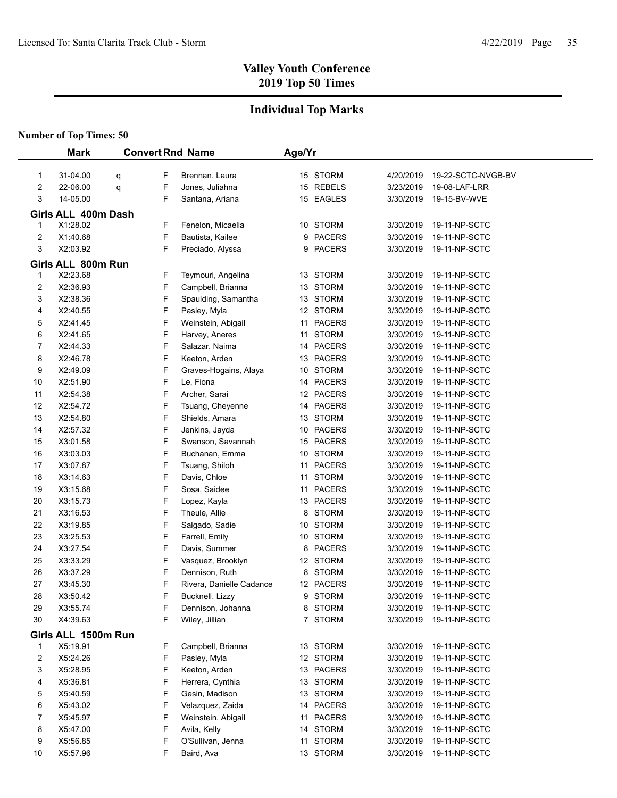## **Individual Top Marks**

|          | <b>Mark</b>                     |   |        | <b>Convert Rnd Name</b>            | Age/Yr |                           |                        |                                |  |
|----------|---------------------------------|---|--------|------------------------------------|--------|---------------------------|------------------------|--------------------------------|--|
|          |                                 |   |        |                                    |        |                           |                        |                                |  |
| 1        | 31-04.00                        | q | F      | Brennan, Laura<br>Jones, Juliahna  |        | 15 STORM                  | 4/20/2019              | 19-22-SCTC-NVGB-BV             |  |
| 2        | 22-06.00                        | q | F      |                                    |        | 15 REBELS                 | 3/23/2019              | 19-08-LAF-LRR                  |  |
| 3        | 14-05.00                        |   | F      | Santana, Ariana                    |        | 15 EAGLES                 | 3/30/2019              | 19-15-BV-WVE                   |  |
|          | Girls ALL 400m Dash             |   |        |                                    |        |                           |                        |                                |  |
| 1        | X1:28.02                        |   | F      | Fenelon, Micaella                  |        | 10 STORM                  | 3/30/2019              | 19-11-NP-SCTC                  |  |
| 2        | X1:40.68                        |   | F      | Bautista, Kailee                   |        | 9 PACERS                  | 3/30/2019              | 19-11-NP-SCTC                  |  |
| 3        | X2:03.92                        |   | F      | Preciado, Alyssa                   |        | 9 PACERS                  | 3/30/2019              | 19-11-NP-SCTC                  |  |
|          | Girls ALL 800m Run              |   |        |                                    |        |                           |                        |                                |  |
| 1        | X2:23.68                        |   | F      | Teymouri, Angelina                 |        | 13 STORM                  | 3/30/2019              | 19-11-NP-SCTC                  |  |
| 2        | X2:36.93                        |   | F      | Campbell, Brianna                  |        | 13 STORM                  | 3/30/2019              | 19-11-NP-SCTC                  |  |
| 3        | X2:38.36                        |   | F      | Spaulding, Samantha                |        | 13 STORM                  | 3/30/2019              | 19-11-NP-SCTC                  |  |
| 4        | X2:40.55                        |   | F      | Pasley, Myla                       |        | 12 STORM                  | 3/30/2019              | 19-11-NP-SCTC                  |  |
| 5        | X2:41.45                        |   | F      | Weinstein, Abigail                 |        | 11 PACERS                 | 3/30/2019              | 19-11-NP-SCTC                  |  |
| 6        | X2:41.65                        |   | F      | Harvey, Aneres                     |        | 11 STORM                  | 3/30/2019              | 19-11-NP-SCTC                  |  |
| 7        | X2:44.33                        |   | F      | Salazar, Naima                     |        | 14 PACERS                 | 3/30/2019              | 19-11-NP-SCTC                  |  |
| 8        | X2:46.78                        |   | F      | Keeton, Arden                      |        | 13 PACERS                 | 3/30/2019              | 19-11-NP-SCTC                  |  |
| 9        | X2:49.09                        |   | F      | Graves-Hogains, Alaya              |        | 10 STORM                  | 3/30/2019              | 19-11-NP-SCTC                  |  |
| 10       | X2:51.90                        |   | F      | Le, Fiona                          |        | 14 PACERS                 | 3/30/2019              | 19-11-NP-SCTC                  |  |
| 11       | X2:54.38                        |   | F      | Archer, Sarai                      |        | 12 PACERS                 | 3/30/2019              | 19-11-NP-SCTC                  |  |
| 12       | X2:54.72                        |   | F      | Tsuang, Cheyenne                   |        | 14 PACERS                 | 3/30/2019              | 19-11-NP-SCTC                  |  |
| 13       | X2:54.80                        |   | F      | Shields, Amara                     |        | 13 STORM                  | 3/30/2019              | 19-11-NP-SCTC                  |  |
| 14       | X2:57.32                        |   | F      | Jenkins, Jayda                     |        | 10 PACERS                 | 3/30/2019              | 19-11-NP-SCTC                  |  |
| 15       | X3:01.58                        |   | F      | Swanson, Savannah                  |        | 15 PACERS                 | 3/30/2019              | 19-11-NP-SCTC                  |  |
| 16       | X3:03.03                        |   | F      | Buchanan, Emma                     |        | 10 STORM                  | 3/30/2019              | 19-11-NP-SCTC                  |  |
| 17       | X3:07.87                        |   | F      | Tsuang, Shiloh                     |        | 11 PACERS                 | 3/30/2019              | 19-11-NP-SCTC                  |  |
| 18       | X3:14.63                        |   | F      | Davis, Chloe                       |        | 11 STORM                  | 3/30/2019              | 19-11-NP-SCTC                  |  |
| 19       | X3:15.68                        |   | F      | Sosa, Saidee                       |        | 11 PACERS                 | 3/30/2019              | 19-11-NP-SCTC                  |  |
| 20       | X3:15.73                        |   | F      | Lopez, Kayla                       |        | 13 PACERS                 | 3/30/2019              | 19-11-NP-SCTC                  |  |
| 21       | X3:16.53                        |   | F<br>F | Theule, Allie                      | 8      | <b>STORM</b>              | 3/30/2019              | 19-11-NP-SCTC                  |  |
| 22       | X3:19.85                        |   | F      | Salgado, Sadie                     |        | 10 STORM                  | 3/30/2019              | 19-11-NP-SCTC                  |  |
| 23       | X3:25.53                        |   | F      | Farrell, Emily                     |        | 10 STORM                  | 3/30/2019              | 19-11-NP-SCTC                  |  |
| 24<br>25 | X3:27.54<br>X3:33.29            |   | F      | Davis, Summer<br>Vasquez, Brooklyn | 8      | <b>PACERS</b><br>12 STORM | 3/30/2019<br>3/30/2019 | 19-11-NP-SCTC<br>19-11-NP-SCTC |  |
| 26       | X3:37.29                        |   | F      | Dennison, Ruth                     | 8      | <b>STORM</b>              | 3/30/2019              | 19-11-NP-SCTC                  |  |
| 27       | X3:45.30                        |   | F      | Rivera, Danielle Cadance           |        | 12 PACERS                 | 3/30/2019              | 19-11-NP-SCTC                  |  |
| 28       | X3:50.42                        |   | F      | Bucknell, Lizzy                    | 9      | <b>STORM</b>              | 3/30/2019              | 19-11-NP-SCTC                  |  |
| 29       | X3:55.74                        |   | F      | Dennison, Johanna                  |        | 8 STORM                   | 3/30/2019              | 19-11-NP-SCTC                  |  |
| 30       | X4:39.63                        |   | F      | Wiley, Jillian                     |        | 7 STORM                   | 3/30/2019              | 19-11-NP-SCTC                  |  |
|          |                                 |   |        |                                    |        |                           |                        |                                |  |
|          | Girls ALL 1500m Run<br>X5:19.91 |   | F      |                                    |        | 13 STORM                  | 3/30/2019              | 19-11-NP-SCTC                  |  |
| 1<br>2   | X5:24.26                        |   | F      | Campbell, Brianna<br>Pasley, Myla  |        | 12 STORM                  | 3/30/2019              | 19-11-NP-SCTC                  |  |
| 3        | X5:28.95                        |   | F      | Keeton, Arden                      |        | 13 PACERS                 | 3/30/2019              | 19-11-NP-SCTC                  |  |
| 4        | X5:36.81                        |   | F      | Herrera, Cynthia                   |        | 13 STORM                  | 3/30/2019              | 19-11-NP-SCTC                  |  |
| 5        | X5:40.59                        |   | F      | Gesin, Madison                     |        | 13 STORM                  | 3/30/2019              | 19-11-NP-SCTC                  |  |
| 6        | X5:43.02                        |   | F      | Velazquez, Zaida                   |        | 14 PACERS                 | 3/30/2019              | 19-11-NP-SCTC                  |  |
| 7        | X5:45.97                        |   | F      | Weinstein, Abigail                 |        | 11 PACERS                 | 3/30/2019              | 19-11-NP-SCTC                  |  |
| 8        | X5:47.00                        |   | F      | Avila, Kelly                       |        | 14 STORM                  | 3/30/2019              | 19-11-NP-SCTC                  |  |
| 9        | X5:56.85                        |   | F      | O'Sullivan, Jenna                  |        | 11 STORM                  | 3/30/2019              | 19-11-NP-SCTC                  |  |
| 10       | X5:57.96                        |   | F      | Baird, Ava                         |        | 13 STORM                  | 3/30/2019              | 19-11-NP-SCTC                  |  |
|          |                                 |   |        |                                    |        |                           |                        |                                |  |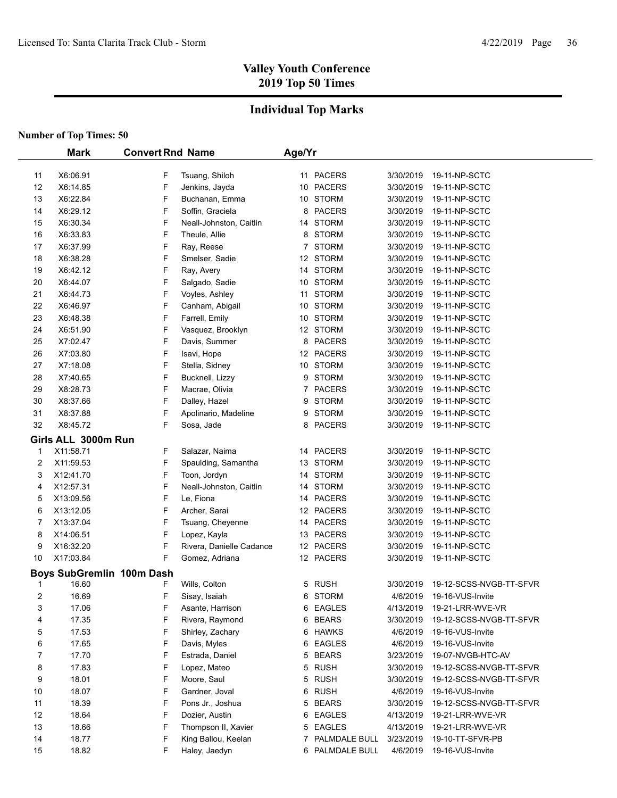## **Individual Top Marks**

| <b>Mark</b> |                     | <b>Convert Rnd Name</b>        |                                   | Age/Yr |                     |           |                                      |  |
|-------------|---------------------|--------------------------------|-----------------------------------|--------|---------------------|-----------|--------------------------------------|--|
| 11          | X6:06.91            | F                              | Tsuang, Shiloh                    |        | 11 PACERS           | 3/30/2019 | 19-11-NP-SCTC                        |  |
| 12          | X6:14.85            | F                              | Jenkins, Jayda                    |        | 10 PACERS           | 3/30/2019 | 19-11-NP-SCTC                        |  |
| 13          | X6:22.84            | F                              | Buchanan, Emma                    |        | 10 STORM            | 3/30/2019 | 19-11-NP-SCTC                        |  |
| 14          | X6:29.12            | F                              | Soffin, Graciela                  | 8      | <b>PACERS</b>       | 3/30/2019 | 19-11-NP-SCTC                        |  |
| 15          | X6:30.34            | F                              | Neall-Johnston, Caitlin           |        | 14 STORM            | 3/30/2019 | 19-11-NP-SCTC                        |  |
| 16          | X6:33.83            | F                              | Theule, Allie                     |        | 8 STORM             | 3/30/2019 | 19-11-NP-SCTC                        |  |
| 17          | X6:37.99            | F                              | Ray, Reese                        |        | 7 STORM             | 3/30/2019 | 19-11-NP-SCTC                        |  |
| 18          | X6:38.28            | F                              | Smelser, Sadie                    |        | 12 STORM            | 3/30/2019 | 19-11-NP-SCTC                        |  |
| 19          | X6:42.12            | F                              | Ray, Avery                        |        | 14 STORM            | 3/30/2019 | 19-11-NP-SCTC                        |  |
| 20          | X6:44.07            | F                              | Salgado, Sadie                    |        | 10 STORM            | 3/30/2019 | 19-11-NP-SCTC                        |  |
| 21          | X6:44.73            | F                              | Voyles, Ashley                    |        | 11 STORM            | 3/30/2019 | 19-11-NP-SCTC                        |  |
| 22          | X6:46.97            | F                              | Canham, Abigail                   |        | 10 STORM            | 3/30/2019 | 19-11-NP-SCTC                        |  |
| 23          | X6:48.38            | F                              | Farrell, Emily                    |        | 10 STORM            | 3/30/2019 | 19-11-NP-SCTC                        |  |
| 24          | X6:51.90            | F                              | Vasquez, Brooklyn                 |        | 12 STORM            | 3/30/2019 | 19-11-NP-SCTC                        |  |
| 25          | X7:02.47            | F                              | Davis, Summer                     | 8      | <b>PACERS</b>       | 3/30/2019 | 19-11-NP-SCTC                        |  |
| 26          | X7:03.80            | F                              | Isavi, Hope                       |        | 12 PACERS           | 3/30/2019 | 19-11-NP-SCTC                        |  |
| 27          | X7:18.08            | F                              | Stella, Sidney                    |        | 10 STORM            | 3/30/2019 | 19-11-NP-SCTC                        |  |
| 28          | X7:40.65            | F                              | Bucknell, Lizzy                   |        | 9 STORM             | 3/30/2019 | 19-11-NP-SCTC                        |  |
| 29          | X8:28.73            | F                              | Macrae, Olivia                    |        | 7 PACERS            | 3/30/2019 | 19-11-NP-SCTC                        |  |
| 30          | X8:37.66            | $\mathsf F$                    | Dalley, Hazel                     | 9      | <b>STORM</b>        | 3/30/2019 | 19-11-NP-SCTC                        |  |
| 31          | X8:37.88            | F                              | Apolinario, Madeline              |        | 9 STORM             | 3/30/2019 | 19-11-NP-SCTC                        |  |
| 32          | X8:45.72            | F                              | Sosa, Jade                        |        | 8 PACERS            | 3/30/2019 | 19-11-NP-SCTC                        |  |
|             | Girls ALL 3000m Run |                                |                                   |        |                     |           |                                      |  |
| 1           | X11:58.71           | F                              | Salazar, Naima                    |        | 14 PACERS           | 3/30/2019 | 19-11-NP-SCTC                        |  |
| 2           | X11:59.53           | F                              | Spaulding, Samantha               |        | 13 STORM            | 3/30/2019 | 19-11-NP-SCTC                        |  |
| 3           | X12:41.70           | F                              | Toon, Jordyn                      |        | 14 STORM            | 3/30/2019 | 19-11-NP-SCTC                        |  |
| 4           | X12:57.31           | F                              | Neall-Johnston, Caitlin           |        | 14 STORM            | 3/30/2019 | 19-11-NP-SCTC                        |  |
| 5           | X13:09.56           | F                              | Le, Fiona                         |        | 14 PACERS           | 3/30/2019 | 19-11-NP-SCTC                        |  |
| 6           | X13:12.05           | F                              | Archer, Sarai                     |        | 12 PACERS           | 3/30/2019 | 19-11-NP-SCTC                        |  |
| 7           | X13:37.04           | F                              | Tsuang, Cheyenne                  |        | 14 PACERS           | 3/30/2019 | 19-11-NP-SCTC                        |  |
| 8           | X14:06.51           | F                              | Lopez, Kayla                      |        | 13 PACERS           | 3/30/2019 | 19-11-NP-SCTC                        |  |
| 9           | X16:32.20           | F                              | Rivera, Danielle Cadance          |        | 12 PACERS           | 3/30/2019 | 19-11-NP-SCTC                        |  |
| 10          | X17:03.84           | F                              | Gomez, Adriana                    |        | 12 PACERS           | 3/30/2019 | 19-11-NP-SCTC                        |  |
|             |                     |                                |                                   |        |                     |           |                                      |  |
|             | 16.60               | Boys SubGremlin 100m Dash<br>F | Wills, Colton                     |        | 5 RUSH              | 3/30/2019 | 19-12-SCSS-NVGB-TT-SFVR              |  |
| 1           | 16.69               |                                |                                   |        |                     | 4/6/2019  |                                      |  |
| 2<br>3      | 17.06               | F<br>F                         | Sisay, Isaiah<br>Asante, Harrison |        | 6 STORM<br>6 EAGLES | 4/13/2019 | 19-16-VUS-Invite<br>19-21-LRR-WVE-VR |  |
| 4           | 17.35               | F                              | Rivera, Raymond                   |        | 6 BEARS             | 3/30/2019 | 19-12-SCSS-NVGB-TT-SFVR              |  |
| 5           | 17.53               | F                              | Shirley, Zachary                  |        | 6 HAWKS             | 4/6/2019  | 19-16-VUS-Invite                     |  |
| 6           | 17.65               | F                              | Davis, Myles                      |        | 6 EAGLES            | 4/6/2019  | 19-16-VUS-Invite                     |  |
| 7           | 17.70               | F                              | Estrada, Daniel                   |        | 5 BEARS             | 3/23/2019 | 19-07-NVGB-HTC-AV                    |  |
| 8           | 17.83               | F                              | Lopez, Mateo                      |        | 5 RUSH              | 3/30/2019 | 19-12-SCSS-NVGB-TT-SFVR              |  |
| 9           | 18.01               | F                              | Moore, Saul                       |        | 5 RUSH              | 3/30/2019 | 19-12-SCSS-NVGB-TT-SFVR              |  |
| 10          | 18.07               | F                              | Gardner, Joval                    |        | 6 RUSH              | 4/6/2019  | 19-16-VUS-Invite                     |  |
| 11          | 18.39               | F                              | Pons Jr., Joshua                  |        | 5 BEARS             | 3/30/2019 | 19-12-SCSS-NVGB-TT-SFVR              |  |
| 12          | 18.64               | F                              | Dozier, Austin                    |        | 6 EAGLES            | 4/13/2019 | 19-21-LRR-WVE-VR                     |  |
| 13          | 18.66               | F                              | Thompson II, Xavier               |        | 5 EAGLES            | 4/13/2019 | 19-21-LRR-WVE-VR                     |  |
| 14          | 18.77               | F                              | King Ballou, Keelan               |        | 7 PALMDALE BULL     | 3/23/2019 | 19-10-TT-SFVR-PB                     |  |
| 15          | 18.82               | F                              | Haley, Jaedyn                     |        | 6 PALMDALE BULL     | 4/6/2019  | 19-16-VUS-Invite                     |  |
|             |                     |                                |                                   |        |                     |           |                                      |  |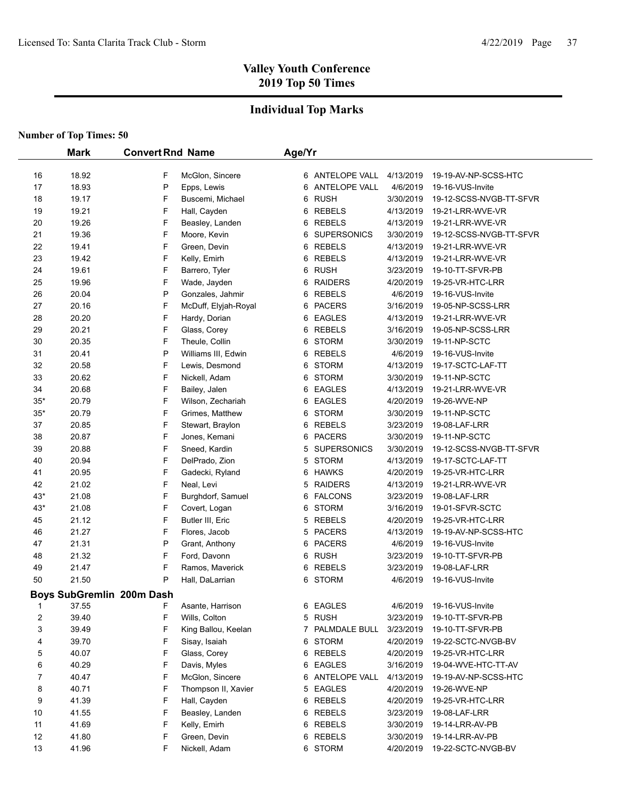### **Individual Top Marks**

|             | <b>Mark</b> | <b>Convert Rnd Name</b>          | Age/Yr                |                         |           |                         |
|-------------|-------------|----------------------------------|-----------------------|-------------------------|-----------|-------------------------|
|             |             |                                  |                       |                         |           |                         |
| 16          | 18.92       | F                                | McGlon, Sincere       | 6 ANTELOPE VALL         | 4/13/2019 | 19-19-AV-NP-SCSS-HTC    |
| 17          | 18.93       | P<br>Epps, Lewis                 |                       | 6 ANTELOPE VALL         | 4/6/2019  | 19-16-VUS-Invite        |
| 18          | 19.17       | F                                | Buscemi, Michael      | 6 RUSH                  | 3/30/2019 | 19-12-SCSS-NVGB-TT-SFVR |
| 19          | 19.21       | F<br>Hall, Cayden                |                       | 6 REBELS                | 4/13/2019 | 19-21-LRR-WVE-VR        |
| 20          | 19.26       | F                                | Beasley, Landen       | 6 REBELS                | 4/13/2019 | 19-21-LRR-WVE-VR        |
| 21          | 19.36       | F<br>Moore, Kevin                |                       | <b>SUPERSONICS</b><br>6 | 3/30/2019 | 19-12-SCSS-NVGB-TT-SFVR |
| 22          | 19.41       | F<br>Green, Devin                |                       | 6 REBELS                | 4/13/2019 | 19-21-LRR-WVE-VR        |
| 23          | 19.42       | F<br>Kelly, Emirh                |                       | 6 REBELS                | 4/13/2019 | 19-21-LRR-WVE-VR        |
| 24          | 19.61       | F<br>Barrero, Tyler              |                       | 6 RUSH                  | 3/23/2019 | 19-10-TT-SFVR-PB        |
| 25          | 19.96       | F                                | Wade, Jayden          | <b>RAIDERS</b><br>6     | 4/20/2019 | 19-25-VR-HTC-LRR        |
| 26          | 20.04       | P                                | Gonzales, Jahmir      | <b>REBELS</b><br>6      | 4/6/2019  | 19-16-VUS-Invite        |
| 27          | 20.16       | F                                | McDuff, Elyjah-Royal  | <b>PACERS</b><br>6      | 3/16/2019 | 19-05-NP-SCSS-LRR       |
| 28          | 20.20       | F                                | Hardy, Dorian         | <b>EAGLES</b><br>6      | 4/13/2019 | 19-21-LRR-WVE-VR        |
| 29          | 20.21       | F<br>Glass, Corey                |                       | <b>REBELS</b><br>6      | 3/16/2019 | 19-05-NP-SCSS-LRR       |
| 30          | 20.35       | F<br>Theule, Collin              |                       | <b>STORM</b><br>6       | 3/30/2019 | 19-11-NP-SCTC           |
| 31          | 20.41       | P                                | Williams III, Edwin   | REBELS<br>6             | 4/6/2019  | 19-16-VUS-Invite        |
| 32          | 20.58       | F                                | Lewis, Desmond        | <b>STORM</b><br>6       | 4/13/2019 | 19-17-SCTC-LAF-TT       |
| 33          | 20.62       | F<br>Nickell, Adam               |                       | STORM<br>6              | 3/30/2019 | 19-11-NP-SCTC           |
| 34          | 20.68       | F<br>Bailey, Jalen               |                       | 6 EAGLES                | 4/13/2019 | 19-21-LRR-WVE-VR        |
| $35^{\ast}$ | 20.79       | F                                | Wilson, Zechariah     | 6 EAGLES                | 4/20/2019 | 19-26-WVE-NP            |
| $35^{\ast}$ | 20.79       | F                                | Grimes, Matthew<br>6  | <b>STORM</b>            | 3/30/2019 | 19-11-NP-SCTC           |
| 37          | 20.85       | F                                | Stewart, Braylon<br>6 | <b>REBELS</b>           | 3/23/2019 | 19-08-LAF-LRR           |
| 38          | 20.87       | F                                | Jones, Kemani<br>6    | <b>PACERS</b>           | 3/30/2019 | 19-11-NP-SCTC           |
| 39          | 20.88       | F                                | Sneed, Kardin         | <b>SUPERSONICS</b><br>5 | 3/30/2019 | 19-12-SCSS-NVGB-TT-SFVR |
| 40          | 20.94       | F                                | DelPrado, Zion        | <b>STORM</b><br>5       | 4/13/2019 | 19-17-SCTC-LAF-TT       |
| 41          | 20.95       | F                                | Gadecki, Ryland<br>6  | HAWKS                   | 4/20/2019 | 19-25-VR-HTC-LRR        |
| 42          | 21.02       | F<br>Neal, Levi                  |                       | 5 RAIDERS               | 4/13/2019 | 19-21-LRR-WVE-VR        |
| 43*         | 21.08       | F                                | Burghdorf, Samuel     | 6 FALCONS               | 3/23/2019 | 19-08-LAF-LRR           |
| 43*         | 21.08       | F                                | Covert, Logan<br>6    | <b>STORM</b>            | 3/16/2019 | 19-01-SFVR-SCTC         |
| 45          | 21.12       | F<br>Butler III, Eric            |                       | 5 REBELS                | 4/20/2019 | 19-25-VR-HTC-LRR        |
| 46          | 21.27       | F<br>Flores, Jacob               |                       | 5 PACERS                | 4/13/2019 | 19-19-AV-NP-SCSS-HTC    |
| 47          | 21.31       | P                                | Grant, Anthony        | 6 PACERS                | 4/6/2019  | 19-16-VUS-Invite        |
| 48          | 21.32       | F<br>Ford, Davonn                |                       | 6 RUSH                  | 3/23/2019 | 19-10-TT-SFVR-PB        |
| 49          | 21.47       | F                                | Ramos, Maverick       | 6 REBELS                | 3/23/2019 | 19-08-LAF-LRR           |
| 50          | 21.50       | P                                | Hall, DaLarrian       | 6 STORM                 | 4/6/2019  | 19-16-VUS-Invite        |
|             |             | <b>Boys SubGremlin 200m Dash</b> |                       |                         |           |                         |
| 1           | 37.55       | F                                | Asante, Harrison      | 6 EAGLES                | 4/6/2019  | 19-16-VUS-Invite        |
| 2           | 39.40       | F<br>Wills, Colton               |                       | 5 RUSH                  | 3/23/2019 | 19-10-TT-SFVR-PB        |
| 3           | 39.49       | F                                | King Ballou, Keelan   | PALMDALE BULL<br>7      | 3/23/2019 | 19-10-TT-SFVR-PB        |
| 4           | 39.70       | F<br>Sisay, Isaiah               |                       | 6 STORM                 | 4/20/2019 | 19-22-SCTC-NVGB-BV      |
| 5           | 40.07       | F<br>Glass, Corey                |                       | 6 REBELS                | 4/20/2019 | 19-25-VR-HTC-LRR        |
| 6           | 40.29       | F<br>Davis, Myles                |                       | 6 EAGLES                | 3/16/2019 | 19-04-WVE-HTC-TT-AV     |
| 7           | 40.47       | F                                | McGlon, Sincere       | 6 ANTELOPE VALL         | 4/13/2019 | 19-19-AV-NP-SCSS-HTC    |
| 8           | 40.71       | F                                | Thompson II, Xavier   | 5 EAGLES                | 4/20/2019 | 19-26-WVE-NP            |
| 9           | 41.39       | F<br>Hall, Cayden                |                       | 6 REBELS                | 4/20/2019 | 19-25-VR-HTC-LRR        |
| 10          | 41.55       | F                                | Beasley, Landen       | 6 REBELS                | 3/23/2019 | 19-08-LAF-LRR           |
| 11          | 41.69       | F<br>Kelly, Emirh                |                       | 6 REBELS                | 3/30/2019 | 19-14-LRR-AV-PB         |
| 12          | 41.80       | F<br>Green, Devin                |                       | 6 REBELS                | 3/30/2019 | 19-14-LRR-AV-PB         |
| 13          | 41.96       | F<br>Nickell, Adam               |                       | 6 STORM                 | 4/20/2019 | 19-22-SCTC-NVGB-BV      |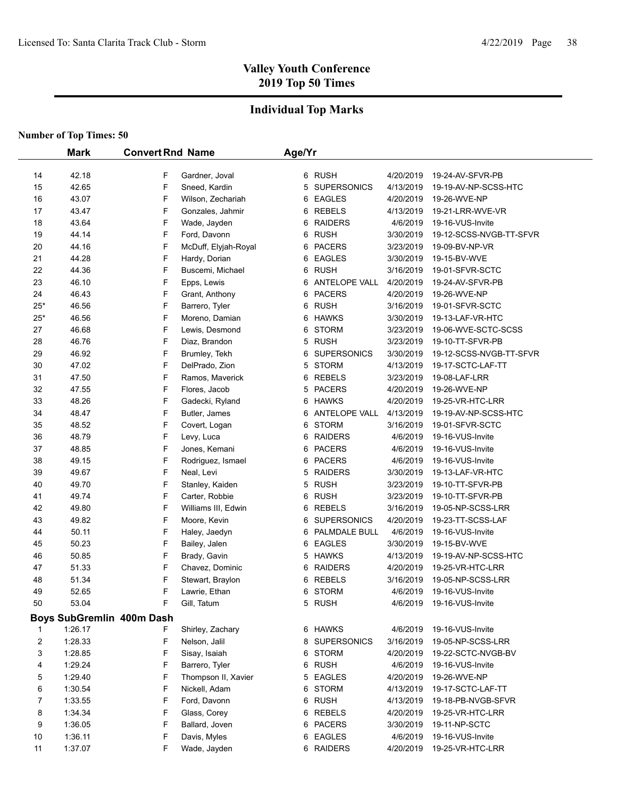## **Individual Top Marks**

|       | <b>Mark</b> | <b>Convert Rnd Name</b>   | Age/Yr                  |           |                         |  |
|-------|-------------|---------------------------|-------------------------|-----------|-------------------------|--|
|       |             |                           |                         |           |                         |  |
| 14    | 42.18       | F<br>Gardner, Joval       | 6 RUSH                  | 4/20/2019 | 19-24-AV-SFVR-PB        |  |
| 15    | 42.65       | F<br>Sneed, Kardin        | <b>SUPERSONICS</b><br>5 | 4/13/2019 | 19-19-AV-NP-SCSS-HTC    |  |
| 16    | 43.07       | F<br>Wilson, Zechariah    | <b>EAGLES</b><br>6      | 4/20/2019 | 19-26-WVE-NP            |  |
| 17    | 43.47       | F<br>Gonzales, Jahmir     | REBELS<br>6             | 4/13/2019 | 19-21-LRR-WVE-VR        |  |
| 18    | 43.64       | F<br>Wade, Jayden         | <b>RAIDERS</b><br>6     | 4/6/2019  | 19-16-VUS-Invite        |  |
| 19    | 44.14       | F<br>Ford, Davonn         | <b>RUSH</b><br>6        | 3/30/2019 | 19-12-SCSS-NVGB-TT-SFVR |  |
| 20    | 44.16       | F<br>McDuff, Elyjah-Royal | <b>PACERS</b><br>6      | 3/23/2019 | 19-09-BV-NP-VR          |  |
| 21    | 44.28       | F<br>Hardy, Dorian        | <b>EAGLES</b><br>6      | 3/30/2019 | 19-15-BV-WVE            |  |
| 22    | 44.36       | F<br>Buscemi, Michael     | <b>RUSH</b><br>6        | 3/16/2019 | 19-01-SFVR-SCTC         |  |
| 23    | 46.10       | F<br>Epps, Lewis          | ANTELOPE VALL<br>6      | 4/20/2019 | 19-24-AV-SFVR-PB        |  |
| 24    | 46.43       | F<br>Grant, Anthony       | <b>PACERS</b><br>6      | 4/20/2019 | 19-26-WVE-NP            |  |
| $25*$ | 46.56       | F<br>Barrero, Tyler       | <b>RUSH</b><br>6        | 3/16/2019 | 19-01-SFVR-SCTC         |  |
| $25*$ | 46.56       | F<br>Moreno, Damian       | <b>HAWKS</b><br>6       | 3/30/2019 | 19-13-LAF-VR-HTC        |  |
| 27    | 46.68       | F<br>Lewis, Desmond       | 6<br><b>STORM</b>       | 3/23/2019 | 19-06-WVE-SCTC-SCSS     |  |
| 28    | 46.76       | F<br>Diaz, Brandon        | 5<br><b>RUSH</b>        | 3/23/2019 | 19-10-TT-SFVR-PB        |  |
| 29    | 46.92       | F<br>Brumley, Tekh        | <b>SUPERSONICS</b><br>6 | 3/30/2019 | 19-12-SCSS-NVGB-TT-SFVR |  |
| 30    | 47.02       | F<br>DelPrado, Zion       | <b>STORM</b><br>5       | 4/13/2019 | 19-17-SCTC-LAF-TT       |  |
| 31    | 47.50       | F<br>Ramos, Maverick      | REBELS<br>6             | 3/23/2019 | 19-08-LAF-LRR           |  |
| 32    | 47.55       | F<br>Flores, Jacob        | 5<br><b>PACERS</b>      | 4/20/2019 | 19-26-WVE-NP            |  |
| 33    | 48.26       | F<br>Gadecki, Ryland      | HAWKS<br>6              | 4/20/2019 | 19-25-VR-HTC-LRR        |  |
| 34    | 48.47       | F<br>Butler, James        | ANTELOPE VALL<br>6      | 4/13/2019 | 19-19-AV-NP-SCSS-HTC    |  |
| 35    | 48.52       | F<br>Covert, Logan        | <b>STORM</b><br>6       | 3/16/2019 | 19-01-SFVR-SCTC         |  |
| 36    | 48.79       | F<br>Levy, Luca           | <b>RAIDERS</b><br>6     | 4/6/2019  | 19-16-VUS-Invite        |  |
| 37    | 48.85       | F<br>Jones, Kemani        | <b>PACERS</b><br>6      | 4/6/2019  | 19-16-VUS-Invite        |  |
| 38    | 49.15       | F<br>Rodriguez, Ismael    | <b>PACERS</b><br>6      | 4/6/2019  | 19-16-VUS-Invite        |  |
| 39    | 49.67       | F<br>Neal, Levi           | <b>RAIDERS</b><br>5     | 3/30/2019 | 19-13-LAF-VR-HTC        |  |
| 40    | 49.70       | F<br>Stanley, Kaiden      | 5<br><b>RUSH</b>        | 3/23/2019 | 19-10-TT-SFVR-PB        |  |
| 41    | 49.74       | F<br>Carter, Robbie       | <b>RUSH</b><br>6        | 3/23/2019 | 19-10-TT-SFVR-PB        |  |
| 42    | 49.80       | F<br>Williams III, Edwin  | REBELS<br>6             | 3/16/2019 | 19-05-NP-SCSS-LRR       |  |
| 43    | 49.82       | F<br>Moore, Kevin         | <b>SUPERSONICS</b><br>6 | 4/20/2019 | 19-23-TT-SCSS-LAF       |  |
| 44    | 50.11       | F<br>Haley, Jaedyn        | PALMDALE BULL<br>6      | 4/6/2019  | 19-16-VUS-Invite        |  |
| 45    | 50.23       | F<br>Bailey, Jalen        | <b>EAGLES</b><br>6      | 3/30/2019 | 19-15-BV-WVE            |  |
| 46    | 50.85       | F<br>Brady, Gavin         | <b>HAWKS</b><br>5       | 4/13/2019 | 19-19-AV-NP-SCSS-HTC    |  |
| 47    | 51.33       | F<br>Chavez, Dominic      | <b>RAIDERS</b><br>6     | 4/20/2019 | 19-25-VR-HTC-LRR        |  |
| 48    | 51.34       | F<br>Stewart, Braylon     | <b>REBELS</b><br>6      | 3/16/2019 | 19-05-NP-SCSS-LRR       |  |
| 49    | 52.65       | F<br>Lawrie, Ethan        | 6 STORM                 | 4/6/2019  | 19-16-VUS-Invite        |  |
| 50    | 53.04       | F<br>Gill, Tatum          | 5 RUSH                  | 4/6/2019  | 19-16-VUS-Invite        |  |
|       |             | Boys SubGremlin 400m Dash |                         |           |                         |  |
|       | 1:26.17     | Shirley, Zachary<br>F     | 6 HAWKS                 | 4/6/2019  | 19-16-VUS-Invite        |  |
| 2     | 1:28.33     | F<br>Nelson, Jalil        | SUPERSONICS<br>8        | 3/16/2019 | 19-05-NP-SCSS-LRR       |  |
| 3     | 1:28.85     | F<br>Sisay, Isaiah        | 6 STORM                 | 4/20/2019 | 19-22-SCTC-NVGB-BV      |  |
| 4     | 1:29.24     | F<br>Barrero, Tyler       | 6 RUSH                  | 4/6/2019  | 19-16-VUS-Invite        |  |
| 5     | 1:29.40     | F<br>Thompson II, Xavier  | <b>EAGLES</b><br>5      | 4/20/2019 | 19-26-WVE-NP            |  |
| 6     | 1:30.54     | F<br>Nickell, Adam        | 6 STORM                 | 4/13/2019 | 19-17-SCTC-LAF-TT       |  |
| 7     | 1:33.55     | F<br>Ford, Davonn         | 6 RUSH                  | 4/13/2019 | 19-18-PB-NVGB-SFVR      |  |
| 8     | 1.34.34     | F<br>Glass, Corey         | 6 REBELS                | 4/20/2019 | 19-25-VR-HTC-LRR        |  |
| 9     | 1:36.05     | F<br>Ballard, Joven       | 6 PACERS                | 3/30/2019 | 19-11-NP-SCTC           |  |
| 10    | 1:36.11     | F<br>Davis, Myles         | 6 EAGLES                | 4/6/2019  | 19-16-VUS-Invite        |  |
| 11    | 1:37.07     | F<br>Wade, Jayden         | 6 RAIDERS               | 4/20/2019 | 19-25-VR-HTC-LRR        |  |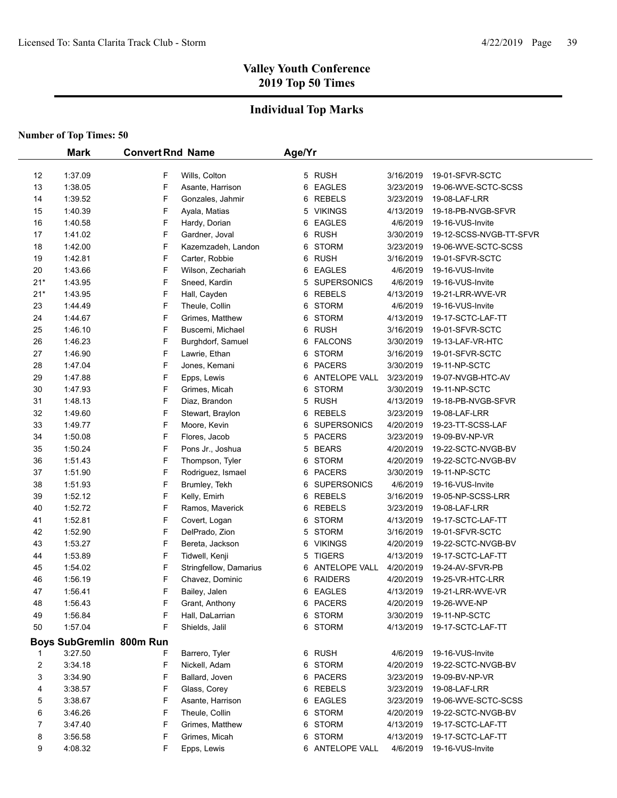## **Individual Top Marks**

|                | <b>Mark</b>              | <b>Convert Rnd Name</b> |                        | Age/Yr |                      |           |                         |
|----------------|--------------------------|-------------------------|------------------------|--------|----------------------|-----------|-------------------------|
| 12             | 1:37.09                  | F                       | Wills, Colton          |        | 5 RUSH               | 3/16/2019 | 19-01-SFVR-SCTC         |
| 13             | 1:38.05                  | F                       | Asante, Harrison       | 6      | <b>EAGLES</b>        | 3/23/2019 | 19-06-WVE-SCTC-SCSS     |
| 14             | 1:39.52                  | F                       | Gonzales, Jahmir       | 6      | <b>REBELS</b>        | 3/23/2019 | 19-08-LAF-LRR           |
| 15             | 1:40.39                  | F                       | Ayala, Matias          | 5      | <b>VIKINGS</b>       | 4/13/2019 | 19-18-PB-NVGB-SFVR      |
| 16             | 1:40.58                  | F                       | Hardy, Dorian          | 6      | <b>EAGLES</b>        | 4/6/2019  | 19-16-VUS-Invite        |
| 17             | 1.41.02                  | F                       | Gardner, Joval         | 6      | <b>RUSH</b>          | 3/30/2019 | 19-12-SCSS-NVGB-TT-SFVR |
| 18             | 1:42.00                  | F                       | Kazemzadeh, Landon     | 6      | <b>STORM</b>         | 3/23/2019 | 19-06-WVE-SCTC-SCSS     |
| 19             | 1:42.81                  | F                       | Carter, Robbie         | 6      | <b>RUSH</b>          | 3/16/2019 | 19-01-SFVR-SCTC         |
| 20             | 1:43.66                  | F                       | Wilson, Zechariah      | 6      | <b>EAGLES</b>        | 4/6/2019  | 19-16-VUS-Invite        |
| $21*$          | 1:43.95                  | F                       | Sneed, Kardin          | 5      | <b>SUPERSONICS</b>   | 4/6/2019  | 19-16-VUS-Invite        |
| $21*$          | 1:43.95                  | F                       | Hall, Cayden           | 6      | <b>REBELS</b>        | 4/13/2019 | 19-21-LRR-WVE-VR        |
| 23             | 1:44.49                  | F                       | Theule, Collin         | 6      | <b>STORM</b>         | 4/6/2019  | 19-16-VUS-Invite        |
| 24             | 1.44.67                  | F                       | Grimes, Matthew        | 6      | <b>STORM</b>         | 4/13/2019 | 19-17-SCTC-LAF-TT       |
| 25             | 1:46.10                  | F                       | Buscemi, Michael       | 6      | <b>RUSH</b>          | 3/16/2019 | 19-01-SFVR-SCTC         |
| 26             | 1.46.23                  | F                       | Burghdorf, Samuel      | 6      | <b>FALCONS</b>       | 3/30/2019 | 19-13-LAF-VR-HTC        |
| 27             | 1.46.90                  | F                       | Lawrie, Ethan          | 6      | <b>STORM</b>         | 3/16/2019 | 19-01-SFVR-SCTC         |
| 28             | 1.47.04                  | F                       | Jones, Kemani          | 6      | <b>PACERS</b>        | 3/30/2019 | 19-11-NP-SCTC           |
| 29             | 1.47.88                  | F                       | Epps, Lewis            | 6      | <b>ANTELOPE VALL</b> | 3/23/2019 | 19-07-NVGB-HTC-AV       |
| 30             | 1.47.93                  | F                       | Grimes, Micah          | 6      | <b>STORM</b>         | 3/30/2019 | 19-11-NP-SCTC           |
| 31             | 1:48.13                  | F                       | Diaz, Brandon          | 5      | <b>RUSH</b>          | 4/13/2019 | 19-18-PB-NVGB-SFVR      |
| 32             | 1.49.60                  | F                       | Stewart, Braylon       | 6      | <b>REBELS</b>        | 3/23/2019 | 19-08-LAF-LRR           |
| 33             | 1:49.77                  | F                       | Moore, Kevin           | 6      | <b>SUPERSONICS</b>   | 4/20/2019 | 19-23-TT-SCSS-LAF       |
| 34             | 1:50.08                  | F                       | Flores, Jacob          | 5      | <b>PACERS</b>        | 3/23/2019 | 19-09-BV-NP-VR          |
| 35             | 1:50.24                  | F                       | Pons Jr., Joshua       | 5      | <b>BEARS</b>         | 4/20/2019 | 19-22-SCTC-NVGB-BV      |
| 36             | 1:51.43                  | F                       | Thompson, Tyler        | 6      | <b>STORM</b>         | 4/20/2019 | 19-22-SCTC-NVGB-BV      |
| 37             | 1:51.90                  | F                       | Rodriguez, Ismael      | 6      | <b>PACERS</b>        | 3/30/2019 | 19-11-NP-SCTC           |
| 38             | 1:51.93                  | F                       | Brumley, Tekh          | 6      | <b>SUPERSONICS</b>   | 4/6/2019  | 19-16-VUS-Invite        |
| 39             | 1:52.12                  | F                       | Kelly, Emirh           | 6      | <b>REBELS</b>        | 3/16/2019 | 19-05-NP-SCSS-LRR       |
| 40             | 1:52.72                  | F                       | Ramos, Maverick        | 6      | <b>REBELS</b>        | 3/23/2019 | 19-08-LAF-LRR           |
| 41             | 1:52.81                  | F                       | Covert, Logan          | 6      | <b>STORM</b>         | 4/13/2019 | 19-17-SCTC-LAF-TT       |
| 42             | 1:52.90                  | F                       | DelPrado, Zion         | 5      | <b>STORM</b>         | 3/16/2019 | 19-01-SFVR-SCTC         |
| 43             | 1.53.27                  | F                       | Bereta, Jackson        | 6      | <b>VIKINGS</b>       | 4/20/2019 | 19-22-SCTC-NVGB-BV      |
| 44             | 1.53.89                  | F                       | Tidwell, Kenji         | 5      | <b>TIGERS</b>        | 4/13/2019 | 19-17-SCTC-LAF-TT       |
| 45             | 1:54.02                  | F                       | Stringfellow, Damarius |        | 6 ANTELOPE VALL      | 4/20/2019 | 19-24-AV-SFVR-PB        |
| 46             | 1:56.19                  | F                       | Chavez, Dominic        | 6      | <b>RAIDERS</b>       | 4/20/2019 | 19-25-VR-HTC-LRR        |
| 47             | 1:56.41                  | F                       | Bailey, Jalen          |        | 6 EAGLES             | 4/13/2019 | 19-21-LRR-WVE-VR        |
| 48             | 1:56.43                  | F                       | Grant, Anthony         |        | 6 PACERS             | 4/20/2019 | 19-26-WVE-NP            |
| 49             | 1:56.84                  | F                       | Hall, DaLarrian        |        | 6 STORM              | 3/30/2019 | 19-11-NP-SCTC           |
| 50             | 1:57.04                  | F                       | Shields, Jalil         |        | 6 STORM              | 4/13/2019 | 19-17-SCTC-LAF-TT       |
|                | Boys SubGremlin 800m Run |                         |                        |        |                      |           |                         |
| 1              | 3:27.50                  | F                       | Barrero, Tyler         |        | 6 RUSH               | 4/6/2019  | 19-16-VUS-Invite        |
| $\overline{c}$ | 3:34.18                  | F                       | Nickell, Adam          |        | 6 STORM              | 4/20/2019 | 19-22-SCTC-NVGB-BV      |
| 3              | 3:34.90                  | F                       | Ballard, Joven         |        | 6 PACERS             | 3/23/2019 | 19-09-BV-NP-VR          |
| 4              | 3:38.57                  | F                       | Glass, Corey           |        | 6 REBELS             | 3/23/2019 | 19-08-LAF-LRR           |
| 5              | 3:38.67                  | F                       | Asante, Harrison       |        | 6 EAGLES             | 3/23/2019 | 19-06-WVE-SCTC-SCSS     |
| 6              | 3:46.26                  | F                       | Theule, Collin         |        | 6 STORM              | 4/20/2019 | 19-22-SCTC-NVGB-BV      |
| 7              | 3:47.40                  | F                       | Grimes, Matthew        |        | 6 STORM              | 4/13/2019 | 19-17-SCTC-LAF-TT       |
| 8              | 3:56.58                  | F                       | Grimes, Micah          | 6      | STORM                | 4/13/2019 | 19-17-SCTC-LAF-TT       |
| 9              | 4:08.32                  | F                       | Epps, Lewis            |        | 6 ANTELOPE VALL      | 4/6/2019  | 19-16-VUS-Invite        |
|                |                          |                         |                        |        |                      |           |                         |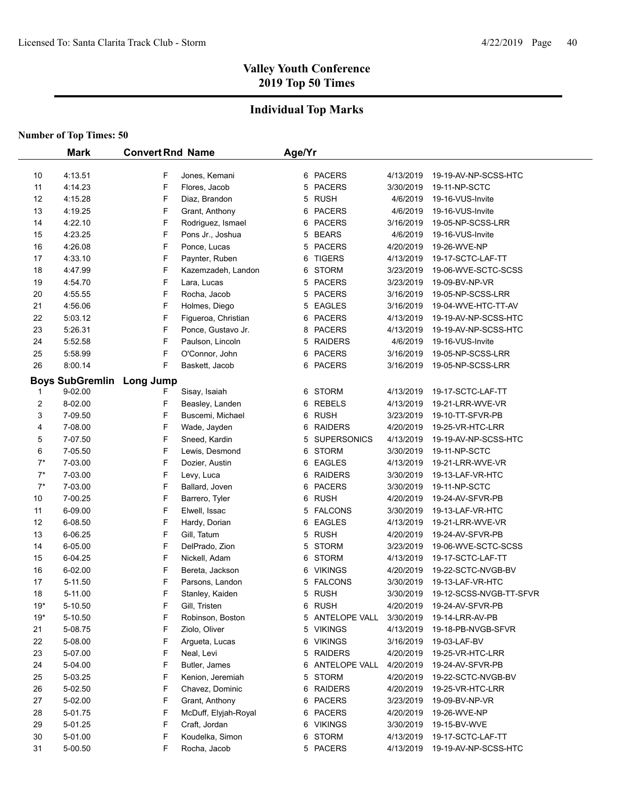## **Individual Top Marks**

|       | <b>Mark</b>                      | <b>Convert Rnd Name</b> |                      | Age/Yr |                    |           |                         |
|-------|----------------------------------|-------------------------|----------------------|--------|--------------------|-----------|-------------------------|
|       |                                  |                         |                      |        |                    |           |                         |
| 10    | 4:13.51                          | F                       | Jones, Kemani        |        | 6 PACERS           | 4/13/2019 | 19-19-AV-NP-SCSS-HTC    |
| 11    | 4:14.23                          | F                       | Flores, Jacob        | 5      | <b>PACERS</b>      | 3/30/2019 | 19-11-NP-SCTC           |
| 12    | 4:15.28                          | F                       | Diaz, Brandon        | 5      | <b>RUSH</b>        | 4/6/2019  | 19-16-VUS-Invite        |
| 13    | 4:19.25                          | F                       | Grant, Anthony       | 6      | <b>PACERS</b>      | 4/6/2019  | 19-16-VUS-Invite        |
| 14    | 4:22.10                          | F                       | Rodriguez, Ismael    | 6      | <b>PACERS</b>      | 3/16/2019 | 19-05-NP-SCSS-LRR       |
| 15    | 4:23.25                          | F                       | Pons Jr., Joshua     | 5      | <b>BEARS</b>       | 4/6/2019  | 19-16-VUS-Invite        |
| 16    | 4:26.08                          | F                       | Ponce, Lucas         | 5      | <b>PACERS</b>      | 4/20/2019 | 19-26-WVE-NP            |
| 17    | 4:33.10                          | F                       | Paynter, Ruben       | 6      | <b>TIGERS</b>      | 4/13/2019 | 19-17-SCTC-LAF-TT       |
| 18    | 4:47.99                          | F                       | Kazemzadeh, Landon   | 6      | <b>STORM</b>       | 3/23/2019 | 19-06-WVE-SCTC-SCSS     |
| 19    | 4:54.70                          | F                       | Lara, Lucas          | 5      | <b>PACERS</b>      | 3/23/2019 | 19-09-BV-NP-VR          |
| 20    | 4:55.55                          | F                       | Rocha, Jacob         | 5      | <b>PACERS</b>      | 3/16/2019 | 19-05-NP-SCSS-LRR       |
| 21    | 4:56.06                          | F                       | Holmes, Diego        | 5      | <b>EAGLES</b>      | 3/16/2019 | 19-04-WVE-HTC-TT-AV     |
| 22    | 5.03.12                          | F                       | Figueroa, Christian  | 6      | <b>PACERS</b>      | 4/13/2019 | 19-19-AV-NP-SCSS-HTC    |
| 23    | 5:26.31                          | F                       | Ponce, Gustavo Jr.   | 8      | <b>PACERS</b>      | 4/13/2019 | 19-19-AV-NP-SCSS-HTC    |
| 24    | 5:52.58                          | F                       | Paulson, Lincoln     | 5      | <b>RAIDERS</b>     | 4/6/2019  | 19-16-VUS-Invite        |
| 25    | 5:58.99                          | F                       | O'Connor, John       | 6      | <b>PACERS</b>      | 3/16/2019 | 19-05-NP-SCSS-LRR       |
| 26    | 8:00.14                          | F                       | Baskett, Jacob       | 6      | <b>PACERS</b>      | 3/16/2019 | 19-05-NP-SCSS-LRR       |
|       | <b>Boys SubGremlin Long Jump</b> |                         |                      |        |                    |           |                         |
| 1     | 9-02.00                          | F                       | Sisay, Isaiah        | 6      | <b>STORM</b>       | 4/13/2019 | 19-17-SCTC-LAF-TT       |
| 2     | 8-02.00                          | F                       | Beasley, Landen      | 6      | <b>REBELS</b>      | 4/13/2019 | 19-21-LRR-WVE-VR        |
| 3     | 7-09.50                          | F                       | Buscemi, Michael     | 6      | <b>RUSH</b>        | 3/23/2019 | 19-10-TT-SFVR-PB        |
| 4     | 7-08.00                          | F                       | Wade, Jayden         | 6      | <b>RAIDERS</b>     | 4/20/2019 | 19-25-VR-HTC-LRR        |
| 5     | 7-07.50                          | F                       | Sneed, Kardin        | 5      | <b>SUPERSONICS</b> | 4/13/2019 | 19-19-AV-NP-SCSS-HTC    |
| 6     | 7-05.50                          | F                       | Lewis, Desmond       | 6      | <b>STORM</b>       | 3/30/2019 | 19-11-NP-SCTC           |
| $7^*$ | 7-03.00                          | F                       | Dozier, Austin       | 6      | <b>EAGLES</b>      | 4/13/2019 | 19-21-LRR-WVE-VR        |
| $7^*$ | 7-03.00                          | F                       | Levy, Luca           | 6      | <b>RAIDERS</b>     | 3/30/2019 | 19-13-LAF-VR-HTC        |
| $7^*$ | 7-03.00                          | F                       | Ballard, Joven       | 6      | <b>PACERS</b>      | 3/30/2019 | 19-11-NP-SCTC           |
| 10    | 7-00.25                          | F                       | Barrero, Tyler       | 6      | <b>RUSH</b>        | 4/20/2019 | 19-24-AV-SFVR-PB        |
| 11    | 6-09.00                          | F                       | Elwell, Issac        | 5      | <b>FALCONS</b>     | 3/30/2019 | 19-13-LAF-VR-HTC        |
| 12    | 6-08.50                          | F                       | Hardy, Dorian        | 6      | <b>EAGLES</b>      | 4/13/2019 | 19-21-LRR-WVE-VR        |
| 13    | 6-06.25                          | F                       | Gill, Tatum          | 5      | <b>RUSH</b>        | 4/20/2019 | 19-24-AV-SFVR-PB        |
| 14    | 6-05.00                          | F                       | DelPrado, Zion       | 5      | <b>STORM</b>       | 3/23/2019 | 19-06-WVE-SCTC-SCSS     |
| 15    | 6-04.25                          | F                       | Nickell, Adam        | 6      | <b>STORM</b>       | 4/13/2019 | 19-17-SCTC-LAF-TT       |
| 16    | 6-02.00                          | F                       | Bereta, Jackson      | 6      | <b>VIKINGS</b>     | 4/20/2019 | 19-22-SCTC-NVGB-BV      |
| 17    | 5-11.50                          | F                       | Parsons, Landon      | 5      | <b>FALCONS</b>     | 3/30/2019 | 19-13-LAF-VR-HTC        |
| 18    | 5-11.00                          | F                       | Stanley, Kaiden      |        | 5 RUSH             | 3/30/2019 | 19-12-SCSS-NVGB-TT-SFVR |
| 19*   | 5-10.50                          | F                       | Gill, Tristen        |        | 6 RUSH             | 4/20/2019 | 19-24-AV-SFVR-PB        |
| $19*$ | 5-10.50                          | F                       | Robinson, Boston     |        | 5 ANTELOPE VALL    | 3/30/2019 | 19-14-LRR-AV-PB         |
| 21    | 5-08.75                          | F                       | Ziolo, Oliver        |        | 5 VIKINGS          | 4/13/2019 | 19-18-PB-NVGB-SFVR      |
| 22    | 5-08.00                          | F                       | Argueta, Lucas       |        | 6 VIKINGS          | 3/16/2019 | 19-03-LAF-BV            |
| 23    | 5-07.00                          | F                       | Neal, Levi           |        | 5 RAIDERS          | 4/20/2019 | 19-25-VR-HTC-LRR        |
| 24    | 5-04.00                          | F                       | Butler, James        |        | 6 ANTELOPE VALL    | 4/20/2019 | 19-24-AV-SFVR-PB        |
| 25    | 5-03.25                          | F                       | Kenion, Jeremiah     |        | 5 STORM            | 4/20/2019 | 19-22-SCTC-NVGB-BV      |
| 26    | 5-02.50                          | F                       | Chavez, Dominic      |        | 6 RAIDERS          | 4/20/2019 | 19-25-VR-HTC-LRR        |
| 27    | 5-02.00                          | F                       | Grant, Anthony       |        | 6 PACERS           | 3/23/2019 | 19-09-BV-NP-VR          |
| 28    | 5-01.75                          | F                       | McDuff, Elyjah-Royal |        | 6 PACERS           | 4/20/2019 | 19-26-WVE-NP            |
| 29    | 5-01.25                          | F                       | Craft, Jordan        |        | 6 VIKINGS          | 3/30/2019 | 19-15-BV-WVE            |
| 30    | 5-01.00                          | F                       | Koudelka, Simon      | 6      | STORM              | 4/13/2019 | 19-17-SCTC-LAF-TT       |
| 31    | 5-00.50                          | F                       | Rocha, Jacob         |        | 5 PACERS           | 4/13/2019 | 19-19-AV-NP-SCSS-HTC    |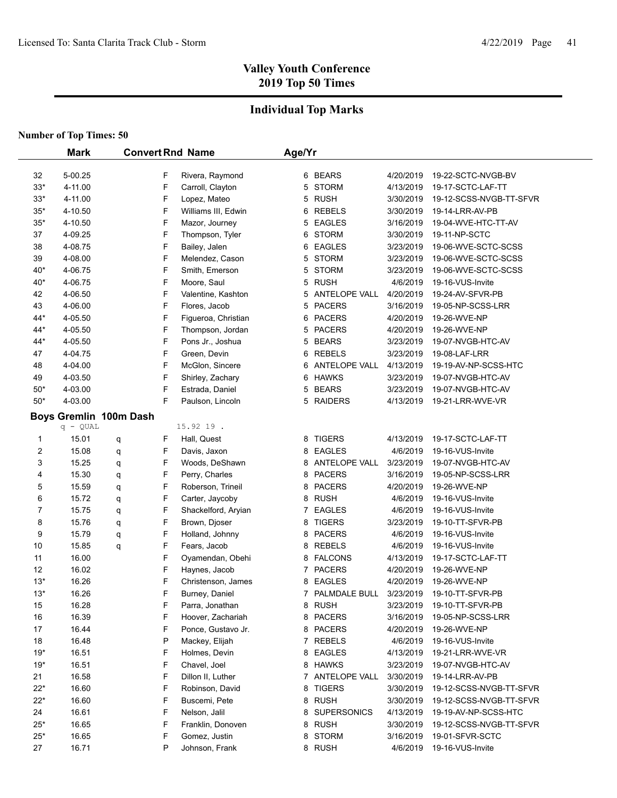### **Individual Top Marks**

|                     | <b>Mark</b>                                 |        |        | <b>Convert Rnd Name</b>             | Age/Yr |                               |                        |                                         |
|---------------------|---------------------------------------------|--------|--------|-------------------------------------|--------|-------------------------------|------------------------|-----------------------------------------|
|                     |                                             |        |        |                                     |        |                               |                        |                                         |
| 32                  | 5-00.25                                     |        | F<br>F | Rivera, Raymond                     |        | 6 BEARS<br><b>STORM</b>       | 4/20/2019              | 19-22-SCTC-NVGB-BV                      |
| $33*$               | 4-11.00                                     |        |        | Carroll, Clayton                    | 5      | <b>RUSH</b>                   | 4/13/2019              | 19-17-SCTC-LAF-TT                       |
| $33*$               | 4-11.00                                     |        | F<br>F | Lopez, Mateo<br>Williams III, Edwin | 5      | <b>REBELS</b>                 | 3/30/2019<br>3/30/2019 | 19-12-SCSS-NVGB-TT-SFVR                 |
| $35*$               | 4-10.50                                     |        |        |                                     | 6      |                               |                        | 19-14-LRR-AV-PB                         |
| $35*$               | 4-10.50                                     |        | F      | Mazor, Journey                      | 5      | <b>EAGLES</b><br><b>STORM</b> | 3/16/2019              | 19-04-WVE-HTC-TT-AV                     |
| 37                  | 4-09.25<br>4-08.75                          |        | F      | Thompson, Tyler                     | 6      | <b>EAGLES</b>                 | 3/30/2019              | 19-11-NP-SCTC                           |
| 38                  |                                             |        | F<br>F | Bailey, Jalen                       | 6      |                               | 3/23/2019              | 19-06-WVE-SCTC-SCSS                     |
| 39                  | 4-08.00                                     |        |        | Melendez, Cason                     | 5      | <b>STORM</b><br><b>STORM</b>  | 3/23/2019              | 19-06-WVE-SCTC-SCSS                     |
| 40*<br>$40*$        | 4-06.75<br>4-06.75                          |        | F<br>F | Smith, Emerson                      | 5<br>5 | <b>RUSH</b>                   | 3/23/2019<br>4/6/2019  | 19-06-WVE-SCTC-SCSS<br>19-16-VUS-Invite |
| 42                  | 4-06.50                                     |        | F      | Moore, Saul<br>Valentine, Kashton   |        | <b>ANTELOPE VALL</b>          | 4/20/2019              | 19-24-AV-SFVR-PB                        |
| 43                  | 4-06.00                                     |        | F      |                                     | 5<br>5 | <b>PACERS</b>                 | 3/16/2019              | 19-05-NP-SCSS-LRR                       |
| 44*                 | 4-05.50                                     |        | F      | Flores, Jacob                       | 6      | <b>PACERS</b>                 | 4/20/2019              |                                         |
| 44*                 | 4-05.50                                     |        | F      | Figueroa, Christian                 |        | <b>PACERS</b>                 | 4/20/2019              | 19-26-WVE-NP<br>19-26-WVE-NP            |
| 44*                 | 4-05.50                                     |        | F      | Thompson, Jordan                    | 5<br>5 | <b>BEARS</b>                  |                        |                                         |
|                     |                                             |        | F      | Pons Jr., Joshua                    |        | <b>REBELS</b>                 | 3/23/2019              | 19-07-NVGB-HTC-AV                       |
| 47                  | 4-04.75<br>4-04.00                          |        | F      | Green, Devin                        | 6      | <b>ANTELOPE VALL</b>          | 3/23/2019<br>4/13/2019 | 19-08-LAF-LRR                           |
| 48                  |                                             |        | F      | McGlon, Sincere                     | 6      |                               |                        | 19-19-AV-NP-SCSS-HTC                    |
| 49<br>$50*$         | 4-03.50<br>4-03.00                          |        | F      | Shirley, Zachary                    | 6<br>5 | <b>HAWKS</b><br><b>BEARS</b>  | 3/23/2019<br>3/23/2019 | 19-07-NVGB-HTC-AV<br>19-07-NVGB-HTC-AV  |
| $50*$               |                                             |        | F      | Estrada, Daniel                     | 5      |                               |                        |                                         |
|                     | 4-03.00                                     |        |        | Paulson, Lincoln                    |        | <b>RAIDERS</b>                | 4/13/2019              | 19-21-LRR-WVE-VR                        |
|                     | <b>Boys Gremlin 100m Dash</b><br>$q - QUAL$ |        |        | 15.92 19.                           |        |                               |                        |                                         |
|                     | 15.01                                       |        | F      | Hall, Quest                         | 8      | <b>TIGERS</b>                 | 4/13/2019              | 19-17-SCTC-LAF-TT                       |
| 1<br>$\overline{c}$ | 15.08                                       | q      | F      | Davis, Jaxon                        | 8      | <b>EAGLES</b>                 | 4/6/2019               | 19-16-VUS-Invite                        |
| 3                   | 15.25                                       | q      | F      | Woods, DeShawn                      | 8      | ANTELOPE VALL                 | 3/23/2019              | 19-07-NVGB-HTC-AV                       |
| 4                   | 15.30                                       | q      | F      | Perry, Charles                      | 8      | <b>PACERS</b>                 | 3/16/2019              | 19-05-NP-SCSS-LRR                       |
| 5                   | 15.59                                       | q      | F      | Roberson, Trineil                   | 8      | <b>PACERS</b>                 | 4/20/2019              | 19-26-WVE-NP                            |
| 6                   | 15.72                                       | q<br>q | F      | Carter, Jaycoby                     | 8      | <b>RUSH</b>                   | 4/6/2019               | 19-16-VUS-Invite                        |
| 7                   | 15.75                                       | q      | F      | Shackelford, Aryian                 | 7      | <b>EAGLES</b>                 | 4/6/2019               | 19-16-VUS-Invite                        |
| 8                   | 15.76                                       | q      | F      | Brown, Djoser                       | 8      | <b>TIGERS</b>                 | 3/23/2019              | 19-10-TT-SFVR-PB                        |
| 9                   | 15.79                                       | q      | F      | Holland, Johnny                     | 8      | <b>PACERS</b>                 | 4/6/2019               | 19-16-VUS-Invite                        |
| 10                  | 15.85                                       | q      | F      | Fears, Jacob                        | 8      | <b>REBELS</b>                 | 4/6/2019               | 19-16-VUS-Invite                        |
| 11                  | 16.00                                       |        | F      | Oyamendan, Obehi                    | 8      | <b>FALCONS</b>                | 4/13/2019              | 19-17-SCTC-LAF-TT                       |
| 12                  | 16.02                                       |        | F      | Haynes, Jacob                       | 7      | <b>PACERS</b>                 | 4/20/2019              | 19-26-WVE-NP                            |
| $13*$               | 16.26                                       |        | F      | Christenson, James                  | 8      | <b>EAGLES</b>                 | 4/20/2019              | 19-26-WVE-NP                            |
| $13*$               | 16.26                                       |        | F      | Burney, Daniel                      |        | 7 PALMDALE BULL               | 3/23/2019              | 19-10-TT-SFVR-PB                        |
| 15                  | 16.28                                       |        | F      | Parra, Jonathan                     |        | 8 RUSH                        | 3/23/2019              | 19-10-TT-SFVR-PB                        |
| 16                  | 16.39                                       |        | F      | Hoover, Zachariah                   |        | 8 PACERS                      | 3/16/2019              | 19-05-NP-SCSS-LRR                       |
| 17                  | 16.44                                       |        | F      | Ponce, Gustavo Jr.                  |        | 8 PACERS                      | 4/20/2019              | 19-26-WVE-NP                            |
| 18                  | 16.48                                       |        | P      | Mackey, Elijah                      |        | 7 REBELS                      | 4/6/2019               | 19-16-VUS-Invite                        |
| $19*$               | 16.51                                       |        | F      | Holmes, Devin                       |        | 8 EAGLES                      | 4/13/2019              | 19-21-LRR-WVE-VR                        |
| $19*$               | 16.51                                       |        | F      | Chavel, Joel                        |        | 8 HAWKS                       | 3/23/2019              | 19-07-NVGB-HTC-AV                       |
| 21                  | 16.58                                       |        | F      | Dillon II, Luther                   |        | 7 ANTELOPE VALL               | 3/30/2019              | 19-14-LRR-AV-PB                         |
| $22*$               | 16.60                                       |        | F      | Robinson, David                     |        | 8 TIGERS                      | 3/30/2019              | 19-12-SCSS-NVGB-TT-SFVR                 |
| $22*$               | 16.60                                       |        | F      | Buscemi, Pete                       |        | 8 RUSH                        | 3/30/2019              | 19-12-SCSS-NVGB-TT-SFVR                 |
| 24                  | 16.61                                       |        | F      | Nelson, Jalil                       |        | 8 SUPERSONICS                 | 4/13/2019              | 19-19-AV-NP-SCSS-HTC                    |
| $25*$               | 16.65                                       |        | F      | Franklin, Donoven                   |        | 8 RUSH                        | 3/30/2019              | 19-12-SCSS-NVGB-TT-SFVR                 |
| $25*$               | 16.65                                       |        | F      | Gomez, Justin                       |        | 8 STORM                       | 3/16/2019              | 19-01-SFVR-SCTC                         |
| 27                  | 16.71                                       |        | P      | Johnson, Frank                      |        | 8 RUSH                        | 4/6/2019               | 19-16-VUS-Invite                        |
|                     |                                             |        |        |                                     |        |                               |                        |                                         |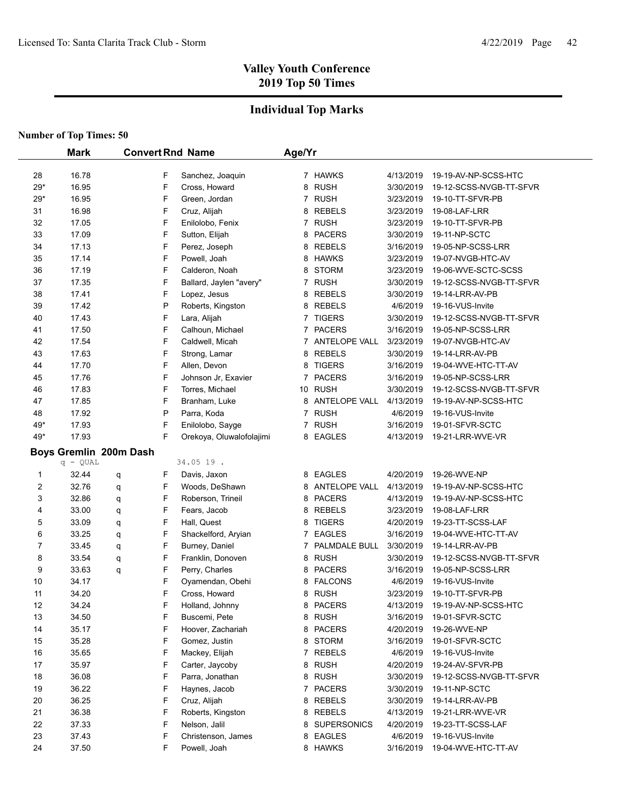## **Individual Top Marks**

|                | <b>Mark</b>            |   |   | <b>Convert Rnd Name</b>  | Age/Yr         |                 |           |                         |
|----------------|------------------------|---|---|--------------------------|----------------|-----------------|-----------|-------------------------|
|                |                        |   |   |                          |                |                 |           |                         |
| 28             | 16.78                  |   | F | Sanchez, Joaquin         |                | 7 HAWKS         | 4/13/2019 | 19-19-AV-NP-SCSS-HTC    |
| $29*$          | 16.95                  |   | F | Cross, Howard            |                | 8 RUSH          | 3/30/2019 | 19-12-SCSS-NVGB-TT-SFVR |
| $29*$          | 16.95                  |   | F | Green, Jordan            |                | 7 RUSH          | 3/23/2019 | 19-10-TT-SFVR-PB        |
| 31             | 16.98                  |   | F | Cruz, Alijah             | 8              | <b>REBELS</b>   | 3/23/2019 | 19-08-LAF-LRR           |
| 32             | 17.05                  |   | F | Enilolobo, Fenix         |                | 7 RUSH          | 3/23/2019 | 19-10-TT-SFVR-PB        |
| 33             | 17.09                  |   | F | Sutton, Elijah           |                | 8 PACERS        | 3/30/2019 | 19-11-NP-SCTC           |
| 34             | 17.13                  |   | F | Perez, Joseph            |                | 8 REBELS        | 3/16/2019 | 19-05-NP-SCSS-LRR       |
| 35             | 17.14                  |   | F | Powell, Joah             | 8              | <b>HAWKS</b>    | 3/23/2019 | 19-07-NVGB-HTC-AV       |
| 36             | 17.19                  |   | F | Calderon, Noah           | 8              | <b>STORM</b>    | 3/23/2019 | 19-06-WVE-SCTC-SCSS     |
| 37             | 17.35                  |   | F | Ballard, Jaylen "avery"  |                | 7 RUSH          | 3/30/2019 | 19-12-SCSS-NVGB-TT-SFVR |
| 38             | 17.41                  |   | F | Lopez, Jesus             | 8              | <b>REBELS</b>   | 3/30/2019 | 19-14-LRR-AV-PB         |
| 39             | 17.42                  |   | P | Roberts, Kingston        | 8              | REBELS          | 4/6/2019  | 19-16-VUS-Invite        |
| 40             | 17.43                  |   | F | Lara, Alijah             |                | 7 TIGERS        | 3/30/2019 | 19-12-SCSS-NVGB-TT-SFVR |
| 41             | 17.50                  |   | F | Calhoun, Michael         |                | 7 PACERS        | 3/16/2019 | 19-05-NP-SCSS-LRR       |
| 42             | 17.54                  |   | F | Caldwell, Micah          |                | 7 ANTELOPE VALL | 3/23/2019 | 19-07-NVGB-HTC-AV       |
| 43             | 17.63                  |   | F | Strong, Lamar            | 8              | <b>REBELS</b>   | 3/30/2019 | 19-14-LRR-AV-PB         |
| 44             | 17.70                  |   | F | Allen, Devon             | 8              | <b>TIGERS</b>   | 3/16/2019 | 19-04-WVE-HTC-TT-AV     |
| 45             | 17.76                  |   | F | Johnson Jr, Exavier      | $\overline{7}$ | <b>PACERS</b>   | 3/16/2019 | 19-05-NP-SCSS-LRR       |
| 46             | 17.83                  |   | F | Torres, Michael          |                | 10 RUSH         | 3/30/2019 | 19-12-SCSS-NVGB-TT-SFVR |
| 47             | 17.85                  |   | F | Branham, Luke            |                | 8 ANTELOPE VALL | 4/13/2019 | 19-19-AV-NP-SCSS-HTC    |
| 48             | 17.92                  |   | P | Parra, Koda              |                | 7 RUSH          | 4/6/2019  | 19-16-VUS-Invite        |
| 49*            | 17.93                  |   | F | Enilolobo, Sayge         |                | 7 RUSH          | 3/16/2019 | 19-01-SFVR-SCTC         |
| 49*            | 17.93                  |   | F | Orekoya, Oluwalofolajimi |                | 8 EAGLES        | 4/13/2019 | 19-21-LRR-WVE-VR        |
|                | Boys Gremlin 200m Dash |   |   |                          |                |                 |           |                         |
|                | $q - QUAL$             |   |   | 34.05 19.                |                |                 |           |                         |
| 1              | 32.44                  | q | F | Davis, Jaxon             |                | 8 EAGLES        | 4/20/2019 | 19-26-WVE-NP            |
| $\overline{2}$ | 32.76                  | q | F | Woods, DeShawn           | 8              | ANTELOPE VALL   | 4/13/2019 | 19-19-AV-NP-SCSS-HTC    |
| 3              | 32.86                  | q | F | Roberson, Trineil        | 8              | <b>PACERS</b>   | 4/13/2019 | 19-19-AV-NP-SCSS-HTC    |
| 4              | 33.00                  | q | F | Fears, Jacob             | 8              | <b>REBELS</b>   | 3/23/2019 | 19-08-LAF-LRR           |
| 5              | 33.09                  | q | F | Hall, Quest              | 8              | <b>TIGERS</b>   | 4/20/2019 | 19-23-TT-SCSS-LAF       |
| 6              | 33.25                  | q | F | Shackelford, Aryian      | 7              | <b>EAGLES</b>   | 3/16/2019 | 19-04-WVE-HTC-TT-AV     |
| 7              | 33.45                  | q | F | Burney, Daniel           | 7              | PALMDALE BULL   | 3/30/2019 | 19-14-LRR-AV-PB         |
| 8              | 33.54                  | q | F | Franklin, Donoven        | 8              | <b>RUSH</b>     | 3/30/2019 | 19-12-SCSS-NVGB-TT-SFVR |
| 9              | 33.63                  | q | F | Perry, Charles           | 8              | <b>PACERS</b>   | 3/16/2019 | 19-05-NP-SCSS-LRR       |
| 10             | 34.17                  |   | F | Oyamendan, Obehi         | 8              | <b>FALCONS</b>  | 4/6/2019  | 19-16-VUS-Invite        |
| 11             | 34.20                  |   | F | Cross, Howard            |                | 8 RUSH          | 3/23/2019 | 19-10-TT-SFVR-PB        |
| 12             | 34.24                  |   | F | Holland, Johnny          |                | 8 PACERS        | 4/13/2019 | 19-19-AV-NP-SCSS-HTC    |
| 13             | 34.50                  |   | F | Buscemi, Pete            |                | 8 RUSH          | 3/16/2019 | 19-01-SFVR-SCTC         |
| 14             | 35.17                  |   | F | Hoover, Zachariah        |                | 8 PACERS        | 4/20/2019 | 19-26-WVE-NP            |
| 15             | 35.28                  |   | F | Gomez, Justin            |                | 8 STORM         | 3/16/2019 | 19-01-SFVR-SCTC         |
| 16             | 35.65                  |   | F | Mackey, Elijah           |                | 7 REBELS        | 4/6/2019  | 19-16-VUS-Invite        |
| 17             | 35.97                  |   | F | Carter, Jaycoby          |                | 8 RUSH          | 4/20/2019 | 19-24-AV-SFVR-PB        |
| 18             | 36.08                  |   | F | Parra, Jonathan          |                | 8 RUSH          | 3/30/2019 | 19-12-SCSS-NVGB-TT-SFVR |
| 19             | 36.22                  |   | F | Haynes, Jacob            |                | 7 PACERS        | 3/30/2019 | 19-11-NP-SCTC           |
| 20             | 36.25                  |   | F | Cruz, Alijah             |                | 8 REBELS        | 3/30/2019 | 19-14-LRR-AV-PB         |
| 21             | 36.38                  |   | F | Roberts, Kingston        |                | 8 REBELS        | 4/13/2019 | 19-21-LRR-WVE-VR        |
| 22             | 37.33                  |   | F | Nelson, Jalil            |                | 8 SUPERSONICS   | 4/20/2019 | 19-23-TT-SCSS-LAF       |
| 23             | 37.43                  |   | F | Christenson, James       |                | 8 EAGLES        | 4/6/2019  | 19-16-VUS-Invite        |
| 24             | 37.50                  |   | F | Powell, Joah             |                | 8 HAWKS         | 3/16/2019 | 19-04-WVE-HTC-TT-AV     |
|                |                        |   |   |                          |                |                 |           |                         |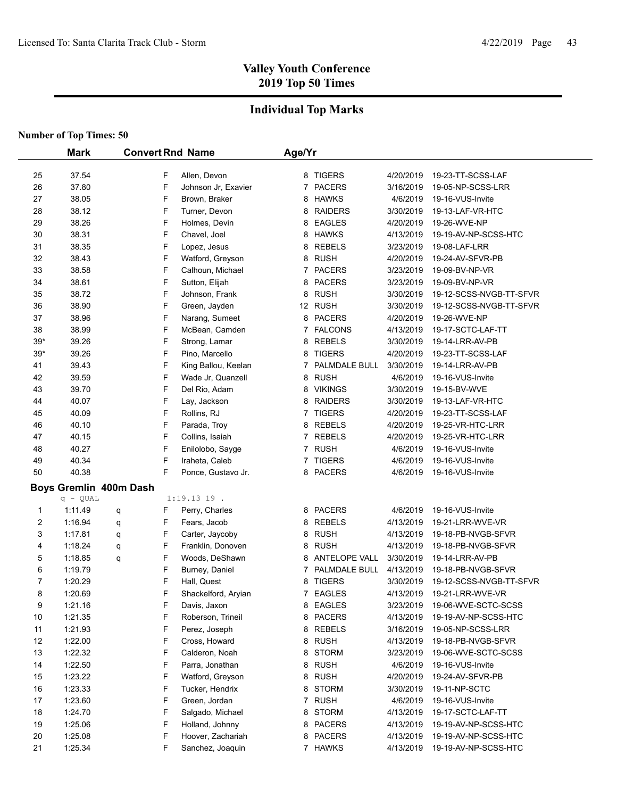### **Individual Top Marks**

| 37.54<br>Allen, Devon<br>8 TIGERS<br>F<br>4/20/2019<br>19-23-TT-SCSS-LAF<br>25<br>F<br>37.80<br><b>PACERS</b><br>26<br>Johnson Jr, Exavier<br>7<br>3/16/2019<br>19-05-NP-SCSS-LRR<br>38.05<br>F<br>27<br>Brown, Braker<br><b>HAWKS</b><br>4/6/2019<br>19-16-VUS-Invite<br>8<br>38.12<br>F<br>28<br>Turner, Devon<br><b>RAIDERS</b><br>3/30/2019<br>8<br>19-13-LAF-VR-HTC<br>38.26<br>F<br><b>EAGLES</b><br>29<br>Holmes, Devin<br>4/20/2019<br>19-26-WVE-NP<br>8<br>38.31<br>F<br>30<br>Chavel, Joel<br><b>HAWKS</b><br>19-19-AV-NP-SCSS-HTC<br>8<br>4/13/2019<br>F<br>38.35<br>31<br>Lopez, Jesus<br><b>REBELS</b><br>3/23/2019<br>8<br>19-08-LAF-LRR<br>38.43<br>F<br>8 RUSH<br>32<br>Watford, Greyson<br>4/20/2019<br>19-24-AV-SFVR-PB<br>38.58<br>F<br>7 PACERS<br>33<br>Calhoun, Michael<br>3/23/2019<br>19-09-BV-NP-VR<br>38.61<br>F<br><b>PACERS</b><br>34<br>Sutton, Elijah<br>3/23/2019<br>8<br>19-09-BV-NP-VR<br>F<br>38.72<br>8 RUSH<br>35<br>Johnson, Frank<br>3/30/2019<br>19-12-SCSS-NVGB-TT-SFVR<br>38.90<br>F<br>12 RUSH<br>36<br>Green, Jayden<br>3/30/2019<br>19-12-SCSS-NVGB-TT-SFVR<br>38.96<br>F<br>37<br>Narang, Sumeet<br>8 PACERS<br>19-26-WVE-NP<br>4/20/2019<br>F<br>38.99<br>38<br>McBean, Camden<br>7 FALCONS<br>4/13/2019<br>19-17-SCTC-LAF-TT<br>39.26<br>F<br>$39*$<br>Strong, Lamar<br>8 REBELS<br>19-14-LRR-AV-PB<br>3/30/2019<br>$39*$<br>39.26<br>F<br>Pino, Marcello<br><b>TIGERS</b><br>4/20/2019<br>19-23-TT-SCSS-LAF<br>8<br>F<br>39.43<br>41<br>King Ballou, Keelan<br>PALMDALE BULL<br>3/30/2019<br>19-14-LRR-AV-PB<br>7<br>39.59<br>F<br><b>RUSH</b><br>42<br>Wade Jr, Quanzell<br>4/6/2019<br>8<br>19-16-VUS-Invite<br>43<br>39.70<br>F<br>Del Rio, Adam<br><b>VIKINGS</b><br>3/30/2019<br>8<br>19-15-BV-WVE<br>44<br>40.07<br>F<br>Lay, Jackson<br><b>RAIDERS</b><br>8<br>3/30/2019<br>19-13-LAF-VR-HTC<br>F<br>45<br>40.09<br>Rollins, RJ<br><b>TIGERS</b><br>7<br>4/20/2019<br>19-23-TT-SCSS-LAF<br>F<br>46<br>40.10<br>Parada, Troy<br><b>REBELS</b><br>19-25-VR-HTC-LRR<br>8<br>4/20/2019<br>F<br>47<br>40.15<br><b>REBELS</b><br>19-25-VR-HTC-LRR<br>Collins, Isaiah<br>7<br>4/20/2019<br>F<br>48<br>40.27<br>Enilolobo, Sayge<br><b>RUSH</b><br>7<br>4/6/2019<br>19-16-VUS-Invite<br>F<br>40.34<br>49<br>Iraheta, Caleb<br><b>TIGERS</b><br>4/6/2019<br>19-16-VUS-Invite<br>7<br>50<br>40.38<br>F<br>8 PACERS<br>19-16-VUS-Invite<br>Ponce, Gustavo Jr.<br>4/6/2019<br>Boys Gremlin 400m Dash<br>$q - QUAL$<br>$1:19.1319$ .<br>8 PACERS<br>1:11.49<br>F<br>Perry, Charles<br>4/6/2019<br>19-16-VUS-Invite<br>1<br>q<br>2<br><b>REBELS</b><br>1:16.94<br>F<br>Fears, Jacob<br>4/13/2019<br>19-21-LRR-WVE-VR<br>8<br>q<br>3<br>F<br>1:17.81<br>Carter, Jaycoby<br><b>RUSH</b><br>8<br>4/13/2019<br>19-18-PB-NVGB-SFVR<br>q<br>F<br>4<br>1:18.24<br>Franklin, Donoven<br><b>RUSH</b><br>q<br>8<br>4/13/2019<br>19-18-PB-NVGB-SFVR<br>5<br>F<br>Woods, DeShawn<br><b>ANTELOPE VALL</b><br>1:18.85<br>q<br>3/30/2019<br>19-14-LRR-AV-PB<br>8<br>6<br>F<br>Burney, Daniel<br>PALMDALE BULL<br>4/13/2019<br>1:19.79<br>19-18-PB-NVGB-SFVR<br>7<br>F<br>7<br>1:20.29<br><b>TIGERS</b><br>19-12-SCSS-NVGB-TT-SFVR<br>Hall, Quest<br>8<br>3/30/2019<br>F<br>8<br>1:20.69<br>$\overline{7}$<br><b>EAGLES</b><br>4/13/2019<br>19-21-LRR-WVE-VR<br>Shackelford, Aryian<br>9<br>1:21.16<br>F<br>Davis, Jaxon<br>8 EAGLES<br>3/23/2019<br>19-06-WVE-SCTC-SCSS<br>1:21.35<br>F<br><b>PACERS</b><br>10<br>Roberson, Trineil<br>4/13/2019<br>19-19-AV-NP-SCSS-HTC<br>8<br>F<br>11<br>1:21.93<br>Perez, Joseph<br><b>REBELS</b><br>3/16/2019<br>19-05-NP-SCSS-LRR<br>8<br>12<br>1:22.00<br>F<br>Cross, Howard<br>8<br><b>RUSH</b><br>4/13/2019<br>19-18-PB-NVGB-SFVR<br><b>STORM</b><br>13<br>1.22.32<br>F<br>Calderon, Noah<br>3/23/2019<br>19-06-WVE-SCTC-SCSS<br>8<br><b>RUSH</b><br>1:22.50<br>F<br>Parra, Jonathan<br>8<br>4/6/2019<br>19-16-VUS-Invite<br>14<br>F<br><b>RUSH</b><br>1:23.22<br>Watford, Greyson<br>8<br>4/20/2019<br>19-24-AV-SFVR-PB<br>15<br>F<br><b>STORM</b><br>1:23.33<br>Tucker, Hendrix<br>3/30/2019<br>19-11-NP-SCTC<br>16<br>8<br>1:23.60<br>F<br><b>RUSH</b><br>17<br>Green, Jordan<br>4/6/2019<br>19-16-VUS-Invite<br>7<br>F<br><b>STORM</b><br>1:24.70<br>Salgado, Michael<br>4/13/2019<br>19-17-SCTC-LAF-TT<br>18<br>8<br>1:25.06<br>F<br><b>PACERS</b><br>19<br>Holland, Johnny<br>4/13/2019<br>19-19-AV-NP-SCSS-HTC<br>8<br>1:25.08<br>F<br>20<br>Hoover, Zachariah<br>8 PACERS<br>4/13/2019<br>19-19-AV-NP-SCSS-HTC |    | <b>Mark</b> |   | <b>Convert Rnd Name</b> | Age/Yr |         |           |                      |
|-------------------------------------------------------------------------------------------------------------------------------------------------------------------------------------------------------------------------------------------------------------------------------------------------------------------------------------------------------------------------------------------------------------------------------------------------------------------------------------------------------------------------------------------------------------------------------------------------------------------------------------------------------------------------------------------------------------------------------------------------------------------------------------------------------------------------------------------------------------------------------------------------------------------------------------------------------------------------------------------------------------------------------------------------------------------------------------------------------------------------------------------------------------------------------------------------------------------------------------------------------------------------------------------------------------------------------------------------------------------------------------------------------------------------------------------------------------------------------------------------------------------------------------------------------------------------------------------------------------------------------------------------------------------------------------------------------------------------------------------------------------------------------------------------------------------------------------------------------------------------------------------------------------------------------------------------------------------------------------------------------------------------------------------------------------------------------------------------------------------------------------------------------------------------------------------------------------------------------------------------------------------------------------------------------------------------------------------------------------------------------------------------------------------------------------------------------------------------------------------------------------------------------------------------------------------------------------------------------------------------------------------------------------------------------------------------------------------------------------------------------------------------------------------------------------------------------------------------------------------------------------------------------------------------------------------------------------------------------------------------------------------------------------------------------------------------------------------------------------------------------------------------------------------------------------------------------------------------------------------------------------------------------------------------------------------------------------------------------------------------------------------------------------------------------------------------------------------------------------------------------------------------------------------------------------------------------------------------------------------------------------------------------------------------------------------------------------------------------------------------------------------------------------------------------------------------------------------------------------------------------------------------------------------------------------------------------------------------------------------------------------------------------------------------------------------------------------------------------------------------------------------------------------------------------------------------------------------------------------------------------------------------------------------------------------------------------------------------------------------------------------------------------------------------------------------------------------------------------------------|----|-------------|---|-------------------------|--------|---------|-----------|----------------------|
|                                                                                                                                                                                                                                                                                                                                                                                                                                                                                                                                                                                                                                                                                                                                                                                                                                                                                                                                                                                                                                                                                                                                                                                                                                                                                                                                                                                                                                                                                                                                                                                                                                                                                                                                                                                                                                                                                                                                                                                                                                                                                                                                                                                                                                                                                                                                                                                                                                                                                                                                                                                                                                                                                                                                                                                                                                                                                                                                                                                                                                                                                                                                                                                                                                                                                                                                                                                                                                                                                                                                                                                                                                                                                                                                                                                                                                                                                                                                                                                                                                                                                                                                                                                                                                                                                                                                                                                                                                                                                           |    |             |   |                         |        |         |           |                      |
|                                                                                                                                                                                                                                                                                                                                                                                                                                                                                                                                                                                                                                                                                                                                                                                                                                                                                                                                                                                                                                                                                                                                                                                                                                                                                                                                                                                                                                                                                                                                                                                                                                                                                                                                                                                                                                                                                                                                                                                                                                                                                                                                                                                                                                                                                                                                                                                                                                                                                                                                                                                                                                                                                                                                                                                                                                                                                                                                                                                                                                                                                                                                                                                                                                                                                                                                                                                                                                                                                                                                                                                                                                                                                                                                                                                                                                                                                                                                                                                                                                                                                                                                                                                                                                                                                                                                                                                                                                                                                           |    |             |   |                         |        |         |           |                      |
|                                                                                                                                                                                                                                                                                                                                                                                                                                                                                                                                                                                                                                                                                                                                                                                                                                                                                                                                                                                                                                                                                                                                                                                                                                                                                                                                                                                                                                                                                                                                                                                                                                                                                                                                                                                                                                                                                                                                                                                                                                                                                                                                                                                                                                                                                                                                                                                                                                                                                                                                                                                                                                                                                                                                                                                                                                                                                                                                                                                                                                                                                                                                                                                                                                                                                                                                                                                                                                                                                                                                                                                                                                                                                                                                                                                                                                                                                                                                                                                                                                                                                                                                                                                                                                                                                                                                                                                                                                                                                           |    |             |   |                         |        |         |           |                      |
|                                                                                                                                                                                                                                                                                                                                                                                                                                                                                                                                                                                                                                                                                                                                                                                                                                                                                                                                                                                                                                                                                                                                                                                                                                                                                                                                                                                                                                                                                                                                                                                                                                                                                                                                                                                                                                                                                                                                                                                                                                                                                                                                                                                                                                                                                                                                                                                                                                                                                                                                                                                                                                                                                                                                                                                                                                                                                                                                                                                                                                                                                                                                                                                                                                                                                                                                                                                                                                                                                                                                                                                                                                                                                                                                                                                                                                                                                                                                                                                                                                                                                                                                                                                                                                                                                                                                                                                                                                                                                           |    |             |   |                         |        |         |           |                      |
|                                                                                                                                                                                                                                                                                                                                                                                                                                                                                                                                                                                                                                                                                                                                                                                                                                                                                                                                                                                                                                                                                                                                                                                                                                                                                                                                                                                                                                                                                                                                                                                                                                                                                                                                                                                                                                                                                                                                                                                                                                                                                                                                                                                                                                                                                                                                                                                                                                                                                                                                                                                                                                                                                                                                                                                                                                                                                                                                                                                                                                                                                                                                                                                                                                                                                                                                                                                                                                                                                                                                                                                                                                                                                                                                                                                                                                                                                                                                                                                                                                                                                                                                                                                                                                                                                                                                                                                                                                                                                           |    |             |   |                         |        |         |           |                      |
|                                                                                                                                                                                                                                                                                                                                                                                                                                                                                                                                                                                                                                                                                                                                                                                                                                                                                                                                                                                                                                                                                                                                                                                                                                                                                                                                                                                                                                                                                                                                                                                                                                                                                                                                                                                                                                                                                                                                                                                                                                                                                                                                                                                                                                                                                                                                                                                                                                                                                                                                                                                                                                                                                                                                                                                                                                                                                                                                                                                                                                                                                                                                                                                                                                                                                                                                                                                                                                                                                                                                                                                                                                                                                                                                                                                                                                                                                                                                                                                                                                                                                                                                                                                                                                                                                                                                                                                                                                                                                           |    |             |   |                         |        |         |           |                      |
|                                                                                                                                                                                                                                                                                                                                                                                                                                                                                                                                                                                                                                                                                                                                                                                                                                                                                                                                                                                                                                                                                                                                                                                                                                                                                                                                                                                                                                                                                                                                                                                                                                                                                                                                                                                                                                                                                                                                                                                                                                                                                                                                                                                                                                                                                                                                                                                                                                                                                                                                                                                                                                                                                                                                                                                                                                                                                                                                                                                                                                                                                                                                                                                                                                                                                                                                                                                                                                                                                                                                                                                                                                                                                                                                                                                                                                                                                                                                                                                                                                                                                                                                                                                                                                                                                                                                                                                                                                                                                           |    |             |   |                         |        |         |           |                      |
|                                                                                                                                                                                                                                                                                                                                                                                                                                                                                                                                                                                                                                                                                                                                                                                                                                                                                                                                                                                                                                                                                                                                                                                                                                                                                                                                                                                                                                                                                                                                                                                                                                                                                                                                                                                                                                                                                                                                                                                                                                                                                                                                                                                                                                                                                                                                                                                                                                                                                                                                                                                                                                                                                                                                                                                                                                                                                                                                                                                                                                                                                                                                                                                                                                                                                                                                                                                                                                                                                                                                                                                                                                                                                                                                                                                                                                                                                                                                                                                                                                                                                                                                                                                                                                                                                                                                                                                                                                                                                           |    |             |   |                         |        |         |           |                      |
|                                                                                                                                                                                                                                                                                                                                                                                                                                                                                                                                                                                                                                                                                                                                                                                                                                                                                                                                                                                                                                                                                                                                                                                                                                                                                                                                                                                                                                                                                                                                                                                                                                                                                                                                                                                                                                                                                                                                                                                                                                                                                                                                                                                                                                                                                                                                                                                                                                                                                                                                                                                                                                                                                                                                                                                                                                                                                                                                                                                                                                                                                                                                                                                                                                                                                                                                                                                                                                                                                                                                                                                                                                                                                                                                                                                                                                                                                                                                                                                                                                                                                                                                                                                                                                                                                                                                                                                                                                                                                           |    |             |   |                         |        |         |           |                      |
|                                                                                                                                                                                                                                                                                                                                                                                                                                                                                                                                                                                                                                                                                                                                                                                                                                                                                                                                                                                                                                                                                                                                                                                                                                                                                                                                                                                                                                                                                                                                                                                                                                                                                                                                                                                                                                                                                                                                                                                                                                                                                                                                                                                                                                                                                                                                                                                                                                                                                                                                                                                                                                                                                                                                                                                                                                                                                                                                                                                                                                                                                                                                                                                                                                                                                                                                                                                                                                                                                                                                                                                                                                                                                                                                                                                                                                                                                                                                                                                                                                                                                                                                                                                                                                                                                                                                                                                                                                                                                           |    |             |   |                         |        |         |           |                      |
|                                                                                                                                                                                                                                                                                                                                                                                                                                                                                                                                                                                                                                                                                                                                                                                                                                                                                                                                                                                                                                                                                                                                                                                                                                                                                                                                                                                                                                                                                                                                                                                                                                                                                                                                                                                                                                                                                                                                                                                                                                                                                                                                                                                                                                                                                                                                                                                                                                                                                                                                                                                                                                                                                                                                                                                                                                                                                                                                                                                                                                                                                                                                                                                                                                                                                                                                                                                                                                                                                                                                                                                                                                                                                                                                                                                                                                                                                                                                                                                                                                                                                                                                                                                                                                                                                                                                                                                                                                                                                           |    |             |   |                         |        |         |           |                      |
|                                                                                                                                                                                                                                                                                                                                                                                                                                                                                                                                                                                                                                                                                                                                                                                                                                                                                                                                                                                                                                                                                                                                                                                                                                                                                                                                                                                                                                                                                                                                                                                                                                                                                                                                                                                                                                                                                                                                                                                                                                                                                                                                                                                                                                                                                                                                                                                                                                                                                                                                                                                                                                                                                                                                                                                                                                                                                                                                                                                                                                                                                                                                                                                                                                                                                                                                                                                                                                                                                                                                                                                                                                                                                                                                                                                                                                                                                                                                                                                                                                                                                                                                                                                                                                                                                                                                                                                                                                                                                           |    |             |   |                         |        |         |           |                      |
|                                                                                                                                                                                                                                                                                                                                                                                                                                                                                                                                                                                                                                                                                                                                                                                                                                                                                                                                                                                                                                                                                                                                                                                                                                                                                                                                                                                                                                                                                                                                                                                                                                                                                                                                                                                                                                                                                                                                                                                                                                                                                                                                                                                                                                                                                                                                                                                                                                                                                                                                                                                                                                                                                                                                                                                                                                                                                                                                                                                                                                                                                                                                                                                                                                                                                                                                                                                                                                                                                                                                                                                                                                                                                                                                                                                                                                                                                                                                                                                                                                                                                                                                                                                                                                                                                                                                                                                                                                                                                           |    |             |   |                         |        |         |           |                      |
|                                                                                                                                                                                                                                                                                                                                                                                                                                                                                                                                                                                                                                                                                                                                                                                                                                                                                                                                                                                                                                                                                                                                                                                                                                                                                                                                                                                                                                                                                                                                                                                                                                                                                                                                                                                                                                                                                                                                                                                                                                                                                                                                                                                                                                                                                                                                                                                                                                                                                                                                                                                                                                                                                                                                                                                                                                                                                                                                                                                                                                                                                                                                                                                                                                                                                                                                                                                                                                                                                                                                                                                                                                                                                                                                                                                                                                                                                                                                                                                                                                                                                                                                                                                                                                                                                                                                                                                                                                                                                           |    |             |   |                         |        |         |           |                      |
|                                                                                                                                                                                                                                                                                                                                                                                                                                                                                                                                                                                                                                                                                                                                                                                                                                                                                                                                                                                                                                                                                                                                                                                                                                                                                                                                                                                                                                                                                                                                                                                                                                                                                                                                                                                                                                                                                                                                                                                                                                                                                                                                                                                                                                                                                                                                                                                                                                                                                                                                                                                                                                                                                                                                                                                                                                                                                                                                                                                                                                                                                                                                                                                                                                                                                                                                                                                                                                                                                                                                                                                                                                                                                                                                                                                                                                                                                                                                                                                                                                                                                                                                                                                                                                                                                                                                                                                                                                                                                           |    |             |   |                         |        |         |           |                      |
|                                                                                                                                                                                                                                                                                                                                                                                                                                                                                                                                                                                                                                                                                                                                                                                                                                                                                                                                                                                                                                                                                                                                                                                                                                                                                                                                                                                                                                                                                                                                                                                                                                                                                                                                                                                                                                                                                                                                                                                                                                                                                                                                                                                                                                                                                                                                                                                                                                                                                                                                                                                                                                                                                                                                                                                                                                                                                                                                                                                                                                                                                                                                                                                                                                                                                                                                                                                                                                                                                                                                                                                                                                                                                                                                                                                                                                                                                                                                                                                                                                                                                                                                                                                                                                                                                                                                                                                                                                                                                           |    |             |   |                         |        |         |           |                      |
|                                                                                                                                                                                                                                                                                                                                                                                                                                                                                                                                                                                                                                                                                                                                                                                                                                                                                                                                                                                                                                                                                                                                                                                                                                                                                                                                                                                                                                                                                                                                                                                                                                                                                                                                                                                                                                                                                                                                                                                                                                                                                                                                                                                                                                                                                                                                                                                                                                                                                                                                                                                                                                                                                                                                                                                                                                                                                                                                                                                                                                                                                                                                                                                                                                                                                                                                                                                                                                                                                                                                                                                                                                                                                                                                                                                                                                                                                                                                                                                                                                                                                                                                                                                                                                                                                                                                                                                                                                                                                           |    |             |   |                         |        |         |           |                      |
|                                                                                                                                                                                                                                                                                                                                                                                                                                                                                                                                                                                                                                                                                                                                                                                                                                                                                                                                                                                                                                                                                                                                                                                                                                                                                                                                                                                                                                                                                                                                                                                                                                                                                                                                                                                                                                                                                                                                                                                                                                                                                                                                                                                                                                                                                                                                                                                                                                                                                                                                                                                                                                                                                                                                                                                                                                                                                                                                                                                                                                                                                                                                                                                                                                                                                                                                                                                                                                                                                                                                                                                                                                                                                                                                                                                                                                                                                                                                                                                                                                                                                                                                                                                                                                                                                                                                                                                                                                                                                           |    |             |   |                         |        |         |           |                      |
|                                                                                                                                                                                                                                                                                                                                                                                                                                                                                                                                                                                                                                                                                                                                                                                                                                                                                                                                                                                                                                                                                                                                                                                                                                                                                                                                                                                                                                                                                                                                                                                                                                                                                                                                                                                                                                                                                                                                                                                                                                                                                                                                                                                                                                                                                                                                                                                                                                                                                                                                                                                                                                                                                                                                                                                                                                                                                                                                                                                                                                                                                                                                                                                                                                                                                                                                                                                                                                                                                                                                                                                                                                                                                                                                                                                                                                                                                                                                                                                                                                                                                                                                                                                                                                                                                                                                                                                                                                                                                           |    |             |   |                         |        |         |           |                      |
|                                                                                                                                                                                                                                                                                                                                                                                                                                                                                                                                                                                                                                                                                                                                                                                                                                                                                                                                                                                                                                                                                                                                                                                                                                                                                                                                                                                                                                                                                                                                                                                                                                                                                                                                                                                                                                                                                                                                                                                                                                                                                                                                                                                                                                                                                                                                                                                                                                                                                                                                                                                                                                                                                                                                                                                                                                                                                                                                                                                                                                                                                                                                                                                                                                                                                                                                                                                                                                                                                                                                                                                                                                                                                                                                                                                                                                                                                                                                                                                                                                                                                                                                                                                                                                                                                                                                                                                                                                                                                           |    |             |   |                         |        |         |           |                      |
|                                                                                                                                                                                                                                                                                                                                                                                                                                                                                                                                                                                                                                                                                                                                                                                                                                                                                                                                                                                                                                                                                                                                                                                                                                                                                                                                                                                                                                                                                                                                                                                                                                                                                                                                                                                                                                                                                                                                                                                                                                                                                                                                                                                                                                                                                                                                                                                                                                                                                                                                                                                                                                                                                                                                                                                                                                                                                                                                                                                                                                                                                                                                                                                                                                                                                                                                                                                                                                                                                                                                                                                                                                                                                                                                                                                                                                                                                                                                                                                                                                                                                                                                                                                                                                                                                                                                                                                                                                                                                           |    |             |   |                         |        |         |           |                      |
|                                                                                                                                                                                                                                                                                                                                                                                                                                                                                                                                                                                                                                                                                                                                                                                                                                                                                                                                                                                                                                                                                                                                                                                                                                                                                                                                                                                                                                                                                                                                                                                                                                                                                                                                                                                                                                                                                                                                                                                                                                                                                                                                                                                                                                                                                                                                                                                                                                                                                                                                                                                                                                                                                                                                                                                                                                                                                                                                                                                                                                                                                                                                                                                                                                                                                                                                                                                                                                                                                                                                                                                                                                                                                                                                                                                                                                                                                                                                                                                                                                                                                                                                                                                                                                                                                                                                                                                                                                                                                           |    |             |   |                         |        |         |           |                      |
|                                                                                                                                                                                                                                                                                                                                                                                                                                                                                                                                                                                                                                                                                                                                                                                                                                                                                                                                                                                                                                                                                                                                                                                                                                                                                                                                                                                                                                                                                                                                                                                                                                                                                                                                                                                                                                                                                                                                                                                                                                                                                                                                                                                                                                                                                                                                                                                                                                                                                                                                                                                                                                                                                                                                                                                                                                                                                                                                                                                                                                                                                                                                                                                                                                                                                                                                                                                                                                                                                                                                                                                                                                                                                                                                                                                                                                                                                                                                                                                                                                                                                                                                                                                                                                                                                                                                                                                                                                                                                           |    |             |   |                         |        |         |           |                      |
|                                                                                                                                                                                                                                                                                                                                                                                                                                                                                                                                                                                                                                                                                                                                                                                                                                                                                                                                                                                                                                                                                                                                                                                                                                                                                                                                                                                                                                                                                                                                                                                                                                                                                                                                                                                                                                                                                                                                                                                                                                                                                                                                                                                                                                                                                                                                                                                                                                                                                                                                                                                                                                                                                                                                                                                                                                                                                                                                                                                                                                                                                                                                                                                                                                                                                                                                                                                                                                                                                                                                                                                                                                                                                                                                                                                                                                                                                                                                                                                                                                                                                                                                                                                                                                                                                                                                                                                                                                                                                           |    |             |   |                         |        |         |           |                      |
|                                                                                                                                                                                                                                                                                                                                                                                                                                                                                                                                                                                                                                                                                                                                                                                                                                                                                                                                                                                                                                                                                                                                                                                                                                                                                                                                                                                                                                                                                                                                                                                                                                                                                                                                                                                                                                                                                                                                                                                                                                                                                                                                                                                                                                                                                                                                                                                                                                                                                                                                                                                                                                                                                                                                                                                                                                                                                                                                                                                                                                                                                                                                                                                                                                                                                                                                                                                                                                                                                                                                                                                                                                                                                                                                                                                                                                                                                                                                                                                                                                                                                                                                                                                                                                                                                                                                                                                                                                                                                           |    |             |   |                         |        |         |           |                      |
|                                                                                                                                                                                                                                                                                                                                                                                                                                                                                                                                                                                                                                                                                                                                                                                                                                                                                                                                                                                                                                                                                                                                                                                                                                                                                                                                                                                                                                                                                                                                                                                                                                                                                                                                                                                                                                                                                                                                                                                                                                                                                                                                                                                                                                                                                                                                                                                                                                                                                                                                                                                                                                                                                                                                                                                                                                                                                                                                                                                                                                                                                                                                                                                                                                                                                                                                                                                                                                                                                                                                                                                                                                                                                                                                                                                                                                                                                                                                                                                                                                                                                                                                                                                                                                                                                                                                                                                                                                                                                           |    |             |   |                         |        |         |           |                      |
|                                                                                                                                                                                                                                                                                                                                                                                                                                                                                                                                                                                                                                                                                                                                                                                                                                                                                                                                                                                                                                                                                                                                                                                                                                                                                                                                                                                                                                                                                                                                                                                                                                                                                                                                                                                                                                                                                                                                                                                                                                                                                                                                                                                                                                                                                                                                                                                                                                                                                                                                                                                                                                                                                                                                                                                                                                                                                                                                                                                                                                                                                                                                                                                                                                                                                                                                                                                                                                                                                                                                                                                                                                                                                                                                                                                                                                                                                                                                                                                                                                                                                                                                                                                                                                                                                                                                                                                                                                                                                           |    |             |   |                         |        |         |           |                      |
|                                                                                                                                                                                                                                                                                                                                                                                                                                                                                                                                                                                                                                                                                                                                                                                                                                                                                                                                                                                                                                                                                                                                                                                                                                                                                                                                                                                                                                                                                                                                                                                                                                                                                                                                                                                                                                                                                                                                                                                                                                                                                                                                                                                                                                                                                                                                                                                                                                                                                                                                                                                                                                                                                                                                                                                                                                                                                                                                                                                                                                                                                                                                                                                                                                                                                                                                                                                                                                                                                                                                                                                                                                                                                                                                                                                                                                                                                                                                                                                                                                                                                                                                                                                                                                                                                                                                                                                                                                                                                           |    |             |   |                         |        |         |           |                      |
|                                                                                                                                                                                                                                                                                                                                                                                                                                                                                                                                                                                                                                                                                                                                                                                                                                                                                                                                                                                                                                                                                                                                                                                                                                                                                                                                                                                                                                                                                                                                                                                                                                                                                                                                                                                                                                                                                                                                                                                                                                                                                                                                                                                                                                                                                                                                                                                                                                                                                                                                                                                                                                                                                                                                                                                                                                                                                                                                                                                                                                                                                                                                                                                                                                                                                                                                                                                                                                                                                                                                                                                                                                                                                                                                                                                                                                                                                                                                                                                                                                                                                                                                                                                                                                                                                                                                                                                                                                                                                           |    |             |   |                         |        |         |           |                      |
|                                                                                                                                                                                                                                                                                                                                                                                                                                                                                                                                                                                                                                                                                                                                                                                                                                                                                                                                                                                                                                                                                                                                                                                                                                                                                                                                                                                                                                                                                                                                                                                                                                                                                                                                                                                                                                                                                                                                                                                                                                                                                                                                                                                                                                                                                                                                                                                                                                                                                                                                                                                                                                                                                                                                                                                                                                                                                                                                                                                                                                                                                                                                                                                                                                                                                                                                                                                                                                                                                                                                                                                                                                                                                                                                                                                                                                                                                                                                                                                                                                                                                                                                                                                                                                                                                                                                                                                                                                                                                           |    |             |   |                         |        |         |           |                      |
|                                                                                                                                                                                                                                                                                                                                                                                                                                                                                                                                                                                                                                                                                                                                                                                                                                                                                                                                                                                                                                                                                                                                                                                                                                                                                                                                                                                                                                                                                                                                                                                                                                                                                                                                                                                                                                                                                                                                                                                                                                                                                                                                                                                                                                                                                                                                                                                                                                                                                                                                                                                                                                                                                                                                                                                                                                                                                                                                                                                                                                                                                                                                                                                                                                                                                                                                                                                                                                                                                                                                                                                                                                                                                                                                                                                                                                                                                                                                                                                                                                                                                                                                                                                                                                                                                                                                                                                                                                                                                           |    |             |   |                         |        |         |           |                      |
|                                                                                                                                                                                                                                                                                                                                                                                                                                                                                                                                                                                                                                                                                                                                                                                                                                                                                                                                                                                                                                                                                                                                                                                                                                                                                                                                                                                                                                                                                                                                                                                                                                                                                                                                                                                                                                                                                                                                                                                                                                                                                                                                                                                                                                                                                                                                                                                                                                                                                                                                                                                                                                                                                                                                                                                                                                                                                                                                                                                                                                                                                                                                                                                                                                                                                                                                                                                                                                                                                                                                                                                                                                                                                                                                                                                                                                                                                                                                                                                                                                                                                                                                                                                                                                                                                                                                                                                                                                                                                           |    |             |   |                         |        |         |           |                      |
|                                                                                                                                                                                                                                                                                                                                                                                                                                                                                                                                                                                                                                                                                                                                                                                                                                                                                                                                                                                                                                                                                                                                                                                                                                                                                                                                                                                                                                                                                                                                                                                                                                                                                                                                                                                                                                                                                                                                                                                                                                                                                                                                                                                                                                                                                                                                                                                                                                                                                                                                                                                                                                                                                                                                                                                                                                                                                                                                                                                                                                                                                                                                                                                                                                                                                                                                                                                                                                                                                                                                                                                                                                                                                                                                                                                                                                                                                                                                                                                                                                                                                                                                                                                                                                                                                                                                                                                                                                                                                           |    |             |   |                         |        |         |           |                      |
|                                                                                                                                                                                                                                                                                                                                                                                                                                                                                                                                                                                                                                                                                                                                                                                                                                                                                                                                                                                                                                                                                                                                                                                                                                                                                                                                                                                                                                                                                                                                                                                                                                                                                                                                                                                                                                                                                                                                                                                                                                                                                                                                                                                                                                                                                                                                                                                                                                                                                                                                                                                                                                                                                                                                                                                                                                                                                                                                                                                                                                                                                                                                                                                                                                                                                                                                                                                                                                                                                                                                                                                                                                                                                                                                                                                                                                                                                                                                                                                                                                                                                                                                                                                                                                                                                                                                                                                                                                                                                           |    |             |   |                         |        |         |           |                      |
|                                                                                                                                                                                                                                                                                                                                                                                                                                                                                                                                                                                                                                                                                                                                                                                                                                                                                                                                                                                                                                                                                                                                                                                                                                                                                                                                                                                                                                                                                                                                                                                                                                                                                                                                                                                                                                                                                                                                                                                                                                                                                                                                                                                                                                                                                                                                                                                                                                                                                                                                                                                                                                                                                                                                                                                                                                                                                                                                                                                                                                                                                                                                                                                                                                                                                                                                                                                                                                                                                                                                                                                                                                                                                                                                                                                                                                                                                                                                                                                                                                                                                                                                                                                                                                                                                                                                                                                                                                                                                           |    |             |   |                         |        |         |           |                      |
|                                                                                                                                                                                                                                                                                                                                                                                                                                                                                                                                                                                                                                                                                                                                                                                                                                                                                                                                                                                                                                                                                                                                                                                                                                                                                                                                                                                                                                                                                                                                                                                                                                                                                                                                                                                                                                                                                                                                                                                                                                                                                                                                                                                                                                                                                                                                                                                                                                                                                                                                                                                                                                                                                                                                                                                                                                                                                                                                                                                                                                                                                                                                                                                                                                                                                                                                                                                                                                                                                                                                                                                                                                                                                                                                                                                                                                                                                                                                                                                                                                                                                                                                                                                                                                                                                                                                                                                                                                                                                           |    |             |   |                         |        |         |           |                      |
|                                                                                                                                                                                                                                                                                                                                                                                                                                                                                                                                                                                                                                                                                                                                                                                                                                                                                                                                                                                                                                                                                                                                                                                                                                                                                                                                                                                                                                                                                                                                                                                                                                                                                                                                                                                                                                                                                                                                                                                                                                                                                                                                                                                                                                                                                                                                                                                                                                                                                                                                                                                                                                                                                                                                                                                                                                                                                                                                                                                                                                                                                                                                                                                                                                                                                                                                                                                                                                                                                                                                                                                                                                                                                                                                                                                                                                                                                                                                                                                                                                                                                                                                                                                                                                                                                                                                                                                                                                                                                           |    |             |   |                         |        |         |           |                      |
|                                                                                                                                                                                                                                                                                                                                                                                                                                                                                                                                                                                                                                                                                                                                                                                                                                                                                                                                                                                                                                                                                                                                                                                                                                                                                                                                                                                                                                                                                                                                                                                                                                                                                                                                                                                                                                                                                                                                                                                                                                                                                                                                                                                                                                                                                                                                                                                                                                                                                                                                                                                                                                                                                                                                                                                                                                                                                                                                                                                                                                                                                                                                                                                                                                                                                                                                                                                                                                                                                                                                                                                                                                                                                                                                                                                                                                                                                                                                                                                                                                                                                                                                                                                                                                                                                                                                                                                                                                                                                           |    |             |   |                         |        |         |           |                      |
|                                                                                                                                                                                                                                                                                                                                                                                                                                                                                                                                                                                                                                                                                                                                                                                                                                                                                                                                                                                                                                                                                                                                                                                                                                                                                                                                                                                                                                                                                                                                                                                                                                                                                                                                                                                                                                                                                                                                                                                                                                                                                                                                                                                                                                                                                                                                                                                                                                                                                                                                                                                                                                                                                                                                                                                                                                                                                                                                                                                                                                                                                                                                                                                                                                                                                                                                                                                                                                                                                                                                                                                                                                                                                                                                                                                                                                                                                                                                                                                                                                                                                                                                                                                                                                                                                                                                                                                                                                                                                           |    |             |   |                         |        |         |           |                      |
|                                                                                                                                                                                                                                                                                                                                                                                                                                                                                                                                                                                                                                                                                                                                                                                                                                                                                                                                                                                                                                                                                                                                                                                                                                                                                                                                                                                                                                                                                                                                                                                                                                                                                                                                                                                                                                                                                                                                                                                                                                                                                                                                                                                                                                                                                                                                                                                                                                                                                                                                                                                                                                                                                                                                                                                                                                                                                                                                                                                                                                                                                                                                                                                                                                                                                                                                                                                                                                                                                                                                                                                                                                                                                                                                                                                                                                                                                                                                                                                                                                                                                                                                                                                                                                                                                                                                                                                                                                                                                           |    |             |   |                         |        |         |           |                      |
|                                                                                                                                                                                                                                                                                                                                                                                                                                                                                                                                                                                                                                                                                                                                                                                                                                                                                                                                                                                                                                                                                                                                                                                                                                                                                                                                                                                                                                                                                                                                                                                                                                                                                                                                                                                                                                                                                                                                                                                                                                                                                                                                                                                                                                                                                                                                                                                                                                                                                                                                                                                                                                                                                                                                                                                                                                                                                                                                                                                                                                                                                                                                                                                                                                                                                                                                                                                                                                                                                                                                                                                                                                                                                                                                                                                                                                                                                                                                                                                                                                                                                                                                                                                                                                                                                                                                                                                                                                                                                           |    |             |   |                         |        |         |           |                      |
|                                                                                                                                                                                                                                                                                                                                                                                                                                                                                                                                                                                                                                                                                                                                                                                                                                                                                                                                                                                                                                                                                                                                                                                                                                                                                                                                                                                                                                                                                                                                                                                                                                                                                                                                                                                                                                                                                                                                                                                                                                                                                                                                                                                                                                                                                                                                                                                                                                                                                                                                                                                                                                                                                                                                                                                                                                                                                                                                                                                                                                                                                                                                                                                                                                                                                                                                                                                                                                                                                                                                                                                                                                                                                                                                                                                                                                                                                                                                                                                                                                                                                                                                                                                                                                                                                                                                                                                                                                                                                           |    |             |   |                         |        |         |           |                      |
|                                                                                                                                                                                                                                                                                                                                                                                                                                                                                                                                                                                                                                                                                                                                                                                                                                                                                                                                                                                                                                                                                                                                                                                                                                                                                                                                                                                                                                                                                                                                                                                                                                                                                                                                                                                                                                                                                                                                                                                                                                                                                                                                                                                                                                                                                                                                                                                                                                                                                                                                                                                                                                                                                                                                                                                                                                                                                                                                                                                                                                                                                                                                                                                                                                                                                                                                                                                                                                                                                                                                                                                                                                                                                                                                                                                                                                                                                                                                                                                                                                                                                                                                                                                                                                                                                                                                                                                                                                                                                           |    |             |   |                         |        |         |           |                      |
|                                                                                                                                                                                                                                                                                                                                                                                                                                                                                                                                                                                                                                                                                                                                                                                                                                                                                                                                                                                                                                                                                                                                                                                                                                                                                                                                                                                                                                                                                                                                                                                                                                                                                                                                                                                                                                                                                                                                                                                                                                                                                                                                                                                                                                                                                                                                                                                                                                                                                                                                                                                                                                                                                                                                                                                                                                                                                                                                                                                                                                                                                                                                                                                                                                                                                                                                                                                                                                                                                                                                                                                                                                                                                                                                                                                                                                                                                                                                                                                                                                                                                                                                                                                                                                                                                                                                                                                                                                                                                           |    |             |   |                         |        |         |           |                      |
|                                                                                                                                                                                                                                                                                                                                                                                                                                                                                                                                                                                                                                                                                                                                                                                                                                                                                                                                                                                                                                                                                                                                                                                                                                                                                                                                                                                                                                                                                                                                                                                                                                                                                                                                                                                                                                                                                                                                                                                                                                                                                                                                                                                                                                                                                                                                                                                                                                                                                                                                                                                                                                                                                                                                                                                                                                                                                                                                                                                                                                                                                                                                                                                                                                                                                                                                                                                                                                                                                                                                                                                                                                                                                                                                                                                                                                                                                                                                                                                                                                                                                                                                                                                                                                                                                                                                                                                                                                                                                           |    |             |   |                         |        |         |           |                      |
|                                                                                                                                                                                                                                                                                                                                                                                                                                                                                                                                                                                                                                                                                                                                                                                                                                                                                                                                                                                                                                                                                                                                                                                                                                                                                                                                                                                                                                                                                                                                                                                                                                                                                                                                                                                                                                                                                                                                                                                                                                                                                                                                                                                                                                                                                                                                                                                                                                                                                                                                                                                                                                                                                                                                                                                                                                                                                                                                                                                                                                                                                                                                                                                                                                                                                                                                                                                                                                                                                                                                                                                                                                                                                                                                                                                                                                                                                                                                                                                                                                                                                                                                                                                                                                                                                                                                                                                                                                                                                           |    |             |   |                         |        |         |           |                      |
|                                                                                                                                                                                                                                                                                                                                                                                                                                                                                                                                                                                                                                                                                                                                                                                                                                                                                                                                                                                                                                                                                                                                                                                                                                                                                                                                                                                                                                                                                                                                                                                                                                                                                                                                                                                                                                                                                                                                                                                                                                                                                                                                                                                                                                                                                                                                                                                                                                                                                                                                                                                                                                                                                                                                                                                                                                                                                                                                                                                                                                                                                                                                                                                                                                                                                                                                                                                                                                                                                                                                                                                                                                                                                                                                                                                                                                                                                                                                                                                                                                                                                                                                                                                                                                                                                                                                                                                                                                                                                           |    |             |   |                         |        |         |           |                      |
|                                                                                                                                                                                                                                                                                                                                                                                                                                                                                                                                                                                                                                                                                                                                                                                                                                                                                                                                                                                                                                                                                                                                                                                                                                                                                                                                                                                                                                                                                                                                                                                                                                                                                                                                                                                                                                                                                                                                                                                                                                                                                                                                                                                                                                                                                                                                                                                                                                                                                                                                                                                                                                                                                                                                                                                                                                                                                                                                                                                                                                                                                                                                                                                                                                                                                                                                                                                                                                                                                                                                                                                                                                                                                                                                                                                                                                                                                                                                                                                                                                                                                                                                                                                                                                                                                                                                                                                                                                                                                           |    |             |   |                         |        |         |           |                      |
|                                                                                                                                                                                                                                                                                                                                                                                                                                                                                                                                                                                                                                                                                                                                                                                                                                                                                                                                                                                                                                                                                                                                                                                                                                                                                                                                                                                                                                                                                                                                                                                                                                                                                                                                                                                                                                                                                                                                                                                                                                                                                                                                                                                                                                                                                                                                                                                                                                                                                                                                                                                                                                                                                                                                                                                                                                                                                                                                                                                                                                                                                                                                                                                                                                                                                                                                                                                                                                                                                                                                                                                                                                                                                                                                                                                                                                                                                                                                                                                                                                                                                                                                                                                                                                                                                                                                                                                                                                                                                           | 21 | 1:25.34     | F | Sanchez, Joaquin        |        | 7 HAWKS | 4/13/2019 | 19-19-AV-NP-SCSS-HTC |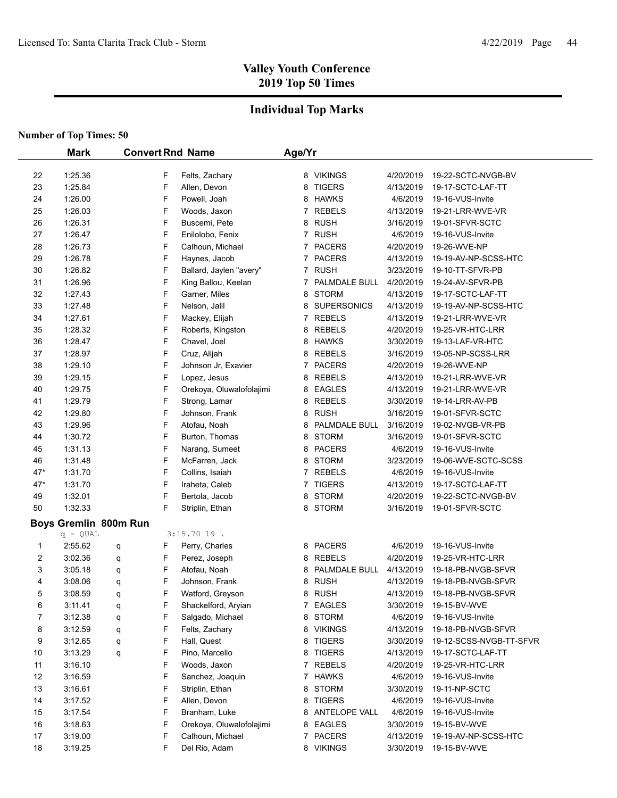## **Individual Top Marks**

|     | <b>Mark</b>           |   |   | <b>Convert Rnd Name</b>  | Age/Yr       |                    |           |                         |
|-----|-----------------------|---|---|--------------------------|--------------|--------------------|-----------|-------------------------|
| 22  | 1:25.36               |   | F | Felts, Zachary           |              | 8 VIKINGS          | 4/20/2019 | 19-22-SCTC-NVGB-BV      |
| 23  | 1:25.84               |   | F | Allen, Devon             | 8            | <b>TIGERS</b>      | 4/13/2019 | 19-17-SCTC-LAF-TT       |
| 24  | 1:26.00               |   | F | Powell, Joah             |              | 8 HAWKS            | 4/6/2019  | 19-16-VUS-Invite        |
| 25  | 1:26.03               |   | F | Woods, Jaxon             |              | 7 REBELS           | 4/13/2019 | 19-21-LRR-WVE-VR        |
| 26  | 1:26.31               |   | F | Buscemi, Pete            |              | 8 RUSH             | 3/16/2019 | 19-01-SFVR-SCTC         |
| 27  | 1:26.47               |   | F | Enilolobo, Fenix         |              | 7 RUSH             | 4/6/2019  | 19-16-VUS-Invite        |
| 28  | 1:26.73               |   | F | Calhoun, Michael         |              | 7 PACERS           | 4/20/2019 | 19-26-WVE-NP            |
| 29  | 1:26.78               |   | F | Haynes, Jacob            |              | 7 PACERS           | 4/13/2019 | 19-19-AV-NP-SCSS-HTC    |
| 30  | 1:26.82               |   | F | Ballard, Jaylen "avery"  |              | 7 RUSH             | 3/23/2019 | 19-10-TT-SFVR-PB        |
| 31  | 1:26.96               |   | F | King Ballou, Keelan      | 7            | PALMDALE BULL      | 4/20/2019 | 19-24-AV-SFVR-PB        |
| 32  | 1.27.43               |   | F | Garner, Miles            | 8            | <b>STORM</b>       | 4/13/2019 | 19-17-SCTC-LAF-TT       |
| 33  | 1:27.48               |   | F | Nelson, Jalil            | 8            | <b>SUPERSONICS</b> | 4/13/2019 | 19-19-AV-NP-SCSS-HTC    |
| 34  | 1:27.61               |   | F | Mackey, Elijah           | 7            | <b>REBELS</b>      | 4/13/2019 | 19-21-LRR-WVE-VR        |
| 35  | 1:28.32               |   | F | Roberts, Kingston        | 8            | <b>REBELS</b>      | 4/20/2019 | 19-25-VR-HTC-LRR        |
| 36  | 1:28.47               |   | F | Chavel, Joel             | 8            | <b>HAWKS</b>       | 3/30/2019 | 19-13-LAF-VR-HTC        |
| 37  | 1:28.97               |   | F | Cruz, Alijah             | 8            | <b>REBELS</b>      | 3/16/2019 | 19-05-NP-SCSS-LRR       |
| 38  | 1:29.10               |   | F | Johnson Jr, Exavier      | 7            | <b>PACERS</b>      | 4/20/2019 | 19-26-WVE-NP            |
| 39  | 1:29.15               |   | F | Lopez, Jesus             | 8            | <b>REBELS</b>      | 4/13/2019 | 19-21-LRR-WVE-VR        |
| 40  | 1:29.75               |   | F | Orekoya, Oluwalofolajimi | 8            | EAGLES             | 4/13/2019 | 19-21-LRR-WVE-VR        |
| 41  | 1:29.79               |   | F | Strong, Lamar            | 8            | <b>REBELS</b>      | 3/30/2019 | 19-14-LRR-AV-PB         |
| 42  | 1:29.80               |   | F | Johnson, Frank           | 8            | <b>RUSH</b>        | 3/16/2019 | 19-01-SFVR-SCTC         |
| 43  | 1:29.96               |   | F | Atofau, Noah             | 8            | PALMDALE BULL      | 3/16/2019 | 19-02-NVGB-VR-PB        |
| 44  | 1:30.72               |   | F | Burton, Thomas           | 8            | <b>STORM</b>       | 3/16/2019 | 19-01-SFVR-SCTC         |
| 45  | 1:31.13               |   | F | Narang, Sumeet           | 8            | <b>PACERS</b>      | 4/6/2019  | 19-16-VUS-Invite        |
| 46  | 1:31.48               |   | F | McFarren, Jack           | 8            | <b>STORM</b>       | 3/23/2019 | 19-06-WVE-SCTC-SCSS     |
| 47* | 1:31.70               |   | F | Collins, Isaiah          | $\mathbf{7}$ | <b>REBELS</b>      | 4/6/2019  | 19-16-VUS-Invite        |
| 47* | 1:31.70               |   | F | Iraheta, Caleb           | $\mathbf{7}$ | <b>TIGERS</b>      | 4/13/2019 | 19-17-SCTC-LAF-TT       |
| 49  | 1:32.01               |   | F | Bertola, Jacob           | 8            | <b>STORM</b>       | 4/20/2019 | 19-22-SCTC-NVGB-BV      |
| 50  | 1.32.33               |   | F | Striplin, Ethan          |              | 8 STORM            | 3/16/2019 | 19-01-SFVR-SCTC         |
|     | Boys Gremlin 800m Run |   |   |                          |              |                    |           |                         |
|     | $q - QUAL$            |   |   | $3:15.7019$ .            |              |                    |           |                         |
| 1   | 2:55.62               | q | F | Perry, Charles           |              | 8 PACERS           | 4/6/2019  | 19-16-VUS-Invite        |
| 2   | 3:02.36               | q | F | Perez, Joseph            | 8            | REBELS             | 4/20/2019 | 19-25-VR-HTC-LRR        |
| 3   | 3:05.18               | q | F | Atofau, Noah             | 8            | PALMDALE BULL      | 4/13/2019 | 19-18-PB-NVGB-SFVR      |
| 4   | 3:08.06               | q | F | Johnson, Frank           | 8            | <b>RUSH</b>        | 4/13/2019 | 19-18-PB-NVGB-SFVR      |
| 5   | 3:08.59               | q | F | Watford, Greyson         | 8            | <b>RUSH</b>        | 4/13/2019 | 19-18-PB-NVGB-SFVR      |
| 6   | 3:11.41               | q | F | Shackelford, Aryian      | 7            | <b>EAGLES</b>      | 3/30/2019 | 19-15-BV-WVE            |
| 7   | 3:12.38               | q | F | Salgado, Michael         | 8            | <b>STORM</b>       | 4/6/2019  | 19-16-VUS-Invite        |
| 8   | 3:12.59               | q | F | Felts, Zachary           |              | 8 VIKINGS          | 4/13/2019 | 19-18-PB-NVGB-SFVR      |
| 9   | 3:12.65               | q | F | Hall, Quest              |              | 8 TIGERS           | 3/30/2019 | 19-12-SCSS-NVGB-TT-SFVR |
| 10  | 3:13.29               | q | F | Pino, Marcello           | 8            | <b>TIGERS</b>      | 4/13/2019 | 19-17-SCTC-LAF-TT       |
| 11  | 3:16.10               |   | F | Woods, Jaxon             | 7            | <b>REBELS</b>      | 4/20/2019 | 19-25-VR-HTC-LRR        |
| 12  | 3:16.59               |   | F | Sanchez, Joaquin         |              | 7 HAWKS            | 4/6/2019  | 19-16-VUS-Invite        |
| 13  | 3:16.61               |   | F | Striplin, Ethan          |              | 8 STORM            | 3/30/2019 | 19-11-NP-SCTC           |
| 14  | 3:17.52               |   | F | Allen, Devon             |              | 8 TIGERS           | 4/6/2019  | 19-16-VUS-Invite        |
| 15  | 3:17.54               |   | F | Branham, Luke            |              | 8 ANTELOPE VALL    | 4/6/2019  | 19-16-VUS-Invite        |
| 16  | 3:18.63               |   | F | Orekoya, Oluwalofolajimi |              | 8 EAGLES           | 3/30/2019 | 19-15-BV-WVE            |
| 17  | 3:19.00               |   | F | Calhoun, Michael         |              | 7 PACERS           | 4/13/2019 | 19-19-AV-NP-SCSS-HTC    |
| 18  | 3:19.25               |   | F | Del Rio, Adam            |              | 8 VIKINGS          | 3/30/2019 | 19-15-BV-WVE            |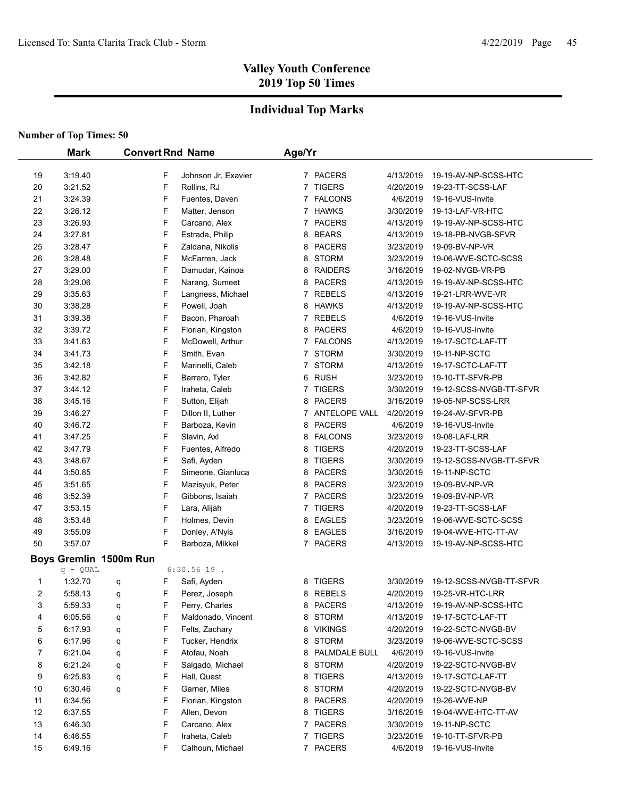## **Individual Top Marks**

|                | <b>Mark</b>            |   |   | <b>Convert Rnd Name</b> | Age/Yr         |                 |           |                         |
|----------------|------------------------|---|---|-------------------------|----------------|-----------------|-----------|-------------------------|
| 19             | 3:19.40                |   | F | Johnson Jr, Exavier     |                | 7 PACERS        | 4/13/2019 | 19-19-AV-NP-SCSS-HTC    |
| 20             | 3:21.52                |   | F | Rollins, RJ             |                | 7 TIGERS        | 4/20/2019 | 19-23-TT-SCSS-LAF       |
| 21             | 3:24.39                |   | F | Fuentes, Daven          |                | 7 FALCONS       | 4/6/2019  | 19-16-VUS-Invite        |
| 22             | 3:26.12                |   | F | Matter, Jenson          |                | 7 HAWKS         | 3/30/2019 | 19-13-LAF-VR-HTC        |
| 23             | 3:26.93                |   | F | Carcano, Alex           |                | 7 PACERS        | 4/13/2019 | 19-19-AV-NP-SCSS-HTC    |
| 24             | 3:27.81                |   | F | Estrada, Philip         | 8              | <b>BEARS</b>    | 4/13/2019 | 19-18-PB-NVGB-SFVR      |
| 25             | 3:28.47                |   | F | Zaldana, Nikolis        | 8              | <b>PACERS</b>   | 3/23/2019 | 19-09-BV-NP-VR          |
| 26             | 3:28.48                |   | F | McFarren, Jack          | 8              | <b>STORM</b>    | 3/23/2019 | 19-06-WVE-SCTC-SCSS     |
| 27             | 3:29.00                |   | F | Damudar, Kainoa         | 8              | <b>RAIDERS</b>  | 3/16/2019 | 19-02-NVGB-VR-PB        |
| 28             | 3:29.06                |   | F | Narang, Sumeet          | 8              | <b>PACERS</b>   | 4/13/2019 | 19-19-AV-NP-SCSS-HTC    |
| 29             | 3:35.63                |   | F | Langness, Michael       | 7              | <b>REBELS</b>   | 4/13/2019 | 19-21-LRR-WVE-VR        |
| 30             | 3:38.28                |   | F | Powell, Joah            | 8              | HAWKS           | 4/13/2019 | 19-19-AV-NP-SCSS-HTC    |
| 31             | 3:39.38                |   | F | Bacon, Pharoah          | 7              | <b>REBELS</b>   | 4/6/2019  | 19-16-VUS-Invite        |
| 32             | 3:39.72                |   | F | Florian, Kingston       | 8              | <b>PACERS</b>   | 4/6/2019  | 19-16-VUS-Invite        |
| 33             | 3:41.63                |   | F | McDowell, Arthur        | 7              | <b>FALCONS</b>  | 4/13/2019 | 19-17-SCTC-LAF-TT       |
| 34             | 3:41.73                |   | F | Smith, Evan             | $\overline{7}$ | <b>STORM</b>    | 3/30/2019 | 19-11-NP-SCTC           |
| 35             | 3:42.18                |   | F | Marinelli, Caleb        | $\overline{7}$ | <b>STORM</b>    | 4/13/2019 | 19-17-SCTC-LAF-TT       |
| 36             | 3:42.82                |   | F | Barrero, Tyler          | 6              | <b>RUSH</b>     | 3/23/2019 | 19-10-TT-SFVR-PB        |
| 37             | 3:44.12                |   | F | Iraheta, Caleb          | $\overline{7}$ | <b>TIGERS</b>   | 3/30/2019 | 19-12-SCSS-NVGB-TT-SFVR |
| 38             | 3:45.16                |   | F | Sutton, Elijah          | 8              | <b>PACERS</b>   | 3/16/2019 | 19-05-NP-SCSS-LRR       |
| 39             | 3:46.27                |   | F | Dillon II, Luther       |                | 7 ANTELOPE VALL | 4/20/2019 | 19-24-AV-SFVR-PB        |
| 40             | 3:46.72                |   | F | Barboza, Kevin          | 8              | <b>PACERS</b>   | 4/6/2019  | 19-16-VUS-Invite        |
| 41             | 3:47.25                |   | F | Slavin, Axl             | 8              | <b>FALCONS</b>  | 3/23/2019 | 19-08-LAF-LRR           |
| 42             | 3:47.79                |   | F | Fuentes, Alfredo        | 8              | <b>TIGERS</b>   | 4/20/2019 | 19-23-TT-SCSS-LAF       |
| 43             | 3:48.67                |   | F | Safi, Ayden             | 8              | <b>TIGERS</b>   | 3/30/2019 | 19-12-SCSS-NVGB-TT-SFVR |
| 44             | 3:50.85                |   | F | Simeone, Gianluca       | 8              | <b>PACERS</b>   | 3/30/2019 | 19-11-NP-SCTC           |
| 45             | 3:51.65                |   | F | Mazisyuk, Peter         |                | 8 PACERS        | 3/23/2019 | 19-09-BV-NP-VR          |
| 46             | 3:52.39                |   | F | Gibbons, Isaiah         |                | 7 PACERS        | 3/23/2019 | 19-09-BV-NP-VR          |
| 47             | 3:53.15                |   | F | Lara, Alijah            | $\mathbf{7}$   | <b>TIGERS</b>   | 4/20/2019 | 19-23-TT-SCSS-LAF       |
| 48             | 3:53.48                |   | F | Holmes, Devin           |                | 8 EAGLES        | 3/23/2019 | 19-06-WVE-SCTC-SCSS     |
| 49             | 3:55.09                |   | F | Donley, A'Nyis          |                | 8 EAGLES        | 3/16/2019 | 19-04-WVE-HTC-TT-AV     |
| 50             | 3:57.07                |   | F | Barboza, Mikkel         |                | 7 PACERS        | 4/13/2019 | 19-19-AV-NP-SCSS-HTC    |
|                | Boys Gremlin 1500m Run |   |   |                         |                |                 |           |                         |
|                | $q - QUAL$             |   |   | $6:30.56$ 19.           |                |                 |           |                         |
| 1              | 1:32.70                | q | F | Safi, Ayden             |                | 8 TIGERS        | 3/30/2019 | 19-12-SCSS-NVGB-TT-SFVR |
| $\overline{2}$ | 5:58.13                | q | F | Perez, Joseph           |                | 8 REBELS        | 4/20/2019 | 19-25-VR-HTC-LRR        |
| 3              | 5:59.33                | q | F | Perry, Charles          |                | 8 PACERS        | 4/13/2019 | 19-19-AV-NP-SCSS-HTC    |
| 4              | 6:05.56                | q | F | Maldonado, Vincent      |                | 8 STORM         | 4/13/2019 | 19-17-SCTC-LAF-TT       |
| 5              | 6:17.93                | q | F | Felts, Zachary          |                | 8 VIKINGS       | 4/20/2019 | 19-22-SCTC-NVGB-BV      |
| 6              | 6:17.96                | q | F | Tucker, Hendrix         |                | 8 STORM         | 3/23/2019 | 19-06-WVE-SCTC-SCSS     |
| 7              | 6:21.04                | q | F | Atofau, Noah            |                | 8 PALMDALE BULL | 4/6/2019  | 19-16-VUS-Invite        |
| 8              | 6:21.24                | q | F | Salgado, Michael        |                | 8 STORM         | 4/20/2019 | 19-22-SCTC-NVGB-BV      |
| 9              | 6:25.83                | q | F | Hall, Quest             | 8              | <b>TIGERS</b>   | 4/13/2019 | 19-17-SCTC-LAF-TT       |
| 10             | 6:30.46                | q | F | Garner, Miles           |                | 8 STORM         | 4/20/2019 | 19-22-SCTC-NVGB-BV      |
| 11             | 6:34.56                |   | F | Florian, Kingston       |                | 8 PACERS        | 4/20/2019 | 19-26-WVE-NP            |
| 12             | 6:37.55                |   | F | Allen, Devon            | 8              | TIGERS          | 3/16/2019 | 19-04-WVE-HTC-TT-AV     |
| 13             | 6:46.30                |   | F | Carcano, Alex           |                | 7 PACERS        | 3/30/2019 | 19-11-NP-SCTC           |
| 14             | 6:46.55                |   | F | Iraheta, Caleb          |                | 7 TIGERS        | 3/23/2019 | 19-10-TT-SFVR-PB        |
| 15             | 6:49.16                |   | F | Calhoun, Michael        |                | 7 PACERS        | 4/6/2019  | 19-16-VUS-Invite        |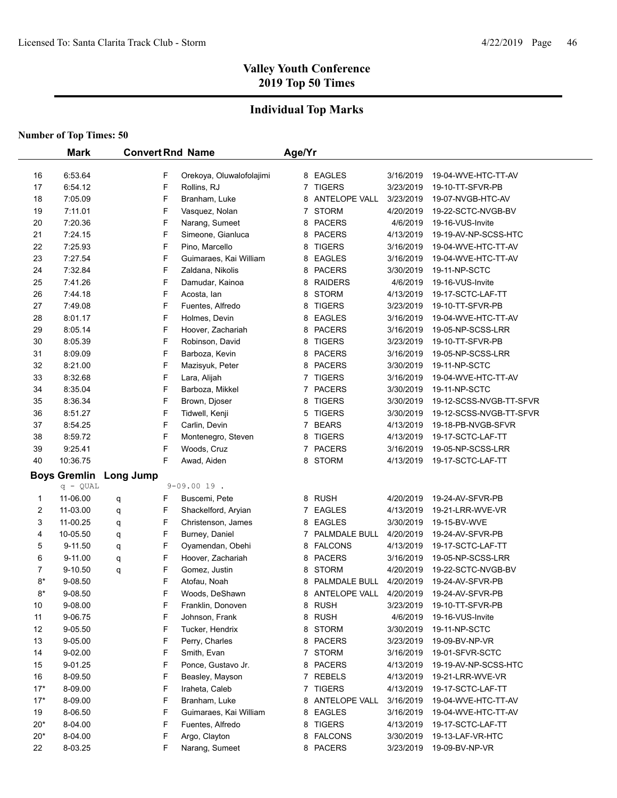## **Individual Top Marks**

|       | <b>Mark</b>         |           |   | <b>Convert Rnd Name</b>  | Age/Yr         |                      |           |                         |
|-------|---------------------|-----------|---|--------------------------|----------------|----------------------|-----------|-------------------------|
|       |                     |           |   |                          |                |                      |           |                         |
| 16    | 6:53.64             |           | F | Orekoya, Oluwalofolajimi |                | 8 EAGLES             | 3/16/2019 | 19-04-WVE-HTC-TT-AV     |
| 17    | 6:54.12             |           | F | Rollins, RJ              | $\mathbf{7}$   | <b>TIGERS</b>        | 3/23/2019 | 19-10-TT-SFVR-PB        |
| 18    | 7:05.09             |           | F | Branham, Luke            | 8              | <b>ANTELOPE VALL</b> | 3/23/2019 | 19-07-NVGB-HTC-AV       |
| 19    | 7:11.01             |           | F | Vasquez, Nolan           |                | 7 STORM              | 4/20/2019 | 19-22-SCTC-NVGB-BV      |
| 20    | 7:20.36             |           | F | Narang, Sumeet           | 8              | <b>PACERS</b>        | 4/6/2019  | 19-16-VUS-Invite        |
| 21    | 7:24.15             |           | F | Simeone, Gianluca        |                | 8 PACERS             | 4/13/2019 | 19-19-AV-NP-SCSS-HTC    |
| 22    | 7:25.93             |           | F | Pino, Marcello           | 8              | <b>TIGERS</b>        | 3/16/2019 | 19-04-WVE-HTC-TT-AV     |
| 23    | 7:27.54             |           | F | Guimaraes, Kai William   | 8              | <b>EAGLES</b>        | 3/16/2019 | 19-04-WVE-HTC-TT-AV     |
| 24    | 7:32.84             |           | F | Zaldana, Nikolis         |                | 8 PACERS             | 3/30/2019 | 19-11-NP-SCTC           |
| 25    | 7:41.26             |           | F | Damudar, Kainoa          | 8              | <b>RAIDERS</b>       | 4/6/2019  | 19-16-VUS-Invite        |
| 26    | 7:44.18             |           | F | Acosta, Ian              | 8              | <b>STORM</b>         | 4/13/2019 | 19-17-SCTC-LAF-TT       |
| 27    | 7:49.08             |           | F | Fuentes, Alfredo         | 8              | <b>TIGERS</b>        | 3/23/2019 | 19-10-TT-SFVR-PB        |
| 28    | 8:01.17             |           | F | Holmes, Devin            | 8              | <b>EAGLES</b>        | 3/16/2019 | 19-04-WVE-HTC-TT-AV     |
| 29    | 8:05.14             |           | F | Hoover, Zachariah        | 8              | <b>PACERS</b>        | 3/16/2019 | 19-05-NP-SCSS-LRR       |
| 30    | 8:05.39             |           | F | Robinson, David          | 8              | <b>TIGERS</b>        | 3/23/2019 | 19-10-TT-SFVR-PB        |
| 31    | 8:09.09             |           | F | Barboza, Kevin           | 8              | <b>PACERS</b>        | 3/16/2019 | 19-05-NP-SCSS-LRR       |
| 32    | 8:21.00             |           | F | Mazisyuk, Peter          | 8              | <b>PACERS</b>        | 3/30/2019 | 19-11-NP-SCTC           |
| 33    | 8:32.68             |           | F | Lara, Alijah             | $\overline{7}$ | <b>TIGERS</b>        | 3/16/2019 | 19-04-WVE-HTC-TT-AV     |
| 34    | 8:35.04             |           | F | Barboza, Mikkel          | 7              | <b>PACERS</b>        | 3/30/2019 | 19-11-NP-SCTC           |
| 35    | 8:36.34             |           | F | Brown, Djoser            | 8              | <b>TIGERS</b>        | 3/30/2019 | 19-12-SCSS-NVGB-TT-SFVR |
| 36    | 8:51.27             |           | F | Tidwell, Kenji           | 5              | <b>TIGERS</b>        | 3/30/2019 | 19-12-SCSS-NVGB-TT-SFVR |
| 37    | 8:54.25             |           | F | Carlin, Devin            | 7              | <b>BEARS</b>         | 4/13/2019 | 19-18-PB-NVGB-SFVR      |
| 38    | 8:59.72             |           | F | Montenegro, Steven       | 8              | <b>TIGERS</b>        | 4/13/2019 | 19-17-SCTC-LAF-TT       |
| 39    | 9.25.41             |           | F | Woods, Cruz              | $\overline{7}$ | <b>PACERS</b>        | 3/16/2019 | 19-05-NP-SCSS-LRR       |
| 40    | 10:36.75            |           | F | Awad, Aiden              |                | 8 STORM              | 4/13/2019 | 19-17-SCTC-LAF-TT       |
|       | <b>Boys Gremlin</b> | Long Jump |   |                          |                |                      |           |                         |
|       | $q - QUAL$          |           |   | $9 - 09.0019$ .          |                |                      |           |                         |
| 1     | 11-06.00            | q         | F | Buscemi, Pete            |                | 8 RUSH               | 4/20/2019 | 19-24-AV-SFVR-PB        |
| 2     | 11-03.00            | q         | F | Shackelford, Aryian      | 7              | <b>EAGLES</b>        | 4/13/2019 | 19-21-LRR-WVE-VR        |
| 3     | 11-00.25            | q         | F | Christenson, James       | 8              | EAGLES               | 3/30/2019 | 19-15-BV-WVE            |
| 4     | 10-05.50            | q         | F | Burney, Daniel           | 7              | PALMDALE BULL        | 4/20/2019 | 19-24-AV-SFVR-PB        |
| 5     | 9-11.50             | q         | F | Oyamendan, Obehi         |                | 8 FALCONS            | 4/13/2019 | 19-17-SCTC-LAF-TT       |
| 6     | 9-11.00             | q         | F | Hoover, Zachariah        | 8              | <b>PACERS</b>        | 3/16/2019 | 19-05-NP-SCSS-LRR       |
| 7     | $9 - 10.50$         | q         | F | Gomez, Justin            | 8              | <b>STORM</b>         | 4/20/2019 | 19-22-SCTC-NVGB-BV      |
| $8*$  | 9-08.50             |           | F | Atofau, Noah             | 8              | PALMDALE BULL        | 4/20/2019 | 19-24-AV-SFVR-PB        |
| $8*$  | 9-08.50             |           | F | Woods, DeShawn           |                | 8 ANTELOPE VALL      | 4/20/2019 | 19-24-AV-SFVR-PB        |
| 10    | 9-08.00             |           | F | Franklin, Donoven        |                | 8 RUSH               | 3/23/2019 | 19-10-TT-SFVR-PB        |
| 11    | 9-06.75             |           | F | Johnson, Frank           |                | 8 RUSH               | 4/6/2019  | 19-16-VUS-Invite        |
| 12    | 9-05.50             |           | F | Tucker, Hendrix          |                | 8 STORM              | 3/30/2019 | 19-11-NP-SCTC           |
| 13    | 9-05.00             |           | F | Perry, Charles           |                | 8 PACERS             | 3/23/2019 | 19-09-BV-NP-VR          |
| 14    | 9-02.00             |           | F | Smith, Evan              |                | 7 STORM              | 3/16/2019 | 19-01-SFVR-SCTC         |
| 15    | 9-01.25             |           | F | Ponce, Gustavo Jr.       |                | 8 PACERS             | 4/13/2019 | 19-19-AV-NP-SCSS-HTC    |
| 16    | 8-09.50             |           | F | Beasley, Mayson          |                | 7 REBELS             | 4/13/2019 | 19-21-LRR-WVE-VR        |
| $17*$ | 8-09.00             |           | F | Iraheta, Caleb           |                | 7 TIGERS             | 4/13/2019 | 19-17-SCTC-LAF-TT       |
| $17*$ | 8-09.00             |           | F | Branham, Luke            |                | 8 ANTELOPE VALL      | 3/16/2019 | 19-04-WVE-HTC-TT-AV     |
| 19    | 8-06.50             |           | F | Guimaraes, Kai William   |                | 8 EAGLES             | 3/16/2019 | 19-04-WVE-HTC-TT-AV     |
| $20*$ | 8-04.00             |           | F | Fuentes, Alfredo         | 8              | <b>TIGERS</b>        | 4/13/2019 | 19-17-SCTC-LAF-TT       |
| $20*$ | 8-04.00             |           | F | Argo, Clayton            | 8              | <b>FALCONS</b>       | 3/30/2019 | 19-13-LAF-VR-HTC        |
| 22    | 8-03.25             |           | F | Narang, Sumeet           |                | 8 PACERS             | 3/23/2019 | 19-09-BV-NP-VR          |
|       |                     |           |   |                          |                |                      |           |                         |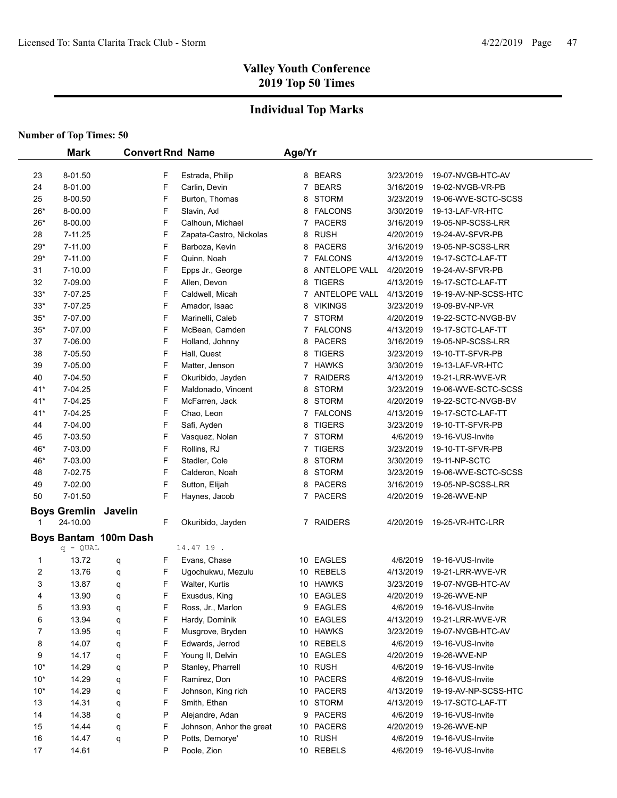### **Individual Top Marks**

|                | <b>Mark</b>                 |                       |        | <b>Convert Rnd Name</b>  | Age/Yr |                    |           |                                         |
|----------------|-----------------------------|-----------------------|--------|--------------------------|--------|--------------------|-----------|-----------------------------------------|
|                |                             |                       |        |                          |        |                    |           |                                         |
| 23             | 8-01.50                     |                       | F<br>F | Estrada, Philip          |        | 8 BEARS<br>7 BEARS | 3/23/2019 | 19-07-NVGB-HTC-AV                       |
| 24             | 8-01.00                     |                       | F      | Carlin, Devin            |        |                    | 3/16/2019 | 19-02-NVGB-VR-PB<br>19-06-WVE-SCTC-SCSS |
| 25             | 8-00.50                     |                       | F      | Burton, Thomas           |        | 8 STORM            | 3/23/2019 |                                         |
| $26*$          | 8-00.00                     |                       |        | Slavin, Axl              |        | 8 FALCONS          | 3/30/2019 | 19-13-LAF-VR-HTC                        |
| $26*$          | 8-00.00<br>7-11.25          |                       | F      | Calhoun, Michael         |        | 7 PACERS           | 3/16/2019 | 19-05-NP-SCSS-LRR                       |
| 28             |                             |                       | F      | Zapata-Castro, Nickolas  |        | 8 RUSH             | 4/20/2019 | 19-24-AV-SFVR-PB                        |
| 29*            | 7-11.00                     |                       | F<br>F | Barboza, Kevin           |        | 8 PACERS           | 3/16/2019 | 19-05-NP-SCSS-LRR<br>19-17-SCTC-LAF-TT  |
| $29*$          | 7-11.00                     |                       |        | Quinn, Noah              |        | 7 FALCONS          | 4/13/2019 |                                         |
| 31             | 7-10.00                     |                       | F<br>F | Epps Jr., George         |        | 8 ANTELOPE VALL    | 4/20/2019 | 19-24-AV-SFVR-PB                        |
| 32             | 7-09.00                     |                       |        | Allen, Devon             |        | 8 TIGERS           | 4/13/2019 | 19-17-SCTC-LAF-TT                       |
| $33*$          | 7-07.25                     |                       | F      | Caldwell, Micah          |        | 7 ANTELOPE VALL    | 4/13/2019 | 19-19-AV-NP-SCSS-HTC                    |
| $33*$          | 7-07.25                     |                       | F      | Amador, Isaac            |        | 8 VIKINGS          | 3/23/2019 | 19-09-BV-NP-VR                          |
| $35*$          | 7-07.00                     |                       | F      | Marinelli, Caleb         |        | 7 STORM            | 4/20/2019 | 19-22-SCTC-NVGB-BV                      |
| $35*$          | 7-07.00                     |                       | F      | McBean, Camden           |        | 7 FALCONS          | 4/13/2019 | 19-17-SCTC-LAF-TT                       |
| 37             | 7-06.00                     |                       | F      | Holland, Johnny          |        | 8 PACERS           | 3/16/2019 | 19-05-NP-SCSS-LRR                       |
| 38             | 7-05.50                     |                       | F      | Hall, Quest              |        | 8 TIGERS           | 3/23/2019 | 19-10-TT-SFVR-PB                        |
| 39             | 7-05.00                     |                       | F      | Matter, Jenson           |        | 7 HAWKS            | 3/30/2019 | 19-13-LAF-VR-HTC                        |
| 40             | 7-04.50                     |                       | F      | Okuribido, Jayden        |        | 7 RAIDERS          | 4/13/2019 | 19-21-LRR-WVE-VR                        |
| $41*$          | 7-04.25                     |                       | F      | Maldonado, Vincent       |        | 8 STORM            | 3/23/2019 | 19-06-WVE-SCTC-SCSS                     |
| $41*$          | 7-04.25                     |                       | F      | McFarren, Jack           |        | 8 STORM            | 4/20/2019 | 19-22-SCTC-NVGB-BV                      |
| $41*$          | 7-04.25                     |                       | F      | Chao, Leon               |        | 7 FALCONS          | 4/13/2019 | 19-17-SCTC-LAF-TT                       |
| 44             | 7-04.00                     |                       | F      | Safi, Ayden              |        | 8 TIGERS           | 3/23/2019 | 19-10-TT-SFVR-PB                        |
| 45             | 7-03.50                     |                       | F      | Vasquez, Nolan           |        | 7 STORM            | 4/6/2019  | 19-16-VUS-Invite                        |
| 46*            | 7-03.00                     |                       | F      | Rollins, RJ              |        | 7 TIGERS           | 3/23/2019 | 19-10-TT-SFVR-PB                        |
| 46*            | 7-03.00                     |                       | F      | Stadler, Cole            |        | 8 STORM            | 3/30/2019 | 19-11-NP-SCTC                           |
| 48             | 7-02.75                     |                       | F      | Calderon, Noah           |        | 8 STORM            | 3/23/2019 | 19-06-WVE-SCTC-SCSS                     |
| 49             | 7-02.00                     |                       | F      | Sutton, Elijah           |        | 8 PACERS           | 3/16/2019 | 19-05-NP-SCSS-LRR                       |
| 50             | 7-01.50                     |                       | F      | Haynes, Jacob            |        | 7 PACERS           | 4/20/2019 | 19-26-WVE-NP                            |
|                | <b>Boys Gremlin Javelin</b> |                       |        |                          |        |                    |           |                                         |
| 1              | 24-10.00                    |                       | F      | Okuribido, Jayden        |        | 7 RAIDERS          | 4/20/2019 | 19-25-VR-HTC-LRR                        |
|                |                             | Boys Bantam 100m Dash |        |                          |        |                    |           |                                         |
|                | $q - QUAL$                  |                       |        | 14.47 19.                |        |                    |           |                                         |
| 1              | 13.72                       | q                     | F      | Evans, Chase             |        | 10 EAGLES          | 4/6/2019  | 19-16-VUS-Invite                        |
| 2              | 13.76                       | q                     | F      | Ugochukwu, Mezulu        | 10     | <b>REBELS</b>      | 4/13/2019 | 19-21-LRR-WVE-VR                        |
| 3              | 13.87                       | q                     | F      | Walter, Kurtis           | 10     | <b>HAWKS</b>       | 3/23/2019 | 19-07-NVGB-HTC-AV                       |
| $\overline{4}$ | 13.90                       | q                     | F      | Exusdus, King            |        | 10 EAGLES          | 4/20/2019 | 19-26-WVE-NP                            |
| 5              | 13.93                       | q                     | F      | Ross, Jr., Marlon        |        | 9 EAGLES           | 4/6/2019  | 19-16-VUS-Invite                        |
| 6              | 13.94                       | q                     | F      | Hardy, Dominik           |        | 10 EAGLES          | 4/13/2019 | 19-21-LRR-WVE-VR                        |
| 7              | 13.95                       | q                     | F      | Musgrove, Bryden         |        | 10 HAWKS           | 3/23/2019 | 19-07-NVGB-HTC-AV                       |
| 8              | 14.07                       | q                     | F      | Edwards, Jerrod          |        | 10 REBELS          | 4/6/2019  | 19-16-VUS-Invite                        |
| 9              | 14.17                       | q                     | F      | Young II, Delvin         |        | 10 EAGLES          | 4/20/2019 | 19-26-WVE-NP                            |
| $10*$          | 14.29                       | q                     | Ρ      | Stanley, Pharrell        |        | 10 RUSH            | 4/6/2019  | 19-16-VUS-Invite                        |
| $10*$          | 14.29                       | q                     | F      | Ramirez, Don             |        | 10 PACERS          | 4/6/2019  | 19-16-VUS-Invite                        |
| $10*$          | 14.29                       | q                     | F      | Johnson, King rich       |        | 10 PACERS          | 4/13/2019 | 19-19-AV-NP-SCSS-HTC                    |
| 13             | 14.31                       | q                     | F      | Smith, Ethan             |        | 10 STORM           | 4/13/2019 | 19-17-SCTC-LAF-TT                       |
| 14             | 14.38                       | q                     | Ρ      | Alejandre, Adan          |        | 9 PACERS           | 4/6/2019  | 19-16-VUS-Invite                        |
| 15             | 14.44                       | q                     | F      | Johnson, Anhor the great | 10     | PACERS             | 4/20/2019 | 19-26-WVE-NP                            |
| 16             | 14.47                       | q                     | Ρ      | Potts, Demorye'          | 10     | <b>RUSH</b>        | 4/6/2019  | 19-16-VUS-Invite                        |
| 17             | 14.61                       |                       | P      | Poole, Zion              |        | 10 REBELS          | 4/6/2019  | 19-16-VUS-Invite                        |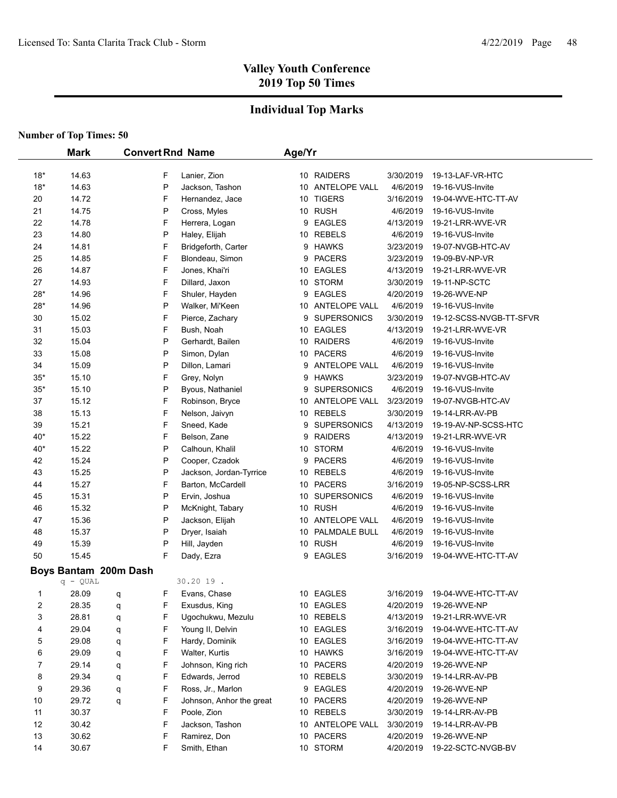## **Individual Top Marks**

|       | <b>Mark</b>           |   |   | <b>Convert Rnd Name</b>  | Age/Yr |                    |           |                         |
|-------|-----------------------|---|---|--------------------------|--------|--------------------|-----------|-------------------------|
| $18*$ | 14.63                 |   | F | Lanier, Zion             |        | 10 RAIDERS         | 3/30/2019 | 19-13-LAF-VR-HTC        |
| $18*$ | 14.63                 |   | P | Jackson, Tashon          |        | 10 ANTELOPE VALL   | 4/6/2019  | 19-16-VUS-Invite        |
| 20    | 14.72                 |   | F | Hernandez, Jace          |        | 10 TIGERS          | 3/16/2019 | 19-04-WVE-HTC-TT-AV     |
| 21    | 14.75                 |   | P | Cross, Myles             |        | 10 RUSH            | 4/6/2019  | 19-16-VUS-Invite        |
| 22    | 14.78                 |   | F | Herrera, Logan           |        | 9 EAGLES           | 4/13/2019 | 19-21-LRR-WVE-VR        |
| 23    | 14.80                 |   | P | Haley, Elijah            |        | 10 REBELS          | 4/6/2019  | 19-16-VUS-Invite        |
| 24    | 14.81                 |   | F | Bridgeforth, Carter      |        | 9 HAWKS            | 3/23/2019 | 19-07-NVGB-HTC-AV       |
| 25    | 14.85                 |   | F | Blondeau, Simon          | 9      | <b>PACERS</b>      | 3/23/2019 | 19-09-BV-NP-VR          |
| 26    | 14.87                 |   | F | Jones, Khai'ri           |        | 10 EAGLES          | 4/13/2019 | 19-21-LRR-WVE-VR        |
| 27    | 14.93                 |   | F | Dillard, Jaxon           |        | 10 STORM           | 3/30/2019 | 19-11-NP-SCTC           |
| $28*$ | 14.96                 |   | F | Shuler, Hayden           | 9      | <b>EAGLES</b>      | 4/20/2019 | 19-26-WVE-NP            |
| $28*$ | 14.96                 |   | P | Walker, Mi'Keen          |        | 10 ANTELOPE VALL   | 4/6/2019  | 19-16-VUS-Invite        |
| 30    | 15.02                 |   | F | Pierce, Zachary          | 9      | <b>SUPERSONICS</b> | 3/30/2019 | 19-12-SCSS-NVGB-TT-SFVR |
| 31    | 15.03                 |   | F | Bush, Noah               |        | 10 EAGLES          | 4/13/2019 | 19-21-LRR-WVE-VR        |
| 32    | 15.04                 |   | P | Gerhardt, Bailen         |        | 10 RAIDERS         | 4/6/2019  | 19-16-VUS-Invite        |
| 33    | 15.08                 |   | P | Simon, Dylan             |        | 10 PACERS          | 4/6/2019  | 19-16-VUS-Invite        |
| 34    | 15.09                 |   | P | Dillon, Lamari           |        | 9 ANTELOPE VALL    | 4/6/2019  | 19-16-VUS-Invite        |
| $35*$ | 15.10                 |   | F | Grey, Nolyn              |        | 9 HAWKS            | 3/23/2019 | 19-07-NVGB-HTC-AV       |
| $35*$ | 15.10                 |   | P | Byous, Nathaniel         | 9      | <b>SUPERSONICS</b> | 4/6/2019  | 19-16-VUS-Invite        |
| 37    | 15.12                 |   | F | Robinson, Bryce          |        | 10 ANTELOPE VALL   | 3/23/2019 | 19-07-NVGB-HTC-AV       |
| 38    | 15.13                 |   | F | Nelson, Jaivyn           |        | 10 REBELS          | 3/30/2019 | 19-14-LRR-AV-PB         |
| 39    | 15.21                 |   | F | Sneed, Kade              |        | 9 SUPERSONICS      | 4/13/2019 | 19-19-AV-NP-SCSS-HTC    |
| 40*   | 15.22                 |   | F | Belson, Zane             | 9      | <b>RAIDERS</b>     | 4/13/2019 | 19-21-LRR-WVE-VR        |
| 40*   | 15.22                 |   | P | Calhoun, Khalil          |        | 10 STORM           | 4/6/2019  | 19-16-VUS-Invite        |
| 42    | 15.24                 |   | P | Cooper, Czadok           |        | 9 PACERS           | 4/6/2019  | 19-16-VUS-Invite        |
| 43    | 15.25                 |   | P | Jackson, Jordan-Tyrrice  |        | 10 REBELS          | 4/6/2019  | 19-16-VUS-Invite        |
| 44    | 15.27                 |   | F | Barton, McCardell        |        | 10 PACERS          | 3/16/2019 | 19-05-NP-SCSS-LRR       |
| 45    | 15.31                 |   | P | Ervin, Joshua            |        | 10 SUPERSONICS     | 4/6/2019  | 19-16-VUS-Invite        |
| 46    | 15.32                 |   | P | McKnight, Tabary         |        | 10 RUSH            | 4/6/2019  | 19-16-VUS-Invite        |
| 47    | 15.36                 |   | P | Jackson, Elijah          |        | 10 ANTELOPE VALL   | 4/6/2019  | 19-16-VUS-Invite        |
| 48    | 15.37                 |   | P | Dryer, Isaiah            |        | 10 PALMDALE BULL   | 4/6/2019  | 19-16-VUS-Invite        |
| 49    | 15.39                 |   | P | Hill, Jayden             |        | 10 RUSH            | 4/6/2019  | 19-16-VUS-Invite        |
| 50    | 15.45                 |   | F | Dady, Ezra               |        | 9 EAGLES           | 3/16/2019 | 19-04-WVE-HTC-TT-AV     |
|       | Boys Bantam 200m Dash |   |   |                          |        |                    |           |                         |
|       | $q - QUAL$            |   |   | 30.20 19.                |        |                    |           |                         |
| 1     | 28.09                 | q | F | Evans, Chase             |        | 10 EAGLES          | 3/16/2019 | 19-04-WVE-HTC-TT-AV     |
| 2     | 28.35                 | q | F | Exusdus, King            |        | 10 EAGLES          | 4/20/2019 | 19-26-WVE-NP            |
| 3     | 28.81                 | q | F | Ugochukwu, Mezulu        |        | 10 REBELS          | 4/13/2019 | 19-21-LRR-WVE-VR        |
| 4     | 29.04                 | q | F | Young II, Delvin         |        | 10 EAGLES          | 3/16/2019 | 19-04-WVE-HTC-TT-AV     |
| 5     | 29.08                 | q | F | Hardy, Dominik           |        | 10 EAGLES          | 3/16/2019 | 19-04-WVE-HTC-TT-AV     |
| 6     | 29.09                 | q | F | Walter, Kurtis           |        | 10 HAWKS           | 3/16/2019 | 19-04-WVE-HTC-TT-AV     |
| 7     | 29.14                 | q | F | Johnson, King rich       |        | 10 PACERS          | 4/20/2019 | 19-26-WVE-NP            |
| 8     | 29.34                 | q | F | Edwards, Jerrod          |        | 10 REBELS          | 3/30/2019 | 19-14-LRR-AV-PB         |
| 9     | 29.36                 | q | F | Ross, Jr., Marlon        |        | 9 EAGLES           | 4/20/2019 | 19-26-WVE-NP            |
| 10    | 29.72                 | q | F | Johnson, Anhor the great |        | 10 PACERS          | 4/20/2019 | 19-26-WVE-NP            |
| 11    | 30.37                 |   | F | Poole, Zion              |        | 10 REBELS          | 3/30/2019 | 19-14-LRR-AV-PB         |
| 12    | 30.42                 |   | F | Jackson, Tashon          |        | 10 ANTELOPE VALL   | 3/30/2019 | 19-14-LRR-AV-PB         |
| 13    | 30.62                 |   | F | Ramirez, Don             |        | 10 PACERS          | 4/20/2019 | 19-26-WVE-NP            |
| 14    | 30.67                 |   | F | Smith, Ethan             |        | 10 STORM           | 4/20/2019 | 19-22-SCTC-NVGB-BV      |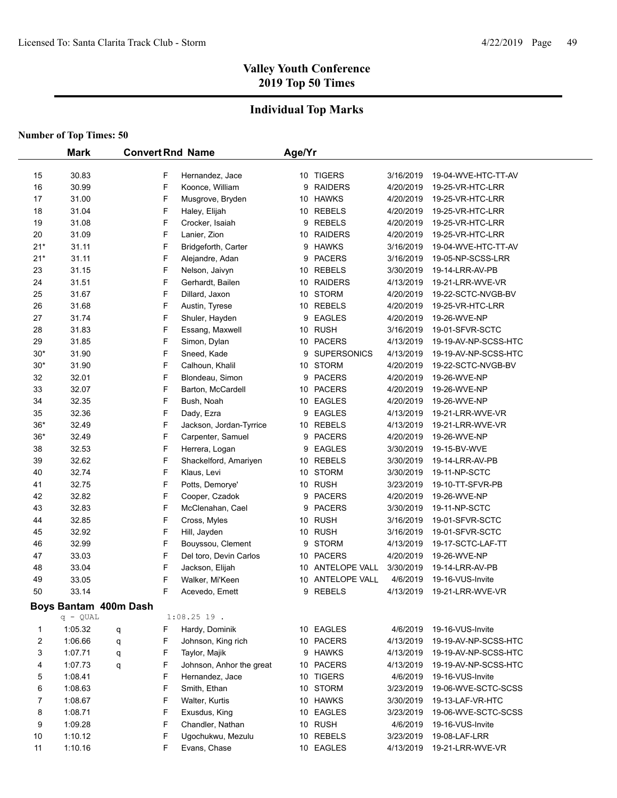### **Individual Top Marks**

|                | <b>Mark</b>           |   |   | <b>Convert Rnd Name</b>  | Age/Yr |                  |                        |                                         |
|----------------|-----------------------|---|---|--------------------------|--------|------------------|------------------------|-----------------------------------------|
| 15             | 30.83                 |   | F | Hernandez, Jace          |        | 10 TIGERS        | 3/16/2019              | 19-04-WVE-HTC-TT-AV                     |
| 16             | 30.99                 |   | F | Koonce, William          | 9      | <b>RAIDERS</b>   | 4/20/2019              | 19-25-VR-HTC-LRR                        |
| 17             | 31.00                 |   | F | Musgrove, Bryden         |        | 10 HAWKS         | 4/20/2019              | 19-25-VR-HTC-LRR                        |
| 18             | 31.04                 |   | F | Haley, Elijah            |        | 10 REBELS        | 4/20/2019              | 19-25-VR-HTC-LRR                        |
| 19             | 31.08                 |   | F | Crocker, Isaiah          |        | 9 REBELS         | 4/20/2019              | 19-25-VR-HTC-LRR                        |
| 20             | 31.09                 |   | F | Lanier, Zion             |        | 10 RAIDERS       | 4/20/2019              | 19-25-VR-HTC-LRR                        |
| $21*$          | 31.11                 |   | F | Bridgeforth, Carter      |        | 9 HAWKS          | 3/16/2019              | 19-04-WVE-HTC-TT-AV                     |
| $21*$          | 31.11                 |   | F | Alejandre, Adan          |        | 9 PACERS         | 3/16/2019              | 19-05-NP-SCSS-LRR                       |
| 23             | 31.15                 |   | F | Nelson, Jaivyn           |        | 10 REBELS        | 3/30/2019              | 19-14-LRR-AV-PB                         |
| 24             | 31.51                 |   | F | Gerhardt, Bailen         |        | 10 RAIDERS       | 4/13/2019              | 19-21-LRR-WVE-VR                        |
| 25             | 31.67                 |   | F | Dillard, Jaxon           |        | 10 STORM         | 4/20/2019              | 19-22-SCTC-NVGB-BV                      |
| 26             | 31.68                 |   | F | Austin, Tyrese           |        | 10 REBELS        | 4/20/2019              | 19-25-VR-HTC-LRR                        |
| 27             | 31.74                 |   | F | Shuler, Hayden           |        | 9 EAGLES         | 4/20/2019              | 19-26-WVE-NP                            |
| 28             | 31.83                 |   | F | Essang, Maxwell          |        | 10 RUSH          |                        |                                         |
| 29             | 31.85                 |   | F | Simon, Dylan             |        | 10 PACERS        | 3/16/2019<br>4/13/2019 | 19-01-SFVR-SCTC<br>19-19-AV-NP-SCSS-HTC |
| $30*$          | 31.90                 |   | F | Sneed, Kade              |        | 9 SUPERSONICS    | 4/13/2019              | 19-19-AV-NP-SCSS-HTC                    |
| $30*$          | 31.90                 |   | F | Calhoun, Khalil          |        | 10 STORM         | 4/20/2019              | 19-22-SCTC-NVGB-BV                      |
|                |                       |   | F |                          |        | 9 PACERS         |                        |                                         |
| 32             | 32.01                 |   | F | Blondeau, Simon          |        |                  | 4/20/2019              | 19-26-WVE-NP                            |
| 33             | 32.07                 |   |   | Barton, McCardell        |        | 10 PACERS        | 4/20/2019              | 19-26-WVE-NP                            |
| 34             | 32.35                 |   | F | Bush, Noah               |        | 10 EAGLES        | 4/20/2019              | 19-26-WVE-NP                            |
| 35             | 32.36                 |   | F | Dady, Ezra               | 9      | <b>EAGLES</b>    | 4/13/2019              | 19-21-LRR-WVE-VR                        |
| $36*$          | 32.49                 |   | F | Jackson, Jordan-Tyrrice  |        | 10 REBELS        | 4/13/2019              | 19-21-LRR-WVE-VR                        |
| $36*$          | 32.49                 |   | F | Carpenter, Samuel        |        | 9 PACERS         | 4/20/2019              | 19-26-WVE-NP                            |
| 38             | 32.53                 |   | F | Herrera, Logan           | 9      | <b>EAGLES</b>    | 3/30/2019              | 19-15-BV-WVE                            |
| 39             | 32.62                 |   | F | Shackelford, Amariyen    |        | 10 REBELS        | 3/30/2019              | 19-14-LRR-AV-PB                         |
| 40             | 32.74                 |   | F | Klaus, Levi              |        | 10 STORM         | 3/30/2019              | 19-11-NP-SCTC                           |
| 41             | 32.75                 |   | F | Potts, Demorye'          |        | 10 RUSH          | 3/23/2019              | 19-10-TT-SFVR-PB                        |
| 42             | 32.82                 |   | F | Cooper, Czadok           |        | 9 PACERS         | 4/20/2019              | 19-26-WVE-NP                            |
| 43             | 32.83                 |   | F | McClenahan, Cael         |        | 9 PACERS         | 3/30/2019              | 19-11-NP-SCTC                           |
| 44             | 32.85                 |   | F | Cross, Myles             |        | 10 RUSH          | 3/16/2019              | 19-01-SFVR-SCTC                         |
| 45             | 32.92                 |   | F | Hill, Jayden             |        | 10 RUSH          | 3/16/2019              | 19-01-SFVR-SCTC                         |
| 46             | 32.99                 |   | F | Bouyssou, Clement        |        | 9 STORM          | 4/13/2019              | 19-17-SCTC-LAF-TT                       |
| 47             | 33.03                 |   | F | Del toro, Devin Carlos   |        | 10 PACERS        | 4/20/2019              | 19-26-WVE-NP                            |
| 48             | 33.04                 |   | F | Jackson, Elijah          |        | 10 ANTELOPE VALL | 3/30/2019              | 19-14-LRR-AV-PB                         |
| 49             | 33.05                 |   | F | Walker, Mi'Keen          |        | 10 ANTELOPE VALL | 4/6/2019               | 19-16-VUS-Invite                        |
| 50             | 33.14                 |   | F | Acevedo, Emett           |        | 9 REBELS         | 4/13/2019              | 19-21-LRR-WVE-VR                        |
|                | Boys Bantam 400m Dash |   |   |                          |        |                  |                        |                                         |
|                | $q - QUAL$            |   |   | $1:08.25$ 19.            |        |                  |                        |                                         |
| 1              | 1:05.32               | q | F | Hardy, Dominik           |        | 10 EAGLES        | 4/6/2019               | 19-16-VUS-Invite                        |
| $\overline{c}$ | 1:06.66               | q | F | Johnson, King rich       |        | 10 PACERS        | 4/13/2019              | 19-19-AV-NP-SCSS-HTC                    |
| 3              | 1:07.71               | q | F | Taylor, Majik            |        | 9 HAWKS          | 4/13/2019              | 19-19-AV-NP-SCSS-HTC                    |
| 4              | 1:07.73               | q | F | Johnson, Anhor the great |        | 10 PACERS        | 4/13/2019              | 19-19-AV-NP-SCSS-HTC                    |
| 5              | 1:08.41               |   | F | Hernandez, Jace          |        | 10 TIGERS        | 4/6/2019               | 19-16-VUS-Invite                        |
| 6              | 1:08.63               |   | F | Smith, Ethan             |        | 10 STORM         | 3/23/2019              | 19-06-WVE-SCTC-SCSS                     |
| 7              | 1:08.67               |   | F | Walter, Kurtis           |        | 10 HAWKS         | 3/30/2019              | 19-13-LAF-VR-HTC                        |
| 8              | 1:08.71               |   | F | Exusdus, King            |        | 10 EAGLES        | 3/23/2019              | 19-06-WVE-SCTC-SCSS                     |
| 9              | 1:09.28               |   | F | Chandler, Nathan         |        | 10 RUSH          | 4/6/2019               | 19-16-VUS-Invite                        |
| 10             | 1:10.12               |   | F | Ugochukwu, Mezulu        |        | 10 REBELS        | 3/23/2019              | 19-08-LAF-LRR                           |
| 11             | 1:10.16               |   | F | Evans, Chase             |        | 10 EAGLES        | 4/13/2019              | 19-21-LRR-WVE-VR                        |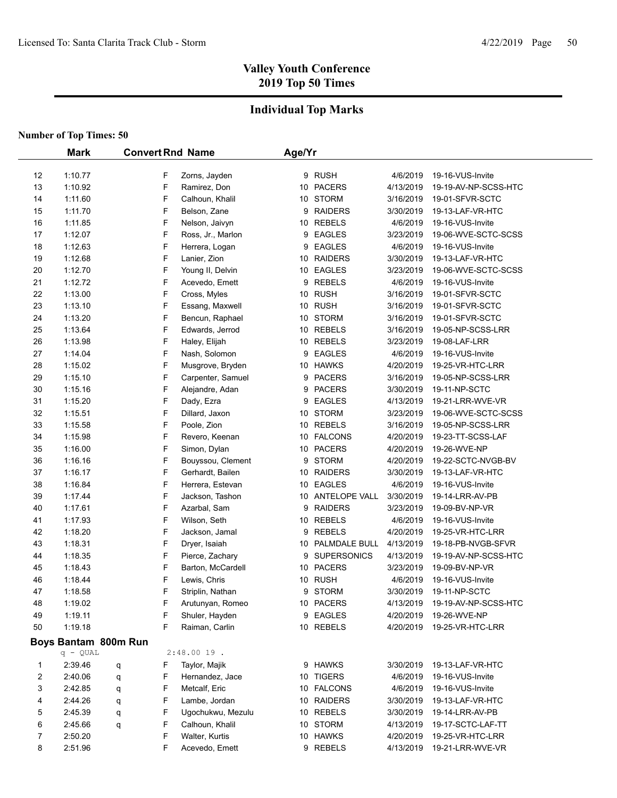### **Individual Top Marks**

|          | <b>Mark</b>          |   |        | <b>Convert Rnd Name</b>       | Age/Yr |                     |                       |                                          |
|----------|----------------------|---|--------|-------------------------------|--------|---------------------|-----------------------|------------------------------------------|
|          |                      |   |        |                               |        |                     |                       |                                          |
| 12<br>13 | 1:10.77<br>1:10.92   |   | F<br>F | Zorns, Jayden<br>Ramirez, Don |        | 9 RUSH<br>10 PACERS | 4/6/2019<br>4/13/2019 | 19-16-VUS-Invite<br>19-19-AV-NP-SCSS-HTC |
| 14       | 1:11.60              |   | F      | Calhoun, Khalil               |        | 10 STORM            | 3/16/2019             | 19-01-SFVR-SCTC                          |
| 15       | 1:11.70              |   | F      | Belson, Zane                  |        | 9 RAIDERS           | 3/30/2019             | 19-13-LAF-VR-HTC                         |
|          |                      |   | F      |                               |        | 10 REBELS           |                       |                                          |
| 16       | 1:11.85              |   | F      | Nelson, Jaivyn                |        |                     | 4/6/2019              | 19-16-VUS-Invite                         |
| 17       | 1:12.07<br>1:12.63   |   | F      | Ross, Jr., Marlon             | 9      | <b>EAGLES</b>       | 3/23/2019             | 19-06-WVE-SCTC-SCSS                      |
| 18       |                      |   | F      | Herrera, Logan                | 9      | <b>EAGLES</b>       | 4/6/2019<br>3/30/2019 | 19-16-VUS-Invite                         |
| 19       | 1:12.68              |   |        | Lanier, Zion                  |        | 10 RAIDERS          |                       | 19-13-LAF-VR-HTC                         |
| 20       | 1:12.70              |   | F<br>F | Young II, Delvin              |        | 10 EAGLES           | 3/23/2019             | 19-06-WVE-SCTC-SCSS                      |
| 21       | 1:12.72              |   |        | Acevedo, Emett                |        | 9 REBELS            | 4/6/2019              | 19-16-VUS-Invite                         |
| 22       | 1:13.00              |   | F      | Cross, Myles                  |        | 10 RUSH             | 3/16/2019             | 19-01-SFVR-SCTC                          |
| 23       | 1:13.10              |   | F      | Essang, Maxwell               |        | 10 RUSH             | 3/16/2019             | 19-01-SFVR-SCTC                          |
| 24       | 1:13.20              |   | F      | Bencun, Raphael               |        | 10 STORM            | 3/16/2019             | 19-01-SFVR-SCTC                          |
| 25       | 1:13.64              |   | F      | Edwards, Jerrod               |        | 10 REBELS           | 3/16/2019             | 19-05-NP-SCSS-LRR                        |
| 26       | 1:13.98              |   | F      | Haley, Elijah                 |        | 10 REBELS           | 3/23/2019             | 19-08-LAF-LRR                            |
| 27       | 1:14.04              |   | F      | Nash, Solomon                 |        | 9 EAGLES            | 4/6/2019              | 19-16-VUS-Invite                         |
| 28       | 1:15.02              |   | F      | Musgrove, Bryden              |        | 10 HAWKS            | 4/20/2019             | 19-25-VR-HTC-LRR                         |
| 29       | 1:15.10              |   | F      | Carpenter, Samuel             |        | 9 PACERS            | 3/16/2019             | 19-05-NP-SCSS-LRR                        |
| 30       | 1:15.16              |   | F      | Alejandre, Adan               |        | 9 PACERS            | 3/30/2019             | 19-11-NP-SCTC                            |
| 31       | 1:15.20              |   | F      | Dady, Ezra                    | 9      | <b>EAGLES</b>       | 4/13/2019             | 19-21-LRR-WVE-VR                         |
| 32       | 1:15.51              |   | F      | Dillard, Jaxon                |        | 10 STORM            | 3/23/2019             | 19-06-WVE-SCTC-SCSS                      |
| 33       | 1:15.58              |   | F      | Poole, Zion                   |        | 10 REBELS           | 3/16/2019             | 19-05-NP-SCSS-LRR                        |
| 34       | 1:15.98              |   | F      | Revero, Keenan                |        | 10 FALCONS          | 4/20/2019             | 19-23-TT-SCSS-LAF                        |
| 35       | 1:16.00              |   | F      | Simon, Dylan                  |        | 10 PACERS           | 4/20/2019             | 19-26-WVE-NP                             |
| 36       | 1:16.16              |   | F      | Bouyssou, Clement             |        | 9 STORM             | 4/20/2019             | 19-22-SCTC-NVGB-BV                       |
| 37       | 1:16.17              |   | F      | Gerhardt, Bailen              |        | 10 RAIDERS          | 3/30/2019             | 19-13-LAF-VR-HTC                         |
| 38       | 1:16.84              |   | F      | Herrera, Estevan              |        | 10 EAGLES           | 4/6/2019              | 19-16-VUS-Invite                         |
| 39       | 1:17.44              |   | F      | Jackson, Tashon               |        | 10 ANTELOPE VALL    | 3/30/2019             | 19-14-LRR-AV-PB                          |
| 40       | 1:17.61              |   | F      | Azarbal, Sam                  |        | 9 RAIDERS           | 3/23/2019             | 19-09-BV-NP-VR                           |
| 41       | 1:17.93              |   | F      | Wilson, Seth                  |        | 10 REBELS           | 4/6/2019              | 19-16-VUS-Invite                         |
| 42       | 1:18.20              |   | F      | Jackson, Jamal                |        | 9 REBELS            | 4/20/2019             | 19-25-VR-HTC-LRR                         |
| 43       | 1:18.31              |   | F      | Dryer, Isaiah                 |        | 10 PALMDALE BULL    | 4/13/2019             | 19-18-PB-NVGB-SFVR                       |
| 44       | 1:18.35              |   | F      | Pierce, Zachary               |        | 9 SUPERSONICS       | 4/13/2019             | 19-19-AV-NP-SCSS-HTC                     |
| 45       | 1:18.43              |   | F      | Barton, McCardell             |        | 10 PACERS           | 3/23/2019             | 19-09-BV-NP-VR                           |
| 46       | 1:18.44              |   | F      | Lewis, Chris                  |        | 10 RUSH             | 4/6/2019              | 19-16-VUS-Invite                         |
| 47       | 1:18.58              |   | F      | Striplin, Nathan              |        | 9 STORM             | 3/30/2019             | 19-11-NP-SCTC                            |
| 48       | 1:19.02              |   | F      | Arutunyan, Romeo              |        | 10 PACERS           | 4/13/2019             | 19-19-AV-NP-SCSS-HTC                     |
| 49       | 1:19.11              |   | F      | Shuler, Hayden                |        | 9 EAGLES            | 4/20/2019             | 19-26-WVE-NP                             |
| 50       | 1:19.18              |   | F      | Raiman, Carlin                |        | 10 REBELS           | 4/20/2019             | 19-25-VR-HTC-LRR                         |
|          | Boys Bantam 800m Run |   |        |                               |        |                     |                       |                                          |
|          | $q - QUAL$           |   |        | $2:48.0019$ .                 |        |                     |                       |                                          |
| 1        | 2:39.46              | q | F      | Taylor, Majik                 |        | 9 HAWKS             | 3/30/2019             | 19-13-LAF-VR-HTC                         |
| 2        | 2:40.06              | q | F      | Hernandez, Jace               |        | 10 TIGERS           | 4/6/2019              | 19-16-VUS-Invite                         |
| 3        | 2:42.85              | q | F      | Metcalf, Eric                 |        | 10 FALCONS          | 4/6/2019              | 19-16-VUS-Invite                         |
| 4        | 2:44.26              | q | F      | Lambe, Jordan                 |        | 10 RAIDERS          | 3/30/2019             | 19-13-LAF-VR-HTC                         |
| 5        | 2:45.39              | q | F      | Ugochukwu, Mezulu             |        | 10 REBELS           | 3/30/2019             | 19-14-LRR-AV-PB                          |
| 6        | 2:45.66              | q | F      | Calhoun, Khalil               |        | 10 STORM            | 4/13/2019             | 19-17-SCTC-LAF-TT                        |
| 7        | 2:50.20              |   | F      | Walter, Kurtis                |        | 10 HAWKS            | 4/20/2019             | 19-25-VR-HTC-LRR                         |
| 8        | 2:51.96              |   | F      | Acevedo, Emett                |        | 9 REBELS            | 4/13/2019             | 19-21-LRR-WVE-VR                         |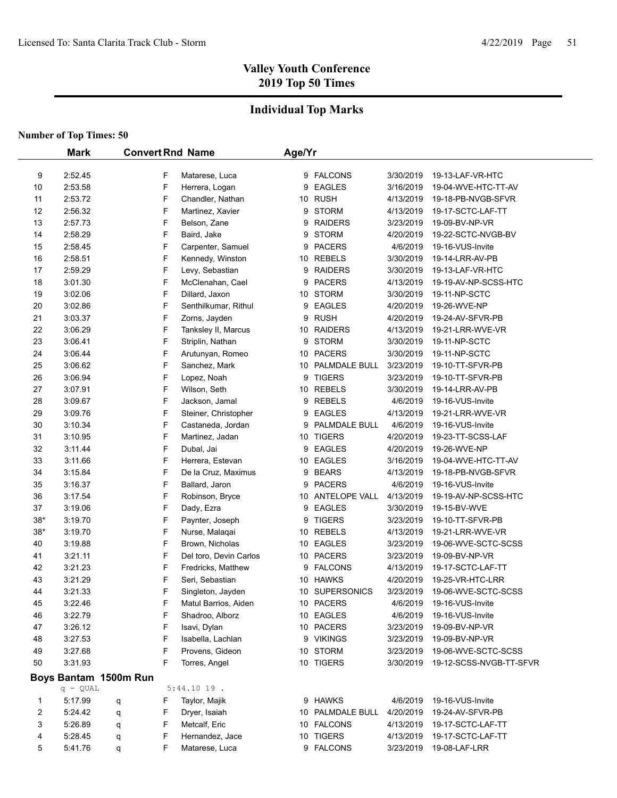## **Individual Top Marks**

|                | <b>Mark</b>           |   |        | <b>Convert Rnd Name</b>                 | Age/Yr |                        |                      |                                                |
|----------------|-----------------------|---|--------|-----------------------------------------|--------|------------------------|----------------------|------------------------------------------------|
| 9              | 2:52.45               |   | F      | Matarese, Luca                          |        | 9 FALCONS              | 3/30/2019            | 19-13-LAF-VR-HTC                               |
| 10             | 2:53.58               |   | F      | Herrera, Logan                          | 9      | <b>EAGLES</b>          | 3/16/2019            | 19-04-WVE-HTC-TT-AV                            |
| 11             | 2:53.72               |   | F      | Chandler, Nathan                        |        | 10 RUSH                | 4/13/2019            | 19-18-PB-NVGB-SFVR                             |
| 12             | 2:56.32               |   | F      | Martinez, Xavier                        | 9      | <b>STORM</b>           | 4/13/2019            | 19-17-SCTC-LAF-TT                              |
| 13             | 2:57.73               |   | F      | Belson, Zane                            | 9      | <b>RAIDERS</b>         | 3/23/2019            | 19-09-BV-NP-VR                                 |
| 14             | 2:58.29               |   | F      | Baird, Jake                             | 9      | <b>STORM</b>           | 4/20/2019            | 19-22-SCTC-NVGB-BV                             |
| 15             | 2:58.45               |   | F      | Carpenter, Samuel                       | 9      | <b>PACERS</b>          | 4/6/2019             | 19-16-VUS-Invite                               |
| 16             | 2:58.51               |   | F      | Kennedy, Winston                        |        | 10 REBELS              | 3/30/2019            | 19-14-LRR-AV-PB                                |
| 17             | 2:59.29               |   | F      | Levy, Sebastian                         | 9      | <b>RAIDERS</b>         | 3/30/2019            | 19-13-LAF-VR-HTC                               |
| 18             | 3:01.30               |   | F      | McClenahan, Cael                        | 9      | <b>PACERS</b>          | 4/13/2019            | 19-19-AV-NP-SCSS-HTC                           |
| 19             | 3:02.06               |   | F      | Dillard, Jaxon                          |        | 10 STORM               | 3/30/2019            | 19-11-NP-SCTC                                  |
| 20             | 3:02.86               |   | F      | Senthilkumar, Rithul                    | 9      | EAGLES                 | 4/20/2019            | 19-26-WVE-NP                                   |
| 21             | 3:03.37               |   | F      | Zorns, Jayden                           | 9      | <b>RUSH</b>            | 4/20/2019            | 19-24-AV-SFVR-PB                               |
| 22             | 3:06.29               |   | F      | Tanksley II, Marcus                     |        | 10 RAIDERS             | 4/13/2019            | 19-21-LRR-WVE-VR                               |
| 23             | 3:06.41               |   | F      | Striplin, Nathan                        | 9      | <b>STORM</b>           | 3/30/2019            | 19-11-NP-SCTC                                  |
| 24             | 3:06.44               |   | F      | Arutunyan, Romeo                        |        | 10 PACERS              | 3/30/2019            | 19-11-NP-SCTC                                  |
| 25             | 3:06.62               |   | F      | Sanchez, Mark                           |        | 10 PALMDALE BULL       | 3/23/2019            | 19-10-TT-SFVR-PB                               |
| 26             | 3:06.94               |   | F      | Lopez, Noah                             | 9      | <b>TIGERS</b>          | 3/23/2019            | 19-10-TT-SFVR-PB                               |
| 27             | 3:07.91               |   | F      | Wilson, Seth                            |        | 10 REBELS              | 3/30/2019            | 19-14-LRR-AV-PB                                |
| 28             | 3:09.67               |   | F      | Jackson, Jamal                          | 9      | REBELS                 | 4/6/2019             | 19-16-VUS-Invite                               |
| 29             | 3:09.76               |   | F      | Steiner, Christopher                    | 9      | <b>EAGLES</b>          | 4/13/2019            | 19-21-LRR-WVE-VR                               |
| 30             | 3:10.34               |   | F      | Castaneda, Jordan                       | 9      | PALMDALE BULL          | 4/6/2019             | 19-16-VUS-Invite                               |
| 31             | 3:10.95               |   | F      | Martinez, Jadan                         |        | 10 TIGERS              | 4/20/2019            | 19-23-TT-SCSS-LAF                              |
| 32             | 3:11.44               |   | F      | Dubal, Jai                              | 9      | <b>EAGLES</b>          | 4/20/2019            | 19-26-WVE-NP                                   |
| 33             | 3:11.66               |   | F      | Herrera, Estevan                        |        | 10 EAGLES              | 3/16/2019            | 19-04-WVE-HTC-TT-AV                            |
| 34             | 3:15.84               |   | F      | De la Cruz, Maximus                     | 9      | <b>BEARS</b>           | 4/13/2019            | 19-18-PB-NVGB-SFVR                             |
| 35             | 3:16.37               |   | F      | Ballard, Jaron                          |        | 9 PACERS               | 4/6/2019             | 19-16-VUS-Invite                               |
| 36             | 3:17.54               |   | F      | Robinson, Bryce                         |        | 10 ANTELOPE VALL       | 4/13/2019            | 19-19-AV-NP-SCSS-HTC                           |
| 37             | 3:19.06               |   | F      | Dady, Ezra                              | 9      | <b>EAGLES</b>          | 3/30/2019            | 19-15-BV-WVE                                   |
| $38*$          | 3:19.70               |   | F      | Paynter, Joseph                         |        | 9 TIGERS               | 3/23/2019            | 19-10-TT-SFVR-PB                               |
| $38*$          | 3:19.70               |   | F      | Nurse, Malaqai                          |        | 10 REBELS              | 4/13/2019            | 19-21-LRR-WVE-VR                               |
| 40             | 3:19.88               |   | F      | Brown, Nicholas                         |        | 10 EAGLES              | 3/23/2019            | 19-06-WVE-SCTC-SCSS                            |
| 41             | 3:21.11               |   | F      | Del toro, Devin Carlos                  |        | 10 PACERS              | 3/23/2019            | 19-09-BV-NP-VR                                 |
| 42             | 3:21.23               |   | F      |                                         |        | 9 FALCONS              | 4/13/2019            | 19-17-SCTC-LAF-TT                              |
| 43             | 3:21.29               |   | F      | Fredricks, Matthew<br>Seri, Sebastian   |        | 10 HAWKS               | 4/20/2019            | 19-25-VR-HTC-LRR                               |
| 44             | 3:21.33               |   | F      | Singleton, Jayden                       |        | 10 SUPERSONICS         | 3/23/2019            | 19-06-WVE-SCTC-SCSS                            |
|                |                       |   |        |                                         |        |                        |                      |                                                |
| 45<br>46       | 3:22.46<br>3:22.79    |   | F<br>F | Matul Barrios, Aiden<br>Shadroo, Alborz |        | 10 PACERS<br>10 EAGLES | 4/6/2019<br>4/6/2019 | 19-16-VUS-Invite<br>19-16-VUS-Invite           |
|                | 3:26.12               |   | F      | Isavi, Dylan                            |        | 10 PACERS              |                      | 19-09-BV-NP-VR                                 |
| 47             |                       |   | F      | Isabella, Lachlan                       |        |                        | 3/23/2019            |                                                |
| 48             | 3:27.53               |   | F      |                                         |        | 9 VIKINGS              | 3/23/2019            | 19-09-BV-NP-VR                                 |
| 49<br>50       | 3:27.68<br>3:31.93    |   | F      | Provens, Gideon<br>Torres, Angel        |        | 10 STORM<br>10 TIGERS  | 3/23/2019            | 19-06-WVE-SCTC-SCSS<br>19-12-SCSS-NVGB-TT-SFVR |
|                |                       |   |        |                                         |        |                        | 3/30/2019            |                                                |
|                | Boys Bantam 1500m Run |   |        |                                         |        |                        |                      |                                                |
|                | $q - QUAL$            |   |        | $5:44.1019$ .                           |        |                        |                      |                                                |
| 1              | 5:17.99               | q | F      | Taylor, Majik                           |        | 9 HAWKS                | 4/6/2019             | 19-16-VUS-Invite                               |
| $\overline{c}$ | 5.24.42               | q | F      | Dryer, Isaiah                           |        | 10 PALMDALE BULL       | 4/20/2019            | 19-24-AV-SFVR-PB                               |
| 3              | 5.26.89               | q | F      | Metcalf, Eric                           |        | 10 FALCONS             | 4/13/2019            | 19-17-SCTC-LAF-TT                              |
| 4              | 5:28.45               | q | F      | Hernandez, Jace                         |        | 10 TIGERS              | 4/13/2019            | 19-17-SCTC-LAF-TT                              |
| 5              | 5.41.76               | q | F      | Matarese, Luca                          |        | 9 FALCONS              | 3/23/2019            | 19-08-LAF-LRR                                  |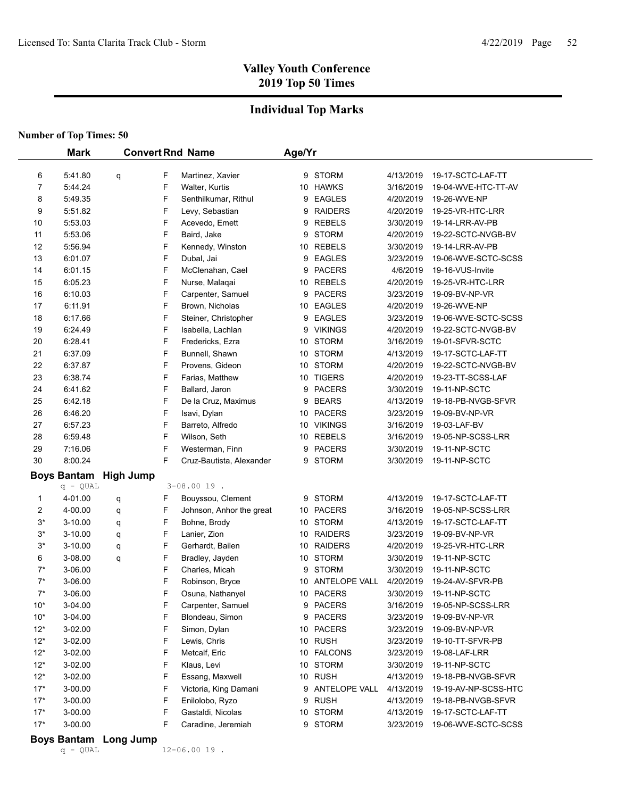## **Individual Top Marks**

**Number of Top Times: 50**

|                | <b>Mark</b>        |                  |        | <b>Convert Rnd Name</b>                  | Age/Yr |                     |                        |                                            |
|----------------|--------------------|------------------|--------|------------------------------------------|--------|---------------------|------------------------|--------------------------------------------|
| 6              | 5:41.80            |                  | F      | Martinez, Xavier                         |        | 9 STORM             | 4/13/2019              | 19-17-SCTC-LAF-TT                          |
| 7              | 5:44.24            | q                | F      | Walter, Kurtis                           |        | 10 HAWKS            | 3/16/2019              | 19-04-WVE-HTC-TT-AV                        |
| 8              | 5:49.35            |                  | F      | Senthilkumar, Rithul                     |        | 9 EAGLES            | 4/20/2019              | 19-26-WVE-NP                               |
| 9              | 5:51.82            |                  | F      | Levy, Sebastian                          |        | 9 RAIDERS           | 4/20/2019              | 19-25-VR-HTC-LRR                           |
| 10             | 5:53.03            |                  | F      | Acevedo, Emett                           |        | 9 REBELS            | 3/30/2019              | 19-14-LRR-AV-PB                            |
| 11             | 5:53.06            |                  | F      | Baird, Jake                              |        | 9 STORM             | 4/20/2019              | 19-22-SCTC-NVGB-BV                         |
| 12             | 5:56.94            |                  | F      | Kennedy, Winston                         |        | 10 REBELS           | 3/30/2019              | 19-14-LRR-AV-PB                            |
| 13             | 6:01.07            |                  | F      | Dubal, Jai                               |        | 9 EAGLES            | 3/23/2019              | 19-06-WVE-SCTC-SCSS                        |
| 14             | 6:01.15            |                  | F      | McClenahan, Cael                         |        | 9 PACERS            | 4/6/2019               | 19-16-VUS-Invite                           |
| 15             | 6:05.23            |                  | F      | Nurse, Malaqai                           |        | 10 REBELS           | 4/20/2019              | 19-25-VR-HTC-LRR                           |
| 16             | 6:10.03            |                  | F      | Carpenter, Samuel                        |        | 9 PACERS            | 3/23/2019              | 19-09-BV-NP-VR                             |
| 17             | 6:11.91            |                  | F      | Brown, Nicholas                          |        | 10 EAGLES           | 4/20/2019              | 19-26-WVE-NP                               |
| 18             | 6:17.66            |                  | F      | Steiner, Christopher                     |        | 9 EAGLES            | 3/23/2019              | 19-06-WVE-SCTC-SCSS                        |
| 19             | 6:24.49            |                  | F      | Isabella, Lachlan                        |        | 9 VIKINGS           | 4/20/2019              | 19-22-SCTC-NVGB-BV                         |
| 20             | 6:28.41            |                  | F      | Fredericks, Ezra                         |        | 10 STORM            | 3/16/2019              | 19-01-SFVR-SCTC                            |
| 21             | 6:37.09            |                  | F      | Bunnell, Shawn                           |        | 10 STORM            | 4/13/2019              | 19-17-SCTC-LAF-TT                          |
| 22             | 6:37.87            |                  | F      | Provens, Gideon                          |        | 10 STORM            | 4/20/2019              | 19-22-SCTC-NVGB-BV                         |
| 23             | 6:38.74            |                  | F      | Farias, Matthew                          |        | 10 TIGERS           | 4/20/2019              | 19-23-TT-SCSS-LAF                          |
| 24             | 6:41.62            |                  | F      | Ballard, Jaron                           |        | 9 PACERS            | 3/30/2019              | 19-11-NP-SCTC                              |
| 25             | 6:42.18            |                  | F      | De la Cruz, Maximus                      |        | 9 BEARS             | 4/13/2019              | 19-18-PB-NVGB-SFVR                         |
| 26             | 6:46.20            |                  | F      | Isavi, Dylan                             |        | 10 PACERS           | 3/23/2019              | 19-09-BV-NP-VR                             |
| 27             | 6:57.23            |                  | F      | Barreto, Alfredo                         |        | 10 VIKINGS          | 3/16/2019              | 19-03-LAF-BV                               |
| 28             | 6:59.48            |                  | F      | Wilson, Seth                             |        | 10 REBELS           | 3/16/2019              | 19-05-NP-SCSS-LRR                          |
| 29             | 7:16.06            |                  | F      | Westerman, Finn                          |        | 9 PACERS            | 3/30/2019              | 19-11-NP-SCTC                              |
| 30             | 8:00.24            |                  | F      | Cruz-Bautista, Alexander                 |        | 9 STORM             | 3/30/2019              | 19-11-NP-SCTC                              |
|                | <b>Boys Bantam</b> | <b>High Jump</b> |        |                                          |        |                     |                        |                                            |
|                | $q - QUAL$         |                  |        | $3 - 08.0019$ .                          |        |                     |                        |                                            |
| 1              | 4-01.00            | q                | F      | Bouyssou, Clement                        |        | 9 STORM             | 4/13/2019              | 19-17-SCTC-LAF-TT                          |
| 2              | 4-00.00            | q                | F      | Johnson, Anhor the great                 |        | 10 PACERS           | 3/16/2019              | 19-05-NP-SCSS-LRR                          |
| $3*$           | $3-10.00$          | q                | F      | Bohne, Brody                             |        | 10 STORM            | 4/13/2019              | 19-17-SCTC-LAF-TT                          |
| $3^*$          | $3 - 10.00$        | q                | F      | Lanier, Zion                             |        | 10 RAIDERS          | 3/23/2019              | 19-09-BV-NP-VR                             |
| $3^{\star}$    | 3-10.00            | q                | F      | Gerhardt, Bailen                         |        | 10 RAIDERS          | 4/20/2019              | 19-25-VR-HTC-LRR                           |
| 6              | 3-08.00            | q                | F      | Bradley, Jayden                          |        | 10 STORM            | 3/30/2019              | 19-11-NP-SCTC                              |
| $7^*$          | 3-06.00            |                  | F      | Charles, Micah                           |        | 9 STORM             | 3/30/2019              | 19-11-NP-SCTC                              |
| $7^*$          | 3-06.00            |                  | F      | Robinson, Bryce                          |        | 10 ANTELOPE VALL    | 4/20/2019              | 19-24-AV-SFVR-PB                           |
| $7^*$          | 3-06.00            |                  | F      | Osuna, Nathanyel                         |        | 10 PACERS           | 3/30/2019              | 19-11-NP-SCTC                              |
| $10^*$         | 3-04.00            |                  | F      | Carpenter, Samuel                        |        | 9 PACERS            | 3/16/2019              | 19-05-NP-SCSS-LRR                          |
| $10*$          | 3-04.00            |                  | F      | Blondeau, Simon                          |        | 9 PACERS            | 3/23/2019              | 19-09-BV-NP-VR                             |
| $12*$          | 3-02.00            |                  | F<br>F | Simon, Dylan                             |        | 10 PACERS           | 3/23/2019              | 19-09-BV-NP-VR                             |
| $12*$          | 3-02.00            |                  | F      | Lewis, Chris                             |        | 10 RUSH             | 3/23/2019<br>3/23/2019 | 19-10-TT-SFVR-PB                           |
| $12*$          | 3-02.00            |                  | F      | Metcalf, Eric<br>Klaus, Levi             |        | 10 FALCONS          |                        | 19-08-LAF-LRR                              |
| $12*$          | 3-02.00            |                  | F      |                                          |        | 10 STORM<br>10 RUSH | 3/30/2019<br>4/13/2019 | 19-11-NP-SCTC                              |
| $12*$<br>$17*$ | 3-02.00<br>3-00.00 |                  | F      | Essang, Maxwell<br>Victoria, King Damani |        | 9 ANTELOPE VALL     | 4/13/2019              | 19-18-PB-NVGB-SFVR<br>19-19-AV-NP-SCSS-HTC |
| $17*$          | 3-00.00            |                  | F      | Enilolobo, Ryzo                          |        | 9 RUSH              | 4/13/2019              | 19-18-PB-NVGB-SFVR                         |
| $17*$          | 3-00.00            |                  | F      | Gastaldi, Nicolas                        |        | 10 STORM            | 4/13/2019              | 19-17-SCTC-LAF-TT                          |
| $17*$          | 3-00.00            |                  | F      | Caradine, Jeremiah                       |        | 9 STORM             | 3/23/2019              | 19-06-WVE-SCTC-SCSS                        |
|                |                    |                  |        |                                          |        |                     |                        |                                            |

#### **Boys Bantam Long Jump**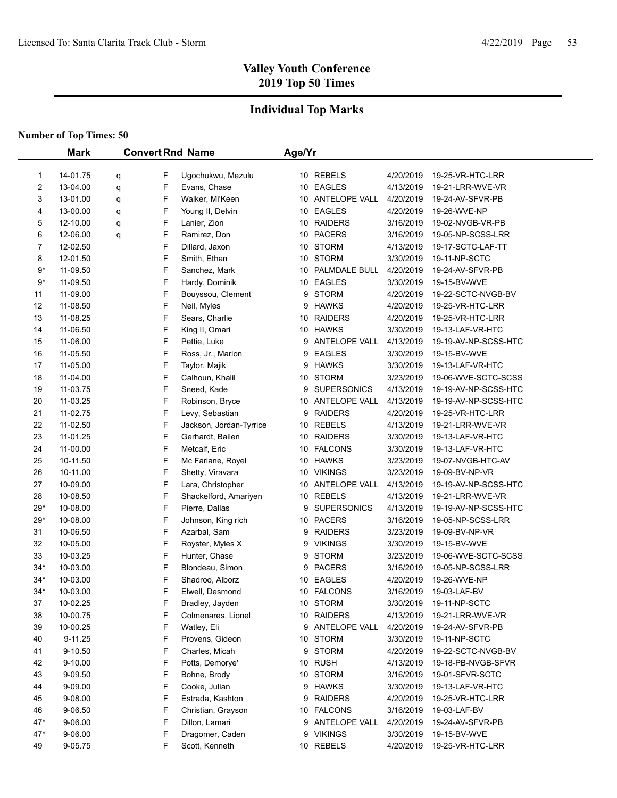## **Individual Top Marks**

|       | <b>Mark</b> |   |   | <b>Convert Rnd Name</b> | Age/Yr |                    |           |                      |
|-------|-------------|---|---|-------------------------|--------|--------------------|-----------|----------------------|
|       |             |   |   |                         |        |                    |           |                      |
| 1     | 14-01.75    | q | F | Ugochukwu, Mezulu       |        | 10 REBELS          | 4/20/2019 | 19-25-VR-HTC-LRR     |
| 2     | 13-04.00    | q | F | Evans, Chase            |        | 10 EAGLES          | 4/13/2019 | 19-21-LRR-WVE-VR     |
| 3     | 13-01.00    | q | F | Walker, Mi'Keen         |        | 10 ANTELOPE VALL   | 4/20/2019 | 19-24-AV-SFVR-PB     |
| 4     | 13-00.00    | q | F | Young II, Delvin        |        | 10 EAGLES          | 4/20/2019 | 19-26-WVE-NP         |
| 5     | 12-10.00    | q | F | Lanier, Zion            |        | 10 RAIDERS         | 3/16/2019 | 19-02-NVGB-VR-PB     |
| 6     | 12-06.00    | q | F | Ramirez, Don            |        | 10 PACERS          | 3/16/2019 | 19-05-NP-SCSS-LRR    |
| 7     | 12-02.50    |   | F | Dillard, Jaxon          |        | 10 STORM           | 4/13/2019 | 19-17-SCTC-LAF-TT    |
| 8     | 12-01.50    |   | F | Smith, Ethan            |        | 10 STORM           | 3/30/2019 | 19-11-NP-SCTC        |
| $9*$  | 11-09.50    |   | F | Sanchez, Mark           |        | 10 PALMDALE BULL   | 4/20/2019 | 19-24-AV-SFVR-PB     |
| $9*$  | 11-09.50    |   | F | Hardy, Dominik          |        | 10 EAGLES          | 3/30/2019 | 19-15-BV-WVE         |
| 11    | 11-09.00    |   | F | Bouyssou, Clement       | 9      | <b>STORM</b>       | 4/20/2019 | 19-22-SCTC-NVGB-BV   |
| 12    | 11-08.50    |   | F | Neil, Myles             | 9      | <b>HAWKS</b>       | 4/20/2019 | 19-25-VR-HTC-LRR     |
| 13    | 11-08.25    |   | F | Sears, Charlie          |        | 10 RAIDERS         | 4/20/2019 | 19-25-VR-HTC-LRR     |
| 14    | 11-06.50    |   | F | King II, Omari          |        | 10 HAWKS           | 3/30/2019 | 19-13-LAF-VR-HTC     |
| 15    | 11-06.00    |   | F | Pettie, Luke            | 9      | ANTELOPE VALL      | 4/13/2019 | 19-19-AV-NP-SCSS-HTC |
| 16    | 11-05.50    |   | F | Ross, Jr., Marlon       | 9      | <b>EAGLES</b>      | 3/30/2019 | 19-15-BV-WVE         |
| 17    | 11-05.00    |   | F | Taylor, Majik           | 9      | <b>HAWKS</b>       | 3/30/2019 | 19-13-LAF-VR-HTC     |
| 18    | 11-04.00    |   | F | Calhoun, Khalil         |        | 10 STORM           | 3/23/2019 | 19-06-WVE-SCTC-SCSS  |
| 19    | 11-03.75    |   | F | Sneed, Kade             | 9      | <b>SUPERSONICS</b> | 4/13/2019 | 19-19-AV-NP-SCSS-HTC |
| 20    | 11-03.25    |   | F | Robinson, Bryce         |        | 10 ANTELOPE VALL   | 4/13/2019 | 19-19-AV-NP-SCSS-HTC |
| 21    | 11-02.75    |   | F | Levy, Sebastian         | 9      | <b>RAIDERS</b>     | 4/20/2019 | 19-25-VR-HTC-LRR     |
| 22    | 11-02.50    |   | F | Jackson, Jordan-Tyrrice |        | 10 REBELS          | 4/13/2019 | 19-21-LRR-WVE-VR     |
| 23    | 11-01.25    |   | F | Gerhardt, Bailen        |        | 10 RAIDERS         | 3/30/2019 | 19-13-LAF-VR-HTC     |
| 24    | 11-00.00    |   | F | Metcalf, Eric           |        | 10 FALCONS         | 3/30/2019 | 19-13-LAF-VR-HTC     |
| 25    | 10-11.50    |   | F | Mc Farlane, Royel       |        | 10 HAWKS           | 3/23/2019 | 19-07-NVGB-HTC-AV    |
| 26    | 10-11.00    |   | F | Shetty, Viravara        |        | 10 VIKINGS         | 3/23/2019 | 19-09-BV-NP-VR       |
| 27    | 10-09.00    |   | F | Lara, Christopher       |        | 10 ANTELOPE VALL   | 4/13/2019 | 19-19-AV-NP-SCSS-HTC |
| 28    | 10-08.50    |   | F | Shackelford, Amariyen   |        | 10 REBELS          | 4/13/2019 | 19-21-LRR-WVE-VR     |
| $29*$ | 10-08.00    |   | F | Pierre, Dallas          |        | 9 SUPERSONICS      | 4/13/2019 | 19-19-AV-NP-SCSS-HTC |
| $29*$ | 10-08.00    |   | F | Johnson, King rich      |        | 10 PACERS          | 3/16/2019 | 19-05-NP-SCSS-LRR    |
| 31    | 10-06.50    |   | F | Azarbal, Sam            |        | 9 RAIDERS          | 3/23/2019 | 19-09-BV-NP-VR       |
| 32    | 10-05.00    |   | F | Royster, Myles X        | 9      | <b>VIKINGS</b>     | 3/30/2019 | 19-15-BV-WVE         |
| 33    | 10-03.25    |   | F | Hunter, Chase           | 9      | <b>STORM</b>       | 3/23/2019 | 19-06-WVE-SCTC-SCSS  |
| $34*$ | 10-03.00    |   | F | Blondeau, Simon         |        | 9 PACERS           | 3/16/2019 | 19-05-NP-SCSS-LRR    |
| $34*$ | 10-03.00    |   | F | Shadroo, Alborz         |        | 10 EAGLES          | 4/20/2019 | 19-26-WVE-NP         |
| $34*$ | 10-03.00    |   | F | Elwell, Desmond         |        | 10 FALCONS         | 3/16/2019 | 19-03-LAF-BV         |
| 37    | 10-02.25    |   | F | Bradley, Jayden         |        | 10 STORM           | 3/30/2019 | 19-11-NP-SCTC        |
| 38    | 10-00.75    |   | F | Colmenares, Lionel      |        | 10 RAIDERS         | 4/13/2019 | 19-21-LRR-WVE-VR     |
| 39    | 10-00.25    |   | F | Watley, Eli             |        | 9 ANTELOPE VALL    | 4/20/2019 | 19-24-AV-SFVR-PB     |
| 40    | 9-11.25     |   | F | Provens, Gideon         |        | 10 STORM           | 3/30/2019 | 19-11-NP-SCTC        |
| 41    | 9-10.50     |   | F | Charles, Micah          | 9      | <b>STORM</b>       | 4/20/2019 | 19-22-SCTC-NVGB-BV   |
| 42    | 9-10.00     |   | F | Potts, Demorye'         |        | 10 RUSH            | 4/13/2019 | 19-18-PB-NVGB-SFVR   |
| 43    | 9-09.50     |   | F | Bohne, Brody            |        | 10 STORM           | 3/16/2019 | 19-01-SFVR-SCTC      |
| 44    | 9-09.00     |   | F | Cooke, Julian           |        | 9 HAWKS            | 3/30/2019 | 19-13-LAF-VR-HTC     |
| 45    | 9-08.00     |   | F | Estrada, Kashton        |        | 9 RAIDERS          | 4/20/2019 | 19-25-VR-HTC-LRR     |
| 46    | 9-06.50     |   | F | Christian, Grayson      |        | 10 FALCONS         | 3/16/2019 | 19-03-LAF-BV         |
| 47*   | 9-06.00     |   | F | Dillon, Lamari          |        | 9 ANTELOPE VALL    | 4/20/2019 | 19-24-AV-SFVR-PB     |
| 47*   | 9-06.00     |   | F | Dragomer, Caden         |        | 9 VIKINGS          | 3/30/2019 | 19-15-BV-WVE         |
| 49    | 9-05.75     |   | F | Scott, Kenneth          |        | 10 REBELS          | 4/20/2019 | 19-25-VR-HTC-LRR     |
|       |             |   |   |                         |        |                    |           |                      |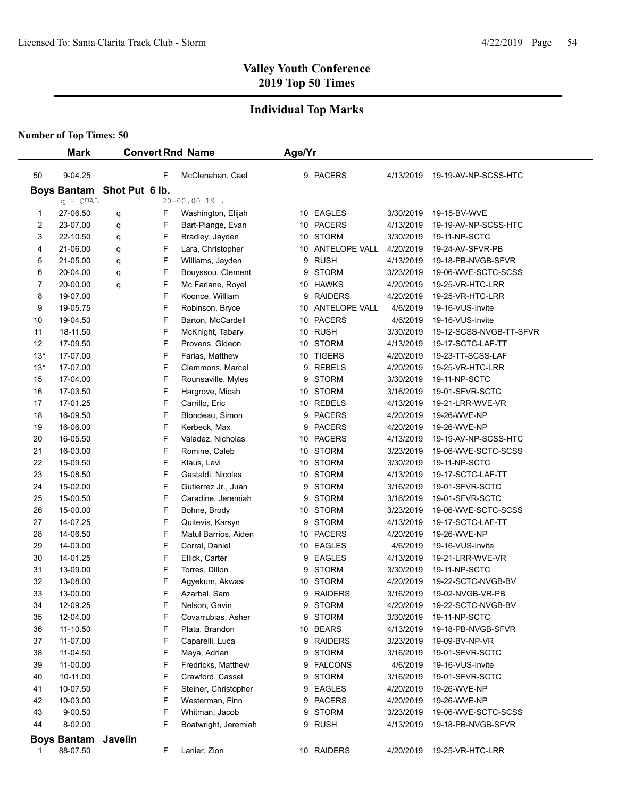### **Individual Top Marks**

|          | <b>Mark</b>          |                            |        | <b>Convert Rnd Name</b>                 | Age/Yr |                          |                        |                                     |
|----------|----------------------|----------------------------|--------|-----------------------------------------|--------|--------------------------|------------------------|-------------------------------------|
|          |                      |                            |        |                                         |        |                          |                        |                                     |
| 50       | 9-04.25              |                            | F      | McClenahan, Cael                        |        | 9 PACERS                 | 4/13/2019              | 19-19-AV-NP-SCSS-HTC                |
|          |                      | Boys Bantam Shot Put 6 lb. |        |                                         |        |                          |                        |                                     |
|          | $q - QUAL$           |                            |        | $20 - 00.0019$ .                        |        |                          |                        |                                     |
| 1        | 27-06.50             | q                          | F      | Washington, Elijah                      |        | 10 EAGLES                | 3/30/2019              | 19-15-BV-WVE                        |
| 2        | 23-07.00             | q                          | F      | Bart-Plange, Evan                       |        | 10 PACERS                | 4/13/2019              | 19-19-AV-NP-SCSS-HTC                |
| 3        | 22-10.50             | q                          | F      | Bradley, Jayden                         |        | 10 STORM                 | 3/30/2019              | 19-11-NP-SCTC                       |
| 4        | 21-06.00             | q                          | F      | Lara, Christopher                       |        | 10 ANTELOPE VALL         | 4/20/2019              | 19-24-AV-SFVR-PB                    |
| 5        | 21-05.00             | q                          | F      | Williams, Jayden                        |        | 9 RUSH                   | 4/13/2019              | 19-18-PB-NVGB-SFVR                  |
| 6        | 20-04.00             | q                          | F      | Bouyssou, Clement                       | 9      | <b>STORM</b>             | 3/23/2019              | 19-06-WVE-SCTC-SCSS                 |
| 7        | 20-00.00             | q                          | F      | Mc Farlane, Royel                       |        | 10 HAWKS                 | 4/20/2019              | 19-25-VR-HTC-LRR                    |
| 8        | 19-07.00             |                            | F      | Koonce, William                         |        | 9 RAIDERS                | 4/20/2019              | 19-25-VR-HTC-LRR                    |
| 9        | 19-05.75             |                            | F      | Robinson, Bryce                         |        | 10 ANTELOPE VALL         | 4/6/2019               | 19-16-VUS-Invite                    |
| 10       | 19-04.50             |                            | F      | Barton, McCardell                       |        | 10 PACERS                | 4/6/2019               | 19-16-VUS-Invite                    |
| 11       | 18-11.50             |                            | F      | McKnight, Tabary                        |        | 10 RUSH                  | 3/30/2019              | 19-12-SCSS-NVGB-TT-SFVR             |
| 12       | 17-09.50             |                            | F      | Provens, Gideon                         |        | 10 STORM                 | 4/13/2019              | 19-17-SCTC-LAF-TT                   |
| $13*$    | 17-07.00             |                            | F      | Farias, Matthew                         |        | 10 TIGERS                | 4/20/2019              | 19-23-TT-SCSS-LAF                   |
| $13*$    | 17-07.00             |                            | F      | Clemmons, Marcel                        |        | 9 REBELS                 | 4/20/2019              | 19-25-VR-HTC-LRR                    |
| 15       | 17-04.00             |                            | F      | Rounsaville, Myles                      |        | 9 STORM                  | 3/30/2019              | 19-11-NP-SCTC                       |
| 16       | 17-03.50             |                            | F      | Hargrove, Micah                         |        | 10 STORM                 | 3/16/2019              | 19-01-SFVR-SCTC                     |
| 17       | 17-01.25             |                            | F      | Carrillo, Eric                          |        | 10 REBELS                | 4/13/2019              | 19-21-LRR-WVE-VR                    |
| 18       | 16-09.50             |                            | F      | Blondeau, Simon                         |        | 9 PACERS                 | 4/20/2019              | 19-26-WVE-NP                        |
| 19       | 16-06.00             |                            | F      | Kerbeck, Max                            |        | 9 PACERS                 | 4/20/2019              | 19-26-WVE-NP                        |
| 20       | 16-05.50             |                            | F      | Valadez, Nicholas                       |        | 10 PACERS                | 4/13/2019              | 19-19-AV-NP-SCSS-HTC                |
| 21       | 16-03.00             |                            | F      | Romine, Caleb                           |        | 10 STORM                 | 3/23/2019              | 19-06-WVE-SCTC-SCSS                 |
| 22       | 15-09.50             |                            | F      | Klaus, Levi                             |        | 10 STORM                 | 3/30/2019              | 19-11-NP-SCTC                       |
| 23       | 15-08.50             |                            | F      | Gastaldi, Nicolas                       |        | 10 STORM                 | 4/13/2019              | 19-17-SCTC-LAF-TT                   |
| 24       | 15-02.00             |                            | F      | Gutierrez Jr., Juan                     | 9      | <b>STORM</b>             | 3/16/2019              | 19-01-SFVR-SCTC                     |
| 25       | 15-00.50             |                            | F      | Caradine, Jeremiah                      | 9      | <b>STORM</b>             | 3/16/2019              | 19-01-SFVR-SCTC                     |
| 26       | 15-00.00             |                            | F      | Bohne, Brody                            |        | 10 STORM                 | 3/23/2019              | 19-06-WVE-SCTC-SCSS                 |
| 27       | 14-07.25             |                            | F<br>F | Quitevis, Karsyn                        |        | 9 STORM                  | 4/13/2019              | 19-17-SCTC-LAF-TT                   |
| 28       | 14-06.50             |                            | F      | Matul Barrios, Aiden                    |        | 10 PACERS                | 4/20/2019              | 19-26-WVE-NP                        |
| 29       | 14-03.00             |                            | F      | Corral, Daniel                          |        | 10 EAGLES                | 4/6/2019               | 19-16-VUS-Invite                    |
| 30       | 14-01.25             |                            |        | Ellick, Carter                          | 9      | <b>EAGLES</b>            | 4/13/2019              | 19-21-LRR-WVE-VR                    |
| 31<br>32 | 13-09.00<br>13-08.00 |                            | F<br>F | Torres, Dillon<br>Agyekum, Akwasi       | 9      | <b>STORM</b><br>10 STORM | 3/30/2019              | 19-11-NP-SCTC<br>19-22-SCTC-NVGB-BV |
| 33       |                      |                            | F      | Azarbal, Sam                            |        |                          | 4/20/2019              | 19-02-NVGB-VR-PB                    |
|          | 13-00.00             |                            |        | Nelson, Gavin                           |        | 9 RAIDERS<br>9 STORM     | 3/16/2019              | 19-22-SCTC-NVGB-BV                  |
| 34<br>35 | 12-09.25<br>12-04.00 |                            | F<br>F | Covarrubias, Asher                      |        | 9 STORM                  | 4/20/2019<br>3/30/2019 | 19-11-NP-SCTC                       |
| 36       | 11-10.50             |                            | F      |                                         |        | 10 BEARS                 | 4/13/2019              | 19-18-PB-NVGB-SFVR                  |
| 37       | 11-07.00             |                            | F      | Plata, Brandon                          |        | 9 RAIDERS                | 3/23/2019              |                                     |
| 38       | 11-04.50             |                            | F      | Caparelli, Luca                         |        | 9 STORM                  | 3/16/2019              | 19-09-BV-NP-VR<br>19-01-SFVR-SCTC   |
|          |                      |                            | F      | Maya, Adrian                            |        |                          |                        |                                     |
| 39       | 11-00.00<br>10-11.00 |                            | F      | Fredricks, Matthew                      |        | 9 FALCONS                | 4/6/2019               | 19-16-VUS-Invite                    |
| 40       | 10-07.50             |                            | F      | Crawford, Cassel                        |        | 9 STORM<br>9 EAGLES      | 3/16/2019<br>4/20/2019 | 19-01-SFVR-SCTC                     |
| 41<br>42 | 10-03.00             |                            | F      | Steiner, Christopher<br>Westerman, Finn |        | 9 PACERS                 | 4/20/2019              | 19-26-WVE-NP                        |
| 43       | 9-00.50              |                            | F      | Whitman, Jacob                          |        |                          | 3/23/2019              | 19-26-WVE-NP<br>19-06-WVE-SCTC-SCSS |
|          |                      |                            | F      |                                         |        | 9 STORM<br>9 RUSH        |                        |                                     |
| 44       | 8-02.00              |                            |        | Boatwright, Jeremiah                    |        |                          | 4/13/2019              | 19-18-PB-NVGB-SFVR                  |
|          | <b>Boys Bantam</b>   | Javelin                    |        |                                         |        |                          |                        |                                     |
| 1        | 88-07.50             |                            | F      | Lanier, Zion                            |        | 10 RAIDERS               | 4/20/2019              | 19-25-VR-HTC-LRR                    |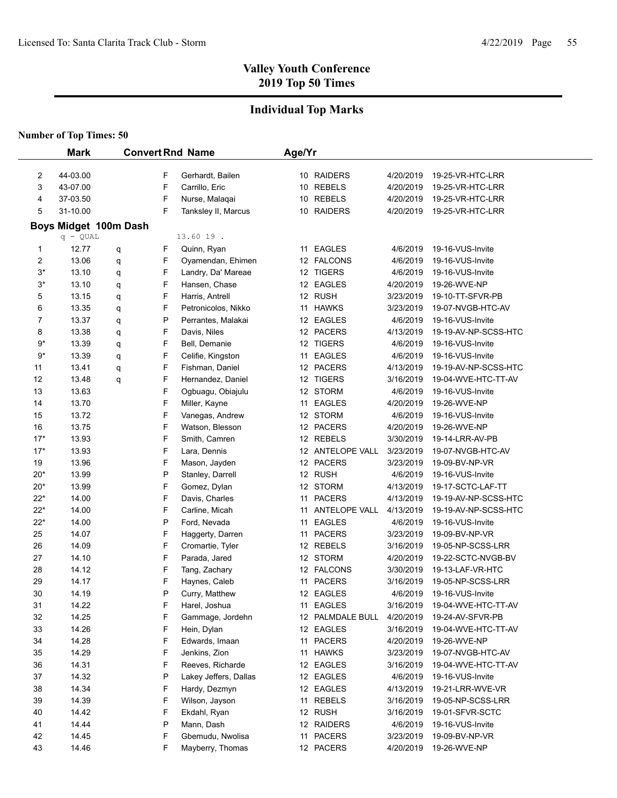### **Individual Top Marks**

|       | <b>Mark</b>           |   |   | <b>Convert Rnd Name</b> | Age/Yr |                  |           |                      |
|-------|-----------------------|---|---|-------------------------|--------|------------------|-----------|----------------------|
|       |                       |   |   |                         |        |                  |           |                      |
| 2     | 44-03.00              |   | F | Gerhardt, Bailen        |        | 10 RAIDERS       | 4/20/2019 | 19-25-VR-HTC-LRR     |
| 3     | 43-07.00              |   | F | Carrillo, Eric          |        | 10 REBELS        | 4/20/2019 | 19-25-VR-HTC-LRR     |
| 4     | 37-03.50              |   | F | Nurse, Malaqai          |        | 10 REBELS        | 4/20/2019 | 19-25-VR-HTC-LRR     |
| 5     | 31-10.00              |   | F | Tanksley II, Marcus     |        | 10 RAIDERS       | 4/20/2019 | 19-25-VR-HTC-LRR     |
|       | Boys Midget 100m Dash |   |   |                         |        |                  |           |                      |
|       | $q - QUAL$            |   |   | 13.60 19.               |        |                  |           |                      |
| 1     | 12.77                 | q | F | Quinn, Ryan             |        | 11 EAGLES        | 4/6/2019  | 19-16-VUS-Invite     |
| 2     | 13.06                 | q | F | Oyamendan, Ehimen       |        | 12 FALCONS       | 4/6/2019  | 19-16-VUS-Invite     |
| $3^*$ | 13.10                 | q | F | Landry, Da' Mareae      |        | 12 TIGERS        | 4/6/2019  | 19-16-VUS-Invite     |
| $3^*$ | 13.10                 | q | F | Hansen, Chase           |        | 12 EAGLES        | 4/20/2019 | 19-26-WVE-NP         |
| 5     | 13.15                 | q | F | Harris, Antrell         |        | 12 RUSH          | 3/23/2019 | 19-10-TT-SFVR-PB     |
| 6     | 13.35                 | q | F | Petronicolos, Nikko     |        | 11 HAWKS         | 3/23/2019 | 19-07-NVGB-HTC-AV    |
| 7     | 13.37                 | q | P | Perrantes, Malakai      |        | 12 EAGLES        | 4/6/2019  | 19-16-VUS-Invite     |
| 8     | 13.38                 | q | F | Davis, Niles            |        | 12 PACERS        | 4/13/2019 | 19-19-AV-NP-SCSS-HTC |
| 9*    | 13.39                 | q | F | Bell, Demanie           |        | 12 TIGERS        | 4/6/2019  | 19-16-VUS-Invite     |
| $9*$  | 13.39                 | q | F | Celifie, Kingston       |        | 11 EAGLES        | 4/6/2019  | 19-16-VUS-Invite     |
| 11    | 13.41                 | q | F | Fishman, Daniel         |        | 12 PACERS        | 4/13/2019 | 19-19-AV-NP-SCSS-HTC |
| 12    | 13.48                 | q | F | Hernandez, Daniel       |        | 12 TIGERS        | 3/16/2019 | 19-04-WVE-HTC-TT-AV  |
| 13    | 13.63                 |   | F | Ogbuagu, Obiajulu       |        | 12 STORM         | 4/6/2019  | 19-16-VUS-Invite     |
| 14    | 13.70                 |   | F | Miller, Kayne           |        | 11 EAGLES        | 4/20/2019 | 19-26-WVE-NP         |
| 15    | 13.72                 |   | F | Vanegas, Andrew         |        | 12 STORM         | 4/6/2019  | 19-16-VUS-Invite     |
| 16    | 13.75                 |   | F | Watson, Blesson         |        | 12 PACERS        | 4/20/2019 | 19-26-WVE-NP         |
| $17*$ | 13.93                 |   | F | Smith, Camren           |        | 12 REBELS        | 3/30/2019 | 19-14-LRR-AV-PB      |
| $17*$ | 13.93                 |   | F | Lara, Dennis            |        | 12 ANTELOPE VALL | 3/23/2019 | 19-07-NVGB-HTC-AV    |
| 19    | 13.96                 |   | F | Mason, Jayden           |        | 12 PACERS        | 3/23/2019 | 19-09-BV-NP-VR       |
| $20*$ | 13.99                 |   | P | Stanley, Darrell        |        | 12 RUSH          | 4/6/2019  | 19-16-VUS-Invite     |
| $20*$ | 13.99                 |   | F | Gomez, Dylan            |        | 12 STORM         | 4/13/2019 | 19-17-SCTC-LAF-TT    |
| $22*$ | 14.00                 |   | F | Davis, Charles          |        | 11 PACERS        | 4/13/2019 | 19-19-AV-NP-SCSS-HTC |
| $22*$ | 14.00                 |   | F | Carline, Micah          |        | 11 ANTELOPE VALL | 4/13/2019 | 19-19-AV-NP-SCSS-HTC |
| $22*$ | 14.00                 |   | P | Ford, Nevada            | 11     | <b>EAGLES</b>    | 4/6/2019  | 19-16-VUS-Invite     |
| 25    | 14.07                 |   | F | Haggerty, Darren        |        | 11 PACERS        | 3/23/2019 | 19-09-BV-NP-VR       |
| 26    | 14.09                 |   | F | Cromartie, Tyler        |        | 12 REBELS        | 3/16/2019 | 19-05-NP-SCSS-LRR    |
| 27    | 14.10                 |   | F | Parada, Jared           |        | 12 STORM         | 4/20/2019 | 19-22-SCTC-NVGB-BV   |
| 28    | 14.12                 |   | F | Tang, Zachary           |        | 12 FALCONS       | 3/30/2019 | 19-13-LAF-VR-HTC     |
| 29    | 14.17                 |   | F | Haynes, Caleb           |        | 11 PACERS        | 3/16/2019 | 19-05-NP-SCSS-LRR    |
| 30    | 14.19                 |   | P | Curry, Matthew          |        | 12 EAGLES        | 4/6/2019  | 19-16-VUS-Invite     |
| 31    | 14.22                 |   | F | Harel, Joshua           |        | 11 EAGLES        | 3/16/2019 | 19-04-WVE-HTC-TT-AV  |
| 32    | 14.25                 |   | F | Gammage, Jordehn        |        | 12 PALMDALE BULL | 4/20/2019 | 19-24-AV-SFVR-PB     |
| 33    | 14.26                 |   | F | Hein, Dylan             |        | 12 EAGLES        | 3/16/2019 | 19-04-WVE-HTC-TT-AV  |
| 34    | 14.28                 |   | F | Edwards, Imaan          | 11     | <b>PACERS</b>    | 4/20/2019 | 19-26-WVE-NP         |
| 35    | 14.29                 |   | F | Jenkins, Zion           |        | 11 HAWKS         | 3/23/2019 | 19-07-NVGB-HTC-AV    |
| 36    | 14.31                 |   | F | Reeves, Richarde        |        | 12 EAGLES        | 3/16/2019 | 19-04-WVE-HTC-TT-AV  |
| 37    | 14.32                 |   | P | Lakey Jeffers, Dallas   |        | 12 EAGLES        | 4/6/2019  | 19-16-VUS-Invite     |
| 38    | 14.34                 |   | F | Hardy, Dezmyn           |        | 12 EAGLES        | 4/13/2019 | 19-21-LRR-WVE-VR     |
| 39    | 14.39                 |   | F | Wilson, Jayson          |        | 11 REBELS        | 3/16/2019 | 19-05-NP-SCSS-LRR    |
| 40    | 14.42                 |   | F | Ekdahl, Ryan            |        | 12 RUSH          | 3/16/2019 | 19-01-SFVR-SCTC      |
| 41    | 14.44                 |   | P | Mann, Dash              |        | 12 RAIDERS       | 4/6/2019  | 19-16-VUS-Invite     |
| 42    | 14.45                 |   | F | Gbemudu, Nwolisa        |        | 11 PACERS        | 3/23/2019 | 19-09-BV-NP-VR       |
| 43    | 14.46                 |   | F | Mayberry, Thomas        |        | 12 PACERS        | 4/20/2019 | 19-26-WVE-NP         |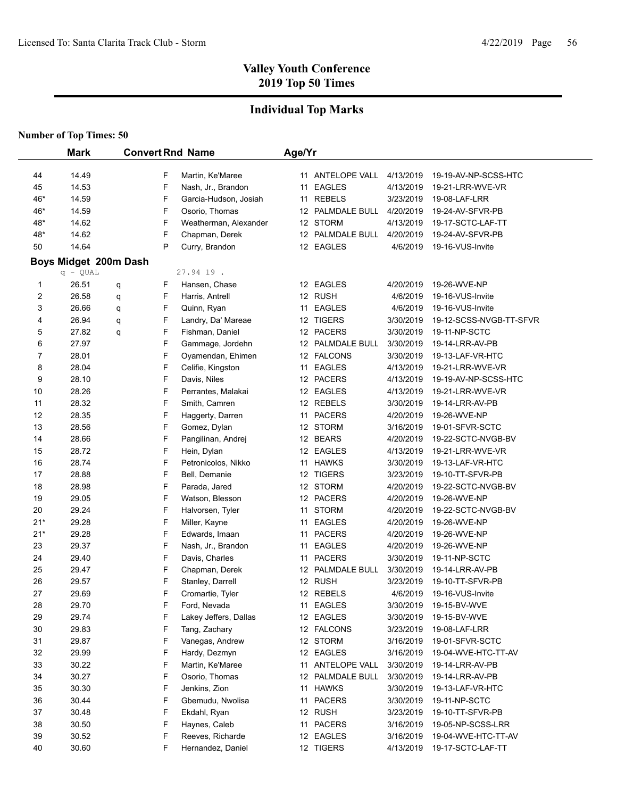### **Individual Top Marks**

|       | <b>Mark</b>                         |   |   | <b>Convert Rnd Name</b> | Age/Yr |                  |           |                         |
|-------|-------------------------------------|---|---|-------------------------|--------|------------------|-----------|-------------------------|
| 44    | 14.49                               |   | F | Martin, Ke'Maree        |        | 11 ANTELOPE VALL | 4/13/2019 | 19-19-AV-NP-SCSS-HTC    |
| 45    | 14.53                               |   | F | Nash, Jr., Brandon      |        | 11 EAGLES        | 4/13/2019 | 19-21-LRR-WVE-VR        |
| 46*   | 14.59                               |   | F | Garcia-Hudson, Josiah   |        | 11 REBELS        | 3/23/2019 | 19-08-LAF-LRR           |
| 46*   | 14.59                               |   | F | Osorio, Thomas          |        | 12 PALMDALE BULL | 4/20/2019 | 19-24-AV-SFVR-PB        |
| 48*   | 14.62                               |   | F | Weatherman, Alexander   |        | 12 STORM         | 4/13/2019 | 19-17-SCTC-LAF-TT       |
| 48*   | 14.62                               |   | F | Chapman, Derek          |        | 12 PALMDALE BULL | 4/20/2019 | 19-24-AV-SFVR-PB        |
| 50    | 14.64                               |   | P | Curry, Brandon          |        | 12 EAGLES        | 4/6/2019  | 19-16-VUS-Invite        |
|       |                                     |   |   |                         |        |                  |           |                         |
|       | Boys Midget 200m Dash<br>$q - QUAL$ |   |   | 27.94 19.               |        |                  |           |                         |
| 1     | 26.51                               | q | F | Hansen, Chase           |        | 12 EAGLES        | 4/20/2019 | 19-26-WVE-NP            |
| 2     | 26.58                               | q | F | Harris, Antrell         |        | 12 RUSH          | 4/6/2019  | 19-16-VUS-Invite        |
| 3     | 26.66                               | q | F | Quinn, Ryan             |        | 11 EAGLES        | 4/6/2019  | 19-16-VUS-Invite        |
| 4     | 26.94                               | q | F | Landry, Da' Mareae      |        | 12 TIGERS        | 3/30/2019 | 19-12-SCSS-NVGB-TT-SFVR |
| 5     | 27.82                               | q | F | Fishman, Daniel         |        | 12 PACERS        | 3/30/2019 | 19-11-NP-SCTC           |
| 6     | 27.97                               |   | F | Gammage, Jordehn        |        | 12 PALMDALE BULL | 3/30/2019 | 19-14-LRR-AV-PB         |
| 7     | 28.01                               |   | F | Oyamendan, Ehimen       |        | 12 FALCONS       | 3/30/2019 | 19-13-LAF-VR-HTC        |
| 8     | 28.04                               |   | F | Celifie, Kingston       |        | 11 EAGLES        | 4/13/2019 | 19-21-LRR-WVE-VR        |
| 9     | 28.10                               |   | F | Davis, Niles            |        | 12 PACERS        | 4/13/2019 | 19-19-AV-NP-SCSS-HTC    |
| 10    | 28.26                               |   | F | Perrantes, Malakai      |        | 12 EAGLES        | 4/13/2019 | 19-21-LRR-WVE-VR        |
| 11    | 28.32                               |   | F | Smith, Camren           |        | 12 REBELS        | 3/30/2019 | 19-14-LRR-AV-PB         |
| 12    | 28.35                               |   | F | Haggerty, Darren        |        | 11 PACERS        | 4/20/2019 | 19-26-WVE-NP            |
| 13    | 28.56                               |   | F | Gomez, Dylan            |        | 12 STORM         | 3/16/2019 | 19-01-SFVR-SCTC         |
| 14    | 28.66                               |   | F | Pangilinan, Andrej      |        | 12 BEARS         | 4/20/2019 | 19-22-SCTC-NVGB-BV      |
| 15    | 28.72                               |   | F | Hein, Dylan             |        | 12 EAGLES        | 4/13/2019 | 19-21-LRR-WVE-VR        |
| 16    | 28.74                               |   | F | Petronicolos, Nikko     |        | 11 HAWKS         | 3/30/2019 | 19-13-LAF-VR-HTC        |
| 17    | 28.88                               |   | F | Bell, Demanie           |        | 12 TIGERS        | 3/23/2019 | 19-10-TT-SFVR-PB        |
| 18    | 28.98                               |   | F | Parada, Jared           |        | 12 STORM         | 4/20/2019 | 19-22-SCTC-NVGB-BV      |
| 19    | 29.05                               |   | F | Watson, Blesson         |        | 12 PACERS        | 4/20/2019 | 19-26-WVE-NP            |
| 20    | 29.24                               |   | F | Halvorsen, Tyler        |        | 11 STORM         | 4/20/2019 | 19-22-SCTC-NVGB-BV      |
| $21*$ | 29.28                               |   | F | Miller, Kayne           |        | 11 EAGLES        | 4/20/2019 | 19-26-WVE-NP            |
| $21*$ | 29.28                               |   | F | Edwards, Imaan          |        | 11 PACERS        | 4/20/2019 | 19-26-WVE-NP            |
| 23    | 29.37                               |   | F | Nash, Jr., Brandon      |        | 11 EAGLES        | 4/20/2019 | 19-26-WVE-NP            |
| 24    | 29.40                               |   | F | Davis, Charles          | 11     | <b>PACERS</b>    | 3/30/2019 | 19-11-NP-SCTC           |
| 25    | 29.47                               |   | F | Chapman, Derek          |        | 12 PALMDALE BULL | 3/30/2019 | 19-14-LRR-AV-PB         |
| 26    | 29.57                               |   | F | Stanley, Darrell        |        | 12 RUSH          | 3/23/2019 | 19-10-TT-SFVR-PB        |
| 27    | 29.69                               |   | F | Cromartie, Tyler        |        | 12 REBELS        | 4/6/2019  | 19-16-VUS-Invite        |
| 28    | 29.70                               |   | F | Ford, Nevada            |        | 11 EAGLES        | 3/30/2019 | 19-15-BV-WVE            |
| 29    | 29.74                               |   | F | Lakey Jeffers, Dallas   |        | 12 EAGLES        | 3/30/2019 | 19-15-BV-WVE            |
| 30    | 29.83                               |   | F | Tang, Zachary           |        | 12 FALCONS       | 3/23/2019 | 19-08-LAF-LRR           |
| 31    | 29.87                               |   | F | Vanegas, Andrew         |        | 12 STORM         | 3/16/2019 | 19-01-SFVR-SCTC         |
| 32    | 29.99                               |   | F | Hardy, Dezmyn           |        | 12 EAGLES        | 3/16/2019 | 19-04-WVE-HTC-TT-AV     |
| 33    | 30.22                               |   | F | Martin, Ke'Maree        |        | 11 ANTELOPE VALL | 3/30/2019 | 19-14-LRR-AV-PB         |
| 34    | 30.27                               |   | F | Osorio, Thomas          |        | 12 PALMDALE BULL | 3/30/2019 | 19-14-LRR-AV-PB         |
| 35    | 30.30                               |   | F | Jenkins, Zion           |        | 11 HAWKS         | 3/30/2019 | 19-13-LAF-VR-HTC        |
| 36    | 30.44                               |   | F | Gbemudu, Nwolisa        |        | 11 PACERS        | 3/30/2019 | 19-11-NP-SCTC           |
| 37    | 30.48                               |   | F | Ekdahl, Ryan            |        | 12 RUSH          | 3/23/2019 | 19-10-TT-SFVR-PB        |
| 38    | 30.50                               |   | F | Haynes, Caleb           |        | 11 PACERS        | 3/16/2019 | 19-05-NP-SCSS-LRR       |
| 39    | 30.52                               |   | F | Reeves, Richarde        |        | 12 EAGLES        | 3/16/2019 | 19-04-WVE-HTC-TT-AV     |
| 40    | 30.60                               |   | F | Hernandez, Daniel       |        | 12 TIGERS        | 4/13/2019 | 19-17-SCTC-LAF-TT       |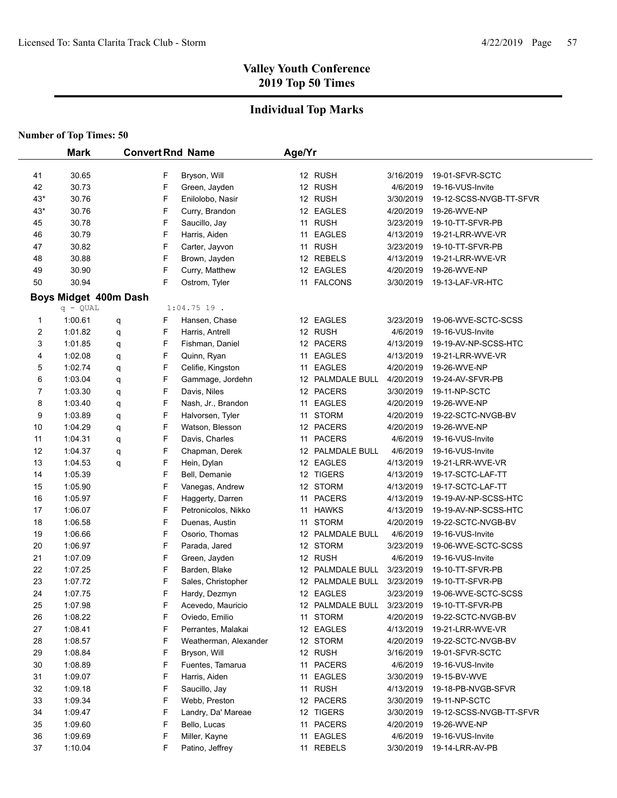## **Individual Top Marks**

| <b>Number of Top Times: 50</b> |  |  |
|--------------------------------|--|--|
|--------------------------------|--|--|

|                | <b>Mark</b>           |             | <b>Convert Rnd Name</b>               | Age/Yr |                                   |                        |                                         |
|----------------|-----------------------|-------------|---------------------------------------|--------|-----------------------------------|------------------------|-----------------------------------------|
|                |                       |             |                                       |        |                                   |                        |                                         |
| 41             | 30.65                 | F           | Bryson, Will                          |        | 12 RUSH                           | 3/16/2019              | 19-01-SFVR-SCTC                         |
| 42             | 30.73                 | F           | Green, Jayden                         |        | 12 RUSH                           | 4/6/2019               | 19-16-VUS-Invite                        |
| $43*$          | 30.76                 | F           | Enilolobo, Nasir                      |        | 12 RUSH                           | 3/30/2019              | 19-12-SCSS-NVGB-TT-SFVR<br>19-26-WVE-NP |
| $43*$          | 30.76                 | F           | Curry, Brandon                        |        | 12 EAGLES                         | 4/20/2019              |                                         |
| 45             | 30.78                 | F           | Saucillo, Jay                         |        | 11 RUSH<br><b>EAGLES</b>          | 3/23/2019              | 19-10-TT-SFVR-PB                        |
| 46             | 30.79                 | F           | Harris, Aiden                         | 11     |                                   | 4/13/2019              | 19-21-LRR-WVE-VR                        |
| 47             | 30.82                 | F<br>F      | Carter, Jayvon                        |        | 11 RUSH                           | 3/23/2019<br>4/13/2019 | 19-10-TT-SFVR-PB                        |
| 48             | 30.88                 | F           | Brown, Jayden<br>Curry, Matthew       |        | 12 REBELS                         |                        | 19-21-LRR-WVE-VR                        |
| 49<br>50       | 30.90<br>30.94        | F           |                                       |        | 12 EAGLES<br><b>FALCONS</b>       | 4/20/2019<br>3/30/2019 | 19-26-WVE-NP<br>19-13-LAF-VR-HTC        |
|                |                       |             | Ostrom, Tyler                         | 11     |                                   |                        |                                         |
|                | Boys Midget 400m Dash |             | $1:04.75$ 19.                         |        |                                   |                        |                                         |
|                | $q - QUAL$            |             |                                       |        | 12 EAGLES                         |                        | 19-06-WVE-SCTC-SCSS                     |
| 1              | 1:00.61               | F<br>q<br>F | Hansen, Chase                         |        |                                   | 3/23/2019              |                                         |
| 2              | 1:01.82               | q           | Harris, Antrell                       |        | 12 RUSH<br>12 PACERS              | 4/6/2019               | 19-16-VUS-Invite                        |
| 3              | 1:01.85<br>1:02.08    | F<br>q<br>F | Fishman, Daniel                       |        |                                   | 4/13/2019              | 19-19-AV-NP-SCSS-HTC                    |
| 4              |                       | q<br>F      | Quinn, Ryan                           | 11     | <b>EAGLES</b>                     | 4/13/2019              | 19-21-LRR-WVE-VR                        |
| 5<br>6         | 1.02.74<br>1:03.04    | q<br>F      | Celifie, Kingston<br>Gammage, Jordehn | 11     | <b>EAGLES</b><br>12 PALMDALE BULL | 4/20/2019<br>4/20/2019 | 19-26-WVE-NP                            |
| $\overline{7}$ |                       | q<br>F      |                                       |        |                                   |                        | 19-24-AV-SFVR-PB                        |
| 8              | 1:03.30<br>1:03.40    | q<br>F      | Davis, Niles                          |        | 12 PACERS<br><b>EAGLES</b>        | 3/30/2019<br>4/20/2019 | 19-11-NP-SCTC<br>19-26-WVE-NP           |
|                |                       | q           | Nash, Jr., Brandon                    | 11     | <b>STORM</b>                      | 4/20/2019              | 19-22-SCTC-NVGB-BV                      |
| 9<br>10        | 1:03.89<br>1:04.29    | F<br>q<br>F | Halvorsen, Tyler                      | 11     | 12 PACERS                         | 4/20/2019              | 19-26-WVE-NP                            |
|                |                       | q<br>F      | Watson, Blesson                       |        |                                   |                        |                                         |
| 11<br>12       | 1:04.31<br>1:04.37    | q<br>F      | Davis, Charles                        | 11     | <b>PACERS</b><br>12 PALMDALE BULL | 4/6/2019<br>4/6/2019   | 19-16-VUS-Invite                        |
| 13             | 1:04.53               | q<br>F      | Chapman, Derek<br>Hein, Dylan         |        | 12 EAGLES                         | 4/13/2019              | 19-16-VUS-Invite<br>19-21-LRR-WVE-VR    |
| 14             | 1:05.39               | q<br>F      | Bell, Demanie                         |        | 12 TIGERS                         | 4/13/2019              | 19-17-SCTC-LAF-TT                       |
| 15             | 1:05.90               | F           | Vanegas, Andrew                       |        | 12 STORM                          | 4/13/2019              | 19-17-SCTC-LAF-TT                       |
| 16             | 1:05.97               | F           | Haggerty, Darren                      |        | 11 PACERS                         | 4/13/2019              | 19-19-AV-NP-SCSS-HTC                    |
| 17             | 1:06.07               | F           | Petronicolos, Nikko                   |        | 11 HAWKS                          | 4/13/2019              | 19-19-AV-NP-SCSS-HTC                    |
| 18             | 1:06.58               | F           | Duenas, Austin                        |        | 11 STORM                          | 4/20/2019              | 19-22-SCTC-NVGB-BV                      |
| 19             | 1:06.66               | F           | Osorio, Thomas                        |        | 12 PALMDALE BULL                  | 4/6/2019               | 19-16-VUS-Invite                        |
| 20             | 1:06.97               | F           | Parada, Jared                         |        | 12 STORM                          | 3/23/2019              | 19-06-WVE-SCTC-SCSS                     |
| 21             | 1:07.09               | F           | Green, Jayden                         |        | 12 RUSH                           | 4/6/2019               | 19-16-VUS-Invite                        |
| 22             | 1:07.25               | F           | Barden, Blake                         |        | 12 PALMDALE BULL                  | 3/23/2019              | 19-10-TT-SFVR-PB                        |
| 23             | 1.07.72               | F           | Sales, Christopher                    |        | 12 PALMDALE BULL                  | 3/23/2019              | 19-10-TT-SFVR-PB                        |
| 24             | 1:07.75               | F           | Hardy, Dezmyn                         |        | 12 EAGLES                         | 3/23/2019              | 19-06-WVE-SCTC-SCSS                     |
| 25             | 1:07.98               | F           | Acevedo, Mauricio                     |        | 12 PALMDALE BULL                  | 3/23/2019              | 19-10-TT-SFVR-PB                        |
| 26             | 1:08.22               | F           | Oviedo, Emilio                        |        | 11 STORM                          | 4/20/2019              | 19-22-SCTC-NVGB-BV                      |
| 27             | 1:08.41               | F           | Perrantes, Malakai                    |        | 12 EAGLES                         | 4/13/2019              | 19-21-LRR-WVE-VR                        |
| 28             | 1:08.57               | F           | Weatherman, Alexander                 |        | 12 STORM                          | 4/20/2019              | 19-22-SCTC-NVGB-BV                      |
| 29             | 1.08.84               | F           | Bryson, Will                          |        | 12 RUSH                           | 3/16/2019              | 19-01-SFVR-SCTC                         |
| 30             | 1:08.89               | F           | Fuentes, Tamarua                      |        | 11 PACERS                         | 4/6/2019               | 19-16-VUS-Invite                        |
| 31             | 1:09.07               | F           | Harris, Aiden                         |        | 11 EAGLES                         | 3/30/2019              | 19-15-BV-WVE                            |
| 32             | 1:09.18               | F           | Saucillo, Jay                         |        | 11 RUSH                           | 4/13/2019              | 19-18-PB-NVGB-SFVR                      |
| 33             | 1:09.34               | F           | Webb, Preston                         |        | 12 PACERS                         | 3/30/2019              | 19-11-NP-SCTC                           |
| 34             | 1.09.47               | F           | Landry, Da' Mareae                    |        | 12 TIGERS                         | 3/30/2019              | 19-12-SCSS-NVGB-TT-SFVR                 |
| 35             | 1:09.60               | F           | Bello, Lucas                          |        | 11 PACERS                         | 4/20/2019              | 19-26-WVE-NP                            |
| 36             | 1:09.69               | F           | Miller, Kayne                         | 11     | <b>EAGLES</b>                     | 4/6/2019               | 19-16-VUS-Invite                        |
| 37             | 1:10.04               | F           | Patino, Jeffrey                       |        | 11 REBELS                         | 3/30/2019              | 19-14-LRR-AV-PB                         |
|                |                       |             |                                       |        |                                   |                        |                                         |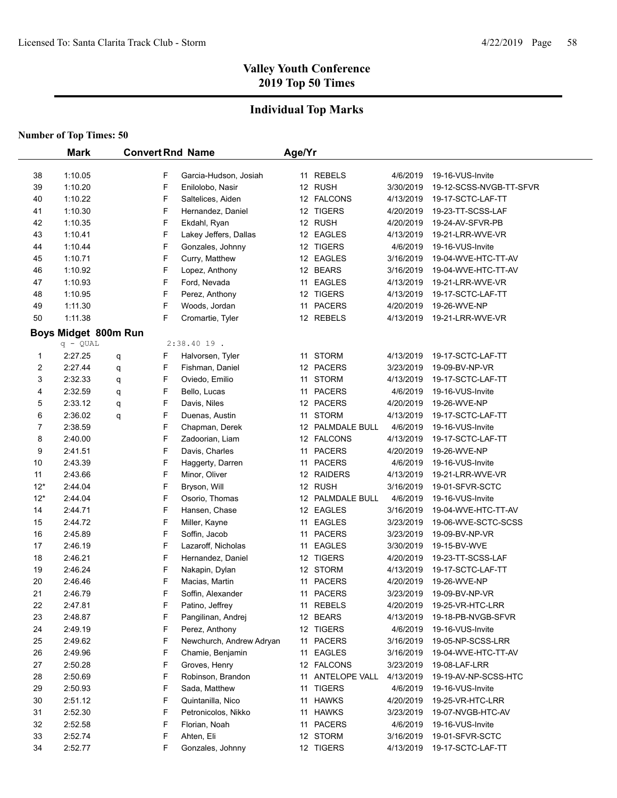## **Individual Top Marks**

|       | <b>Mark</b>          | <b>Convert Rnd Name</b> |        |                          | Age/Yr |                      |           |                                             |
|-------|----------------------|-------------------------|--------|--------------------------|--------|----------------------|-----------|---------------------------------------------|
|       |                      |                         |        |                          |        |                      |           |                                             |
| 38    | 1:10.05              |                         | F      | Garcia-Hudson, Josiah    |        | 11 REBELS<br>12 RUSH | 4/6/2019  | 19-16-VUS-Invite<br>19-12-SCSS-NVGB-TT-SFVR |
| 39    | 1:10.20              |                         | F      | Enilolobo, Nasir         |        |                      | 3/30/2019 |                                             |
| 40    | 1:10.22              |                         | F      | Saltelices, Aiden        |        | 12 FALCONS           | 4/13/2019 | 19-17-SCTC-LAF-TT                           |
| 41    | 1:10.30              |                         | F      | Hernandez, Daniel        |        | 12 TIGERS            | 4/20/2019 | 19-23-TT-SCSS-LAF                           |
| 42    | 1:10.35              |                         | F      | Ekdahl, Ryan             |        | 12 RUSH              | 4/20/2019 | 19-24-AV-SFVR-PB                            |
| 43    | 1:10.41              |                         | F      | Lakey Jeffers, Dallas    |        | 12 EAGLES            | 4/13/2019 | 19-21-LRR-WVE-VR                            |
| 44    | 1:10.44              |                         | F      | Gonzales, Johnny         |        | 12 TIGERS            | 4/6/2019  | 19-16-VUS-Invite                            |
| 45    | 1:10.71              |                         | F      | Curry, Matthew           |        | 12 EAGLES            | 3/16/2019 | 19-04-WVE-HTC-TT-AV                         |
| 46    | 1:10.92              |                         | F      | Lopez, Anthony           |        | 12 BEARS             | 3/16/2019 | 19-04-WVE-HTC-TT-AV                         |
| 47    | 1:10.93              |                         | F      | Ford, Nevada             |        | 11 EAGLES            | 4/13/2019 | 19-21-LRR-WVE-VR                            |
| 48    | 1:10.95              |                         | F<br>F | Perez, Anthony           |        | 12 TIGERS            | 4/13/2019 | 19-17-SCTC-LAF-TT                           |
| 49    | 1:11.30              |                         | F      | Woods, Jordan            |        | 11 PACERS            | 4/20/2019 | 19-26-WVE-NP                                |
| 50    | 1:11.38              |                         |        | Cromartie, Tyler         |        | 12 REBELS            | 4/13/2019 | 19-21-LRR-WVE-VR                            |
|       | Boys Midget 800m Run |                         |        |                          |        |                      |           |                                             |
|       | $q - QUAL$           |                         |        | $2:38.4019$ .            |        |                      |           |                                             |
| 1     | 2:27.25              | q                       | F      | Halvorsen, Tyler         |        | 11 STORM             | 4/13/2019 | 19-17-SCTC-LAF-TT                           |
| 2     | 2:27.44              | q                       | F      | Fishman, Daniel          |        | 12 PACERS            | 3/23/2019 | 19-09-BV-NP-VR                              |
| 3     | 2:32.33              | q                       | F      | Oviedo, Emilio           |        | 11 STORM             | 4/13/2019 | 19-17-SCTC-LAF-TT                           |
| 4     | 2:32.59              | q                       | F      | Bello, Lucas             |        | 11 PACERS            | 4/6/2019  | 19-16-VUS-Invite                            |
| 5     | 2:33.12              | q                       | F      | Davis, Niles             |        | 12 PACERS            | 4/20/2019 | 19-26-WVE-NP                                |
| 6     | 2:36.02              | q                       | F      | Duenas, Austin           | 11     | <b>STORM</b>         | 4/13/2019 | 19-17-SCTC-LAF-TT                           |
| 7     | 2:38.59              |                         | F      | Chapman, Derek           |        | 12 PALMDALE BULL     | 4/6/2019  | 19-16-VUS-Invite                            |
| 8     | 2:40.00              |                         | F      | Zadoorian, Liam          |        | 12 FALCONS           | 4/13/2019 | 19-17-SCTC-LAF-TT                           |
| 9     | 2:41.51              |                         | F      | Davis, Charles           |        | 11 PACERS            | 4/20/2019 | 19-26-WVE-NP                                |
| 10    | 2:43.39              |                         | F      | Haggerty, Darren         |        | 11 PACERS            | 4/6/2019  | 19-16-VUS-Invite                            |
| 11    | 2:43.66              |                         | F      | Minor, Oliver            |        | 12 RAIDERS           | 4/13/2019 | 19-21-LRR-WVE-VR                            |
| $12*$ | 2:44.04              |                         | F      | Bryson, Will             |        | 12 RUSH              | 3/16/2019 | 19-01-SFVR-SCTC                             |
| $12*$ | 2:44.04              |                         | F      | Osorio, Thomas           |        | 12 PALMDALE BULL     | 4/6/2019  | 19-16-VUS-Invite                            |
| 14    | 2:44.71              |                         | F      | Hansen, Chase            |        | 12 EAGLES            | 3/16/2019 | 19-04-WVE-HTC-TT-AV                         |
| 15    | 2:44.72              |                         | F      | Miller, Kayne            |        | 11 EAGLES            | 3/23/2019 | 19-06-WVE-SCTC-SCSS                         |
| 16    | 2:45.89              |                         | F      | Soffin, Jacob            |        | 11 PACERS            | 3/23/2019 | 19-09-BV-NP-VR                              |
| 17    | 2:46.19              |                         | F      | Lazaroff, Nicholas       |        | 11 EAGLES            | 3/30/2019 | 19-15-BV-WVE                                |
| 18    | 2:46.21              |                         | F      | Hernandez, Daniel        |        | 12 TIGERS            | 4/20/2019 | 19-23-TT-SCSS-LAF                           |
| 19    | 2:46.24              |                         | F      | Nakapin, Dylan           |        | 12 STORM             | 4/13/2019 | 19-17-SCTC-LAF-TT                           |
| 20    | 2:46.46              |                         | F      | Macias, Martin           | 11     | <b>PACERS</b>        | 4/20/2019 | 19-26-WVE-NP                                |
| 21    | 2:46.79              |                         | F      | Soffin, Alexander        |        | 11 PACERS            | 3/23/2019 | 19-09-BV-NP-VR                              |
| 22    | 2:47.81              |                         | F      | Patino, Jeffrey          |        | 11 REBELS            | 4/20/2019 | 19-25-VR-HTC-LRR                            |
| 23    | 2:48.87              |                         | F      | Pangilinan, Andrej       |        | 12 BEARS             | 4/13/2019 | 19-18-PB-NVGB-SFVR                          |
| 24    | 2:49.19              |                         | F      | Perez, Anthony           |        | 12 TIGERS            | 4/6/2019  | 19-16-VUS-Invite                            |
| 25    | 2:49.62              |                         | F      | Newchurch, Andrew Adryan |        | 11 PACERS            | 3/16/2019 | 19-05-NP-SCSS-LRR                           |
| 26    | 2:49.96              |                         | F      | Chamie, Benjamin         |        | 11 EAGLES            | 3/16/2019 | 19-04-WVE-HTC-TT-AV                         |
| 27    | 2:50.28              |                         | F      | Groves, Henry            |        | 12 FALCONS           | 3/23/2019 | 19-08-LAF-LRR                               |
| 28    | 2:50.69              |                         | F      | Robinson, Brandon        |        | 11 ANTELOPE VALL     | 4/13/2019 | 19-19-AV-NP-SCSS-HTC                        |
| 29    | 2:50.93              |                         | F      | Sada, Matthew            |        | 11 TIGERS            | 4/6/2019  | 19-16-VUS-Invite                            |
| 30    | 2:51.12              |                         | F      | Quintanilla, Nico        |        | 11 HAWKS             | 4/20/2019 | 19-25-VR-HTC-LRR                            |
| 31    | 2:52.30              |                         | F      | Petronicolos, Nikko      |        | 11 HAWKS             | 3/23/2019 | 19-07-NVGB-HTC-AV                           |
| 32    | 2:52.58              |                         | F      | Florian, Noah            |        | 11 PACERS            | 4/6/2019  | 19-16-VUS-Invite                            |
| 33    | 2:52.74              |                         | F      | Ahten, Eli               |        | 12 STORM             | 3/16/2019 | 19-01-SFVR-SCTC                             |
| 34    | 2:52.77              |                         | F      | Gonzales, Johnny         |        | 12 TIGERS            | 4/13/2019 | 19-17-SCTC-LAF-TT                           |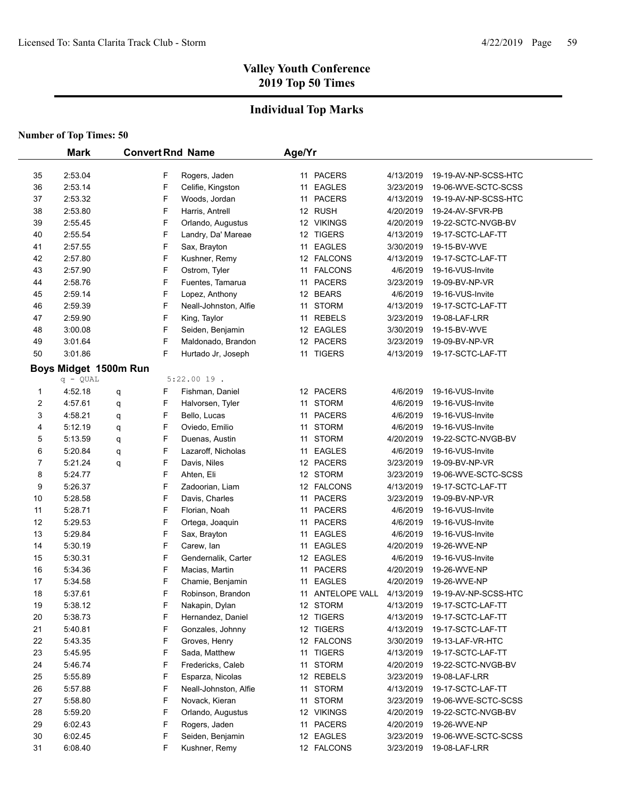## **Individual Top Marks**

|    | <b>Mark</b>                         |   |   | <b>Convert Rnd Name</b>            | Age/Yr |               |           |                      |
|----|-------------------------------------|---|---|------------------------------------|--------|---------------|-----------|----------------------|
| 35 | 2:53.04                             |   | F |                                    |        | 11 PACERS     | 4/13/2019 | 19-19-AV-NP-SCSS-HTC |
| 36 | 2:53.14                             |   | F | Rogers, Jaden<br>Celifie, Kingston |        | 11 EAGLES     | 3/23/2019 | 19-06-WVE-SCTC-SCSS  |
| 37 | 2:53.32                             |   | F | Woods, Jordan                      |        | 11 PACERS     | 4/13/2019 | 19-19-AV-NP-SCSS-HTC |
| 38 | 2:53.80                             |   | F | Harris, Antrell                    |        | 12 RUSH       | 4/20/2019 | 19-24-AV-SFVR-PB     |
| 39 | 2:55.45                             |   | F | Orlando, Augustus                  |        | 12 VIKINGS    | 4/20/2019 | 19-22-SCTC-NVGB-BV   |
| 40 | 2:55.54                             |   | F | Landry, Da' Mareae                 |        | 12 TIGERS     | 4/13/2019 | 19-17-SCTC-LAF-TT    |
| 41 | 2:57.55                             |   | F | Sax, Brayton                       |        | 11 EAGLES     | 3/30/2019 | 19-15-BV-WVE         |
| 42 | 2:57.80                             |   | F | Kushner, Remy                      |        | 12 FALCONS    | 4/13/2019 | 19-17-SCTC-LAF-TT    |
| 43 | 2:57.90                             |   | F | Ostrom, Tyler                      |        | 11 FALCONS    | 4/6/2019  | 19-16-VUS-Invite     |
| 44 | 2:58.76                             |   | F | Fuentes, Tamarua                   | 11     | <b>PACERS</b> | 3/23/2019 | 19-09-BV-NP-VR       |
| 45 | 2:59.14                             |   | F | Lopez, Anthony                     |        | 12 BEARS      | 4/6/2019  | 19-16-VUS-Invite     |
| 46 | 2:59.39                             |   | F | Neall-Johnston, Alfie              |        | 11 STORM      | 4/13/2019 | 19-17-SCTC-LAF-TT    |
| 47 | 2:59.90                             |   | F | King, Taylor                       |        | 11 REBELS     | 3/23/2019 | 19-08-LAF-LRR        |
| 48 | 3:00.08                             |   | F | Seiden, Benjamin                   |        | 12 EAGLES     | 3/30/2019 | 19-15-BV-WVE         |
| 49 | 3:01.64                             |   | F | Maldonado, Brandon                 |        | 12 PACERS     | 3/23/2019 | 19-09-BV-NP-VR       |
| 50 | 3:01.86                             |   | F | Hurtado Jr, Joseph                 |        | 11 TIGERS     | 4/13/2019 | 19-17-SCTC-LAF-TT    |
|    |                                     |   |   |                                    |        |               |           |                      |
|    | Boys Midget 1500m Run<br>$q - QUAL$ |   |   | $5:22.0019$ .                      |        |               |           |                      |
| 1  | 4:52.18                             | q | F | Fishman, Daniel                    |        | 12 PACERS     | 4/6/2019  | 19-16-VUS-Invite     |
| 2  | 4:57.61                             | q | F | Halvorsen, Tyler                   | 11     | <b>STORM</b>  | 4/6/2019  | 19-16-VUS-Invite     |
| 3  | 4:58.21                             | q | F | Bello, Lucas                       | 11     | <b>PACERS</b> | 4/6/2019  | 19-16-VUS-Invite     |
| 4  | 5:12.19                             | q | F | Oviedo, Emilio                     |        | 11 STORM      | 4/6/2019  | 19-16-VUS-Invite     |
| 5  | 5:13.59                             | q | F | Duenas, Austin                     |        | 11 STORM      | 4/20/2019 | 19-22-SCTC-NVGB-BV   |
| 6  | 5:20.84                             | q | F | Lazaroff, Nicholas                 |        | 11 EAGLES     | 4/6/2019  | 19-16-VUS-Invite     |
| 7  | 5:21.24                             | q | F | Davis, Niles                       |        | 12 PACERS     | 3/23/2019 | 19-09-BV-NP-VR       |
| 8  | 5:24.77                             |   | F | Ahten, Eli                         |        | 12 STORM      | 3/23/2019 | 19-06-WVE-SCTC-SCSS  |
| 9  | 5:26.37                             |   | F | Zadoorian, Liam                    |        | 12 FALCONS    | 4/13/2019 | 19-17-SCTC-LAF-TT    |
| 10 | 5:28.58                             |   | F | Davis, Charles                     |        | 11 PACERS     | 3/23/2019 | 19-09-BV-NP-VR       |
| 11 | 5:28.71                             |   | F | Florian, Noah                      |        | 11 PACERS     | 4/6/2019  | 19-16-VUS-Invite     |
| 12 | 5:29.53                             |   | F | Ortega, Joaquin                    | 11     | <b>PACERS</b> | 4/6/2019  | 19-16-VUS-Invite     |
| 13 | 5:29.84                             |   | F | Sax, Brayton                       | 11     | <b>EAGLES</b> | 4/6/2019  | 19-16-VUS-Invite     |
| 14 | 5:30.19                             |   | F | Carew, lan                         | 11     | <b>EAGLES</b> | 4/20/2019 | 19-26-WVE-NP         |
| 15 | 5:30.31                             |   | F | Gendernalik, Carter                |        | 12 EAGLES     | 4/6/2019  | 19-16-VUS-Invite     |
| 16 | 5:34.36                             |   | F | Macias, Martin                     | 11     | <b>PACERS</b> | 4/20/2019 | 19-26-WVE-NP         |
| 17 | 5:34.58                             |   | F | Chamie, Benjamin                   | 11     | <b>EAGLES</b> | 4/20/2019 | 19-26-WVE-NP         |
| 18 | 5:37.61                             |   | F | Robinson, Brandon                  | 11     | ANTELOPE VALL | 4/13/2019 | 19-19-AV-NP-SCSS-HTC |
| 19 | 5:38.12                             |   | F | Nakapin, Dylan                     |        | 12 STORM      | 4/13/2019 | 19-17-SCTC-LAF-TT    |
| 20 | 5:38.73                             |   | F | Hernandez, Daniel                  |        | 12 TIGERS     | 4/13/2019 | 19-17-SCTC-LAF-TT    |
| 21 | 5:40.81                             |   | F | Gonzales, Johnny                   |        | 12 TIGERS     | 4/13/2019 | 19-17-SCTC-LAF-TT    |
| 22 | 5:43.35                             |   | F | Groves, Henry                      |        | 12 FALCONS    | 3/30/2019 | 19-13-LAF-VR-HTC     |
| 23 | 5.45.95                             |   | F | Sada, Matthew                      |        | 11 TIGERS     | 4/13/2019 | 19-17-SCTC-LAF-TT    |
| 24 | 5:46.74                             |   | F | Fredericks, Caleb                  |        | 11 STORM      | 4/20/2019 | 19-22-SCTC-NVGB-BV   |
| 25 | 5.55.89                             |   | F | Esparza, Nicolas                   |        | 12 REBELS     | 3/23/2019 | 19-08-LAF-LRR        |
| 26 | 5:57.88                             |   | F | Neall-Johnston, Alfie              |        | 11 STORM      | 4/13/2019 | 19-17-SCTC-LAF-TT    |
| 27 | 5.58.80                             |   | F | Novack, Kieran                     |        | 11 STORM      | 3/23/2019 | 19-06-WVE-SCTC-SCSS  |
| 28 | 5.59.20                             |   | F | Orlando, Augustus                  |        | 12 VIKINGS    | 4/20/2019 | 19-22-SCTC-NVGB-BV   |
| 29 | 6:02.43                             |   | F | Rogers, Jaden                      |        | 11 PACERS     | 4/20/2019 | 19-26-WVE-NP         |
| 30 | 6:02.45                             |   | F | Seiden, Benjamin                   |        | 12 EAGLES     | 3/23/2019 | 19-06-WVE-SCTC-SCSS  |
| 31 | 6:08.40                             |   | F | Kushner, Remy                      |        | 12 FALCONS    | 3/23/2019 | 19-08-LAF-LRR        |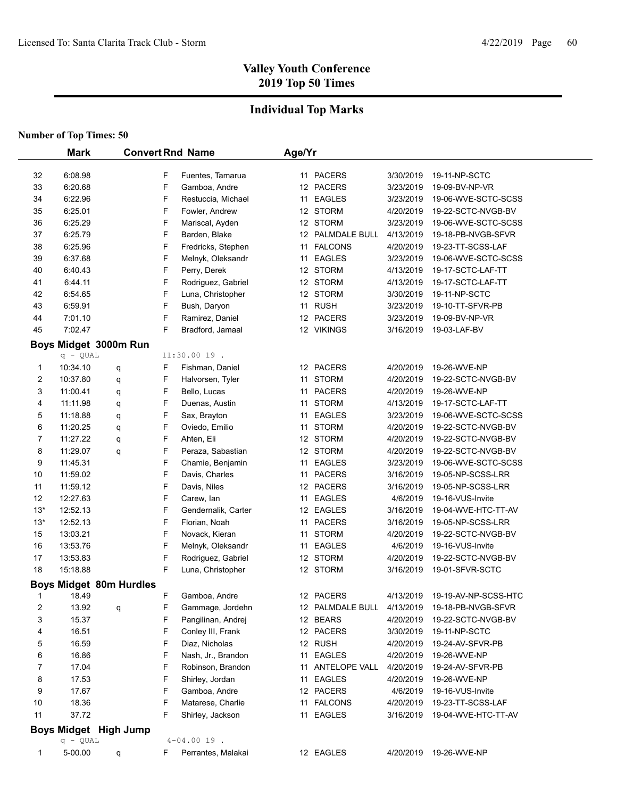## **Individual Top Marks**

|             | <b>Mark</b>        |                                |        | <b>Convert Rnd Name</b>                 | Age/Yr |                         |                        |                                          |
|-------------|--------------------|--------------------------------|--------|-----------------------------------------|--------|-------------------------|------------------------|------------------------------------------|
|             |                    |                                |        |                                         |        |                         |                        |                                          |
| 32          | 6:08.98            |                                | F      | Fuentes, Tamarua                        |        | 11 PACERS               | 3/30/2019              | 19-11-NP-SCTC                            |
| 33          | 6:20.68            |                                | F      | Gamboa, Andre                           |        | 12 PACERS               | 3/23/2019              | 19-09-BV-NP-VR                           |
| 34          | 6:22.96            |                                | F      | Restuccia, Michael                      |        | 11 EAGLES               | 3/23/2019              | 19-06-WVE-SCTC-SCSS                      |
| 35          | 6:25.01            |                                | F      | Fowler, Andrew                          |        | 12 STORM                | 4/20/2019              | 19-22-SCTC-NVGB-BV                       |
| 36          | 6:25.29            |                                | F      | Mariscal, Ayden                         |        | 12 STORM                | 3/23/2019              | 19-06-WVE-SCTC-SCSS                      |
| 37          | 6:25.79            |                                | F      | Barden, Blake                           |        | 12 PALMDALE BULL        | 4/13/2019              | 19-18-PB-NVGB-SFVR                       |
| 38<br>39    | 6:25.96<br>6:37.68 |                                | F<br>F | Fredricks, Stephen                      |        | 11 FALCONS<br>11 EAGLES | 4/20/2019<br>3/23/2019 | 19-23-TT-SCSS-LAF<br>19-06-WVE-SCTC-SCSS |
|             |                    |                                | F      | Melnyk, Oleksandr                       |        | 12 STORM                |                        |                                          |
| 40          | 6:40.43<br>6:44.11 |                                | F      | Perry, Derek                            |        | 12 STORM                | 4/13/2019              | 19-17-SCTC-LAF-TT<br>19-17-SCTC-LAF-TT   |
| 41          | 6:54.65            |                                | F      | Rodriguez, Gabriel<br>Luna, Christopher |        | 12 STORM                | 4/13/2019<br>3/30/2019 | 19-11-NP-SCTC                            |
| 42<br>43    | 6:59.91            |                                | F      | Bush, Daryon                            |        | 11 RUSH                 | 3/23/2019              | 19-10-TT-SFVR-PB                         |
| 44          | 7:01.10            |                                | F      | Ramirez, Daniel                         |        | 12 PACERS               | 3/23/2019              | 19-09-BV-NP-VR                           |
| 45          | 7:02.47            |                                | F      | Bradford, Jamaal                        |        | 12 VIKINGS              | 3/16/2019              | 19-03-LAF-BV                             |
|             |                    |                                |        |                                         |        |                         |                        |                                          |
|             | $q - QUAL$         | Boys Midget 3000m Run          |        | 11:30.00 19.                            |        |                         |                        |                                          |
| 1           | 10:34.10           | q                              | F      | Fishman, Daniel                         |        | 12 PACERS               | 4/20/2019              | 19-26-WVE-NP                             |
| 2           | 10:37.80           | q                              | F      | Halvorsen, Tyler                        |        | 11 STORM                | 4/20/2019              | 19-22-SCTC-NVGB-BV                       |
| 3           | 11:00.41           | q                              | F      | Bello, Lucas                            |        | 11 PACERS               | 4/20/2019              | 19-26-WVE-NP                             |
| 4           | 11:11.98           | q                              | F      | Duenas, Austin                          |        | 11 STORM                | 4/13/2019              | 19-17-SCTC-LAF-TT                        |
| 5           | 11:18.88           | q                              | F      | Sax, Brayton                            |        | 11 EAGLES               | 3/23/2019              | 19-06-WVE-SCTC-SCSS                      |
| 6           | 11:20.25           | q                              | F      | Oviedo, Emilio                          |        | 11 STORM                | 4/20/2019              | 19-22-SCTC-NVGB-BV                       |
| 7           | 11:27.22           | q                              | F      | Ahten, Eli                              |        | 12 STORM                | 4/20/2019              | 19-22-SCTC-NVGB-BV                       |
| 8           | 11:29.07           | q                              | F      | Peraza, Sabastian                       |        | 12 STORM                | 4/20/2019              | 19-22-SCTC-NVGB-BV                       |
| 9           | 11:45.31           |                                | F      | Chamie, Benjamin                        |        | 11 EAGLES               | 3/23/2019              | 19-06-WVE-SCTC-SCSS                      |
| 10          | 11:59.02           |                                | F      | Davis, Charles                          |        | 11 PACERS               | 3/16/2019              | 19-05-NP-SCSS-LRR                        |
| 11          | 11:59.12           |                                | F      | Davis, Niles                            |        | 12 PACERS               | 3/16/2019              | 19-05-NP-SCSS-LRR                        |
| 12          | 12:27.63           |                                | F      | Carew, Ian                              |        | 11 EAGLES               | 4/6/2019               | 19-16-VUS-Invite                         |
| $13*$       | 12:52.13           |                                | F      | Gendernalik, Carter                     |        | 12 EAGLES               | 3/16/2019              | 19-04-WVE-HTC-TT-AV                      |
| $13*$       | 12:52.13           |                                | F      | Florian, Noah                           |        | 11 PACERS               | 3/16/2019              | 19-05-NP-SCSS-LRR                        |
| 15          | 13:03.21           |                                | F      | Novack, Kieran                          |        | 11 STORM                | 4/20/2019              | 19-22-SCTC-NVGB-BV                       |
| 16          | 13:53.76           |                                | F      | Melnyk, Oleksandr                       |        | 11 EAGLES               | 4/6/2019               | 19-16-VUS-Invite                         |
| 17          | 13:53.83           |                                | F      | Rodriguez, Gabriel                      |        | 12 STORM                | 4/20/2019              | 19-22-SCTC-NVGB-BV                       |
| 18          | 15:18.88           |                                | F      | Luna, Christopher                       |        | 12 STORM                | 3/16/2019              | 19-01-SFVR-SCTC                          |
|             |                    | <b>Boys Midget 80m Hurdles</b> |        |                                         |        |                         |                        |                                          |
| -1          | 18.49              |                                | F      | Gamboa, Andre                           |        | 12 PACERS               | 4/13/2019              | 19-19-AV-NP-SCSS-HTC                     |
| 2           | 13.92              | q                              | F      | Gammage, Jordehn                        |        | 12 PALMDALE BULL        | 4/13/2019              | 19-18-PB-NVGB-SFVR                       |
| 3           | 15.37              |                                | F      | Pangilinan, Andrej                      |        | 12 BEARS                | 4/20/2019              | 19-22-SCTC-NVGB-BV                       |
| 4           | 16.51              |                                | F      | Conley III, Frank                       |        | 12 PACERS               | 3/30/2019              | 19-11-NP-SCTC                            |
| 5           | 16.59              |                                | F      | Diaz, Nicholas                          |        | 12 RUSH                 | 4/20/2019              | 19-24-AV-SFVR-PB                         |
| 6           | 16.86              |                                | F      | Nash, Jr., Brandon                      |        | 11 EAGLES               | 4/20/2019              | 19-26-WVE-NP                             |
| 7           | 17.04              |                                | F      | Robinson, Brandon                       |        | 11 ANTELOPE VALL        | 4/20/2019              | 19-24-AV-SFVR-PB                         |
| 8           | 17.53              |                                | F      | Shirley, Jordan                         |        | 11 EAGLES               | 4/20/2019              | 19-26-WVE-NP                             |
| 9           | 17.67              |                                | F      | Gamboa, Andre                           |        | 12 PACERS               | 4/6/2019               | 19-16-VUS-Invite                         |
| 10          | 18.36              |                                | F      | Matarese, Charlie                       |        | 11 FALCONS              | 4/20/2019              | 19-23-TT-SCSS-LAF                        |
| 11          | 37.72              |                                | F      | Shirley, Jackson                        |        | 11 EAGLES               | 3/16/2019              | 19-04-WVE-HTC-TT-AV                      |
|             |                    | Boys Midget High Jump          |        |                                         |        |                         |                        |                                          |
|             | $q - QUAL$         |                                |        | $4 - 04.0019$ .                         |        |                         |                        |                                          |
| $\mathbf 1$ | 5-00.00            | q                              | F      | Perrantes, Malakai                      |        | 12 EAGLES               | 4/20/2019              | 19-26-WVE-NP                             |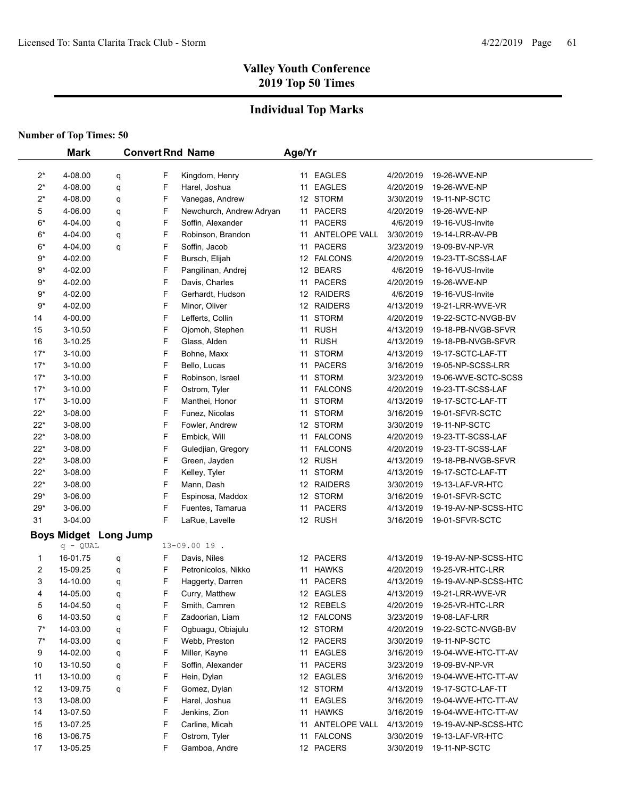## **Individual Top Marks**

|                | <b>Mark</b>        |                              |   | <b>Convert Rnd Name</b>              | Age/Yr |                               |                        |                                          |
|----------------|--------------------|------------------------------|---|--------------------------------------|--------|-------------------------------|------------------------|------------------------------------------|
| $2^*$          | 4-08.00            |                              | F | Kingdom, Henry                       |        | 11 EAGLES                     | 4/20/2019              | 19-26-WVE-NP                             |
| $2^*$          | 4-08.00            | q<br>q                       | F | Harel, Joshua                        |        | 11 EAGLES                     | 4/20/2019              | 19-26-WVE-NP                             |
| $2^*$          | 4-08.00            |                              | F | Vanegas, Andrew                      |        | 12 STORM                      | 3/30/2019              | 19-11-NP-SCTC                            |
| 5              | 4-06.00            | q                            | F | Newchurch, Andrew Adryan             |        | 11 PACERS                     | 4/20/2019              | 19-26-WVE-NP                             |
| $6*$           | 4-04.00            | q                            | F | Soffin, Alexander                    |        | 11 PACERS                     | 4/6/2019               | 19-16-VUS-Invite                         |
| $6*$           | 4-04.00            | q                            | F | Robinson, Brandon                    |        | 11 ANTELOPE VALL              | 3/30/2019              | 19-14-LRR-AV-PB                          |
| $6*$           | 4-04.00            | q                            | F | Soffin, Jacob                        |        | 11 PACERS                     | 3/23/2019              | 19-09-BV-NP-VR                           |
| $9*$           | 4-02.00            | q                            | F | Bursch, Elijah                       |        | 12 FALCONS                    | 4/20/2019              | 19-23-TT-SCSS-LAF                        |
| $9*$           | 4-02.00            |                              | F |                                      |        | 12 BEARS                      | 4/6/2019               | 19-16-VUS-Invite                         |
| 9*             | 4-02.00            |                              | F | Pangilinan, Andrej<br>Davis, Charles |        | 11 PACERS                     | 4/20/2019              | 19-26-WVE-NP                             |
| 9*             | 4-02.00            |                              | F | Gerhardt, Hudson                     |        | 12 RAIDERS                    | 4/6/2019               | 19-16-VUS-Invite                         |
| $9^{\star}$    | 4-02.00            |                              | F |                                      |        | 12 RAIDERS                    | 4/13/2019              | 19-21-LRR-WVE-VR                         |
| 14             | 4-00.00            |                              | F | Minor, Oliver                        | 11     | <b>STORM</b>                  | 4/20/2019              |                                          |
|                | 3-10.50            |                              | F | Lefferts, Collin                     |        | <b>RUSH</b>                   | 4/13/2019              | 19-22-SCTC-NVGB-BV<br>19-18-PB-NVGB-SFVR |
| 15<br>16       | 3-10.25            |                              | F | Ojomoh, Stephen                      | 11     | <b>RUSH</b>                   | 4/13/2019              | 19-18-PB-NVGB-SFVR                       |
|                |                    |                              | F | Glass, Alden                         | 11     |                               |                        |                                          |
| $17*$<br>$17*$ | 3-10.00<br>3-10.00 |                              | F | Bohne, Maxx                          | 11     | <b>STORM</b><br><b>PACERS</b> | 4/13/2019<br>3/16/2019 | 19-17-SCTC-LAF-TT<br>19-05-NP-SCSS-LRR   |
| $17*$          | 3-10.00            |                              | F | Bello, Lucas<br>Robinson, Israel     | 11     | 11 STORM                      | 3/23/2019              |                                          |
| $17*$          | 3-10.00            |                              | F | Ostrom, Tyler                        | 11     | <b>FALCONS</b>                | 4/20/2019              | 19-06-WVE-SCTC-SCSS<br>19-23-TT-SCSS-LAF |
| $17*$          | 3-10.00            |                              | F | Manthei, Honor                       |        | <b>STORM</b>                  | 4/13/2019              | 19-17-SCTC-LAF-TT                        |
| $22*$          | 3-08.00            |                              | F |                                      | 11     | 11 STORM                      | 3/16/2019              | 19-01-SFVR-SCTC                          |
| $22*$          | 3-08.00            |                              | F | Funez, Nicolas<br>Fowler, Andrew     |        | 12 STORM                      | 3/30/2019              | 19-11-NP-SCTC                            |
| $22*$          | 3-08.00            |                              | F | Embick, Will                         |        | 11 FALCONS                    | 4/20/2019              | 19-23-TT-SCSS-LAF                        |
| $22*$          | 3-08.00            |                              | F | Guledjian, Gregory                   |        | 11 FALCONS                    | 4/20/2019              | 19-23-TT-SCSS-LAF                        |
| $22*$          | 3-08.00            |                              | F | Green, Jayden                        |        | 12 RUSH                       | 4/13/2019              | 19-18-PB-NVGB-SFVR                       |
| $22*$          | 3-08.00            |                              | F | Kelley, Tyler                        |        | 11 STORM                      | 4/13/2019              | 19-17-SCTC-LAF-TT                        |
| $22*$          | 3-08.00            |                              | F | Mann, Dash                           |        | 12 RAIDERS                    | 3/30/2019              | 19-13-LAF-VR-HTC                         |
| $29*$          | 3-06.00            |                              | F | Espinosa, Maddox                     |        | 12 STORM                      | 3/16/2019              | 19-01-SFVR-SCTC                          |
| $29*$          | 3-06.00            |                              | F | Fuentes, Tamarua                     | 11     | <b>PACERS</b>                 | 4/13/2019              | 19-19-AV-NP-SCSS-HTC                     |
| 31             | 3-04.00            |                              | F | LaRue, Lavelle                       |        | 12 RUSH                       | 3/16/2019              | 19-01-SFVR-SCTC                          |
|                |                    |                              |   |                                      |        |                               |                        |                                          |
|                | $q - QUAL$         | <b>Boys Midget Long Jump</b> |   | 13-09.00 19.                         |        |                               |                        |                                          |
| 1              | 16-01.75           | q                            | F | Davis, Niles                         |        | 12 PACERS                     | 4/13/2019              | 19-19-AV-NP-SCSS-HTC                     |
| 2              | 15-09.25           | q                            | F | Petronicolos, Nikko                  |        | 11 HAWKS                      | 4/20/2019              | 19-25-VR-HTC-LRR                         |
| 3              | 14-10.00           | q                            | F | Haggerty, Darren                     |        | 11 PACERS                     | 4/13/2019              | 19-19-AV-NP-SCSS-HTC                     |
| 4              | 14-05.00           | q                            | F | Curry, Matthew                       |        | 12 EAGLES                     | 4/13/2019              | 19-21-LRR-WVE-VR                         |
| 5              | 14-04.50           | q                            | F | Smith, Camren                        |        | 12 REBELS                     | 4/20/2019              | 19-25-VR-HTC-LRR                         |
| 6              | 14-03.50           | q                            | F | Zadoorian, Liam                      |        | 12 FALCONS                    | 3/23/2019              | 19-08-LAF-LRR                            |
| $7^*$          | 14-03.00           | q                            | F | Ogbuagu, Obiajulu                    |        | 12 STORM                      | 4/20/2019              | 19-22-SCTC-NVGB-BV                       |
| $7^*$          | 14-03.00           | q                            | F | Webb, Preston                        |        | 12 PACERS                     | 3/30/2019              | 19-11-NP-SCTC                            |
| 9              | 14-02.00           | q                            | F | Miller, Kayne                        |        | 11 EAGLES                     | 3/16/2019              | 19-04-WVE-HTC-TT-AV                      |
| 10             | 13-10.50           | q                            | F | Soffin, Alexander                    |        | 11 PACERS                     | 3/23/2019              | 19-09-BV-NP-VR                           |
| 11             | 13-10.00           | q                            | F | Hein, Dylan                          |        | 12 EAGLES                     | 3/16/2019              | 19-04-WVE-HTC-TT-AV                      |
| 12             | 13-09.75           | q                            | F | Gomez, Dylan                         |        | 12 STORM                      | 4/13/2019              | 19-17-SCTC-LAF-TT                        |
| 13             | 13-08.00           |                              | F | Harel, Joshua                        |        | 11 EAGLES                     | 3/16/2019              | 19-04-WVE-HTC-TT-AV                      |
| 14             | 13-07.50           |                              | F | Jenkins, Zion                        |        | 11 HAWKS                      | 3/16/2019              | 19-04-WVE-HTC-TT-AV                      |
| 15             | 13-07.25           |                              | F | Carline, Micah                       |        | 11 ANTELOPE VALL              | 4/13/2019              | 19-19-AV-NP-SCSS-HTC                     |
| 16             | 13-06.75           |                              | F | Ostrom, Tyler                        |        | 11 FALCONS                    | 3/30/2019              | 19-13-LAF-VR-HTC                         |
| 17             | 13-05.25           |                              | F | Gamboa, Andre                        |        | 12 PACERS                     | 3/30/2019              | 19-11-NP-SCTC                            |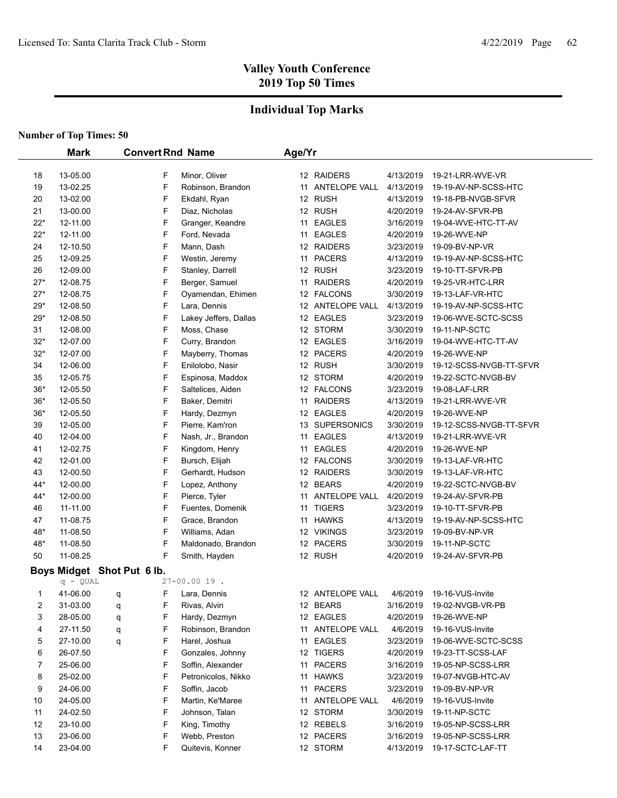## **Individual Top Marks**

|          | <b>Mark</b>          |                            | <b>Convert Rnd Name</b> |                                    | Age/Yr |                               |                        |                                          |
|----------|----------------------|----------------------------|-------------------------|------------------------------------|--------|-------------------------------|------------------------|------------------------------------------|
|          |                      |                            | F                       |                                    |        | 12 RAIDERS                    |                        |                                          |
| 18<br>19 | 13-05.00<br>13-02.25 |                            | F                       | Minor, Oliver<br>Robinson, Brandon |        | 11 ANTELOPE VALL              | 4/13/2019<br>4/13/2019 | 19-21-LRR-WVE-VR<br>19-19-AV-NP-SCSS-HTC |
| 20       | 13-02.00             |                            | F                       | Ekdahl, Ryan                       |        | 12 RUSH                       | 4/13/2019              | 19-18-PB-NVGB-SFVR                       |
| 21       | 13-00.00             |                            | F                       | Diaz, Nicholas                     |        | 12 RUSH                       | 4/20/2019              | 19-24-AV-SFVR-PB                         |
| $22*$    | 12-11.00             |                            | F                       | Granger, Keandre                   |        | 11 EAGLES                     | 3/16/2019              | 19-04-WVE-HTC-TT-AV                      |
| $22*$    | 12-11.00             |                            | F                       | Ford, Nevada                       |        | 11 EAGLES                     | 4/20/2019              | 19-26-WVE-NP                             |
| 24       | 12-10.50             |                            | F                       | Mann, Dash                         |        | 12 RAIDERS                    | 3/23/2019              | 19-09-BV-NP-VR                           |
| 25       | 12-09.25             |                            | F                       | Westin, Jeremy                     |        | 11 PACERS                     | 4/13/2019              | 19-19-AV-NP-SCSS-HTC                     |
| 26       | 12-09.00             |                            | F                       |                                    |        | 12 RUSH                       | 3/23/2019              | 19-10-TT-SFVR-PB                         |
| $27*$    | 12-08.75             |                            | F                       | Stanley, Darrell<br>Berger, Samuel |        | 11 RAIDERS                    | 4/20/2019              | 19-25-VR-HTC-LRR                         |
| $27*$    | 12-08.75             |                            | F                       | Oyamendan, Ehimen                  |        | 12 FALCONS                    | 3/30/2019              | 19-13-LAF-VR-HTC                         |
| $29*$    | 12-08.50             |                            | F                       | Lara, Dennis                       |        | 12 ANTELOPE VALL              | 4/13/2019              | 19-19-AV-NP-SCSS-HTC                     |
| $29*$    | 12-08.50             |                            | F                       | Lakey Jeffers, Dallas              |        | 12 EAGLES                     | 3/23/2019              | 19-06-WVE-SCTC-SCSS                      |
| 31       | 12-08.00             |                            | F                       | Moss, Chase                        |        | 12 STORM                      | 3/30/2019              | 19-11-NP-SCTC                            |
| $32*$    | 12-07.00             |                            | F                       | Curry, Brandon                     |        | 12 EAGLES                     | 3/16/2019              | 19-04-WVE-HTC-TT-AV                      |
| $32*$    | 12-07.00             |                            | F                       | Mayberry, Thomas                   |        | 12 PACERS                     | 4/20/2019              | 19-26-WVE-NP                             |
| 34       | 12-06.00             |                            | F                       | Enilolobo, Nasir                   |        | 12 RUSH                       | 3/30/2019              | 19-12-SCSS-NVGB-TT-SFVR                  |
| 35       | 12-05.75             |                            | F                       | Espinosa, Maddox                   |        | 12 STORM                      | 4/20/2019              | 19-22-SCTC-NVGB-BV                       |
| $36*$    | 12-05.50             |                            | F                       | Saltelices, Aiden                  |        | 12 FALCONS                    | 3/23/2019              | 19-08-LAF-LRR                            |
| $36*$    | 12-05.50             |                            | F                       | Baker, Demitri                     |        | 11 RAIDERS                    | 4/13/2019              | 19-21-LRR-WVE-VR                         |
| $36*$    | 12-05.50             |                            | F                       | Hardy, Dezmyn                      |        | 12 EAGLES                     | 4/20/2019              | 19-26-WVE-NP                             |
| 39       |                      |                            | F                       | Pierre, Kam'ron                    |        | 13 SUPERSONICS                | 3/30/2019              | 19-12-SCSS-NVGB-TT-SFVR                  |
| 40       | 12-05.00<br>12-04.00 |                            | F                       | Nash, Jr., Brandon                 | 11     | <b>EAGLES</b>                 | 4/13/2019              | 19-21-LRR-WVE-VR                         |
| 41       | 12-02.75             |                            | F                       |                                    | 11     | <b>EAGLES</b>                 | 4/20/2019              | 19-26-WVE-NP                             |
| 42       | 12-01.00             |                            | F                       | Kingdom, Henry                     |        | 12 FALCONS                    | 3/30/2019              |                                          |
| 43       | 12-00.50             |                            | F                       | Bursch, Elijah<br>Gerhardt, Hudson |        | 12 RAIDERS                    | 3/30/2019              | 19-13-LAF-VR-HTC<br>19-13-LAF-VR-HTC     |
| 44*      | 12-00.00             |                            | F                       |                                    |        | 12 BEARS                      | 4/20/2019              |                                          |
| 44*      | 12-00.00             |                            | F                       | Lopez, Anthony<br>Pierce, Tyler    |        | 11 ANTELOPE VALL              | 4/20/2019              | 19-22-SCTC-NVGB-BV<br>19-24-AV-SFVR-PB   |
|          | 11-11.00             |                            | F                       | Fuentes, Domenik                   |        | 11 TIGERS                     | 3/23/2019              |                                          |
| 46<br>47 | 11-08.75             |                            | F                       | Grace, Brandon                     |        | 11 HAWKS                      | 4/13/2019              | 19-10-TT-SFVR-PB                         |
| 48*      | 11-08.50             |                            | F                       | Williams, Adan                     |        | 12 VIKINGS                    | 3/23/2019              | 19-19-AV-NP-SCSS-HTC<br>19-09-BV-NP-VR   |
| 48*      | 11-08.50             |                            | F                       |                                    |        | 12 PACERS                     | 3/30/2019              | 19-11-NP-SCTC                            |
| 50       |                      |                            | F                       | Maldonado, Brandon                 |        |                               |                        |                                          |
|          | 11-08.25             |                            |                         | Smith, Hayden                      |        | 12 RUSH                       | 4/20/2019              | 19-24-AV-SFVR-PB                         |
|          | $q - QUAL$           | Boys Midget Shot Put 6 lb. |                         | 27-00.00 19.                       |        |                               |                        |                                          |
|          | 41-06.00             |                            | F                       | Lara, Dennis                       |        | 12 ANTELOPE VALL              | 4/6/2019               | 19-16-VUS-Invite                         |
| 1<br>2   | 31-03.00             | q                          | F                       | Rivas, Alvin                       |        | 12 BEARS                      | 3/16/2019              | 19-02-NVGB-VR-PB                         |
| 3        | 28-05.00             | q                          | F                       | Hardy, Dezmyn                      |        | 12 EAGLES                     | 4/20/2019              | 19-26-WVE-NP                             |
|          | 27-11.50             | q                          | F                       | Robinson, Brandon                  |        | 11 ANTELOPE VALL              | 4/6/2019               | 19-16-VUS-Invite                         |
| 4<br>5   | 27-10.00             | q                          | F                       | Harel, Joshua                      |        | 11 EAGLES                     | 3/23/2019              | 19-06-WVE-SCTC-SCSS                      |
|          |                      | q                          | F                       |                                    |        |                               | 4/20/2019              |                                          |
| 6        | 26-07.50             |                            |                         | Gonzales, Johnny                   |        | 12 TIGERS                     |                        | 19-23-TT-SCSS-LAF                        |
| 7        | 25-06.00             |                            | F                       | Soffin, Alexander                  |        | 11 PACERS                     | 3/16/2019              | 19-05-NP-SCSS-LRR                        |
| 8        | 25-02.00             |                            | F<br>F                  | Petronicolos, Nikko                |        | 11 HAWKS                      | 3/23/2019              | 19-07-NVGB-HTC-AV<br>19-09-BV-NP-VR      |
| 9        | 24-06.00             |                            |                         | Soffin, Jacob                      |        | 11 PACERS<br>11 ANTELOPE VALL | 3/23/2019              |                                          |
| 10       | 24-05.00             |                            | F<br>F                  | Martin, Ke'Maree                   |        |                               | 4/6/2019               | 19-16-VUS-Invite                         |
| 11       | 24-02.50             |                            |                         | Johnson, Talan                     |        | 12 STORM                      | 3/30/2019              | 19-11-NP-SCTC                            |
| 12       | 23-10.00             |                            | F                       | King, Timothy                      |        | 12 REBELS                     | 3/16/2019              | 19-05-NP-SCSS-LRR                        |
| 13       | 23-06.00             |                            | F                       | Webb, Preston                      |        | 12 PACERS                     | 3/16/2019              | 19-05-NP-SCSS-LRR                        |
| 14       | 23-04.00             |                            | F                       | Quitevis, Konner                   |        | 12 STORM                      | 4/13/2019              | 19-17-SCTC-LAF-TT                        |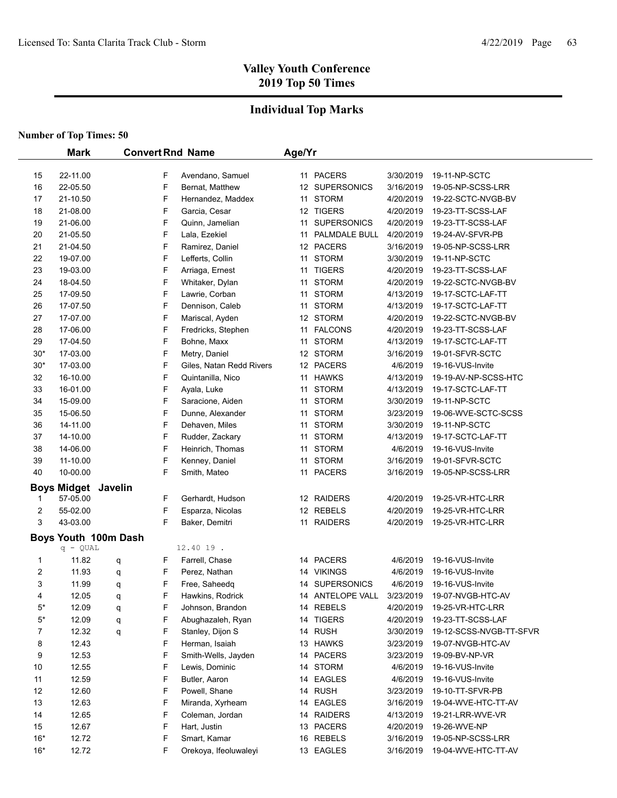## **Individual Top Marks**

|                | <b>Mark</b>                |                      |   | <b>Convert Rnd Name</b>  | Age/Yr |                  |           |                         |
|----------------|----------------------------|----------------------|---|--------------------------|--------|------------------|-----------|-------------------------|
|                |                            |                      |   |                          |        |                  |           |                         |
| 15             | 22-11.00                   |                      | F | Avendano, Samuel         |        | 11 PACERS        | 3/30/2019 | 19-11-NP-SCTC           |
| 16             | 22-05.50                   |                      | F | Bernat, Matthew          |        | 12 SUPERSONICS   | 3/16/2019 | 19-05-NP-SCSS-LRR       |
| 17             | 21-10.50                   |                      | F | Hernandez, Maddex        |        | 11 STORM         | 4/20/2019 | 19-22-SCTC-NVGB-BV      |
| 18             | 21-08.00                   |                      | F | Garcia, Cesar            |        | 12 TIGERS        | 4/20/2019 | 19-23-TT-SCSS-LAF       |
| 19             | 21-06.00                   |                      | F | Quinn, Jamelian          |        | 11 SUPERSONICS   | 4/20/2019 | 19-23-TT-SCSS-LAF       |
| 20             | 21-05.50                   |                      | F | Lala, Ezekiel            |        | 11 PALMDALE BULL | 4/20/2019 | 19-24-AV-SFVR-PB        |
| 21             | 21-04.50                   |                      | F | Ramirez, Daniel          |        | 12 PACERS        | 3/16/2019 | 19-05-NP-SCSS-LRR       |
| 22             | 19-07.00                   |                      | F | Lefferts, Collin         |        | 11 STORM         | 3/30/2019 | 19-11-NP-SCTC           |
| 23             | 19-03.00                   |                      | F | Arriaga, Ernest          |        | 11 TIGERS        | 4/20/2019 | 19-23-TT-SCSS-LAF       |
| 24             | 18-04.50                   |                      | F | Whitaker, Dylan          |        | 11 STORM         | 4/20/2019 | 19-22-SCTC-NVGB-BV      |
| 25             | 17-09.50                   |                      | F | Lawrie, Corban           |        | 11 STORM         | 4/13/2019 | 19-17-SCTC-LAF-TT       |
| 26             | 17-07.50                   |                      | F | Dennison, Caleb          |        | 11 STORM         | 4/13/2019 | 19-17-SCTC-LAF-TT       |
| 27             | 17-07.00                   |                      | F | Mariscal, Ayden          |        | 12 STORM         | 4/20/2019 | 19-22-SCTC-NVGB-BV      |
| 28             | 17-06.00                   |                      | F | Fredricks, Stephen       |        | 11 FALCONS       | 4/20/2019 | 19-23-TT-SCSS-LAF       |
| 29             | 17-04.50                   |                      | F | Bohne, Maxx              |        | 11 STORM         | 4/13/2019 | 19-17-SCTC-LAF-TT       |
| $30*$          | 17-03.00                   |                      | F | Metry, Daniel            |        | 12 STORM         | 3/16/2019 | 19-01-SFVR-SCTC         |
| $30*$          | 17-03.00                   |                      | F | Giles, Natan Redd Rivers |        | 12 PACERS        | 4/6/2019  | 19-16-VUS-Invite        |
| 32             | 16-10.00                   |                      | F | Quintanilla, Nico        |        | 11 HAWKS         | 4/13/2019 | 19-19-AV-NP-SCSS-HTC    |
| 33             | 16-01.00                   |                      | F | Ayala, Luke              |        | 11 STORM         | 4/13/2019 | 19-17-SCTC-LAF-TT       |
| 34             | 15-09.00                   |                      | F | Saracione, Aiden         |        | 11 STORM         | 3/30/2019 | 19-11-NP-SCTC           |
| 35             | 15-06.50                   |                      | F | Dunne, Alexander         |        | 11 STORM         | 3/23/2019 | 19-06-WVE-SCTC-SCSS     |
| 36             | 14-11.00                   |                      | F | Dehaven, Miles           |        | 11 STORM         | 3/30/2019 | 19-11-NP-SCTC           |
| 37             | 14-10.00                   |                      | F | Rudder, Zackary          |        | 11 STORM         | 4/13/2019 | 19-17-SCTC-LAF-TT       |
| 38             | 14-06.00                   |                      | F | Heinrich, Thomas         |        | 11 STORM         | 4/6/2019  | 19-16-VUS-Invite        |
| 39             | 11-10.00                   |                      | F | Kenney, Daniel           |        | 11 STORM         | 3/16/2019 | 19-01-SFVR-SCTC         |
| 40             | 10-00.00                   |                      | F | Smith, Mateo             |        | 11 PACERS        | 3/16/2019 | 19-05-NP-SCSS-LRR       |
|                | <b>Boys Midget Javelin</b> |                      |   |                          |        |                  |           |                         |
| 1              | 57-05.00                   |                      | F | Gerhardt, Hudson         |        | 12 RAIDERS       | 4/20/2019 | 19-25-VR-HTC-LRR        |
| 2              | 55-02.00                   |                      | F | Esparza, Nicolas         |        | 12 REBELS        | 4/20/2019 | 19-25-VR-HTC-LRR        |
| 3              | 43-03.00                   |                      | F | Baker, Demitri           |        | 11 RAIDERS       | 4/20/2019 | 19-25-VR-HTC-LRR        |
|                |                            | Boys Youth 100m Dash |   |                          |        |                  |           |                         |
|                | $q - QUAL$                 |                      |   | 12.40 19.                |        |                  |           |                         |
| 1              | 11.82                      | q                    | F | Farrell, Chase           |        | 14 PACERS        | 4/6/2019  | 19-16-VUS-Invite        |
| 2              | 11.93                      | q                    | F | Perez, Nathan            |        | 14 VIKINGS       | 4/6/2019  | 19-16-VUS-Invite        |
| 3              | 11.99                      | q                    | F | Free, Saheedq            |        | 14 SUPERSONICS   | 4/6/2019  | 19-16-VUS-Invite        |
| 4              | 12.05                      | q                    | F | Hawkins, Rodrick         |        | 14 ANTELOPE VALL | 3/23/2019 | 19-07-NVGB-HTC-AV       |
| $5^\star$      | 12.09                      | q                    | F | Johnson, Brandon         |        | 14 REBELS        | 4/20/2019 | 19-25-VR-HTC-LRR        |
| $5^\star$      | 12.09                      | q                    | F | Abughazaleh, Ryan        |        | 14 TIGERS        | 4/20/2019 | 19-23-TT-SCSS-LAF       |
| $\overline{7}$ | 12.32                      | q                    | F | Stanley, Dijon S         |        | 14 RUSH          | 3/30/2019 | 19-12-SCSS-NVGB-TT-SFVR |
| 8              | 12.43                      |                      | F | Herman, Isaiah           |        | 13 HAWKS         | 3/23/2019 | 19-07-NVGB-HTC-AV       |
| 9              | 12.53                      |                      | F | Smith-Wells, Jayden      |        | 14 PACERS        | 3/23/2019 | 19-09-BV-NP-VR          |
| 10             | 12.55                      |                      | F | Lewis, Dominic           |        | 14 STORM         | 4/6/2019  | 19-16-VUS-Invite        |
| 11             | 12.59                      |                      | F | Butler, Aaron            |        | 14 EAGLES        | 4/6/2019  | 19-16-VUS-Invite        |
| 12             | 12.60                      |                      | F | Powell, Shane            |        | 14 RUSH          | 3/23/2019 | 19-10-TT-SFVR-PB        |
| 13             | 12.63                      |                      | F | Miranda, Xyrheam         |        | 14 EAGLES        | 3/16/2019 | 19-04-WVE-HTC-TT-AV     |
| 14             | 12.65                      |                      | F | Coleman, Jordan          |        | 14 RAIDERS       | 4/13/2019 | 19-21-LRR-WVE-VR        |
| 15             | 12.67                      |                      | F | Hart, Justin             |        | 13 PACERS        | 4/20/2019 | 19-26-WVE-NP            |
| $16*$          | 12.72                      |                      | F | Smart, Kamar             |        | 16 REBELS        | 3/16/2019 | 19-05-NP-SCSS-LRR       |
| $16*$          | 12.72                      |                      | F | Orekoya, Ifeoluwaleyi    |        | 13 EAGLES        | 3/16/2019 | 19-04-WVE-HTC-TT-AV     |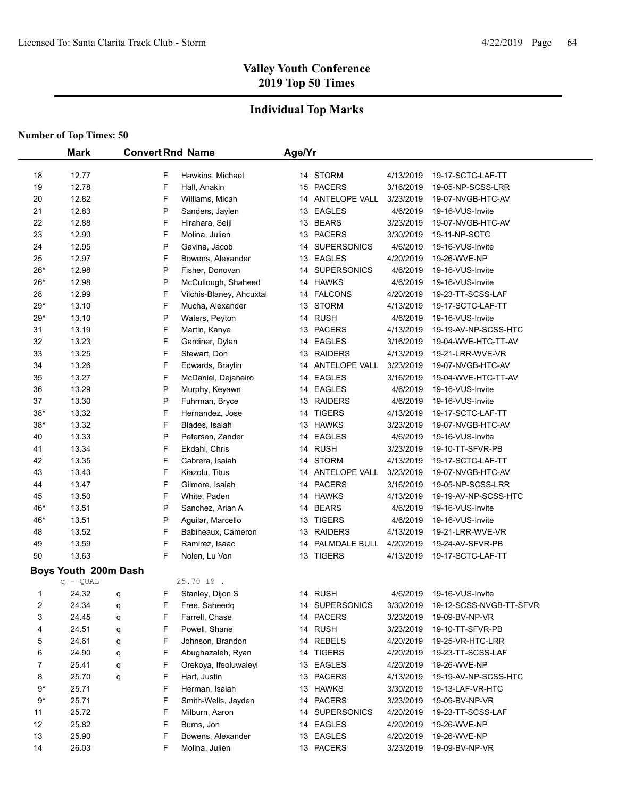## **Individual Top Marks**

|       | <b>Mark</b>          | <b>Convert Rnd Name</b> |                          | Age/Yr |                  |           |                         |
|-------|----------------------|-------------------------|--------------------------|--------|------------------|-----------|-------------------------|
|       |                      |                         |                          |        |                  |           |                         |
| 18    | 12.77                | F                       | Hawkins, Michael         |        | 14 STORM         | 4/13/2019 | 19-17-SCTC-LAF-TT       |
| 19    | 12.78                | F                       | Hall, Anakin             |        | 15 PACERS        | 3/16/2019 | 19-05-NP-SCSS-LRR       |
| 20    | 12.82                | F                       | Williams, Micah          |        | 14 ANTELOPE VALL | 3/23/2019 | 19-07-NVGB-HTC-AV       |
| 21    | 12.83                | P                       | Sanders, Jaylen          |        | 13 EAGLES        | 4/6/2019  | 19-16-VUS-Invite        |
| 22    | 12.88                | F                       | Hirahara, Seiji          |        | 13 BEARS         | 3/23/2019 | 19-07-NVGB-HTC-AV       |
| 23    | 12.90                | F                       | Molina, Julien           |        | 13 PACERS        | 3/30/2019 | 19-11-NP-SCTC           |
| 24    | 12.95                | P                       | Gavina, Jacob            |        | 14 SUPERSONICS   | 4/6/2019  | 19-16-VUS-Invite        |
| 25    | 12.97                | F                       | Bowens, Alexander        |        | 13 EAGLES        | 4/20/2019 | 19-26-WVE-NP            |
| $26*$ | 12.98                | P                       | Fisher, Donovan          |        | 14 SUPERSONICS   | 4/6/2019  | 19-16-VUS-Invite        |
| $26*$ | 12.98                | P                       | McCullough, Shaheed      |        | 14 HAWKS         | 4/6/2019  | 19-16-VUS-Invite        |
| 28    | 12.99                | F                       | Vilchis-Blaney, Ahcuxtal |        | 14 FALCONS       | 4/20/2019 | 19-23-TT-SCSS-LAF       |
| $29*$ | 13.10                | F                       | Mucha, Alexander         |        | 13 STORM         | 4/13/2019 | 19-17-SCTC-LAF-TT       |
| $29*$ | 13.10                | P                       | Waters, Peyton           |        | 14 RUSH          | 4/6/2019  | 19-16-VUS-Invite        |
| 31    | 13.19                | F                       | Martin, Kanye            |        | 13 PACERS        | 4/13/2019 | 19-19-AV-NP-SCSS-HTC    |
| 32    | 13.23                | F                       | Gardiner, Dylan          |        | 14 EAGLES        | 3/16/2019 | 19-04-WVE-HTC-TT-AV     |
| 33    | 13.25                | F                       | Stewart, Don             |        | 13 RAIDERS       | 4/13/2019 | 19-21-LRR-WVE-VR        |
| 34    | 13.26                | F                       | Edwards, Braylin         |        | 14 ANTELOPE VALL | 3/23/2019 | 19-07-NVGB-HTC-AV       |
| 35    | 13.27                | F                       | McDaniel, Dejaneiro      |        | 14 EAGLES        | 3/16/2019 | 19-04-WVE-HTC-TT-AV     |
| 36    | 13.29                | P                       | Murphy, Keyawn           |        | 14 EAGLES        | 4/6/2019  | 19-16-VUS-Invite        |
| 37    | 13.30                | P                       | Fuhrman, Bryce           |        | 13 RAIDERS       | 4/6/2019  | 19-16-VUS-Invite        |
| $38*$ | 13.32                | F                       | Hernandez, Jose          |        | 14 TIGERS        | 4/13/2019 | 19-17-SCTC-LAF-TT       |
| $38*$ | 13.32                | F                       | Blades, Isaiah           |        | 13 HAWKS         | 3/23/2019 | 19-07-NVGB-HTC-AV       |
| 40    | 13.33                | P                       | Petersen, Zander         |        | 14 EAGLES        | 4/6/2019  | 19-16-VUS-Invite        |
| 41    | 13.34                | F                       | Ekdahl, Chris            |        | 14 RUSH          | 3/23/2019 | 19-10-TT-SFVR-PB        |
| 42    | 13.35                | F                       | Cabrera, Isaiah          |        | 14 STORM         | 4/13/2019 | 19-17-SCTC-LAF-TT       |
| 43    | 13.43                | F                       | Kiazolu, Titus           |        | 14 ANTELOPE VALL | 3/23/2019 | 19-07-NVGB-HTC-AV       |
| 44    | 13.47                | F                       | Gilmore, Isaiah          |        | 14 PACERS        | 3/16/2019 | 19-05-NP-SCSS-LRR       |
| 45    | 13.50                | F                       | White, Paden             |        | 14 HAWKS         | 4/13/2019 | 19-19-AV-NP-SCSS-HTC    |
| 46*   | 13.51                | P                       | Sanchez, Arian A         |        | 14 BEARS         | 4/6/2019  | 19-16-VUS-Invite        |
| 46*   | 13.51                | P                       | Aguilar, Marcello        |        | 13 TIGERS        | 4/6/2019  | 19-16-VUS-Invite        |
| 48    | 13.52                | F                       | Babineaux, Cameron       |        | 13 RAIDERS       | 4/13/2019 | 19-21-LRR-WVE-VR        |
| 49    | 13.59                | F                       | Ramirez, Isaac           |        | 14 PALMDALE BULL | 4/20/2019 | 19-24-AV-SFVR-PB        |
| 50    | 13.63                | F                       | Nolen, Lu Von            |        | 13 TIGERS        | 4/13/2019 | 19-17-SCTC-LAF-TT       |
|       | Boys Youth 200m Dash |                         |                          |        |                  |           |                         |
|       | $q - QUAL$           |                         | 25.70 19.                |        |                  |           |                         |
| 1     | 24.32                | F<br>q                  | Stanley, Dijon S         |        | 14 RUSH          | 4/6/2019  | 19-16-VUS-Invite        |
| 2     | 24.34                | F<br>q                  | Free, Saheedq            |        | 14 SUPERSONICS   | 3/30/2019 | 19-12-SCSS-NVGB-TT-SFVR |
| 3     | 24.45                | F<br>q                  | Farrell, Chase           |        | 14 PACERS        | 3/23/2019 | 19-09-BV-NP-VR          |
| 4     | 24.51                | F<br>q                  | Powell, Shane            |        | 14 RUSH          | 3/23/2019 | 19-10-TT-SFVR-PB        |
| 5     | 24.61                | F<br>q                  | Johnson, Brandon         |        | 14 REBELS        | 4/20/2019 | 19-25-VR-HTC-LRR        |
| 6     | 24.90                | F<br>q                  | Abughazaleh, Ryan        |        | 14 TIGERS        | 4/20/2019 | 19-23-TT-SCSS-LAF       |
| 7     | 25.41                | F<br>q                  | Orekoya, Ifeoluwaleyi    |        | 13 EAGLES        | 4/20/2019 | 19-26-WVE-NP            |
| 8     | 25.70                | F<br>q                  | Hart, Justin             |        | 13 PACERS        | 4/13/2019 | 19-19-AV-NP-SCSS-HTC    |
| $9*$  | 25.71                | F                       | Herman, Isaiah           |        | 13 HAWKS         | 3/30/2019 | 19-13-LAF-VR-HTC        |
| $9*$  | 25.71                | F                       | Smith-Wells, Jayden      |        | 14 PACERS        | 3/23/2019 | 19-09-BV-NP-VR          |
| 11    | 25.72                | F                       | Milburn, Aaron           |        | 14 SUPERSONICS   | 4/20/2019 | 19-23-TT-SCSS-LAF       |
| 12    | 25.82                | F                       | Burns, Jon               |        | 14 EAGLES        | 4/20/2019 | 19-26-WVE-NP            |
| 13    | 25.90                | F                       | Bowens, Alexander        |        | 13 EAGLES        | 4/20/2019 | 19-26-WVE-NP            |
| 14    | 26.03                | F                       | Molina, Julien           |        | 13 PACERS        | 3/23/2019 | 19-09-BV-NP-VR          |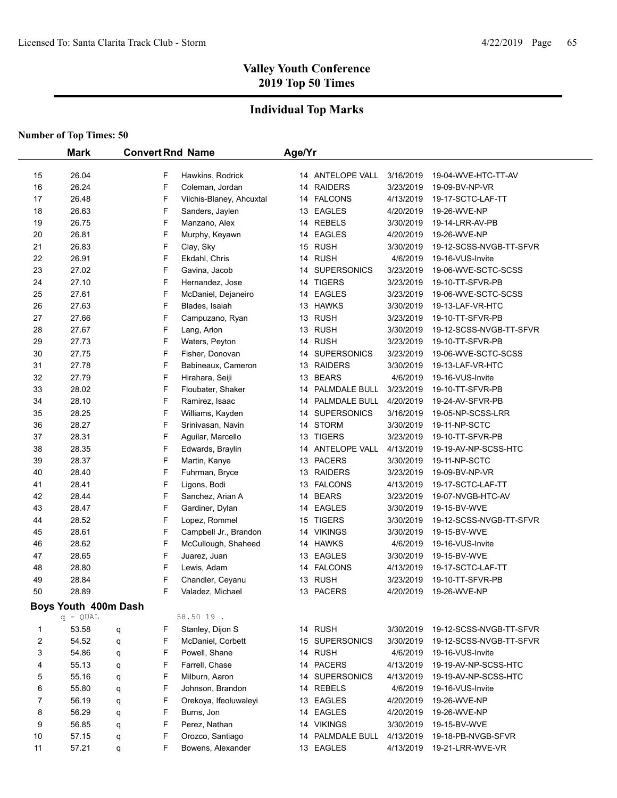## **Individual Top Marks**

|        | <b>Mark</b>                      |        |        | <b>Convert Rnd Name</b>  | Age/Yr |                    |           |                         |
|--------|----------------------------------|--------|--------|--------------------------|--------|--------------------|-----------|-------------------------|
| 15     | 26.04                            |        | F      | Hawkins, Rodrick         |        | 14 ANTELOPE VALL   | 3/16/2019 | 19-04-WVE-HTC-TT-AV     |
| 16     | 26.24                            |        | F      | Coleman, Jordan          |        | 14 RAIDERS         | 3/23/2019 | 19-09-BV-NP-VR          |
| 17     | 26.48                            |        | F      | Vilchis-Blaney, Ahcuxtal |        | 14 FALCONS         | 4/13/2019 | 19-17-SCTC-LAF-TT       |
| 18     | 26.63                            |        | F      | Sanders, Jaylen          |        | 13 EAGLES          | 4/20/2019 | 19-26-WVE-NP            |
| 19     | 26.75                            |        | F      | Manzano, Alex            |        | 14 REBELS          | 3/30/2019 | 19-14-LRR-AV-PB         |
| 20     | 26.81                            |        | F      | Murphy, Keyawn           |        | 14 EAGLES          | 4/20/2019 | 19-26-WVE-NP            |
| 21     | 26.83                            |        | F      | Clay, Sky                |        | 15 RUSH            | 3/30/2019 | 19-12-SCSS-NVGB-TT-SFVR |
| 22     | 26.91                            |        | F      | Ekdahl, Chris            |        | 14 RUSH            | 4/6/2019  | 19-16-VUS-Invite        |
| 23     | 27.02                            |        | F      | Gavina, Jacob            | 14     | <b>SUPERSONICS</b> | 3/23/2019 | 19-06-WVE-SCTC-SCSS     |
| 24     | 27.10                            |        | F      | Hernandez, Jose          | 14     | <b>TIGERS</b>      | 3/23/2019 | 19-10-TT-SFVR-PB        |
| 25     | 27.61                            |        | F      | McDaniel, Dejaneiro      |        | 14 EAGLES          | 3/23/2019 | 19-06-WVE-SCTC-SCSS     |
| 26     | 27.63                            |        | F      | Blades, Isaiah           |        | 13 HAWKS           | 3/30/2019 | 19-13-LAF-VR-HTC        |
| 27     | 27.66                            |        | F      | Campuzano, Ryan          |        | 13 RUSH            | 3/23/2019 | 19-10-TT-SFVR-PB        |
| 28     | 27.67                            |        | F      | Lang, Arion              |        | 13 RUSH            | 3/30/2019 | 19-12-SCSS-NVGB-TT-SFVR |
| 29     | 27.73                            |        | F      | Waters, Peyton           |        | 14 RUSH            | 3/23/2019 | 19-10-TT-SFVR-PB        |
| 30     | 27.75                            |        | F      | Fisher, Donovan          | 14     | <b>SUPERSONICS</b> | 3/23/2019 | 19-06-WVE-SCTC-SCSS     |
| 31     | 27.78                            |        | F      | Babineaux, Cameron       |        | 13 RAIDERS         | 3/30/2019 | 19-13-LAF-VR-HTC        |
| 32     | 27.79                            |        | F      | Hirahara, Seiji          |        | 13 BEARS           | 4/6/2019  | 19-16-VUS-Invite        |
| 33     | 28.02                            |        | F      | Floubater, Shaker        |        | 14 PALMDALE BULL   | 3/23/2019 | 19-10-TT-SFVR-PB        |
| 34     | 28.10                            |        | F      | Ramirez, Isaac           |        | 14 PALMDALE BULL   | 4/20/2019 | 19-24-AV-SFVR-PB        |
| 35     | 28.25                            |        | F      | Williams, Kayden         |        | 14 SUPERSONICS     | 3/16/2019 | 19-05-NP-SCSS-LRR       |
| 36     | 28.27                            |        | F      | Srinivasan, Navin        |        | 14 STORM           | 3/30/2019 | 19-11-NP-SCTC           |
| 37     | 28.31                            |        | F      | Aguilar, Marcello        |        | 13 TIGERS          | 3/23/2019 | 19-10-TT-SFVR-PB        |
| 38     | 28.35                            |        | F      | Edwards, Braylin         |        | 14 ANTELOPE VALL   | 4/13/2019 | 19-19-AV-NP-SCSS-HTC    |
| 39     | 28.37                            |        | F      | Martin, Kanye            |        | 13 PACERS          | 3/30/2019 | 19-11-NP-SCTC           |
| 40     | 28.40                            |        | F      | Fuhrman, Bryce           |        | 13 RAIDERS         | 3/23/2019 | 19-09-BV-NP-VR          |
| 41     | 28.41                            |        | F      | Ligons, Bodi             |        | 13 FALCONS         | 4/13/2019 | 19-17-SCTC-LAF-TT       |
| 42     | 28.44                            |        | F      | Sanchez, Arian A         |        | 14 BEARS           | 3/23/2019 | 19-07-NVGB-HTC-AV       |
| 43     | 28.47                            |        | F      | Gardiner, Dylan          |        | 14 EAGLES          | 3/30/2019 | 19-15-BV-WVE            |
| 44     | 28.52                            |        | F      | Lopez, Rommel            | 15     | <b>TIGERS</b>      | 3/30/2019 | 19-12-SCSS-NVGB-TT-SFVR |
| 45     | 28.61                            |        | F      | Campbell Jr., Brandon    |        | 14 VIKINGS         | 3/30/2019 | 19-15-BV-WVE            |
| 46     | 28.62                            |        | F      | McCullough, Shaheed      |        | 14 HAWKS           | 4/6/2019  | 19-16-VUS-Invite        |
| 47     | 28.65                            |        | F      | Juarez, Juan             |        | 13 EAGLES          | 3/30/2019 | 19-15-BV-WVE            |
| 48     | 28.80                            |        | F      | Lewis, Adam              |        | 14 FALCONS         | 4/13/2019 | 19-17-SCTC-LAF-TT       |
| 49     | 28.84                            |        | F      | Chandler, Ceyanu         |        | 13 RUSH            | 3/23/2019 | 19-10-TT-SFVR-PB        |
| 50     | 28.89                            |        | F      | Valadez, Michael         |        | 13 PACERS          | 4/20/2019 | 19-26-WVE-NP            |
|        |                                  |        |        |                          |        |                    |           |                         |
|        | Boys Youth 400m Dash<br>q - QUAL |        |        | 58.50 19.                |        |                    |           |                         |
| 1      | 53.58                            |        | F      | Stanley, Dijon S         |        | 14 RUSH            | 3/30/2019 | 19-12-SCSS-NVGB-TT-SFVR |
| 2      | 54.52                            | q<br>q | F      | McDaniel, Corbett        |        | 15 SUPERSONICS     | 3/30/2019 | 19-12-SCSS-NVGB-TT-SFVR |
| 3      | 54.86                            |        | F      | Powell, Shane            |        | 14 RUSH            | 4/6/2019  | 19-16-VUS-Invite        |
| 4      | 55.13                            | q      | F      | Farrell, Chase           |        | 14 PACERS          | 4/13/2019 | 19-19-AV-NP-SCSS-HTC    |
|        | 55.16                            | q      |        | Milburn, Aaron           |        | 14 SUPERSONICS     | 4/13/2019 | 19-19-AV-NP-SCSS-HTC    |
| 5<br>6 | 55.80                            | q      | F<br>F | Johnson, Brandon         |        | 14 REBELS          | 4/6/2019  | 19-16-VUS-Invite        |
| 7      | 56.19                            | q      | F      | Orekoya, Ifeoluwaleyi    |        | 13 EAGLES          | 4/20/2019 | 19-26-WVE-NP            |
| 8      | 56.29                            | q      | F      | Burns, Jon               |        | 14 EAGLES          | 4/20/2019 | 19-26-WVE-NP            |
| 9      | 56.85                            | q      | F      | Perez, Nathan            |        | 14 VIKINGS         | 3/30/2019 | 19-15-BV-WVE            |
| 10     | 57.15                            | q      | F      | Orozco, Santiago         |        | 14 PALMDALE BULL   | 4/13/2019 | 19-18-PB-NVGB-SFVR      |
| 11     | 57.21                            | q      | F      | Bowens, Alexander        |        | 13 EAGLES          | 4/13/2019 | 19-21-LRR-WVE-VR        |
|        |                                  | q      |        |                          |        |                    |           |                         |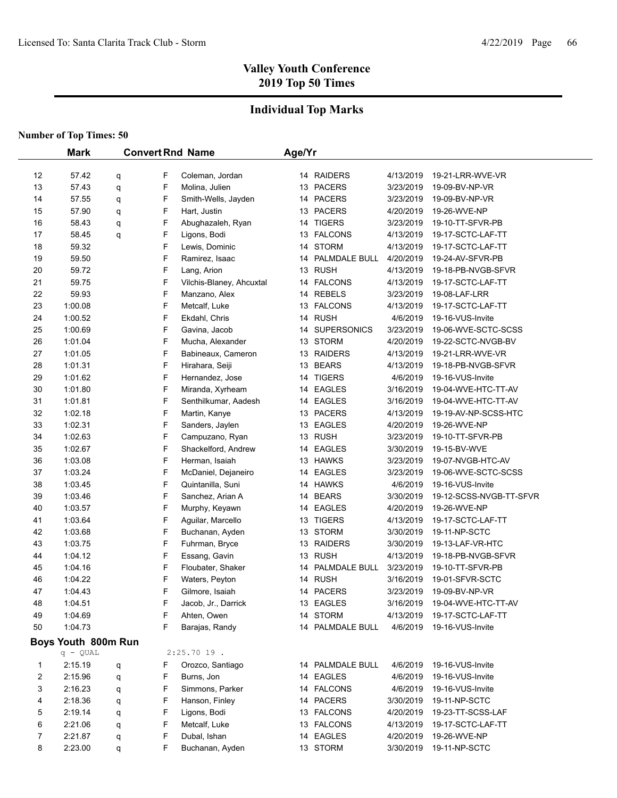## **Individual Top Marks**

|    | <b>Mark</b><br><b>Convert Rnd Name</b> |   |   | Age/Yr                   |  |                  |           |                         |
|----|----------------------------------------|---|---|--------------------------|--|------------------|-----------|-------------------------|
|    |                                        |   |   |                          |  |                  |           |                         |
| 12 | 57.42                                  | q | F | Coleman, Jordan          |  | 14 RAIDERS       | 4/13/2019 | 19-21-LRR-WVE-VR        |
| 13 | 57.43                                  | q | F | Molina, Julien           |  | 13 PACERS        | 3/23/2019 | 19-09-BV-NP-VR          |
| 14 | 57.55                                  | q | F | Smith-Wells, Jayden      |  | 14 PACERS        | 3/23/2019 | 19-09-BV-NP-VR          |
| 15 | 57.90                                  | q | F | Hart, Justin             |  | 13 PACERS        | 4/20/2019 | 19-26-WVE-NP            |
| 16 | 58.43                                  | q | F | Abughazaleh, Ryan        |  | 14 TIGERS        | 3/23/2019 | 19-10-TT-SFVR-PB        |
| 17 | 58.45                                  | q | F | Ligons, Bodi             |  | 13 FALCONS       | 4/13/2019 | 19-17-SCTC-LAF-TT       |
| 18 | 59.32                                  |   | F | Lewis, Dominic           |  | 14 STORM         | 4/13/2019 | 19-17-SCTC-LAF-TT       |
| 19 | 59.50                                  |   | F | Ramirez, Isaac           |  | 14 PALMDALE BULL | 4/20/2019 | 19-24-AV-SFVR-PB        |
| 20 | 59.72                                  |   | F | Lang, Arion              |  | 13 RUSH          | 4/13/2019 | 19-18-PB-NVGB-SFVR      |
| 21 | 59.75                                  |   | F | Vilchis-Blaney, Ahcuxtal |  | 14 FALCONS       | 4/13/2019 | 19-17-SCTC-LAF-TT       |
| 22 | 59.93                                  |   | F | Manzano, Alex            |  | 14 REBELS        | 3/23/2019 | 19-08-LAF-LRR           |
| 23 | 1:00.08                                |   | F | Metcalf, Luke            |  | 13 FALCONS       | 4/13/2019 | 19-17-SCTC-LAF-TT       |
| 24 | 1:00.52                                |   | F | Ekdahl, Chris            |  | 14 RUSH          | 4/6/2019  | 19-16-VUS-Invite        |
| 25 | 1:00.69                                |   | F | Gavina, Jacob            |  | 14 SUPERSONICS   | 3/23/2019 | 19-06-WVE-SCTC-SCSS     |
| 26 | 1:01.04                                |   | F | Mucha, Alexander         |  | 13 STORM         | 4/20/2019 | 19-22-SCTC-NVGB-BV      |
| 27 | 1:01.05                                |   | F | Babineaux, Cameron       |  | 13 RAIDERS       | 4/13/2019 | 19-21-LRR-WVE-VR        |
| 28 | 1:01.31                                |   | F | Hirahara, Seiji          |  | 13 BEARS         | 4/13/2019 | 19-18-PB-NVGB-SFVR      |
| 29 | 1:01.62                                |   | F | Hernandez, Jose          |  | 14 TIGERS        | 4/6/2019  | 19-16-VUS-Invite        |
| 30 | 1:01.80                                |   | F | Miranda, Xyrheam         |  | 14 EAGLES        | 3/16/2019 | 19-04-WVE-HTC-TT-AV     |
| 31 | 1:01.81                                |   | F | Senthilkumar, Aadesh     |  | 14 EAGLES        | 3/16/2019 | 19-04-WVE-HTC-TT-AV     |
| 32 | 1:02.18                                |   | F | Martin, Kanye            |  | 13 PACERS        | 4/13/2019 | 19-19-AV-NP-SCSS-HTC    |
| 33 | 1:02.31                                |   | F | Sanders, Jaylen          |  | 13 EAGLES        | 4/20/2019 | 19-26-WVE-NP            |
| 34 | 1:02.63                                |   | F | Campuzano, Ryan          |  | 13 RUSH          | 3/23/2019 | 19-10-TT-SFVR-PB        |
| 35 | 1:02.67                                |   | F | Shackelford, Andrew      |  | 14 EAGLES        | 3/30/2019 | 19-15-BV-WVE            |
| 36 | 1:03.08                                |   | F | Herman, Isaiah           |  | 13 HAWKS         | 3/23/2019 | 19-07-NVGB-HTC-AV       |
| 37 | 1:03.24                                |   | F | McDaniel, Dejaneiro      |  | 14 EAGLES        | 3/23/2019 | 19-06-WVE-SCTC-SCSS     |
| 38 | 1:03.45                                |   | F | Quintanilla, Suni        |  | 14 HAWKS         | 4/6/2019  | 19-16-VUS-Invite        |
| 39 | 1:03.46                                |   | F | Sanchez, Arian A         |  | 14 BEARS         | 3/30/2019 | 19-12-SCSS-NVGB-TT-SFVR |
| 40 | 1:03.57                                |   | F | Murphy, Keyawn           |  | 14 EAGLES        | 4/20/2019 | 19-26-WVE-NP            |
| 41 | 1:03.64                                |   | F | Aguilar, Marcello        |  | 13 TIGERS        | 4/13/2019 | 19-17-SCTC-LAF-TT       |
| 42 | 1:03.68                                |   | F | Buchanan, Ayden          |  | 13 STORM         | 3/30/2019 | 19-11-NP-SCTC           |
| 43 | 1:03.75                                |   | F | Fuhrman, Bryce           |  | 13 RAIDERS       | 3/30/2019 | 19-13-LAF-VR-HTC        |
| 44 | 1:04.12                                |   | F | Essang, Gavin            |  | 13 RUSH          | 4/13/2019 | 19-18-PB-NVGB-SFVR      |
| 45 | 1:04.16                                |   | F | Floubater, Shaker        |  | 14 PALMDALE BULL | 3/23/2019 | 19-10-TT-SFVR-PB        |
| 46 | 1:04.22                                |   | F | Waters, Peyton           |  | 14 RUSH          | 3/16/2019 | 19-01-SFVR-SCTC         |
| 47 | 1:04.43                                |   | F | Gilmore, Isaiah          |  | 14 PACERS        | 3/23/2019 | 19-09-BV-NP-VR          |
| 48 | 1:04.51                                |   | F | Jacob, Jr., Darrick      |  | 13 EAGLES        | 3/16/2019 | 19-04-WVE-HTC-TT-AV     |
| 49 | 1.04.69                                |   | F | Ahten, Owen              |  | 14 STORM         | 4/13/2019 | 19-17-SCTC-LAF-TT       |
| 50 | 1:04.73                                |   | F | Barajas, Randy           |  | 14 PALMDALE BULL | 4/6/2019  | 19-16-VUS-Invite        |
|    | Boys Youth 800m Run                    |   |   |                          |  |                  |           |                         |
|    | $q - QUAL$                             |   |   | $2:25.7019$ .            |  |                  |           |                         |
| 1  | 2:15.19                                | q | F | Orozco, Santiago         |  | 14 PALMDALE BULL | 4/6/2019  | 19-16-VUS-Invite        |
| 2  | 2:15.96                                | q | F | Burns, Jon               |  | 14 EAGLES        | 4/6/2019  | 19-16-VUS-Invite        |
| 3  | 2:16.23                                | q | F | Simmons, Parker          |  | 14 FALCONS       | 4/6/2019  | 19-16-VUS-Invite        |
| 4  | 2:18.36                                | q | F | Hanson, Finley           |  | 14 PACERS        | 3/30/2019 | 19-11-NP-SCTC           |
| 5  | 2:19.14                                | q | F | Ligons, Bodi             |  | 13 FALCONS       | 4/20/2019 | 19-23-TT-SCSS-LAF       |
| 6  | 2:21.06                                | q | F | Metcalf, Luke            |  | 13 FALCONS       | 4/13/2019 | 19-17-SCTC-LAF-TT       |
| 7  | 2:21.87                                | q | F | Dubal, Ishan             |  | 14 EAGLES        | 4/20/2019 | 19-26-WVE-NP            |
| 8  | 2:23.00                                | q | F | Buchanan, Ayden          |  | 13 STORM         | 3/30/2019 | 19-11-NP-SCTC           |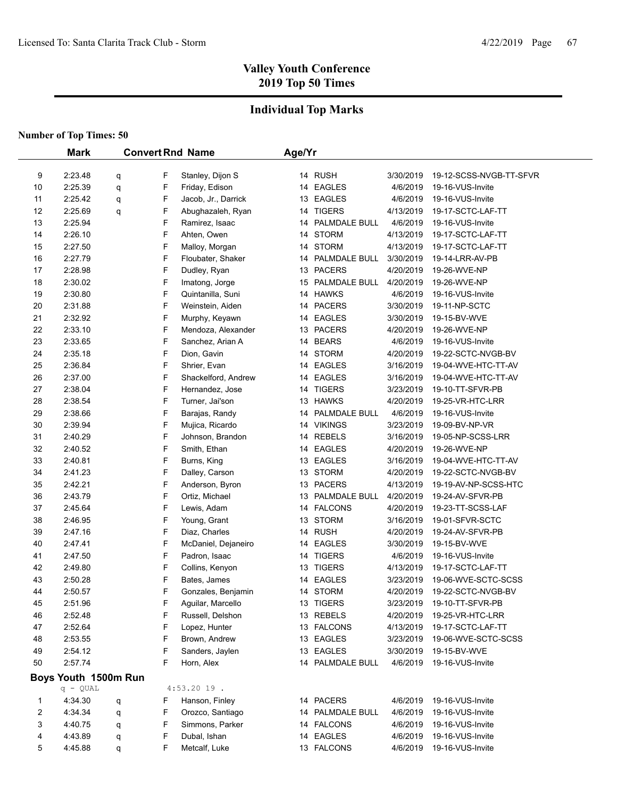## **Individual Top Marks**

|    | <b>Mark</b>          |   |   | <b>Convert Rnd Name</b> | Age/Yr |                  |           |                         |
|----|----------------------|---|---|-------------------------|--------|------------------|-----------|-------------------------|
|    |                      |   |   |                         |        |                  |           |                         |
| 9  | 2:23.48              | q | F | Stanley, Dijon S        |        | 14 RUSH          | 3/30/2019 | 19-12-SCSS-NVGB-TT-SFVR |
| 10 | 2:25.39              | q | F | Friday, Edison          |        | 14 EAGLES        | 4/6/2019  | 19-16-VUS-Invite        |
| 11 | 2:25.42              | q | F | Jacob, Jr., Darrick     |        | 13 EAGLES        | 4/6/2019  | 19-16-VUS-Invite        |
| 12 | 2:25.69              | q | F | Abughazaleh, Ryan       |        | 14 TIGERS        | 4/13/2019 | 19-17-SCTC-LAF-TT       |
| 13 | 2:25.94              |   | F | Ramirez, Isaac          |        | 14 PALMDALE BULL | 4/6/2019  | 19-16-VUS-Invite        |
| 14 | 2:26.10              |   | F | Ahten, Owen             |        | 14 STORM         | 4/13/2019 | 19-17-SCTC-LAF-TT       |
| 15 | 2:27.50              |   | F | Malloy, Morgan          |        | 14 STORM         | 4/13/2019 | 19-17-SCTC-LAF-TT       |
| 16 | 2:27.79              |   | F | Floubater, Shaker       |        | 14 PALMDALE BULL | 3/30/2019 | 19-14-LRR-AV-PB         |
| 17 | 2:28.98              |   | F | Dudley, Ryan            |        | 13 PACERS        | 4/20/2019 | 19-26-WVE-NP            |
| 18 | 2:30.02              |   | F | Imatong, Jorge          |        | 15 PALMDALE BULL | 4/20/2019 | 19-26-WVE-NP            |
| 19 | 2:30.80              |   | F | Quintanilla, Suni       |        | 14 HAWKS         | 4/6/2019  | 19-16-VUS-Invite        |
| 20 | 2:31.88              |   | F | Weinstein, Aiden        |        | 14 PACERS        | 3/30/2019 | 19-11-NP-SCTC           |
| 21 | 2:32.92              |   | F | Murphy, Keyawn          |        | 14 EAGLES        | 3/30/2019 | 19-15-BV-WVE            |
| 22 | 2:33.10              |   | F | Mendoza, Alexander      |        | 13 PACERS        | 4/20/2019 | 19-26-WVE-NP            |
| 23 | 2:33.65              |   | F | Sanchez, Arian A        |        | 14 BEARS         | 4/6/2019  | 19-16-VUS-Invite        |
| 24 | 2:35.18              |   | F | Dion, Gavin             |        | 14 STORM         | 4/20/2019 | 19-22-SCTC-NVGB-BV      |
| 25 | 2:36.84              |   | F | Shrier, Evan            |        | 14 EAGLES        | 3/16/2019 | 19-04-WVE-HTC-TT-AV     |
| 26 | 2:37.00              |   | F | Shackelford, Andrew     |        | 14 EAGLES        | 3/16/2019 | 19-04-WVE-HTC-TT-AV     |
| 27 | 2:38.04              |   | F | Hernandez, Jose         |        | 14 TIGERS        | 3/23/2019 | 19-10-TT-SFVR-PB        |
| 28 | 2:38.54              |   | F | Turner, Jai'son         |        | 13 HAWKS         | 4/20/2019 | 19-25-VR-HTC-LRR        |
| 29 | 2:38.66              |   | F | Barajas, Randy          |        | 14 PALMDALE BULL | 4/6/2019  | 19-16-VUS-Invite        |
| 30 | 2:39.94              |   | F | Mujica, Ricardo         |        | 14 VIKINGS       | 3/23/2019 | 19-09-BV-NP-VR          |
| 31 | 2:40.29              |   | F | Johnson, Brandon        |        | 14 REBELS        | 3/16/2019 | 19-05-NP-SCSS-LRR       |
| 32 | 2:40.52              |   | F | Smith, Ethan            |        | 14 EAGLES        | 4/20/2019 | 19-26-WVE-NP            |
| 33 | 2:40.81              |   | F | Burns, King             |        | 13 EAGLES        | 3/16/2019 | 19-04-WVE-HTC-TT-AV     |
| 34 | 2:41.23              |   | F | Dalley, Carson          |        | 13 STORM         | 4/20/2019 | 19-22-SCTC-NVGB-BV      |
| 35 | 2:42.21              |   | F | Anderson, Byron         |        | 13 PACERS        | 4/13/2019 | 19-19-AV-NP-SCSS-HTC    |
| 36 | 2:43.79              |   | F | Ortiz, Michael          |        | 13 PALMDALE BULL | 4/20/2019 | 19-24-AV-SFVR-PB        |
| 37 | 2:45.64              |   | F | Lewis, Adam             |        | 14 FALCONS       | 4/20/2019 | 19-23-TT-SCSS-LAF       |
| 38 | 2:46.95              |   | F | Young, Grant            |        | 13 STORM         | 3/16/2019 | 19-01-SFVR-SCTC         |
| 39 | 2:47.16              |   | F | Diaz, Charles           |        | 14 RUSH          | 4/20/2019 | 19-24-AV-SFVR-PB        |
| 40 | 2:47.41              |   | F | McDaniel, Dejaneiro     |        | 14 EAGLES        | 3/30/2019 | 19-15-BV-WVE            |
| 41 | 2:47.50              |   | F | Padron, Isaac           |        | 14 TIGERS        | 4/6/2019  | 19-16-VUS-Invite        |
| 42 | 2:49.80              |   | F | Collins, Kenyon         |        | 13 TIGERS        | 4/13/2019 | 19-17-SCTC-LAF-TT       |
| 43 | 2:50.28              |   | F | Bates, James            |        | 14 EAGLES        | 3/23/2019 | 19-06-WVE-SCTC-SCSS     |
| 44 | 2:50.57              |   | F | Gonzales, Benjamin      |        | 14 STORM         | 4/20/2019 | 19-22-SCTC-NVGB-BV      |
| 45 | 2:51.96              |   | F | Aguilar, Marcello       |        | 13 TIGERS        | 3/23/2019 | 19-10-TT-SFVR-PB        |
| 46 | 2:52.48              |   | F | Russell, Delshon        |        | 13 REBELS        | 4/20/2019 | 19-25-VR-HTC-LRR        |
| 47 | 2:52.64              |   | F | Lopez, Hunter           |        | 13 FALCONS       | 4/13/2019 | 19-17-SCTC-LAF-TT       |
| 48 | 2:53.55              |   | F | Brown, Andrew           |        | 13 EAGLES        | 3/23/2019 | 19-06-WVE-SCTC-SCSS     |
| 49 | 2:54.12              |   | F | Sanders, Jaylen         |        | 13 EAGLES        | 3/30/2019 | 19-15-BV-WVE            |
| 50 | 2:57.74              |   | F | Horn, Alex              |        | 14 PALMDALE BULL | 4/6/2019  | 19-16-VUS-Invite        |
|    | Boys Youth 1500m Run |   |   |                         |        |                  |           |                         |
|    | $q - QUAL$           |   |   | $4:53.2019$ .           |        |                  |           |                         |
| 1  | 4:34.30              | q | F | Hanson, Finley          |        | 14 PACERS        | 4/6/2019  | 19-16-VUS-Invite        |
| 2  | 4:34.34              | q | F | Orozco, Santiago        |        | 14 PALMDALE BULL | 4/6/2019  | 19-16-VUS-Invite        |
| 3  | 4:40.75              | q | F | Simmons, Parker         |        | 14 FALCONS       | 4/6/2019  | 19-16-VUS-Invite        |
| 4  | 4:43.89              | q | F | Dubal, Ishan            |        | 14 EAGLES        | 4/6/2019  | 19-16-VUS-Invite        |
| 5  | 4:45.88              | q | F | Metcalf, Luke           |        | 13 FALCONS       | 4/6/2019  | 19-16-VUS-Invite        |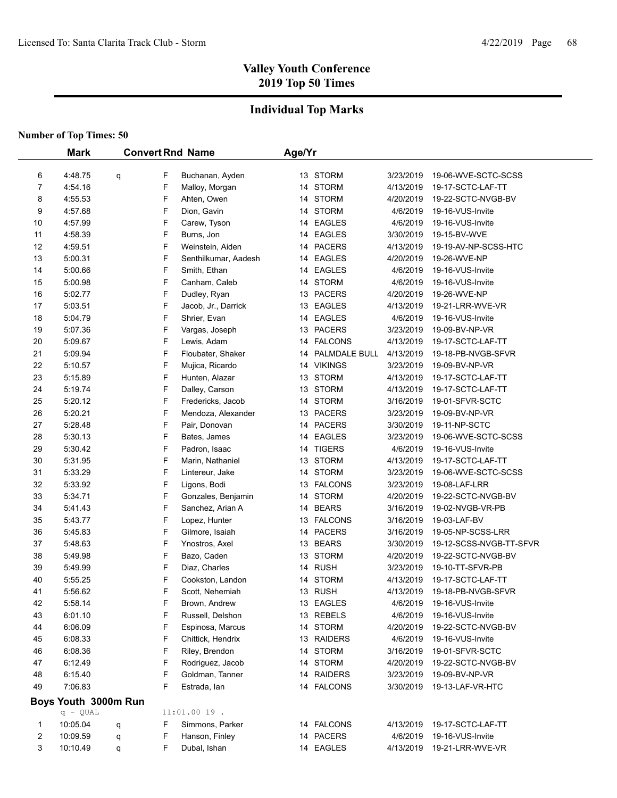## **Individual Top Marks**

|    | <b>Mark</b>          |   |   | <b>Convert Rnd Name</b> | Age/Yr |                  |           |                         |
|----|----------------------|---|---|-------------------------|--------|------------------|-----------|-------------------------|
|    |                      |   |   |                         |        |                  |           |                         |
| 6  | 4:48.75              | q | F | Buchanan, Ayden         |        | 13 STORM         | 3/23/2019 | 19-06-WVE-SCTC-SCSS     |
| 7  | 4:54.16              |   | F | Malloy, Morgan          |        | 14 STORM         | 4/13/2019 | 19-17-SCTC-LAF-TT       |
| 8  | 4:55.53              |   | F | Ahten, Owen             |        | 14 STORM         | 4/20/2019 | 19-22-SCTC-NVGB-BV      |
| 9  | 4:57.68              |   | F | Dion, Gavin             |        | 14 STORM         | 4/6/2019  | 19-16-VUS-Invite        |
| 10 | 4:57.99              |   | F | Carew, Tyson            |        | 14 EAGLES        | 4/6/2019  | 19-16-VUS-Invite        |
| 11 | 4:58.39              |   | F | Burns, Jon              |        | 14 EAGLES        | 3/30/2019 | 19-15-BV-WVE            |
| 12 | 4:59.51              |   | F | Weinstein, Aiden        |        | 14 PACERS        | 4/13/2019 | 19-19-AV-NP-SCSS-HTC    |
| 13 | 5:00.31              |   | F | Senthilkumar, Aadesh    |        | 14 EAGLES        | 4/20/2019 | 19-26-WVE-NP            |
| 14 | 5:00.66              |   | F | Smith, Ethan            |        | 14 EAGLES        | 4/6/2019  | 19-16-VUS-Invite        |
| 15 | 5:00.98              |   | F | Canham, Caleb           |        | 14 STORM         | 4/6/2019  | 19-16-VUS-Invite        |
| 16 | 5:02.77              |   | F | Dudley, Ryan            |        | 13 PACERS        | 4/20/2019 | 19-26-WVE-NP            |
| 17 | 5:03.51              |   | F | Jacob, Jr., Darrick     |        | 13 EAGLES        | 4/13/2019 | 19-21-LRR-WVE-VR        |
| 18 | 5:04.79              |   | F | Shrier, Evan            |        | 14 EAGLES        | 4/6/2019  | 19-16-VUS-Invite        |
| 19 | 5:07.36              |   | F | Vargas, Joseph          |        | 13 PACERS        | 3/23/2019 | 19-09-BV-NP-VR          |
| 20 | 5:09.67              |   | F | Lewis, Adam             |        | 14 FALCONS       | 4/13/2019 | 19-17-SCTC-LAF-TT       |
| 21 | 5:09.94              |   | F | Floubater, Shaker       |        | 14 PALMDALE BULL | 4/13/2019 | 19-18-PB-NVGB-SFVR      |
| 22 | 5:10.57              |   | F | Mujica, Ricardo         |        | 14 VIKINGS       | 3/23/2019 | 19-09-BV-NP-VR          |
| 23 | 5:15.89              |   | F | Hunten, Alazar          |        | 13 STORM         | 4/13/2019 | 19-17-SCTC-LAF-TT       |
| 24 | 5:19.74              |   | F | Dalley, Carson          |        | 13 STORM         | 4/13/2019 | 19-17-SCTC-LAF-TT       |
| 25 | 5:20.12              |   | F | Fredericks, Jacob       |        | 14 STORM         | 3/16/2019 | 19-01-SFVR-SCTC         |
| 26 | 5:20.21              |   | F | Mendoza, Alexander      |        | 13 PACERS        | 3/23/2019 | 19-09-BV-NP-VR          |
| 27 | 5:28.48              |   | F | Pair, Donovan           |        | 14 PACERS        | 3/30/2019 | 19-11-NP-SCTC           |
| 28 | 5:30.13              |   | F | Bates, James            |        | 14 EAGLES        | 3/23/2019 | 19-06-WVE-SCTC-SCSS     |
| 29 | 5:30.42              |   | F | Padron, Isaac           |        | 14 TIGERS        | 4/6/2019  | 19-16-VUS-Invite        |
| 30 | 5:31.95              |   | F | Marin, Nathaniel        |        | 13 STORM         | 4/13/2019 | 19-17-SCTC-LAF-TT       |
| 31 | 5:33.29              |   | F | Lintereur, Jake         |        | 14 STORM         | 3/23/2019 | 19-06-WVE-SCTC-SCSS     |
| 32 | 5:33.92              |   | F | Ligons, Bodi            |        | 13 FALCONS       | 3/23/2019 | 19-08-LAF-LRR           |
| 33 | 5:34.71              |   | F | Gonzales, Benjamin      |        | 14 STORM         | 4/20/2019 | 19-22-SCTC-NVGB-BV      |
| 34 | 5:41.43              |   | F | Sanchez, Arian A        |        | 14 BEARS         | 3/16/2019 | 19-02-NVGB-VR-PB        |
| 35 | 5:43.77              |   | F | Lopez, Hunter           |        | 13 FALCONS       | 3/16/2019 | 19-03-LAF-BV            |
| 36 | 5:45.83              |   | F | Gilmore, Isaiah         |        | 14 PACERS        | 3/16/2019 | 19-05-NP-SCSS-LRR       |
| 37 | 5:48.63              |   | F | Ynostros, Axel          |        | 13 BEARS         | 3/30/2019 | 19-12-SCSS-NVGB-TT-SFVR |
| 38 | 5:49.98              |   | F | Bazo, Caden             |        | 13 STORM         | 4/20/2019 | 19-22-SCTC-NVGB-BV      |
| 39 | 5.49.99              |   | F | Diaz, Charles           |        | 14 RUSH          | 3/23/2019 | 19-10-TT-SFVR-PB        |
| 40 | 5:55.25              |   | F | Cookston, Landon        |        | 14 STORM         | 4/13/2019 | 19-17-SCTC-LAF-TT       |
| 41 | 5:56.62              |   | F | Scott, Nehemiah         |        | 13 RUSH          | 4/13/2019 | 19-18-PB-NVGB-SFVR      |
| 42 | 5:58.14              |   | F | Brown, Andrew           |        | 13 EAGLES        | 4/6/2019  | 19-16-VUS-Invite        |
| 43 | 6:01.10              |   | F | Russell, Delshon        |        | 13 REBELS        | 4/6/2019  | 19-16-VUS-Invite        |
| 44 | 6:06.09              |   | F | Espinosa, Marcus        |        | 14 STORM         | 4/20/2019 | 19-22-SCTC-NVGB-BV      |
| 45 | 6:08.33              |   | F | Chittick, Hendrix       |        | 13 RAIDERS       | 4/6/2019  | 19-16-VUS-Invite        |
| 46 | 6:08.36              |   | F | Riley, Brendon          |        | 14 STORM         | 3/16/2019 | 19-01-SFVR-SCTC         |
| 47 | 6:12.49              |   | F | Rodriguez, Jacob        |        | 14 STORM         | 4/20/2019 | 19-22-SCTC-NVGB-BV      |
| 48 | 6:15.40              |   | F | Goldman, Tanner         |        | 14 RAIDERS       | 3/23/2019 | 19-09-BV-NP-VR          |
| 49 | 7:06.83              |   | F | Estrada, Ian            |        | 14 FALCONS       | 3/30/2019 | 19-13-LAF-VR-HTC        |
|    | Boys Youth 3000m Run |   |   |                         |        |                  |           |                         |
|    | $q - QUAL$           |   |   | 11:01.00 19.            |        |                  |           |                         |
| 1  | 10:05.04             | q | F | Simmons, Parker         |        | 14 FALCONS       | 4/13/2019 | 19-17-SCTC-LAF-TT       |
| 2  | 10:09.59             | q | F | Hanson, Finley          |        | 14 PACERS        | 4/6/2019  | 19-16-VUS-Invite        |
| 3  | 10:10.49             | q | F | Dubal, Ishan            |        | 14 EAGLES        | 4/13/2019 | 19-21-LRR-WVE-VR        |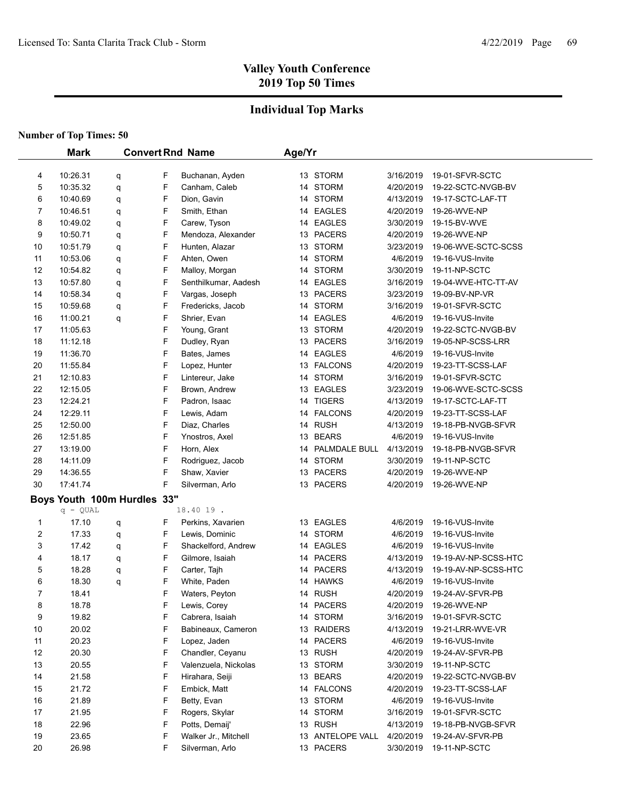## **Individual Top Marks**

|                | <b>Mark</b>                 |   |        | <b>Convert Rnd Name</b>          | Age/Yr |                  |           |                                       |
|----------------|-----------------------------|---|--------|----------------------------------|--------|------------------|-----------|---------------------------------------|
|                | 10:26.31                    |   |        |                                  |        | 13 STORM         |           |                                       |
| 4              |                             | q | F<br>F | Buchanan, Ayden<br>Canham, Caleb |        | 14 STORM         | 3/16/2019 | 19-01-SFVR-SCTC<br>19-22-SCTC-NVGB-BV |
| 5              | 10:35.32                    | q |        |                                  |        |                  | 4/20/2019 |                                       |
| 6              | 10:40.69                    | q | F      | Dion, Gavin                      |        | 14 STORM         | 4/13/2019 | 19-17-SCTC-LAF-TT<br>19-26-WVE-NP     |
| 7              | 10:46.51                    | q | F      | Smith, Ethan                     |        | 14 EAGLES        | 4/20/2019 |                                       |
| 8              | 10:49.02                    | q | F      | Carew, Tyson                     |        | 14 EAGLES        | 3/30/2019 | 19-15-BV-WVE                          |
| 9              | 10:50.71                    | q | F      | Mendoza, Alexander               |        | 13 PACERS        | 4/20/2019 | 19-26-WVE-NP                          |
| 10             | 10:51.79                    | q | F      | Hunten, Alazar                   |        | 13 STORM         | 3/23/2019 | 19-06-WVE-SCTC-SCSS                   |
| 11             | 10:53.06                    | q | F      | Ahten, Owen                      |        | 14 STORM         | 4/6/2019  | 19-16-VUS-Invite                      |
| 12             | 10:54.82                    | q | F      | Malloy, Morgan                   |        | 14 STORM         | 3/30/2019 | 19-11-NP-SCTC                         |
| 13             | 10:57.80                    | q | F      | Senthilkumar, Aadesh             |        | 14 EAGLES        | 3/16/2019 | 19-04-WVE-HTC-TT-AV                   |
| 14             | 10:58.34                    | q | F      | Vargas, Joseph                   |        | 13 PACERS        | 3/23/2019 | 19-09-BV-NP-VR                        |
| 15             | 10:59.68                    | q | F      | Fredericks, Jacob                |        | 14 STORM         | 3/16/2019 | 19-01-SFVR-SCTC                       |
| 16             | 11:00.21                    | q | F      | Shrier, Evan                     |        | 14 EAGLES        | 4/6/2019  | 19-16-VUS-Invite                      |
| 17             | 11:05.63                    |   | F      | Young, Grant                     |        | 13 STORM         | 4/20/2019 | 19-22-SCTC-NVGB-BV                    |
| 18             | 11:12.18                    |   | F      | Dudley, Ryan                     |        | 13 PACERS        | 3/16/2019 | 19-05-NP-SCSS-LRR                     |
| 19             | 11:36.70                    |   | F      | Bates, James                     |        | 14 EAGLES        | 4/6/2019  | 19-16-VUS-Invite                      |
| 20             | 11:55.84                    |   | F      | Lopez, Hunter                    |        | 13 FALCONS       | 4/20/2019 | 19-23-TT-SCSS-LAF                     |
| 21             | 12:10.83                    |   | F      | Lintereur, Jake                  |        | 14 STORM         | 3/16/2019 | 19-01-SFVR-SCTC                       |
| 22             | 12:15.05                    |   | F      | Brown, Andrew                    |        | 13 EAGLES        | 3/23/2019 | 19-06-WVE-SCTC-SCSS                   |
| 23             | 12:24.21                    |   | F      | Padron, Isaac                    |        | 14 TIGERS        | 4/13/2019 | 19-17-SCTC-LAF-TT                     |
| 24             | 12:29.11                    |   | F      | Lewis, Adam                      |        | 14 FALCONS       | 4/20/2019 | 19-23-TT-SCSS-LAF                     |
| 25             | 12:50.00                    |   | F      | Diaz, Charles                    |        | 14 RUSH          | 4/13/2019 | 19-18-PB-NVGB-SFVR                    |
| 26             | 12:51.85                    |   | F      | Ynostros, Axel                   |        | 13 BEARS         | 4/6/2019  | 19-16-VUS-Invite                      |
| 27             | 13:19.00                    |   | F      | Horn, Alex                       |        | 14 PALMDALE BULL | 4/13/2019 | 19-18-PB-NVGB-SFVR                    |
| 28             | 14:11.09                    |   | F      | Rodriguez, Jacob                 |        | 14 STORM         | 3/30/2019 | 19-11-NP-SCTC                         |
| 29             | 14:36.55                    |   | F      | Shaw, Xavier                     |        | 13 PACERS        | 4/20/2019 | 19-26-WVE-NP                          |
| 30             | 17:41.74                    |   | F      | Silverman, Arlo                  |        | 13 PACERS        | 4/20/2019 | 19-26-WVE-NP                          |
|                | Boys Youth 100m Hurdles 33" |   |        |                                  |        |                  |           |                                       |
|                | $q - QUAL$                  |   |        | 18.40 19.                        |        |                  |           |                                       |
| 1              | 17.10                       | q | F      | Perkins, Xavarien                |        | 13 EAGLES        | 4/6/2019  | 19-16-VUS-Invite                      |
| $\overline{c}$ | 17.33                       | q | F      | Lewis, Dominic                   |        | 14 STORM         | 4/6/2019  | 19-16-VUS-Invite                      |
| 3              | 17.42                       | q | F      | Shackelford, Andrew              |        | 14 EAGLES        | 4/6/2019  | 19-16-VUS-Invite                      |
| 4              | 18.17                       | q | F      | Gilmore, Isaiah                  |        | 14 PACERS        | 4/13/2019 | 19-19-AV-NP-SCSS-HTC                  |
| 5              | 18.28                       | q | F      | Carter, Tajh                     |        | 14 PACERS        | 4/13/2019 | 19-19-AV-NP-SCSS-HTC                  |
| 6              | 18.30                       | q | F      | White, Paden                     |        | 14 HAWKS         | 4/6/2019  | 19-16-VUS-Invite                      |
| $\overline{7}$ | 18.41                       |   | F      | Waters, Peyton                   |        | 14 RUSH          | 4/20/2019 | 19-24-AV-SFVR-PB                      |
| 8              | 18.78                       |   | F      | Lewis, Corey                     |        | 14 PACERS        | 4/20/2019 | 19-26-WVE-NP                          |
| 9              | 19.82                       |   | F      | Cabrera, Isaiah                  |        | 14 STORM         | 3/16/2019 | 19-01-SFVR-SCTC                       |
| 10             | 20.02                       |   | F      | Babineaux, Cameron               |        | 13 RAIDERS       | 4/13/2019 | 19-21-LRR-WVE-VR                      |
| 11             | 20.23                       |   | F      | Lopez, Jaden                     |        | 14 PACERS        | 4/6/2019  | 19-16-VUS-Invite                      |
| 12             | 20.30                       |   | F      | Chandler, Ceyanu                 |        | 13 RUSH          | 4/20/2019 | 19-24-AV-SFVR-PB                      |
| 13             | 20.55                       |   | F      | Valenzuela, Nickolas             |        | 13 STORM         | 3/30/2019 | 19-11-NP-SCTC                         |
| 14             | 21.58                       |   | F      | Hirahara, Seiji                  |        | 13 BEARS         | 4/20/2019 | 19-22-SCTC-NVGB-BV                    |
| 15             | 21.72                       |   | F      | Embick, Matt                     |        | 14 FALCONS       | 4/20/2019 | 19-23-TT-SCSS-LAF                     |
| 16             | 21.89                       |   | F      | Betty, Evan                      |        | 13 STORM         | 4/6/2019  | 19-16-VUS-Invite                      |
| 17             | 21.95                       |   | F      | Rogers, Skylar                   |        | 14 STORM         | 3/16/2019 | 19-01-SFVR-SCTC                       |
| 18             | 22.96                       |   | F      | Potts, Demaij'                   |        | 13 RUSH          | 4/13/2019 | 19-18-PB-NVGB-SFVR                    |
| 19             | 23.65                       |   | F      | Walker Jr., Mitchell             |        | 13 ANTELOPE VALL | 4/20/2019 | 19-24-AV-SFVR-PB                      |
| 20             | 26.98                       |   | F      | Silverman, Arlo                  |        | 13 PACERS        | 3/30/2019 | 19-11-NP-SCTC                         |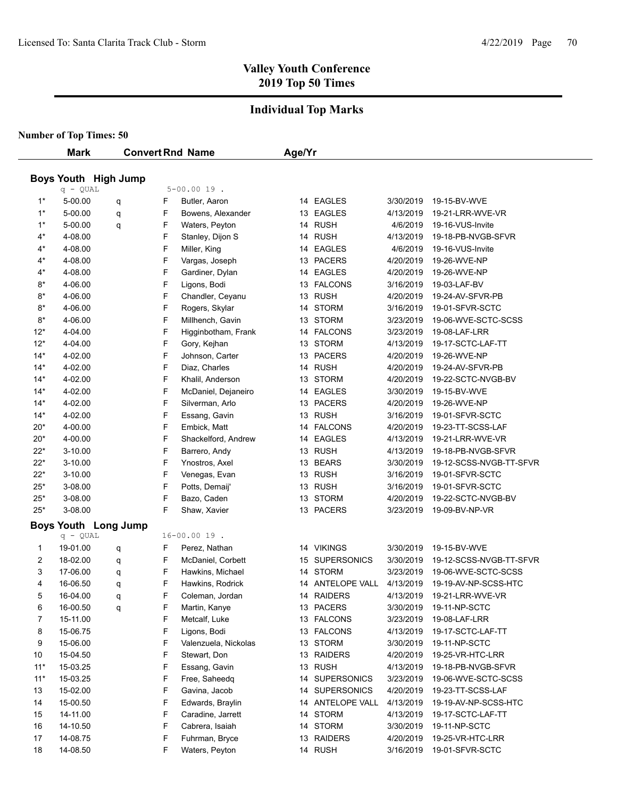#### **Individual Top Marks**

|       | <b>Mark</b> |                             |   | <b>Convert Rnd Name</b> | Age/Yr |                  |           |                         |
|-------|-------------|-----------------------------|---|-------------------------|--------|------------------|-----------|-------------------------|
|       |             |                             |   |                         |        |                  |           |                         |
|       | q - QUAL    | <b>Boys Youth High Jump</b> |   | $5 - 00.0019$ .         |        |                  |           |                         |
| $1^*$ | 5-00.00     | q                           | F | Butler, Aaron           |        | 14 EAGLES        | 3/30/2019 | 19-15-BV-WVE            |
| $1*$  | 5-00.00     | q                           | F | Bowens, Alexander       |        | 13 EAGLES        | 4/13/2019 | 19-21-LRR-WVE-VR        |
| $1^*$ | 5-00.00     | q                           | F | Waters, Peyton          |        | 14 RUSH          | 4/6/2019  | 19-16-VUS-Invite        |
| $4^*$ | 4-08.00     |                             | F | Stanley, Dijon S        |        | 14 RUSH          | 4/13/2019 | 19-18-PB-NVGB-SFVR      |
| $4^*$ | 4-08.00     |                             | F | Miller, King            |        | 14 EAGLES        | 4/6/2019  | 19-16-VUS-Invite        |
| $4^*$ | 4-08.00     |                             | F | Vargas, Joseph          |        | 13 PACERS        | 4/20/2019 | 19-26-WVE-NP            |
| $4^*$ | 4-08.00     |                             | F | Gardiner, Dylan         |        | 14 EAGLES        | 4/20/2019 | 19-26-WVE-NP            |
| $8*$  | 4-06.00     |                             | F | Ligons, Bodi            |        | 13 FALCONS       | 3/16/2019 | 19-03-LAF-BV            |
| $8*$  | 4-06.00     |                             | F | Chandler, Ceyanu        |        | 13 RUSH          | 4/20/2019 | 19-24-AV-SFVR-PB        |
| $8*$  | 4-06.00     |                             | F | Rogers, Skylar          |        | 14 STORM         | 3/16/2019 | 19-01-SFVR-SCTC         |
| $8*$  | 4-06.00     |                             | F | Millhench, Gavin        |        | 13 STORM         | 3/23/2019 | 19-06-WVE-SCTC-SCSS     |
| $12*$ | 4-04.00     |                             | F | Higginbotham, Frank     |        | 14 FALCONS       | 3/23/2019 | 19-08-LAF-LRR           |
| $12*$ | 4-04.00     |                             | F | Gory, Kejhan            |        | 13 STORM         | 4/13/2019 | 19-17-SCTC-LAF-TT       |
| $14*$ | 4-02.00     |                             | F | Johnson, Carter         |        | 13 PACERS        | 4/20/2019 | 19-26-WVE-NP            |
| $14*$ | 4-02.00     |                             | F | Diaz, Charles           |        | 14 RUSH          | 4/20/2019 | 19-24-AV-SFVR-PB        |
| $14*$ | 4-02.00     |                             | F | Khalil, Anderson        |        | 13 STORM         | 4/20/2019 | 19-22-SCTC-NVGB-BV      |
| $14*$ | 4-02.00     |                             | F | McDaniel, Dejaneiro     |        | 14 EAGLES        | 3/30/2019 | 19-15-BV-WVE            |
| $14*$ | 4-02.00     |                             | F | Silverman, Arlo         |        | 13 PACERS        | 4/20/2019 | 19-26-WVE-NP            |
| $14*$ | 4-02.00     |                             | F | Essang, Gavin           |        | 13 RUSH          | 3/16/2019 | 19-01-SFVR-SCTC         |
| $20*$ | 4-00.00     |                             | F | Embick, Matt            |        | 14 FALCONS       | 4/20/2019 | 19-23-TT-SCSS-LAF       |
| $20*$ | 4-00.00     |                             | F | Shackelford, Andrew     |        | 14 EAGLES        | 4/13/2019 | 19-21-LRR-WVE-VR        |
| $22*$ | 3-10.00     |                             | F | Barrero, Andy           |        | 13 RUSH          | 4/13/2019 | 19-18-PB-NVGB-SFVR      |
| $22*$ | 3-10.00     |                             | F | Ynostros, Axel          |        | 13 BEARS         | 3/30/2019 | 19-12-SCSS-NVGB-TT-SFVR |
| $22*$ | 3-10.00     |                             | F | Venegas, Evan           |        | 13 RUSH          | 3/16/2019 | 19-01-SFVR-SCTC         |
| $25*$ | 3-08.00     |                             | F | Potts, Demaij'          |        | 13 RUSH          | 3/16/2019 | 19-01-SFVR-SCTC         |
| $25*$ | 3-08.00     |                             | F | Bazo, Caden             |        | 13 STORM         | 4/20/2019 | 19-22-SCTC-NVGB-BV      |
| $25*$ | 3-08.00     |                             | F | Shaw, Xavier            |        | 13 PACERS        | 3/23/2019 | 19-09-BV-NP-VR          |
|       |             | <b>Boys Youth Long Jump</b> |   |                         |        |                  |           |                         |
|       | $q - QUAL$  |                             |   | $16 - 00.0019$ .        |        |                  |           |                         |
| 1     | 19-01.00    | q                           | F | Perez, Nathan           |        | 14 VIKINGS       | 3/30/2019 | 19-15-BV-WVE            |
| 2     | 18-02.00    | q                           | F | McDaniel, Corbett       |        | 15 SUPERSONICS   | 3/30/2019 | 19-12-SCSS-NVGB-TT-SFVR |
| 3     | 17-06.00    | q                           | F | Hawkins, Michael        |        | 14 STORM         | 3/23/2019 | 19-06-WVE-SCTC-SCSS     |
| 4     | 16-06.50    | q                           | F | Hawkins, Rodrick        |        | 14 ANTELOPE VALL | 4/13/2019 | 19-19-AV-NP-SCSS-HTC    |
| 5     | 16-04.00    | q                           | F | Coleman, Jordan         |        | 14 RAIDERS       | 4/13/2019 | 19-21-LRR-WVE-VR        |
| 6     | 16-00.50    | q                           | F | Martin, Kanye           |        | 13 PACERS        | 3/30/2019 | 19-11-NP-SCTC           |
| 7     | 15-11.00    |                             | F | Metcalf, Luke           |        | 13 FALCONS       | 3/23/2019 | 19-08-LAF-LRR           |
| 8     | 15-06.75    |                             | F | Ligons, Bodi            |        | 13 FALCONS       | 4/13/2019 | 19-17-SCTC-LAF-TT       |
| 9     | 15-06.00    |                             | F | Valenzuela, Nickolas    |        | 13 STORM         | 3/30/2019 | 19-11-NP-SCTC           |
| 10    | 15-04.50    |                             | F | Stewart, Don            |        | 13 RAIDERS       | 4/20/2019 | 19-25-VR-HTC-LRR        |
| $11*$ | 15-03.25    |                             | F | Essang, Gavin           |        | 13 RUSH          | 4/13/2019 | 19-18-PB-NVGB-SFVR      |
| $11*$ | 15-03.25    |                             | F | Free, Saheedq           |        | 14 SUPERSONICS   | 3/23/2019 | 19-06-WVE-SCTC-SCSS     |
| 13    | 15-02.00    |                             | F | Gavina, Jacob           |        | 14 SUPERSONICS   | 4/20/2019 | 19-23-TT-SCSS-LAF       |
| 14    | 15-00.50    |                             | F | Edwards, Braylin        |        | 14 ANTELOPE VALL | 4/13/2019 | 19-19-AV-NP-SCSS-HTC    |
| 15    | 14-11.00    |                             | F | Caradine, Jarrett       |        | 14 STORM         | 4/13/2019 | 19-17-SCTC-LAF-TT       |
| 16    | 14-10.50    |                             | F | Cabrera, Isaiah         |        | 14 STORM         | 3/30/2019 | 19-11-NP-SCTC           |
| 17    | 14-08.75    |                             | F | Fuhrman, Bryce          |        | 13 RAIDERS       | 4/20/2019 | 19-25-VR-HTC-LRR        |
| 18    | 14-08.50    |                             | F | Waters, Peyton          |        | 14 RUSH          | 3/16/2019 | 19-01-SFVR-SCTC         |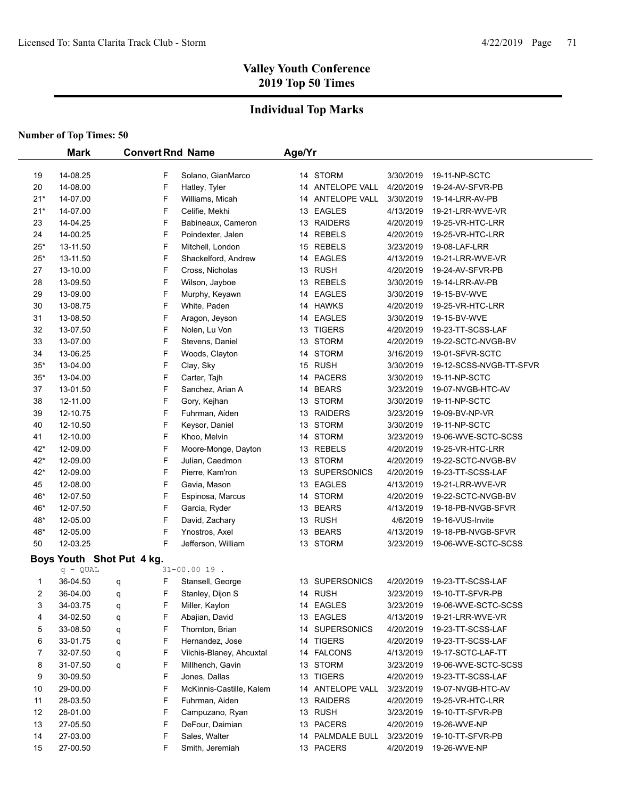## **Individual Top Marks**

|                | <b>Mark</b>               | <b>Convert Rnd Name</b> |                          | Age/Yr |                  |           |                         |
|----------------|---------------------------|-------------------------|--------------------------|--------|------------------|-----------|-------------------------|
|                |                           |                         |                          |        |                  |           |                         |
| 19             | 14-08.25                  | F                       | Solano, GianMarco        |        | 14 STORM         | 3/30/2019 | 19-11-NP-SCTC           |
| 20             | 14-08.00                  | F                       | Hatley, Tyler            |        | 14 ANTELOPE VALL | 4/20/2019 | 19-24-AV-SFVR-PB        |
| $21*$          | 14-07.00                  | F                       | Williams, Micah          |        | 14 ANTELOPE VALL | 3/30/2019 | 19-14-LRR-AV-PB         |
| $21*$          | 14-07.00                  | F                       | Celifie, Mekhi           |        | 13 EAGLES        | 4/13/2019 | 19-21-LRR-WVE-VR        |
| 23             | 14-04.25                  | F                       | Babineaux, Cameron       |        | 13 RAIDERS       | 4/20/2019 | 19-25-VR-HTC-LRR        |
| 24             | 14-00.25                  | F                       | Poindexter, Jalen        |        | 14 REBELS        | 4/20/2019 | 19-25-VR-HTC-LRR        |
| $25*$          | 13-11.50                  | F                       | Mitchell, London         |        | 15 REBELS        | 3/23/2019 | 19-08-LAF-LRR           |
| $25*$          | 13-11.50                  | F                       | Shackelford, Andrew      |        | 14 EAGLES        | 4/13/2019 | 19-21-LRR-WVE-VR        |
| 27             | 13-10.00                  | F                       | Cross, Nicholas          |        | 13 RUSH          | 4/20/2019 | 19-24-AV-SFVR-PB        |
| 28             | 13-09.50                  | F                       | Wilson, Jayboe           |        | 13 REBELS        | 3/30/2019 | 19-14-LRR-AV-PB         |
| 29             | 13-09.00                  | F                       | Murphy, Keyawn           |        | 14 EAGLES        | 3/30/2019 | 19-15-BV-WVE            |
| 30             | 13-08.75                  | F                       | White, Paden             |        | 14 HAWKS         | 4/20/2019 | 19-25-VR-HTC-LRR        |
| 31             | 13-08.50                  | F                       | Aragon, Jeyson           |        | 14 EAGLES        | 3/30/2019 | 19-15-BV-WVE            |
| 32             | 13-07.50                  | F                       | Nolen, Lu Von            |        | 13 TIGERS        | 4/20/2019 | 19-23-TT-SCSS-LAF       |
| 33             | 13-07.00                  | F                       | Stevens, Daniel          |        | 13 STORM         | 4/20/2019 | 19-22-SCTC-NVGB-BV      |
| 34             | 13-06.25                  | F                       | Woods, Clayton           |        | 14 STORM         | 3/16/2019 | 19-01-SFVR-SCTC         |
| $35*$          | 13-04.00                  | F                       | Clay, Sky                |        | 15 RUSH          | 3/30/2019 | 19-12-SCSS-NVGB-TT-SFVR |
| $35*$          | 13-04.00                  | F                       | Carter, Tajh             |        | 14 PACERS        | 3/30/2019 | 19-11-NP-SCTC           |
| 37             | 13-01.50                  | F                       | Sanchez, Arian A         |        | 14 BEARS         | 3/23/2019 | 19-07-NVGB-HTC-AV       |
| 38             | 12-11.00                  | F                       | Gory, Kejhan             |        | 13 STORM         | 3/30/2019 | 19-11-NP-SCTC           |
| 39             | 12-10.75                  | F                       | Fuhrman, Aiden           |        | 13 RAIDERS       | 3/23/2019 | 19-09-BV-NP-VR          |
| 40             | 12-10.50                  | F                       | Keysor, Daniel           |        | 13 STORM         | 3/30/2019 | 19-11-NP-SCTC           |
| 41             | 12-10.00                  | F                       | Khoo, Melvin             |        | 14 STORM         | 3/23/2019 | 19-06-WVE-SCTC-SCSS     |
| 42*            | 12-09.00                  | F                       | Moore-Monge, Dayton      |        | 13 REBELS        | 4/20/2019 | 19-25-VR-HTC-LRR        |
| $42*$          | 12-09.00                  | F                       | Julian, Caedmon          |        | 13 STORM         | 4/20/2019 | 19-22-SCTC-NVGB-BV      |
| $42*$          | 12-09.00                  | F                       | Pierre, Kam'ron          |        | 13 SUPERSONICS   | 4/20/2019 | 19-23-TT-SCSS-LAF       |
| 45             | 12-08.00                  | F                       | Gavia, Mason             |        | 13 EAGLES        | 4/13/2019 | 19-21-LRR-WVE-VR        |
| 46*            | 12-07.50                  | F                       | Espinosa, Marcus         |        | 14 STORM         | 4/20/2019 | 19-22-SCTC-NVGB-BV      |
| 46*            | 12-07.50                  | F                       | Garcia, Ryder            |        | 13 BEARS         | 4/13/2019 | 19-18-PB-NVGB-SFVR      |
| 48*            | 12-05.00                  | F                       | David, Zachary           |        | 13 RUSH          | 4/6/2019  | 19-16-VUS-Invite        |
| 48*            | 12-05.00                  | F                       | Ynostros, Axel           |        | 13 BEARS         | 4/13/2019 | 19-18-PB-NVGB-SFVR      |
| 50             | 12-03.25                  | F                       | Jefferson, William       |        | 13 STORM         | 3/23/2019 | 19-06-WVE-SCTC-SCSS     |
|                | Boys Youth Shot Put 4 kg. |                         |                          |        |                  |           |                         |
|                | $q - QUAL$                |                         | $31 - 00.0019$ .         |        |                  |           |                         |
| 1              | 36-04.50                  | F<br>q                  | Stansell, George         |        | 13 SUPERSONICS   | 4/20/2019 | 19-23-TT-SCSS-LAF       |
| $\overline{2}$ | 36-04.00                  | F<br>q                  | Stanley, Dijon S         |        | 14 RUSH          | 3/23/2019 | 19-10-TT-SFVR-PB        |
| 3              | 34-03.75                  | F<br>q                  | Miller, Kaylon           |        | 14 EAGLES        | 3/23/2019 | 19-06-WVE-SCTC-SCSS     |
| 4              | 34-02.50                  | F<br>q                  | Abajian, David           |        | 13 EAGLES        | 4/13/2019 | 19-21-LRR-WVE-VR        |
| 5              | 33-08.50                  | F<br>q                  | Thornton, Brian          |        | 14 SUPERSONICS   | 4/20/2019 | 19-23-TT-SCSS-LAF       |
| 6              | 33-01.75                  | F<br>q                  | Hernandez, Jose          |        | 14 TIGERS        | 4/20/2019 | 19-23-TT-SCSS-LAF       |
| 7              | 32-07.50                  | F<br>q                  | Vilchis-Blaney, Ahcuxtal |        | 14 FALCONS       | 4/13/2019 | 19-17-SCTC-LAF-TT       |
| 8              | 31-07.50                  | F<br>q                  | Millhench, Gavin         |        | 13 STORM         | 3/23/2019 | 19-06-WVE-SCTC-SCSS     |
| 9              | 30-09.50                  | F                       | Jones, Dallas            |        | 13 TIGERS        | 4/20/2019 | 19-23-TT-SCSS-LAF       |
| 10             | 29-00.00                  | F                       | McKinnis-Castille, Kalem |        | 14 ANTELOPE VALL | 3/23/2019 | 19-07-NVGB-HTC-AV       |
| 11             | 28-03.50                  | F                       | Fuhrman, Aiden           |        | 13 RAIDERS       | 4/20/2019 | 19-25-VR-HTC-LRR        |
| 12             | 28-01.00                  | F                       | Campuzano, Ryan          |        | 13 RUSH          | 3/23/2019 | 19-10-TT-SFVR-PB        |
| 13             | 27-05.50                  | F                       | DeFour, Daimian          |        | 13 PACERS        | 4/20/2019 | 19-26-WVE-NP            |
| 14             | 27-03.00                  | F                       | Sales, Walter            |        | 14 PALMDALE BULL | 3/23/2019 | 19-10-TT-SFVR-PB        |
| 15             | 27-00.50                  | F                       | Smith, Jeremiah          |        | 13 PACERS        | 4/20/2019 | 19-26-WVE-NP            |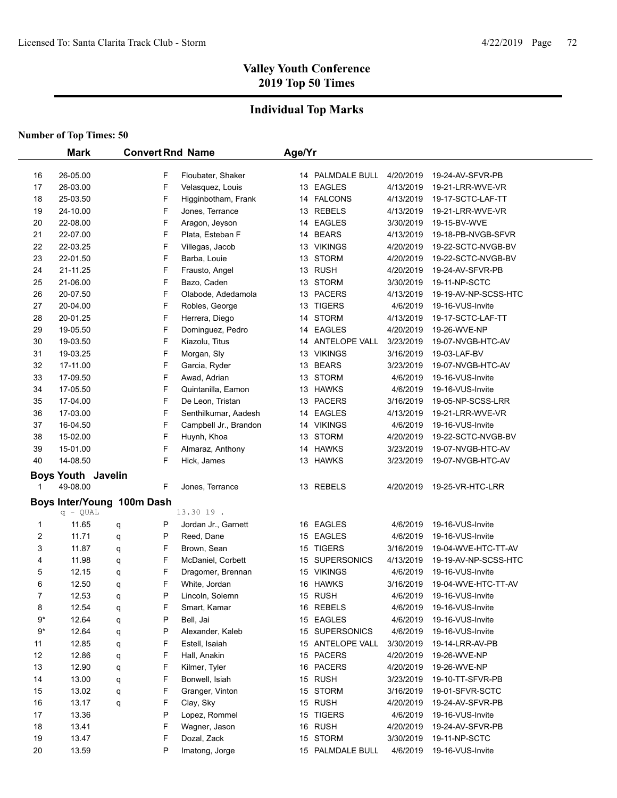## **Individual Top Marks**

|                            |                           | <b>Mark</b><br><b>Convert Rnd Name</b> |   |                       | Age/Yr |                  |           |                      |
|----------------------------|---------------------------|----------------------------------------|---|-----------------------|--------|------------------|-----------|----------------------|
|                            |                           |                                        |   |                       |        |                  |           |                      |
| 16                         | 26-05.00                  |                                        | F | Floubater, Shaker     |        | 14 PALMDALE BULL | 4/20/2019 | 19-24-AV-SFVR-PB     |
| 17                         | 26-03.00                  |                                        | F | Velasquez, Louis      |        | 13 EAGLES        | 4/13/2019 | 19-21-LRR-WVE-VR     |
| 18                         | 25-03.50                  |                                        | F | Higginbotham, Frank   |        | 14 FALCONS       | 4/13/2019 | 19-17-SCTC-LAF-TT    |
| 19                         | 24-10.00                  |                                        | F | Jones, Terrance       |        | 13 REBELS        | 4/13/2019 | 19-21-LRR-WVE-VR     |
| 20                         | 22-08.00                  |                                        | F | Aragon, Jeyson        |        | 14 EAGLES        | 3/30/2019 | 19-15-BV-WVE         |
| 21                         | 22-07.00                  |                                        | F | Plata, Esteban F      |        | 14 BEARS         | 4/13/2019 | 19-18-PB-NVGB-SFVR   |
| 22                         | 22-03.25                  |                                        | F | Villegas, Jacob       |        | 13 VIKINGS       | 4/20/2019 | 19-22-SCTC-NVGB-BV   |
| 23                         | 22-01.50                  |                                        | F | Barba, Louie          |        | 13 STORM         | 4/20/2019 | 19-22-SCTC-NVGB-BV   |
| 24                         | 21-11.25                  |                                        | F | Frausto, Angel        |        | 13 RUSH          | 4/20/2019 | 19-24-AV-SFVR-PB     |
| 25                         | 21-06.00                  |                                        | F | Bazo, Caden           |        | 13 STORM         | 3/30/2019 | 19-11-NP-SCTC        |
| 26                         | 20-07.50                  |                                        | F | Olabode, Adedamola    |        | 13 PACERS        | 4/13/2019 | 19-19-AV-NP-SCSS-HTC |
| 27                         | 20-04.00                  |                                        | F | Robles, George        |        | 13 TIGERS        | 4/6/2019  | 19-16-VUS-Invite     |
| 28                         | 20-01.25                  |                                        | F | Herrera, Diego        |        | 14 STORM         | 4/13/2019 | 19-17-SCTC-LAF-TT    |
| 29                         | 19-05.50                  |                                        | F | Dominguez, Pedro      |        | 14 EAGLES        | 4/20/2019 | 19-26-WVE-NP         |
| 30                         | 19-03.50                  |                                        | F | Kiazolu, Titus        |        | 14 ANTELOPE VALL | 3/23/2019 | 19-07-NVGB-HTC-AV    |
| 31                         | 19-03.25                  |                                        | F | Morgan, Sly           |        | 13 VIKINGS       | 3/16/2019 | 19-03-LAF-BV         |
| 32                         | 17-11.00                  |                                        | F | Garcia, Ryder         |        | 13 BEARS         | 3/23/2019 | 19-07-NVGB-HTC-AV    |
| 33                         | 17-09.50                  |                                        | F | Awad, Adrian          |        | 13 STORM         | 4/6/2019  | 19-16-VUS-Invite     |
| 34                         | 17-05.50                  |                                        | F | Quintanilla, Eamon    |        | 13 HAWKS         | 4/6/2019  | 19-16-VUS-Invite     |
| 35                         | 17-04.00                  |                                        | F | De Leon, Tristan      |        | 13 PACERS        | 3/16/2019 | 19-05-NP-SCSS-LRR    |
| 36                         | 17-03.00                  |                                        | F | Senthilkumar, Aadesh  |        | 14 EAGLES        | 4/13/2019 | 19-21-LRR-WVE-VR     |
| 37                         | 16-04.50                  |                                        | F | Campbell Jr., Brandon |        | 14 VIKINGS       | 4/6/2019  | 19-16-VUS-Invite     |
| 38                         | 15-02.00                  |                                        | F | Huynh, Khoa           |        | 13 STORM         | 4/20/2019 | 19-22-SCTC-NVGB-BV   |
| 39                         | 15-01.00                  |                                        | F | Almaraz, Anthony      |        | 14 HAWKS         | 3/23/2019 | 19-07-NVGB-HTC-AV    |
| 40                         | 14-08.50                  |                                        | F | Hick, James           |        | 13 HAWKS         | 3/23/2019 | 19-07-NVGB-HTC-AV    |
|                            | <b>Boys Youth Javelin</b> |                                        |   |                       |        |                  |           |                      |
|                            | 49-08.00                  |                                        | F | Jones, Terrance       |        | 13 REBELS        | 4/20/2019 | 19-25-VR-HTC-LRR     |
| Boys Inter/Young 100m Dash |                           |                                        |   |                       |        |                  |           |                      |
|                            | $q - QUAL$                |                                        |   | 13.30 19.             |        |                  |           |                      |
| 1                          | 11.65                     | q                                      | Ρ | Jordan Jr., Garnett   |        | 16 EAGLES        | 4/6/2019  | 19-16-VUS-Invite     |
| $\overline{c}$             | 11.71                     | q                                      | P | Reed, Dane            |        | 15 EAGLES        | 4/6/2019  | 19-16-VUS-Invite     |
| 3                          | 11.87                     | q                                      | F | Brown, Sean           |        | 15 TIGERS        | 3/16/2019 | 19-04-WVE-HTC-TT-AV  |
| 4                          | 11.98                     | q                                      | F | McDaniel, Corbett     |        | 15 SUPERSONICS   | 4/13/2019 | 19-19-AV-NP-SCSS-HTC |
| 5                          | 12.15                     | q                                      | F | Dragomer, Brennan     |        | 15 VIKINGS       | 4/6/2019  | 19-16-VUS-Invite     |
| 6                          | 12.50                     | q                                      | F | White, Jordan         |        | 16 HAWKS         | 3/16/2019 | 19-04-WVE-HTC-TT-AV  |
| $\overline{7}$             | 12.53                     | q                                      | P | Lincoln, Solemn       |        | 15 RUSH          | 4/6/2019  | 19-16-VUS-Invite     |
| 8                          | 12.54                     | q                                      | F | Smart, Kamar          |        | 16 REBELS        | 4/6/2019  | 19-16-VUS-Invite     |
| 9*                         | 12.64                     | q                                      | Ρ | Bell, Jai             |        | 15 EAGLES        | 4/6/2019  | 19-16-VUS-Invite     |
| $9^*$                      | 12.64                     | q                                      | P | Alexander, Kaleb      |        | 15 SUPERSONICS   | 4/6/2019  | 19-16-VUS-Invite     |
| 11                         | 12.85                     | q                                      | F | Estell, Isaiah        |        | 15 ANTELOPE VALL | 3/30/2019 | 19-14-LRR-AV-PB      |
| 12                         | 12.86                     | q                                      | F | Hall, Anakin          |        | 15 PACERS        | 4/20/2019 | 19-26-WVE-NP         |
| 13                         | 12.90                     | q                                      | F | Kilmer, Tyler         |        | 16 PACERS        | 4/20/2019 | 19-26-WVE-NP         |
| 14                         | 13.00                     | q                                      | F | Bonwell, Isiah        |        | 15 RUSH          | 3/23/2019 | 19-10-TT-SFVR-PB     |
| 15                         | 13.02                     | q                                      | F | Granger, Vinton       |        | 15 STORM         | 3/16/2019 | 19-01-SFVR-SCTC      |
| 16                         | 13.17                     | q                                      | F | Clay, Sky             |        | 15 RUSH          | 4/20/2019 | 19-24-AV-SFVR-PB     |
| 17                         | 13.36                     |                                        | P | Lopez, Rommel         |        | 15 TIGERS        | 4/6/2019  | 19-16-VUS-Invite     |
| 18                         | 13.41                     |                                        | F | Wagner, Jason         |        | 16 RUSH          | 4/20/2019 | 19-24-AV-SFVR-PB     |
| 19                         | 13.47                     |                                        | F | Dozal, Zack           |        | 15 STORM         | 3/30/2019 | 19-11-NP-SCTC        |
| 20                         | 13.59                     |                                        | P | Imatong, Jorge        |        | 15 PALMDALE BULL | 4/6/2019  | 19-16-VUS-Invite     |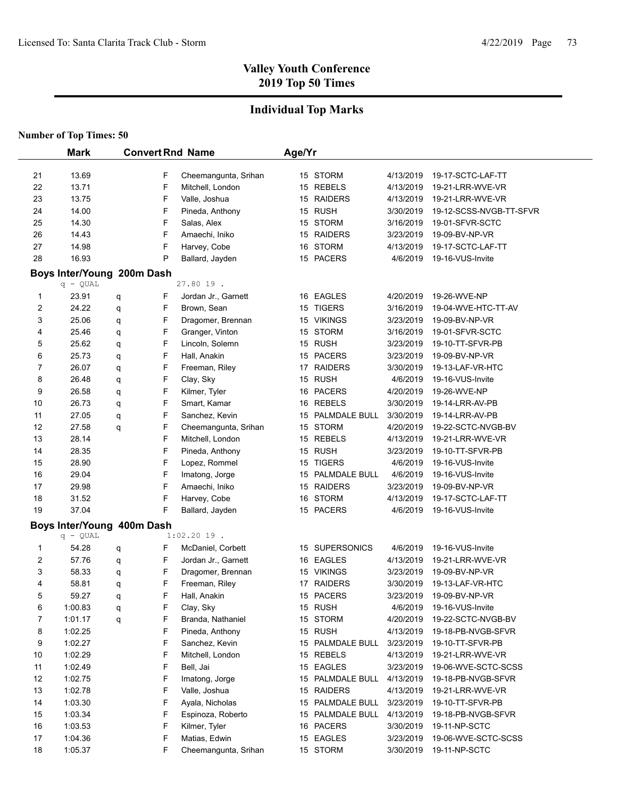# **Individual Top Marks**

|    | <b>Mark</b>                |   |        | <b>Convert Rnd Name</b> | Age/Yr |                  |           |                         |
|----|----------------------------|---|--------|-------------------------|--------|------------------|-----------|-------------------------|
|    |                            |   |        |                         |        |                  |           |                         |
| 21 | 13.69<br>13.71             |   | F<br>F | Cheemangunta, Srihan    |        | 15 STORM         | 4/13/2019 | 19-17-SCTC-LAF-TT       |
| 22 |                            |   |        | Mitchell, London        |        | 15 REBELS        | 4/13/2019 | 19-21-LRR-WVE-VR        |
| 23 | 13.75                      |   | F      | Valle, Joshua           |        | 15 RAIDERS       | 4/13/2019 | 19-21-LRR-WVE-VR        |
| 24 | 14.00                      |   | F      | Pineda, Anthony         |        | 15 RUSH          | 3/30/2019 | 19-12-SCSS-NVGB-TT-SFVR |
| 25 | 14.30                      |   | F      | Salas, Alex             |        | 15 STORM         | 3/16/2019 | 19-01-SFVR-SCTC         |
| 26 | 14.43                      |   | F      | Amaechi, Iniko          |        | 15 RAIDERS       | 3/23/2019 | 19-09-BV-NP-VR          |
| 27 | 14.98                      |   | F      | Harvey, Cobe            |        | 16 STORM         | 4/13/2019 | 19-17-SCTC-LAF-TT       |
| 28 | 16.93                      |   | P      | Ballard, Jayden         |        | 15 PACERS        | 4/6/2019  | 19-16-VUS-Invite        |
|    | Boys Inter/Young 200m Dash |   |        |                         |        |                  |           |                         |
|    | $q - QUAL$                 |   |        | 27.80 19.               |        |                  |           |                         |
| 1  | 23.91                      | q | F      | Jordan Jr., Garnett     |        | 16 EAGLES        | 4/20/2019 | 19-26-WVE-NP            |
| 2  | 24.22                      | q | F      | Brown, Sean             |        | 15 TIGERS        | 3/16/2019 | 19-04-WVE-HTC-TT-AV     |
| 3  | 25.06                      | q | F      | Dragomer, Brennan       |        | 15 VIKINGS       | 3/23/2019 | 19-09-BV-NP-VR          |
| 4  | 25.46                      | q | F      | Granger, Vinton         |        | 15 STORM         | 3/16/2019 | 19-01-SFVR-SCTC         |
| 5  | 25.62                      | q | F      | Lincoln, Solemn         |        | 15 RUSH          | 3/23/2019 | 19-10-TT-SFVR-PB        |
| 6  | 25.73                      | q | F      | Hall, Anakin            |        | 15 PACERS        | 3/23/2019 | 19-09-BV-NP-VR          |
| 7  | 26.07                      | q | F      | Freeman, Riley          |        | 17 RAIDERS       | 3/30/2019 | 19-13-LAF-VR-HTC        |
| 8  | 26.48                      | q | F      | Clay, Sky               |        | 15 RUSH          | 4/6/2019  | 19-16-VUS-Invite        |
| 9  | 26.58                      | q | F      | Kilmer, Tyler           |        | 16 PACERS        | 4/20/2019 | 19-26-WVE-NP            |
| 10 | 26.73                      | q | F      | Smart, Kamar            |        | 16 REBELS        | 3/30/2019 | 19-14-LRR-AV-PB         |
| 11 | 27.05                      | q | F      | Sanchez, Kevin          |        | 15 PALMDALE BULL | 3/30/2019 | 19-14-LRR-AV-PB         |
| 12 | 27.58                      | q | F      | Cheemangunta, Srihan    |        | 15 STORM         | 4/20/2019 | 19-22-SCTC-NVGB-BV      |
| 13 | 28.14                      |   | F      | Mitchell, London        |        | 15 REBELS        | 4/13/2019 | 19-21-LRR-WVE-VR        |
| 14 | 28.35                      |   | F      | Pineda, Anthony         |        | 15 RUSH          | 3/23/2019 | 19-10-TT-SFVR-PB        |
| 15 | 28.90                      |   | F      | Lopez, Rommel           |        | 15 TIGERS        | 4/6/2019  | 19-16-VUS-Invite        |
| 16 | 29.04                      |   | F      | Imatong, Jorge          |        | 15 PALMDALE BULL | 4/6/2019  | 19-16-VUS-Invite        |
| 17 | 29.98                      |   | F      | Amaechi, Iniko          |        | 15 RAIDERS       | 3/23/2019 | 19-09-BV-NP-VR          |
| 18 | 31.52                      |   | F      | Harvey, Cobe            |        | 16 STORM         | 4/13/2019 | 19-17-SCTC-LAF-TT       |
| 19 | 37.04                      |   | F      | Ballard, Jayden         |        | 15 PACERS        | 4/6/2019  | 19-16-VUS-Invite        |
|    | Boys Inter/Young 400m Dash |   |        |                         |        |                  |           |                         |
|    | $q - QUAL$                 |   |        | $1:02.2019$ .           |        |                  |           |                         |
| 1  | 54.28                      | q | F      | McDaniel, Corbett       |        | 15 SUPERSONICS   | 4/6/2019  | 19-16-VUS-Invite        |
| 2  | 57.76                      | q | F      | Jordan Jr., Garnett     |        | 16 EAGLES        | 4/13/2019 | 19-21-LRR-WVE-VR        |
| 3  | 58.33                      | q | F      | Dragomer, Brennan       |        | 15 VIKINGS       | 3/23/2019 | 19-09-BV-NP-VR          |
| 4  | 58.81                      | q | F      | Freeman, Riley          |        | 17 RAIDERS       | 3/30/2019 | 19-13-LAF-VR-HTC        |
| 5  | 59.27                      | q | F      | Hall, Anakin            |        | 15 PACERS        | 3/23/2019 | 19-09-BV-NP-VR          |
| 6  | 1:00.83                    | q | F      | Clay, Sky               |        | 15 RUSH          | 4/6/2019  | 19-16-VUS-Invite        |
| 7  | 1:01.17                    | q | F      | Branda, Nathaniel       |        | 15 STORM         | 4/20/2019 | 19-22-SCTC-NVGB-BV      |
| 8  | 1:02.25                    |   | F      | Pineda, Anthony         |        | 15 RUSH          | 4/13/2019 | 19-18-PB-NVGB-SFVR      |
| 9  | 1:02.27                    |   | F      | Sanchez, Kevin          |        | 15 PALMDALE BULL | 3/23/2019 | 19-10-TT-SFVR-PB        |
| 10 | 1:02.29                    |   | F      | Mitchell, London        |        | 15 REBELS        | 4/13/2019 | 19-21-LRR-WVE-VR        |
| 11 | 1:02.49                    |   | F      | Bell, Jai               |        | 15 EAGLES        | 3/23/2019 | 19-06-WVE-SCTC-SCSS     |
| 12 | 1:02.75                    |   | F      | Imatong, Jorge          |        | 15 PALMDALE BULL | 4/13/2019 | 19-18-PB-NVGB-SFVR      |
| 13 | 1:02.78                    |   | F      | Valle, Joshua           |        | 15 RAIDERS       | 4/13/2019 | 19-21-LRR-WVE-VR        |
| 14 | 1:03.30                    |   | F      | Ayala, Nicholas         |        | 15 PALMDALE BULL | 3/23/2019 | 19-10-TT-SFVR-PB        |
| 15 | 1:03.34                    |   | F      | Espinoza, Roberto       |        | 15 PALMDALE BULL | 4/13/2019 | 19-18-PB-NVGB-SFVR      |
| 16 | 1:03.53                    |   | F      | Kilmer, Tyler           |        | 16 PACERS        | 3/30/2019 | 19-11-NP-SCTC           |
| 17 | 1:04.36                    |   | F      | Matias, Edwin           |        | 15 EAGLES        | 3/23/2019 | 19-06-WVE-SCTC-SCSS     |
| 18 | 1:05.37                    |   | F      | Cheemangunta, Srihan    |        | 15 STORM         | 3/30/2019 | 19-11-NP-SCTC           |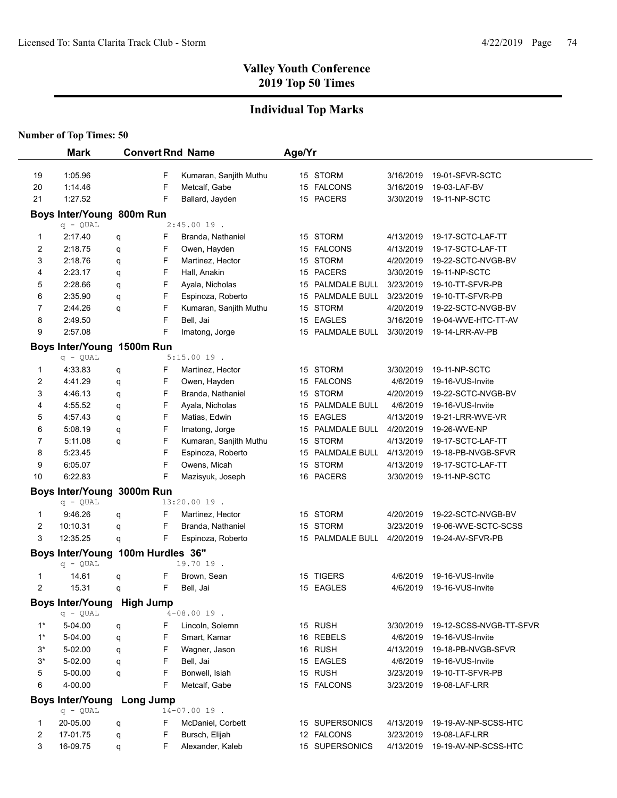# **Individual Top Marks**

| <b>Number of Top Times: 50</b> |  |  |
|--------------------------------|--|--|
|--------------------------------|--|--|

|       | <b>Mark</b>                             |                  |   | <b>Convert Rnd Name</b> | Age/Yr |                  |           |                         |  |
|-------|-----------------------------------------|------------------|---|-------------------------|--------|------------------|-----------|-------------------------|--|
| 19    | 1:05.96                                 |                  | F | Kumaran, Sanjith Muthu  |        | 15 STORM         | 3/16/2019 | 19-01-SFVR-SCTC         |  |
| 20    | 1:14.46                                 |                  | F | Metcalf, Gabe           |        | 15 FALCONS       | 3/16/2019 | 19-03-LAF-BV            |  |
| 21    | 1:27.52                                 |                  | F | Ballard, Jayden         |        | 15 PACERS        | 3/30/2019 | 19-11-NP-SCTC           |  |
|       |                                         |                  |   |                         |        |                  |           |                         |  |
|       | Boys Inter/Young 800m Run<br>$q - QUAL$ |                  |   | $2:45.0019$ .           |        |                  |           |                         |  |
| 1     | 2:17.40                                 |                  | F | Branda, Nathaniel       |        | 15 STORM         | 4/13/2019 | 19-17-SCTC-LAF-TT       |  |
| 2     | 2:18.75                                 | q<br>q           | F | Owen, Hayden            |        | 15 FALCONS       | 4/13/2019 | 19-17-SCTC-LAF-TT       |  |
| 3     | 2:18.76                                 | q                | F | Martinez, Hector        |        | 15 STORM         | 4/20/2019 | 19-22-SCTC-NVGB-BV      |  |
| 4     | 2:23.17                                 | q                | F | Hall, Anakin            |        | 15 PACERS        | 3/30/2019 | 19-11-NP-SCTC           |  |
| 5     | 2:28.66                                 | q                | F | Ayala, Nicholas         |        | 15 PALMDALE BULL | 3/23/2019 | 19-10-TT-SFVR-PB        |  |
| 6     | 2:35.90                                 | q                | F | Espinoza, Roberto       |        | 15 PALMDALE BULL | 3/23/2019 | 19-10-TT-SFVR-PB        |  |
| 7     | 2:44.26                                 | q                | F | Kumaran, Sanjith Muthu  |        | 15 STORM         | 4/20/2019 | 19-22-SCTC-NVGB-BV      |  |
| 8     | 2:49.50                                 |                  | F | Bell, Jai               |        | 15 EAGLES        | 3/16/2019 | 19-04-WVE-HTC-TT-AV     |  |
| 9     | 2:57.08                                 |                  | F | Imatong, Jorge          |        | 15 PALMDALE BULL | 3/30/2019 | 19-14-LRR-AV-PB         |  |
|       | Boys Inter/Young 1500m Run              |                  |   |                         |        |                  |           |                         |  |
|       | $q - QUAL$                              |                  |   | $5:15.0019$ .           |        |                  |           |                         |  |
| 1     | 4:33.83                                 | q                | F | Martinez, Hector        |        | 15 STORM         | 3/30/2019 | 19-11-NP-SCTC           |  |
| 2     | 4:41.29                                 | q                | F | Owen, Hayden            |        | 15 FALCONS       | 4/6/2019  | 19-16-VUS-Invite        |  |
| 3     | 4:46.13                                 | q                | F | Branda, Nathaniel       |        | 15 STORM         | 4/20/2019 | 19-22-SCTC-NVGB-BV      |  |
| 4     | 4:55.52                                 | q                | F | Ayala, Nicholas         |        | 15 PALMDALE BULL | 4/6/2019  | 19-16-VUS-Invite        |  |
| 5     | 4:57.43                                 | q                | F | Matias, Edwin           |        | 15 EAGLES        | 4/13/2019 | 19-21-LRR-WVE-VR        |  |
| 6     | 5:08.19                                 | q                | F | Imatong, Jorge          |        | 15 PALMDALE BULL | 4/20/2019 | 19-26-WVE-NP            |  |
| 7     | 5:11.08                                 | q                | F | Kumaran, Sanjith Muthu  |        | 15 STORM         | 4/13/2019 | 19-17-SCTC-LAF-TT       |  |
| 8     | 5:23.45                                 |                  | F | Espinoza, Roberto       |        | 15 PALMDALE BULL | 4/13/2019 | 19-18-PB-NVGB-SFVR      |  |
| 9     | 6:05.07                                 |                  | F | Owens, Micah            |        | 15 STORM         | 4/13/2019 | 19-17-SCTC-LAF-TT       |  |
| 10    | 6:22.83                                 |                  | F | Mazisyuk, Joseph        |        | 16 PACERS        | 3/30/2019 | 19-11-NP-SCTC           |  |
|       | Boys Inter/Young 3000m Run              |                  |   |                         |        |                  |           |                         |  |
|       | $q - QUAL$                              |                  |   | 13:20.00 19.            |        |                  |           |                         |  |
| 1     | 9:46.26                                 | q                | F | Martinez, Hector        |        | 15 STORM         | 4/20/2019 | 19-22-SCTC-NVGB-BV      |  |
| 2     | 10:10.31                                | q                | F | Branda, Nathaniel       |        | 15 STORM         | 3/23/2019 | 19-06-WVE-SCTC-SCSS     |  |
| 3     | 12:35.25                                | q                | F | Espinoza, Roberto       |        | 15 PALMDALE BULL | 4/20/2019 | 19-24-AV-SFVR-PB        |  |
|       | Boys Inter/Young 100m Hurdles 36"       |                  |   |                         |        |                  |           |                         |  |
|       | $q - QUAL$                              |                  |   | 19.70 19.               |        |                  |           |                         |  |
| 1     | 14.61                                   | q                | F | Brown, Sean             |        | 15 TIGERS        | 4/6/2019  | 19-16-VUS-Invite        |  |
| 2     | 15.31                                   | q                | F | Bell, Jai               |        | 15 EAGLES        | 4/6/2019  | 19-16-VUS-Invite        |  |
|       | <b>Boys Inter/Young</b>                 | <b>High Jump</b> |   |                         |        |                  |           |                         |  |
|       | $q - QUAL$                              |                  |   | $4 - 08.0019$ .         |        |                  |           |                         |  |
| $1^*$ | 5-04.00                                 | q                | F | Lincoln, Solemn         |        | 15 RUSH          | 3/30/2019 | 19-12-SCSS-NVGB-TT-SFVR |  |
| $1^*$ | 5-04.00                                 | q                | F | Smart, Kamar            |        | 16 REBELS        | 4/6/2019  | 19-16-VUS-Invite        |  |
| 3*    | 5-02.00                                 | q                | F | Wagner, Jason           |        | 16 RUSH          | 4/13/2019 | 19-18-PB-NVGB-SFVR      |  |
| $3^*$ | 5-02.00                                 | q                | F | Bell, Jai               |        | 15 EAGLES        | 4/6/2019  | 19-16-VUS-Invite        |  |
| 5     | 5-00.00                                 | q                | F | Bonwell, Isiah          |        | 15 RUSH          | 3/23/2019 | 19-10-TT-SFVR-PB        |  |
| 6     | 4-00.00                                 |                  | F | Metcalf, Gabe           |        | 15 FALCONS       | 3/23/2019 | 19-08-LAF-LRR           |  |
|       | <b>Boys Inter/Young</b>                 | Long Jump        |   |                         |        |                  |           |                         |  |
|       | $q - QUAL$                              |                  |   | $14 - 07.00$ 19.        |        |                  |           |                         |  |
| 1     | 20-05.00                                | q                | F | McDaniel, Corbett       |        | 15 SUPERSONICS   | 4/13/2019 | 19-19-AV-NP-SCSS-HTC    |  |
| 2     | 17-01.75                                | q                | F | Bursch, Elijah          |        | 12 FALCONS       | 3/23/2019 | 19-08-LAF-LRR           |  |
| 3     | 16-09.75                                | q                | F | Alexander, Kaleb        |        | 15 SUPERSONICS   | 4/13/2019 | 19-19-AV-NP-SCSS-HTC    |  |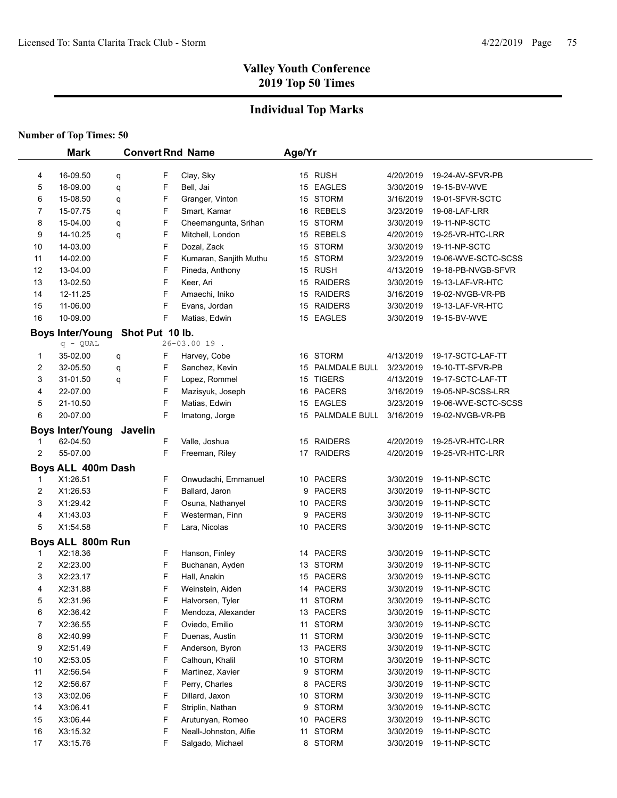# **Individual Top Marks**

|    | <b>Mark</b>             |         |                 | <b>Convert Rnd Name</b> | Age/Yr |                  |           |                         |
|----|-------------------------|---------|-----------------|-------------------------|--------|------------------|-----------|-------------------------|
|    |                         |         |                 |                         |        |                  |           |                         |
| 4  | 16-09.50                | q       | F               | Clay, Sky               |        | 15 RUSH          | 4/20/2019 | 19-24-AV-SFVR-PB        |
| 5  | 16-09.00                | q       | F               | Bell, Jai               |        | 15 EAGLES        | 3/30/2019 | 19-15-BV-WVE            |
| 6  | 15-08.50                | q       | F               | Granger, Vinton         |        | 15 STORM         | 3/16/2019 | 19-01-SFVR-SCTC         |
| 7  | 15-07.75                | q       | F               | Smart, Kamar            |        | 16 REBELS        | 3/23/2019 | 19-08-LAF-LRR           |
| 8  | 15-04.00                | q       | F               | Cheemangunta, Srihan    |        | 15 STORM         | 3/30/2019 | 19-11-NP-SCTC           |
| 9  | 14-10.25                | q       | F               | Mitchell, London        |        | 15 REBELS        | 4/20/2019 | 19-25-VR-HTC-LRR        |
| 10 | 14-03.00                |         | F               | Dozal, Zack             |        | 15 STORM         | 3/30/2019 | 19-11-NP-SCTC           |
| 11 | 14-02.00                |         | F               | Kumaran, Sanjith Muthu  |        | 15 STORM         | 3/23/2019 | 19-06-WVE-SCTC-SCSS     |
| 12 | 13-04.00                |         | F               | Pineda, Anthony         |        | 15 RUSH          | 4/13/2019 | 19-18-PB-NVGB-SFVR      |
| 13 | 13-02.50                |         | F               | Keer, Ari               |        | 15 RAIDERS       | 3/30/2019 | 19-13-LAF-VR-HTC        |
| 14 | 12-11.25                |         | F               | Amaechi, Iniko          |        | 15 RAIDERS       | 3/16/2019 | 19-02-NVGB-VR-PB        |
| 15 | 11-06.00                |         | F               | Evans, Jordan           |        | 15 RAIDERS       | 3/30/2019 | 19-13-LAF-VR-HTC        |
| 16 | 10-09.00                |         | F               | Matias, Edwin           |        | 15 EAGLES        | 3/30/2019 | 19-15-BV-WVE            |
|    | <b>Boys Inter/Young</b> |         | Shot Put 10 lb. |                         |        |                  |           |                         |
|    | $q - QUAL$              |         |                 | 26-03.00 19.            |        |                  |           |                         |
| 1  | 35-02.00                | q       | F               | Harvey, Cobe            |        | 16 STORM         | 4/13/2019 | 19-17-SCTC-LAF-TT       |
| 2  | 32-05.50                | q       | F               | Sanchez, Kevin          |        | 15 PALMDALE BULL | 3/23/2019 | 19-10-TT-SFVR-PB        |
| 3  | 31-01.50                | q       | F               | Lopez, Rommel           |        | 15 TIGERS        | 4/13/2019 | 19-17-SCTC-LAF-TT       |
| 4  | 22-07.00                |         | F               | Mazisyuk, Joseph        |        | 16 PACERS        | 3/16/2019 | 19-05-NP-SCSS-LRR       |
| 5  | 21-10.50                |         | F               | Matias, Edwin           |        | 15 EAGLES        | 3/23/2019 | 19-06-WVE-SCTC-SCSS     |
| 6  | 20-07.00                |         | F               | Imatong, Jorge          |        | 15 PALMDALE BULL | 3/16/2019 | 19-02-NVGB-VR-PB        |
|    | <b>Boys Inter/Young</b> | Javelin |                 |                         |        |                  |           |                         |
| 1  | 62-04.50                |         | F               | Valle, Joshua           |        | 15 RAIDERS       | 4/20/2019 | 19-25-VR-HTC-LRR        |
| 2  | 55-07.00                |         | F               | Freeman, Riley          |        | 17 RAIDERS       | 4/20/2019 | 19-25-VR-HTC-LRR        |
|    | Boys ALL 400m Dash      |         |                 |                         |        |                  |           |                         |
| 1  | X1:26.51                |         | F               | Onwudachi, Emmanuel     |        | 10 PACERS        | 3/30/2019 | 19-11-NP-SCTC           |
| 2  | X1:26.53                |         | F               | Ballard, Jaron          |        | 9 PACERS         | 3/30/2019 | 19-11-NP-SCTC           |
| 3  | X1:29.42                |         | F               | Osuna, Nathanyel        |        | 10 PACERS        | 3/30/2019 | 19-11-NP-SCTC           |
| 4  | X1:43.03                |         | F               | Westerman, Finn         |        | 9 PACERS         | 3/30/2019 | 19-11-NP-SCTC           |
| 5  | X1:54.58                |         | F               | Lara, Nicolas           |        | 10 PACERS        | 3/30/2019 | 19-11-NP-SCTC           |
|    |                         |         |                 |                         |        |                  |           |                         |
|    | Boys ALL 800m Run       |         |                 |                         |        |                  |           |                         |
| 1  | X2:18.36                |         | F               | Hanson, Finley          |        | 14 PACERS        | 3/30/2019 | 19-11-NP-SCTC           |
| 2  | X2:23.00                |         | F               | Buchanan, Ayden         |        | 13 STORM         | 3/30/2019 | 19-11-NP-SCTC           |
| 3  | X2:23.17                |         | F               | Hall, Anakin            |        | 15 PACERS        | 3/30/2019 | 19-11-NP-SCTC           |
| 4  | X2:31.88                |         | F<br>F          | Weinstein, Aiden        |        | 14 PACERS        | 3/30/2019 | 19-11-NP-SCTC           |
| 5  | X2:31.96                |         |                 | Halvorsen, Tyler        |        | 11 STORM         |           | 3/30/2019 19-11-NP-SCTC |
| 6  | X2:36.42                |         | F               | Mendoza, Alexander      |        | 13 PACERS        | 3/30/2019 | 19-11-NP-SCTC           |
| 7  | X2:36.55                |         | F               | Oviedo, Emilio          |        | 11 STORM         | 3/30/2019 | 19-11-NP-SCTC           |
| 8  | X2:40.99                |         | F               | Duenas, Austin          |        | 11 STORM         | 3/30/2019 | 19-11-NP-SCTC           |
| 9  | X2.51.49                |         | F               | Anderson, Byron         |        | 13 PACERS        | 3/30/2019 | 19-11-NP-SCTC           |
| 10 | X2:53.05                |         | F               | Calhoun, Khalil         |        | 10 STORM         | 3/30/2019 | 19-11-NP-SCTC           |
| 11 | X2:56.54                |         | F               | Martinez, Xavier        |        | 9 STORM          | 3/30/2019 | 19-11-NP-SCTC           |
| 12 | X2:56.67                |         | F               | Perry, Charles          |        | 8 PACERS         | 3/30/2019 | 19-11-NP-SCTC           |
| 13 | X3:02.06                |         | F               | Dillard, Jaxon          |        | 10 STORM         | 3/30/2019 | 19-11-NP-SCTC           |
| 14 | X3:06.41                |         | F               | Striplin, Nathan        |        | 9 STORM          | 3/30/2019 | 19-11-NP-SCTC           |
| 15 | X3.06.44                |         | F               | Arutunyan, Romeo        |        | 10 PACERS        | 3/30/2019 | 19-11-NP-SCTC           |
| 16 | X3:15.32                |         | F               | Neall-Johnston, Alfie   |        | 11 STORM         | 3/30/2019 | 19-11-NP-SCTC           |
| 17 | X3:15.76                |         | F               | Salgado, Michael        |        | 8 STORM          | 3/30/2019 | 19-11-NP-SCTC           |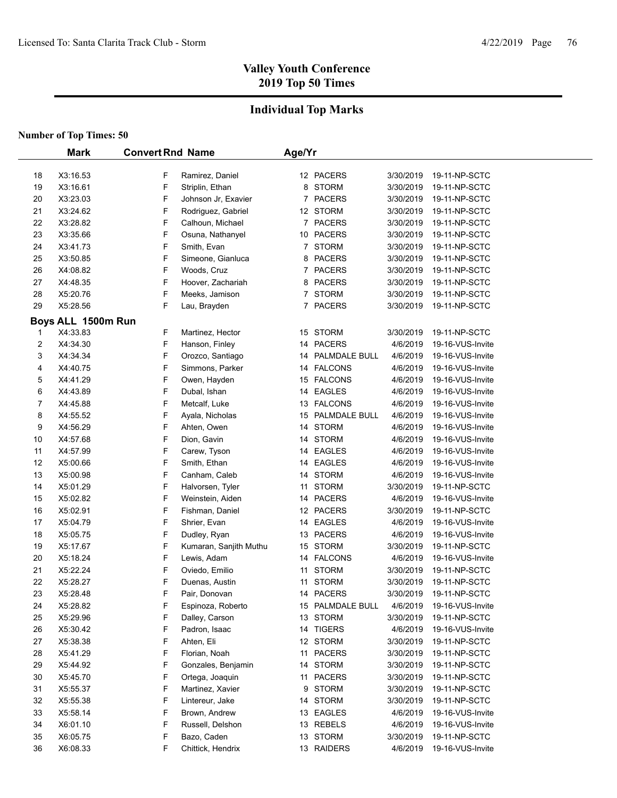# **Individual Top Marks**

|          | <b>Mark</b>          | <b>Convert Rnd Name</b> |                                       | Age/Yr |                        |                       |                                   |  |
|----------|----------------------|-------------------------|---------------------------------------|--------|------------------------|-----------------------|-----------------------------------|--|
|          |                      |                         |                                       |        |                        |                       |                                   |  |
| 18       | X3:16.53             | F                       | Ramirez, Daniel                       |        | 12 PACERS              | 3/30/2019             | 19-11-NP-SCTC                     |  |
| 19       | X3:16.61             | F                       | Striplin, Ethan                       | 8      | <b>STORM</b>           | 3/30/2019             | 19-11-NP-SCTC                     |  |
| 20       | X3:23.03             | F                       | Johnson Jr, Exavier                   | 7      | <b>PACERS</b>          | 3/30/2019             | 19-11-NP-SCTC                     |  |
| 21       | X3:24.62             | F                       | Rodriguez, Gabriel                    |        | 12 STORM               | 3/30/2019             | 19-11-NP-SCTC                     |  |
| 22       | X3:28.82             | F                       | Calhoun, Michael                      | 7      | <b>PACERS</b>          | 3/30/2019             | 19-11-NP-SCTC                     |  |
| 23       | X3:35.66             | F                       | Osuna, Nathanyel                      |        | 10 PACERS              | 3/30/2019             | 19-11-NP-SCTC                     |  |
| 24       | X3:41.73             | F                       | Smith, Evan                           |        | 7 STORM                | 3/30/2019             | 19-11-NP-SCTC                     |  |
| 25       | X3:50.85             | F                       | Simeone, Gianluca                     | 8      | <b>PACERS</b>          | 3/30/2019             | 19-11-NP-SCTC                     |  |
| 26       | X4:08.82             | F                       | Woods, Cruz                           |        | 7 PACERS               | 3/30/2019             | 19-11-NP-SCTC                     |  |
| 27       | X4:48.35             | F                       | Hoover, Zachariah                     | 8      | <b>PACERS</b>          | 3/30/2019             | 19-11-NP-SCTC                     |  |
| 28<br>29 | X5:20.76<br>X5:28.56 | F<br>F                  | Meeks, Jamison                        |        | 7 STORM<br>7 PACERS    | 3/30/2019             | 19-11-NP-SCTC<br>19-11-NP-SCTC    |  |
|          |                      |                         | Lau, Brayden                          |        |                        | 3/30/2019             |                                   |  |
|          | Boys ALL 1500m Run   |                         |                                       |        |                        |                       |                                   |  |
| 1        | X4:33.83             | F                       | Martinez, Hector                      |        | 15 STORM               | 3/30/2019             | 19-11-NP-SCTC                     |  |
| 2        | X4:34.30             | F                       | Hanson, Finley                        |        | 14 PACERS              | 4/6/2019              | 19-16-VUS-Invite                  |  |
| 3        | X4:34.34             | F                       | Orozco, Santiago                      | 14     | PALMDALE BULL          | 4/6/2019              | 19-16-VUS-Invite                  |  |
| 4        | X4:40.75             | F                       | Simmons, Parker                       |        | 14 FALCONS             | 4/6/2019              | 19-16-VUS-Invite                  |  |
| 5        | X4:41.29             | F                       | Owen, Hayden                          |        | 15 FALCONS             | 4/6/2019              | 19-16-VUS-Invite                  |  |
| 6        | X4:43.89             | F                       | Dubal, Ishan                          |        | 14 EAGLES              | 4/6/2019              | 19-16-VUS-Invite                  |  |
| 7        | X4:45.88             | F                       | Metcalf, Luke                         |        | 13 FALCONS             | 4/6/2019              | 19-16-VUS-Invite                  |  |
| 8        | X4:55.52             | F                       | Ayala, Nicholas                       | 15     | PALMDALE BULL          | 4/6/2019              | 19-16-VUS-Invite                  |  |
| 9        | X4:56.29             | F                       | Ahten, Owen                           |        | 14 STORM               | 4/6/2019              | 19-16-VUS-Invite                  |  |
| 10       | X4:57.68             | F                       | Dion, Gavin                           |        | 14 STORM               | 4/6/2019              | 19-16-VUS-Invite                  |  |
| 11       | X4:57.99             | F                       | Carew, Tyson                          |        | 14 EAGLES              | 4/6/2019              | 19-16-VUS-Invite                  |  |
| 12       | X5:00.66             | F                       | Smith, Ethan                          | 14     | <b>EAGLES</b>          | 4/6/2019              | 19-16-VUS-Invite                  |  |
| 13       | X5:00.98             | F                       | Canham, Caleb                         | 14     | <b>STORM</b>           | 4/6/2019              | 19-16-VUS-Invite                  |  |
| 14       | X5:01.29             | F<br>F                  | Halvorsen, Tyler                      | 11     | <b>STORM</b>           | 3/30/2019             | 19-11-NP-SCTC                     |  |
| 15       | X5:02.82             |                         | Weinstein, Aiden                      |        | 14 PACERS              | 4/6/2019              | 19-16-VUS-Invite                  |  |
| 16       | X5:02.91             | F                       | Fishman, Daniel                       |        | 12 PACERS              | 3/30/2019             | 19-11-NP-SCTC                     |  |
| 17       | X5:04.79             | F<br>F                  | Shrier, Evan                          |        | 14 EAGLES<br>13 PACERS | 4/6/2019<br>4/6/2019  | 19-16-VUS-Invite                  |  |
| 18       | X5:05.75<br>X5:17.67 | F                       | Dudley, Ryan                          |        | 15 STORM               |                       | 19-16-VUS-Invite<br>19-11-NP-SCTC |  |
| 19<br>20 | X5:18.24             | F                       | Kumaran, Sanjith Muthu<br>Lewis, Adam |        | 14 FALCONS             | 3/30/2019<br>4/6/2019 | 19-16-VUS-Invite                  |  |
| 21       | X5:22.24             | F                       | Oviedo, Emilio                        |        | 11 STORM               | 3/30/2019             | 19-11-NP-SCTC                     |  |
| 22       | X5:28.27             | F                       | Duenas, Austin                        | 11     | <b>STORM</b>           | 3/30/2019             | 19-11-NP-SCTC                     |  |
| 23       | X5:28.48             | F                       | Pair, Donovan                         |        | 14 PACERS              | 3/30/2019             | 19-11-NP-SCTC                     |  |
| 24       | X5:28.82             | F                       | Espinoza, Roberto                     |        | 15 PALMDALE BULL       | 4/6/2019              | 19-16-VUS-Invite                  |  |
| 25       | X5:29.96             | F                       | Dalley, Carson                        |        | 13 STORM               | 3/30/2019             | 19-11-NP-SCTC                     |  |
| 26       | X5:30.42             | F                       | Padron, Isaac                         |        | 14 TIGERS              | 4/6/2019              | 19-16-VUS-Invite                  |  |
| 27       | X5:38.38             | F                       | Ahten, Eli                            |        | 12 STORM               | 3/30/2019             | 19-11-NP-SCTC                     |  |
| 28       | X5:41.29             | F                       | Florian, Noah                         | 11     | <b>PACERS</b>          | 3/30/2019             | 19-11-NP-SCTC                     |  |
| 29       | X5:44.92             | F                       | Gonzales, Benjamin                    |        | 14 STORM               | 3/30/2019             | 19-11-NP-SCTC                     |  |
| 30       | X5:45.70             | F                       | Ortega, Joaquin                       |        | 11 PACERS              | 3/30/2019             | 19-11-NP-SCTC                     |  |
| 31       | X5:55.37             | F                       | Martinez, Xavier                      | 9      | <b>STORM</b>           | 3/30/2019             | 19-11-NP-SCTC                     |  |
| 32       | X5:55.38             | F                       | Lintereur, Jake                       |        | 14 STORM               | 3/30/2019             | 19-11-NP-SCTC                     |  |
| 33       | X5:58.14             | F                       | Brown, Andrew                         |        | 13 EAGLES              | 4/6/2019              | 19-16-VUS-Invite                  |  |
| 34       | X6:01.10             | F                       | Russell, Delshon                      |        | 13 REBELS              | 4/6/2019              | 19-16-VUS-Invite                  |  |
| 35       | X6:05.75             | F                       | Bazo, Caden                           |        | 13 STORM               | 3/30/2019             | 19-11-NP-SCTC                     |  |
| 36       | X6.08.33             | F                       | Chittick, Hendrix                     |        | 13 RAIDERS             | 4/6/2019              | 19-16-VUS-Invite                  |  |
|          |                      |                         |                                       |        |                        |                       |                                   |  |